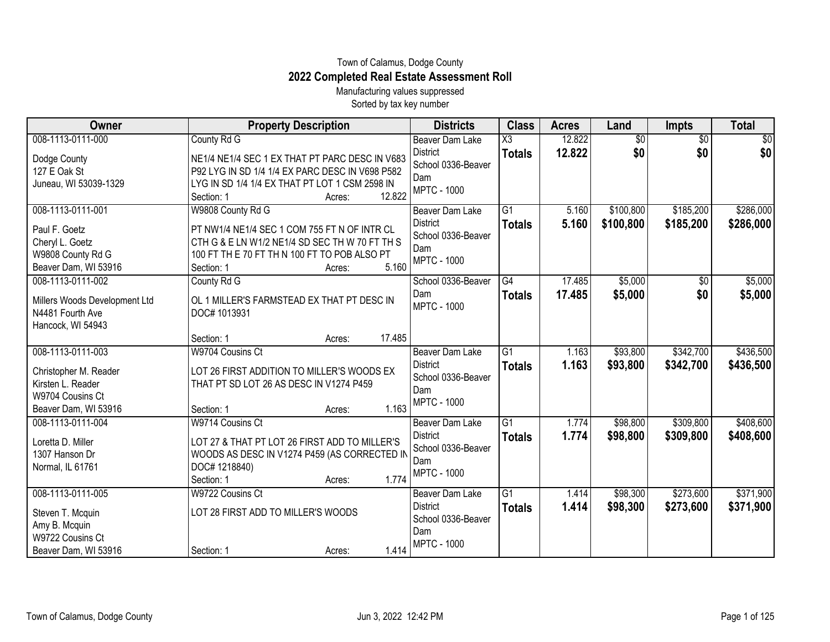## Town of Calamus, Dodge County **2022 Completed Real Estate Assessment Roll**

Manufacturing values suppressed Sorted by tax key number

| Owner                                                                                                       | <b>Property Description</b>                                                                                                                                                                          | <b>Districts</b>                                                                             | <b>Class</b>                            | <b>Acres</b>     | Land                   | <b>Impts</b>           | <b>Total</b>           |
|-------------------------------------------------------------------------------------------------------------|------------------------------------------------------------------------------------------------------------------------------------------------------------------------------------------------------|----------------------------------------------------------------------------------------------|-----------------------------------------|------------------|------------------------|------------------------|------------------------|
| 008-1113-0111-000<br>Dodge County<br>127 E Oak St<br>Juneau, WI 53039-1329                                  | County Rd G<br>NE1/4 NE1/4 SEC 1 EX THAT PT PARC DESC IN V683<br>P92 LYG IN SD 1/4 1/4 EX PARC DESC IN V698 P582<br>LYG IN SD 1/4 1/4 EX THAT PT LOT 1 CSM 2598 IN<br>12.822<br>Section: 1<br>Acres: | <b>Beaver Dam Lake</b><br><b>District</b><br>School 0336-Beaver<br>Dam<br><b>MPTC - 1000</b> | $\overline{\text{X3}}$<br><b>Totals</b> | 12.822<br>12.822 | $\overline{60}$<br>\$0 | $\overline{50}$<br>\$0 | $\overline{50}$<br>\$0 |
| 008-1113-0111-001<br>Paul F. Goetz<br>Cheryl L. Goetz<br>W9808 County Rd G<br>Beaver Dam, WI 53916          | W9808 County Rd G<br>PT NW1/4 NE1/4 SEC 1 COM 755 FT N OF INTR CL<br>CTH G & E LN W1/2 NE1/4 SD SEC TH W 70 FT TH S<br>100 FT TH E 70 FT TH N 100 FT TO POB ALSO PT<br>5.160<br>Section: 1<br>Acres: | <b>Beaver Dam Lake</b><br><b>District</b><br>School 0336-Beaver<br>Dam<br><b>MPTC - 1000</b> | G1<br><b>Totals</b>                     | 5.160<br>5.160   | \$100,800<br>\$100,800 | \$185,200<br>\$185,200 | \$286,000<br>\$286,000 |
| 008-1113-0111-002<br>Millers Woods Development Ltd<br>N4481 Fourth Ave<br>Hancock, WI 54943                 | County Rd G<br>OL 1 MILLER'S FARMSTEAD EX THAT PT DESC IN<br>DOC# 1013931<br>17.485<br>Section: 1<br>Acres:                                                                                          | School 0336-Beaver<br>Dam<br><b>MPTC - 1000</b>                                              | G4<br><b>Totals</b>                     | 17.485<br>17.485 | \$5,000<br>\$5,000     | $\sqrt{$0}$<br>\$0     | \$5,000<br>\$5,000     |
| 008-1113-0111-003<br>Christopher M. Reader<br>Kirsten L. Reader<br>W9704 Cousins Ct<br>Beaver Dam, WI 53916 | W9704 Cousins Ct<br>LOT 26 FIRST ADDITION TO MILLER'S WOODS EX<br>THAT PT SD LOT 26 AS DESC IN V1274 P459<br>1.163<br>Section: 1<br>Acres:                                                           | Beaver Dam Lake<br><b>District</b><br>School 0336-Beaver<br>Dam<br><b>MPTC - 1000</b>        | $\overline{G1}$<br><b>Totals</b>        | 1.163<br>1.163   | \$93,800<br>\$93,800   | \$342,700<br>\$342,700 | \$436,500<br>\$436,500 |
| 008-1113-0111-004<br>Loretta D. Miller<br>1307 Hanson Dr<br>Normal, IL 61761                                | W9714 Cousins Ct<br>LOT 27 & THAT PT LOT 26 FIRST ADD TO MILLER'S<br>WOODS AS DESC IN V1274 P459 (AS CORRECTED IN<br>DOC# 1218840)<br>1.774<br>Section: 1<br>Acres:                                  | Beaver Dam Lake<br><b>District</b><br>School 0336-Beaver<br>Dam<br><b>MPTC - 1000</b>        | $\overline{G1}$<br><b>Totals</b>        | 1.774<br>1.774   | \$98,800<br>\$98,800   | \$309,800<br>\$309,800 | \$408,600<br>\$408,600 |
| 008-1113-0111-005<br>Steven T. Mcquin<br>Amy B. Mcquin<br>W9722 Cousins Ct<br>Beaver Dam, WI 53916          | W9722 Cousins Ct<br>LOT 28 FIRST ADD TO MILLER'S WOODS<br>1.414<br>Section: 1<br>Acres:                                                                                                              | <b>Beaver Dam Lake</b><br><b>District</b><br>School 0336-Beaver<br>Dam<br><b>MPTC - 1000</b> | $\overline{G1}$<br><b>Totals</b>        | 1.414<br>1.414   | \$98,300<br>\$98,300   | \$273,600<br>\$273,600 | \$371,900<br>\$371,900 |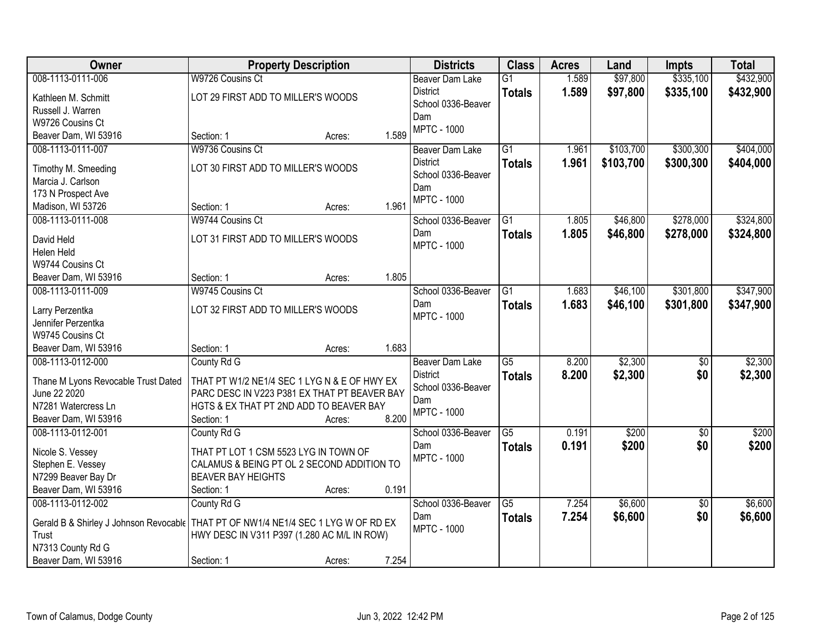| <b>Owner</b>                                                                         | <b>Property Description</b>                                                                  |        |       | <b>Districts</b>       | <b>Class</b>    | <b>Acres</b> | Land      | <b>Impts</b>    | <b>Total</b> |
|--------------------------------------------------------------------------------------|----------------------------------------------------------------------------------------------|--------|-------|------------------------|-----------------|--------------|-----------|-----------------|--------------|
| 008-1113-0111-006                                                                    | W9726 Cousins Ct                                                                             |        |       | <b>Beaver Dam Lake</b> | $\overline{G1}$ | 1.589        | \$97,800  | \$335,100       | \$432,900    |
| Kathleen M. Schmitt                                                                  | LOT 29 FIRST ADD TO MILLER'S WOODS                                                           |        |       | <b>District</b>        | <b>Totals</b>   | 1.589        | \$97,800  | \$335,100       | \$432,900    |
| Russell J. Warren                                                                    |                                                                                              |        |       | School 0336-Beaver     |                 |              |           |                 |              |
| W9726 Cousins Ct                                                                     |                                                                                              |        |       | Dam                    |                 |              |           |                 |              |
| Beaver Dam, WI 53916                                                                 | Section: 1                                                                                   | Acres: | 1.589 | <b>MPTC - 1000</b>     |                 |              |           |                 |              |
| 008-1113-0111-007                                                                    | W9736 Cousins Ct                                                                             |        |       | <b>Beaver Dam Lake</b> | $\overline{G1}$ | 1.961        | \$103,700 | \$300,300       | \$404,000    |
|                                                                                      | LOT 30 FIRST ADD TO MILLER'S WOODS                                                           |        |       | <b>District</b>        | <b>Totals</b>   | 1.961        | \$103,700 | \$300,300       | \$404,000    |
| Timothy M. Smeeding<br>Marcia J. Carlson                                             |                                                                                              |        |       | School 0336-Beaver     |                 |              |           |                 |              |
| 173 N Prospect Ave                                                                   |                                                                                              |        |       | Dam                    |                 |              |           |                 |              |
| Madison, WI 53726                                                                    | Section: 1                                                                                   | Acres: | 1.961 | <b>MPTC - 1000</b>     |                 |              |           |                 |              |
| 008-1113-0111-008                                                                    | W9744 Cousins Ct                                                                             |        |       | School 0336-Beaver     | G1              | 1.805        | \$46,800  | \$278,000       | \$324,800    |
|                                                                                      |                                                                                              |        |       | Dam                    | <b>Totals</b>   | 1.805        | \$46,800  | \$278,000       | \$324,800    |
| David Held                                                                           | LOT 31 FIRST ADD TO MILLER'S WOODS                                                           |        |       | <b>MPTC - 1000</b>     |                 |              |           |                 |              |
| Helen Held                                                                           |                                                                                              |        |       |                        |                 |              |           |                 |              |
| W9744 Cousins Ct                                                                     |                                                                                              |        |       |                        |                 |              |           |                 |              |
| Beaver Dam, WI 53916                                                                 | Section: 1                                                                                   | Acres: | 1.805 |                        |                 |              |           |                 |              |
| 008-1113-0111-009                                                                    | W9745 Cousins Ct                                                                             |        |       | School 0336-Beaver     | G1              | 1.683        | \$46,100  | \$301,800       | \$347,900    |
| Larry Perzentka                                                                      | LOT 32 FIRST ADD TO MILLER'S WOODS                                                           |        |       | Dam                    | <b>Totals</b>   | 1.683        | \$46,100  | \$301,800       | \$347,900    |
| Jennifer Perzentka                                                                   |                                                                                              |        |       | <b>MPTC - 1000</b>     |                 |              |           |                 |              |
| W9745 Cousins Ct                                                                     |                                                                                              |        |       |                        |                 |              |           |                 |              |
| Beaver Dam, WI 53916                                                                 | Section: 1                                                                                   | Acres: | 1.683 |                        |                 |              |           |                 |              |
| 008-1113-0112-000                                                                    | County Rd G                                                                                  |        |       | Beaver Dam Lake        | $\overline{G5}$ | 8.200        | \$2,300   | \$0             | \$2,300      |
|                                                                                      |                                                                                              |        |       | <b>District</b>        | <b>Totals</b>   | 8.200        | \$2,300   | \$0             | \$2,300      |
| Thane M Lyons Revocable Trust Dated<br>June 22 2020                                  | THAT PT W1/2 NE1/4 SEC 1 LYG N & E OF HWY EX<br>PARC DESC IN V223 P381 EX THAT PT BEAVER BAY |        |       | School 0336-Beaver     |                 |              |           |                 |              |
| N7281 Watercress Ln                                                                  | HGTS & EX THAT PT 2ND ADD TO BEAVER BAY                                                      |        |       | Dam                    |                 |              |           |                 |              |
| Beaver Dam, WI 53916                                                                 | Section: 1                                                                                   | Acres: | 8.200 | <b>MPTC - 1000</b>     |                 |              |           |                 |              |
| 008-1113-0112-001                                                                    | County Rd G                                                                                  |        |       | School 0336-Beaver     | $\overline{G5}$ | 0.191        | \$200     | $\overline{50}$ | \$200        |
|                                                                                      |                                                                                              |        |       | Dam                    | <b>Totals</b>   | 0.191        | \$200     | \$0             | \$200        |
| Nicole S. Vessey                                                                     | THAT PT LOT 1 CSM 5523 LYG IN TOWN OF                                                        |        |       | <b>MPTC - 1000</b>     |                 |              |           |                 |              |
| Stephen E. Vessey                                                                    | CALAMUS & BEING PT OL 2 SECOND ADDITION TO                                                   |        |       |                        |                 |              |           |                 |              |
| N7299 Beaver Bay Dr                                                                  | <b>BEAVER BAY HEIGHTS</b>                                                                    |        |       |                        |                 |              |           |                 |              |
| Beaver Dam, WI 53916                                                                 | Section: 1                                                                                   | Acres: | 0.191 |                        |                 |              |           |                 |              |
| 008-1113-0112-002                                                                    | County Rd G                                                                                  |        |       | School 0336-Beaver     | $\overline{G5}$ | 7.254        | \$6,600   | $\overline{30}$ | \$6,600      |
| Gerald B & Shirley J Johnson Revocable   THAT PT OF NW1/4 NE1/4 SEC 1 LYG W OF RD EX |                                                                                              |        |       | Dam                    | <b>Totals</b>   | 7.254        | \$6,600   | \$0             | \$6,600      |
| Trust                                                                                | HWY DESC IN V311 P397 (1.280 AC M/L IN ROW)                                                  |        |       | <b>MPTC - 1000</b>     |                 |              |           |                 |              |
| N7313 County Rd G                                                                    |                                                                                              |        |       |                        |                 |              |           |                 |              |
| Beaver Dam, WI 53916                                                                 | Section: 1                                                                                   | Acres: | 7.254 |                        |                 |              |           |                 |              |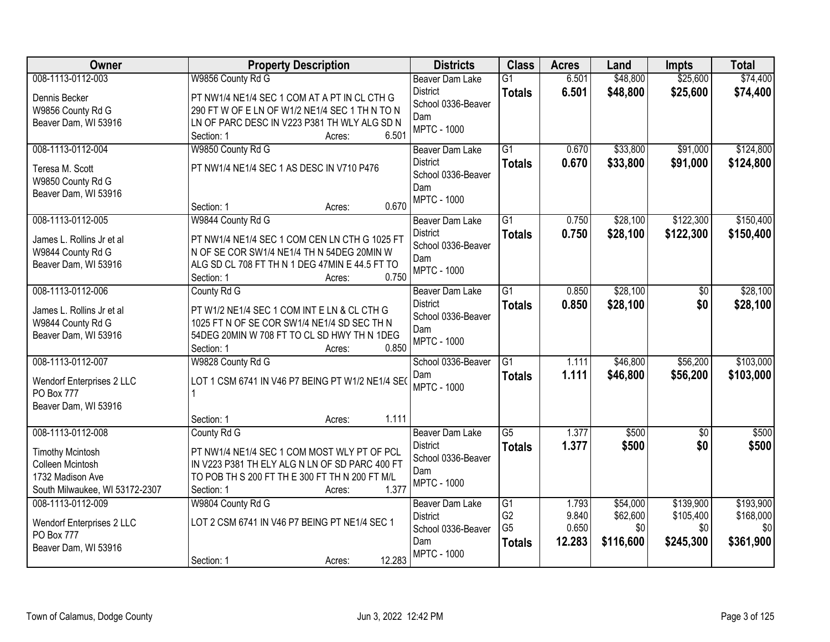| <b>Owner</b>                   | <b>Property Description</b>                      | <b>Districts</b>          | <b>Class</b>                     | <b>Acres</b>   | Land            | <b>Impts</b>     | <b>Total</b>     |
|--------------------------------|--------------------------------------------------|---------------------------|----------------------------------|----------------|-----------------|------------------|------------------|
| 008-1113-0112-003              | W9856 County Rd G                                | Beaver Dam Lake           | $\overline{G1}$                  | 6.501          | \$48,800        | \$25,600         | \$74,400         |
| Dennis Becker                  | PT NW1/4 NE1/4 SEC 1 COM AT A PT IN CL CTH G     | <b>District</b>           | <b>Totals</b>                    | 6.501          | \$48,800        | \$25,600         | \$74,400         |
| W9856 County Rd G              | 290 FT W OF E LN OF W1/2 NE1/4 SEC 1 TH N TO N   | School 0336-Beaver        |                                  |                |                 |                  |                  |
| Beaver Dam, WI 53916           | LN OF PARC DESC IN V223 P381 TH WLY ALG SD N     | Dam                       |                                  |                |                 |                  |                  |
|                                | 6.501<br>Section: 1<br>Acres:                    | <b>MPTC - 1000</b>        |                                  |                |                 |                  |                  |
| 008-1113-0112-004              | W9850 County Rd G                                | Beaver Dam Lake           | $\overline{G1}$                  | 0.670          | \$33,800        | \$91,000         | \$124,800        |
| Teresa M. Scott                | PT NW1/4 NE1/4 SEC 1 AS DESC IN V710 P476        | <b>District</b>           | <b>Totals</b>                    | 0.670          | \$33,800        | \$91,000         | \$124,800        |
| W9850 County Rd G              |                                                  | School 0336-Beaver        |                                  |                |                 |                  |                  |
| Beaver Dam, WI 53916           |                                                  | Dam                       |                                  |                |                 |                  |                  |
|                                | 0.670<br>Section: 1<br>Acres:                    | <b>MPTC - 1000</b>        |                                  |                |                 |                  |                  |
| 008-1113-0112-005              | W9844 County Rd G                                | Beaver Dam Lake           | G <sub>1</sub>                   | 0.750          | \$28,100        | \$122,300        | \$150,400        |
| James L. Rollins Jr et al      | PT NW1/4 NE1/4 SEC 1 COM CEN LN CTH G 1025 FT    | <b>District</b>           | <b>Totals</b>                    | 0.750          | \$28,100        | \$122,300        | \$150,400        |
| W9844 County Rd G              | N OF SE COR SW1/4 NE1/4 TH N 54DEG 20MIN W       | School 0336-Beaver        |                                  |                |                 |                  |                  |
| Beaver Dam, WI 53916           | ALG SD CL 708 FT TH N 1 DEG 47MIN E 44.5 FT TO   | Dam                       |                                  |                |                 |                  |                  |
|                                | 0.750<br>Section: 1<br>Acres:                    | <b>MPTC - 1000</b>        |                                  |                |                 |                  |                  |
| 008-1113-0112-006              | County Rd G                                      | <b>Beaver Dam Lake</b>    | G1                               | 0.850          | \$28,100        | \$0              | \$28,100         |
| James L. Rollins Jr et al      | PT W1/2 NE1/4 SEC 1 COM INT E LN & CL CTH G      | <b>District</b>           | <b>Totals</b>                    | 0.850          | \$28,100        | \$0              | \$28,100         |
| W9844 County Rd G              | 1025 FT N OF SE COR SW1/4 NE1/4 SD SEC TH N      | School 0336-Beaver        |                                  |                |                 |                  |                  |
| Beaver Dam, WI 53916           | 54DEG 20MIN W 708 FT TO CL SD HWY TH N 1DEG      | Dam                       |                                  |                |                 |                  |                  |
|                                | 0.850<br>Section: 1<br>Acres:                    | <b>MPTC - 1000</b>        |                                  |                |                 |                  |                  |
| 008-1113-0112-007              | W9828 County Rd G                                | School 0336-Beaver        | $\overline{G1}$                  | 1.111          | \$46,800        | \$56,200         | \$103,000        |
|                                |                                                  | Dam                       | <b>Totals</b>                    | 1.111          | \$46,800        | \$56,200         | \$103,000        |
| Wendorf Enterprises 2 LLC      | LOT 1 CSM 6741 IN V46 P7 BEING PT W1/2 NE1/4 SEO | <b>MPTC - 1000</b>        |                                  |                |                 |                  |                  |
| PO Box 777                     |                                                  |                           |                                  |                |                 |                  |                  |
| Beaver Dam, WI 53916           | 1.111<br>Section: 1<br>Acres:                    |                           |                                  |                |                 |                  |                  |
| 008-1113-0112-008              | County Rd G                                      | <b>Beaver Dam Lake</b>    | $\overline{\text{G5}}$           | 1.377          | \$500           | $\overline{50}$  | \$500            |
|                                |                                                  | <b>District</b>           | <b>Totals</b>                    | 1.377          | \$500           | \$0              | \$500            |
| <b>Timothy Mcintosh</b>        | PT NW1/4 NE1/4 SEC 1 COM MOST WLY PT OF PCL      | School 0336-Beaver        |                                  |                |                 |                  |                  |
| Colleen Mcintosh               | IN V223 P381 TH ELY ALG N LN OF SD PARC 400 FT   | Dam                       |                                  |                |                 |                  |                  |
| 1732 Madison Ave               | TO POB TH S 200 FT TH E 300 FT TH N 200 FT M/L   | <b>MPTC - 1000</b>        |                                  |                |                 |                  |                  |
| South Milwaukee, WI 53172-2307 | 1.377<br>Section: 1<br>Acres:                    |                           |                                  |                |                 |                  |                  |
| 008-1113-0112-009              | W9804 County Rd G                                | <b>Beaver Dam Lake</b>    | G1                               | 1.793          | \$54,000        | \$139,900        | \$193,900        |
| Wendorf Enterprises 2 LLC      | LOT 2 CSM 6741 IN V46 P7 BEING PT NE1/4 SEC 1    | <b>District</b>           | G <sub>2</sub><br>G <sub>5</sub> | 9.840<br>0.650 | \$62,600<br>\$0 | \$105,400<br>\$0 | \$168,000<br>\$0 |
| PO Box 777                     |                                                  | School 0336-Beaver<br>Dam |                                  | 12.283         | \$116,600       | \$245,300        | \$361,900        |
| Beaver Dam, WI 53916           |                                                  | <b>MPTC - 1000</b>        | <b>Totals</b>                    |                |                 |                  |                  |
|                                | 12.283<br>Section: 1<br>Acres:                   |                           |                                  |                |                 |                  |                  |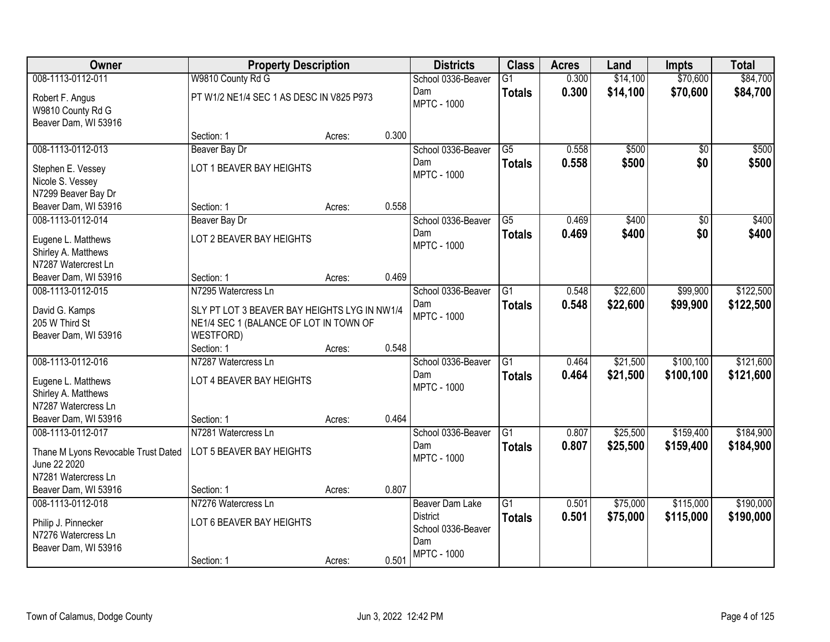| Owner                                                                                   | <b>Property Description</b>                                                                         |                 | <b>Districts</b>                                                | <b>Class</b>                     | <b>Acres</b>   | Land                 | <b>Impts</b>            | <b>Total</b>           |
|-----------------------------------------------------------------------------------------|-----------------------------------------------------------------------------------------------------|-----------------|-----------------------------------------------------------------|----------------------------------|----------------|----------------------|-------------------------|------------------------|
| 008-1113-0112-011                                                                       | W9810 County Rd G                                                                                   |                 | School 0336-Beaver                                              | $\overline{G1}$                  | 0.300          | \$14,100             | \$70,600                | \$84,700               |
| Robert F. Angus<br>W9810 County Rd G<br>Beaver Dam, WI 53916                            | PT W1/2 NE1/4 SEC 1 AS DESC IN V825 P973                                                            |                 | Dam<br><b>MPTC - 1000</b>                                       | <b>Totals</b>                    | 0.300          | \$14,100             | \$70,600                | \$84,700               |
|                                                                                         | Section: 1                                                                                          | 0.300<br>Acres: |                                                                 |                                  |                |                      |                         |                        |
| 008-1113-0112-013                                                                       | Beaver Bay Dr                                                                                       |                 | School 0336-Beaver                                              | $\overline{G5}$                  | 0.558          | \$500                | $\overline{50}$         | \$500                  |
| Stephen E. Vessey<br>Nicole S. Vessey<br>N7299 Beaver Bay Dr                            | LOT 1 BEAVER BAY HEIGHTS                                                                            |                 | Dam<br><b>MPTC - 1000</b>                                       | <b>Totals</b>                    | 0.558          | \$500                | \$0                     | \$500                  |
| Beaver Dam, WI 53916                                                                    | Section: 1                                                                                          | 0.558<br>Acres: |                                                                 |                                  |                |                      |                         |                        |
| 008-1113-0112-014                                                                       | Beaver Bay Dr                                                                                       |                 | School 0336-Beaver                                              | $\overline{G5}$                  | 0.469          | \$400                | \$0                     | \$400                  |
| Eugene L. Matthews<br>Shirley A. Matthews<br>N7287 Watercrest Ln                        | LOT 2 BEAVER BAY HEIGHTS                                                                            |                 | Dam<br><b>MPTC - 1000</b>                                       | <b>Totals</b>                    | 0.469          | \$400                | \$0                     | \$400                  |
| Beaver Dam, WI 53916                                                                    | Section: 1                                                                                          | 0.469<br>Acres: |                                                                 |                                  |                |                      |                         |                        |
| 008-1113-0112-015                                                                       | N7295 Watercress Ln                                                                                 |                 | School 0336-Beaver                                              | $\overline{G1}$                  | 0.548          | \$22,600             | \$99,900                | \$122,500              |
| David G. Kamps<br>205 W Third St<br>Beaver Dam, WI 53916                                | SLY PT LOT 3 BEAVER BAY HEIGHTS LYG IN NW1/4<br>NE1/4 SEC 1 (BALANCE OF LOT IN TOWN OF<br>WESTFORD) |                 | Dam<br><b>MPTC - 1000</b>                                       | <b>Totals</b>                    | 0.548          | \$22,600             | \$99,900                | \$122,500              |
|                                                                                         | Section: 1                                                                                          | 0.548<br>Acres: |                                                                 |                                  |                |                      |                         |                        |
| 008-1113-0112-016<br>Eugene L. Matthews                                                 | N7287 Watercress Ln<br>LOT 4 BEAVER BAY HEIGHTS                                                     |                 | School 0336-Beaver<br>Dam                                       | $\overline{G1}$<br><b>Totals</b> | 0.464<br>0.464 | \$21,500<br>\$21,500 | \$100, 100<br>\$100,100 | \$121,600<br>\$121,600 |
| Shirley A. Matthews<br>N7287 Watercress Ln                                              |                                                                                                     |                 | <b>MPTC - 1000</b>                                              |                                  |                |                      |                         |                        |
| Beaver Dam, WI 53916                                                                    | Section: 1                                                                                          | 0.464<br>Acres: |                                                                 |                                  |                |                      |                         |                        |
| 008-1113-0112-017                                                                       | N7281 Watercress Ln                                                                                 |                 | School 0336-Beaver                                              | G <sub>1</sub>                   | 0.807          | \$25,500             | \$159,400               | \$184,900              |
| Thane M Lyons Revocable Trust Dated<br>June 22 2020                                     | LOT 5 BEAVER BAY HEIGHTS                                                                            |                 | Dam<br><b>MPTC - 1000</b>                                       | <b>Totals</b>                    | 0.807          | \$25,500             | \$159,400               | \$184,900              |
| N7281 Watercress Ln                                                                     |                                                                                                     |                 |                                                                 |                                  |                |                      |                         |                        |
| Beaver Dam, WI 53916                                                                    | Section: 1                                                                                          | 0.807<br>Acres: |                                                                 |                                  |                |                      |                         |                        |
| 008-1113-0112-018<br>Philip J. Pinnecker<br>N7276 Watercress Ln<br>Beaver Dam, WI 53916 | N7276 Watercress Ln<br>LOT 6 BEAVER BAY HEIGHTS                                                     |                 | Beaver Dam Lake<br><b>District</b><br>School 0336-Beaver<br>Dam | $\overline{G1}$<br><b>Totals</b> | 0.501<br>0.501 | \$75,000<br>\$75,000 | \$115,000<br>\$115,000  | \$190,000<br>\$190,000 |
|                                                                                         | Section: 1                                                                                          | 0.501<br>Acres: | <b>MPTC - 1000</b>                                              |                                  |                |                      |                         |                        |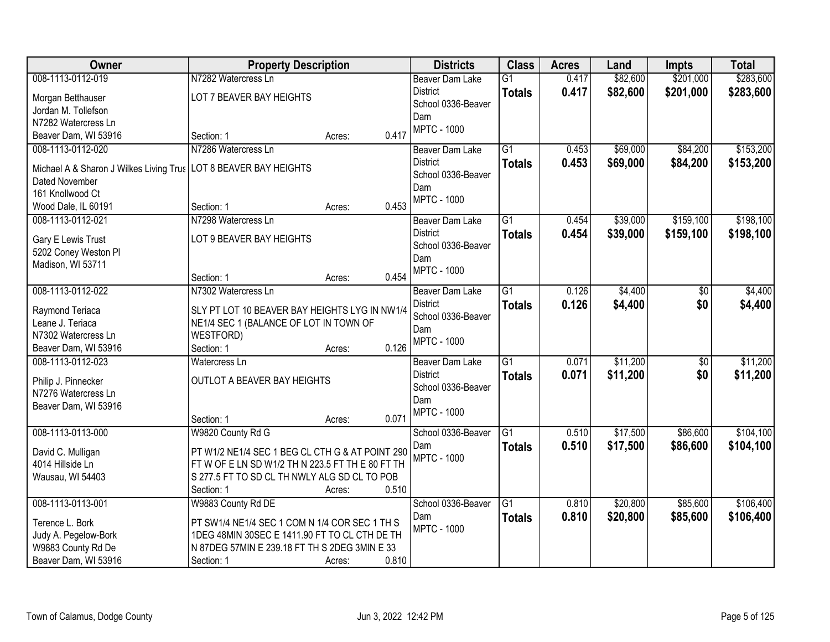| Owner                                   | <b>Property Description</b>                     |                 | <b>Districts</b>   | <b>Class</b>    | <b>Acres</b> | Land     | <b>Impts</b>    | <b>Total</b> |
|-----------------------------------------|-------------------------------------------------|-----------------|--------------------|-----------------|--------------|----------|-----------------|--------------|
| 008-1113-0112-019                       | N7282 Watercress Ln                             |                 | Beaver Dam Lake    | $\overline{G1}$ | 0.417        | \$82,600 | \$201,000       | \$283,600    |
| Morgan Betthauser                       | LOT 7 BEAVER BAY HEIGHTS                        |                 | <b>District</b>    | <b>Totals</b>   | 0.417        | \$82,600 | \$201,000       | \$283,600    |
| Jordan M. Tollefson                     |                                                 |                 | School 0336-Beaver |                 |              |          |                 |              |
| N7282 Watercress Ln                     |                                                 |                 | Dam                |                 |              |          |                 |              |
| Beaver Dam, WI 53916                    | Section: 1                                      | 0.417<br>Acres: | <b>MPTC - 1000</b> |                 |              |          |                 |              |
| 008-1113-0112-020                       | N7286 Watercress Ln                             |                 | Beaver Dam Lake    | $\overline{G1}$ | 0.453        | \$69,000 | \$84,200        | \$153,200    |
|                                         |                                                 |                 | <b>District</b>    | <b>Totals</b>   | 0.453        | \$69,000 | \$84,200        | \$153,200    |
| Michael A & Sharon J Wilkes Living Trus | LOT 8 BEAVER BAY HEIGHTS                        |                 | School 0336-Beaver |                 |              |          |                 |              |
| Dated November                          |                                                 |                 | Dam                |                 |              |          |                 |              |
| 161 Knollwood Ct                        |                                                 |                 | <b>MPTC - 1000</b> |                 |              |          |                 |              |
| Wood Dale, IL 60191                     | Section: 1                                      | 0.453<br>Acres: |                    |                 |              |          |                 |              |
| 008-1113-0112-021                       | N7298 Watercress Ln                             |                 | Beaver Dam Lake    | G1              | 0.454        | \$39,000 | \$159,100       | \$198,100    |
| Gary E Lewis Trust                      | LOT 9 BEAVER BAY HEIGHTS                        |                 | <b>District</b>    | <b>Totals</b>   | 0.454        | \$39,000 | \$159,100       | \$198,100    |
| 5202 Coney Weston Pl                    |                                                 |                 | School 0336-Beaver |                 |              |          |                 |              |
| Madison, WI 53711                       |                                                 |                 | Dam                |                 |              |          |                 |              |
|                                         | Section: 1                                      | 0.454<br>Acres: | <b>MPTC - 1000</b> |                 |              |          |                 |              |
| 008-1113-0112-022                       | N7302 Watercress Ln                             |                 | Beaver Dam Lake    | $\overline{G1}$ | 0.126        | \$4,400  | \$0             | \$4,400      |
|                                         |                                                 |                 | <b>District</b>    | <b>Totals</b>   | 0.126        | \$4,400  | \$0             | \$4,400      |
| Raymond Teriaca                         | SLY PT LOT 10 BEAVER BAY HEIGHTS LYG IN NW1/4   |                 | School 0336-Beaver |                 |              |          |                 |              |
| Leane J. Teriaca                        | NE1/4 SEC 1 (BALANCE OF LOT IN TOWN OF          |                 | Dam                |                 |              |          |                 |              |
| N7302 Watercress Ln                     | WESTFORD)                                       |                 | <b>MPTC - 1000</b> |                 |              |          |                 |              |
| Beaver Dam, WI 53916                    | Section: 1                                      | 0.126<br>Acres: |                    |                 |              |          |                 |              |
| 008-1113-0112-023                       | Watercress Ln                                   |                 | Beaver Dam Lake    | $\overline{G1}$ | 0.071        | \$11,200 | $\overline{50}$ | \$11,200     |
| Philip J. Pinnecker                     | OUTLOT A BEAVER BAY HEIGHTS                     |                 | <b>District</b>    | <b>Totals</b>   | 0.071        | \$11,200 | \$0             | \$11,200     |
| N7276 Watercress Ln                     |                                                 |                 | School 0336-Beaver |                 |              |          |                 |              |
| Beaver Dam, WI 53916                    |                                                 |                 | Dam                |                 |              |          |                 |              |
|                                         | Section: 1                                      | 0.071<br>Acres: | <b>MPTC - 1000</b> |                 |              |          |                 |              |
| 008-1113-0113-000                       | W9820 County Rd G                               |                 | School 0336-Beaver | $\overline{G1}$ | 0.510        | \$17,500 | \$86,600        | \$104,100    |
| David C. Mulligan                       | PT W1/2 NE1/4 SEC 1 BEG CL CTH G & AT POINT 290 |                 | Dam                | <b>Totals</b>   | 0.510        | \$17,500 | \$86,600        | \$104,100    |
| 4014 Hillside Ln                        | FTWOFELNSDW1/2 THN 223.5 FT THE 80 FT TH        |                 | <b>MPTC - 1000</b> |                 |              |          |                 |              |
| Wausau, WI 54403                        | S 277.5 FT TO SD CL TH NWLY ALG SD CL TO POB    |                 |                    |                 |              |          |                 |              |
|                                         | Section: 1                                      | 0.510<br>Acres: |                    |                 |              |          |                 |              |
| 008-1113-0113-001                       | W9883 County Rd DE                              |                 | School 0336-Beaver | $\overline{G1}$ | 0.810        | \$20,800 | \$85,600        | \$106,400    |
|                                         |                                                 |                 | Dam                | <b>Totals</b>   | 0.810        | \$20,800 | \$85,600        | \$106,400    |
| Terence L. Bork                         | PT SW1/4 NE1/4 SEC 1 COM N 1/4 COR SEC 1 TH S   |                 | <b>MPTC - 1000</b> |                 |              |          |                 |              |
| Judy A. Pegelow-Bork                    | 1DEG 48MIN 30SEC E 1411.90 FT TO CL CTH DE TH   |                 |                    |                 |              |          |                 |              |
| W9883 County Rd De                      | N 87DEG 57MIN E 239.18 FT TH S 2DEG 3MIN E 33   |                 |                    |                 |              |          |                 |              |
| Beaver Dam, WI 53916                    | Section: 1                                      | 0.810<br>Acres: |                    |                 |              |          |                 |              |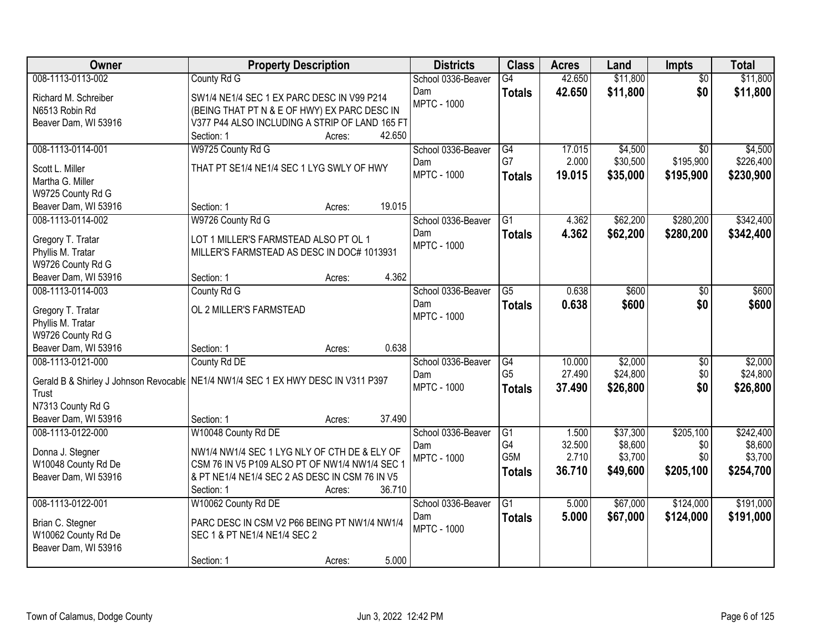| Owner                                     | <b>Property Description</b>                                                       | <b>Districts</b>          | <b>Class</b>    | <b>Acres</b> | Land     | <b>Impts</b>    | <b>Total</b> |
|-------------------------------------------|-----------------------------------------------------------------------------------|---------------------------|-----------------|--------------|----------|-----------------|--------------|
| 008-1113-0113-002                         | County Rd G                                                                       | School 0336-Beaver        | $\overline{G4}$ | 42.650       | \$11,800 | $\overline{50}$ | \$11,800     |
| Richard M. Schreiber                      | SW1/4 NE1/4 SEC 1 EX PARC DESC IN V99 P214                                        | Dam                       | <b>Totals</b>   | 42.650       | \$11,800 | \$0             | \$11,800     |
| N6513 Robin Rd                            | (BEING THAT PT N & E OF HWY) EX PARC DESC IN                                      | <b>MPTC - 1000</b>        |                 |              |          |                 |              |
| Beaver Dam, WI 53916                      | V377 P44 ALSO INCLUDING A STRIP OF LAND 165 FT                                    |                           |                 |              |          |                 |              |
|                                           | 42.650<br>Section: 1<br>Acres:                                                    |                           |                 |              |          |                 |              |
| 008-1113-0114-001                         | W9725 County Rd G                                                                 | School 0336-Beaver        | G4              | 17.015       | \$4,500  | $\overline{50}$ | \$4,500      |
| Scott L. Miller                           | THAT PT SE1/4 NE1/4 SEC 1 LYG SWLY OF HWY                                         | Dam                       | G7              | 2.000        | \$30,500 | \$195,900       | \$226,400    |
| Martha G. Miller                          |                                                                                   | <b>MPTC - 1000</b>        | <b>Totals</b>   | 19.015       | \$35,000 | \$195,900       | \$230,900    |
| W9725 County Rd G                         |                                                                                   |                           |                 |              |          |                 |              |
| Beaver Dam, WI 53916                      | 19.015<br>Section: 1<br>Acres:                                                    |                           |                 |              |          |                 |              |
| 008-1113-0114-002                         | W9726 County Rd G                                                                 | School 0336-Beaver        | G1              | 4.362        | \$62,200 | \$280,200       | \$342,400    |
|                                           |                                                                                   | Dam                       | <b>Totals</b>   | 4.362        | \$62,200 | \$280,200       | \$342,400    |
| Gregory T. Tratar                         | LOT 1 MILLER'S FARMSTEAD ALSO PT OL 1                                             | <b>MPTC - 1000</b>        |                 |              |          |                 |              |
| Phyllis M. Tratar                         | MILLER'S FARMSTEAD AS DESC IN DOC# 1013931                                        |                           |                 |              |          |                 |              |
| W9726 County Rd G                         | 4.362                                                                             |                           |                 |              |          |                 |              |
| Beaver Dam, WI 53916<br>008-1113-0114-003 | Section: 1<br>Acres:                                                              |                           | $\overline{G5}$ | 0.638        | \$600    |                 |              |
|                                           | County Rd G                                                                       | School 0336-Beaver<br>Dam |                 | 0.638        |          | \$0             | \$600        |
| Gregory T. Tratar                         | OL 2 MILLER'S FARMSTEAD                                                           | <b>MPTC - 1000</b>        | <b>Totals</b>   |              | \$600    | \$0             | \$600        |
| Phyllis M. Tratar                         |                                                                                   |                           |                 |              |          |                 |              |
| W9726 County Rd G                         |                                                                                   |                           |                 |              |          |                 |              |
| Beaver Dam, WI 53916                      | 0.638<br>Section: 1<br>Acres:                                                     |                           |                 |              |          |                 |              |
| 008-1113-0121-000                         | County Rd DE                                                                      | School 0336-Beaver        | $\overline{G4}$ | 10.000       | \$2,000  | $\overline{30}$ | \$2,000      |
|                                           | Gerald B & Shirley J Johnson Revocable NE1/4 NW1/4 SEC 1 EX HWY DESC IN V311 P397 | Dam                       | G <sub>5</sub>  | 27.490       | \$24,800 | \$0             | \$24,800     |
| Trust                                     |                                                                                   | <b>MPTC - 1000</b>        | <b>Totals</b>   | 37.490       | \$26,800 | \$0             | \$26,800     |
| N7313 County Rd G                         |                                                                                   |                           |                 |              |          |                 |              |
| Beaver Dam, WI 53916                      | Section: 1<br>37.490<br>Acres:                                                    |                           |                 |              |          |                 |              |
| 008-1113-0122-000                         | W10048 County Rd DE                                                               | School 0336-Beaver        | $\overline{G1}$ | 1.500        | \$37,300 | \$205,100       | \$242,400    |
| Donna J. Stegner                          | NW1/4 NW1/4 SEC 1 LYG NLY OF CTH DE & ELY OF                                      | Dam                       | G4              | 32.500       | \$8,600  | \$0             | \$8,600      |
| W10048 County Rd De                       | CSM 76 IN V5 P109 ALSO PT OF NW1/4 NW1/4 SEC 1                                    | <b>MPTC - 1000</b>        | G5M             | 2.710        | \$3,700  | \$0             | \$3,700      |
| Beaver Dam, WI 53916                      | & PT NE1/4 NE1/4 SEC 2 AS DESC IN CSM 76 IN V5                                    |                           | <b>Totals</b>   | 36.710       | \$49,600 | \$205,100       | \$254,700    |
|                                           | 36.710<br>Section: 1<br>Acres:                                                    |                           |                 |              |          |                 |              |
| 008-1113-0122-001                         | W10062 County Rd DE                                                               | School 0336-Beaver        | $\overline{G1}$ | 5.000        | \$67,000 | \$124,000       | \$191,000    |
|                                           |                                                                                   | Dam                       | <b>Totals</b>   | 5.000        | \$67,000 | \$124,000       | \$191,000    |
| Brian C. Stegner                          | PARC DESC IN CSM V2 P66 BEING PT NW1/4 NW1/4                                      | <b>MPTC - 1000</b>        |                 |              |          |                 |              |
| W10062 County Rd De                       | SEC 1 & PT NE1/4 NE1/4 SEC 2                                                      |                           |                 |              |          |                 |              |
| Beaver Dam, WI 53916                      |                                                                                   |                           |                 |              |          |                 |              |
|                                           | 5.000<br>Section: 1<br>Acres:                                                     |                           |                 |              |          |                 |              |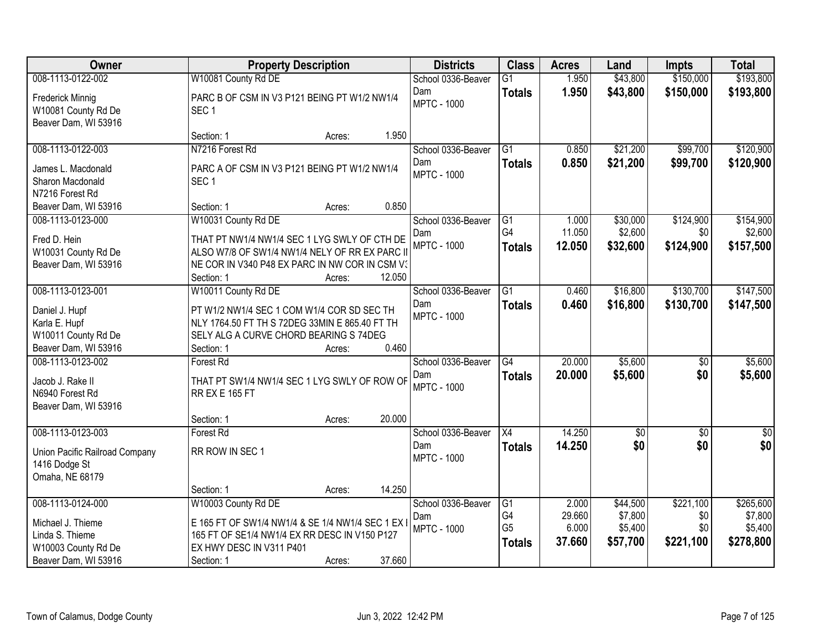| Owner                                                                                                    | <b>Property Description</b>                                                                                                                                                           |                  | <b>Districts</b>                                | <b>Class</b>                                | <b>Acres</b>                       | Land                                       | <b>Impts</b>                         | <b>Total</b>                                 |
|----------------------------------------------------------------------------------------------------------|---------------------------------------------------------------------------------------------------------------------------------------------------------------------------------------|------------------|-------------------------------------------------|---------------------------------------------|------------------------------------|--------------------------------------------|--------------------------------------|----------------------------------------------|
| 008-1113-0122-002                                                                                        | W10081 County Rd DE                                                                                                                                                                   |                  | School 0336-Beaver                              | $\overline{G1}$                             | 1.950                              | \$43,800                                   | \$150,000                            | \$193,800                                    |
| Frederick Minnig<br>W10081 County Rd De<br>Beaver Dam, WI 53916                                          | PARC B OF CSM IN V3 P121 BEING PT W1/2 NW1/4<br>SEC <sub>1</sub>                                                                                                                      |                  | Dam<br><b>MPTC - 1000</b>                       | <b>Totals</b>                               | 1.950                              | \$43,800                                   | \$150,000                            | \$193,800                                    |
|                                                                                                          | Section: 1                                                                                                                                                                            | 1.950<br>Acres:  |                                                 |                                             |                                    |                                            |                                      |                                              |
| 008-1113-0122-003<br>James L. Macdonald<br>Sharon Macdonald<br>N7216 Forest Rd                           | N7216 Forest Rd<br>PARC A OF CSM IN V3 P121 BEING PT W1/2 NW1/4<br>SEC <sub>1</sub>                                                                                                   |                  | School 0336-Beaver<br>Dam<br><b>MPTC - 1000</b> | $\overline{G1}$<br><b>Totals</b>            | 0.850<br>0.850                     | \$21,200<br>\$21,200                       | \$99,700<br>\$99,700                 | \$120,900<br>\$120,900                       |
| Beaver Dam, WI 53916                                                                                     | Section: 1                                                                                                                                                                            | 0.850<br>Acres:  |                                                 |                                             |                                    |                                            |                                      |                                              |
| 008-1113-0123-000<br>Fred D. Hein<br>W10031 County Rd De<br>Beaver Dam, WI 53916                         | W10031 County Rd DE<br>THAT PT NW1/4 NW1/4 SEC 1 LYG SWLY OF CTH DE<br>ALSO W7/8 OF SW1/4 NW1/4 NELY OF RR EX PARC II<br>NE COR IN V340 P48 EX PARC IN NW COR IN CSM V3<br>Section: 1 | 12.050<br>Acres: | School 0336-Beaver<br>Dam<br><b>MPTC - 1000</b> | G1<br>G4<br><b>Totals</b>                   | 1.000<br>11.050<br>12.050          | \$30,000<br>\$2,600<br>\$32,600            | \$124,900<br>\$0<br>\$124,900        | \$154,900<br>\$2,600<br>\$157,500            |
| 008-1113-0123-001<br>Daniel J. Hupf<br>Karla E. Hupf<br>W10011 County Rd De<br>Beaver Dam, WI 53916      | W10011 County Rd DE<br>PT W1/2 NW1/4 SEC 1 COM W1/4 COR SD SEC TH<br>NLY 1764.50 FT TH S 72DEG 33MIN E 865.40 FT TH<br>SELY ALG A CURVE CHORD BEARING S 74DEG<br>Section: 1           | 0.460<br>Acres:  | School 0336-Beaver<br>Dam<br><b>MPTC - 1000</b> | $\overline{G1}$<br><b>Totals</b>            | 0.460<br>0.460                     | \$16,800<br>\$16,800                       | \$130,700<br>\$130,700               | \$147,500<br>\$147,500                       |
| 008-1113-0123-002<br>Jacob J. Rake II<br>N6940 Forest Rd<br>Beaver Dam, WI 53916                         | <b>Forest Rd</b><br>THAT PT SW1/4 NW1/4 SEC 1 LYG SWLY OF ROW OF<br><b>RR EX E 165 FT</b><br>Section: 1                                                                               | 20.000<br>Acres: | School 0336-Beaver<br>Dam<br><b>MPTC - 1000</b> | $\overline{G4}$<br><b>Totals</b>            | 20.000<br>20.000                   | \$5,600<br>\$5,600                         | $\overline{50}$<br>\$0               | \$5,600<br>\$5,600                           |
| 008-1113-0123-003<br>Union Pacific Railroad Company<br>1416 Dodge St<br>Omaha, NE 68179                  | Forest Rd<br>RR ROW IN SEC 1<br>Section: 1                                                                                                                                            | 14.250<br>Acres: | School 0336-Beaver<br>Dam<br><b>MPTC - 1000</b> | $\overline{X4}$<br><b>Totals</b>            | 14.250<br>14.250                   | $\overline{60}$<br>\$0                     | $\overline{50}$<br>\$0               | $\sqrt{60}$<br>\$0                           |
| 008-1113-0124-000<br>Michael J. Thieme<br>Linda S. Thieme<br>W10003 County Rd De<br>Beaver Dam, WI 53916 | W10003 County Rd DE<br>E 165 FT OF SW1/4 NW1/4 & SE 1/4 NW1/4 SEC 1 EX<br>165 FT OF SE1/4 NW1/4 EX RR DESC IN V150 P127<br>EX HWY DESC IN V311 P401<br>Section: 1                     | 37.660<br>Acres: | School 0336-Beaver<br>Dam<br><b>MPTC - 1000</b> | G1<br>G4<br>G <sub>5</sub><br><b>Totals</b> | 2.000<br>29.660<br>6.000<br>37.660 | \$44,500<br>\$7,800<br>\$5,400<br>\$57,700 | \$221,100<br>\$0<br>\$0<br>\$221,100 | \$265,600<br>\$7,800<br>\$5,400<br>\$278,800 |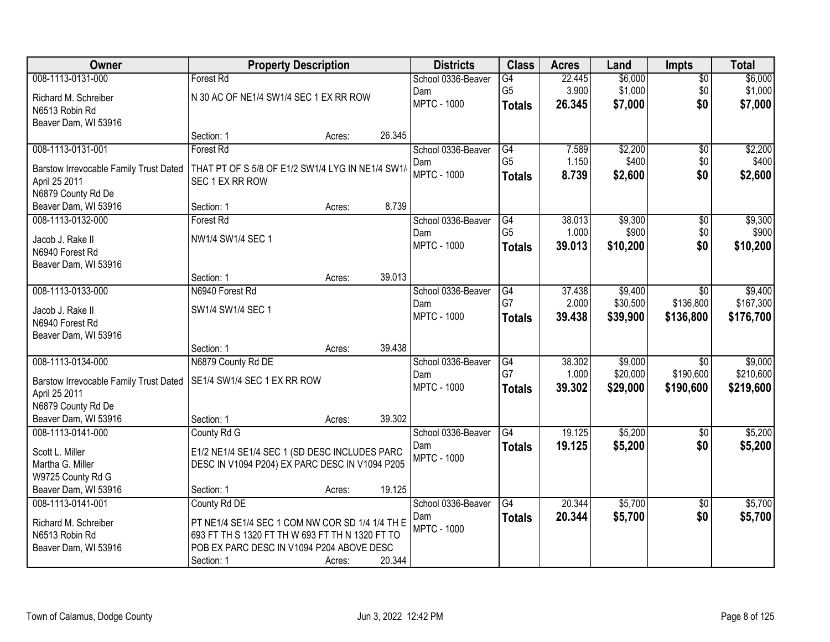| Owner                                      | <b>Property Description</b>                      |        |        | <b>Districts</b>          | <b>Class</b>    | <b>Acres</b> | Land     | <b>Impts</b>    | <b>Total</b> |
|--------------------------------------------|--------------------------------------------------|--------|--------|---------------------------|-----------------|--------------|----------|-----------------|--------------|
| 008-1113-0131-000                          | <b>Forest Rd</b>                                 |        |        | School 0336-Beaver        | G4              | 22.445       | \$6,000  | $\overline{50}$ | \$6,000      |
| Richard M. Schreiber                       | N 30 AC OF NE1/4 SW1/4 SEC 1 EX RR ROW           |        |        | Dam                       | G <sub>5</sub>  | 3.900        | \$1,000  | \$0             | \$1,000      |
| N6513 Robin Rd                             |                                                  |        |        | <b>MPTC - 1000</b>        | <b>Totals</b>   | 26.345       | \$7,000  | \$0             | \$7,000      |
| Beaver Dam, WI 53916                       |                                                  |        |        |                           |                 |              |          |                 |              |
|                                            | Section: 1                                       | Acres: | 26.345 |                           |                 |              |          |                 |              |
| 008-1113-0131-001                          | Forest Rd                                        |        |        | School 0336-Beaver        | G4              | 7.589        | \$2,200  | $\overline{50}$ | \$2,200      |
| Barstow Irrevocable Family Trust Dated     | THAT PT OF S 5/8 OF E1/2 SW1/4 LYG IN NE1/4 SW1/ |        |        | Dam                       | G <sub>5</sub>  | 1.150        | \$400    | \$0             | \$400        |
| April 25 2011                              | SEC 1 EX RR ROW                                  |        |        | <b>MPTC - 1000</b>        | <b>Totals</b>   | 8.739        | \$2,600  | \$0             | \$2,600      |
| N6879 County Rd De                         |                                                  |        |        |                           |                 |              |          |                 |              |
| Beaver Dam, WI 53916                       | Section: 1                                       | Acres: | 8.739  |                           |                 |              |          |                 |              |
| 008-1113-0132-000                          | <b>Forest Rd</b>                                 |        |        | School 0336-Beaver        | G4              | 38.013       | \$9,300  | $\overline{50}$ | \$9,300      |
| Jacob J. Rake II                           | NW1/4 SW1/4 SEC 1                                |        |        | Dam                       | G <sub>5</sub>  | 1.000        | \$900    | \$0             | \$900        |
| N6940 Forest Rd                            |                                                  |        |        | <b>MPTC - 1000</b>        | <b>Totals</b>   | 39.013       | \$10,200 | \$0             | \$10,200     |
| Beaver Dam, WI 53916                       |                                                  |        |        |                           |                 |              |          |                 |              |
|                                            | Section: 1                                       | Acres: | 39.013 |                           |                 |              |          |                 |              |
| 008-1113-0133-000                          | N6940 Forest Rd                                  |        |        | School 0336-Beaver        | G4              | 37.438       | \$9,400  | \$0             | \$9,400      |
|                                            | SW1/4 SW1/4 SEC 1                                |        |        | Dam                       | G7              | 2.000        | \$30,500 | \$136,800       | \$167,300    |
| Jacob J. Rake II<br>N6940 Forest Rd        |                                                  |        |        | <b>MPTC - 1000</b>        | <b>Totals</b>   | 39.438       | \$39,900 | \$136,800       | \$176,700    |
| Beaver Dam, WI 53916                       |                                                  |        |        |                           |                 |              |          |                 |              |
|                                            | Section: 1                                       | Acres: | 39.438 |                           |                 |              |          |                 |              |
| 008-1113-0134-000                          | N6879 County Rd DE                               |        |        | School 0336-Beaver        | $\overline{G4}$ | 38.302       | \$9,000  | $\overline{30}$ | \$9,000      |
|                                            |                                                  |        |        | Dam                       | G7              | 1.000        | \$20,000 | \$190,600       | \$210,600    |
| Barstow Irrevocable Family Trust Dated     | SE1/4 SW1/4 SEC 1 EX RR ROW                      |        |        | <b>MPTC - 1000</b>        | <b>Totals</b>   | 39.302       | \$29,000 | \$190,600       | \$219,600    |
| April 25 2011                              |                                                  |        |        |                           |                 |              |          |                 |              |
| N6879 County Rd De<br>Beaver Dam, WI 53916 | Section: 1                                       | Acres: | 39.302 |                           |                 |              |          |                 |              |
| 008-1113-0141-000                          | County Rd G                                      |        |        | School 0336-Beaver        | G4              | 19.125       | \$5,200  | $\overline{50}$ | \$5,200      |
|                                            |                                                  |        |        | Dam                       | <b>Totals</b>   | 19.125       | \$5,200  | \$0             | \$5,200      |
| Scott L. Miller                            | E1/2 NE1/4 SE1/4 SEC 1 (SD DESC INCLUDES PARC    |        |        | <b>MPTC - 1000</b>        |                 |              |          |                 |              |
| Martha G. Miller                           | DESC IN V1094 P204) EX PARC DESC IN V1094 P205   |        |        |                           |                 |              |          |                 |              |
| W9725 County Rd G                          |                                                  |        |        |                           |                 |              |          |                 |              |
| Beaver Dam, WI 53916                       | Section: 1                                       | Acres: | 19.125 |                           |                 |              |          |                 |              |
| 008-1113-0141-001                          | County Rd DE                                     |        |        | School 0336-Beaver        | $\overline{G4}$ | 20.344       | \$5,700  | $\overline{30}$ | \$5,700      |
| Richard M. Schreiber                       | PT NE1/4 SE1/4 SEC 1 COM NW COR SD 1/4 1/4 TH E  |        |        | Dam<br><b>MPTC - 1000</b> | <b>Totals</b>   | 20.344       | \$5,700  | \$0             | \$5,700      |
| N6513 Robin Rd                             | 693 FT TH S 1320 FT TH W 693 FT TH N 1320 FT TO  |        |        |                           |                 |              |          |                 |              |
| Beaver Dam, WI 53916                       | POB EX PARC DESC IN V1094 P204 ABOVE DESC        |        |        |                           |                 |              |          |                 |              |
|                                            | Section: 1                                       | Acres: | 20.344 |                           |                 |              |          |                 |              |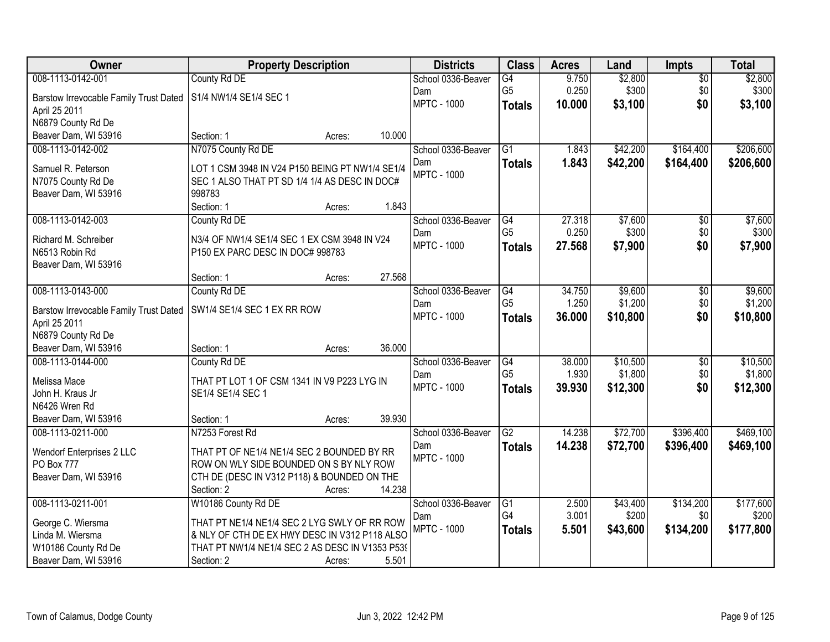| Owner                                     | <b>Property Description</b>                     |        |        | <b>Districts</b>   | <b>Class</b>    | <b>Acres</b> | Land     | <b>Impts</b>    | <b>Total</b> |
|-------------------------------------------|-------------------------------------------------|--------|--------|--------------------|-----------------|--------------|----------|-----------------|--------------|
| 008-1113-0142-001                         | County Rd DE                                    |        |        | School 0336-Beaver | $\overline{G4}$ | 9.750        | \$2,800  | $\overline{50}$ | \$2,800      |
| Barstow Irrevocable Family Trust Dated    | S1/4 NW1/4 SE1/4 SEC 1                          |        |        | Dam                | G <sub>5</sub>  | 0.250        | \$300    | \$0             | \$300        |
| April 25 2011                             |                                                 |        |        | <b>MPTC - 1000</b> | <b>Totals</b>   | 10.000       | \$3,100  | \$0             | \$3,100      |
| N6879 County Rd De                        |                                                 |        |        |                    |                 |              |          |                 |              |
| Beaver Dam, WI 53916                      | Section: 1                                      | Acres: | 10.000 |                    |                 |              |          |                 |              |
| 008-1113-0142-002                         | N7075 County Rd DE                              |        |        | School 0336-Beaver | $\overline{G1}$ | 1.843        | \$42,200 | \$164,400       | \$206,600    |
| Samuel R. Peterson                        | LOT 1 CSM 3948 IN V24 P150 BEING PT NW1/4 SE1/4 |        |        | Dam                | <b>Totals</b>   | 1.843        | \$42,200 | \$164,400       | \$206,600    |
| N7075 County Rd De                        | SEC 1 ALSO THAT PT SD 1/4 1/4 AS DESC IN DOC#   |        |        | <b>MPTC - 1000</b> |                 |              |          |                 |              |
| Beaver Dam, WI 53916                      | 998783                                          |        |        |                    |                 |              |          |                 |              |
|                                           | Section: 1                                      | Acres: | 1.843  |                    |                 |              |          |                 |              |
| 008-1113-0142-003                         | County Rd DE                                    |        |        | School 0336-Beaver | G4              | 27.318       | \$7,600  | $\overline{50}$ | \$7,600      |
| Richard M. Schreiber                      | N3/4 OF NW1/4 SE1/4 SEC 1 EX CSM 3948 IN V24    |        |        | Dam                | G <sub>5</sub>  | 0.250        | \$300    | \$0             | \$300        |
| N6513 Robin Rd                            | P150 EX PARC DESC IN DOC# 998783                |        |        | <b>MPTC - 1000</b> | <b>Totals</b>   | 27.568       | \$7,900  | \$0             | \$7,900      |
| Beaver Dam, WI 53916                      |                                                 |        |        |                    |                 |              |          |                 |              |
|                                           | Section: 1                                      | Acres: | 27.568 |                    |                 |              |          |                 |              |
| 008-1113-0143-000                         | County Rd DE                                    |        |        | School 0336-Beaver | $\overline{G4}$ | 34.750       | \$9,600  | \$0             | \$9,600      |
|                                           |                                                 |        |        | Dam                | G <sub>5</sub>  | 1.250        | \$1,200  | \$0             | \$1,200      |
| Barstow Irrevocable Family Trust Dated    | SW1/4 SE1/4 SEC 1 EX RR ROW                     |        |        | <b>MPTC - 1000</b> | <b>Totals</b>   | 36.000       | \$10,800 | \$0             | \$10,800     |
| April 25 2011<br>N6879 County Rd De       |                                                 |        |        |                    |                 |              |          |                 |              |
| Beaver Dam, WI 53916                      | Section: 1                                      | Acres: | 36.000 |                    |                 |              |          |                 |              |
| 008-1113-0144-000                         | County Rd DE                                    |        |        | School 0336-Beaver | $\overline{G4}$ | 38.000       | \$10,500 | $\overline{30}$ | \$10,500     |
|                                           |                                                 |        |        | Dam                | G <sub>5</sub>  | 1.930        | \$1,800  | \$0             | \$1,800      |
| Melissa Mace                              | THAT PT LOT 1 OF CSM 1341 IN V9 P223 LYG IN     |        |        | <b>MPTC - 1000</b> | <b>Totals</b>   | 39.930       | \$12,300 | \$0             | \$12,300     |
| John H. Kraus Jr                          | SE1/4 SE1/4 SEC 1                               |        |        |                    |                 |              |          |                 |              |
| N6426 Wren Rd                             |                                                 |        | 39.930 |                    |                 |              |          |                 |              |
| Beaver Dam, WI 53916<br>008-1113-0211-000 | Section: 1<br>N7253 Forest Rd                   | Acres: |        | School 0336-Beaver | $\overline{G2}$ | 14.238       | \$72,700 | \$396,400       | \$469,100    |
|                                           |                                                 |        |        | Dam                |                 | 14.238       |          |                 |              |
| Wendorf Enterprises 2 LLC                 | THAT PT OF NE1/4 NE1/4 SEC 2 BOUNDED BY RR      |        |        | <b>MPTC - 1000</b> | <b>Totals</b>   |              | \$72,700 | \$396,400       | \$469,100    |
| <b>PO Box 777</b>                         | ROW ON WLY SIDE BOUNDED ON S BY NLY ROW         |        |        |                    |                 |              |          |                 |              |
| Beaver Dam, WI 53916                      | CTH DE (DESC IN V312 P118) & BOUNDED ON THE     |        |        |                    |                 |              |          |                 |              |
|                                           | Section: 2                                      | Acres: | 14.238 |                    |                 |              |          |                 |              |
| 008-1113-0211-001                         | W10186 County Rd DE                             |        |        | School 0336-Beaver | $\overline{G1}$ | 2.500        | \$43,400 | \$134,200       | \$177,600    |
| George C. Wiersma                         | THAT PT NE1/4 NE1/4 SEC 2 LYG SWLY OF RR ROW    |        |        | Dam                | G4              | 3.001        | \$200    | \$0             | \$200        |
| Linda M. Wiersma                          | & NLY OF CTH DE EX HWY DESC IN V312 P118 ALSO   |        |        | <b>MPTC - 1000</b> | <b>Totals</b>   | 5.501        | \$43,600 | \$134,200       | \$177,800    |
| W10186 County Rd De                       | THAT PT NW1/4 NE1/4 SEC 2 AS DESC IN V1353 P539 |        |        |                    |                 |              |          |                 |              |
| Beaver Dam, WI 53916                      | Section: 2                                      | Acres: | 5.501  |                    |                 |              |          |                 |              |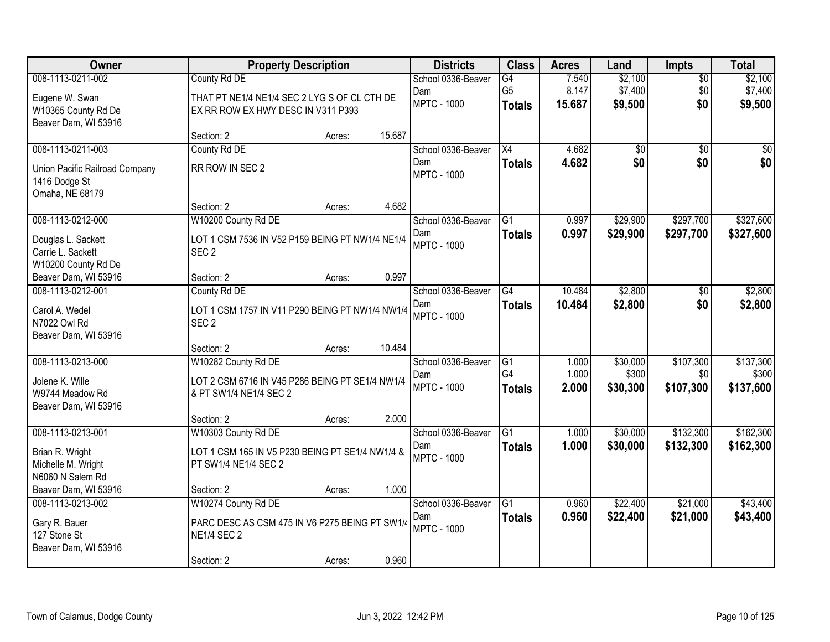| Owner                                                              | <b>Property Description</b>                                                        |        |        | <b>Districts</b>          | <b>Class</b>                    | <b>Acres</b>    | Land               | <b>Impts</b>     | <b>Total</b>       |
|--------------------------------------------------------------------|------------------------------------------------------------------------------------|--------|--------|---------------------------|---------------------------------|-----------------|--------------------|------------------|--------------------|
| 008-1113-0211-002                                                  | County Rd DE                                                                       |        |        | School 0336-Beaver        | G4                              | 7.540           | \$2,100            | $\overline{50}$  | \$2,100            |
| Eugene W. Swan<br>W10365 County Rd De<br>Beaver Dam, WI 53916      | THAT PT NE1/4 NE1/4 SEC 2 LYG S OF CL CTH DE<br>EX RR ROW EX HWY DESC IN V311 P393 |        |        | Dam<br><b>MPTC - 1000</b> | G <sub>5</sub><br><b>Totals</b> | 8.147<br>15.687 | \$7,400<br>\$9,500 | \$0<br>\$0       | \$7,400<br>\$9,500 |
|                                                                    | Section: 2                                                                         | Acres: | 15.687 |                           |                                 |                 |                    |                  |                    |
| 008-1113-0211-003                                                  | County Rd DE                                                                       |        |        | School 0336-Beaver        | $\overline{X4}$                 | 4.682           | \$0                | $\overline{50}$  | \$0                |
| Union Pacific Railroad Company<br>1416 Dodge St<br>Omaha, NE 68179 | RR ROW IN SEC 2                                                                    |        |        | Dam<br><b>MPTC - 1000</b> | <b>Totals</b>                   | 4.682           | \$0                | \$0              | \$0                |
|                                                                    | Section: 2                                                                         | Acres: | 4.682  |                           |                                 |                 |                    |                  |                    |
| 008-1113-0212-000                                                  | W10200 County Rd DE                                                                |        |        | School 0336-Beaver        | G1                              | 0.997           | \$29,900           | \$297,700        | \$327,600          |
| Douglas L. Sackett<br>Carrie L. Sackett<br>W10200 County Rd De     | LOT 1 CSM 7536 IN V52 P159 BEING PT NW1/4 NE1/4<br>SEC <sub>2</sub>                |        |        | Dam<br><b>MPTC - 1000</b> | <b>Totals</b>                   | 0.997           | \$29,900           | \$297,700        | \$327,600          |
| Beaver Dam, WI 53916                                               | Section: 2                                                                         | Acres: | 0.997  |                           |                                 |                 |                    |                  |                    |
| 008-1113-0212-001                                                  | County Rd DE                                                                       |        |        | School 0336-Beaver        | $\overline{G4}$                 | 10.484          | \$2,800            | \$0              | \$2,800            |
| Carol A. Wedel<br>N7022 Owl Rd<br>Beaver Dam, WI 53916             | LOT 1 CSM 1757 IN V11 P290 BEING PT NW1/4 NW1/4<br>SEC <sub>2</sub>                |        |        | Dam<br><b>MPTC - 1000</b> | <b>Totals</b>                   | 10.484          | \$2,800            | \$0              | \$2,800            |
|                                                                    | Section: 2                                                                         | Acres: | 10.484 |                           |                                 |                 |                    |                  |                    |
| 008-1113-0213-000                                                  | W10282 County Rd DE                                                                |        |        | School 0336-Beaver        | G1                              | 1.000           | \$30,000           | \$107,300        | \$137,300          |
| Jolene K. Wille<br>W9744 Meadow Rd<br>Beaver Dam, WI 53916         | LOT 2 CSM 6716 IN V45 P286 BEING PT SE1/4 NW1/4<br>& PT SW1/4 NE1/4 SEC 2          |        |        | Dam<br><b>MPTC - 1000</b> | G4<br><b>Totals</b>             | 1.000<br>2.000  | \$300<br>\$30,300  | \$0<br>\$107,300 | \$300<br>\$137,600 |
|                                                                    | Section: 2                                                                         | Acres: | 2.000  |                           |                                 |                 |                    |                  |                    |
| 008-1113-0213-001                                                  | W10303 County Rd DE                                                                |        |        | School 0336-Beaver        | $\overline{G1}$                 | 1.000           | \$30,000           | \$132,300        | \$162,300          |
| Brian R. Wright<br>Michelle M. Wright<br>N6060 N Salem Rd          | LOT 1 CSM 165 IN V5 P230 BEING PT SE1/4 NW1/4 &<br>PT SW1/4 NE1/4 SEC 2            |        |        | Dam<br><b>MPTC - 1000</b> | <b>Totals</b>                   | 1.000           | \$30,000           | \$132,300        | \$162,300          |
| Beaver Dam, WI 53916                                               | Section: 2                                                                         | Acres: | 1.000  |                           |                                 |                 |                    |                  |                    |
| 008-1113-0213-002                                                  | W10274 County Rd DE                                                                |        |        | School 0336-Beaver        | $\overline{G1}$                 | 0.960           | \$22,400           | \$21,000         | \$43,400           |
| Gary R. Bauer<br>127 Stone St<br>Beaver Dam, WI 53916              | PARC DESC AS CSM 475 IN V6 P275 BEING PT SW1/4<br><b>NE1/4 SEC 2</b>               |        |        | Dam<br><b>MPTC - 1000</b> | <b>Totals</b>                   | 0.960           | \$22,400           | \$21,000         | \$43,400           |
|                                                                    | Section: 2                                                                         | Acres: | 0.960  |                           |                                 |                 |                    |                  |                    |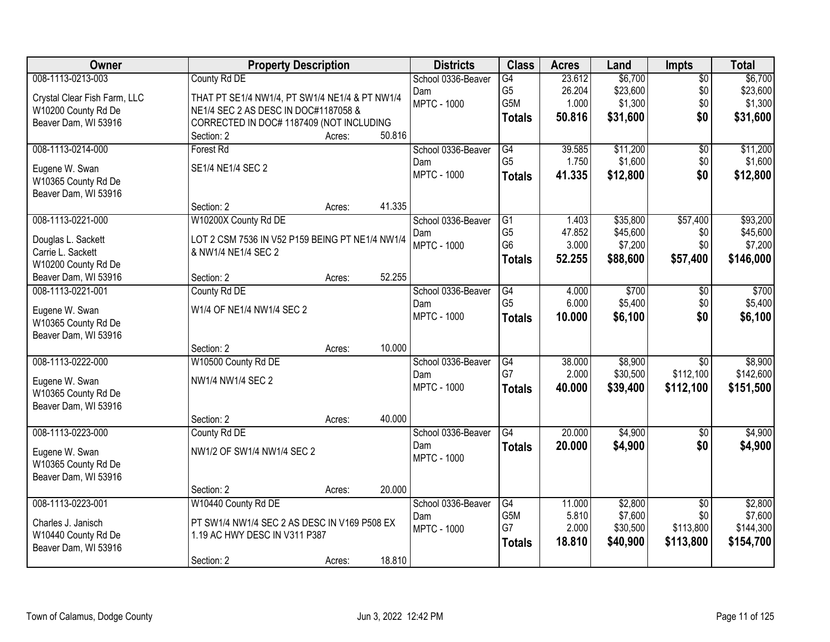| Owner                                       | <b>Property Description</b>                     |        |        | <b>Districts</b>   | <b>Class</b>    | <b>Acres</b> | Land     | <b>Impts</b>    | <b>Total</b> |
|---------------------------------------------|-------------------------------------------------|--------|--------|--------------------|-----------------|--------------|----------|-----------------|--------------|
| 008-1113-0213-003                           | County Rd DE                                    |        |        | School 0336-Beaver | $\overline{G4}$ | 23.612       | \$6,700  | $\overline{60}$ | \$6,700      |
| Crystal Clear Fish Farm, LLC                | THAT PT SE1/4 NW1/4, PT SW1/4 NE1/4 & PT NW1/4  |        |        | Dam                | G <sub>5</sub>  | 26.204       | \$23,600 | \$0             | \$23,600     |
| W10200 County Rd De                         | NE1/4 SEC 2 AS DESC IN DOC#1187058 &            |        |        | <b>MPTC - 1000</b> | G5M             | 1.000        | \$1,300  | \$0             | \$1,300      |
| Beaver Dam, WI 53916                        | CORRECTED IN DOC# 1187409 (NOT INCLUDING        |        |        |                    | <b>Totals</b>   | 50.816       | \$31,600 | \$0             | \$31,600     |
|                                             | Section: 2                                      | Acres: | 50.816 |                    |                 |              |          |                 |              |
| 008-1113-0214-000                           | Forest Rd                                       |        |        | School 0336-Beaver | G4              | 39.585       | \$11,200 | $\overline{50}$ | \$11,200     |
| Eugene W. Swan                              | SE1/4 NE1/4 SEC 2                               |        |        | Dam                | G <sub>5</sub>  | 1.750        | \$1,600  | \$0             | \$1,600      |
| W10365 County Rd De                         |                                                 |        |        | <b>MPTC - 1000</b> | <b>Totals</b>   | 41.335       | \$12,800 | \$0             | \$12,800     |
| Beaver Dam, WI 53916                        |                                                 |        |        |                    |                 |              |          |                 |              |
|                                             | Section: 2                                      | Acres: | 41.335 |                    |                 |              |          |                 |              |
| 008-1113-0221-000                           | W10200X County Rd DE                            |        |        | School 0336-Beaver | G1              | 1.403        | \$35,800 | \$57,400        | \$93,200     |
| Douglas L. Sackett                          | LOT 2 CSM 7536 IN V52 P159 BEING PT NE1/4 NW1/4 |        |        | Dam                | G <sub>5</sub>  | 47.852       | \$45,600 | \$0             | \$45,600     |
| Carrie L. Sackett                           | & NW1/4 NE1/4 SEC 2                             |        |        | <b>MPTC - 1000</b> | G <sub>6</sub>  | 3.000        | \$7,200  | \$0             | \$7,200      |
| W10200 County Rd De                         |                                                 |        |        |                    | Totals          | 52.255       | \$88,600 | \$57,400        | \$146,000    |
| Beaver Dam, WI 53916                        | Section: 2                                      | Acres: | 52.255 |                    |                 |              |          |                 |              |
| 008-1113-0221-001                           | County Rd DE                                    |        |        | School 0336-Beaver | G4              | 4.000        | \$700    | \$0             | \$700        |
| Eugene W. Swan                              | W1/4 OF NE1/4 NW1/4 SEC 2                       |        |        | Dam                | G <sub>5</sub>  | 6.000        | \$5,400  | \$0             | \$5,400      |
| W10365 County Rd De                         |                                                 |        |        | <b>MPTC - 1000</b> | <b>Totals</b>   | 10.000       | \$6,100  | \$0             | \$6,100      |
| Beaver Dam, WI 53916                        |                                                 |        |        |                    |                 |              |          |                 |              |
|                                             | Section: 2                                      | Acres: | 10.000 |                    |                 |              |          |                 |              |
| 008-1113-0222-000                           | W10500 County Rd DE                             |        |        | School 0336-Beaver | G4              | 38.000       | \$8,900  | $\overline{30}$ | \$8,900      |
|                                             |                                                 |        |        | Dam                | G7              | 2.000        | \$30,500 | \$112,100       | \$142,600    |
| Eugene W. Swan<br>W10365 County Rd De       | NW1/4 NW1/4 SEC 2                               |        |        | <b>MPTC - 1000</b> | <b>Totals</b>   | 40.000       | \$39,400 | \$112,100       | \$151,500    |
| Beaver Dam, WI 53916                        |                                                 |        |        |                    |                 |              |          |                 |              |
|                                             | Section: 2                                      | Acres: | 40.000 |                    |                 |              |          |                 |              |
| 008-1113-0223-000                           | County Rd DE                                    |        |        | School 0336-Beaver | $\overline{G4}$ | 20.000       | \$4,900  | \$0             | \$4,900      |
|                                             | NW1/2 OF SW1/4 NW1/4 SEC 2                      |        |        | Dam                | <b>Totals</b>   | 20.000       | \$4,900  | \$0             | \$4,900      |
| Eugene W. Swan                              |                                                 |        |        | <b>MPTC - 1000</b> |                 |              |          |                 |              |
| W10365 County Rd De<br>Beaver Dam, WI 53916 |                                                 |        |        |                    |                 |              |          |                 |              |
|                                             | Section: 2                                      | Acres: | 20.000 |                    |                 |              |          |                 |              |
| 008-1113-0223-001                           | W10440 County Rd DE                             |        |        | School 0336-Beaver | G4              | 11.000       | \$2,800  | $\overline{50}$ | \$2,800      |
|                                             |                                                 |        |        | Dam                | G5M             | 5.810        | \$7,600  | \$0             | \$7,600      |
| Charles J. Janisch                          | PT SW1/4 NW1/4 SEC 2 AS DESC IN V169 P508 EX    |        |        | <b>MPTC - 1000</b> | G7              | 2.000        | \$30,500 | \$113,800       | \$144,300    |
| W10440 County Rd De                         | 1.19 AC HWY DESC IN V311 P387                   |        |        |                    | <b>Totals</b>   | 18.810       | \$40,900 | \$113,800       | \$154,700    |
| Beaver Dam, WI 53916                        |                                                 |        |        |                    |                 |              |          |                 |              |
|                                             | Section: 2                                      | Acres: | 18.810 |                    |                 |              |          |                 |              |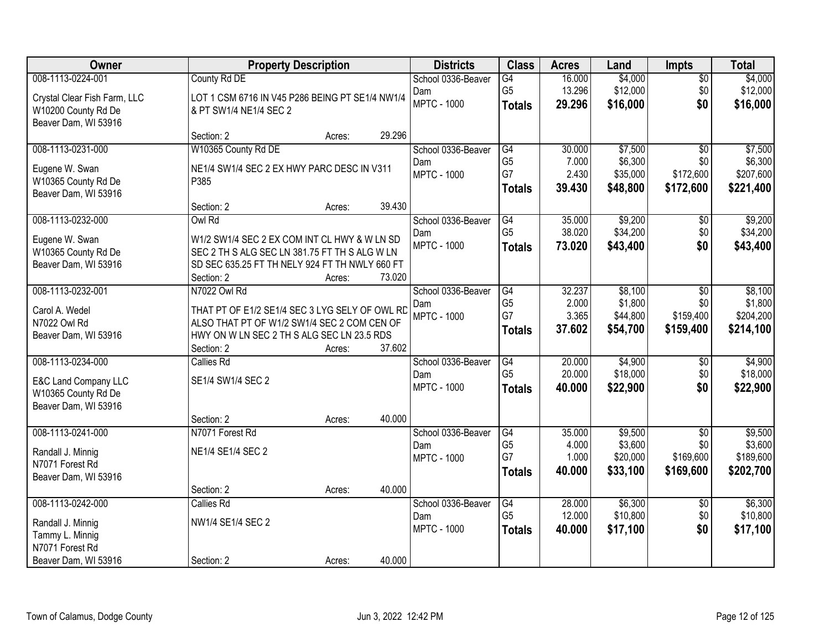| Owner                        | <b>Property Description</b>                     |        |        | <b>Districts</b>   | <b>Class</b>    | <b>Acres</b> | Land     | <b>Impts</b>    | <b>Total</b> |
|------------------------------|-------------------------------------------------|--------|--------|--------------------|-----------------|--------------|----------|-----------------|--------------|
| 008-1113-0224-001            | County Rd DE                                    |        |        | School 0336-Beaver | $\overline{G4}$ | 16.000       | \$4,000  | $\overline{50}$ | \$4,000      |
| Crystal Clear Fish Farm, LLC | LOT 1 CSM 6716 IN V45 P286 BEING PT SE1/4 NW1/4 |        |        | Dam                | G <sub>5</sub>  | 13.296       | \$12,000 | \$0             | \$12,000     |
| W10200 County Rd De          | & PT SW1/4 NE1/4 SEC 2                          |        |        | <b>MPTC - 1000</b> | <b>Totals</b>   | 29.296       | \$16,000 | \$0             | \$16,000     |
| Beaver Dam, WI 53916         |                                                 |        |        |                    |                 |              |          |                 |              |
|                              | Section: 2                                      | Acres: | 29.296 |                    |                 |              |          |                 |              |
| 008-1113-0231-000            | W10365 County Rd DE                             |        |        | School 0336-Beaver | G4              | 30.000       | \$7,500  | $\overline{50}$ | \$7,500      |
| Eugene W. Swan               | NE1/4 SW1/4 SEC 2 EX HWY PARC DESC IN V311      |        |        | Dam                | G <sub>5</sub>  | 7.000        | \$6,300  | \$0             | \$6,300      |
| W10365 County Rd De          | P385                                            |        |        | <b>MPTC - 1000</b> | G7              | 2.430        | \$35,000 | \$172,600       | \$207,600    |
| Beaver Dam, WI 53916         |                                                 |        |        |                    | <b>Totals</b>   | 39.430       | \$48,800 | \$172,600       | \$221,400    |
|                              | Section: 2                                      | Acres: | 39.430 |                    |                 |              |          |                 |              |
| 008-1113-0232-000            | Owl Rd                                          |        |        | School 0336-Beaver | G4              | 35.000       | \$9,200  | \$0             | \$9,200      |
| Eugene W. Swan               | W1/2 SW1/4 SEC 2 EX COM INT CL HWY & W LN SD    |        |        | Dam                | G <sub>5</sub>  | 38.020       | \$34,200 | \$0             | \$34,200     |
| W10365 County Rd De          | SEC 2 TH S ALG SEC LN 381.75 FT TH S ALG W LN   |        |        | <b>MPTC - 1000</b> | <b>Totals</b>   | 73.020       | \$43,400 | \$0             | \$43,400     |
| Beaver Dam, WI 53916         | SD SEC 635.25 FT TH NELY 924 FT TH NWLY 660 FT  |        |        |                    |                 |              |          |                 |              |
|                              | Section: 2                                      | Acres: | 73.020 |                    |                 |              |          |                 |              |
| 008-1113-0232-001            | N7022 Owl Rd                                    |        |        | School 0336-Beaver | G4              | 32.237       | \$8,100  | $\sqrt{6}$      | \$8,100      |
| Carol A. Wedel               | THAT PT OF E1/2 SE1/4 SEC 3 LYG SELY OF OWL RD  |        |        | Dam                | G <sub>5</sub>  | 2.000        | \$1,800  | \$0             | \$1,800      |
| N7022 Owl Rd                 | ALSO THAT PT OF W1/2 SW1/4 SEC 2 COM CEN OF     |        |        | <b>MPTC - 1000</b> | G7              | 3.365        | \$44,800 | \$159,400       | \$204,200    |
| Beaver Dam, WI 53916         | HWY ON W LN SEC 2 TH S ALG SEC LN 23.5 RDS      |        |        |                    | <b>Totals</b>   | 37.602       | \$54,700 | \$159,400       | \$214,100    |
|                              | Section: 2                                      | Acres: | 37.602 |                    |                 |              |          |                 |              |
| 008-1113-0234-000            | <b>Callies Rd</b>                               |        |        | School 0336-Beaver | $\overline{G4}$ | 20.000       | \$4,900  | $\overline{50}$ | \$4,900      |
| E&C Land Company LLC         | SE1/4 SW1/4 SEC 2                               |        |        | Dam                | G <sub>5</sub>  | 20.000       | \$18,000 | \$0             | \$18,000     |
| W10365 County Rd De          |                                                 |        |        | <b>MPTC - 1000</b> | <b>Totals</b>   | 40.000       | \$22,900 | \$0             | \$22,900     |
| Beaver Dam, WI 53916         |                                                 |        |        |                    |                 |              |          |                 |              |
|                              | Section: 2                                      | Acres: | 40.000 |                    |                 |              |          |                 |              |
| 008-1113-0241-000            | N7071 Forest Rd                                 |        |        | School 0336-Beaver | G4              | 35.000       | \$9,500  | $\sqrt{6}$      | \$9,500      |
| Randall J. Minnig            | NE1/4 SE1/4 SEC 2                               |        |        | Dam                | G <sub>5</sub>  | 4.000        | \$3,600  | \$0             | \$3,600      |
| N7071 Forest Rd              |                                                 |        |        | <b>MPTC - 1000</b> | G7              | 1.000        | \$20,000 | \$169,600       | \$189,600    |
| Beaver Dam, WI 53916         |                                                 |        |        |                    | <b>Totals</b>   | 40.000       | \$33,100 | \$169,600       | \$202,700    |
|                              | Section: 2                                      | Acres: | 40.000 |                    |                 |              |          |                 |              |
| 008-1113-0242-000            | <b>Callies Rd</b>                               |        |        | School 0336-Beaver | $\overline{G4}$ | 28.000       | \$6,300  | $\overline{30}$ | \$6,300      |
| Randall J. Minnig            | NW1/4 SE1/4 SEC 2                               |        |        | Dam                | G <sub>5</sub>  | 12.000       | \$10,800 | \$0             | \$10,800     |
| Tammy L. Minnig              |                                                 |        |        | <b>MPTC - 1000</b> | <b>Totals</b>   | 40.000       | \$17,100 | \$0             | \$17,100     |
| N7071 Forest Rd              |                                                 |        |        |                    |                 |              |          |                 |              |
| Beaver Dam, WI 53916         | Section: 2                                      | Acres: | 40.000 |                    |                 |              |          |                 |              |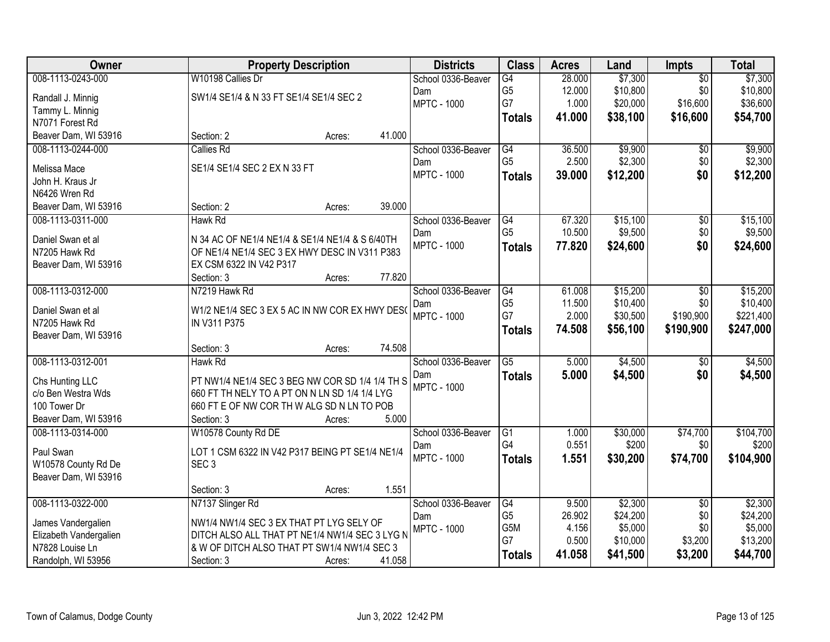| Owner                                     |                                                                                               | <b>Property Description</b> |        | <b>Districts</b>          | <b>Class</b>    | <b>Acres</b>     | Land                 | <b>Impts</b>    | <b>Total</b> |
|-------------------------------------------|-----------------------------------------------------------------------------------------------|-----------------------------|--------|---------------------------|-----------------|------------------|----------------------|-----------------|--------------|
| 008-1113-0243-000                         | W10198 Callies Dr                                                                             |                             |        | School 0336-Beaver        | $\overline{G4}$ | 28.000           | \$7,300              | $\overline{50}$ | \$7,300      |
| Randall J. Minnig                         | SW1/4 SE1/4 & N 33 FT SE1/4 SE1/4 SEC 2                                                       |                             |        | Dam                       | G <sub>5</sub>  | 12.000           | \$10,800             | \$0             | \$10,800     |
| Tammy L. Minnig                           |                                                                                               |                             |        | <b>MPTC - 1000</b>        | G7              | 1.000            | \$20,000             | \$16,600        | \$36,600     |
| N7071 Forest Rd                           |                                                                                               |                             |        |                           | <b>Totals</b>   | 41.000           | \$38,100             | \$16,600        | \$54,700     |
| Beaver Dam, WI 53916                      | Section: 2                                                                                    | Acres:                      | 41.000 |                           |                 |                  |                      |                 |              |
| 008-1113-0244-000                         | <b>Callies Rd</b>                                                                             |                             |        | School 0336-Beaver        | G4              | 36.500           | \$9,900              | \$0             | \$9,900      |
| Melissa Mace                              | SE1/4 SE1/4 SEC 2 EX N 33 FT                                                                  |                             |        | Dam                       | G <sub>5</sub>  | 2.500            | \$2,300              | \$0             | \$2,300      |
| John H. Kraus Jr                          |                                                                                               |                             |        | <b>MPTC - 1000</b>        | <b>Totals</b>   | 39.000           | \$12,200             | \$0             | \$12,200     |
| N6426 Wren Rd                             |                                                                                               |                             |        |                           |                 |                  |                      |                 |              |
| Beaver Dam, WI 53916                      | Section: 2                                                                                    | Acres:                      | 39.000 |                           |                 |                  |                      |                 |              |
| 008-1113-0311-000                         | Hawk Rd                                                                                       |                             |        | School 0336-Beaver        | G4              | 67.320           | \$15,100             | $\overline{50}$ | \$15,100     |
|                                           |                                                                                               |                             |        | Dam                       | G <sub>5</sub>  | 10.500           | \$9,500              | \$0             | \$9,500      |
| Daniel Swan et al                         | N 34 AC OF NE1/4 NE1/4 & SE1/4 NE1/4 & S 6/40TH                                               |                             |        | <b>MPTC - 1000</b>        | <b>Totals</b>   | 77.820           | \$24,600             | \$0             | \$24,600     |
| N7205 Hawk Rd                             | OF NE1/4 NE1/4 SEC 3 EX HWY DESC IN V311 P383                                                 |                             |        |                           |                 |                  |                      |                 |              |
| Beaver Dam, WI 53916                      | EX CSM 6322 IN V42 P317                                                                       |                             | 77.820 |                           |                 |                  |                      |                 |              |
| 008-1113-0312-000                         | Section: 3<br>N7219 Hawk Rd                                                                   | Acres:                      |        |                           | G4              |                  |                      |                 | \$15,200     |
|                                           |                                                                                               |                             |        | School 0336-Beaver        | G <sub>5</sub>  | 61.008<br>11.500 | \$15,200<br>\$10,400 | \$0<br>\$0      | \$10,400     |
| Daniel Swan et al                         | W1/2 NE1/4 SEC 3 EX 5 AC IN NW COR EX HWY DES(                                                |                             |        | Dam<br><b>MPTC - 1000</b> | G7              | 2.000            | \$30,500             | \$190,900       | \$221,400    |
| N7205 Hawk Rd                             | IN V311 P375                                                                                  |                             |        |                           | <b>Totals</b>   | 74.508           | \$56,100             | \$190,900       | \$247,000    |
| Beaver Dam, WI 53916                      |                                                                                               |                             |        |                           |                 |                  |                      |                 |              |
|                                           | Section: 3                                                                                    | Acres:                      | 74.508 |                           |                 |                  |                      |                 |              |
| 008-1113-0312-001                         | <b>Hawk Rd</b>                                                                                |                             |        | School 0336-Beaver        | $\overline{G5}$ | 5.000            | \$4,500              | $\overline{50}$ | \$4,500      |
| Chs Hunting LLC                           | PT NW1/4 NE1/4 SEC 3 BEG NW COR SD 1/4 1/4 TH S                                               |                             |        | Dam                       | <b>Totals</b>   | 5.000            | \$4,500              | \$0             | \$4,500      |
| c/o Ben Westra Wds                        | 660 FT TH NELY TO A PT ON N LN SD 1/4 1/4 LYG                                                 |                             |        | <b>MPTC - 1000</b>        |                 |                  |                      |                 |              |
| 100 Tower Dr                              | 660 FT E OF NW COR TH W ALG SD N LN TO POB                                                    |                             |        |                           |                 |                  |                      |                 |              |
| Beaver Dam, WI 53916                      | Section: 3                                                                                    | Acres:                      | 5.000  |                           |                 |                  |                      |                 |              |
| 008-1113-0314-000                         | W10578 County Rd DE                                                                           |                             |        | School 0336-Beaver        | $\overline{G1}$ | 1.000            | \$30,000             | \$74,700        | \$104,700    |
| Paul Swan                                 | LOT 1 CSM 6322 IN V42 P317 BEING PT SE1/4 NE1/4                                               |                             |        | Dam                       | G4              | 0.551            | \$200                | \$0             | \$200        |
| W10578 County Rd De                       | SEC <sub>3</sub>                                                                              |                             |        | <b>MPTC - 1000</b>        | Totals          | 1.551            | \$30,200             | \$74,700        | \$104,900    |
| Beaver Dam, WI 53916                      |                                                                                               |                             |        |                           |                 |                  |                      |                 |              |
|                                           | Section: 3                                                                                    | Acres:                      | 1.551  |                           |                 |                  |                      |                 |              |
| 008-1113-0322-000                         | N7137 Slinger Rd                                                                              |                             |        | School 0336-Beaver        | G4              | 9.500            | \$2,300              | $\overline{30}$ | \$2,300      |
|                                           |                                                                                               |                             |        | Dam                       | G <sub>5</sub>  | 26.902           | \$24,200             | \$0             | \$24,200     |
| James Vandergalien                        | NW1/4 NW1/4 SEC 3 EX THAT PT LYG SELY OF                                                      |                             |        | <b>MPTC - 1000</b>        | G5M             | 4.156            | \$5,000              | \$0             | \$5,000      |
| Elizabeth Vandergalien<br>N7828 Louise Ln | DITCH ALSO ALL THAT PT NE1/4 NW1/4 SEC 3 LYG N<br>& W OF DITCH ALSO THAT PT SW1/4 NW1/4 SEC 3 |                             |        |                           | G7              | 0.500            | \$10,000             | \$3,200         | \$13,200     |
| Randolph, WI 53956                        | Section: 3                                                                                    | Acres:                      | 41.058 |                           | <b>Totals</b>   | 41.058           | \$41,500             | \$3,200         | \$44,700     |
|                                           |                                                                                               |                             |        |                           |                 |                  |                      |                 |              |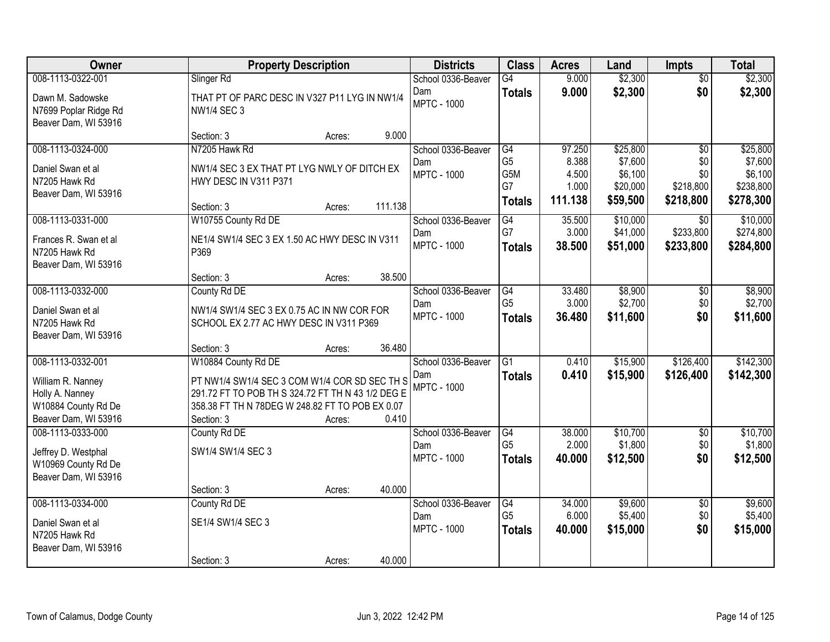| Owner                                                             |                                                                                       | <b>Property Description</b> |         | <b>Districts</b>          | <b>Class</b>          | <b>Acres</b>    | Land                 | <b>Impts</b>                 | <b>Total</b>          |
|-------------------------------------------------------------------|---------------------------------------------------------------------------------------|-----------------------------|---------|---------------------------|-----------------------|-----------------|----------------------|------------------------------|-----------------------|
| 008-1113-0322-001                                                 | Slinger Rd                                                                            |                             |         | School 0336-Beaver        | $\overline{G4}$       | 9.000           | \$2,300              | $\overline{50}$              | \$2,300               |
| Dawn M. Sadowske<br>N7699 Poplar Ridge Rd<br>Beaver Dam, WI 53916 | THAT PT OF PARC DESC IN V327 P11 LYG IN NW1/4<br><b>NW1/4 SEC 3</b>                   |                             |         | Dam<br><b>MPTC - 1000</b> | <b>Totals</b>         | 9.000           | \$2,300              | \$0                          | \$2,300               |
|                                                                   | Section: 3                                                                            | Acres:                      | 9.000   |                           |                       |                 |                      |                              |                       |
| 008-1113-0324-000                                                 | N7205 Hawk Rd                                                                         |                             |         | School 0336-Beaver        | G4                    | 97.250          | \$25,800             | $\overline{50}$              | \$25,800              |
| Daniel Swan et al                                                 | NW1/4 SEC 3 EX THAT PT LYG NWLY OF DITCH EX                                           |                             |         | Dam<br><b>MPTC - 1000</b> | G <sub>5</sub><br>G5M | 8.388<br>4.500  | \$7,600<br>\$6,100   | \$0<br>\$0                   | \$7,600<br>\$6,100    |
| N7205 Hawk Rd                                                     | HWY DESC IN V311 P371                                                                 |                             |         |                           | G7                    | 1.000           | \$20,000             | \$218,800                    | \$238,800             |
| Beaver Dam, WI 53916                                              |                                                                                       |                             |         |                           | <b>Totals</b>         | 111.138         | \$59,500             | \$218,800                    | \$278,300             |
|                                                                   | Section: 3                                                                            | Acres:                      | 111.138 |                           |                       |                 |                      |                              |                       |
| 008-1113-0331-000                                                 | W10755 County Rd DE                                                                   |                             |         | School 0336-Beaver<br>Dam | G4<br>G7              | 35.500<br>3.000 | \$10,000<br>\$41,000 | $\overline{50}$<br>\$233,800 | \$10,000<br>\$274,800 |
| Frances R. Swan et al                                             | NE1/4 SW1/4 SEC 3 EX 1.50 AC HWY DESC IN V311                                         |                             |         | <b>MPTC - 1000</b>        | <b>Totals</b>         | 38.500          | \$51,000             | \$233,800                    | \$284,800             |
| N7205 Hawk Rd                                                     | P369                                                                                  |                             |         |                           |                       |                 |                      |                              |                       |
| Beaver Dam, WI 53916                                              | Section: 3                                                                            | Acres:                      | 38.500  |                           |                       |                 |                      |                              |                       |
| 008-1113-0332-000                                                 | County Rd DE                                                                          |                             |         | School 0336-Beaver        | G4                    | 33.480          | \$8,900              | $\sqrt[6]{3}$                | \$8,900               |
|                                                                   |                                                                                       |                             |         | Dam                       | G <sub>5</sub>        | 3.000           | \$2,700              | \$0                          | \$2,700               |
| Daniel Swan et al<br>N7205 Hawk Rd                                | NW1/4 SW1/4 SEC 3 EX 0.75 AC IN NW COR FOR<br>SCHOOL EX 2.77 AC HWY DESC IN V311 P369 |                             |         | <b>MPTC - 1000</b>        | <b>Totals</b>         | 36.480          | \$11,600             | \$0                          | \$11,600              |
| Beaver Dam, WI 53916                                              |                                                                                       |                             |         |                           |                       |                 |                      |                              |                       |
|                                                                   | Section: 3                                                                            | Acres:                      | 36.480  |                           |                       |                 |                      |                              |                       |
| 008-1113-0332-001                                                 | W10884 County Rd DE                                                                   |                             |         | School 0336-Beaver        | $\overline{G1}$       | 0.410           | \$15,900             | \$126,400                    | \$142,300             |
| William R. Nanney                                                 | PT NW1/4 SW1/4 SEC 3 COM W1/4 COR SD SEC TH S                                         |                             |         | Dam                       | <b>Totals</b>         | 0.410           | \$15,900             | \$126,400                    | \$142,300             |
| Holly A. Nanney                                                   | 291.72 FT TO POB TH S 324.72 FT TH N 43 1/2 DEG E                                     |                             |         | <b>MPTC - 1000</b>        |                       |                 |                      |                              |                       |
| W10884 County Rd De                                               | 358.38 FT TH N 78DEG W 248.82 FT TO POB EX 0.07                                       |                             |         |                           |                       |                 |                      |                              |                       |
| Beaver Dam, WI 53916                                              | Section: 3                                                                            | Acres:                      | 0.410   |                           |                       |                 |                      |                              |                       |
| 008-1113-0333-000                                                 | County Rd DE                                                                          |                             |         | School 0336-Beaver        | G4                    | 38.000          | \$10,700             | $\overline{50}$              | \$10,700              |
| Jeffrey D. Westphal                                               | SW1/4 SW1/4 SEC 3                                                                     |                             |         | Dam<br><b>MPTC - 1000</b> | G <sub>5</sub>        | 2.000           | \$1,800              | \$0<br>\$0                   | \$1,800               |
| W10969 County Rd De                                               |                                                                                       |                             |         |                           | <b>Totals</b>         | 40,000          | \$12,500             |                              | \$12,500              |
| Beaver Dam, WI 53916                                              |                                                                                       |                             |         |                           |                       |                 |                      |                              |                       |
|                                                                   | Section: 3                                                                            | Acres:                      | 40.000  |                           |                       |                 |                      |                              |                       |
| 008-1113-0334-000                                                 | County Rd DE                                                                          |                             |         | School 0336-Beaver<br>Dam | G4<br>G <sub>5</sub>  | 34,000<br>6.000 | \$9,600<br>\$5,400   | $\overline{50}$<br>\$0       | \$9,600<br>\$5,400    |
| Daniel Swan et al                                                 | SE1/4 SW1/4 SEC 3                                                                     |                             |         | <b>MPTC - 1000</b>        | <b>Totals</b>         | 40.000          | \$15,000             | \$0                          | \$15,000              |
| N7205 Hawk Rd                                                     |                                                                                       |                             |         |                           |                       |                 |                      |                              |                       |
| Beaver Dam, WI 53916                                              | Section: 3                                                                            | Acres:                      | 40.000  |                           |                       |                 |                      |                              |                       |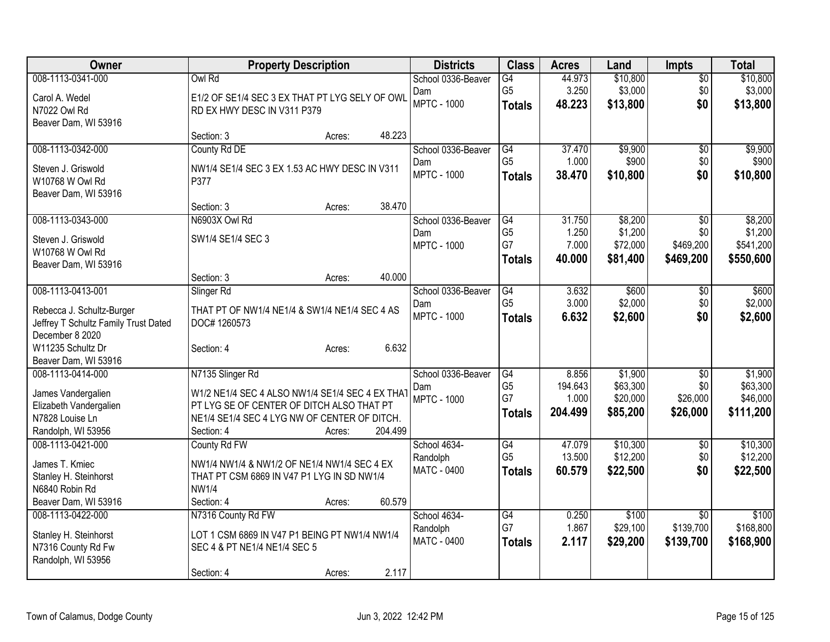| Owner                                | <b>Property Description</b>                     | <b>Districts</b>          | <b>Class</b>         | <b>Acres</b>     | Land                 | <b>Impts</b>    | <b>Total</b>         |
|--------------------------------------|-------------------------------------------------|---------------------------|----------------------|------------------|----------------------|-----------------|----------------------|
| 008-1113-0341-000                    | Owl Rd                                          | School 0336-Beaver        | $\overline{G4}$      | 44.973           | \$10,800             | $\overline{50}$ | \$10,800             |
| Carol A. Wedel                       | E1/2 OF SE1/4 SEC 3 EX THAT PT LYG SELY OF OWL  | Dam                       | G <sub>5</sub>       | 3.250            | \$3,000              | \$0             | \$3,000              |
| N7022 Owl Rd                         | RD EX HWY DESC IN V311 P379                     | <b>MPTC - 1000</b>        | <b>Totals</b>        | 48.223           | \$13,800             | \$0             | \$13,800             |
| Beaver Dam, WI 53916                 |                                                 |                           |                      |                  |                      |                 |                      |
|                                      | 48.223<br>Section: 3<br>Acres:                  |                           |                      |                  |                      |                 |                      |
| 008-1113-0342-000                    | County Rd DE                                    | School 0336-Beaver        | G4                   | 37.470           | \$9,900              | $\sqrt{6}$      | \$9,900              |
| Steven J. Griswold                   | NW1/4 SE1/4 SEC 3 EX 1.53 AC HWY DESC IN V311   | Dam                       | G <sub>5</sub>       | 1.000            | \$900                | \$0             | \$900                |
| W10768 W Owl Rd                      | P377                                            | <b>MPTC - 1000</b>        | <b>Totals</b>        | 38.470           | \$10,800             | \$0             | \$10,800             |
| Beaver Dam, WI 53916                 |                                                 |                           |                      |                  |                      |                 |                      |
|                                      | 38.470<br>Section: 3<br>Acres:                  |                           |                      |                  |                      |                 |                      |
| 008-1113-0343-000                    | N6903X Owl Rd                                   | School 0336-Beaver        | G4                   | 31.750           | \$8,200              | \$0             | \$8,200              |
| Steven J. Griswold                   | SW1/4 SE1/4 SEC 3                               | Dam                       | G <sub>5</sub>       | 1.250            | \$1,200              | \$0             | \$1,200              |
| W10768 W Owl Rd                      |                                                 | <b>MPTC - 1000</b>        | G7                   | 7.000            | \$72,000             | \$469,200       | \$541,200            |
| Beaver Dam, WI 53916                 |                                                 |                           | <b>Totals</b>        | 40,000           | \$81,400             | \$469,200       | \$550,600            |
|                                      | 40.000<br>Section: 3<br>Acres:                  |                           |                      |                  |                      |                 |                      |
| 008-1113-0413-001                    | Slinger Rd                                      | School 0336-Beaver        | $\overline{G4}$      | 3.632            | \$600                | \$0             | \$600                |
| Rebecca J. Schultz-Burger            | THAT PT OF NW1/4 NE1/4 & SW1/4 NE1/4 SEC 4 AS   | Dam                       | G <sub>5</sub>       | 3.000            | \$2,000              | \$0             | \$2,000              |
| Jeffrey T Schultz Family Trust Dated | DOC# 1260573                                    | <b>MPTC - 1000</b>        | <b>Totals</b>        | 6.632            | \$2,600              | \$0             | \$2,600              |
| December 8 2020                      |                                                 |                           |                      |                  |                      |                 |                      |
| W11235 Schultz Dr                    | 6.632<br>Section: 4<br>Acres:                   |                           |                      |                  |                      |                 |                      |
| Beaver Dam, WI 53916                 |                                                 |                           |                      |                  |                      |                 |                      |
| 008-1113-0414-000                    | N7135 Slinger Rd                                | School 0336-Beaver        | G4                   | 8.856            | \$1,900              | $\sqrt[6]{3}$   | \$1,900              |
| James Vandergalien                   | W1/2 NE1/4 SEC 4 ALSO NW1/4 SE1/4 SEC 4 EX THAT | Dam<br><b>MPTC - 1000</b> | G <sub>5</sub><br>G7 | 194.643<br>1.000 | \$63,300<br>\$20,000 | \$0<br>\$26,000 | \$63,300<br>\$46,000 |
| Elizabeth Vandergalien               | PT LYG SE OF CENTER OF DITCH ALSO THAT PT       |                           | <b>Totals</b>        | 204.499          | \$85,200             | \$26,000        | \$111,200            |
| N7828 Louise Ln                      | NE1/4 SE1/4 SEC 4 LYG NW OF CENTER OF DITCH.    |                           |                      |                  |                      |                 |                      |
| Randolph, WI 53956                   | 204.499<br>Section: 4<br>Acres:                 |                           |                      |                  |                      |                 |                      |
| 008-1113-0421-000                    | County Rd FW                                    | School 4634-              | G4                   | 47.079           | \$10,300             | $\sqrt{6}$      | \$10,300             |
| James T. Kmiec                       | NW1/4 NW1/4 & NW1/2 OF NE1/4 NW1/4 SEC 4 EX     | Randolph                  | G <sub>5</sub>       | 13.500           | \$12,200             | \$0             | \$12,200             |
| Stanley H. Steinhorst                | THAT PT CSM 6869 IN V47 P1 LYG IN SD NW1/4      | MATC - 0400               | <b>Totals</b>        | 60.579           | \$22,500             | \$0             | \$22,500             |
| N6840 Robin Rd                       | <b>NW1/4</b>                                    |                           |                      |                  |                      |                 |                      |
| Beaver Dam, WI 53916                 | 60.579<br>Section: 4<br>Acres:                  |                           |                      |                  |                      |                 |                      |
| 008-1113-0422-000                    | N7316 County Rd FW                              | School 4634-              | $\overline{G4}$      | 0.250            | \$100                | $\overline{30}$ | \$100                |
| Stanley H. Steinhorst                | LOT 1 CSM 6869 IN V47 P1 BEING PT NW1/4 NW1/4   | Randolph                  | G7                   | 1.867            | \$29,100             | \$139,700       | \$168,800            |
| N7316 County Rd Fw                   | SEC 4 & PT NE1/4 NE1/4 SEC 5                    | MATC - 0400               | <b>Totals</b>        | 2.117            | \$29,200             | \$139,700       | \$168,900            |
| Randolph, WI 53956                   |                                                 |                           |                      |                  |                      |                 |                      |
|                                      | 2.117<br>Section: 4<br>Acres:                   |                           |                      |                  |                      |                 |                      |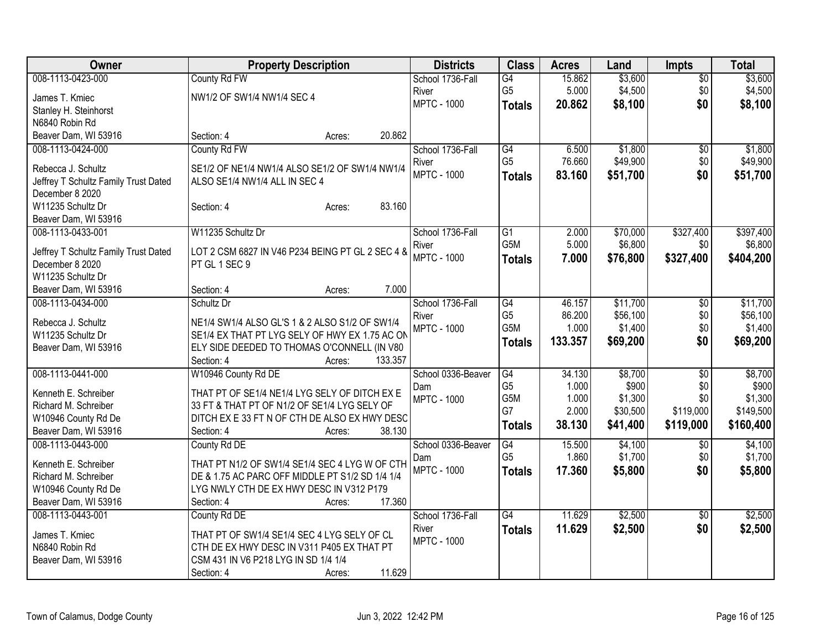| 008-1113-0423-000<br>County Rd FW<br>15.862<br>$\overline{60}$<br>\$3,600<br>School 1736-Fall<br>G4<br>G <sub>5</sub><br>5.000<br>\$4,500<br>\$4,500<br>\$0<br>River<br>NW1/2 OF SW1/4 NW1/4 SEC 4<br>James T. Kmiec<br><b>MPTC - 1000</b><br>\$8,100<br>\$0<br>20.862<br>\$8,100<br><b>Totals</b><br>Stanley H. Steinhorst<br>N6840 Robin Rd<br>Beaver Dam, WI 53916<br>20.862<br>Section: 4<br>Acres:<br>County Rd FW<br>School 1736-Fall<br>\$1,800<br>008-1113-0424-000<br>G4<br>6.500<br>$\sqrt{6}$<br>G <sub>5</sub><br>76.660<br>\$49,900<br>\$0<br>River<br>Rebecca J. Schultz<br>SE1/2 OF NE1/4 NW1/4 ALSO SE1/2 OF SW1/4 NW1/4<br><b>MPTC - 1000</b><br>83.160<br>\$51,700<br>\$0<br><b>Totals</b><br>Jeffrey T Schultz Family Trust Dated<br>ALSO SE1/4 NW1/4 ALL IN SEC 4<br>December 8 2020<br>83.160<br>W11235 Schultz Dr<br>Section: 4<br>Acres:<br>Beaver Dam, WI 53916<br>W11235 Schultz Dr<br>\$70,000<br>\$327,400<br>008-1113-0433-001<br>School 1736-Fall<br>G1<br>2.000<br>G <sub>5</sub> M<br>5.000<br>\$6,800<br>\$0<br>River<br>Jeffrey T Schultz Family Trust Dated<br>LOT 2 CSM 6827 IN V46 P234 BEING PT GL 2 SEC 4 &<br><b>MPTC - 1000</b><br>\$327,400<br>7.000<br>\$76,800<br>\$404,200<br><b>Totals</b><br>PT GL 1 SEC 9<br>December 8 2020<br>W11235 Schultz Dr<br>7.000<br>Beaver Dam, WI 53916<br>Section: 4<br>Acres:<br>008-1113-0434-000<br>Schultz Dr<br>School 1736-Fall<br>G4<br>46.157<br>\$11,700<br>\$0<br>G <sub>5</sub><br>86.200<br>\$56,100<br>\$0<br>River<br>Rebecca J. Schultz<br>NE1/4 SW1/4 ALSO GL'S 1 & 2 ALSO S1/2 OF SW1/4<br>G <sub>5</sub> M<br>1.000<br>\$1,400<br>\$0<br><b>MPTC - 1000</b><br>SE1/4 EX THAT PT LYG SELY OF HWY EX 1.75 AC ON<br>W11235 Schultz Dr<br>133.357<br>\$69,200<br>\$0<br>\$69,200<br><b>Totals</b><br>ELY SIDE DEEDED TO THOMAS O'CONNELL (IN V80<br>Beaver Dam, WI 53916<br>133.357<br>Section: 4<br>Acres:<br>008-1113-0441-000<br>School 0336-Beaver<br>34.130<br>\$8,700<br>W10946 County Rd DE<br>G4<br>\$0<br>G <sub>5</sub><br>1.000<br>\$900<br>\$0<br>Dam<br>Kenneth E. Schreiber<br>THAT PT OF SE1/4 NE1/4 LYG SELY OF DITCH EX E<br><b>MPTC - 1000</b><br>G5M<br>1.000<br>\$1,300<br>\$0<br>Richard M. Schreiber<br>33 FT & THAT PT OF N1/2 OF SE1/4 LYG SELY OF<br>G7<br>2.000<br>\$30,500<br>\$119,000<br>DITCH EX E 33 FT N OF CTH DE ALSO EX HWY DESC<br>W10946 County Rd De<br>38.130<br>\$119,000<br>\$160,400<br>\$41,400<br><b>Totals</b><br>Beaver Dam, WI 53916<br>Section: 4<br>38.130<br>Acres: | Owner             | <b>Property Description</b> | <b>Districts</b>   | <b>Class</b> | <b>Acres</b> | Land    | <b>Impts</b>    | <b>Total</b> |
|----------------------------------------------------------------------------------------------------------------------------------------------------------------------------------------------------------------------------------------------------------------------------------------------------------------------------------------------------------------------------------------------------------------------------------------------------------------------------------------------------------------------------------------------------------------------------------------------------------------------------------------------------------------------------------------------------------------------------------------------------------------------------------------------------------------------------------------------------------------------------------------------------------------------------------------------------------------------------------------------------------------------------------------------------------------------------------------------------------------------------------------------------------------------------------------------------------------------------------------------------------------------------------------------------------------------------------------------------------------------------------------------------------------------------------------------------------------------------------------------------------------------------------------------------------------------------------------------------------------------------------------------------------------------------------------------------------------------------------------------------------------------------------------------------------------------------------------------------------------------------------------------------------------------------------------------------------------------------------------------------------------------------------------------------------------------------------------------------------------------------------------------------------------------------------------------------------------------------------------------------------------------------------------------------------------------------------------------------------------------------------------------------------------------------------------------------------------------------------------------------------------|-------------------|-----------------------------|--------------------|--------------|--------------|---------|-----------------|--------------|
|                                                                                                                                                                                                                                                                                                                                                                                                                                                                                                                                                                                                                                                                                                                                                                                                                                                                                                                                                                                                                                                                                                                                                                                                                                                                                                                                                                                                                                                                                                                                                                                                                                                                                                                                                                                                                                                                                                                                                                                                                                                                                                                                                                                                                                                                                                                                                                                                                                                                                                                |                   |                             |                    |              |              | \$3,600 |                 |              |
|                                                                                                                                                                                                                                                                                                                                                                                                                                                                                                                                                                                                                                                                                                                                                                                                                                                                                                                                                                                                                                                                                                                                                                                                                                                                                                                                                                                                                                                                                                                                                                                                                                                                                                                                                                                                                                                                                                                                                                                                                                                                                                                                                                                                                                                                                                                                                                                                                                                                                                                |                   |                             |                    |              |              |         |                 |              |
|                                                                                                                                                                                                                                                                                                                                                                                                                                                                                                                                                                                                                                                                                                                                                                                                                                                                                                                                                                                                                                                                                                                                                                                                                                                                                                                                                                                                                                                                                                                                                                                                                                                                                                                                                                                                                                                                                                                                                                                                                                                                                                                                                                                                                                                                                                                                                                                                                                                                                                                |                   |                             |                    |              |              |         |                 |              |
|                                                                                                                                                                                                                                                                                                                                                                                                                                                                                                                                                                                                                                                                                                                                                                                                                                                                                                                                                                                                                                                                                                                                                                                                                                                                                                                                                                                                                                                                                                                                                                                                                                                                                                                                                                                                                                                                                                                                                                                                                                                                                                                                                                                                                                                                                                                                                                                                                                                                                                                |                   |                             |                    |              |              |         |                 |              |
|                                                                                                                                                                                                                                                                                                                                                                                                                                                                                                                                                                                                                                                                                                                                                                                                                                                                                                                                                                                                                                                                                                                                                                                                                                                                                                                                                                                                                                                                                                                                                                                                                                                                                                                                                                                                                                                                                                                                                                                                                                                                                                                                                                                                                                                                                                                                                                                                                                                                                                                |                   |                             |                    |              |              |         |                 |              |
| \$49,900<br>\$51,700<br>\$397,400<br>\$6,800<br>\$11,700<br>\$56,100<br>\$1,400<br>\$8,700<br>\$900<br>\$1,300<br>\$149,500                                                                                                                                                                                                                                                                                                                                                                                                                                                                                                                                                                                                                                                                                                                                                                                                                                                                                                                                                                                                                                                                                                                                                                                                                                                                                                                                                                                                                                                                                                                                                                                                                                                                                                                                                                                                                                                                                                                                                                                                                                                                                                                                                                                                                                                                                                                                                                                    |                   |                             |                    |              |              |         |                 | \$1,800      |
|                                                                                                                                                                                                                                                                                                                                                                                                                                                                                                                                                                                                                                                                                                                                                                                                                                                                                                                                                                                                                                                                                                                                                                                                                                                                                                                                                                                                                                                                                                                                                                                                                                                                                                                                                                                                                                                                                                                                                                                                                                                                                                                                                                                                                                                                                                                                                                                                                                                                                                                |                   |                             |                    |              |              |         |                 |              |
|                                                                                                                                                                                                                                                                                                                                                                                                                                                                                                                                                                                                                                                                                                                                                                                                                                                                                                                                                                                                                                                                                                                                                                                                                                                                                                                                                                                                                                                                                                                                                                                                                                                                                                                                                                                                                                                                                                                                                                                                                                                                                                                                                                                                                                                                                                                                                                                                                                                                                                                |                   |                             |                    |              |              |         |                 |              |
|                                                                                                                                                                                                                                                                                                                                                                                                                                                                                                                                                                                                                                                                                                                                                                                                                                                                                                                                                                                                                                                                                                                                                                                                                                                                                                                                                                                                                                                                                                                                                                                                                                                                                                                                                                                                                                                                                                                                                                                                                                                                                                                                                                                                                                                                                                                                                                                                                                                                                                                |                   |                             |                    |              |              |         |                 |              |
|                                                                                                                                                                                                                                                                                                                                                                                                                                                                                                                                                                                                                                                                                                                                                                                                                                                                                                                                                                                                                                                                                                                                                                                                                                                                                                                                                                                                                                                                                                                                                                                                                                                                                                                                                                                                                                                                                                                                                                                                                                                                                                                                                                                                                                                                                                                                                                                                                                                                                                                |                   |                             |                    |              |              |         |                 |              |
|                                                                                                                                                                                                                                                                                                                                                                                                                                                                                                                                                                                                                                                                                                                                                                                                                                                                                                                                                                                                                                                                                                                                                                                                                                                                                                                                                                                                                                                                                                                                                                                                                                                                                                                                                                                                                                                                                                                                                                                                                                                                                                                                                                                                                                                                                                                                                                                                                                                                                                                |                   |                             |                    |              |              |         |                 |              |
|                                                                                                                                                                                                                                                                                                                                                                                                                                                                                                                                                                                                                                                                                                                                                                                                                                                                                                                                                                                                                                                                                                                                                                                                                                                                                                                                                                                                                                                                                                                                                                                                                                                                                                                                                                                                                                                                                                                                                                                                                                                                                                                                                                                                                                                                                                                                                                                                                                                                                                                |                   |                             |                    |              |              |         |                 |              |
|                                                                                                                                                                                                                                                                                                                                                                                                                                                                                                                                                                                                                                                                                                                                                                                                                                                                                                                                                                                                                                                                                                                                                                                                                                                                                                                                                                                                                                                                                                                                                                                                                                                                                                                                                                                                                                                                                                                                                                                                                                                                                                                                                                                                                                                                                                                                                                                                                                                                                                                |                   |                             |                    |              |              |         |                 |              |
|                                                                                                                                                                                                                                                                                                                                                                                                                                                                                                                                                                                                                                                                                                                                                                                                                                                                                                                                                                                                                                                                                                                                                                                                                                                                                                                                                                                                                                                                                                                                                                                                                                                                                                                                                                                                                                                                                                                                                                                                                                                                                                                                                                                                                                                                                                                                                                                                                                                                                                                |                   |                             |                    |              |              |         |                 |              |
|                                                                                                                                                                                                                                                                                                                                                                                                                                                                                                                                                                                                                                                                                                                                                                                                                                                                                                                                                                                                                                                                                                                                                                                                                                                                                                                                                                                                                                                                                                                                                                                                                                                                                                                                                                                                                                                                                                                                                                                                                                                                                                                                                                                                                                                                                                                                                                                                                                                                                                                |                   |                             |                    |              |              |         |                 |              |
|                                                                                                                                                                                                                                                                                                                                                                                                                                                                                                                                                                                                                                                                                                                                                                                                                                                                                                                                                                                                                                                                                                                                                                                                                                                                                                                                                                                                                                                                                                                                                                                                                                                                                                                                                                                                                                                                                                                                                                                                                                                                                                                                                                                                                                                                                                                                                                                                                                                                                                                |                   |                             |                    |              |              |         |                 |              |
|                                                                                                                                                                                                                                                                                                                                                                                                                                                                                                                                                                                                                                                                                                                                                                                                                                                                                                                                                                                                                                                                                                                                                                                                                                                                                                                                                                                                                                                                                                                                                                                                                                                                                                                                                                                                                                                                                                                                                                                                                                                                                                                                                                                                                                                                                                                                                                                                                                                                                                                |                   |                             |                    |              |              |         |                 |              |
|                                                                                                                                                                                                                                                                                                                                                                                                                                                                                                                                                                                                                                                                                                                                                                                                                                                                                                                                                                                                                                                                                                                                                                                                                                                                                                                                                                                                                                                                                                                                                                                                                                                                                                                                                                                                                                                                                                                                                                                                                                                                                                                                                                                                                                                                                                                                                                                                                                                                                                                |                   |                             |                    |              |              |         |                 |              |
|                                                                                                                                                                                                                                                                                                                                                                                                                                                                                                                                                                                                                                                                                                                                                                                                                                                                                                                                                                                                                                                                                                                                                                                                                                                                                                                                                                                                                                                                                                                                                                                                                                                                                                                                                                                                                                                                                                                                                                                                                                                                                                                                                                                                                                                                                                                                                                                                                                                                                                                |                   |                             |                    |              |              |         |                 |              |
|                                                                                                                                                                                                                                                                                                                                                                                                                                                                                                                                                                                                                                                                                                                                                                                                                                                                                                                                                                                                                                                                                                                                                                                                                                                                                                                                                                                                                                                                                                                                                                                                                                                                                                                                                                                                                                                                                                                                                                                                                                                                                                                                                                                                                                                                                                                                                                                                                                                                                                                |                   |                             |                    |              |              |         |                 |              |
|                                                                                                                                                                                                                                                                                                                                                                                                                                                                                                                                                                                                                                                                                                                                                                                                                                                                                                                                                                                                                                                                                                                                                                                                                                                                                                                                                                                                                                                                                                                                                                                                                                                                                                                                                                                                                                                                                                                                                                                                                                                                                                                                                                                                                                                                                                                                                                                                                                                                                                                |                   |                             |                    |              |              |         |                 |              |
|                                                                                                                                                                                                                                                                                                                                                                                                                                                                                                                                                                                                                                                                                                                                                                                                                                                                                                                                                                                                                                                                                                                                                                                                                                                                                                                                                                                                                                                                                                                                                                                                                                                                                                                                                                                                                                                                                                                                                                                                                                                                                                                                                                                                                                                                                                                                                                                                                                                                                                                |                   |                             |                    |              |              |         |                 |              |
|                                                                                                                                                                                                                                                                                                                                                                                                                                                                                                                                                                                                                                                                                                                                                                                                                                                                                                                                                                                                                                                                                                                                                                                                                                                                                                                                                                                                                                                                                                                                                                                                                                                                                                                                                                                                                                                                                                                                                                                                                                                                                                                                                                                                                                                                                                                                                                                                                                                                                                                |                   |                             |                    |              |              |         |                 |              |
|                                                                                                                                                                                                                                                                                                                                                                                                                                                                                                                                                                                                                                                                                                                                                                                                                                                                                                                                                                                                                                                                                                                                                                                                                                                                                                                                                                                                                                                                                                                                                                                                                                                                                                                                                                                                                                                                                                                                                                                                                                                                                                                                                                                                                                                                                                                                                                                                                                                                                                                |                   |                             |                    |              |              |         |                 |              |
|                                                                                                                                                                                                                                                                                                                                                                                                                                                                                                                                                                                                                                                                                                                                                                                                                                                                                                                                                                                                                                                                                                                                                                                                                                                                                                                                                                                                                                                                                                                                                                                                                                                                                                                                                                                                                                                                                                                                                                                                                                                                                                                                                                                                                                                                                                                                                                                                                                                                                                                |                   |                             |                    |              |              |         |                 |              |
|                                                                                                                                                                                                                                                                                                                                                                                                                                                                                                                                                                                                                                                                                                                                                                                                                                                                                                                                                                                                                                                                                                                                                                                                                                                                                                                                                                                                                                                                                                                                                                                                                                                                                                                                                                                                                                                                                                                                                                                                                                                                                                                                                                                                                                                                                                                                                                                                                                                                                                                |                   |                             |                    |              |              |         |                 |              |
|                                                                                                                                                                                                                                                                                                                                                                                                                                                                                                                                                                                                                                                                                                                                                                                                                                                                                                                                                                                                                                                                                                                                                                                                                                                                                                                                                                                                                                                                                                                                                                                                                                                                                                                                                                                                                                                                                                                                                                                                                                                                                                                                                                                                                                                                                                                                                                                                                                                                                                                |                   |                             |                    |              |              |         |                 |              |
|                                                                                                                                                                                                                                                                                                                                                                                                                                                                                                                                                                                                                                                                                                                                                                                                                                                                                                                                                                                                                                                                                                                                                                                                                                                                                                                                                                                                                                                                                                                                                                                                                                                                                                                                                                                                                                                                                                                                                                                                                                                                                                                                                                                                                                                                                                                                                                                                                                                                                                                | 008-1113-0443-000 | County Rd DE                | School 0336-Beaver | G4           | 15.500       | \$4,100 | $\overline{50}$ | \$4,100      |
| G <sub>5</sub><br>1.860<br>\$1,700<br>\$0<br>\$1,700<br>Dam<br>Kenneth E. Schreiber<br>THAT PT N1/2 OF SW1/4 SE1/4 SEC 4 LYG W OF CTH                                                                                                                                                                                                                                                                                                                                                                                                                                                                                                                                                                                                                                                                                                                                                                                                                                                                                                                                                                                                                                                                                                                                                                                                                                                                                                                                                                                                                                                                                                                                                                                                                                                                                                                                                                                                                                                                                                                                                                                                                                                                                                                                                                                                                                                                                                                                                                          |                   |                             |                    |              |              |         |                 |              |
| <b>MPTC - 1000</b><br>\$0<br>17.360<br>\$5,800<br>\$5,800<br><b>Totals</b><br>Richard M. Schreiber<br>DE & 1.75 AC PARC OFF MIDDLE PT S1/2 SD 1/4 1/4                                                                                                                                                                                                                                                                                                                                                                                                                                                                                                                                                                                                                                                                                                                                                                                                                                                                                                                                                                                                                                                                                                                                                                                                                                                                                                                                                                                                                                                                                                                                                                                                                                                                                                                                                                                                                                                                                                                                                                                                                                                                                                                                                                                                                                                                                                                                                          |                   |                             |                    |              |              |         |                 |              |
| LYG NWLY CTH DE EX HWY DESC IN V312 P179<br>W10946 County Rd De                                                                                                                                                                                                                                                                                                                                                                                                                                                                                                                                                                                                                                                                                                                                                                                                                                                                                                                                                                                                                                                                                                                                                                                                                                                                                                                                                                                                                                                                                                                                                                                                                                                                                                                                                                                                                                                                                                                                                                                                                                                                                                                                                                                                                                                                                                                                                                                                                                                |                   |                             |                    |              |              |         |                 |              |
| Beaver Dam, WI 53916<br>17.360<br>Section: 4<br>Acres:                                                                                                                                                                                                                                                                                                                                                                                                                                                                                                                                                                                                                                                                                                                                                                                                                                                                                                                                                                                                                                                                                                                                                                                                                                                                                                                                                                                                                                                                                                                                                                                                                                                                                                                                                                                                                                                                                                                                                                                                                                                                                                                                                                                                                                                                                                                                                                                                                                                         |                   |                             |                    |              |              |         |                 |              |
| $\overline{G4}$<br>11.629<br>\$2,500<br>\$2,500<br>008-1113-0443-001<br>School 1736-Fall<br>County Rd DE<br>$\overline{50}$                                                                                                                                                                                                                                                                                                                                                                                                                                                                                                                                                                                                                                                                                                                                                                                                                                                                                                                                                                                                                                                                                                                                                                                                                                                                                                                                                                                                                                                                                                                                                                                                                                                                                                                                                                                                                                                                                                                                                                                                                                                                                                                                                                                                                                                                                                                                                                                    |                   |                             |                    |              |              |         |                 |              |
| 11.629<br>\$0<br>River<br>\$2,500<br>\$2,500<br><b>Totals</b><br>THAT PT OF SW1/4 SE1/4 SEC 4 LYG SELY OF CL                                                                                                                                                                                                                                                                                                                                                                                                                                                                                                                                                                                                                                                                                                                                                                                                                                                                                                                                                                                                                                                                                                                                                                                                                                                                                                                                                                                                                                                                                                                                                                                                                                                                                                                                                                                                                                                                                                                                                                                                                                                                                                                                                                                                                                                                                                                                                                                                   |                   |                             |                    |              |              |         |                 |              |
| James T. Kmiec<br><b>MPTC - 1000</b><br>N6840 Robin Rd<br>CTH DE EX HWY DESC IN V311 P405 EX THAT PT                                                                                                                                                                                                                                                                                                                                                                                                                                                                                                                                                                                                                                                                                                                                                                                                                                                                                                                                                                                                                                                                                                                                                                                                                                                                                                                                                                                                                                                                                                                                                                                                                                                                                                                                                                                                                                                                                                                                                                                                                                                                                                                                                                                                                                                                                                                                                                                                           |                   |                             |                    |              |              |         |                 |              |
| CSM 431 IN V6 P218 LYG IN SD 1/4 1/4<br>Beaver Dam, WI 53916                                                                                                                                                                                                                                                                                                                                                                                                                                                                                                                                                                                                                                                                                                                                                                                                                                                                                                                                                                                                                                                                                                                                                                                                                                                                                                                                                                                                                                                                                                                                                                                                                                                                                                                                                                                                                                                                                                                                                                                                                                                                                                                                                                                                                                                                                                                                                                                                                                                   |                   |                             |                    |              |              |         |                 |              |
| 11.629<br>Section: 4<br>Acres:                                                                                                                                                                                                                                                                                                                                                                                                                                                                                                                                                                                                                                                                                                                                                                                                                                                                                                                                                                                                                                                                                                                                                                                                                                                                                                                                                                                                                                                                                                                                                                                                                                                                                                                                                                                                                                                                                                                                                                                                                                                                                                                                                                                                                                                                                                                                                                                                                                                                                 |                   |                             |                    |              |              |         |                 |              |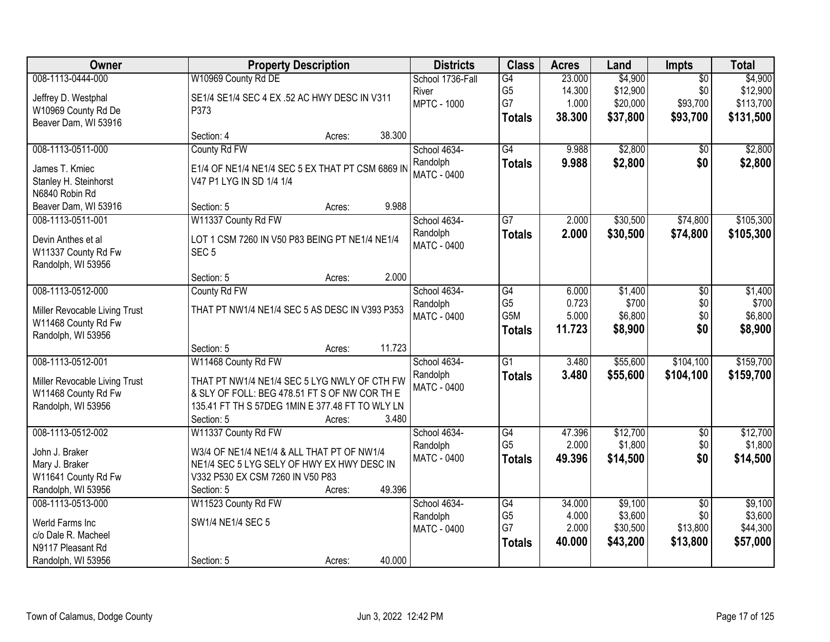| Owner                         | <b>Property Description</b>                      | <b>Districts</b>   | <b>Class</b>    | <b>Acres</b> | Land     | Impts           | <b>Total</b> |
|-------------------------------|--------------------------------------------------|--------------------|-----------------|--------------|----------|-----------------|--------------|
| 008-1113-0444-000             | W10969 County Rd DE                              | School 1736-Fall   | G4              | 23.000       | \$4,900  | $\overline{50}$ | \$4,900      |
| Jeffrey D. Westphal           | SE1/4 SE1/4 SEC 4 EX .52 AC HWY DESC IN V311     | River              | G <sub>5</sub>  | 14.300       | \$12,900 | \$0             | \$12,900     |
| W10969 County Rd De           | P373                                             | <b>MPTC - 1000</b> | G7              | 1.000        | \$20,000 | \$93,700        | \$113,700    |
| Beaver Dam, WI 53916          |                                                  |                    | <b>Totals</b>   | 38.300       | \$37,800 | \$93,700        | \$131,500    |
|                               | 38.300<br>Section: 4<br>Acres:                   |                    |                 |              |          |                 |              |
| 008-1113-0511-000             | County Rd FW                                     | School 4634-       | G4              | 9.988        | \$2,800  | \$0             | \$2,800      |
| James T. Kmiec                | E1/4 OF NE1/4 NE1/4 SEC 5 EX THAT PT CSM 6869 IN | Randolph           | <b>Totals</b>   | 9.988        | \$2,800  | \$0             | \$2,800      |
| Stanley H. Steinhorst         | V47 P1 LYG IN SD 1/4 1/4                         | <b>MATC - 0400</b> |                 |              |          |                 |              |
| N6840 Robin Rd                |                                                  |                    |                 |              |          |                 |              |
| Beaver Dam, WI 53916          | 9.988<br>Section: 5<br>Acres:                    |                    |                 |              |          |                 |              |
| 008-1113-0511-001             | W11337 County Rd FW                              | School 4634-       | $\overline{G7}$ | 2.000        | \$30,500 | \$74,800        | \$105,300    |
| Devin Anthes et al            | LOT 1 CSM 7260 IN V50 P83 BEING PT NE1/4 NE1/4   | Randolph           | <b>Totals</b>   | 2.000        | \$30,500 | \$74,800        | \$105,300    |
| W11337 County Rd Fw           | SEC <sub>5</sub>                                 | <b>MATC - 0400</b> |                 |              |          |                 |              |
| Randolph, WI 53956            |                                                  |                    |                 |              |          |                 |              |
|                               | 2.000<br>Section: 5<br>Acres:                    |                    |                 |              |          |                 |              |
| 008-1113-0512-000             | County Rd FW                                     | School 4634-       | G4              | 6.000        | \$1,400  | \$0             | \$1,400      |
| Miller Revocable Living Trust | THAT PT NW1/4 NE1/4 SEC 5 AS DESC IN V393 P353   | Randolph           | G <sub>5</sub>  | 0.723        | \$700    | \$0             | \$700        |
| W11468 County Rd Fw           |                                                  | <b>MATC - 0400</b> | G5M             | 5.000        | \$6,800  | \$0             | \$6,800      |
| Randolph, WI 53956            |                                                  |                    | <b>Totals</b>   | 11.723       | \$8,900  | \$0             | \$8,900      |
|                               | 11.723<br>Section: 5<br>Acres:                   |                    |                 |              |          |                 |              |
| 008-1113-0512-001             | W11468 County Rd FW                              | School 4634-       | $\overline{G1}$ | 3.480        | \$55,600 | \$104,100       | \$159,700    |
| Miller Revocable Living Trust | THAT PT NW1/4 NE1/4 SEC 5 LYG NWLY OF CTH FW     | Randolph           | <b>Totals</b>   | 3.480        | \$55,600 | \$104,100       | \$159,700    |
| W11468 County Rd Fw           | & SLY OF FOLL: BEG 478.51 FT S OF NW COR TH E    | <b>MATC - 0400</b> |                 |              |          |                 |              |
| Randolph, WI 53956            | 135.41 FT TH S 57DEG 1MIN E 377.48 FT TO WLY LN  |                    |                 |              |          |                 |              |
|                               | Section: 5<br>3.480<br>Acres:                    |                    |                 |              |          |                 |              |
| 008-1113-0512-002             | W11337 County Rd FW                              | School 4634-       | G4              | 47.396       | \$12,700 | $\overline{50}$ | \$12,700     |
| John J. Braker                | W3/4 OF NE1/4 NE1/4 & ALL THAT PT OF NW1/4       | Randolph           | G <sub>5</sub>  | 2.000        | \$1,800  | \$0             | \$1,800      |
| Mary J. Braker                | NE1/4 SEC 5 LYG SELY OF HWY EX HWY DESC IN       | <b>MATC - 0400</b> | <b>Totals</b>   | 49.396       | \$14,500 | \$0             | \$14,500     |
| W11641 County Rd Fw           | V332 P530 EX CSM 7260 IN V50 P83                 |                    |                 |              |          |                 |              |
| Randolph, WI 53956            | 49.396<br>Section: 5<br>Acres:                   |                    |                 |              |          |                 |              |
| 008-1113-0513-000             | W11523 County Rd FW                              | School 4634-       | G4              | 34.000       | \$9,100  | $\overline{50}$ | \$9,100      |
| Werld Farms Inc               | SW1/4 NE1/4 SEC 5                                | Randolph           | G <sub>5</sub>  | 4.000        | \$3,600  | \$0             | \$3,600      |
| c/o Dale R. Macheel           |                                                  | <b>MATC - 0400</b> | G7              | 2.000        | \$30,500 | \$13,800        | \$44,300     |
| N9117 Pleasant Rd             |                                                  |                    | <b>Totals</b>   | 40.000       | \$43,200 | \$13,800        | \$57,000     |
| Randolph, WI 53956            | 40.000<br>Section: 5<br>Acres:                   |                    |                 |              |          |                 |              |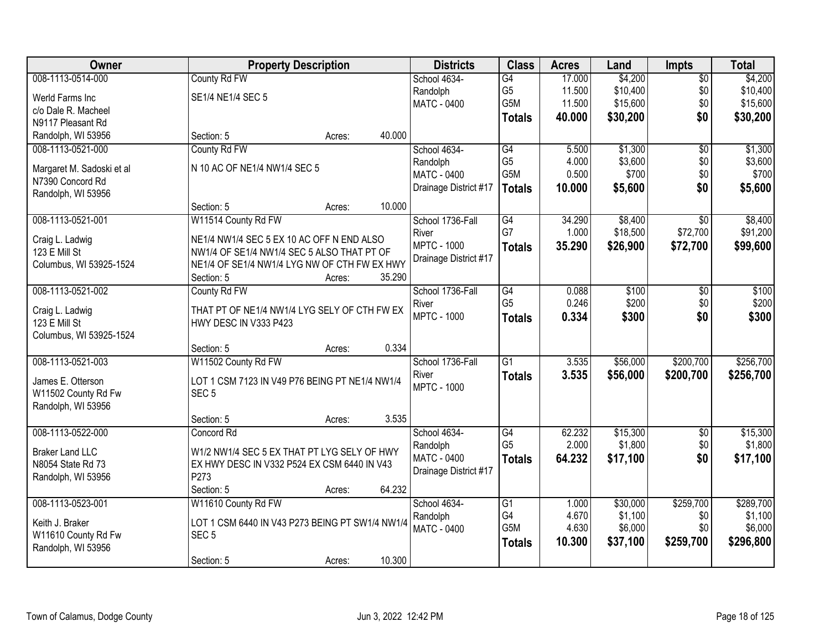| Owner                     | <b>Property Description</b>                     |        |        | <b>Districts</b>      | <b>Class</b>     | <b>Acres</b> | Land     | Impts           | <b>Total</b> |
|---------------------------|-------------------------------------------------|--------|--------|-----------------------|------------------|--------------|----------|-----------------|--------------|
| 008-1113-0514-000         | County Rd FW                                    |        |        | School 4634-          | G4               | 17.000       | \$4,200  | $\overline{50}$ | \$4,200      |
| Werld Farms Inc           | SE1/4 NE1/4 SEC 5                               |        |        | Randolph              | G <sub>5</sub>   | 11.500       | \$10,400 | \$0             | \$10,400     |
| c/o Dale R. Macheel       |                                                 |        |        | <b>MATC - 0400</b>    | G5M              | 11.500       | \$15,600 | \$0             | \$15,600     |
| N9117 Pleasant Rd         |                                                 |        |        |                       | <b>Totals</b>    | 40.000       | \$30,200 | \$0             | \$30,200     |
| Randolph, WI 53956        | Section: 5                                      | Acres: | 40.000 |                       |                  |              |          |                 |              |
| 008-1113-0521-000         | County Rd FW                                    |        |        | School 4634-          | G4               | 5.500        | \$1,300  | $\overline{50}$ | \$1,300      |
| Margaret M. Sadoski et al | N 10 AC OF NE1/4 NW1/4 SEC 5                    |        |        | Randolph              | G <sub>5</sub>   | 4.000        | \$3,600  | \$0             | \$3,600      |
| N7390 Concord Rd          |                                                 |        |        | MATC - 0400           | G <sub>5</sub> M | 0.500        | \$700    | \$0             | \$700        |
| Randolph, WI 53956        |                                                 |        |        | Drainage District #17 | <b>Totals</b>    | 10.000       | \$5,600  | \$0             | \$5,600      |
|                           | Section: 5                                      | Acres: | 10.000 |                       |                  |              |          |                 |              |
| 008-1113-0521-001         | W11514 County Rd FW                             |        |        | School 1736-Fall      | G4               | 34.290       | \$8,400  | $\overline{50}$ | \$8,400      |
| Craig L. Ladwig           | NE1/4 NW1/4 SEC 5 EX 10 AC OFF N END ALSO       |        |        | River                 | G7               | 1.000        | \$18,500 | \$72,700        | \$91,200     |
| 123 E Mill St             | NW1/4 OF SE1/4 NW1/4 SEC 5 ALSO THAT PT OF      |        |        | <b>MPTC - 1000</b>    | <b>Totals</b>    | 35.290       | \$26,900 | \$72,700        | \$99,600     |
| Columbus, WI 53925-1524   | NE1/4 OF SE1/4 NW1/4 LYG NW OF CTH FW EX HWY    |        |        | Drainage District #17 |                  |              |          |                 |              |
|                           | Section: 5                                      | Acres: | 35.290 |                       |                  |              |          |                 |              |
| 008-1113-0521-002         | County Rd FW                                    |        |        | School 1736-Fall      | $\overline{G4}$  | 0.088        | \$100    | \$0             | \$100        |
| Craig L. Ladwig           | THAT PT OF NE1/4 NW1/4 LYG SELY OF CTH FW EX    |        |        | River                 | G <sub>5</sub>   | 0.246        | \$200    | \$0             | \$200        |
| 123 E Mill St             | HWY DESC IN V333 P423                           |        |        | <b>MPTC - 1000</b>    | <b>Totals</b>    | 0.334        | \$300    | \$0             | \$300        |
| Columbus, WI 53925-1524   |                                                 |        |        |                       |                  |              |          |                 |              |
|                           | Section: 5                                      | Acres: | 0.334  |                       |                  |              |          |                 |              |
| 008-1113-0521-003         | W11502 County Rd FW                             |        |        | School 1736-Fall      | $\overline{G1}$  | 3.535        | \$56,000 | \$200,700       | \$256,700    |
| James E. Otterson         | LOT 1 CSM 7123 IN V49 P76 BEING PT NE1/4 NW1/4  |        |        | River                 | <b>Totals</b>    | 3.535        | \$56,000 | \$200,700       | \$256,700    |
| W11502 County Rd Fw       | SEC <sub>5</sub>                                |        |        | <b>MPTC - 1000</b>    |                  |              |          |                 |              |
| Randolph, WI 53956        |                                                 |        |        |                       |                  |              |          |                 |              |
|                           | Section: 5                                      | Acres: | 3.535  |                       |                  |              |          |                 |              |
| 008-1113-0522-000         | Concord Rd                                      |        |        | School 4634-          | G4               | 62.232       | \$15,300 | $\overline{50}$ | \$15,300     |
| <b>Braker Land LLC</b>    | W1/2 NW1/4 SEC 5 EX THAT PT LYG SELY OF HWY     |        |        | Randolph              | G <sub>5</sub>   | 2.000        | \$1,800  | \$0             | \$1,800      |
| N8054 State Rd 73         | EX HWY DESC IN V332 P524 EX CSM 6440 IN V43     |        |        | MATC - 0400           | <b>Totals</b>    | 64.232       | \$17,100 | \$0             | \$17,100     |
| Randolph, WI 53956        | P273                                            |        |        | Drainage District #17 |                  |              |          |                 |              |
|                           | Section: 5                                      | Acres: | 64.232 |                       |                  |              |          |                 |              |
| 008-1113-0523-001         | W11610 County Rd FW                             |        |        | School 4634-          | $\overline{G1}$  | 1.000        | \$30,000 | \$259,700       | \$289,700    |
| Keith J. Braker           | LOT 1 CSM 6440 IN V43 P273 BEING PT SW1/4 NW1/4 |        |        | Randolph              | G4               | 4.670        | \$1,100  | \$0             | \$1,100      |
| W11610 County Rd Fw       | SEC <sub>5</sub>                                |        |        | MATC - 0400           | G5M              | 4.630        | \$6,000  | \$0             | \$6,000      |
| Randolph, WI 53956        |                                                 |        |        |                       | <b>Totals</b>    | 10.300       | \$37,100 | \$259,700       | \$296,800    |
|                           | Section: 5                                      | Acres: | 10.300 |                       |                  |              |          |                 |              |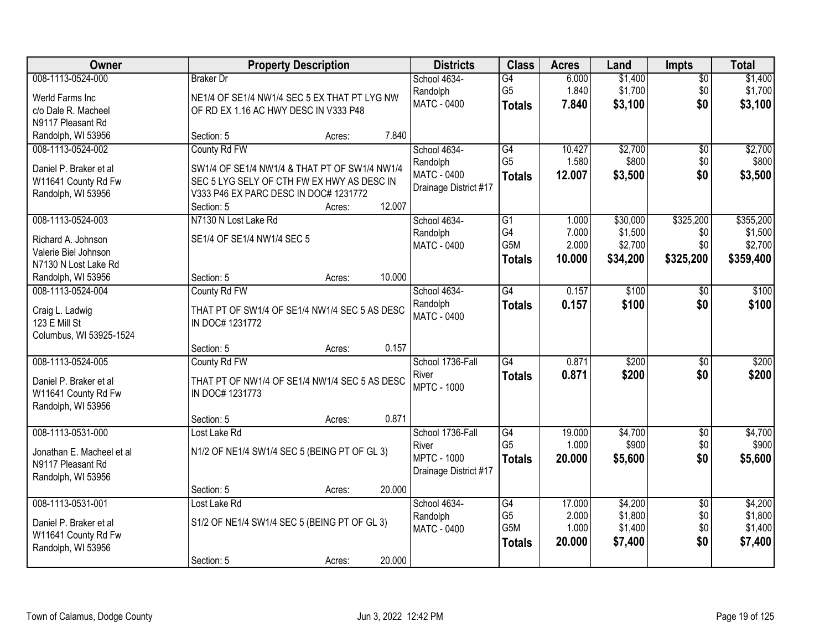| Owner                     |                                               | <b>Property Description</b> |        | <b>Districts</b>        | <b>Class</b>                      | <b>Acres</b>   | Land               | <b>Impts</b>       | <b>Total</b>       |
|---------------------------|-----------------------------------------------|-----------------------------|--------|-------------------------|-----------------------------------|----------------|--------------------|--------------------|--------------------|
| 008-1113-0524-000         | <b>Braker</b> Dr                              |                             |        | School 4634-            | $\overline{G4}$<br>G <sub>5</sub> | 6.000<br>1.840 | \$1,400<br>\$1,700 | $\sqrt{$0}$<br>\$0 | \$1,400<br>\$1,700 |
| Werld Farms Inc           | NE1/4 OF SE1/4 NW1/4 SEC 5 EX THAT PT LYG NW  |                             |        | Randolph<br>MATC - 0400 | <b>Totals</b>                     | 7.840          | \$3,100            | \$0                | \$3,100            |
| c/o Dale R. Macheel       | OF RD EX 1.16 AC HWY DESC IN V333 P48         |                             |        |                         |                                   |                |                    |                    |                    |
| N9117 Pleasant Rd         |                                               |                             |        |                         |                                   |                |                    |                    |                    |
| Randolph, WI 53956        | Section: 5                                    | Acres:                      | 7.840  |                         |                                   |                |                    |                    |                    |
| 008-1113-0524-002         | County Rd FW                                  |                             |        | School 4634-            | G4                                | 10.427         | \$2,700            | $\overline{50}$    | \$2,700            |
| Daniel P. Braker et al    | SW1/4 OF SE1/4 NW1/4 & THAT PT OF SW1/4 NW1/4 |                             |        | Randolph                | G <sub>5</sub>                    | 1.580          | \$800              | \$0                | \$800              |
| W11641 County Rd Fw       | SEC 5 LYG SELY OF CTH FW EX HWY AS DESC IN    |                             |        | MATC - 0400             | <b>Totals</b>                     | 12.007         | \$3,500            | \$0                | \$3,500            |
| Randolph, WI 53956        | V333 P46 EX PARC DESC IN DOC# 1231772         |                             |        | Drainage District #17   |                                   |                |                    |                    |                    |
|                           | Section: 5                                    | Acres:                      | 12.007 |                         |                                   |                |                    |                    |                    |
| 008-1113-0524-003         | N7130 N Lost Lake Rd                          |                             |        | School 4634-            | G1                                | 1.000          | \$30,000           | \$325,200          | \$355,200          |
| Richard A. Johnson        | SE1/4 OF SE1/4 NW1/4 SEC 5                    |                             |        | Randolph                | G4                                | 7.000          | \$1,500            | \$0                | \$1,500            |
| Valerie Biel Johnson      |                                               |                             |        | MATC - 0400             | G5M                               | 2.000          | \$2,700            | \$0                | \$2,700            |
| N7130 N Lost Lake Rd      |                                               |                             |        |                         | <b>Totals</b>                     | 10.000         | \$34,200           | \$325,200          | \$359,400          |
| Randolph, WI 53956        | Section: 5                                    | Acres:                      | 10.000 |                         |                                   |                |                    |                    |                    |
| 008-1113-0524-004         | County Rd FW                                  |                             |        | School 4634-            | G4                                | 0.157          | \$100              | \$0                | \$100              |
|                           |                                               |                             |        | Randolph                | <b>Totals</b>                     | 0.157          | \$100              | \$0                | \$100              |
| Craig L. Ladwig           | THAT PT OF SW1/4 OF SE1/4 NW1/4 SEC 5 AS DESC |                             |        | <b>MATC - 0400</b>      |                                   |                |                    |                    |                    |
| 123 E Mill St             | IN DOC# 1231772                               |                             |        |                         |                                   |                |                    |                    |                    |
| Columbus, WI 53925-1524   |                                               |                             |        |                         |                                   |                |                    |                    |                    |
|                           | Section: 5                                    | Acres:                      | 0.157  |                         |                                   |                |                    |                    |                    |
| 008-1113-0524-005         | County Rd FW                                  |                             |        | School 1736-Fall        | $\overline{G4}$                   | 0.871          | \$200              | $\overline{50}$    | \$200              |
| Daniel P. Braker et al    | THAT PT OF NW1/4 OF SE1/4 NW1/4 SEC 5 AS DESC |                             |        | River                   | <b>Totals</b>                     | 0.871          | \$200              | \$0                | \$200              |
| W11641 County Rd Fw       | IN DOC# 1231773                               |                             |        | <b>MPTC - 1000</b>      |                                   |                |                    |                    |                    |
| Randolph, WI 53956        |                                               |                             |        |                         |                                   |                |                    |                    |                    |
|                           | Section: 5                                    | Acres:                      | 0.871  |                         |                                   |                |                    |                    |                    |
| 008-1113-0531-000         | Lost Lake Rd                                  |                             |        | School 1736-Fall        | G4                                | 19.000         | \$4,700            | $\overline{50}$    | \$4,700            |
| Jonathan E. Macheel et al | N1/2 OF NE1/4 SW1/4 SEC 5 (BEING PT OF GL 3)  |                             |        | River                   | G <sub>5</sub>                    | 1.000          | \$900              | \$0                | \$900              |
| N9117 Pleasant Rd         |                                               |                             |        | <b>MPTC - 1000</b>      | <b>Totals</b>                     | 20,000         | \$5,600            | \$0                | \$5,600            |
| Randolph, WI 53956        |                                               |                             |        | Drainage District #17   |                                   |                |                    |                    |                    |
|                           | Section: 5                                    | Acres:                      | 20.000 |                         |                                   |                |                    |                    |                    |
| 008-1113-0531-001         | Lost Lake Rd                                  |                             |        | School 4634-            | G4                                | 17,000         | \$4,200            | $\overline{50}$    | \$4,200            |
|                           |                                               |                             |        | Randolph                | G <sub>5</sub>                    | 2.000          | \$1,800            | \$0                | \$1,800            |
| Daniel P. Braker et al    | S1/2 OF NE1/4 SW1/4 SEC 5 (BEING PT OF GL 3)  |                             |        | MATC - 0400             | G <sub>5</sub> M                  | 1.000          | \$1,400            | \$0                | \$1,400            |
| W11641 County Rd Fw       |                                               |                             |        |                         | <b>Totals</b>                     | 20.000         | \$7,400            | \$0                | \$7,400            |
| Randolph, WI 53956        | Section: 5                                    |                             | 20.000 |                         |                                   |                |                    |                    |                    |
|                           |                                               | Acres:                      |        |                         |                                   |                |                    |                    |                    |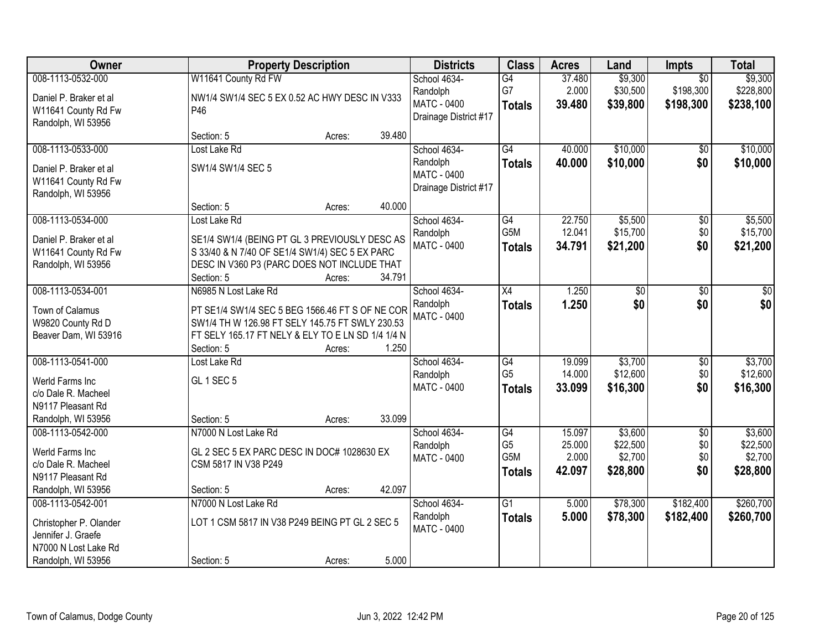| 008-1113-0532-000<br>W11641 County Rd FW<br>\$9,300<br>\$9,300<br>School 4634-<br>G4<br>37.480<br>$\overline{50}$<br>G7<br>\$198,300<br>2.000<br>\$30,500<br>\$228,800<br>Randolph<br>Daniel P. Braker et al<br>NW1/4 SW1/4 SEC 5 EX 0.52 AC HWY DESC IN V333<br>MATC - 0400<br>39.480<br>\$39,800<br>\$198,300<br>\$238,100<br><b>Totals</b><br>P46<br>W11641 County Rd Fw<br>Drainage District #17<br>Randolph, WI 53956<br>39.480<br>Section: 5<br>Acres:<br>\$10,000<br>008-1113-0533-000<br>Lost Lake Rd<br>$\overline{G4}$<br>40.000<br>School 4634-<br>\$0<br>\$10,000<br>\$0<br>40.000<br>Randolph<br><b>Totals</b><br>SW1/4 SW1/4 SEC 5<br>Daniel P. Braker et al<br>MATC - 0400<br>W11641 County Rd Fw<br>Drainage District #17<br>Randolph, WI 53956<br>40.000<br>Section: 5<br>Acres:<br>\$5,500<br>008-1113-0534-000<br>School 4634-<br>$\overline{G4}$<br>22.750<br>$\overline{50}$<br>Lost Lake Rd<br>G5M<br>\$0<br>12.041<br>\$15,700<br>Randolph<br>Daniel P. Braker et al<br>SE1/4 SW1/4 (BEING PT GL 3 PREVIOUSLY DESC AS<br><b>MATC - 0400</b><br>34.791<br>\$21,200<br>\$0<br><b>Totals</b><br>S 33/40 & N 7/40 OF SE1/4 SW1/4) SEC 5 EX PARC<br>W11641 County Rd Fw<br>Randolph, WI 53956<br>DESC IN V360 P3 (PARC DOES NOT INCLUDE THAT<br>Section: 5<br>34.791<br>Acres:<br>008-1113-0534-001<br>N6985 N Lost Lake Rd<br>School 4634-<br>X4<br>1.250<br>\$0<br>\$0<br>\$0<br>\$0<br>\$0<br>\$0<br>Randolph<br>1.250<br><b>Totals</b><br>PT SE1/4 SW1/4 SEC 5 BEG 1566.46 FT S OF NE COR<br>Town of Calamus<br><b>MATC - 0400</b><br>SW1/4 TH W 126.98 FT SELY 145.75 FT SWLY 230.53<br>W9820 County Rd D<br>Beaver Dam, WI 53916<br>FT SELY 165.17 FT NELY & ELY TO E LN SD 1/4 1/4 N<br>Section: 5<br>1.250<br>Acres:<br>\$3,700<br>008-1113-0541-000<br>Lost Lake Rd<br>$\overline{G4}$<br>19.099<br>$\overline{50}$<br>School 4634-<br>G <sub>5</sub><br>\$12,600<br>14.000<br>\$0<br>Randolph<br><b>GL 1 SEC 5</b><br>Werld Farms Inc<br>\$0<br>33.099<br>\$16,300<br>MATC - 0400<br><b>Totals</b><br>c/o Dale R. Macheel<br>N9117 Pleasant Rd<br>33.099<br>Randolph, WI 53956<br>Section: 5<br>Acres:<br>G4<br>\$3,600<br>$\overline{50}$<br>008-1113-0542-000<br>N7000 N Lost Lake Rd<br>School 4634-<br>15.097<br>G <sub>5</sub><br>\$0<br>\$22,500<br>25.000<br>Randolph<br>Werld Farms Inc<br>GL 2 SEC 5 EX PARC DESC IN DOC# 1028630 EX<br>G5M<br>2.000<br>\$2,700<br>\$0<br><b>MATC - 0400</b><br>c/o Dale R. Macheel<br>CSM 5817 IN V38 P249<br>42.097<br>\$28,800<br>\$0<br><b>Totals</b><br>N9117 Pleasant Rd<br>Randolph, WI 53956<br>42.097<br>Section: 5<br>Acres:<br>N7000 N Lost Lake Rd<br>School 4634-<br>$\overline{G1}$<br>\$78,300<br>\$182,400<br>008-1113-0542-001<br>5.000<br>5.000<br>\$78,300<br>Randolph<br>\$182,400<br><b>Totals</b><br>LOT 1 CSM 5817 IN V38 P249 BEING PT GL 2 SEC 5<br>Christopher P. Olander<br><b>MATC - 0400</b><br>Jennifer J. Graefe<br>N7000 N Lost Lake Rd | Owner              | <b>Property Description</b> |       | <b>Districts</b> | <b>Class</b> | <b>Acres</b> | Land | Impts | <b>Total</b> |
|----------------------------------------------------------------------------------------------------------------------------------------------------------------------------------------------------------------------------------------------------------------------------------------------------------------------------------------------------------------------------------------------------------------------------------------------------------------------------------------------------------------------------------------------------------------------------------------------------------------------------------------------------------------------------------------------------------------------------------------------------------------------------------------------------------------------------------------------------------------------------------------------------------------------------------------------------------------------------------------------------------------------------------------------------------------------------------------------------------------------------------------------------------------------------------------------------------------------------------------------------------------------------------------------------------------------------------------------------------------------------------------------------------------------------------------------------------------------------------------------------------------------------------------------------------------------------------------------------------------------------------------------------------------------------------------------------------------------------------------------------------------------------------------------------------------------------------------------------------------------------------------------------------------------------------------------------------------------------------------------------------------------------------------------------------------------------------------------------------------------------------------------------------------------------------------------------------------------------------------------------------------------------------------------------------------------------------------------------------------------------------------------------------------------------------------------------------------------------------------------------------------------------------------------------------------------------------------------------------------------------------------------------------------------------------------------------------------------------------------------------------------------------------------------------------------------------------------------------------------------------------------------------------------------------------------------|--------------------|-----------------------------|-------|------------------|--------------|--------------|------|-------|--------------|
|                                                                                                                                                                                                                                                                                                                                                                                                                                                                                                                                                                                                                                                                                                                                                                                                                                                                                                                                                                                                                                                                                                                                                                                                                                                                                                                                                                                                                                                                                                                                                                                                                                                                                                                                                                                                                                                                                                                                                                                                                                                                                                                                                                                                                                                                                                                                                                                                                                                                                                                                                                                                                                                                                                                                                                                                                                                                                                                                              |                    |                             |       |                  |              |              |      |       |              |
|                                                                                                                                                                                                                                                                                                                                                                                                                                                                                                                                                                                                                                                                                                                                                                                                                                                                                                                                                                                                                                                                                                                                                                                                                                                                                                                                                                                                                                                                                                                                                                                                                                                                                                                                                                                                                                                                                                                                                                                                                                                                                                                                                                                                                                                                                                                                                                                                                                                                                                                                                                                                                                                                                                                                                                                                                                                                                                                                              |                    |                             |       |                  |              |              |      |       |              |
|                                                                                                                                                                                                                                                                                                                                                                                                                                                                                                                                                                                                                                                                                                                                                                                                                                                                                                                                                                                                                                                                                                                                                                                                                                                                                                                                                                                                                                                                                                                                                                                                                                                                                                                                                                                                                                                                                                                                                                                                                                                                                                                                                                                                                                                                                                                                                                                                                                                                                                                                                                                                                                                                                                                                                                                                                                                                                                                                              |                    |                             |       |                  |              |              |      |       |              |
| \$10,000<br>\$10,000<br>\$5,500<br>\$15,700<br>\$21,200<br>\$3,700<br>\$12,600<br>\$16,300<br>\$3,600<br>\$22,500<br>\$2,700<br>\$28,800<br>\$260,700<br>\$260,700                                                                                                                                                                                                                                                                                                                                                                                                                                                                                                                                                                                                                                                                                                                                                                                                                                                                                                                                                                                                                                                                                                                                                                                                                                                                                                                                                                                                                                                                                                                                                                                                                                                                                                                                                                                                                                                                                                                                                                                                                                                                                                                                                                                                                                                                                                                                                                                                                                                                                                                                                                                                                                                                                                                                                                           |                    |                             |       |                  |              |              |      |       |              |
|                                                                                                                                                                                                                                                                                                                                                                                                                                                                                                                                                                                                                                                                                                                                                                                                                                                                                                                                                                                                                                                                                                                                                                                                                                                                                                                                                                                                                                                                                                                                                                                                                                                                                                                                                                                                                                                                                                                                                                                                                                                                                                                                                                                                                                                                                                                                                                                                                                                                                                                                                                                                                                                                                                                                                                                                                                                                                                                                              |                    |                             |       |                  |              |              |      |       |              |
|                                                                                                                                                                                                                                                                                                                                                                                                                                                                                                                                                                                                                                                                                                                                                                                                                                                                                                                                                                                                                                                                                                                                                                                                                                                                                                                                                                                                                                                                                                                                                                                                                                                                                                                                                                                                                                                                                                                                                                                                                                                                                                                                                                                                                                                                                                                                                                                                                                                                                                                                                                                                                                                                                                                                                                                                                                                                                                                                              |                    |                             |       |                  |              |              |      |       |              |
|                                                                                                                                                                                                                                                                                                                                                                                                                                                                                                                                                                                                                                                                                                                                                                                                                                                                                                                                                                                                                                                                                                                                                                                                                                                                                                                                                                                                                                                                                                                                                                                                                                                                                                                                                                                                                                                                                                                                                                                                                                                                                                                                                                                                                                                                                                                                                                                                                                                                                                                                                                                                                                                                                                                                                                                                                                                                                                                                              |                    |                             |       |                  |              |              |      |       |              |
|                                                                                                                                                                                                                                                                                                                                                                                                                                                                                                                                                                                                                                                                                                                                                                                                                                                                                                                                                                                                                                                                                                                                                                                                                                                                                                                                                                                                                                                                                                                                                                                                                                                                                                                                                                                                                                                                                                                                                                                                                                                                                                                                                                                                                                                                                                                                                                                                                                                                                                                                                                                                                                                                                                                                                                                                                                                                                                                                              |                    |                             |       |                  |              |              |      |       |              |
|                                                                                                                                                                                                                                                                                                                                                                                                                                                                                                                                                                                                                                                                                                                                                                                                                                                                                                                                                                                                                                                                                                                                                                                                                                                                                                                                                                                                                                                                                                                                                                                                                                                                                                                                                                                                                                                                                                                                                                                                                                                                                                                                                                                                                                                                                                                                                                                                                                                                                                                                                                                                                                                                                                                                                                                                                                                                                                                                              |                    |                             |       |                  |              |              |      |       |              |
|                                                                                                                                                                                                                                                                                                                                                                                                                                                                                                                                                                                                                                                                                                                                                                                                                                                                                                                                                                                                                                                                                                                                                                                                                                                                                                                                                                                                                                                                                                                                                                                                                                                                                                                                                                                                                                                                                                                                                                                                                                                                                                                                                                                                                                                                                                                                                                                                                                                                                                                                                                                                                                                                                                                                                                                                                                                                                                                                              |                    |                             |       |                  |              |              |      |       |              |
|                                                                                                                                                                                                                                                                                                                                                                                                                                                                                                                                                                                                                                                                                                                                                                                                                                                                                                                                                                                                                                                                                                                                                                                                                                                                                                                                                                                                                                                                                                                                                                                                                                                                                                                                                                                                                                                                                                                                                                                                                                                                                                                                                                                                                                                                                                                                                                                                                                                                                                                                                                                                                                                                                                                                                                                                                                                                                                                                              |                    |                             |       |                  |              |              |      |       |              |
|                                                                                                                                                                                                                                                                                                                                                                                                                                                                                                                                                                                                                                                                                                                                                                                                                                                                                                                                                                                                                                                                                                                                                                                                                                                                                                                                                                                                                                                                                                                                                                                                                                                                                                                                                                                                                                                                                                                                                                                                                                                                                                                                                                                                                                                                                                                                                                                                                                                                                                                                                                                                                                                                                                                                                                                                                                                                                                                                              |                    |                             |       |                  |              |              |      |       |              |
|                                                                                                                                                                                                                                                                                                                                                                                                                                                                                                                                                                                                                                                                                                                                                                                                                                                                                                                                                                                                                                                                                                                                                                                                                                                                                                                                                                                                                                                                                                                                                                                                                                                                                                                                                                                                                                                                                                                                                                                                                                                                                                                                                                                                                                                                                                                                                                                                                                                                                                                                                                                                                                                                                                                                                                                                                                                                                                                                              |                    |                             |       |                  |              |              |      |       |              |
|                                                                                                                                                                                                                                                                                                                                                                                                                                                                                                                                                                                                                                                                                                                                                                                                                                                                                                                                                                                                                                                                                                                                                                                                                                                                                                                                                                                                                                                                                                                                                                                                                                                                                                                                                                                                                                                                                                                                                                                                                                                                                                                                                                                                                                                                                                                                                                                                                                                                                                                                                                                                                                                                                                                                                                                                                                                                                                                                              |                    |                             |       |                  |              |              |      |       |              |
|                                                                                                                                                                                                                                                                                                                                                                                                                                                                                                                                                                                                                                                                                                                                                                                                                                                                                                                                                                                                                                                                                                                                                                                                                                                                                                                                                                                                                                                                                                                                                                                                                                                                                                                                                                                                                                                                                                                                                                                                                                                                                                                                                                                                                                                                                                                                                                                                                                                                                                                                                                                                                                                                                                                                                                                                                                                                                                                                              |                    |                             |       |                  |              |              |      |       |              |
|                                                                                                                                                                                                                                                                                                                                                                                                                                                                                                                                                                                                                                                                                                                                                                                                                                                                                                                                                                                                                                                                                                                                                                                                                                                                                                                                                                                                                                                                                                                                                                                                                                                                                                                                                                                                                                                                                                                                                                                                                                                                                                                                                                                                                                                                                                                                                                                                                                                                                                                                                                                                                                                                                                                                                                                                                                                                                                                                              |                    |                             |       |                  |              |              |      |       |              |
|                                                                                                                                                                                                                                                                                                                                                                                                                                                                                                                                                                                                                                                                                                                                                                                                                                                                                                                                                                                                                                                                                                                                                                                                                                                                                                                                                                                                                                                                                                                                                                                                                                                                                                                                                                                                                                                                                                                                                                                                                                                                                                                                                                                                                                                                                                                                                                                                                                                                                                                                                                                                                                                                                                                                                                                                                                                                                                                                              |                    |                             |       |                  |              |              |      |       |              |
|                                                                                                                                                                                                                                                                                                                                                                                                                                                                                                                                                                                                                                                                                                                                                                                                                                                                                                                                                                                                                                                                                                                                                                                                                                                                                                                                                                                                                                                                                                                                                                                                                                                                                                                                                                                                                                                                                                                                                                                                                                                                                                                                                                                                                                                                                                                                                                                                                                                                                                                                                                                                                                                                                                                                                                                                                                                                                                                                              |                    |                             |       |                  |              |              |      |       |              |
|                                                                                                                                                                                                                                                                                                                                                                                                                                                                                                                                                                                                                                                                                                                                                                                                                                                                                                                                                                                                                                                                                                                                                                                                                                                                                                                                                                                                                                                                                                                                                                                                                                                                                                                                                                                                                                                                                                                                                                                                                                                                                                                                                                                                                                                                                                                                                                                                                                                                                                                                                                                                                                                                                                                                                                                                                                                                                                                                              |                    |                             |       |                  |              |              |      |       |              |
|                                                                                                                                                                                                                                                                                                                                                                                                                                                                                                                                                                                                                                                                                                                                                                                                                                                                                                                                                                                                                                                                                                                                                                                                                                                                                                                                                                                                                                                                                                                                                                                                                                                                                                                                                                                                                                                                                                                                                                                                                                                                                                                                                                                                                                                                                                                                                                                                                                                                                                                                                                                                                                                                                                                                                                                                                                                                                                                                              |                    |                             |       |                  |              |              |      |       |              |
|                                                                                                                                                                                                                                                                                                                                                                                                                                                                                                                                                                                                                                                                                                                                                                                                                                                                                                                                                                                                                                                                                                                                                                                                                                                                                                                                                                                                                                                                                                                                                                                                                                                                                                                                                                                                                                                                                                                                                                                                                                                                                                                                                                                                                                                                                                                                                                                                                                                                                                                                                                                                                                                                                                                                                                                                                                                                                                                                              |                    |                             |       |                  |              |              |      |       |              |
|                                                                                                                                                                                                                                                                                                                                                                                                                                                                                                                                                                                                                                                                                                                                                                                                                                                                                                                                                                                                                                                                                                                                                                                                                                                                                                                                                                                                                                                                                                                                                                                                                                                                                                                                                                                                                                                                                                                                                                                                                                                                                                                                                                                                                                                                                                                                                                                                                                                                                                                                                                                                                                                                                                                                                                                                                                                                                                                                              |                    |                             |       |                  |              |              |      |       |              |
|                                                                                                                                                                                                                                                                                                                                                                                                                                                                                                                                                                                                                                                                                                                                                                                                                                                                                                                                                                                                                                                                                                                                                                                                                                                                                                                                                                                                                                                                                                                                                                                                                                                                                                                                                                                                                                                                                                                                                                                                                                                                                                                                                                                                                                                                                                                                                                                                                                                                                                                                                                                                                                                                                                                                                                                                                                                                                                                                              |                    |                             |       |                  |              |              |      |       |              |
|                                                                                                                                                                                                                                                                                                                                                                                                                                                                                                                                                                                                                                                                                                                                                                                                                                                                                                                                                                                                                                                                                                                                                                                                                                                                                                                                                                                                                                                                                                                                                                                                                                                                                                                                                                                                                                                                                                                                                                                                                                                                                                                                                                                                                                                                                                                                                                                                                                                                                                                                                                                                                                                                                                                                                                                                                                                                                                                                              |                    |                             |       |                  |              |              |      |       |              |
|                                                                                                                                                                                                                                                                                                                                                                                                                                                                                                                                                                                                                                                                                                                                                                                                                                                                                                                                                                                                                                                                                                                                                                                                                                                                                                                                                                                                                                                                                                                                                                                                                                                                                                                                                                                                                                                                                                                                                                                                                                                                                                                                                                                                                                                                                                                                                                                                                                                                                                                                                                                                                                                                                                                                                                                                                                                                                                                                              |                    |                             |       |                  |              |              |      |       |              |
|                                                                                                                                                                                                                                                                                                                                                                                                                                                                                                                                                                                                                                                                                                                                                                                                                                                                                                                                                                                                                                                                                                                                                                                                                                                                                                                                                                                                                                                                                                                                                                                                                                                                                                                                                                                                                                                                                                                                                                                                                                                                                                                                                                                                                                                                                                                                                                                                                                                                                                                                                                                                                                                                                                                                                                                                                                                                                                                                              |                    |                             |       |                  |              |              |      |       |              |
|                                                                                                                                                                                                                                                                                                                                                                                                                                                                                                                                                                                                                                                                                                                                                                                                                                                                                                                                                                                                                                                                                                                                                                                                                                                                                                                                                                                                                                                                                                                                                                                                                                                                                                                                                                                                                                                                                                                                                                                                                                                                                                                                                                                                                                                                                                                                                                                                                                                                                                                                                                                                                                                                                                                                                                                                                                                                                                                                              |                    |                             |       |                  |              |              |      |       |              |
|                                                                                                                                                                                                                                                                                                                                                                                                                                                                                                                                                                                                                                                                                                                                                                                                                                                                                                                                                                                                                                                                                                                                                                                                                                                                                                                                                                                                                                                                                                                                                                                                                                                                                                                                                                                                                                                                                                                                                                                                                                                                                                                                                                                                                                                                                                                                                                                                                                                                                                                                                                                                                                                                                                                                                                                                                                                                                                                                              |                    |                             |       |                  |              |              |      |       |              |
|                                                                                                                                                                                                                                                                                                                                                                                                                                                                                                                                                                                                                                                                                                                                                                                                                                                                                                                                                                                                                                                                                                                                                                                                                                                                                                                                                                                                                                                                                                                                                                                                                                                                                                                                                                                                                                                                                                                                                                                                                                                                                                                                                                                                                                                                                                                                                                                                                                                                                                                                                                                                                                                                                                                                                                                                                                                                                                                                              |                    |                             |       |                  |              |              |      |       |              |
|                                                                                                                                                                                                                                                                                                                                                                                                                                                                                                                                                                                                                                                                                                                                                                                                                                                                                                                                                                                                                                                                                                                                                                                                                                                                                                                                                                                                                                                                                                                                                                                                                                                                                                                                                                                                                                                                                                                                                                                                                                                                                                                                                                                                                                                                                                                                                                                                                                                                                                                                                                                                                                                                                                                                                                                                                                                                                                                                              |                    |                             |       |                  |              |              |      |       |              |
|                                                                                                                                                                                                                                                                                                                                                                                                                                                                                                                                                                                                                                                                                                                                                                                                                                                                                                                                                                                                                                                                                                                                                                                                                                                                                                                                                                                                                                                                                                                                                                                                                                                                                                                                                                                                                                                                                                                                                                                                                                                                                                                                                                                                                                                                                                                                                                                                                                                                                                                                                                                                                                                                                                                                                                                                                                                                                                                                              |                    |                             |       |                  |              |              |      |       |              |
|                                                                                                                                                                                                                                                                                                                                                                                                                                                                                                                                                                                                                                                                                                                                                                                                                                                                                                                                                                                                                                                                                                                                                                                                                                                                                                                                                                                                                                                                                                                                                                                                                                                                                                                                                                                                                                                                                                                                                                                                                                                                                                                                                                                                                                                                                                                                                                                                                                                                                                                                                                                                                                                                                                                                                                                                                                                                                                                                              |                    |                             |       |                  |              |              |      |       |              |
|                                                                                                                                                                                                                                                                                                                                                                                                                                                                                                                                                                                                                                                                                                                                                                                                                                                                                                                                                                                                                                                                                                                                                                                                                                                                                                                                                                                                                                                                                                                                                                                                                                                                                                                                                                                                                                                                                                                                                                                                                                                                                                                                                                                                                                                                                                                                                                                                                                                                                                                                                                                                                                                                                                                                                                                                                                                                                                                                              |                    |                             |       |                  |              |              |      |       |              |
|                                                                                                                                                                                                                                                                                                                                                                                                                                                                                                                                                                                                                                                                                                                                                                                                                                                                                                                                                                                                                                                                                                                                                                                                                                                                                                                                                                                                                                                                                                                                                                                                                                                                                                                                                                                                                                                                                                                                                                                                                                                                                                                                                                                                                                                                                                                                                                                                                                                                                                                                                                                                                                                                                                                                                                                                                                                                                                                                              |                    |                             |       |                  |              |              |      |       |              |
| Section: 5<br>Acres:                                                                                                                                                                                                                                                                                                                                                                                                                                                                                                                                                                                                                                                                                                                                                                                                                                                                                                                                                                                                                                                                                                                                                                                                                                                                                                                                                                                                                                                                                                                                                                                                                                                                                                                                                                                                                                                                                                                                                                                                                                                                                                                                                                                                                                                                                                                                                                                                                                                                                                                                                                                                                                                                                                                                                                                                                                                                                                                         | Randolph, WI 53956 |                             | 5.000 |                  |              |              |      |       |              |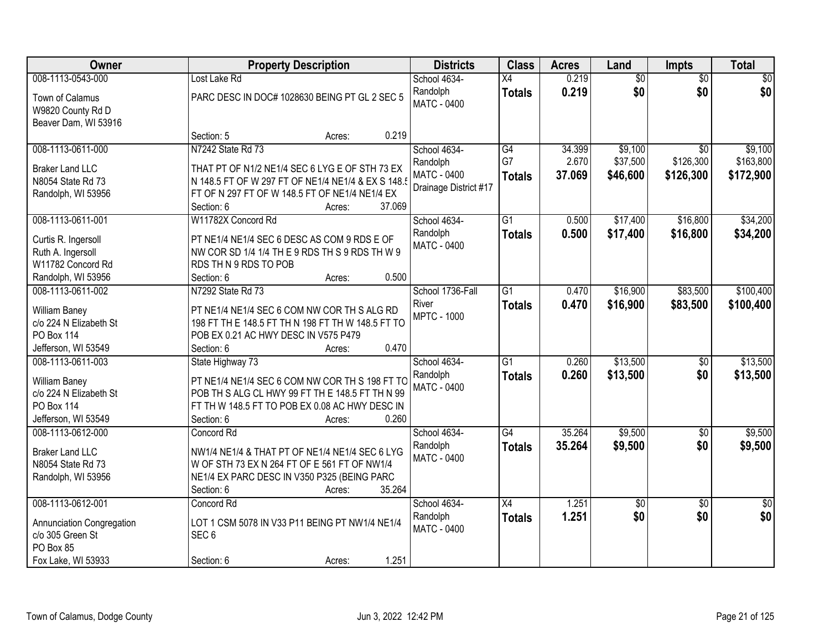| Owner                                                                                                    | <b>Property Description</b>                                                                                                                                                                     | <b>Districts</b>                                                 | <b>Class</b>                           | <b>Acres</b>              | Land                            | Impts                                     | <b>Total</b>                      |
|----------------------------------------------------------------------------------------------------------|-------------------------------------------------------------------------------------------------------------------------------------------------------------------------------------------------|------------------------------------------------------------------|----------------------------------------|---------------------------|---------------------------------|-------------------------------------------|-----------------------------------|
| 008-1113-0543-000                                                                                        | Lost Lake Rd                                                                                                                                                                                    | School 4634-                                                     | $\overline{X4}$                        | 0.219                     | \$0                             | $\overline{50}$                           | \$0                               |
| Town of Calamus<br>W9820 County Rd D<br>Beaver Dam, WI 53916                                             | PARC DESC IN DOC# 1028630 BEING PT GL 2 SEC 5                                                                                                                                                   | Randolph<br><b>MATC - 0400</b>                                   | <b>Totals</b>                          | 0.219                     | \$0                             | \$0                                       | \$0                               |
|                                                                                                          | Section: 5<br>Acres:                                                                                                                                                                            | 0.219                                                            |                                        |                           |                                 |                                           |                                   |
| 008-1113-0611-000<br><b>Braker Land LLC</b><br>N8054 State Rd 73<br>Randolph, WI 53956                   | N7242 State Rd 73<br>THAT PT OF N1/2 NE1/4 SEC 6 LYG E OF STH 73 EX<br>N 148.5 FT OF W 297 FT OF NE1/4 NE1/4 & EX S 148.5<br>FT OF N 297 FT OF W 148.5 FT OF NE1/4 NE1/4 EX                     | School 4634-<br>Randolph<br>MATC - 0400<br>Drainage District #17 | $\overline{G4}$<br>G7<br><b>Totals</b> | 34.399<br>2.670<br>37.069 | \$9,100<br>\$37,500<br>\$46,600 | $\overline{30}$<br>\$126,300<br>\$126,300 | \$9,100<br>\$163,800<br>\$172,900 |
|                                                                                                          | Section: 6<br>Acres:                                                                                                                                                                            | 37.069                                                           |                                        |                           |                                 |                                           |                                   |
| 008-1113-0611-001                                                                                        | W11782X Concord Rd                                                                                                                                                                              | School 4634-                                                     | $\overline{G1}$                        | 0.500                     | \$17,400                        | \$16,800                                  | \$34,200                          |
| Curtis R. Ingersoll<br>Ruth A. Ingersoll<br>W11782 Concord Rd                                            | PT NE1/4 NE1/4 SEC 6 DESC AS COM 9 RDS E OF<br>NW COR SD 1/4 1/4 TH E 9 RDS TH S 9 RDS TH W 9<br>RDS TH N 9 RDS TO POB                                                                          | Randolph<br><b>MATC - 0400</b>                                   | <b>Totals</b>                          | 0.500                     | \$17,400                        | \$16,800                                  | \$34,200                          |
| Randolph, WI 53956                                                                                       | Section: 6<br>Acres:                                                                                                                                                                            | 0.500                                                            |                                        |                           |                                 |                                           |                                   |
| 008-1113-0611-002<br>William Baney<br>c/o 224 N Elizabeth St<br><b>PO Box 114</b><br>Jefferson, WI 53549 | N7292 State Rd 73<br>PT NE1/4 NE1/4 SEC 6 COM NW COR TH S ALG RD<br>198 FT TH E 148.5 FT TH N 198 FT TH W 148.5 FT TO<br>POB EX 0.21 AC HWY DESC IN V575 P479<br>Section: 6<br>Acres:           | School 1736-Fall<br>River<br><b>MPTC - 1000</b><br>0.470         | $\overline{G1}$<br><b>Totals</b>       | 0.470<br>0.470            | \$16,900<br>\$16,900            | \$83,500<br>\$83,500                      | \$100,400<br>\$100,400            |
| 008-1113-0611-003<br>William Baney<br>c/o 224 N Elizabeth St<br><b>PO Box 114</b><br>Jefferson, WI 53549 | State Highway 73<br>PT NE1/4 NE1/4 SEC 6 COM NW COR TH S 198 FT TO<br>POB TH S ALG CL HWY 99 FT TH E 148.5 FT TH N 99<br>FT TH W 148.5 FT TO POB EX 0.08 AC HWY DESC IN<br>Section: 6<br>Acres: | School 4634-<br>Randolph<br><b>MATC - 0400</b><br>0.260          | $\overline{G1}$<br><b>Totals</b>       | 0.260<br>0.260            | \$13,500<br>\$13,500            | $\overline{50}$<br>\$0                    | \$13,500<br>\$13,500              |
| 008-1113-0612-000<br><b>Braker Land LLC</b><br>N8054 State Rd 73<br>Randolph, WI 53956                   | Concord Rd<br>NW1/4 NE1/4 & THAT PT OF NE1/4 NE1/4 SEC 6 LYG<br>W OF STH 73 EX N 264 FT OF E 561 FT OF NW1/4<br>NE1/4 EX PARC DESC IN V350 P325 (BEING PARC<br>Section: 6<br>Acres:             | School 4634-<br>Randolph<br><b>MATC - 0400</b><br>35.264         | $\overline{G4}$<br><b>Totals</b>       | 35.264<br>35.264          | \$9,500<br>\$9,500              | $\overline{50}$<br>\$0                    | \$9,500<br>\$9,500                |
| 008-1113-0612-001<br>Annunciation Congregation<br>c/o 305 Green St<br>PO Box 85<br>Fox Lake, WI 53933    | Concord Rd<br>LOT 1 CSM 5078 IN V33 P11 BEING PT NW1/4 NE1/4<br>SEC <sub>6</sub><br>Section: 6<br>Acres:                                                                                        | School 4634-<br>Randolph<br>MATC - 0400<br>1.251                 | $\overline{X4}$<br><b>Totals</b>       | 1.251<br>1.251            | \$0<br>\$0                      | $\overline{50}$<br>\$0                    | $\overline{50}$<br>\$0            |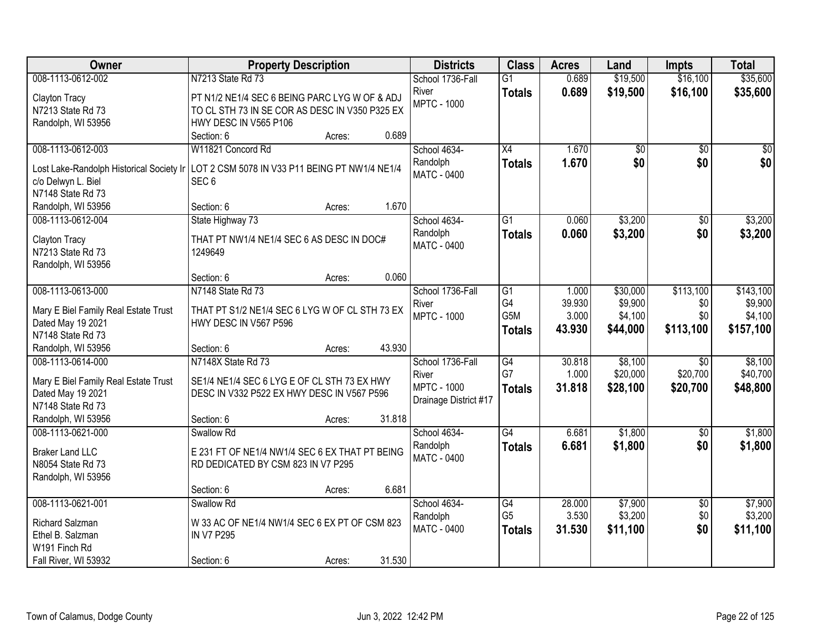| Owner                                                                                     | <b>Property Description</b>                    |                  | <b>Districts</b>            | <b>Class</b>    | <b>Acres</b>    | Land               | <b>Impts</b>    | <b>Total</b>       |
|-------------------------------------------------------------------------------------------|------------------------------------------------|------------------|-----------------------------|-----------------|-----------------|--------------------|-----------------|--------------------|
| 008-1113-0612-002                                                                         | N7213 State Rd 73                              |                  | School 1736-Fall            | $\overline{G1}$ | 0.689           | \$19,500           | \$16,100        | \$35,600           |
| Clayton Tracy                                                                             | PT N1/2 NE1/4 SEC 6 BEING PARC LYG W OF & ADJ  |                  | River                       | <b>Totals</b>   | 0.689           | \$19,500           | \$16,100        | \$35,600           |
| N7213 State Rd 73                                                                         | TO CL STH 73 IN SE COR AS DESC IN V350 P325 EX |                  | <b>MPTC - 1000</b>          |                 |                 |                    |                 |                    |
| Randolph, WI 53956                                                                        | HWY DESC IN V565 P106                          |                  |                             |                 |                 |                    |                 |                    |
|                                                                                           | Section: 6                                     | 0.689<br>Acres:  |                             |                 |                 |                    |                 |                    |
| 008-1113-0612-003                                                                         | W11821 Concord Rd                              |                  | School 4634-                | $\overline{X4}$ | 1.670           | \$0                | $\overline{50}$ | $\overline{50}$    |
| Lost Lake-Randolph Historical Society Ir   LOT 2 CSM 5078 IN V33 P11 BEING PT NW1/4 NE1/4 |                                                |                  | Randolph                    | <b>Totals</b>   | 1.670           | \$0                | \$0             | \$0                |
| c/o Delwyn L. Biel                                                                        | SEC <sub>6</sub>                               |                  | MATC - 0400                 |                 |                 |                    |                 |                    |
| N7148 State Rd 73                                                                         |                                                |                  |                             |                 |                 |                    |                 |                    |
| Randolph, WI 53956                                                                        | Section: 6                                     | 1.670<br>Acres:  |                             |                 |                 |                    |                 |                    |
| 008-1113-0612-004                                                                         | State Highway 73                               |                  | School 4634-                | $\overline{G1}$ | 0.060           | \$3,200            | $\overline{50}$ | \$3,200            |
|                                                                                           |                                                |                  | Randolph                    | <b>Totals</b>   | 0.060           | \$3,200            | \$0             | \$3,200            |
| <b>Clayton Tracy</b>                                                                      | THAT PT NW1/4 NE1/4 SEC 6 AS DESC IN DOC#      |                  | MATC - 0400                 |                 |                 |                    |                 |                    |
| N7213 State Rd 73                                                                         | 1249649                                        |                  |                             |                 |                 |                    |                 |                    |
| Randolph, WI 53956                                                                        |                                                |                  |                             |                 |                 |                    |                 |                    |
|                                                                                           | Section: 6                                     | 0.060<br>Acres:  |                             |                 |                 |                    |                 |                    |
| 008-1113-0613-000                                                                         | N7148 State Rd 73                              |                  | School 1736-Fall            | G1<br>G4        | 1.000<br>39.930 | \$30,000           | \$113,100       | \$143,100          |
| Mary E Biel Family Real Estate Trust                                                      | THAT PT S1/2 NE1/4 SEC 6 LYG W OF CL STH 73 EX |                  | River<br><b>MPTC - 1000</b> | G5M             | 3.000           | \$9,900<br>\$4,100 | \$0<br>\$0      | \$9,900<br>\$4,100 |
| Dated May 19 2021                                                                         | HWY DESC IN V567 P596                          |                  |                             |                 | 43.930          |                    | \$113,100       |                    |
| N7148 State Rd 73                                                                         |                                                |                  |                             | <b>Totals</b>   |                 | \$44,000           |                 | \$157,100          |
| Randolph, WI 53956                                                                        | Section: 6                                     | 43.930<br>Acres: |                             |                 |                 |                    |                 |                    |
| 008-1113-0614-000                                                                         | N7148X State Rd 73                             |                  | School 1736-Fall            | $\overline{G4}$ | 30.818          | \$8,100            | $\overline{30}$ | \$8,100            |
| Mary E Biel Family Real Estate Trust                                                      | SE1/4 NE1/4 SEC 6 LYG E OF CL STH 73 EX HWY    |                  | River                       | G7              | 1.000           | \$20,000           | \$20,700        | \$40,700           |
| Dated May 19 2021                                                                         | DESC IN V332 P522 EX HWY DESC IN V567 P596     |                  | <b>MPTC - 1000</b>          | <b>Totals</b>   | 31.818          | \$28,100           | \$20,700        | \$48,800           |
| N7148 State Rd 73                                                                         |                                                |                  | Drainage District #17       |                 |                 |                    |                 |                    |
| Randolph, WI 53956                                                                        | Section: 6                                     | 31.818<br>Acres: |                             |                 |                 |                    |                 |                    |
| 008-1113-0621-000                                                                         | Swallow Rd                                     |                  | School 4634-                | $\overline{G4}$ | 6.681           | \$1,800            | $\overline{50}$ | \$1,800            |
| <b>Braker Land LLC</b>                                                                    | E 231 FT OF NE1/4 NW1/4 SEC 6 EX THAT PT BEING |                  | Randolph                    | <b>Totals</b>   | 6.681           | \$1,800            | \$0             | \$1,800            |
| N8054 State Rd 73                                                                         | RD DEDICATED BY CSM 823 IN V7 P295             |                  | <b>MATC - 0400</b>          |                 |                 |                    |                 |                    |
| Randolph, WI 53956                                                                        |                                                |                  |                             |                 |                 |                    |                 |                    |
|                                                                                           | Section: 6                                     | 6.681<br>Acres:  |                             |                 |                 |                    |                 |                    |
| 008-1113-0621-001                                                                         | Swallow Rd                                     |                  | School 4634-                | G4              | 28.000          | \$7,900            | $\overline{50}$ | \$7,900            |
|                                                                                           |                                                |                  | Randolph                    | G <sub>5</sub>  | 3.530           | \$3,200            | \$0             | \$3,200            |
| Richard Salzman                                                                           | W 33 AC OF NE1/4 NW1/4 SEC 6 EX PT OF CSM 823  |                  | MATC - 0400                 | <b>Totals</b>   | 31.530          | \$11,100           | \$0             | \$11,100           |
| Ethel B. Salzman                                                                          | <b>IN V7 P295</b>                              |                  |                             |                 |                 |                    |                 |                    |
| W191 Finch Rd                                                                             |                                                |                  |                             |                 |                 |                    |                 |                    |
| Fall River, WI 53932                                                                      | Section: 6                                     | 31.530<br>Acres: |                             |                 |                 |                    |                 |                    |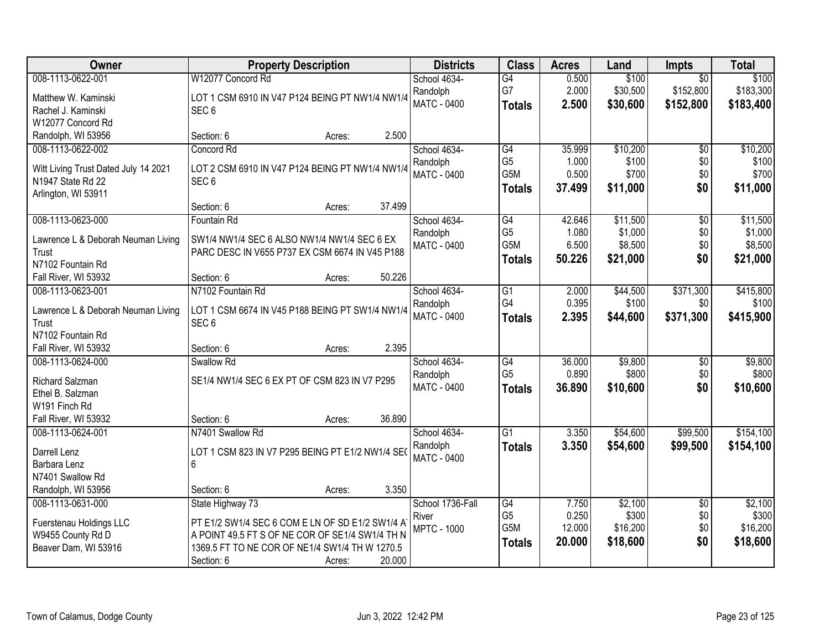| 008-1113-0622-001<br>W12077 Concord Rd<br>\$100<br>\$100<br>School 4634-<br>G4<br>0.500<br>$\overline{50}$<br>G7<br>2.000<br>\$152,800<br>\$183,300<br>\$30,500<br>Randolph<br>Matthew W. Kaminski<br>LOT 1 CSM 6910 IN V47 P124 BEING PT NW1/4 NW1/4<br><b>MATC - 0400</b><br>2.500<br>\$30,600<br>\$152,800<br>\$183,400<br><b>Totals</b><br>SEC <sub>6</sub><br>Rachel J. Kaminski<br>W12077 Concord Rd<br>2.500<br>Randolph, WI 53956<br>Section: 6<br>Acres:<br>008-1113-0622-002<br>Concord Rd<br>School 4634-<br>G4<br>35.999<br>\$10,200<br>$\overline{50}$<br>G <sub>5</sub><br>\$100<br>\$0<br>1.000<br>Randolph<br>Witt Living Trust Dated July 14 2021<br>LOT 2 CSM 6910 IN V47 P124 BEING PT NW1/4 NW1/4<br>G5M<br>0.500<br>\$700<br>\$0<br>\$700<br><b>MATC - 0400</b><br>N1947 State Rd 22<br>SEC <sub>6</sub><br>\$0<br>\$11,000<br>37.499<br>\$11,000<br><b>Totals</b><br>Arlington, WI 53911<br>37.499<br>Section: 6<br>Acres:<br>008-1113-0623-000<br>School 4634-<br>$\overline{G4}$<br>\$11,500<br>$\overline{50}$<br>\$11,500<br>Fountain Rd<br>42.646<br>G <sub>5</sub><br>\$1,000<br>\$0<br>1.080<br>Randolph<br>SW1/4 NW1/4 SEC 6 ALSO NW1/4 NW1/4 SEC 6 EX<br>Lawrence L & Deborah Neuman Living<br>G5M<br>6.500<br>\$8,500<br>\$0<br><b>MATC - 0400</b><br>Trust<br>PARC DESC IN V655 P737 EX CSM 6674 IN V45 P188<br>50.226<br>\$21,000<br>\$0<br><b>Totals</b><br>N7102 Fountain Rd<br>50.226<br>Fall River, WI 53932<br>Section: 6<br>Acres:<br>N7102 Fountain Rd<br>008-1113-0623-001<br>\$44,500<br>\$371,300<br>\$415,800<br>School 4634-<br>G1<br>2.000<br>G4<br>0.395<br>\$100<br>Randolph<br>\$0<br>LOT 1 CSM 6674 IN V45 P188 BEING PT SW1/4 NW1/4<br>Lawrence L & Deborah Neuman Living<br><b>MATC - 0400</b><br>\$371,300<br>2.395<br>\$44,600<br><b>Totals</b><br>SEC <sub>6</sub><br>Trust<br>N7102 Fountain Rd<br>2.395<br>Fall River, WI 53932<br>Section: 6<br>Acres:<br>$\overline{G4}$<br>36.000<br>\$9,800<br>\$9,800<br>008-1113-0624-000<br>Swallow Rd<br>School 4634-<br>\$0<br>G <sub>5</sub><br>0.890<br>\$800<br>\$0<br>Randolph<br>SE1/4 NW1/4 SEC 6 EX PT OF CSM 823 IN V7 P295<br>Richard Salzman<br>\$0<br>MATC - 0400<br>36.890<br>\$10,600<br><b>Totals</b><br>Ethel B. Salzman |
|--------------------------------------------------------------------------------------------------------------------------------------------------------------------------------------------------------------------------------------------------------------------------------------------------------------------------------------------------------------------------------------------------------------------------------------------------------------------------------------------------------------------------------------------------------------------------------------------------------------------------------------------------------------------------------------------------------------------------------------------------------------------------------------------------------------------------------------------------------------------------------------------------------------------------------------------------------------------------------------------------------------------------------------------------------------------------------------------------------------------------------------------------------------------------------------------------------------------------------------------------------------------------------------------------------------------------------------------------------------------------------------------------------------------------------------------------------------------------------------------------------------------------------------------------------------------------------------------------------------------------------------------------------------------------------------------------------------------------------------------------------------------------------------------------------------------------------------------------------------------------------------------------------------------------------------------------------------------------------------------------------------------------------------------------------------------------------------------------------------------------------------------------------------------------------------------------------------------------------------------|
|                                                                                                                                                                                                                                                                                                                                                                                                                                                                                                                                                                                                                                                                                                                                                                                                                                                                                                                                                                                                                                                                                                                                                                                                                                                                                                                                                                                                                                                                                                                                                                                                                                                                                                                                                                                                                                                                                                                                                                                                                                                                                                                                                                                                                                            |
|                                                                                                                                                                                                                                                                                                                                                                                                                                                                                                                                                                                                                                                                                                                                                                                                                                                                                                                                                                                                                                                                                                                                                                                                                                                                                                                                                                                                                                                                                                                                                                                                                                                                                                                                                                                                                                                                                                                                                                                                                                                                                                                                                                                                                                            |
|                                                                                                                                                                                                                                                                                                                                                                                                                                                                                                                                                                                                                                                                                                                                                                                                                                                                                                                                                                                                                                                                                                                                                                                                                                                                                                                                                                                                                                                                                                                                                                                                                                                                                                                                                                                                                                                                                                                                                                                                                                                                                                                                                                                                                                            |
| \$10,200                                                                                                                                                                                                                                                                                                                                                                                                                                                                                                                                                                                                                                                                                                                                                                                                                                                                                                                                                                                                                                                                                                                                                                                                                                                                                                                                                                                                                                                                                                                                                                                                                                                                                                                                                                                                                                                                                                                                                                                                                                                                                                                                                                                                                                   |
|                                                                                                                                                                                                                                                                                                                                                                                                                                                                                                                                                                                                                                                                                                                                                                                                                                                                                                                                                                                                                                                                                                                                                                                                                                                                                                                                                                                                                                                                                                                                                                                                                                                                                                                                                                                                                                                                                                                                                                                                                                                                                                                                                                                                                                            |
| \$100<br>\$1,000<br>\$8,500<br>\$21,000<br>\$100<br>\$415,900<br>\$800<br>\$10,600                                                                                                                                                                                                                                                                                                                                                                                                                                                                                                                                                                                                                                                                                                                                                                                                                                                                                                                                                                                                                                                                                                                                                                                                                                                                                                                                                                                                                                                                                                                                                                                                                                                                                                                                                                                                                                                                                                                                                                                                                                                                                                                                                         |
|                                                                                                                                                                                                                                                                                                                                                                                                                                                                                                                                                                                                                                                                                                                                                                                                                                                                                                                                                                                                                                                                                                                                                                                                                                                                                                                                                                                                                                                                                                                                                                                                                                                                                                                                                                                                                                                                                                                                                                                                                                                                                                                                                                                                                                            |
|                                                                                                                                                                                                                                                                                                                                                                                                                                                                                                                                                                                                                                                                                                                                                                                                                                                                                                                                                                                                                                                                                                                                                                                                                                                                                                                                                                                                                                                                                                                                                                                                                                                                                                                                                                                                                                                                                                                                                                                                                                                                                                                                                                                                                                            |
|                                                                                                                                                                                                                                                                                                                                                                                                                                                                                                                                                                                                                                                                                                                                                                                                                                                                                                                                                                                                                                                                                                                                                                                                                                                                                                                                                                                                                                                                                                                                                                                                                                                                                                                                                                                                                                                                                                                                                                                                                                                                                                                                                                                                                                            |
|                                                                                                                                                                                                                                                                                                                                                                                                                                                                                                                                                                                                                                                                                                                                                                                                                                                                                                                                                                                                                                                                                                                                                                                                                                                                                                                                                                                                                                                                                                                                                                                                                                                                                                                                                                                                                                                                                                                                                                                                                                                                                                                                                                                                                                            |
|                                                                                                                                                                                                                                                                                                                                                                                                                                                                                                                                                                                                                                                                                                                                                                                                                                                                                                                                                                                                                                                                                                                                                                                                                                                                                                                                                                                                                                                                                                                                                                                                                                                                                                                                                                                                                                                                                                                                                                                                                                                                                                                                                                                                                                            |
|                                                                                                                                                                                                                                                                                                                                                                                                                                                                                                                                                                                                                                                                                                                                                                                                                                                                                                                                                                                                                                                                                                                                                                                                                                                                                                                                                                                                                                                                                                                                                                                                                                                                                                                                                                                                                                                                                                                                                                                                                                                                                                                                                                                                                                            |
|                                                                                                                                                                                                                                                                                                                                                                                                                                                                                                                                                                                                                                                                                                                                                                                                                                                                                                                                                                                                                                                                                                                                                                                                                                                                                                                                                                                                                                                                                                                                                                                                                                                                                                                                                                                                                                                                                                                                                                                                                                                                                                                                                                                                                                            |
|                                                                                                                                                                                                                                                                                                                                                                                                                                                                                                                                                                                                                                                                                                                                                                                                                                                                                                                                                                                                                                                                                                                                                                                                                                                                                                                                                                                                                                                                                                                                                                                                                                                                                                                                                                                                                                                                                                                                                                                                                                                                                                                                                                                                                                            |
|                                                                                                                                                                                                                                                                                                                                                                                                                                                                                                                                                                                                                                                                                                                                                                                                                                                                                                                                                                                                                                                                                                                                                                                                                                                                                                                                                                                                                                                                                                                                                                                                                                                                                                                                                                                                                                                                                                                                                                                                                                                                                                                                                                                                                                            |
|                                                                                                                                                                                                                                                                                                                                                                                                                                                                                                                                                                                                                                                                                                                                                                                                                                                                                                                                                                                                                                                                                                                                                                                                                                                                                                                                                                                                                                                                                                                                                                                                                                                                                                                                                                                                                                                                                                                                                                                                                                                                                                                                                                                                                                            |
|                                                                                                                                                                                                                                                                                                                                                                                                                                                                                                                                                                                                                                                                                                                                                                                                                                                                                                                                                                                                                                                                                                                                                                                                                                                                                                                                                                                                                                                                                                                                                                                                                                                                                                                                                                                                                                                                                                                                                                                                                                                                                                                                                                                                                                            |
|                                                                                                                                                                                                                                                                                                                                                                                                                                                                                                                                                                                                                                                                                                                                                                                                                                                                                                                                                                                                                                                                                                                                                                                                                                                                                                                                                                                                                                                                                                                                                                                                                                                                                                                                                                                                                                                                                                                                                                                                                                                                                                                                                                                                                                            |
|                                                                                                                                                                                                                                                                                                                                                                                                                                                                                                                                                                                                                                                                                                                                                                                                                                                                                                                                                                                                                                                                                                                                                                                                                                                                                                                                                                                                                                                                                                                                                                                                                                                                                                                                                                                                                                                                                                                                                                                                                                                                                                                                                                                                                                            |
|                                                                                                                                                                                                                                                                                                                                                                                                                                                                                                                                                                                                                                                                                                                                                                                                                                                                                                                                                                                                                                                                                                                                                                                                                                                                                                                                                                                                                                                                                                                                                                                                                                                                                                                                                                                                                                                                                                                                                                                                                                                                                                                                                                                                                                            |
|                                                                                                                                                                                                                                                                                                                                                                                                                                                                                                                                                                                                                                                                                                                                                                                                                                                                                                                                                                                                                                                                                                                                                                                                                                                                                                                                                                                                                                                                                                                                                                                                                                                                                                                                                                                                                                                                                                                                                                                                                                                                                                                                                                                                                                            |
|                                                                                                                                                                                                                                                                                                                                                                                                                                                                                                                                                                                                                                                                                                                                                                                                                                                                                                                                                                                                                                                                                                                                                                                                                                                                                                                                                                                                                                                                                                                                                                                                                                                                                                                                                                                                                                                                                                                                                                                                                                                                                                                                                                                                                                            |
|                                                                                                                                                                                                                                                                                                                                                                                                                                                                                                                                                                                                                                                                                                                                                                                                                                                                                                                                                                                                                                                                                                                                                                                                                                                                                                                                                                                                                                                                                                                                                                                                                                                                                                                                                                                                                                                                                                                                                                                                                                                                                                                                                                                                                                            |
|                                                                                                                                                                                                                                                                                                                                                                                                                                                                                                                                                                                                                                                                                                                                                                                                                                                                                                                                                                                                                                                                                                                                                                                                                                                                                                                                                                                                                                                                                                                                                                                                                                                                                                                                                                                                                                                                                                                                                                                                                                                                                                                                                                                                                                            |
| W191 Finch Rd                                                                                                                                                                                                                                                                                                                                                                                                                                                                                                                                                                                                                                                                                                                                                                                                                                                                                                                                                                                                                                                                                                                                                                                                                                                                                                                                                                                                                                                                                                                                                                                                                                                                                                                                                                                                                                                                                                                                                                                                                                                                                                                                                                                                                              |
| 36.890<br>Fall River, WI 53932<br>Section: 6<br>Acres:                                                                                                                                                                                                                                                                                                                                                                                                                                                                                                                                                                                                                                                                                                                                                                                                                                                                                                                                                                                                                                                                                                                                                                                                                                                                                                                                                                                                                                                                                                                                                                                                                                                                                                                                                                                                                                                                                                                                                                                                                                                                                                                                                                                     |
| \$54,600<br>\$99,500<br>\$154,100<br>008-1113-0624-001<br>N7401 Swallow Rd<br>School 4634-<br>$\overline{G1}$<br>3.350                                                                                                                                                                                                                                                                                                                                                                                                                                                                                                                                                                                                                                                                                                                                                                                                                                                                                                                                                                                                                                                                                                                                                                                                                                                                                                                                                                                                                                                                                                                                                                                                                                                                                                                                                                                                                                                                                                                                                                                                                                                                                                                     |
| 3.350<br>\$54,600<br>\$154,100<br>Randolph<br>\$99,500<br><b>Totals</b><br>Darrell Lenz<br>LOT 1 CSM 823 IN V7 P295 BEING PT E1/2 NW1/4 SE0                                                                                                                                                                                                                                                                                                                                                                                                                                                                                                                                                                                                                                                                                                                                                                                                                                                                                                                                                                                                                                                                                                                                                                                                                                                                                                                                                                                                                                                                                                                                                                                                                                                                                                                                                                                                                                                                                                                                                                                                                                                                                                |
| <b>MATC - 0400</b><br>Barbara Lenz<br>6                                                                                                                                                                                                                                                                                                                                                                                                                                                                                                                                                                                                                                                                                                                                                                                                                                                                                                                                                                                                                                                                                                                                                                                                                                                                                                                                                                                                                                                                                                                                                                                                                                                                                                                                                                                                                                                                                                                                                                                                                                                                                                                                                                                                    |
| N7401 Swallow Rd                                                                                                                                                                                                                                                                                                                                                                                                                                                                                                                                                                                                                                                                                                                                                                                                                                                                                                                                                                                                                                                                                                                                                                                                                                                                                                                                                                                                                                                                                                                                                                                                                                                                                                                                                                                                                                                                                                                                                                                                                                                                                                                                                                                                                           |
| 3.350<br>Randolph, WI 53956<br>Section: 6<br>Acres:                                                                                                                                                                                                                                                                                                                                                                                                                                                                                                                                                                                                                                                                                                                                                                                                                                                                                                                                                                                                                                                                                                                                                                                                                                                                                                                                                                                                                                                                                                                                                                                                                                                                                                                                                                                                                                                                                                                                                                                                                                                                                                                                                                                        |
| 008-1113-0631-000<br>State Highway 73<br>School 1736-Fall<br>G4<br>\$2,100<br>\$2,100<br>7.750<br>$\overline{30}$                                                                                                                                                                                                                                                                                                                                                                                                                                                                                                                                                                                                                                                                                                                                                                                                                                                                                                                                                                                                                                                                                                                                                                                                                                                                                                                                                                                                                                                                                                                                                                                                                                                                                                                                                                                                                                                                                                                                                                                                                                                                                                                          |
| G <sub>5</sub><br>0.250<br>\$300<br>\$0<br>\$300<br>River<br>Fuerstenau Holdings LLC<br>PT E1/2 SW1/4 SEC 6 COM E LN OF SD E1/2 SW1/4 A                                                                                                                                                                                                                                                                                                                                                                                                                                                                                                                                                                                                                                                                                                                                                                                                                                                                                                                                                                                                                                                                                                                                                                                                                                                                                                                                                                                                                                                                                                                                                                                                                                                                                                                                                                                                                                                                                                                                                                                                                                                                                                    |
| G5M<br>\$16,200<br>\$0<br>\$16,200<br>12.000<br><b>MPTC - 1000</b><br>W9455 County Rd D<br>A POINT 49.5 FT S OF NE COR OF SE1/4 SW1/4 TH N                                                                                                                                                                                                                                                                                                                                                                                                                                                                                                                                                                                                                                                                                                                                                                                                                                                                                                                                                                                                                                                                                                                                                                                                                                                                                                                                                                                                                                                                                                                                                                                                                                                                                                                                                                                                                                                                                                                                                                                                                                                                                                 |
| \$18,600<br>\$0<br>20.000<br>\$18,600<br><b>Totals</b><br>1369.5 FT TO NE COR OF NE1/4 SW1/4 TH W 1270.5<br>Beaver Dam, WI 53916                                                                                                                                                                                                                                                                                                                                                                                                                                                                                                                                                                                                                                                                                                                                                                                                                                                                                                                                                                                                                                                                                                                                                                                                                                                                                                                                                                                                                                                                                                                                                                                                                                                                                                                                                                                                                                                                                                                                                                                                                                                                                                           |
| 20.000<br>Section: 6<br>Acres:                                                                                                                                                                                                                                                                                                                                                                                                                                                                                                                                                                                                                                                                                                                                                                                                                                                                                                                                                                                                                                                                                                                                                                                                                                                                                                                                                                                                                                                                                                                                                                                                                                                                                                                                                                                                                                                                                                                                                                                                                                                                                                                                                                                                             |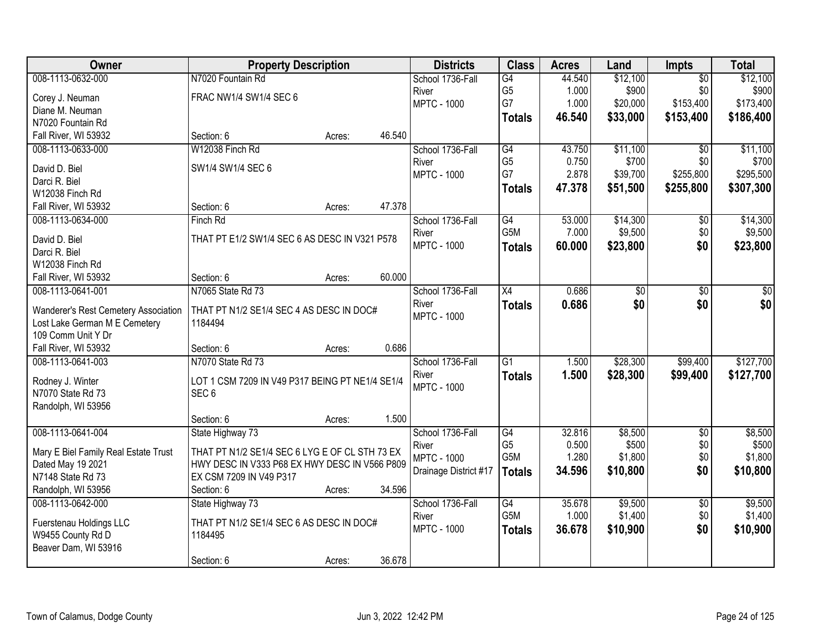| Owner                                                                 | <b>Property Description</b>                     | <b>Districts</b>      | <b>Class</b>     | <b>Acres</b> | Land     | Impts           | <b>Total</b> |
|-----------------------------------------------------------------------|-------------------------------------------------|-----------------------|------------------|--------------|----------|-----------------|--------------|
| 008-1113-0632-000                                                     | N7020 Fountain Rd                               | School 1736-Fall      | G4               | 44.540       | \$12,100 | $\overline{50}$ | \$12,100     |
| Corey J. Neuman                                                       | FRAC NW1/4 SW1/4 SEC 6                          | River                 | G <sub>5</sub>   | 1.000        | \$900    | \$0             | \$900        |
| Diane M. Neuman                                                       |                                                 | <b>MPTC - 1000</b>    | G7               | 1.000        | \$20,000 | \$153,400       | \$173,400    |
| N7020 Fountain Rd                                                     |                                                 |                       | <b>Totals</b>    | 46.540       | \$33,000 | \$153,400       | \$186,400    |
| Fall River, WI 53932                                                  | Section: 6<br>46.540<br>Acres:                  |                       |                  |              |          |                 |              |
| 008-1113-0633-000                                                     | W12038 Finch Rd                                 | School 1736-Fall      | G4               | 43.750       | \$11,100 | $\overline{30}$ | \$11,100     |
|                                                                       |                                                 | River                 | G <sub>5</sub>   | 0.750        | \$700    | \$0             | \$700        |
| David D. Biel                                                         | SW1/4 SW1/4 SEC 6                               | <b>MPTC - 1000</b>    | G7               | 2.878        | \$39,700 | \$255,800       | \$295,500    |
| Darci R. Biel                                                         |                                                 |                       | <b>Totals</b>    | 47.378       | \$51,500 | \$255,800       | \$307,300    |
| W12038 Finch Rd                                                       |                                                 |                       |                  |              |          |                 |              |
| Fall River, WI 53932                                                  | 47.378<br>Section: 6<br>Acres:                  |                       |                  |              |          |                 |              |
| 008-1113-0634-000                                                     | Finch Rd                                        | School 1736-Fall      | G4               | 53.000       | \$14,300 | \$0             | \$14,300     |
| David D. Biel                                                         | THAT PT E1/2 SW1/4 SEC 6 AS DESC IN V321 P578   | River                 | G5M              | 7.000        | \$9,500  | \$0             | \$9,500      |
| Darci R. Biel                                                         |                                                 | <b>MPTC - 1000</b>    | <b>Totals</b>    | 60.000       | \$23,800 | \$0             | \$23,800     |
| W12038 Finch Rd                                                       |                                                 |                       |                  |              |          |                 |              |
| Fall River, WI 53932                                                  | 60.000<br>Section: 6<br>Acres:                  |                       |                  |              |          |                 |              |
| 008-1113-0641-001                                                     | N7065 State Rd 73                               | School 1736-Fall      | X4               | 0.686        | \$0      | \$0             | \$0          |
|                                                                       | THAT PT N1/2 SE1/4 SEC 4 AS DESC IN DOC#        | River                 | <b>Totals</b>    | 0.686        | \$0      | \$0             | \$0          |
| Wanderer's Rest Cemetery Association<br>Lost Lake German M E Cemetery | 1184494                                         | <b>MPTC - 1000</b>    |                  |              |          |                 |              |
| 109 Comm Unit Y Dr                                                    |                                                 |                       |                  |              |          |                 |              |
| Fall River, WI 53932                                                  | 0.686<br>Section: 6<br>Acres:                   |                       |                  |              |          |                 |              |
| 008-1113-0641-003                                                     | N7070 State Rd 73                               | School 1736-Fall      | $\overline{G1}$  | 1.500        | \$28,300 | \$99,400        | \$127,700    |
|                                                                       |                                                 | River                 | <b>Totals</b>    | 1.500        | \$28,300 | \$99,400        | \$127,700    |
| Rodney J. Winter                                                      | LOT 1 CSM 7209 IN V49 P317 BEING PT NE1/4 SE1/4 | <b>MPTC - 1000</b>    |                  |              |          |                 |              |
| N7070 State Rd 73                                                     | SEC <sub>6</sub>                                |                       |                  |              |          |                 |              |
| Randolph, WI 53956                                                    |                                                 |                       |                  |              |          |                 |              |
|                                                                       | 1.500<br>Section: 6<br>Acres:                   |                       |                  |              |          |                 |              |
| 008-1113-0641-004                                                     | State Highway 73                                | School 1736-Fall      | $\overline{G4}$  | 32.816       | \$8,500  | $\overline{50}$ | \$8,500      |
| Mary E Biel Family Real Estate Trust                                  | THAT PT N1/2 SE1/4 SEC 6 LYG E OF CL STH 73 EX  | River                 | G <sub>5</sub>   | 0.500        | \$500    | \$0             | \$500        |
| Dated May 19 2021                                                     | HWY DESC IN V333 P68 EX HWY DESC IN V566 P809   | <b>MPTC - 1000</b>    | G5M              | 1.280        | \$1,800  | \$0             | \$1,800      |
| N7148 State Rd 73                                                     | EX CSM 7209 IN V49 P317                         | Drainage District #17 | <b>Totals</b>    | 34.596       | \$10,800 | \$0             | \$10,800     |
| Randolph, WI 53956                                                    | 34.596<br>Section: 6<br>Acres:                  |                       |                  |              |          |                 |              |
| 008-1113-0642-000                                                     | State Highway 73                                | School 1736-Fall      | $\overline{G4}$  | 35.678       | \$9,500  | $\overline{50}$ | \$9,500      |
|                                                                       |                                                 | River                 | G <sub>5</sub> M | 1.000        | \$1,400  | \$0             | \$1,400      |
| Fuerstenau Holdings LLC                                               | THAT PT N1/2 SE1/4 SEC 6 AS DESC IN DOC#        | <b>MPTC - 1000</b>    | <b>Totals</b>    | 36.678       | \$10,900 | \$0             | \$10,900     |
| W9455 County Rd D                                                     | 1184495                                         |                       |                  |              |          |                 |              |
| Beaver Dam, WI 53916                                                  |                                                 |                       |                  |              |          |                 |              |
|                                                                       | 36.678<br>Section: 6<br>Acres:                  |                       |                  |              |          |                 |              |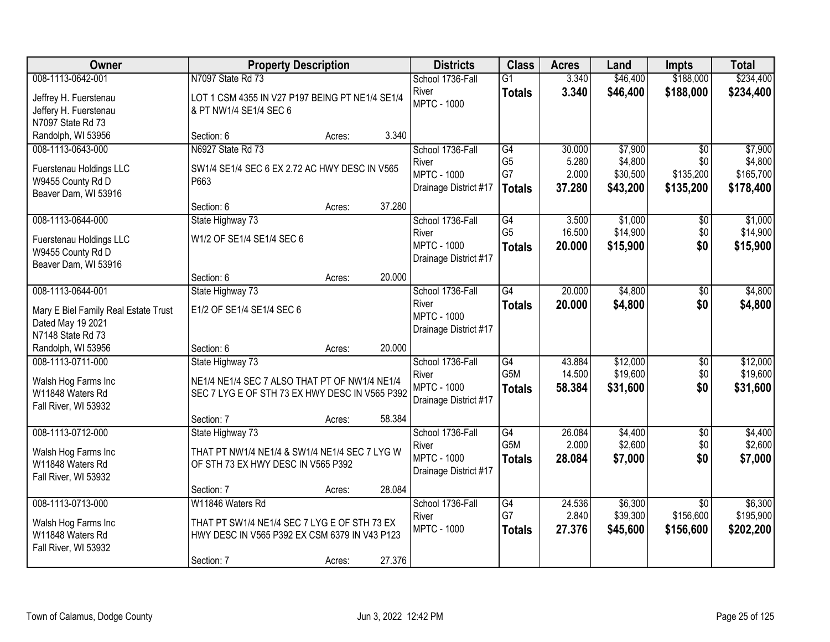| <b>Owner</b>                                                                              | <b>Property Description</b>                                                                                                                           | <b>Districts</b>                                                         | <b>Class</b>                                | <b>Acres</b>                       | Land                                       | <b>Impts</b>                                     | <b>Total</b>                                 |
|-------------------------------------------------------------------------------------------|-------------------------------------------------------------------------------------------------------------------------------------------------------|--------------------------------------------------------------------------|---------------------------------------------|------------------------------------|--------------------------------------------|--------------------------------------------------|----------------------------------------------|
| 008-1113-0642-001                                                                         | N7097 State Rd 73                                                                                                                                     | School 1736-Fall                                                         | $\overline{G1}$                             | 3.340                              | \$46,400                                   | \$188,000                                        | \$234,400                                    |
| Jeffrey H. Fuerstenau<br>Jeffery H. Fuerstenau<br>N7097 State Rd 73                       | LOT 1 CSM 4355 IN V27 P197 BEING PT NE1/4 SE1/4<br>& PT NW1/4 SE1/4 SEC 6                                                                             | River<br><b>MPTC - 1000</b>                                              | <b>Totals</b>                               | 3.340                              | \$46,400                                   | \$188,000                                        | \$234,400                                    |
| Randolph, WI 53956                                                                        | 3.340<br>Section: 6<br>Acres:                                                                                                                         |                                                                          |                                             |                                    |                                            |                                                  |                                              |
| 008-1113-0643-000<br>Fuerstenau Holdings LLC<br>W9455 County Rd D<br>Beaver Dam, WI 53916 | N6927 State Rd 73<br>SW1/4 SE1/4 SEC 6 EX 2.72 AC HWY DESC IN V565<br>P663<br>37.280<br>Section: 6<br>Acres:                                          | School 1736-Fall<br>River<br><b>MPTC - 1000</b><br>Drainage District #17 | G4<br>G <sub>5</sub><br>G7<br><b>Totals</b> | 30.000<br>5.280<br>2.000<br>37.280 | \$7,900<br>\$4,800<br>\$30,500<br>\$43,200 | $\overline{50}$<br>\$0<br>\$135,200<br>\$135,200 | \$7,900<br>\$4,800<br>\$165,700<br>\$178,400 |
| 008-1113-0644-000                                                                         | State Highway 73                                                                                                                                      | School 1736-Fall                                                         | $\overline{G4}$                             | 3.500                              | \$1,000                                    | \$0                                              | \$1,000                                      |
| Fuerstenau Holdings LLC<br>W9455 County Rd D<br>Beaver Dam, WI 53916                      | W1/2 OF SE1/4 SE1/4 SEC 6                                                                                                                             | River<br><b>MPTC - 1000</b><br>Drainage District #17                     | G <sub>5</sub><br><b>Totals</b>             | 16.500<br>20.000                   | \$14,900<br>\$15,900                       | \$0<br>\$0                                       | \$14,900<br>\$15,900                         |
|                                                                                           | 20.000<br>Section: 6<br>Acres:                                                                                                                        |                                                                          |                                             |                                    |                                            |                                                  |                                              |
| 008-1113-0644-001<br>Mary E Biel Family Real Estate Trust<br>Dated May 19 2021            | State Highway 73<br>E1/2 OF SE1/4 SE1/4 SEC 6                                                                                                         | School 1736-Fall<br>River<br><b>MPTC - 1000</b><br>Drainage District #17 | $\overline{G4}$<br><b>Totals</b>            | 20.000<br>20.000                   | \$4,800<br>\$4,800                         | \$0<br>\$0                                       | \$4,800<br>\$4,800                           |
| N7148 State Rd 73<br>Randolph, WI 53956                                                   | 20.000<br>Section: 6<br>Acres:                                                                                                                        |                                                                          |                                             |                                    |                                            |                                                  |                                              |
| 008-1113-0711-000<br>Walsh Hog Farms Inc<br>W11848 Waters Rd<br>Fall River, WI 53932      | State Highway 73<br>NE1/4 NE1/4 SEC 7 ALSO THAT PT OF NW1/4 NE1/4<br>SEC 7 LYG E OF STH 73 EX HWY DESC IN V565 P392<br>58.384<br>Section: 7<br>Acres: | School 1736-Fall<br>River<br><b>MPTC - 1000</b><br>Drainage District #17 | G4<br>G <sub>5</sub> M<br><b>Totals</b>     | 43.884<br>14.500<br>58.384         | \$12,000<br>\$19,600<br>\$31,600           | \$0<br>\$0<br>\$0                                | \$12,000<br>\$19,600<br>\$31,600             |
| 008-1113-0712-000<br>Walsh Hog Farms Inc<br>W11848 Waters Rd<br>Fall River, WI 53932      | State Highway 73<br>THAT PT NW1/4 NE1/4 & SW1/4 NE1/4 SEC 7 LYG W<br>OF STH 73 EX HWY DESC IN V565 P392<br>28.084<br>Section: 7<br>Acres:             | School 1736-Fall<br>River<br><b>MPTC - 1000</b><br>Drainage District #17 | G4<br>G5M<br><b>Totals</b>                  | 26.084<br>2.000<br>28.084          | \$4,400<br>\$2,600<br>\$7,000              | $\overline{50}$<br>\$0<br>\$0                    | \$4,400<br>\$2,600<br>\$7,000                |
| 008-1113-0713-000<br>Walsh Hog Farms Inc<br>W11848 Waters Rd<br>Fall River, WI 53932      | W11846 Waters Rd<br>THAT PT SW1/4 NE1/4 SEC 7 LYG E OF STH 73 EX<br>HWY DESC IN V565 P392 EX CSM 6379 IN V43 P123<br>27.376<br>Section: 7<br>Acres:   | School 1736-Fall<br>River<br><b>MPTC - 1000</b>                          | $\overline{G4}$<br>G7<br><b>Totals</b>      | 24.536<br>2.840<br>27.376          | \$6,300<br>\$39,300<br>\$45,600            | $\overline{50}$<br>\$156,600<br>\$156,600        | \$6,300<br>\$195,900<br>\$202,200            |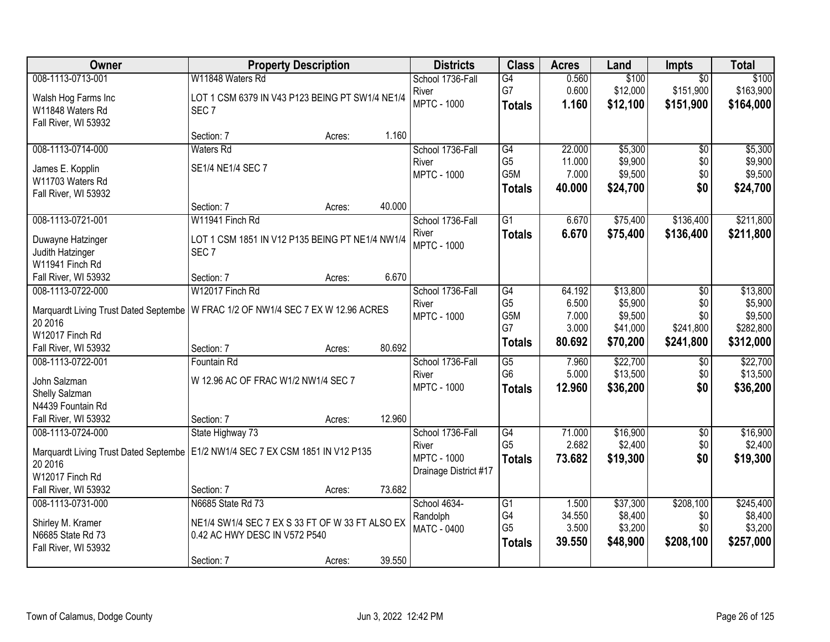| Owner                                                                            | <b>Property Description</b>                     |        |        | <b>Districts</b>      | <b>Class</b>    | <b>Acres</b> | Land     | <b>Impts</b>    | <b>Total</b> |
|----------------------------------------------------------------------------------|-------------------------------------------------|--------|--------|-----------------------|-----------------|--------------|----------|-----------------|--------------|
| 008-1113-0713-001                                                                | W11848 Waters Rd                                |        |        | School 1736-Fall      | G4              | 0.560        | \$100    | $\overline{50}$ | \$100        |
| Walsh Hog Farms Inc                                                              | LOT 1 CSM 6379 IN V43 P123 BEING PT SW1/4 NE1/4 |        |        | River                 | G7              | 0.600        | \$12,000 | \$151,900       | \$163,900    |
| W11848 Waters Rd                                                                 | SEC <sub>7</sub>                                |        |        | <b>MPTC - 1000</b>    | <b>Totals</b>   | 1.160        | \$12,100 | \$151,900       | \$164,000    |
| Fall River, WI 53932                                                             |                                                 |        |        |                       |                 |              |          |                 |              |
|                                                                                  | Section: 7                                      | Acres: | 1.160  |                       |                 |              |          |                 |              |
| 008-1113-0714-000                                                                | <b>Waters Rd</b>                                |        |        | School 1736-Fall      | G4              | 22.000       | \$5,300  | $\overline{50}$ | \$5,300      |
| James E. Kopplin                                                                 | SE1/4 NE1/4 SEC 7                               |        |        | River                 | G <sub>5</sub>  | 11.000       | \$9,900  | \$0             | \$9,900      |
| W11703 Waters Rd                                                                 |                                                 |        |        | <b>MPTC - 1000</b>    | G5M             | 7.000        | \$9,500  | \$0             | \$9,500      |
| Fall River, WI 53932                                                             |                                                 |        |        |                       | <b>Totals</b>   | 40.000       | \$24,700 | \$0             | \$24,700     |
|                                                                                  | Section: 7                                      | Acres: | 40.000 |                       |                 |              |          |                 |              |
| 008-1113-0721-001                                                                | W11941 Finch Rd                                 |        |        | School 1736-Fall      | G1              | 6.670        | \$75,400 | \$136,400       | \$211,800    |
| Duwayne Hatzinger                                                                | LOT 1 CSM 1851 IN V12 P135 BEING PT NE1/4 NW1/4 |        |        | River                 | <b>Totals</b>   | 6.670        | \$75,400 | \$136,400       | \$211,800    |
| Judith Hatzinger                                                                 | SEC <sub>7</sub>                                |        |        | <b>MPTC - 1000</b>    |                 |              |          |                 |              |
| W11941 Finch Rd                                                                  |                                                 |        |        |                       |                 |              |          |                 |              |
| Fall River, WI 53932                                                             | Section: 7                                      | Acres: | 6.670  |                       |                 |              |          |                 |              |
| 008-1113-0722-000                                                                | W12017 Finch Rd                                 |        |        | School 1736-Fall      | $\overline{G4}$ | 64.192       | \$13,800 | \$0             | \$13,800     |
| Marquardt Living Trust Dated Septembe                                            | W FRAC 1/2 OF NW1/4 SEC 7 EX W 12.96 ACRES      |        |        | River                 | G <sub>5</sub>  | 6.500        | \$5,900  | \$0             | \$5,900      |
| 20 2016                                                                          |                                                 |        |        | <b>MPTC - 1000</b>    | G5M             | 7.000        | \$9,500  | \$0             | \$9,500      |
| W12017 Finch Rd                                                                  |                                                 |        |        |                       | G7              | 3.000        | \$41,000 | \$241,800       | \$282,800    |
| Fall River, WI 53932                                                             | Section: 7                                      | Acres: | 80.692 |                       | <b>Totals</b>   | 80.692       | \$70,200 | \$241,800       | \$312,000    |
| 008-1113-0722-001                                                                | Fountain Rd                                     |        |        | School 1736-Fall      | $\overline{G5}$ | 7.960        | \$22,700 | \$0             | \$22,700     |
| John Salzman                                                                     | W 12.96 AC OF FRAC W1/2 NW1/4 SEC 7             |        |        | River                 | G <sub>6</sub>  | 5.000        | \$13,500 | \$0             | \$13,500     |
| Shelly Salzman                                                                   |                                                 |        |        | <b>MPTC - 1000</b>    | <b>Totals</b>   | 12.960       | \$36,200 | \$0             | \$36,200     |
| N4439 Fountain Rd                                                                |                                                 |        |        |                       |                 |              |          |                 |              |
| Fall River, WI 53932                                                             | Section: 7                                      | Acres: | 12.960 |                       |                 |              |          |                 |              |
| 008-1113-0724-000                                                                | State Highway 73                                |        |        | School 1736-Fall      | G4              | 71.000       | \$16,900 | $\overline{60}$ | \$16,900     |
| Marquardt Living Trust Dated Septembe   E1/2 NW1/4 SEC 7 EX CSM 1851 IN V12 P135 |                                                 |        |        | River                 | G <sub>5</sub>  | 2.682        | \$2,400  | \$0             | \$2,400      |
| 20 2016                                                                          |                                                 |        |        | <b>MPTC - 1000</b>    | <b>Totals</b>   | 73.682       | \$19,300 | \$0             | \$19,300     |
| W12017 Finch Rd                                                                  |                                                 |        |        | Drainage District #17 |                 |              |          |                 |              |
| Fall River, WI 53932                                                             | Section: 7                                      | Acres: | 73.682 |                       |                 |              |          |                 |              |
| 008-1113-0731-000                                                                | N6685 State Rd 73                               |        |        | School 4634-          | G1              | 1.500        | \$37,300 | \$208,100       | \$245,400    |
|                                                                                  | NE1/4 SW1/4 SEC 7 EX S 33 FT OF W 33 FT ALSO EX |        |        | Randolph              | G4              | 34.550       | \$8,400  | \$0             | \$8,400      |
| Shirley M. Kramer<br>N6685 State Rd 73                                           | 0.42 AC HWY DESC IN V572 P540                   |        |        | <b>MATC - 0400</b>    | G <sub>5</sub>  | 3.500        | \$3,200  | \$0             | \$3,200      |
| Fall River, WI 53932                                                             |                                                 |        |        |                       | <b>Totals</b>   | 39.550       | \$48,900 | \$208,100       | \$257,000    |
|                                                                                  | Section: 7                                      | Acres: | 39.550 |                       |                 |              |          |                 |              |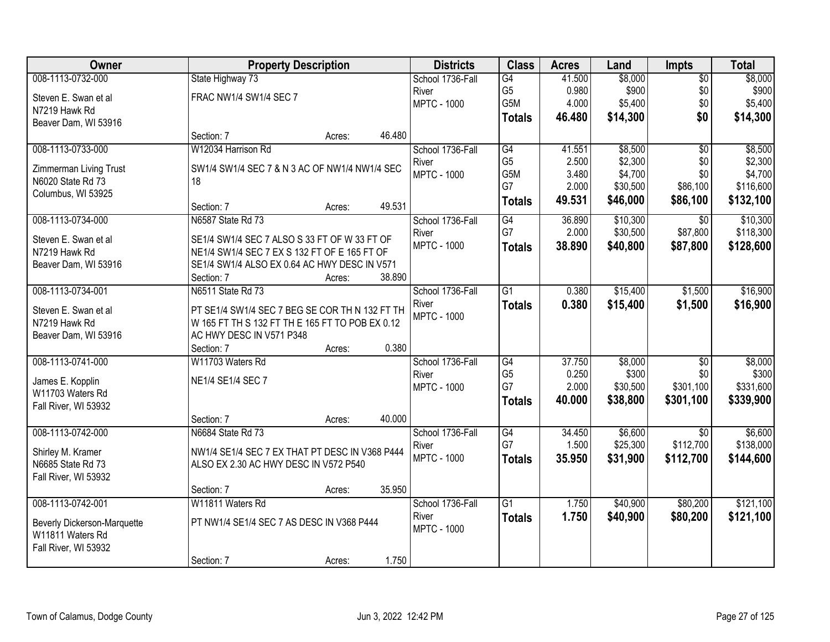| Owner                              |                                                 | <b>Property Description</b> |        | <b>Districts</b>   | <b>Class</b>    | <b>Acres</b> | Land     | <b>Impts</b>    | <b>Total</b> |
|------------------------------------|-------------------------------------------------|-----------------------------|--------|--------------------|-----------------|--------------|----------|-----------------|--------------|
| 008-1113-0732-000                  | State Highway 73                                |                             |        | School 1736-Fall   | G4              | 41.500       | \$8,000  | $\overline{60}$ | \$8,000      |
| Steven E. Swan et al               | FRAC NW1/4 SW1/4 SEC 7                          |                             |        | River              | G <sub>5</sub>  | 0.980        | \$900    | \$0             | \$900        |
| N7219 Hawk Rd                      |                                                 |                             |        | <b>MPTC - 1000</b> | G5M             | 4.000        | \$5,400  | \$0             | \$5,400      |
| Beaver Dam, WI 53916               |                                                 |                             |        |                    | <b>Totals</b>   | 46.480       | \$14,300 | \$0             | \$14,300     |
|                                    | Section: 7                                      | Acres:                      | 46.480 |                    |                 |              |          |                 |              |
| 008-1113-0733-000                  | W12034 Harrison Rd                              |                             |        | School 1736-Fall   | G4              | 41.551       | \$8,500  | $\overline{50}$ | \$8,500      |
| Zimmerman Living Trust             | SW1/4 SW1/4 SEC 7 & N 3 AC OF NW1/4 NW1/4 SEC   |                             |        | River              | G <sub>5</sub>  | 2.500        | \$2,300  | \$0             | \$2,300      |
| N6020 State Rd 73                  | 18                                              |                             |        | <b>MPTC - 1000</b> | G5M             | 3.480        | \$4,700  | \$0             | \$4,700      |
| Columbus, WI 53925                 |                                                 |                             |        |                    | G7              | 2.000        | \$30,500 | \$86,100        | \$116,600    |
|                                    | Section: 7                                      | Acres:                      | 49.531 |                    | <b>Totals</b>   | 49.531       | \$46,000 | \$86,100        | \$132,100    |
| 008-1113-0734-000                  | N6587 State Rd 73                               |                             |        | School 1736-Fall   | G4              | 36.890       | \$10,300 | $\sqrt{6}$      | \$10,300     |
| Steven E. Swan et al               | SE1/4 SW1/4 SEC 7 ALSO S 33 FT OF W 33 FT OF    |                             |        | River              | G7              | 2.000        | \$30,500 | \$87,800        | \$118,300    |
| N7219 Hawk Rd                      | NE1/4 SW1/4 SEC 7 EX S 132 FT OF E 165 FT OF    |                             |        | <b>MPTC - 1000</b> | <b>Totals</b>   | 38.890       | \$40,800 | \$87,800        | \$128,600    |
| Beaver Dam, WI 53916               | SE1/4 SW1/4 ALSO EX 0.64 AC HWY DESC IN V571    |                             |        |                    |                 |              |          |                 |              |
|                                    | Section: 7                                      | Acres:                      | 38.890 |                    |                 |              |          |                 |              |
| 008-1113-0734-001                  | N6511 State Rd 73                               |                             |        | School 1736-Fall   | $\overline{G1}$ | 0.380        | \$15,400 | \$1,500         | \$16,900     |
| Steven E. Swan et al               | PT SE1/4 SW1/4 SEC 7 BEG SE COR TH N 132 FT TH  |                             |        | River              | <b>Totals</b>   | 0.380        | \$15,400 | \$1,500         | \$16,900     |
| N7219 Hawk Rd                      | W 165 FT TH S 132 FT TH E 165 FT TO POB EX 0.12 |                             |        | <b>MPTC - 1000</b> |                 |              |          |                 |              |
| Beaver Dam, WI 53916               | AC HWY DESC IN V571 P348                        |                             |        |                    |                 |              |          |                 |              |
|                                    | Section: 7                                      | Acres:                      | 0.380  |                    |                 |              |          |                 |              |
| 008-1113-0741-000                  | W11703 Waters Rd                                |                             |        | School 1736-Fall   | G4              | 37.750       | \$8,000  | $\overline{50}$ | \$8,000      |
| James E. Kopplin                   | NE1/4 SE1/4 SEC 7                               |                             |        | River              | G <sub>5</sub>  | 0.250        | \$300    | \$0             | \$300        |
| W11703 Waters Rd                   |                                                 |                             |        | <b>MPTC - 1000</b> | G7              | 2.000        | \$30,500 | \$301,100       | \$331,600    |
| Fall River, WI 53932               |                                                 |                             |        |                    | <b>Totals</b>   | 40.000       | \$38,800 | \$301,100       | \$339,900    |
|                                    | Section: 7                                      | Acres:                      | 40.000 |                    |                 |              |          |                 |              |
| 008-1113-0742-000                  | N6684 State Rd 73                               |                             |        | School 1736-Fall   | G4              | 34.450       | \$6,600  | $\overline{30}$ | \$6,600      |
| Shirley M. Kramer                  | NW1/4 SE1/4 SEC 7 EX THAT PT DESC IN V368 P444  |                             |        | River              | G7              | 1.500        | \$25,300 | \$112,700       | \$138,000    |
| N6685 State Rd 73                  | ALSO EX 2.30 AC HWY DESC IN V572 P540           |                             |        | <b>MPTC - 1000</b> | <b>Totals</b>   | 35.950       | \$31,900 | \$112,700       | \$144,600    |
| Fall River, WI 53932               |                                                 |                             |        |                    |                 |              |          |                 |              |
|                                    | Section: 7                                      | Acres:                      | 35.950 |                    |                 |              |          |                 |              |
| 008-1113-0742-001                  | W11811 Waters Rd                                |                             |        | School 1736-Fall   | $\overline{G1}$ | 1.750        | \$40,900 | \$80,200        | \$121,100    |
| <b>Beverly Dickerson-Marquette</b> | PT NW1/4 SE1/4 SEC 7 AS DESC IN V368 P444       |                             |        | River              | <b>Totals</b>   | 1.750        | \$40,900 | \$80,200        | \$121,100    |
| W11811 Waters Rd                   |                                                 |                             |        | <b>MPTC - 1000</b> |                 |              |          |                 |              |
| Fall River, WI 53932               |                                                 |                             |        |                    |                 |              |          |                 |              |
|                                    | Section: 7                                      | Acres:                      | 1.750  |                    |                 |              |          |                 |              |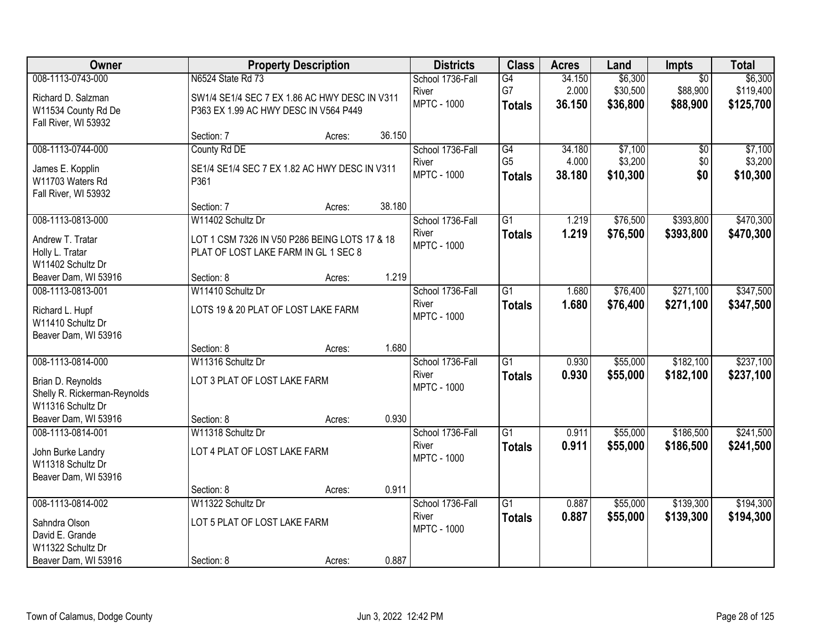| Owner                                     |                                               | <b>Property Description</b> |        | <b>Districts</b>            | <b>Class</b>                    | <b>Acres</b>    | Land                | <b>Impts</b>    | <b>Total</b>        |
|-------------------------------------------|-----------------------------------------------|-----------------------------|--------|-----------------------------|---------------------------------|-----------------|---------------------|-----------------|---------------------|
| 008-1113-0743-000                         | N6524 State Rd 73                             |                             |        | School 1736-Fall            | G4                              | 34.150          | \$6,300             | $\overline{50}$ | \$6,300             |
| Richard D. Salzman                        | SW1/4 SE1/4 SEC 7 EX 1.86 AC HWY DESC IN V311 |                             |        | River                       | G7                              | 2.000           | \$30,500            | \$88,900        | \$119,400           |
| W11534 County Rd De                       | P363 EX 1.99 AC HWY DESC IN V564 P449         |                             |        | <b>MPTC - 1000</b>          | <b>Totals</b>                   | 36.150          | \$36,800            | \$88,900        | \$125,700           |
| Fall River, WI 53932                      |                                               |                             |        |                             |                                 |                 |                     |                 |                     |
|                                           | Section: 7                                    | Acres:                      | 36.150 |                             |                                 |                 |                     |                 |                     |
| 008-1113-0744-000                         | County Rd DE                                  |                             |        | School 1736-Fall            | G4                              | 34.180          | \$7,100             | \$0             | \$7,100             |
| James E. Kopplin                          | SE1/4 SE1/4 SEC 7 EX 1.82 AC HWY DESC IN V311 |                             |        | River<br><b>MPTC - 1000</b> | G <sub>5</sub><br><b>Totals</b> | 4.000<br>38.180 | \$3,200<br>\$10,300 | \$0<br>\$0      | \$3,200<br>\$10,300 |
| W11703 Waters Rd                          | P361                                          |                             |        |                             |                                 |                 |                     |                 |                     |
| Fall River, WI 53932                      |                                               |                             |        |                             |                                 |                 |                     |                 |                     |
| 008-1113-0813-000                         | Section: 7<br>W11402 Schultz Dr               | Acres:                      | 38.180 | School 1736-Fall            | G1                              | 1.219           | \$76,500            | \$393,800       | \$470,300           |
|                                           |                                               |                             |        | River                       | <b>Totals</b>                   | 1.219           | \$76,500            | \$393,800       | \$470,300           |
| Andrew T. Tratar                          | LOT 1 CSM 7326 IN V50 P286 BEING LOTS 17 & 18 |                             |        | <b>MPTC - 1000</b>          |                                 |                 |                     |                 |                     |
| Holly L. Tratar                           | PLAT OF LOST LAKE FARM IN GL 1 SEC 8          |                             |        |                             |                                 |                 |                     |                 |                     |
| W11402 Schultz Dr<br>Beaver Dam, WI 53916 | Section: 8                                    | Acres:                      | 1.219  |                             |                                 |                 |                     |                 |                     |
| 008-1113-0813-001                         | W11410 Schultz Dr                             |                             |        | School 1736-Fall            | $\overline{G1}$                 | 1.680           | \$76,400            | \$271,100       | \$347,500           |
|                                           |                                               |                             |        | River                       | <b>Totals</b>                   | 1.680           | \$76,400            | \$271,100       | \$347,500           |
| Richard L. Hupf<br>W11410 Schultz Dr      | LOTS 19 & 20 PLAT OF LOST LAKE FARM           |                             |        | <b>MPTC - 1000</b>          |                                 |                 |                     |                 |                     |
| Beaver Dam, WI 53916                      |                                               |                             |        |                             |                                 |                 |                     |                 |                     |
|                                           | Section: 8                                    | Acres:                      | 1.680  |                             |                                 |                 |                     |                 |                     |
| 008-1113-0814-000                         | W11316 Schultz Dr                             |                             |        | School 1736-Fall            | $\overline{G1}$                 | 0.930           | \$55,000            | \$182,100       | \$237,100           |
| Brian D. Reynolds                         | LOT 3 PLAT OF LOST LAKE FARM                  |                             |        | River                       | <b>Totals</b>                   | 0.930           | \$55,000            | \$182,100       | \$237,100           |
| Shelly R. Rickerman-Reynolds              |                                               |                             |        | <b>MPTC - 1000</b>          |                                 |                 |                     |                 |                     |
| W11316 Schultz Dr                         |                                               |                             |        |                             |                                 |                 |                     |                 |                     |
| Beaver Dam, WI 53916                      | Section: 8                                    | Acres:                      | 0.930  |                             |                                 |                 |                     |                 |                     |
| 008-1113-0814-001                         | W11318 Schultz Dr                             |                             |        | School 1736-Fall            | $\overline{G1}$                 | 0.911           | \$55,000            | \$186,500       | \$241,500           |
| John Burke Landry                         | LOT 4 PLAT OF LOST LAKE FARM                  |                             |        | River                       | <b>Totals</b>                   | 0.911           | \$55,000            | \$186,500       | \$241,500           |
| W11318 Schultz Dr                         |                                               |                             |        | <b>MPTC - 1000</b>          |                                 |                 |                     |                 |                     |
| Beaver Dam, WI 53916                      |                                               |                             |        |                             |                                 |                 |                     |                 |                     |
|                                           | Section: 8                                    | Acres:                      | 0.911  |                             |                                 |                 |                     |                 |                     |
| 008-1113-0814-002                         | W11322 Schultz Dr                             |                             |        | School 1736-Fall            | $\overline{G1}$                 | 0.887           | \$55,000            | \$139,300       | \$194,300           |
| Sahndra Olson                             | LOT 5 PLAT OF LOST LAKE FARM                  |                             |        | River<br><b>MPTC - 1000</b> | <b>Totals</b>                   | 0.887           | \$55,000            | \$139,300       | \$194,300           |
| David E. Grande                           |                                               |                             |        |                             |                                 |                 |                     |                 |                     |
| W11322 Schultz Dr                         |                                               |                             |        |                             |                                 |                 |                     |                 |                     |
| Beaver Dam, WI 53916                      | Section: 8                                    | Acres:                      | 0.887  |                             |                                 |                 |                     |                 |                     |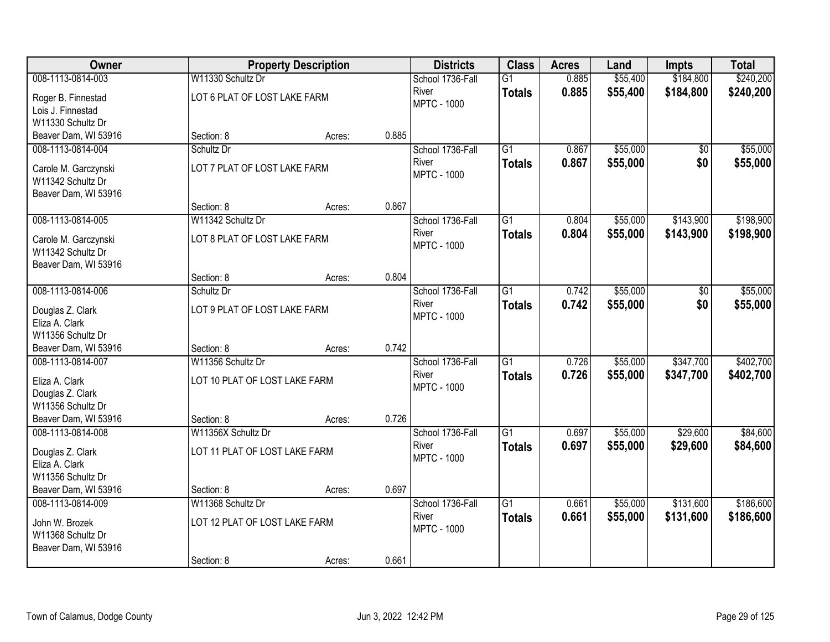| Owner                |                               | <b>Property Description</b> |       | <b>Districts</b>   | <b>Class</b>    | <b>Acres</b> | Land     | <b>Impts</b>    | <b>Total</b> |
|----------------------|-------------------------------|-----------------------------|-------|--------------------|-----------------|--------------|----------|-----------------|--------------|
| 008-1113-0814-003    | W11330 Schultz Dr             |                             |       | School 1736-Fall   | $\overline{G1}$ | 0.885        | \$55,400 | \$184,800       | \$240,200    |
| Roger B. Finnestad   | LOT 6 PLAT OF LOST LAKE FARM  |                             |       | River              | <b>Totals</b>   | 0.885        | \$55,400 | \$184,800       | \$240,200    |
| Lois J. Finnestad    |                               |                             |       | <b>MPTC - 1000</b> |                 |              |          |                 |              |
| W11330 Schultz Dr    |                               |                             |       |                    |                 |              |          |                 |              |
| Beaver Dam, WI 53916 | Section: 8                    | Acres:                      | 0.885 |                    |                 |              |          |                 |              |
| 008-1113-0814-004    | Schultz Dr                    |                             |       | School 1736-Fall   | $\overline{G1}$ | 0.867        | \$55,000 | $\overline{50}$ | \$55,000     |
| Carole M. Garczynski | LOT 7 PLAT OF LOST LAKE FARM  |                             |       | River              | <b>Totals</b>   | 0.867        | \$55,000 | \$0             | \$55,000     |
| W11342 Schultz Dr    |                               |                             |       | <b>MPTC - 1000</b> |                 |              |          |                 |              |
| Beaver Dam, WI 53916 |                               |                             |       |                    |                 |              |          |                 |              |
|                      | Section: 8                    | Acres:                      | 0.867 |                    |                 |              |          |                 |              |
| 008-1113-0814-005    | W11342 Schultz Dr             |                             |       | School 1736-Fall   | $\overline{G1}$ | 0.804        | \$55,000 | \$143,900       | \$198,900    |
| Carole M. Garczynski | LOT 8 PLAT OF LOST LAKE FARM  |                             |       | River              | <b>Totals</b>   | 0.804        | \$55,000 | \$143,900       | \$198,900    |
| W11342 Schultz Dr    |                               |                             |       | <b>MPTC - 1000</b> |                 |              |          |                 |              |
| Beaver Dam, WI 53916 |                               |                             |       |                    |                 |              |          |                 |              |
|                      | Section: 8                    | Acres:                      | 0.804 |                    |                 |              |          |                 |              |
| 008-1113-0814-006    | Schultz Dr                    |                             |       | School 1736-Fall   | $\overline{G1}$ | 0.742        | \$55,000 | \$0             | \$55,000     |
| Douglas Z. Clark     | LOT 9 PLAT OF LOST LAKE FARM  |                             |       | River              | <b>Totals</b>   | 0.742        | \$55,000 | \$0             | \$55,000     |
| Eliza A. Clark       |                               |                             |       | <b>MPTC - 1000</b> |                 |              |          |                 |              |
| W11356 Schultz Dr    |                               |                             |       |                    |                 |              |          |                 |              |
| Beaver Dam, WI 53916 | Section: 8                    | Acres:                      | 0.742 |                    |                 |              |          |                 |              |
| 008-1113-0814-007    | W11356 Schultz Dr             |                             |       | School 1736-Fall   | $\overline{G1}$ | 0.726        | \$55,000 | \$347,700       | \$402,700    |
| Eliza A. Clark       | LOT 10 PLAT OF LOST LAKE FARM |                             |       | River              | <b>Totals</b>   | 0.726        | \$55,000 | \$347,700       | \$402,700    |
| Douglas Z. Clark     |                               |                             |       | <b>MPTC - 1000</b> |                 |              |          |                 |              |
| W11356 Schultz Dr    |                               |                             |       |                    |                 |              |          |                 |              |
| Beaver Dam, WI 53916 | Section: 8                    | Acres:                      | 0.726 |                    |                 |              |          |                 |              |
| 008-1113-0814-008    | W11356X Schultz Dr            |                             |       | School 1736-Fall   | $\overline{G1}$ | 0.697        | \$55,000 | \$29,600        | \$84,600     |
| Douglas Z. Clark     | LOT 11 PLAT OF LOST LAKE FARM |                             |       | River              | <b>Totals</b>   | 0.697        | \$55,000 | \$29,600        | \$84,600     |
| Eliza A. Clark       |                               |                             |       | <b>MPTC - 1000</b> |                 |              |          |                 |              |
| W11356 Schultz Dr    |                               |                             |       |                    |                 |              |          |                 |              |
| Beaver Dam, WI 53916 | Section: 8                    | Acres:                      | 0.697 |                    |                 |              |          |                 |              |
| 008-1113-0814-009    | W11368 Schultz Dr             |                             |       | School 1736-Fall   | $\overline{G1}$ | 0.661        | \$55,000 | \$131,600       | \$186,600    |
| John W. Brozek       | LOT 12 PLAT OF LOST LAKE FARM |                             |       | River              | <b>Totals</b>   | 0.661        | \$55,000 | \$131,600       | \$186,600    |
| W11368 Schultz Dr    |                               |                             |       | <b>MPTC - 1000</b> |                 |              |          |                 |              |
| Beaver Dam, WI 53916 |                               |                             |       |                    |                 |              |          |                 |              |
|                      | Section: 8                    | Acres:                      | 0.661 |                    |                 |              |          |                 |              |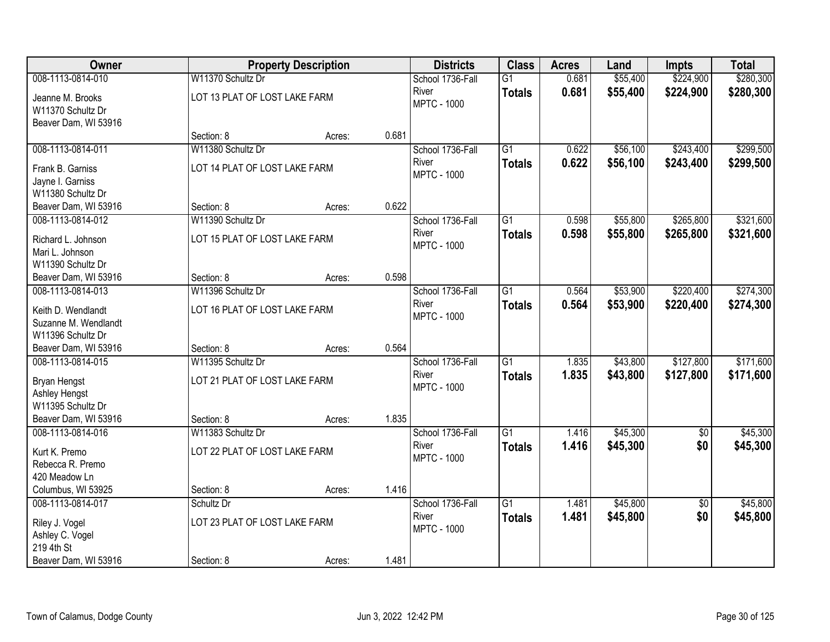| Owner                                                                                 |                                                    | <b>Property Description</b> |       | <b>Districts</b>                                | <b>Class</b>                     | <b>Acres</b>   | Land                 | <b>Impts</b>           | <b>Total</b>           |
|---------------------------------------------------------------------------------------|----------------------------------------------------|-----------------------------|-------|-------------------------------------------------|----------------------------------|----------------|----------------------|------------------------|------------------------|
| 008-1113-0814-010                                                                     | W11370 Schultz Dr                                  |                             |       | School 1736-Fall                                | $\overline{G1}$                  | 0.681          | \$55,400             | \$224,900              | \$280,300              |
| Jeanne M. Brooks<br>W11370 Schultz Dr<br>Beaver Dam, WI 53916                         | LOT 13 PLAT OF LOST LAKE FARM                      |                             |       | River<br><b>MPTC - 1000</b>                     | <b>Totals</b>                    | 0.681          | \$55,400             | \$224,900              | \$280,300              |
|                                                                                       | Section: 8                                         | Acres:                      | 0.681 |                                                 |                                  |                |                      |                        |                        |
| 008-1113-0814-011                                                                     | W11380 Schultz Dr                                  |                             |       | School 1736-Fall                                | $\overline{G1}$                  | 0.622          | \$56,100             | \$243,400              | \$299,500              |
| Frank B. Garniss<br>Jayne I. Garniss<br>W11380 Schultz Dr                             | LOT 14 PLAT OF LOST LAKE FARM                      |                             |       | River<br><b>MPTC - 1000</b>                     | <b>Totals</b>                    | 0.622          | \$56,100             | \$243,400              | \$299,500              |
| Beaver Dam, WI 53916                                                                  | Section: 8                                         | Acres:                      | 0.622 |                                                 |                                  |                |                      |                        |                        |
| 008-1113-0814-012                                                                     | W11390 Schultz Dr                                  |                             |       | School 1736-Fall                                | $\overline{G1}$                  | 0.598          | \$55,800             | \$265,800              | \$321,600              |
| Richard L. Johnson<br>Mari L. Johnson<br>W11390 Schultz Dr                            | LOT 15 PLAT OF LOST LAKE FARM                      |                             |       | River<br><b>MPTC - 1000</b>                     | <b>Totals</b>                    | 0.598          | \$55,800             | \$265,800              | \$321,600              |
| Beaver Dam, WI 53916                                                                  | Section: 8                                         | Acres:                      | 0.598 |                                                 |                                  |                |                      |                        |                        |
| 008-1113-0814-013                                                                     | W11396 Schultz Dr                                  |                             |       | School 1736-Fall                                | $\overline{G1}$                  | 0.564          | \$53,900             | \$220,400              | \$274,300              |
| Keith D. Wendlandt<br>Suzanne M. Wendlandt<br>W11396 Schultz Dr                       | LOT 16 PLAT OF LOST LAKE FARM                      |                             |       | River<br><b>MPTC - 1000</b>                     | <b>Totals</b>                    | 0.564          | \$53,900             | \$220,400              | \$274,300              |
| Beaver Dam, WI 53916                                                                  | Section: 8                                         | Acres:                      | 0.564 |                                                 |                                  |                |                      |                        |                        |
| 008-1113-0814-015<br><b>Bryan Hengst</b><br><b>Ashley Hengst</b><br>W11395 Schultz Dr | W11395 Schultz Dr<br>LOT 21 PLAT OF LOST LAKE FARM |                             |       | School 1736-Fall<br>River<br><b>MPTC - 1000</b> | $\overline{G1}$<br><b>Totals</b> | 1.835<br>1.835 | \$43,800<br>\$43,800 | \$127,800<br>\$127,800 | \$171,600<br>\$171,600 |
| Beaver Dam, WI 53916                                                                  | Section: 8                                         | Acres:                      | 1.835 |                                                 |                                  |                |                      |                        |                        |
| 008-1113-0814-016                                                                     | W11383 Schultz Dr                                  |                             |       | School 1736-Fall                                | $\overline{G1}$                  | 1.416          | \$45,300             | $\sqrt{6}$             | \$45,300               |
| Kurt K. Premo<br>Rebecca R. Premo<br>420 Meadow Ln                                    | LOT 22 PLAT OF LOST LAKE FARM                      |                             |       | River<br><b>MPTC - 1000</b>                     | <b>Totals</b>                    | 1.416          | \$45,300             | \$0                    | \$45,300               |
| Columbus, WI 53925                                                                    | Section: 8                                         | Acres:                      | 1.416 |                                                 |                                  |                |                      |                        |                        |
| 008-1113-0814-017                                                                     | Schultz Dr                                         |                             |       | School 1736-Fall                                | $\overline{G1}$                  | 1.481          | \$45,800             | $\overline{50}$        | \$45,800               |
| Riley J. Vogel<br>Ashley C. Vogel<br>219 4th St                                       | LOT 23 PLAT OF LOST LAKE FARM                      |                             |       | River<br><b>MPTC - 1000</b>                     | <b>Totals</b>                    | 1.481          | \$45,800             | \$0                    | \$45,800               |
| Beaver Dam, WI 53916                                                                  | Section: 8                                         | Acres:                      | 1.481 |                                                 |                                  |                |                      |                        |                        |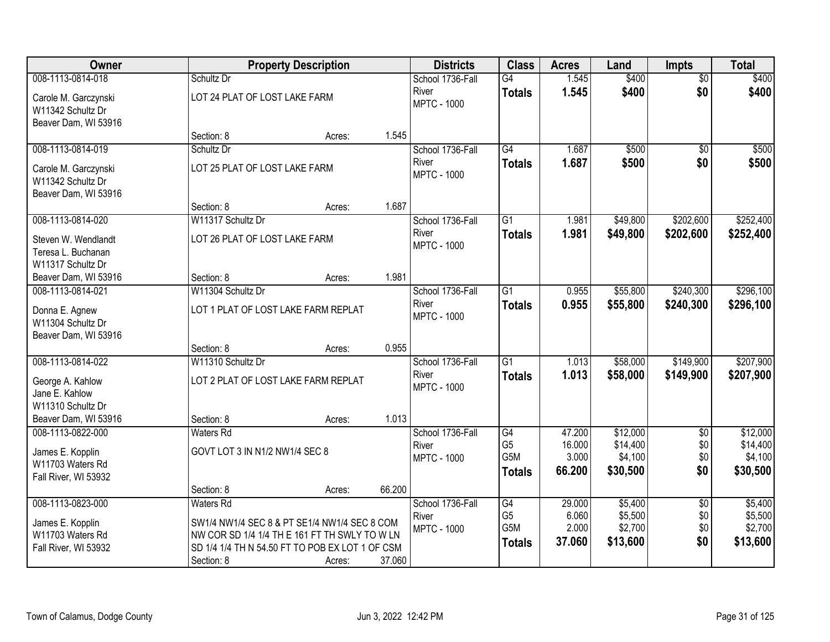| <b>Owner</b>                                                                      |                                                                                                  | <b>Property Description</b> |        | <b>Districts</b>                                | <b>Class</b>                                              | <b>Acres</b>                        | Land                                        | <b>Impts</b>                         | <b>Total</b>                                |
|-----------------------------------------------------------------------------------|--------------------------------------------------------------------------------------------------|-----------------------------|--------|-------------------------------------------------|-----------------------------------------------------------|-------------------------------------|---------------------------------------------|--------------------------------------|---------------------------------------------|
| 008-1113-0814-018                                                                 | Schultz Dr                                                                                       |                             |        | School 1736-Fall                                | G4                                                        | 1.545                               | \$400                                       | $\overline{50}$                      | \$400                                       |
| Carole M. Garczynski<br>W11342 Schultz Dr<br>Beaver Dam, WI 53916                 | LOT 24 PLAT OF LOST LAKE FARM                                                                    |                             |        | River<br><b>MPTC - 1000</b>                     | <b>Totals</b>                                             | 1.545                               | \$400                                       | \$0                                  | \$400                                       |
|                                                                                   | Section: 8                                                                                       | Acres:                      | 1.545  |                                                 |                                                           |                                     |                                             |                                      |                                             |
| 008-1113-0814-019                                                                 | Schultz Dr                                                                                       |                             |        | School 1736-Fall                                | G4                                                        | 1.687                               | \$500                                       | $\overline{50}$                      | \$500                                       |
| Carole M. Garczynski<br>W11342 Schultz Dr<br>Beaver Dam, WI 53916                 | LOT 25 PLAT OF LOST LAKE FARM                                                                    |                             |        | River<br><b>MPTC - 1000</b>                     | Totals                                                    | 1.687                               | \$500                                       | \$0                                  | \$500                                       |
|                                                                                   | Section: 8                                                                                       | Acres:                      | 1.687  |                                                 |                                                           |                                     |                                             |                                      |                                             |
| 008-1113-0814-020                                                                 | W11317 Schultz Dr                                                                                |                             |        | School 1736-Fall                                | G1                                                        | 1.981                               | \$49,800                                    | \$202,600                            | \$252,400                                   |
| Steven W. Wendlandt<br>Teresa L. Buchanan<br>W11317 Schultz Dr                    | LOT 26 PLAT OF LOST LAKE FARM                                                                    |                             |        | River<br><b>MPTC - 1000</b>                     | <b>Totals</b>                                             | 1.981                               | \$49,800                                    | \$202,600                            | \$252,400                                   |
| Beaver Dam, WI 53916                                                              | Section: 8                                                                                       | Acres:                      | 1.981  |                                                 |                                                           |                                     |                                             |                                      |                                             |
| 008-1113-0814-021                                                                 | W11304 Schultz Dr                                                                                |                             |        | School 1736-Fall                                | $\overline{G1}$                                           | 0.955                               | \$55,800                                    | \$240,300                            | \$296,100                                   |
| Donna E. Agnew<br>W11304 Schultz Dr<br>Beaver Dam, WI 53916                       | LOT 1 PLAT OF LOST LAKE FARM REPLAT                                                              |                             |        | River<br><b>MPTC - 1000</b>                     | <b>Totals</b>                                             | 0.955                               | \$55,800                                    | \$240,300                            | \$296,100                                   |
|                                                                                   | Section: 8                                                                                       | Acres:                      | 0.955  |                                                 |                                                           |                                     |                                             |                                      |                                             |
| 008-1113-0814-022                                                                 | W11310 Schultz Dr                                                                                |                             |        | School 1736-Fall                                | $\overline{G1}$                                           | 1.013                               | \$58,000                                    | \$149,900                            | \$207,900                                   |
| George A. Kahlow<br>Jane E. Kahlow<br>W11310 Schultz Dr                           | LOT 2 PLAT OF LOST LAKE FARM REPLAT                                                              |                             |        | River<br><b>MPTC - 1000</b>                     | <b>Totals</b>                                             | 1.013                               | \$58,000                                    | \$149,900                            | \$207,900                                   |
| Beaver Dam, WI 53916                                                              | Section: 8                                                                                       | Acres:                      | 1.013  |                                                 |                                                           |                                     |                                             |                                      |                                             |
| 008-1113-0822-000<br>James E. Kopplin<br>W11703 Waters Rd<br>Fall River, WI 53932 | <b>Waters Rd</b><br>GOVT LOT 3 IN N1/2 NW1/4 SEC 8                                               |                             |        | School 1736-Fall<br>River<br><b>MPTC - 1000</b> | G4<br>G <sub>5</sub><br>G <sub>5</sub> M<br><b>Totals</b> | 47.200<br>16.000<br>3.000<br>66.200 | \$12,000<br>\$14,400<br>\$4,100<br>\$30,500 | $\overline{50}$<br>\$0<br>\$0<br>\$0 | \$12,000<br>\$14,400<br>\$4,100<br>\$30,500 |
|                                                                                   | Section: 8                                                                                       | Acres:                      | 66.200 |                                                 |                                                           |                                     |                                             |                                      |                                             |
| 008-1113-0823-000                                                                 | <b>Waters Rd</b>                                                                                 |                             |        | School 1736-Fall<br>River                       | G4<br>G <sub>5</sub>                                      | 29.000<br>6.060                     | \$5,400<br>\$5,500                          | $\overline{50}$<br>\$0               | \$5,400<br>\$5,500                          |
| James E. Kopplin                                                                  | SW1/4 NW1/4 SEC 8 & PT SE1/4 NW1/4 SEC 8 COM                                                     |                             |        | <b>MPTC - 1000</b>                              | G5M                                                       | 2.000                               | \$2,700                                     | \$0                                  | \$2,700                                     |
| W11703 Waters Rd                                                                  | NW COR SD 1/4 1/4 TH E 161 FT TH SWLY TO W LN<br>SD 1/4 1/4 TH N 54.50 FT TO POB EX LOT 1 OF CSM |                             |        |                                                 | <b>Totals</b>                                             | 37.060                              | \$13,600                                    | \$0                                  | \$13,600                                    |
| Fall River, WI 53932                                                              | Section: 8                                                                                       | Acres:                      | 37.060 |                                                 |                                                           |                                     |                                             |                                      |                                             |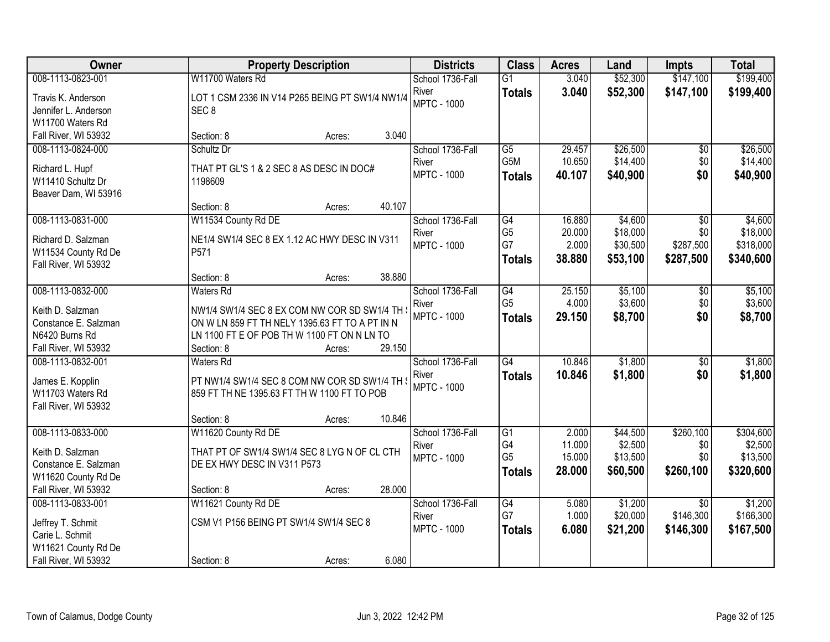| Owner                | <b>Property Description</b>                     | <b>Districts</b>   | <b>Class</b>     | <b>Acres</b> | Land     | <b>Impts</b>    | <b>Total</b> |
|----------------------|-------------------------------------------------|--------------------|------------------|--------------|----------|-----------------|--------------|
| 008-1113-0823-001    | W11700 Waters Rd                                | School 1736-Fall   | $\overline{G1}$  | 3.040        | \$52,300 | \$147,100       | \$199,400    |
| Travis K. Anderson   | LOT 1 CSM 2336 IN V14 P265 BEING PT SW1/4 NW1/4 | River              | <b>Totals</b>    | 3.040        | \$52,300 | \$147,100       | \$199,400    |
| Jennifer L. Anderson | SEC <sub>8</sub>                                | <b>MPTC - 1000</b> |                  |              |          |                 |              |
| W11700 Waters Rd     |                                                 |                    |                  |              |          |                 |              |
| Fall River, WI 53932 | 3.040<br>Section: 8<br>Acres:                   |                    |                  |              |          |                 |              |
| 008-1113-0824-000    | Schultz Dr                                      | School 1736-Fall   | $\overline{G5}$  | 29.457       | \$26,500 | $\overline{50}$ | \$26,500     |
| Richard L. Hupf      | THAT PT GL'S 1 & 2 SEC 8 AS DESC IN DOC#        | River              | G <sub>5</sub> M | 10.650       | \$14,400 | \$0             | \$14,400     |
| W11410 Schultz Dr    | 1198609                                         | <b>MPTC - 1000</b> | <b>Totals</b>    | 40.107       | \$40,900 | \$0             | \$40,900     |
| Beaver Dam, WI 53916 |                                                 |                    |                  |              |          |                 |              |
|                      | 40.107<br>Section: 8<br>Acres:                  |                    |                  |              |          |                 |              |
| 008-1113-0831-000    | W11534 County Rd DE                             | School 1736-Fall   | G4               | 16.880       | \$4,600  | \$0             | \$4,600      |
| Richard D. Salzman   | NE1/4 SW1/4 SEC 8 EX 1.12 AC HWY DESC IN V311   | River              | G <sub>5</sub>   | 20.000       | \$18,000 | \$0             | \$18,000     |
| W11534 County Rd De  | P571                                            | <b>MPTC - 1000</b> | G7               | 2.000        | \$30,500 | \$287,500       | \$318,000    |
| Fall River, WI 53932 |                                                 |                    | <b>Totals</b>    | 38.880       | \$53,100 | \$287,500       | \$340,600    |
|                      | 38.880<br>Section: 8<br>Acres:                  |                    |                  |              |          |                 |              |
| 008-1113-0832-000    | <b>Waters Rd</b>                                | School 1736-Fall   | G4               | 25.150       | \$5,100  | \$0             | \$5,100      |
| Keith D. Salzman     | NW1/4 SW1/4 SEC 8 EX COM NW COR SD SW1/4 TH \   | River              | G <sub>5</sub>   | 4.000        | \$3,600  | \$0             | \$3,600      |
| Constance E. Salzman | ON W LN 859 FT TH NELY 1395.63 FT TO A PT IN N  | <b>MPTC - 1000</b> | <b>Totals</b>    | 29.150       | \$8,700  | \$0             | \$8,700      |
| N6420 Burns Rd       | LN 1100 FT E OF POB THW 1100 FT ON N LN TO      |                    |                  |              |          |                 |              |
| Fall River, WI 53932 | 29.150<br>Section: 8<br>Acres:                  |                    |                  |              |          |                 |              |
| 008-1113-0832-001    | Waters Rd                                       | School 1736-Fall   | $\overline{G4}$  | 10.846       | \$1,800  | \$0             | \$1,800      |
| James E. Kopplin     | PT NW1/4 SW1/4 SEC 8 COM NW COR SD SW1/4 TH 3   | River              | <b>Totals</b>    | 10.846       | \$1,800  | \$0             | \$1,800      |
| W11703 Waters Rd     | 859 FT TH NE 1395.63 FT TH W 1100 FT TO POB     | <b>MPTC - 1000</b> |                  |              |          |                 |              |
| Fall River, WI 53932 |                                                 |                    |                  |              |          |                 |              |
|                      | 10.846<br>Section: 8<br>Acres:                  |                    |                  |              |          |                 |              |
| 008-1113-0833-000    | W11620 County Rd DE                             | School 1736-Fall   | G1               | 2.000        | \$44,500 | \$260,100       | \$304,600    |
| Keith D. Salzman     | THAT PT OF SW1/4 SW1/4 SEC 8 LYG N OF CL CTH    | River              | G4               | 11.000       | \$2,500  | \$0             | \$2,500      |
| Constance E. Salzman | DE EX HWY DESC IN V311 P573                     | <b>MPTC - 1000</b> | G <sub>5</sub>   | 15.000       | \$13,500 | \$0             | \$13,500     |
| W11620 County Rd De  |                                                 |                    | <b>Totals</b>    | 28.000       | \$60,500 | \$260,100       | \$320,600    |
| Fall River, WI 53932 | 28.000<br>Section: 8<br>Acres:                  |                    |                  |              |          |                 |              |
| 008-1113-0833-001    | W11621 County Rd DE                             | School 1736-Fall   | $\overline{G4}$  | 5.080        | \$1,200  | $\overline{30}$ | \$1,200      |
| Jeffrey T. Schmit    | CSM V1 P156 BEING PT SW1/4 SW1/4 SEC 8          | River              | G7               | 1.000        | \$20,000 | \$146,300       | \$166,300    |
| Carie L. Schmit      |                                                 | <b>MPTC - 1000</b> | <b>Totals</b>    | 6.080        | \$21,200 | \$146,300       | \$167,500    |
| W11621 County Rd De  |                                                 |                    |                  |              |          |                 |              |
| Fall River, WI 53932 | 6.080<br>Section: 8<br>Acres:                   |                    |                  |              |          |                 |              |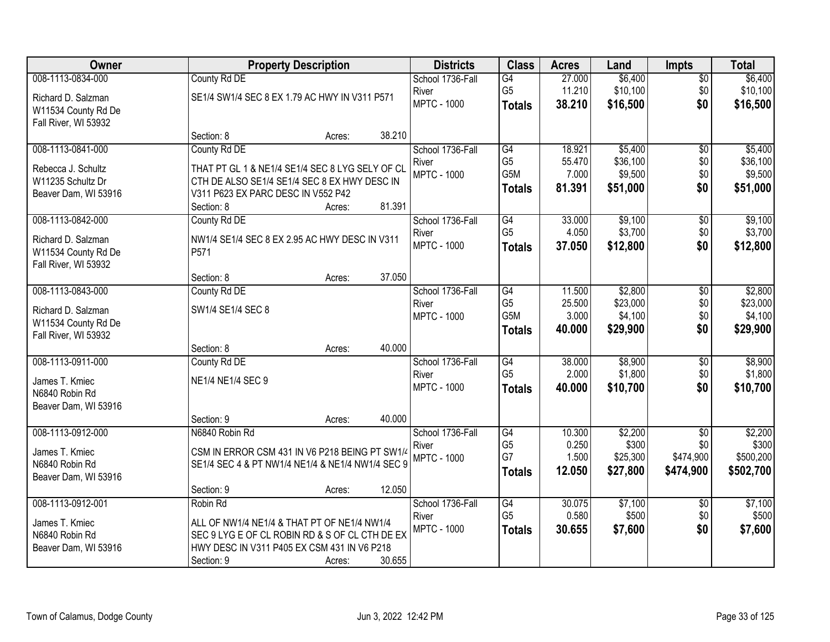| Owner                |                                                  | <b>Property Description</b> |        | <b>Districts</b>            | <b>Class</b>          | <b>Acres</b>    | Land                | <b>Impts</b>           | <b>Total</b>        |
|----------------------|--------------------------------------------------|-----------------------------|--------|-----------------------------|-----------------------|-----------------|---------------------|------------------------|---------------------|
| 008-1113-0834-000    | County Rd DE                                     |                             |        | School 1736-Fall            | G4                    | 27.000          | \$6,400             | $\sqrt{$0}$            | \$6,400             |
| Richard D. Salzman   | SE1/4 SW1/4 SEC 8 EX 1.79 AC HWY IN V311 P571    |                             |        | River                       | G <sub>5</sub>        | 11.210          | \$10,100            | \$0                    | \$10,100            |
| W11534 County Rd De  |                                                  |                             |        | <b>MPTC - 1000</b>          | <b>Totals</b>         | 38.210          | \$16,500            | \$0                    | \$16,500            |
| Fall River, WI 53932 |                                                  |                             |        |                             |                       |                 |                     |                        |                     |
|                      | Section: 8                                       | Acres:                      | 38.210 |                             |                       |                 |                     |                        |                     |
| 008-1113-0841-000    | County Rd DE                                     |                             |        | School 1736-Fall            | G4                    | 18.921          | \$5,400             | $\overline{50}$        | \$5,400             |
| Rebecca J. Schultz   | THAT PT GL 1 & NE1/4 SE1/4 SEC 8 LYG SELY OF CL  |                             |        | River                       | G <sub>5</sub>        | 55.470          | \$36,100            | \$0                    | \$36,100            |
| W11235 Schultz Dr    | CTH DE ALSO SE1/4 SE1/4 SEC 8 EX HWY DESC IN     |                             |        | <b>MPTC - 1000</b>          | G5M                   | 7.000           | \$9,500             | \$0<br>\$0             | \$9,500             |
| Beaver Dam, WI 53916 | V311 P623 EX PARC DESC IN V552 P42               |                             |        |                             | <b>Totals</b>         | 81.391          | \$51,000            |                        | \$51,000            |
|                      | Section: 8                                       | Acres:                      | 81.391 |                             |                       |                 |                     |                        |                     |
| 008-1113-0842-000    | County Rd DE                                     |                             |        | School 1736-Fall            | G4                    | 33.000          | \$9,100             | \$0                    | \$9,100             |
| Richard D. Salzman   | NW1/4 SE1/4 SEC 8 EX 2.95 AC HWY DESC IN V311    |                             |        | River                       | G <sub>5</sub>        | 4.050           | \$3,700             | \$0                    | \$3,700             |
| W11534 County Rd De  | P571                                             |                             |        | <b>MPTC - 1000</b>          | <b>Totals</b>         | 37,050          | \$12,800            | \$0                    | \$12,800            |
| Fall River, WI 53932 |                                                  |                             |        |                             |                       |                 |                     |                        |                     |
|                      | Section: 8                                       | Acres:                      | 37.050 |                             |                       |                 |                     |                        |                     |
| 008-1113-0843-000    | County Rd DE                                     |                             |        | School 1736-Fall            | G4                    | 11.500          | \$2,800             | \$0                    | \$2,800             |
| Richard D. Salzman   | SW1/4 SE1/4 SEC 8                                |                             |        | River                       | G <sub>5</sub><br>G5M | 25.500          | \$23,000            | \$0                    | \$23,000            |
| W11534 County Rd De  |                                                  |                             |        | <b>MPTC - 1000</b>          |                       | 3.000<br>40.000 | \$4,100<br>\$29,900 | \$0<br>\$0             | \$4,100<br>\$29,900 |
| Fall River, WI 53932 |                                                  |                             |        |                             | <b>Totals</b>         |                 |                     |                        |                     |
|                      | Section: 8                                       | Acres:                      | 40.000 |                             |                       |                 |                     |                        |                     |
| 008-1113-0911-000    | County Rd DE                                     |                             |        | School 1736-Fall            | G4                    | 38.000          | \$8,900             | $\overline{50}$        | \$8,900             |
| James T. Kmiec       | NE1/4 NE1/4 SEC 9                                |                             |        | River<br><b>MPTC - 1000</b> | G <sub>5</sub>        | 2.000<br>40.000 | \$1,800             | \$0<br>\$0             | \$1,800             |
| N6840 Robin Rd       |                                                  |                             |        |                             | <b>Totals</b>         |                 | \$10,700            |                        | \$10,700            |
| Beaver Dam, WI 53916 |                                                  |                             |        |                             |                       |                 |                     |                        |                     |
|                      | Section: 9                                       | Acres:                      | 40.000 |                             |                       |                 |                     |                        |                     |
| 008-1113-0912-000    | N6840 Robin Rd                                   |                             |        | School 1736-Fall            | G4                    | 10.300          | \$2,200             | $\overline{50}$        | \$2,200             |
| James T. Kmiec       | CSM IN ERROR CSM 431 IN V6 P218 BEING PT SW1/4   |                             |        | River<br><b>MPTC - 1000</b> | G <sub>5</sub><br>G7  | 0.250<br>1.500  | \$300<br>\$25,300   | \$0<br>\$474,900       | \$300<br>\$500,200  |
| N6840 Robin Rd       | SE1/4 SEC 4 & PT NW1/4 NE1/4 & NE1/4 NW1/4 SEC 9 |                             |        |                             | <b>Totals</b>         | 12.050          | \$27,800            | \$474,900              | \$502,700           |
| Beaver Dam, WI 53916 |                                                  |                             |        |                             |                       |                 |                     |                        |                     |
|                      | Section: 9                                       | Acres:                      | 12.050 |                             |                       |                 |                     |                        |                     |
| 008-1113-0912-001    | Robin Rd                                         |                             |        | School 1736-Fall<br>River   | G4<br>G <sub>5</sub>  | 30.075<br>0.580 | \$7,100<br>\$500    | $\overline{60}$<br>\$0 | \$7,100<br>\$500    |
| James T. Kmiec       | ALL OF NW1/4 NE1/4 & THAT PT OF NE1/4 NW1/4      |                             |        | <b>MPTC - 1000</b>          |                       | 30.655          | \$7,600             | \$0                    | \$7,600             |
| N6840 Robin Rd       | SEC 9 LYG E OF CL ROBIN RD & S OF CL CTH DE EX   |                             |        |                             | <b>Totals</b>         |                 |                     |                        |                     |
| Beaver Dam, WI 53916 | HWY DESC IN V311 P405 EX CSM 431 IN V6 P218      |                             |        |                             |                       |                 |                     |                        |                     |
|                      | Section: 9                                       | Acres:                      | 30.655 |                             |                       |                 |                     |                        |                     |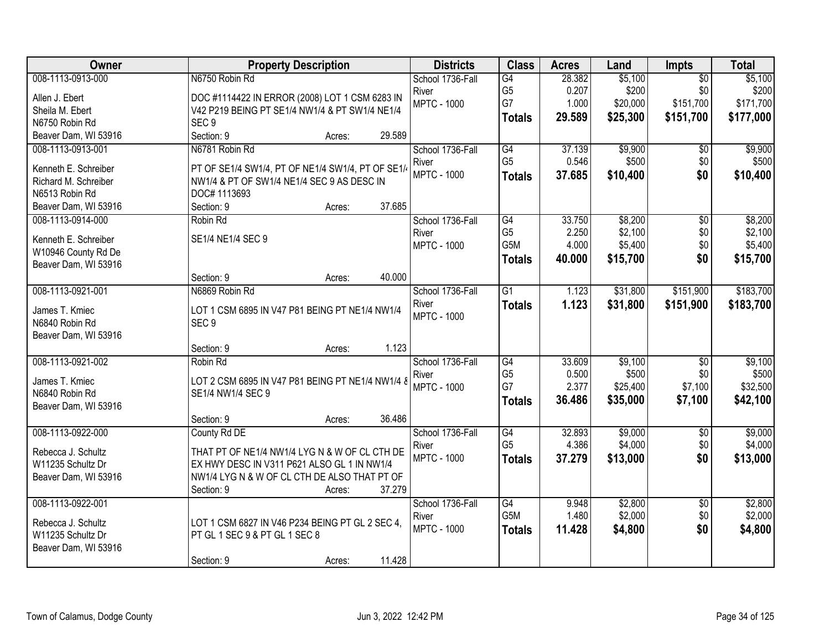| Owner                                  | <b>Property Description</b>                                | <b>Districts</b>            | <b>Class</b>         | <b>Acres</b>    | Land     | Impts           | <b>Total</b> |
|----------------------------------------|------------------------------------------------------------|-----------------------------|----------------------|-----------------|----------|-----------------|--------------|
| 008-1113-0913-000                      | N6750 Robin Rd                                             | School 1736-Fall            | G4                   | 28.382          | \$5,100  | $\overline{50}$ | \$5,100      |
| Allen J. Ebert                         | DOC #1114422 IN ERROR (2008) LOT 1 CSM 6283 IN             | River                       | G <sub>5</sub>       | 0.207           | \$200    | \$0             | \$200        |
| Sheila M. Ebert                        | V42 P219 BEING PT SE1/4 NW1/4 & PT SW1/4 NE1/4             | <b>MPTC - 1000</b>          | G7                   | 1.000           | \$20,000 | \$151,700       | \$171,700    |
| N6750 Robin Rd                         | SEC <sub>9</sub>                                           |                             | <b>Totals</b>        | 29.589          | \$25,300 | \$151,700       | \$177,000    |
| Beaver Dam, WI 53916                   | Section: 9<br>29.589<br>Acres:                             |                             |                      |                 |          |                 |              |
| 008-1113-0913-001                      | N6781 Robin Rd                                             | School 1736-Fall            | G4                   | 37.139          | \$9,900  | $\overline{50}$ | \$9,900      |
|                                        |                                                            | River                       | G <sub>5</sub>       | 0.546           | \$500    | \$0             | \$500        |
| Kenneth E. Schreiber                   | PT OF SE1/4 SW1/4, PT OF NE1/4 SW1/4, PT OF SE1/           | <b>MPTC - 1000</b>          | <b>Totals</b>        | 37.685          | \$10,400 | \$0             | \$10,400     |
| Richard M. Schreiber<br>N6513 Robin Rd | NW1/4 & PT OF SW1/4 NE1/4 SEC 9 AS DESC IN<br>DOC# 1113693 |                             |                      |                 |          |                 |              |
| Beaver Dam, WI 53916                   | 37.685<br>Section: 9<br>Acres:                             |                             |                      |                 |          |                 |              |
| 008-1113-0914-000                      | Robin Rd                                                   | School 1736-Fall            | G4                   | 33.750          | \$8,200  | \$0             | \$8,200      |
|                                        |                                                            | River                       | G <sub>5</sub>       | 2.250           | \$2,100  | \$0             | \$2,100      |
| Kenneth E. Schreiber                   | SE1/4 NE1/4 SEC 9                                          | <b>MPTC - 1000</b>          | G5M                  | 4.000           | \$5,400  | \$0             | \$5,400      |
| W10946 County Rd De                    |                                                            |                             | <b>Totals</b>        | 40.000          | \$15,700 | \$0             | \$15,700     |
| Beaver Dam, WI 53916                   |                                                            |                             |                      |                 |          |                 |              |
|                                        | 40.000<br>Section: 9<br>Acres:                             |                             |                      |                 |          |                 |              |
| 008-1113-0921-001                      | N6869 Robin Rd                                             | School 1736-Fall            | $\overline{G1}$      | 1.123           | \$31,800 | \$151,900       | \$183,700    |
| James T. Kmiec                         | LOT 1 CSM 6895 IN V47 P81 BEING PT NE1/4 NW1/4             | River                       | <b>Totals</b>        | 1.123           | \$31,800 | \$151,900       | \$183,700    |
| N6840 Robin Rd                         | SEC <sub>9</sub>                                           | <b>MPTC - 1000</b>          |                      |                 |          |                 |              |
| Beaver Dam, WI 53916                   |                                                            |                             |                      |                 |          |                 |              |
|                                        | 1.123<br>Section: 9<br>Acres:                              |                             |                      |                 |          |                 |              |
| 008-1113-0921-002                      | Robin Rd                                                   | School 1736-Fall            | $\overline{G4}$      | 33.609          | \$9,100  | $\overline{50}$ | \$9,100      |
|                                        |                                                            | River                       | G <sub>5</sub>       | 0.500           | \$500    | \$0             | \$500        |
| James T. Kmiec                         | LOT 2 CSM 6895 IN V47 P81 BEING PT NE1/4 NW1/4 8           | <b>MPTC - 1000</b>          | G7                   | 2.377           | \$25,400 | \$7,100         | \$32,500     |
| N6840 Robin Rd                         | SE1/4 NW1/4 SEC 9                                          |                             | <b>Totals</b>        | 36.486          | \$35,000 | \$7,100         | \$42,100     |
| Beaver Dam, WI 53916                   |                                                            |                             |                      |                 |          |                 |              |
|                                        | 36.486<br>Section: 9<br>Acres:                             |                             |                      |                 |          |                 |              |
| 008-1113-0922-000                      | County Rd DE                                               | School 1736-Fall            | G4<br>G <sub>5</sub> | 32.893<br>4.386 | \$9,000  | $\overline{50}$ | \$9,000      |
| Rebecca J. Schultz                     | THAT PT OF NE1/4 NW1/4 LYG N & W OF CL CTH DE              | River<br><b>MPTC - 1000</b> |                      |                 | \$4,000  | \$0<br>\$0      | \$4,000      |
| W11235 Schultz Dr                      | EX HWY DESC IN V311 P621 ALSO GL 1 IN NW1/4                |                             | <b>Totals</b>        | 37.279          | \$13,000 |                 | \$13,000     |
| Beaver Dam, WI 53916                   | NW1/4 LYG N & W OF CL CTH DE ALSO THAT PT OF               |                             |                      |                 |          |                 |              |
|                                        | 37.279<br>Section: 9<br>Acres:                             |                             |                      |                 |          |                 |              |
| 008-1113-0922-001                      |                                                            | School 1736-Fall            | $\overline{G4}$      | 9.948           | \$2,800  | $\overline{50}$ | \$2,800      |
| Rebecca J. Schultz                     | LOT 1 CSM 6827 IN V46 P234 BEING PT GL 2 SEC 4,            | River                       | G5M                  | 1.480           | \$2,000  | \$0             | \$2,000      |
| W11235 Schultz Dr                      | PT GL 1 SEC 9 & PT GL 1 SEC 8                              | <b>MPTC - 1000</b>          | <b>Totals</b>        | 11.428          | \$4,800  | \$0             | \$4,800      |
| Beaver Dam, WI 53916                   |                                                            |                             |                      |                 |          |                 |              |
|                                        | 11.428<br>Section: 9<br>Acres:                             |                             |                      |                 |          |                 |              |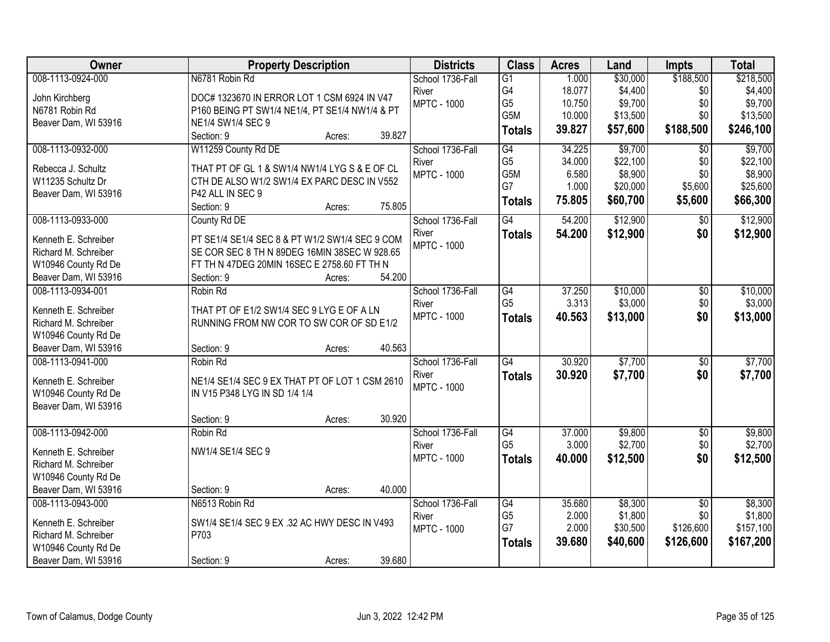| School 1736-Fall<br>G1<br>G4<br>18.077<br>\$4,400<br>\$0<br>\$4,400<br>River<br>John Kirchberg<br>DOC# 1323670 IN ERROR LOT 1 CSM 6924 IN V47<br>G <sub>5</sub><br>\$9,700<br>\$0<br>\$9,700<br><b>MPTC - 1000</b><br>10.750<br>N6781 Robin Rd<br>P160 BEING PT SW1/4 NE1/4, PT SE1/4 NW1/4 & PT<br>G5M<br>10.000<br>\$13,500<br>\$0<br>\$13,500<br>Beaver Dam, WI 53916<br>NE1/4 SW1/4 SEC 9<br>\$57,600<br>\$188,500<br>\$246,100<br>39.827<br><b>Totals</b><br>Section: 9<br>39.827<br>Acres:<br>008-1113-0932-000<br>W11259 County Rd DE<br>34.225<br>\$9,700<br>\$9,700<br>School 1736-Fall<br>G4<br>$\overline{50}$<br>G <sub>5</sub><br>\$22,100<br>\$0<br>\$22,100<br>34.000<br>River<br>Rebecca J. Schultz<br>THAT PT OF GL 1 & SW1/4 NW1/4 LYG S & E OF CL<br>G5M<br>\$8,900<br>\$0<br>\$8,900<br>6.580<br><b>MPTC - 1000</b><br>W11235 Schultz Dr<br>CTH DE ALSO W1/2 SW1/4 EX PARC DESC IN V552<br>G7<br>\$20,000<br>1.000<br>\$5,600<br>\$25,600<br>P42 ALL IN SEC 9<br>Beaver Dam, WI 53916<br>75.805<br>\$60,700<br>\$5,600<br>\$66,300<br><b>Totals</b><br>75.805<br>Section: 9<br>Acres:<br>008-1113-0933-000<br>G4<br>\$12,900<br>\$12,900<br>County Rd DE<br>School 1736-Fall<br>54.200<br>$\overline{50}$<br>\$12,900<br>\$0<br>\$12,900<br>River<br>54.200<br><b>Totals</b><br>Kenneth E. Schreiber<br>PT SE1/4 SE1/4 SEC 8 & PT W1/2 SW1/4 SEC 9 COM<br><b>MPTC - 1000</b><br>SE COR SEC 8 TH N 89DEG 16MIN 38SEC W 928.65<br>Richard M. Schreiber<br>W10946 County Rd De<br>FT TH N 47DEG 20MIN 16SEC E 2758.60 FT TH N<br>54.200<br>Beaver Dam, WI 53916<br>Section: 9<br>Acres:<br>008-1113-0934-001<br>School 1736-Fall<br>37.250<br>\$10,000<br>$\overline{50}$<br>\$10,000<br>Robin Rd<br>G4<br>3.313<br>\$3,000<br>G <sub>5</sub><br>\$0<br>\$3,000<br>River<br>Kenneth E. Schreiber<br>THAT PT OF E1/2 SW1/4 SEC 9 LYG E OF A LN<br><b>MPTC - 1000</b><br>\$0<br>\$13,000<br>40.563<br>\$13,000<br><b>Totals</b><br>Richard M. Schreiber<br>RUNNING FROM NW COR TO SW COR OF SD E1/2<br>W10946 County Rd De<br>Beaver Dam, WI 53916<br>40.563<br>Section: 9<br>Acres:<br>$\overline{G4}$<br>\$7,700<br>\$7,700<br>008-1113-0941-000<br>30.920<br>$\overline{50}$<br>School 1736-Fall<br>Robin Rd<br>30.920<br>\$7,700<br>\$0<br>\$7,700<br>River<br><b>Totals</b><br>Kenneth E. Schreiber<br>NE1/4 SE1/4 SEC 9 EX THAT PT OF LOT 1 CSM 2610<br><b>MPTC - 1000</b><br>W10946 County Rd De<br>IN V15 P348 LYG IN SD 1/4 1/4<br>Beaver Dam, WI 53916<br>30.920<br>Section: 9<br>Acres:<br>008-1113-0942-000<br>37.000<br>\$9,800<br>$\overline{50}$<br>\$9,800<br>Robin Rd<br>School 1736-Fall<br>G4<br>G <sub>5</sub><br>\$2,700<br>\$2,700<br>3.000<br>\$0<br>River<br>NW1/4 SE1/4 SEC 9<br>Kenneth E. Schreiber<br><b>MPTC - 1000</b><br>40.000<br>\$12,500<br>\$0<br>\$12,500<br><b>Totals</b><br>Richard M. Schreiber<br>W10946 County Rd De<br>Beaver Dam, WI 53916<br>40.000<br>Section: 9<br>Acres:<br>008-1113-0943-000<br>N6513 Robin Rd<br>School 1736-Fall<br>G4<br>35.680<br>\$8,300<br>\$8,300<br>$\overline{50}$<br>\$1,800<br>G <sub>5</sub><br>2.000<br>\$1,800<br>\$0<br>River<br>Kenneth E. Schreiber<br>SW1/4 SE1/4 SEC 9 EX .32 AC HWY DESC IN V493<br>G7<br>2.000<br>\$30,500<br>\$126,600<br>\$157,100<br><b>MPTC - 1000</b> | Owner                | <b>Property Description</b> | <b>Districts</b> | <b>Class</b> | <b>Acres</b> | Land     | Impts     | <b>Total</b> |
|--------------------------------------------------------------------------------------------------------------------------------------------------------------------------------------------------------------------------------------------------------------------------------------------------------------------------------------------------------------------------------------------------------------------------------------------------------------------------------------------------------------------------------------------------------------------------------------------------------------------------------------------------------------------------------------------------------------------------------------------------------------------------------------------------------------------------------------------------------------------------------------------------------------------------------------------------------------------------------------------------------------------------------------------------------------------------------------------------------------------------------------------------------------------------------------------------------------------------------------------------------------------------------------------------------------------------------------------------------------------------------------------------------------------------------------------------------------------------------------------------------------------------------------------------------------------------------------------------------------------------------------------------------------------------------------------------------------------------------------------------------------------------------------------------------------------------------------------------------------------------------------------------------------------------------------------------------------------------------------------------------------------------------------------------------------------------------------------------------------------------------------------------------------------------------------------------------------------------------------------------------------------------------------------------------------------------------------------------------------------------------------------------------------------------------------------------------------------------------------------------------------------------------------------------------------------------------------------------------------------------------------------------------------------------------------------------------------------------------------------------------------------------------------------------------------------------------------------------------------------------------------------------------------------------------------------------------------------------------------------------------------------------------------------------------------------------------------------------------------------------------------------------------------------------------------------------------------------------------------------------------------------------------|----------------------|-----------------------------|------------------|--------------|--------------|----------|-----------|--------------|
|                                                                                                                                                                                                                                                                                                                                                                                                                                                                                                                                                                                                                                                                                                                                                                                                                                                                                                                                                                                                                                                                                                                                                                                                                                                                                                                                                                                                                                                                                                                                                                                                                                                                                                                                                                                                                                                                                                                                                                                                                                                                                                                                                                                                                                                                                                                                                                                                                                                                                                                                                                                                                                                                                                                                                                                                                                                                                                                                                                                                                                                                                                                                                                                                                                                                                | 008-1113-0924-000    | N6781 Robin Rd              |                  |              | 1.000        | \$30,000 | \$188,500 | \$218,500    |
|                                                                                                                                                                                                                                                                                                                                                                                                                                                                                                                                                                                                                                                                                                                                                                                                                                                                                                                                                                                                                                                                                                                                                                                                                                                                                                                                                                                                                                                                                                                                                                                                                                                                                                                                                                                                                                                                                                                                                                                                                                                                                                                                                                                                                                                                                                                                                                                                                                                                                                                                                                                                                                                                                                                                                                                                                                                                                                                                                                                                                                                                                                                                                                                                                                                                                |                      |                             |                  |              |              |          |           |              |
|                                                                                                                                                                                                                                                                                                                                                                                                                                                                                                                                                                                                                                                                                                                                                                                                                                                                                                                                                                                                                                                                                                                                                                                                                                                                                                                                                                                                                                                                                                                                                                                                                                                                                                                                                                                                                                                                                                                                                                                                                                                                                                                                                                                                                                                                                                                                                                                                                                                                                                                                                                                                                                                                                                                                                                                                                                                                                                                                                                                                                                                                                                                                                                                                                                                                                |                      |                             |                  |              |              |          |           |              |
|                                                                                                                                                                                                                                                                                                                                                                                                                                                                                                                                                                                                                                                                                                                                                                                                                                                                                                                                                                                                                                                                                                                                                                                                                                                                                                                                                                                                                                                                                                                                                                                                                                                                                                                                                                                                                                                                                                                                                                                                                                                                                                                                                                                                                                                                                                                                                                                                                                                                                                                                                                                                                                                                                                                                                                                                                                                                                                                                                                                                                                                                                                                                                                                                                                                                                |                      |                             |                  |              |              |          |           |              |
|                                                                                                                                                                                                                                                                                                                                                                                                                                                                                                                                                                                                                                                                                                                                                                                                                                                                                                                                                                                                                                                                                                                                                                                                                                                                                                                                                                                                                                                                                                                                                                                                                                                                                                                                                                                                                                                                                                                                                                                                                                                                                                                                                                                                                                                                                                                                                                                                                                                                                                                                                                                                                                                                                                                                                                                                                                                                                                                                                                                                                                                                                                                                                                                                                                                                                |                      |                             |                  |              |              |          |           |              |
|                                                                                                                                                                                                                                                                                                                                                                                                                                                                                                                                                                                                                                                                                                                                                                                                                                                                                                                                                                                                                                                                                                                                                                                                                                                                                                                                                                                                                                                                                                                                                                                                                                                                                                                                                                                                                                                                                                                                                                                                                                                                                                                                                                                                                                                                                                                                                                                                                                                                                                                                                                                                                                                                                                                                                                                                                                                                                                                                                                                                                                                                                                                                                                                                                                                                                |                      |                             |                  |              |              |          |           |              |
|                                                                                                                                                                                                                                                                                                                                                                                                                                                                                                                                                                                                                                                                                                                                                                                                                                                                                                                                                                                                                                                                                                                                                                                                                                                                                                                                                                                                                                                                                                                                                                                                                                                                                                                                                                                                                                                                                                                                                                                                                                                                                                                                                                                                                                                                                                                                                                                                                                                                                                                                                                                                                                                                                                                                                                                                                                                                                                                                                                                                                                                                                                                                                                                                                                                                                |                      |                             |                  |              |              |          |           |              |
|                                                                                                                                                                                                                                                                                                                                                                                                                                                                                                                                                                                                                                                                                                                                                                                                                                                                                                                                                                                                                                                                                                                                                                                                                                                                                                                                                                                                                                                                                                                                                                                                                                                                                                                                                                                                                                                                                                                                                                                                                                                                                                                                                                                                                                                                                                                                                                                                                                                                                                                                                                                                                                                                                                                                                                                                                                                                                                                                                                                                                                                                                                                                                                                                                                                                                |                      |                             |                  |              |              |          |           |              |
|                                                                                                                                                                                                                                                                                                                                                                                                                                                                                                                                                                                                                                                                                                                                                                                                                                                                                                                                                                                                                                                                                                                                                                                                                                                                                                                                                                                                                                                                                                                                                                                                                                                                                                                                                                                                                                                                                                                                                                                                                                                                                                                                                                                                                                                                                                                                                                                                                                                                                                                                                                                                                                                                                                                                                                                                                                                                                                                                                                                                                                                                                                                                                                                                                                                                                |                      |                             |                  |              |              |          |           |              |
|                                                                                                                                                                                                                                                                                                                                                                                                                                                                                                                                                                                                                                                                                                                                                                                                                                                                                                                                                                                                                                                                                                                                                                                                                                                                                                                                                                                                                                                                                                                                                                                                                                                                                                                                                                                                                                                                                                                                                                                                                                                                                                                                                                                                                                                                                                                                                                                                                                                                                                                                                                                                                                                                                                                                                                                                                                                                                                                                                                                                                                                                                                                                                                                                                                                                                |                      |                             |                  |              |              |          |           |              |
|                                                                                                                                                                                                                                                                                                                                                                                                                                                                                                                                                                                                                                                                                                                                                                                                                                                                                                                                                                                                                                                                                                                                                                                                                                                                                                                                                                                                                                                                                                                                                                                                                                                                                                                                                                                                                                                                                                                                                                                                                                                                                                                                                                                                                                                                                                                                                                                                                                                                                                                                                                                                                                                                                                                                                                                                                                                                                                                                                                                                                                                                                                                                                                                                                                                                                |                      |                             |                  |              |              |          |           |              |
|                                                                                                                                                                                                                                                                                                                                                                                                                                                                                                                                                                                                                                                                                                                                                                                                                                                                                                                                                                                                                                                                                                                                                                                                                                                                                                                                                                                                                                                                                                                                                                                                                                                                                                                                                                                                                                                                                                                                                                                                                                                                                                                                                                                                                                                                                                                                                                                                                                                                                                                                                                                                                                                                                                                                                                                                                                                                                                                                                                                                                                                                                                                                                                                                                                                                                |                      |                             |                  |              |              |          |           |              |
|                                                                                                                                                                                                                                                                                                                                                                                                                                                                                                                                                                                                                                                                                                                                                                                                                                                                                                                                                                                                                                                                                                                                                                                                                                                                                                                                                                                                                                                                                                                                                                                                                                                                                                                                                                                                                                                                                                                                                                                                                                                                                                                                                                                                                                                                                                                                                                                                                                                                                                                                                                                                                                                                                                                                                                                                                                                                                                                                                                                                                                                                                                                                                                                                                                                                                |                      |                             |                  |              |              |          |           |              |
|                                                                                                                                                                                                                                                                                                                                                                                                                                                                                                                                                                                                                                                                                                                                                                                                                                                                                                                                                                                                                                                                                                                                                                                                                                                                                                                                                                                                                                                                                                                                                                                                                                                                                                                                                                                                                                                                                                                                                                                                                                                                                                                                                                                                                                                                                                                                                                                                                                                                                                                                                                                                                                                                                                                                                                                                                                                                                                                                                                                                                                                                                                                                                                                                                                                                                |                      |                             |                  |              |              |          |           |              |
|                                                                                                                                                                                                                                                                                                                                                                                                                                                                                                                                                                                                                                                                                                                                                                                                                                                                                                                                                                                                                                                                                                                                                                                                                                                                                                                                                                                                                                                                                                                                                                                                                                                                                                                                                                                                                                                                                                                                                                                                                                                                                                                                                                                                                                                                                                                                                                                                                                                                                                                                                                                                                                                                                                                                                                                                                                                                                                                                                                                                                                                                                                                                                                                                                                                                                |                      |                             |                  |              |              |          |           |              |
|                                                                                                                                                                                                                                                                                                                                                                                                                                                                                                                                                                                                                                                                                                                                                                                                                                                                                                                                                                                                                                                                                                                                                                                                                                                                                                                                                                                                                                                                                                                                                                                                                                                                                                                                                                                                                                                                                                                                                                                                                                                                                                                                                                                                                                                                                                                                                                                                                                                                                                                                                                                                                                                                                                                                                                                                                                                                                                                                                                                                                                                                                                                                                                                                                                                                                |                      |                             |                  |              |              |          |           |              |
|                                                                                                                                                                                                                                                                                                                                                                                                                                                                                                                                                                                                                                                                                                                                                                                                                                                                                                                                                                                                                                                                                                                                                                                                                                                                                                                                                                                                                                                                                                                                                                                                                                                                                                                                                                                                                                                                                                                                                                                                                                                                                                                                                                                                                                                                                                                                                                                                                                                                                                                                                                                                                                                                                                                                                                                                                                                                                                                                                                                                                                                                                                                                                                                                                                                                                |                      |                             |                  |              |              |          |           |              |
|                                                                                                                                                                                                                                                                                                                                                                                                                                                                                                                                                                                                                                                                                                                                                                                                                                                                                                                                                                                                                                                                                                                                                                                                                                                                                                                                                                                                                                                                                                                                                                                                                                                                                                                                                                                                                                                                                                                                                                                                                                                                                                                                                                                                                                                                                                                                                                                                                                                                                                                                                                                                                                                                                                                                                                                                                                                                                                                                                                                                                                                                                                                                                                                                                                                                                |                      |                             |                  |              |              |          |           |              |
|                                                                                                                                                                                                                                                                                                                                                                                                                                                                                                                                                                                                                                                                                                                                                                                                                                                                                                                                                                                                                                                                                                                                                                                                                                                                                                                                                                                                                                                                                                                                                                                                                                                                                                                                                                                                                                                                                                                                                                                                                                                                                                                                                                                                                                                                                                                                                                                                                                                                                                                                                                                                                                                                                                                                                                                                                                                                                                                                                                                                                                                                                                                                                                                                                                                                                |                      |                             |                  |              |              |          |           |              |
|                                                                                                                                                                                                                                                                                                                                                                                                                                                                                                                                                                                                                                                                                                                                                                                                                                                                                                                                                                                                                                                                                                                                                                                                                                                                                                                                                                                                                                                                                                                                                                                                                                                                                                                                                                                                                                                                                                                                                                                                                                                                                                                                                                                                                                                                                                                                                                                                                                                                                                                                                                                                                                                                                                                                                                                                                                                                                                                                                                                                                                                                                                                                                                                                                                                                                |                      |                             |                  |              |              |          |           |              |
|                                                                                                                                                                                                                                                                                                                                                                                                                                                                                                                                                                                                                                                                                                                                                                                                                                                                                                                                                                                                                                                                                                                                                                                                                                                                                                                                                                                                                                                                                                                                                                                                                                                                                                                                                                                                                                                                                                                                                                                                                                                                                                                                                                                                                                                                                                                                                                                                                                                                                                                                                                                                                                                                                                                                                                                                                                                                                                                                                                                                                                                                                                                                                                                                                                                                                |                      |                             |                  |              |              |          |           |              |
|                                                                                                                                                                                                                                                                                                                                                                                                                                                                                                                                                                                                                                                                                                                                                                                                                                                                                                                                                                                                                                                                                                                                                                                                                                                                                                                                                                                                                                                                                                                                                                                                                                                                                                                                                                                                                                                                                                                                                                                                                                                                                                                                                                                                                                                                                                                                                                                                                                                                                                                                                                                                                                                                                                                                                                                                                                                                                                                                                                                                                                                                                                                                                                                                                                                                                |                      |                             |                  |              |              |          |           |              |
|                                                                                                                                                                                                                                                                                                                                                                                                                                                                                                                                                                                                                                                                                                                                                                                                                                                                                                                                                                                                                                                                                                                                                                                                                                                                                                                                                                                                                                                                                                                                                                                                                                                                                                                                                                                                                                                                                                                                                                                                                                                                                                                                                                                                                                                                                                                                                                                                                                                                                                                                                                                                                                                                                                                                                                                                                                                                                                                                                                                                                                                                                                                                                                                                                                                                                |                      |                             |                  |              |              |          |           |              |
|                                                                                                                                                                                                                                                                                                                                                                                                                                                                                                                                                                                                                                                                                                                                                                                                                                                                                                                                                                                                                                                                                                                                                                                                                                                                                                                                                                                                                                                                                                                                                                                                                                                                                                                                                                                                                                                                                                                                                                                                                                                                                                                                                                                                                                                                                                                                                                                                                                                                                                                                                                                                                                                                                                                                                                                                                                                                                                                                                                                                                                                                                                                                                                                                                                                                                |                      |                             |                  |              |              |          |           |              |
|                                                                                                                                                                                                                                                                                                                                                                                                                                                                                                                                                                                                                                                                                                                                                                                                                                                                                                                                                                                                                                                                                                                                                                                                                                                                                                                                                                                                                                                                                                                                                                                                                                                                                                                                                                                                                                                                                                                                                                                                                                                                                                                                                                                                                                                                                                                                                                                                                                                                                                                                                                                                                                                                                                                                                                                                                                                                                                                                                                                                                                                                                                                                                                                                                                                                                |                      |                             |                  |              |              |          |           |              |
|                                                                                                                                                                                                                                                                                                                                                                                                                                                                                                                                                                                                                                                                                                                                                                                                                                                                                                                                                                                                                                                                                                                                                                                                                                                                                                                                                                                                                                                                                                                                                                                                                                                                                                                                                                                                                                                                                                                                                                                                                                                                                                                                                                                                                                                                                                                                                                                                                                                                                                                                                                                                                                                                                                                                                                                                                                                                                                                                                                                                                                                                                                                                                                                                                                                                                |                      |                             |                  |              |              |          |           |              |
|                                                                                                                                                                                                                                                                                                                                                                                                                                                                                                                                                                                                                                                                                                                                                                                                                                                                                                                                                                                                                                                                                                                                                                                                                                                                                                                                                                                                                                                                                                                                                                                                                                                                                                                                                                                                                                                                                                                                                                                                                                                                                                                                                                                                                                                                                                                                                                                                                                                                                                                                                                                                                                                                                                                                                                                                                                                                                                                                                                                                                                                                                                                                                                                                                                                                                |                      |                             |                  |              |              |          |           |              |
|                                                                                                                                                                                                                                                                                                                                                                                                                                                                                                                                                                                                                                                                                                                                                                                                                                                                                                                                                                                                                                                                                                                                                                                                                                                                                                                                                                                                                                                                                                                                                                                                                                                                                                                                                                                                                                                                                                                                                                                                                                                                                                                                                                                                                                                                                                                                                                                                                                                                                                                                                                                                                                                                                                                                                                                                                                                                                                                                                                                                                                                                                                                                                                                                                                                                                |                      |                             |                  |              |              |          |           |              |
|                                                                                                                                                                                                                                                                                                                                                                                                                                                                                                                                                                                                                                                                                                                                                                                                                                                                                                                                                                                                                                                                                                                                                                                                                                                                                                                                                                                                                                                                                                                                                                                                                                                                                                                                                                                                                                                                                                                                                                                                                                                                                                                                                                                                                                                                                                                                                                                                                                                                                                                                                                                                                                                                                                                                                                                                                                                                                                                                                                                                                                                                                                                                                                                                                                                                                |                      |                             |                  |              |              |          |           |              |
|                                                                                                                                                                                                                                                                                                                                                                                                                                                                                                                                                                                                                                                                                                                                                                                                                                                                                                                                                                                                                                                                                                                                                                                                                                                                                                                                                                                                                                                                                                                                                                                                                                                                                                                                                                                                                                                                                                                                                                                                                                                                                                                                                                                                                                                                                                                                                                                                                                                                                                                                                                                                                                                                                                                                                                                                                                                                                                                                                                                                                                                                                                                                                                                                                                                                                |                      |                             |                  |              |              |          |           |              |
|                                                                                                                                                                                                                                                                                                                                                                                                                                                                                                                                                                                                                                                                                                                                                                                                                                                                                                                                                                                                                                                                                                                                                                                                                                                                                                                                                                                                                                                                                                                                                                                                                                                                                                                                                                                                                                                                                                                                                                                                                                                                                                                                                                                                                                                                                                                                                                                                                                                                                                                                                                                                                                                                                                                                                                                                                                                                                                                                                                                                                                                                                                                                                                                                                                                                                |                      |                             |                  |              |              |          |           |              |
|                                                                                                                                                                                                                                                                                                                                                                                                                                                                                                                                                                                                                                                                                                                                                                                                                                                                                                                                                                                                                                                                                                                                                                                                                                                                                                                                                                                                                                                                                                                                                                                                                                                                                                                                                                                                                                                                                                                                                                                                                                                                                                                                                                                                                                                                                                                                                                                                                                                                                                                                                                                                                                                                                                                                                                                                                                                                                                                                                                                                                                                                                                                                                                                                                                                                                |                      |                             |                  |              |              |          |           |              |
|                                                                                                                                                                                                                                                                                                                                                                                                                                                                                                                                                                                                                                                                                                                                                                                                                                                                                                                                                                                                                                                                                                                                                                                                                                                                                                                                                                                                                                                                                                                                                                                                                                                                                                                                                                                                                                                                                                                                                                                                                                                                                                                                                                                                                                                                                                                                                                                                                                                                                                                                                                                                                                                                                                                                                                                                                                                                                                                                                                                                                                                                                                                                                                                                                                                                                |                      |                             |                  |              |              |          |           |              |
|                                                                                                                                                                                                                                                                                                                                                                                                                                                                                                                                                                                                                                                                                                                                                                                                                                                                                                                                                                                                                                                                                                                                                                                                                                                                                                                                                                                                                                                                                                                                                                                                                                                                                                                                                                                                                                                                                                                                                                                                                                                                                                                                                                                                                                                                                                                                                                                                                                                                                                                                                                                                                                                                                                                                                                                                                                                                                                                                                                                                                                                                                                                                                                                                                                                                                | Richard M. Schreiber | P703                        |                  |              |              |          |           |              |
| \$126,600<br>39.680<br>\$40,600<br>\$167,200<br><b>Totals</b><br>W10946 County Rd De                                                                                                                                                                                                                                                                                                                                                                                                                                                                                                                                                                                                                                                                                                                                                                                                                                                                                                                                                                                                                                                                                                                                                                                                                                                                                                                                                                                                                                                                                                                                                                                                                                                                                                                                                                                                                                                                                                                                                                                                                                                                                                                                                                                                                                                                                                                                                                                                                                                                                                                                                                                                                                                                                                                                                                                                                                                                                                                                                                                                                                                                                                                                                                                           |                      |                             |                  |              |              |          |           |              |
| 39.680<br>Beaver Dam, WI 53916<br>Section: 9<br>Acres:                                                                                                                                                                                                                                                                                                                                                                                                                                                                                                                                                                                                                                                                                                                                                                                                                                                                                                                                                                                                                                                                                                                                                                                                                                                                                                                                                                                                                                                                                                                                                                                                                                                                                                                                                                                                                                                                                                                                                                                                                                                                                                                                                                                                                                                                                                                                                                                                                                                                                                                                                                                                                                                                                                                                                                                                                                                                                                                                                                                                                                                                                                                                                                                                                         |                      |                             |                  |              |              |          |           |              |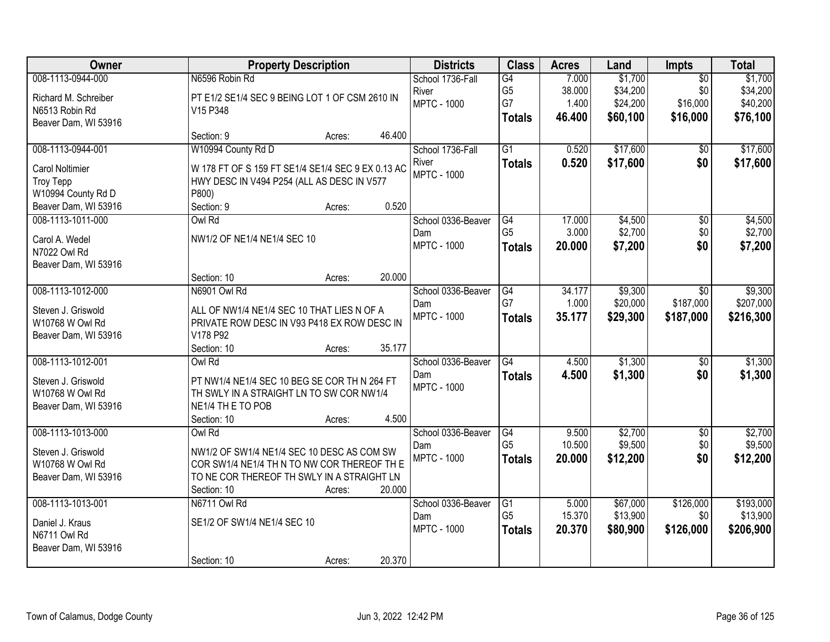| Owner                  |                                                   | <b>Property Description</b> |        | <b>Districts</b>   | <b>Class</b>    | <b>Acres</b> | Land     | Impts           | <b>Total</b> |
|------------------------|---------------------------------------------------|-----------------------------|--------|--------------------|-----------------|--------------|----------|-----------------|--------------|
| 008-1113-0944-000      | N6596 Robin Rd                                    |                             |        | School 1736-Fall   | G4              | 7.000        | \$1,700  | $\overline{50}$ | \$1,700      |
| Richard M. Schreiber   | PT E1/2 SE1/4 SEC 9 BEING LOT 1 OF CSM 2610 IN    |                             |        | River              | G <sub>5</sub>  | 38.000       | \$34,200 | \$0             | \$34,200     |
| N6513 Robin Rd         | V15 P348                                          |                             |        | <b>MPTC - 1000</b> | G7              | 1.400        | \$24,200 | \$16,000        | \$40,200     |
| Beaver Dam, WI 53916   |                                                   |                             |        |                    | <b>Totals</b>   | 46.400       | \$60,100 | \$16,000        | \$76,100     |
|                        | Section: 9                                        | Acres:                      | 46.400 |                    |                 |              |          |                 |              |
| 008-1113-0944-001      | W10994 County Rd D                                |                             |        | School 1736-Fall   | $\overline{G1}$ | 0.520        | \$17,600 | \$0             | \$17,600     |
| <b>Carol Noltimier</b> | W 178 FT OF S 159 FT SE1/4 SE1/4 SEC 9 EX 0.13 AC |                             |        | River              | <b>Totals</b>   | 0.520        | \$17,600 | \$0             | \$17,600     |
| <b>Troy Tepp</b>       | HWY DESC IN V494 P254 (ALL AS DESC IN V577        |                             |        | <b>MPTC - 1000</b> |                 |              |          |                 |              |
| W10994 County Rd D     | P800)                                             |                             |        |                    |                 |              |          |                 |              |
| Beaver Dam, WI 53916   | Section: 9                                        | Acres:                      | 0.520  |                    |                 |              |          |                 |              |
| 008-1113-1011-000      | Owl Rd                                            |                             |        | School 0336-Beaver | G4              | 17.000       | \$4,500  | $\overline{50}$ | \$4,500      |
| Carol A. Wedel         | NW1/2 OF NE1/4 NE1/4 SEC 10                       |                             |        | Dam                | G <sub>5</sub>  | 3.000        | \$2,700  | \$0             | \$2,700      |
| N7022 Owl Rd           |                                                   |                             |        | <b>MPTC - 1000</b> | <b>Totals</b>   | 20.000       | \$7,200  | \$0             | \$7,200      |
| Beaver Dam, WI 53916   |                                                   |                             |        |                    |                 |              |          |                 |              |
|                        | Section: 10                                       | Acres:                      | 20.000 |                    |                 |              |          |                 |              |
| 008-1113-1012-000      | N6901 Owl Rd                                      |                             |        | School 0336-Beaver | G4              | 34.177       | \$9,300  | \$0             | \$9,300      |
| Steven J. Griswold     | ALL OF NW1/4 NE1/4 SEC 10 THAT LIES N OF A        |                             |        | Dam                | G7              | 1.000        | \$20,000 | \$187,000       | \$207,000    |
| W10768 W Owl Rd        | PRIVATE ROW DESC IN V93 P418 EX ROW DESC IN       |                             |        | <b>MPTC - 1000</b> | <b>Totals</b>   | 35.177       | \$29,300 | \$187,000       | \$216,300    |
| Beaver Dam, WI 53916   | V178 P92                                          |                             |        |                    |                 |              |          |                 |              |
|                        | Section: 10                                       | Acres:                      | 35.177 |                    |                 |              |          |                 |              |
| 008-1113-1012-001      | Owl Rd                                            |                             |        | School 0336-Beaver | G4              | 4.500        | \$1,300  | $\overline{50}$ | \$1,300      |
| Steven J. Griswold     | PT NW1/4 NE1/4 SEC 10 BEG SE COR TH N 264 FT      |                             |        | Dam                | <b>Totals</b>   | 4.500        | \$1,300  | \$0             | \$1,300      |
| W10768 W Owl Rd        | TH SWLY IN A STRAIGHT LN TO SW COR NW1/4          |                             |        | <b>MPTC - 1000</b> |                 |              |          |                 |              |
| Beaver Dam, WI 53916   | NE1/4 TH E TO POB                                 |                             |        |                    |                 |              |          |                 |              |
|                        | Section: 10                                       | Acres:                      | 4.500  |                    |                 |              |          |                 |              |
| 008-1113-1013-000      | Owl Rd                                            |                             |        | School 0336-Beaver | G4              | 9.500        | \$2,700  | $\sqrt{$0}$     | \$2,700      |
| Steven J. Griswold     | NW1/2 OF SW1/4 NE1/4 SEC 10 DESC AS COM SW        |                             |        | Dam                | G <sub>5</sub>  | 10.500       | \$9,500  | \$0             | \$9,500      |
| W10768 W Owl Rd        | COR SW1/4 NE1/4 TH N TO NW COR THEREOF TH E       |                             |        | <b>MPTC - 1000</b> | <b>Totals</b>   | 20.000       | \$12,200 | \$0             | \$12,200     |
| Beaver Dam, WI 53916   | TO NE COR THEREOF TH SWLY IN A STRAIGHT LN        |                             |        |                    |                 |              |          |                 |              |
|                        | Section: 10                                       | Acres:                      | 20.000 |                    |                 |              |          |                 |              |
| 008-1113-1013-001      | N6711 Owl Rd                                      |                             |        | School 0336-Beaver | $\overline{G1}$ | 5.000        | \$67,000 | \$126,000       | \$193,000    |
| Daniel J. Kraus        | SE1/2 OF SW1/4 NE1/4 SEC 10                       |                             |        | Dam                | G <sub>5</sub>  | 15.370       | \$13,900 | \$0             | \$13,900     |
| N6711 Owl Rd           |                                                   |                             |        | <b>MPTC - 1000</b> | <b>Totals</b>   | 20.370       | \$80,900 | \$126,000       | \$206,900    |
| Beaver Dam, WI 53916   |                                                   |                             |        |                    |                 |              |          |                 |              |
|                        | Section: 10                                       | Acres:                      | 20.370 |                    |                 |              |          |                 |              |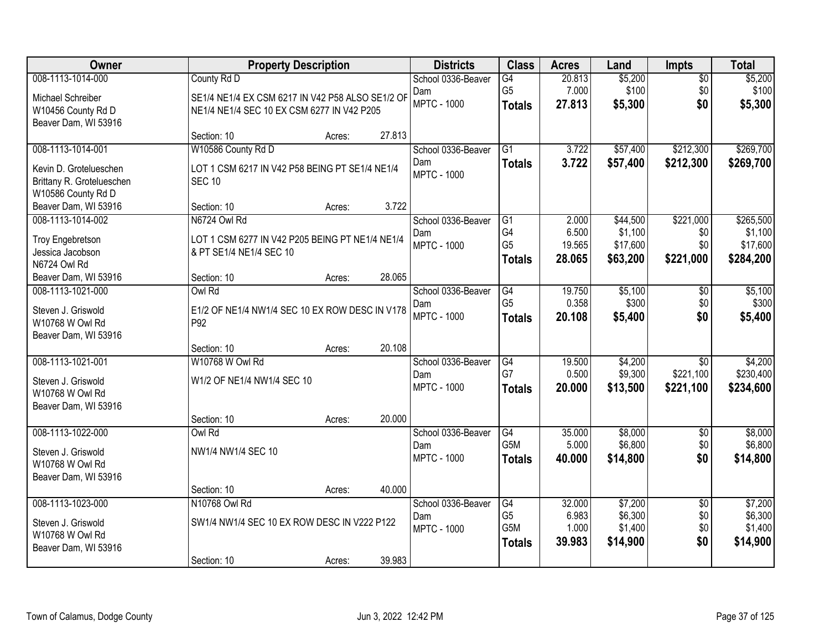| Owner                     |                                                  | <b>Property Description</b> |        | <b>Districts</b>   | <b>Class</b>     | <b>Acres</b> | Land     | Impts           | <b>Total</b> |
|---------------------------|--------------------------------------------------|-----------------------------|--------|--------------------|------------------|--------------|----------|-----------------|--------------|
| 008-1113-1014-000         | County Rd D                                      |                             |        | School 0336-Beaver | G4               | 20.813       | \$5,200  | $\overline{50}$ | \$5,200      |
| Michael Schreiber         | SE1/4 NE1/4 EX CSM 6217 IN V42 P58 ALSO SE1/2 OF |                             |        | Dam                | G <sub>5</sub>   | 7.000        | \$100    | \$0             | \$100        |
| W10456 County Rd D        | NE1/4 NE1/4 SEC 10 EX CSM 6277 IN V42 P205       |                             |        | <b>MPTC - 1000</b> | <b>Totals</b>    | 27.813       | \$5,300  | \$0             | \$5,300      |
| Beaver Dam, WI 53916      |                                                  |                             |        |                    |                  |              |          |                 |              |
|                           | Section: 10                                      | Acres:                      | 27.813 |                    |                  |              |          |                 |              |
| 008-1113-1014-001         | W10586 County Rd D                               |                             |        | School 0336-Beaver | $\overline{G1}$  | 3.722        | \$57,400 | \$212,300       | \$269,700    |
| Kevin D. Grotelueschen    | LOT 1 CSM 6217 IN V42 P58 BEING PT SE1/4 NE1/4   |                             |        | Dam                | <b>Totals</b>    | 3.722        | \$57,400 | \$212,300       | \$269,700    |
| Brittany R. Grotelueschen | <b>SEC 10</b>                                    |                             |        | <b>MPTC - 1000</b> |                  |              |          |                 |              |
| W10586 County Rd D        |                                                  |                             |        |                    |                  |              |          |                 |              |
| Beaver Dam, WI 53916      | Section: 10                                      | Acres:                      | 3.722  |                    |                  |              |          |                 |              |
| 008-1113-1014-002         | N6724 Owl Rd                                     |                             |        | School 0336-Beaver | G1               | 2.000        | \$44,500 | \$221,000       | \$265,500    |
| <b>Troy Engebretson</b>   | LOT 1 CSM 6277 IN V42 P205 BEING PT NE1/4 NE1/4  |                             |        | Dam                | G4               | 6.500        | \$1,100  | \$0             | \$1,100      |
| Jessica Jacobson          | & PT SE1/4 NE1/4 SEC 10                          |                             |        | <b>MPTC - 1000</b> | G <sub>5</sub>   | 19.565       | \$17,600 | \$0             | \$17,600     |
| N6724 Owl Rd              |                                                  |                             |        |                    | <b>Totals</b>    | 28.065       | \$63,200 | \$221,000       | \$284,200    |
| Beaver Dam, WI 53916      | Section: 10                                      | Acres:                      | 28.065 |                    |                  |              |          |                 |              |
| 008-1113-1021-000         | Owl Rd                                           |                             |        | School 0336-Beaver | G4               | 19.750       | \$5,100  | \$0             | \$5,100      |
| Steven J. Griswold        | E1/2 OF NE1/4 NW1/4 SEC 10 EX ROW DESC IN V178   |                             |        | Dam                | G <sub>5</sub>   | 0.358        | \$300    | \$0             | \$300        |
| W10768 W Owl Rd           | P92                                              |                             |        | <b>MPTC - 1000</b> | <b>Totals</b>    | 20.108       | \$5,400  | \$0             | \$5,400      |
| Beaver Dam, WI 53916      |                                                  |                             |        |                    |                  |              |          |                 |              |
|                           | Section: 10                                      | Acres:                      | 20.108 |                    |                  |              |          |                 |              |
| 008-1113-1021-001         | W10768 W Owl Rd                                  |                             |        | School 0336-Beaver | G4               | 19.500       | \$4,200  | $\overline{30}$ | \$4,200      |
| Steven J. Griswold        | W1/2 OF NE1/4 NW1/4 SEC 10                       |                             |        | Dam                | G7               | 0.500        | \$9,300  | \$221,100       | \$230,400    |
| W10768 W Owl Rd           |                                                  |                             |        | <b>MPTC - 1000</b> | <b>Totals</b>    | 20.000       | \$13,500 | \$221,100       | \$234,600    |
| Beaver Dam, WI 53916      |                                                  |                             |        |                    |                  |              |          |                 |              |
|                           | Section: 10                                      | Acres:                      | 20.000 |                    |                  |              |          |                 |              |
| 008-1113-1022-000         | Owl Rd                                           |                             |        | School 0336-Beaver | G4               | 35.000       | \$8,000  | $\overline{50}$ | \$8,000      |
| Steven J. Griswold        | NW1/4 NW1/4 SEC 10                               |                             |        | Dam                | G5M              | 5.000        | \$6,800  | \$0             | \$6,800      |
| W10768 W Owl Rd           |                                                  |                             |        | <b>MPTC - 1000</b> | <b>Totals</b>    | 40.000       | \$14,800 | \$0             | \$14,800     |
| Beaver Dam, WI 53916      |                                                  |                             |        |                    |                  |              |          |                 |              |
|                           | Section: 10                                      | Acres:                      | 40.000 |                    |                  |              |          |                 |              |
| 008-1113-1023-000         | N10768 Owl Rd                                    |                             |        | School 0336-Beaver | $\overline{G4}$  | 32.000       | \$7,200  | $\overline{50}$ | \$7,200      |
| Steven J. Griswold        | SW1/4 NW1/4 SEC 10 EX ROW DESC IN V222 P122      |                             |        | Dam                | G <sub>5</sub>   | 6.983        | \$6,300  | \$0             | \$6,300      |
| W10768 W Owl Rd           |                                                  |                             |        | <b>MPTC - 1000</b> | G <sub>5</sub> M | 1.000        | \$1,400  | \$0             | \$1,400      |
| Beaver Dam, WI 53916      |                                                  |                             |        |                    | <b>Totals</b>    | 39.983       | \$14,900 | \$0             | \$14,900     |
|                           | Section: 10                                      | Acres:                      | 39.983 |                    |                  |              |          |                 |              |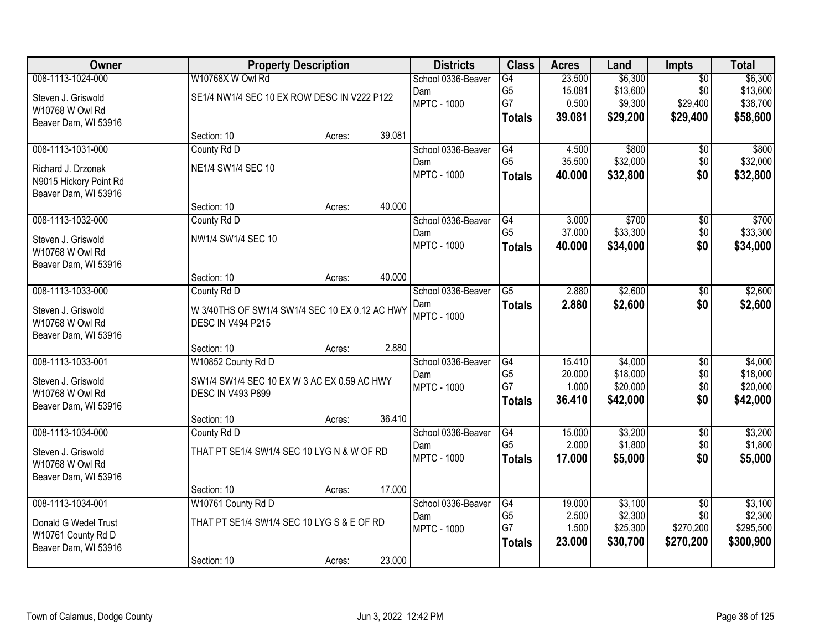| Owner                  |                                                | <b>Property Description</b> |        | <b>Districts</b>   | <b>Class</b>         | <b>Acres</b>    | Land                 | <b>Impts</b>     | <b>Total</b>         |
|------------------------|------------------------------------------------|-----------------------------|--------|--------------------|----------------------|-----------------|----------------------|------------------|----------------------|
| 008-1113-1024-000      | W10768X W Owl Rd                               |                             |        | School 0336-Beaver | G4                   | 23.500          | \$6,300              | $\overline{30}$  | \$6,300              |
| Steven J. Griswold     | SE1/4 NW1/4 SEC 10 EX ROW DESC IN V222 P122    |                             |        | Dam                | G <sub>5</sub>       | 15.081          | \$13,600             | \$0              | \$13,600             |
| W10768 W Owl Rd        |                                                |                             |        | <b>MPTC - 1000</b> | G7                   | 0.500           | \$9,300              | \$29,400         | \$38,700             |
| Beaver Dam, WI 53916   |                                                |                             |        |                    | <b>Totals</b>        | 39.081          | \$29,200             | \$29,400         | \$58,600             |
|                        | Section: 10                                    | Acres:                      | 39.081 |                    |                      |                 |                      |                  |                      |
| 008-1113-1031-000      | County Rd D                                    |                             |        | School 0336-Beaver | G4                   | 4.500           | \$800                | \$0              | \$800                |
| Richard J. Drzonek     | NE1/4 SW1/4 SEC 10                             |                             |        | Dam                | G <sub>5</sub>       | 35.500          | \$32,000             | \$0              | \$32,000             |
| N9015 Hickory Point Rd |                                                |                             |        | <b>MPTC - 1000</b> | <b>Totals</b>        | 40.000          | \$32,800             | \$0              | \$32,800             |
| Beaver Dam, WI 53916   |                                                |                             |        |                    |                      |                 |                      |                  |                      |
|                        | Section: 10                                    | Acres:                      | 40.000 |                    |                      |                 |                      |                  |                      |
| 008-1113-1032-000      | County Rd D                                    |                             |        | School 0336-Beaver | G4                   | 3.000           | \$700                | \$0              | \$700                |
| Steven J. Griswold     | NW1/4 SW1/4 SEC 10                             |                             |        | Dam                | G <sub>5</sub>       | 37.000          | \$33,300             | \$0              | \$33,300             |
| W10768 W Owl Rd        |                                                |                             |        | <b>MPTC - 1000</b> | <b>Totals</b>        | 40.000          | \$34,000             | \$0              | \$34,000             |
| Beaver Dam, WI 53916   |                                                |                             |        |                    |                      |                 |                      |                  |                      |
|                        | Section: 10                                    | Acres:                      | 40.000 |                    |                      |                 |                      |                  |                      |
| 008-1113-1033-000      | County Rd D                                    |                             |        | School 0336-Beaver | $\overline{G5}$      | 2.880           | \$2,600              | \$0              | \$2,600              |
| Steven J. Griswold     | W 3/40THS OF SW1/4 SW1/4 SEC 10 EX 0.12 AC HWY |                             |        | Dam                | <b>Totals</b>        | 2.880           | \$2,600              | \$0              | \$2,600              |
| W10768 W Owl Rd        | DESC IN V494 P215                              |                             |        | <b>MPTC - 1000</b> |                      |                 |                      |                  |                      |
| Beaver Dam, WI 53916   |                                                |                             |        |                    |                      |                 |                      |                  |                      |
|                        | Section: 10                                    | Acres:                      | 2.880  |                    |                      |                 |                      |                  |                      |
| 008-1113-1033-001      | W10852 County Rd D                             |                             |        | School 0336-Beaver | G4                   | 15.410          | \$4,000              | \$0              | \$4,000              |
| Steven J. Griswold     | SW1/4 SW1/4 SEC 10 EX W 3 AC EX 0.59 AC HWY    |                             |        | Dam                | G <sub>5</sub><br>G7 | 20.000<br>1.000 | \$18,000<br>\$20,000 | \$0<br>\$0       | \$18,000             |
| W10768 W Owl Rd        | <b>DESC IN V493 P899</b>                       |                             |        | <b>MPTC - 1000</b> |                      | 36.410          | \$42,000             | \$0              | \$20,000<br>\$42,000 |
| Beaver Dam, WI 53916   |                                                |                             |        |                    | <b>Totals</b>        |                 |                      |                  |                      |
|                        | Section: 10                                    | Acres:                      | 36.410 |                    |                      |                 |                      |                  |                      |
| 008-1113-1034-000      | County Rd D                                    |                             |        | School 0336-Beaver | G4                   | 15.000          | \$3,200              | $\overline{50}$  | \$3,200              |
| Steven J. Griswold     | THAT PT SE1/4 SW1/4 SEC 10 LYG N & W OF RD     |                             |        | Dam                | G <sub>5</sub>       | 2.000           | \$1,800              | \$0              | \$1,800              |
| W10768 W Owl Rd        |                                                |                             |        | <b>MPTC - 1000</b> | <b>Totals</b>        | 17.000          | \$5,000              | \$0              | \$5,000              |
| Beaver Dam, WI 53916   |                                                |                             |        |                    |                      |                 |                      |                  |                      |
|                        | Section: 10                                    | Acres:                      | 17.000 |                    |                      |                 |                      |                  |                      |
| 008-1113-1034-001      | W10761 County Rd D                             |                             |        | School 0336-Beaver | $\overline{G4}$      | 19.000          | \$3,100              | $\overline{50}$  | \$3,100              |
| Donald G Wedel Trust   | THAT PT SE1/4 SW1/4 SEC 10 LYG S & E OF RD     |                             |        | Dam                | G <sub>5</sub><br>G7 | 2.500<br>1.500  | \$2,300<br>\$25,300  | \$0<br>\$270,200 | \$2,300<br>\$295,500 |
| W10761 County Rd D     |                                                |                             |        | <b>MPTC - 1000</b> | <b>Totals</b>        | 23.000          | \$30,700             | \$270,200        | \$300,900            |
| Beaver Dam, WI 53916   |                                                |                             |        |                    |                      |                 |                      |                  |                      |
|                        | Section: 10                                    | Acres:                      | 23.000 |                    |                      |                 |                      |                  |                      |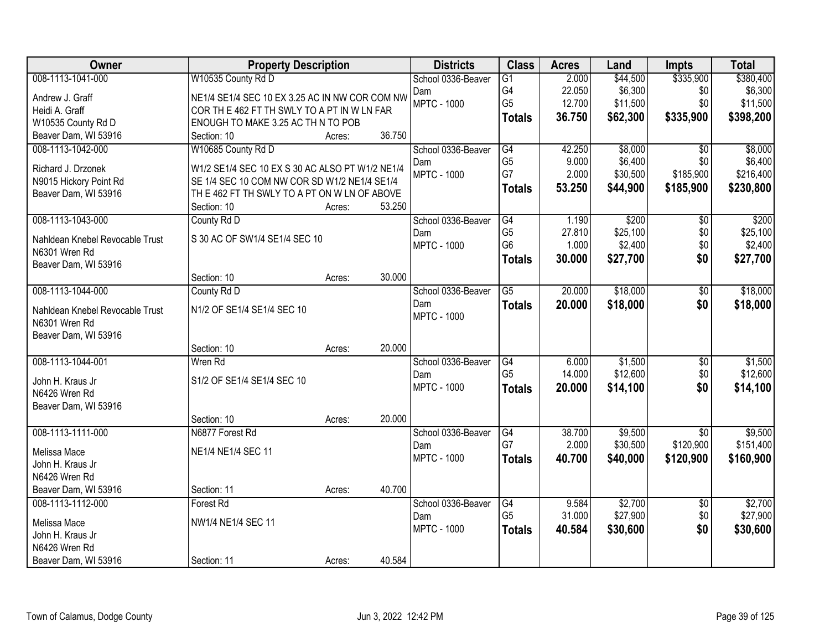| Owner                                            | <b>Property Description</b>                                                                     |        |        | <b>Districts</b>          | <b>Class</b>    | <b>Acres</b> | Land     | <b>Impts</b>    | <b>Total</b> |
|--------------------------------------------------|-------------------------------------------------------------------------------------------------|--------|--------|---------------------------|-----------------|--------------|----------|-----------------|--------------|
| 008-1113-1041-000                                | W10535 County Rd D                                                                              |        |        | School 0336-Beaver        | $\overline{G1}$ | 2.000        | \$44,500 | \$335,900       | \$380,400    |
| Andrew J. Graff                                  | NE1/4 SE1/4 SEC 10 EX 3.25 AC IN NW COR COM NW                                                  |        |        | Dam                       | G4              | 22.050       | \$6,300  | \$0             | \$6,300      |
| Heidi A. Graff                                   | COR TH E 462 FT TH SWLY TO A PT IN W LN FAR                                                     |        |        | <b>MPTC - 1000</b>        | G <sub>5</sub>  | 12.700       | \$11,500 | \$0             | \$11,500     |
| W10535 County Rd D                               | ENOUGH TO MAKE 3.25 AC TH N TO POB                                                              |        |        |                           | <b>Totals</b>   | 36.750       | \$62,300 | \$335,900       | \$398,200    |
| Beaver Dam, WI 53916                             | Section: 10                                                                                     | Acres: | 36.750 |                           |                 |              |          |                 |              |
| 008-1113-1042-000                                | W10685 County Rd D                                                                              |        |        | School 0336-Beaver        | G4              | 42.250       | \$8,000  | \$0             | \$8,000      |
| Richard J. Drzonek                               |                                                                                                 |        |        | Dam                       | G <sub>5</sub>  | 9.000        | \$6,400  | \$0             | \$6,400      |
| N9015 Hickory Point Rd                           | W1/2 SE1/4 SEC 10 EX S 30 AC ALSO PT W1/2 NE1/4<br>SE 1/4 SEC 10 COM NW COR SD W1/2 NE1/4 SE1/4 |        |        | <b>MPTC - 1000</b>        | G7              | 2.000        | \$30,500 | \$185,900       | \$216,400    |
| Beaver Dam, WI 53916                             | TH E 462 FT TH SWLY TO A PT ON W LN OF ABOVE                                                    |        |        |                           | <b>Totals</b>   | 53.250       | \$44,900 | \$185,900       | \$230,800    |
|                                                  | Section: 10                                                                                     | Acres: | 53.250 |                           |                 |              |          |                 |              |
| 008-1113-1043-000                                | County Rd D                                                                                     |        |        | School 0336-Beaver        | $\overline{G4}$ | 1.190        | \$200    | $\overline{50}$ | \$200        |
|                                                  | S 30 AC OF SW1/4 SE1/4 SEC 10                                                                   |        |        | Dam                       | G <sub>5</sub>  | 27.810       | \$25,100 | \$0             | \$25,100     |
| Nahldean Knebel Revocable Trust<br>N6301 Wren Rd |                                                                                                 |        |        | <b>MPTC - 1000</b>        | G <sub>6</sub>  | 1.000        | \$2,400  | \$0             | \$2,400      |
| Beaver Dam, WI 53916                             |                                                                                                 |        |        |                           | <b>Totals</b>   | 30.000       | \$27,700 | \$0             | \$27,700     |
|                                                  | Section: 10                                                                                     | Acres: | 30.000 |                           |                 |              |          |                 |              |
| 008-1113-1044-000                                | County Rd D                                                                                     |        |        | School 0336-Beaver        | G5              | 20.000       | \$18,000 | \$0             | \$18,000     |
| Nahldean Knebel Revocable Trust                  | N1/2 OF SE1/4 SE1/4 SEC 10                                                                      |        |        | Dam                       | <b>Totals</b>   | 20.000       | \$18,000 | \$0             | \$18,000     |
| N6301 Wren Rd                                    |                                                                                                 |        |        | <b>MPTC - 1000</b>        |                 |              |          |                 |              |
| Beaver Dam, WI 53916                             |                                                                                                 |        |        |                           |                 |              |          |                 |              |
|                                                  | Section: 10                                                                                     | Acres: | 20.000 |                           |                 |              |          |                 |              |
| 008-1113-1044-001                                | Wren Rd                                                                                         |        |        | School 0336-Beaver        | G4              | 6.000        | \$1,500  | \$0             | \$1,500      |
|                                                  |                                                                                                 |        |        | Dam                       | G <sub>5</sub>  | 14.000       | \$12,600 | \$0             | \$12,600     |
| John H. Kraus Jr                                 | S1/2 OF SE1/4 SE1/4 SEC 10                                                                      |        |        | <b>MPTC - 1000</b>        | <b>Totals</b>   | 20.000       | \$14,100 | \$0             | \$14,100     |
| N6426 Wren Rd<br>Beaver Dam, WI 53916            |                                                                                                 |        |        |                           |                 |              |          |                 |              |
|                                                  | Section: 10                                                                                     | Acres: | 20.000 |                           |                 |              |          |                 |              |
| 008-1113-1111-000                                | N6877 Forest Rd                                                                                 |        |        | School 0336-Beaver        | G4              | 38.700       | \$9,500  | $\overline{50}$ | \$9,500      |
|                                                  |                                                                                                 |        |        | Dam                       | G7              | 2.000        | \$30,500 | \$120,900       | \$151,400    |
| Melissa Mace                                     | NE1/4 NE1/4 SEC 11                                                                              |        |        | <b>MPTC - 1000</b>        | <b>Totals</b>   | 40.700       | \$40,000 | \$120,900       | \$160,900    |
| John H. Kraus Jr                                 |                                                                                                 |        |        |                           |                 |              |          |                 |              |
| N6426 Wren Rd                                    |                                                                                                 |        |        |                           |                 |              |          |                 |              |
| Beaver Dam, WI 53916                             | Section: 11                                                                                     | Acres: | 40.700 |                           |                 |              |          |                 |              |
| 008-1113-1112-000                                | <b>Forest Rd</b>                                                                                |        |        | School 0336-Beaver        | G4              | 9.584        | \$2,700  | $\overline{50}$ | \$2,700      |
| Melissa Mace                                     | NW1/4 NE1/4 SEC 11                                                                              |        |        | Dam<br><b>MPTC - 1000</b> | G <sub>5</sub>  | 31.000       | \$27,900 | \$0             | \$27,900     |
| John H. Kraus Jr                                 |                                                                                                 |        |        |                           | <b>Totals</b>   | 40.584       | \$30,600 | \$0             | \$30,600     |
| N6426 Wren Rd                                    |                                                                                                 |        |        |                           |                 |              |          |                 |              |
| Beaver Dam, WI 53916                             | Section: 11                                                                                     | Acres: | 40.584 |                           |                 |              |          |                 |              |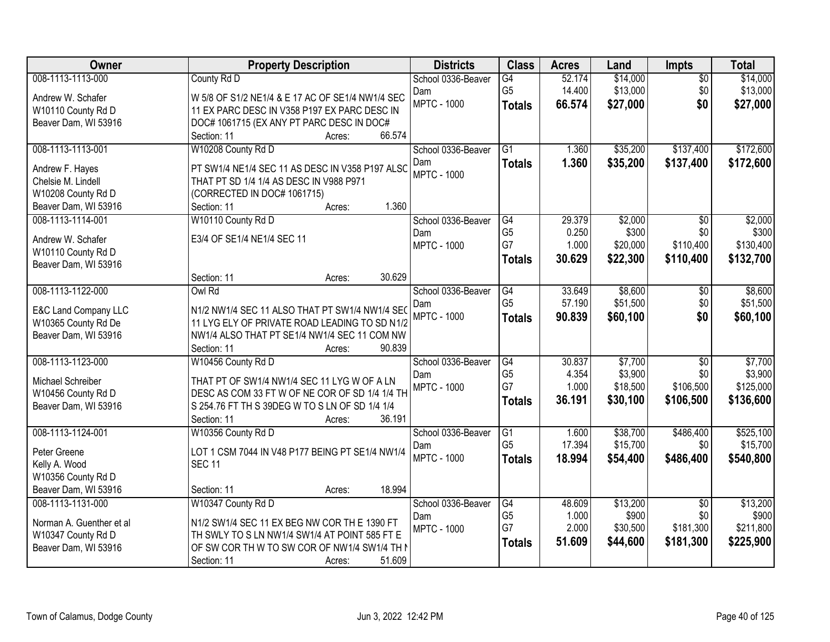| Owner                    | <b>Property Description</b>                            | <b>Districts</b>          | <b>Class</b>    | <b>Acres</b> | Land     | Impts           | <b>Total</b> |
|--------------------------|--------------------------------------------------------|---------------------------|-----------------|--------------|----------|-----------------|--------------|
| 008-1113-1113-000        | County Rd D                                            | School 0336-Beaver        | G4              | 52.174       | \$14,000 | $\overline{50}$ | \$14,000     |
| Andrew W. Schafer        | W 5/8 OF S1/2 NE1/4 & E 17 AC OF SE1/4 NW1/4 SEC       | Dam                       | G <sub>5</sub>  | 14.400       | \$13,000 | \$0             | \$13,000     |
| W10110 County Rd D       | 11 EX PARC DESC IN V358 P197 EX PARC DESC IN           | <b>MPTC - 1000</b>        | <b>Totals</b>   | 66.574       | \$27,000 | \$0             | \$27,000     |
| Beaver Dam, WI 53916     | DOC# 1061715 (EX ANY PT PARC DESC IN DOC#              |                           |                 |              |          |                 |              |
|                          | 66.574<br>Section: 11<br>Acres:                        |                           |                 |              |          |                 |              |
| 008-1113-1113-001        | W10208 County Rd D                                     | School 0336-Beaver        | $\overline{G1}$ | 1.360        | \$35,200 | \$137,400       | \$172,600    |
| Andrew F. Hayes          | PT SW1/4 NE1/4 SEC 11 AS DESC IN V358 P197 ALSC        | Dam                       | <b>Totals</b>   | 1.360        | \$35,200 | \$137,400       | \$172,600    |
| Chelsie M. Lindell       | THAT PT SD 1/4 1/4 AS DESC IN V988 P971                | <b>MPTC - 1000</b>        |                 |              |          |                 |              |
| W10208 County Rd D       | (CORRECTED IN DOC# 1061715)                            |                           |                 |              |          |                 |              |
| Beaver Dam, WI 53916     | 1.360<br>Section: 11<br>Acres:                         |                           |                 |              |          |                 |              |
| 008-1113-1114-001        | W10110 County Rd D                                     | School 0336-Beaver        | G4              | 29.379       | \$2,000  | $\overline{50}$ | \$2,000      |
|                          |                                                        | Dam                       | G <sub>5</sub>  | 0.250        | \$300    | \$0             | \$300        |
| Andrew W. Schafer        | E3/4 OF SE1/4 NE1/4 SEC 11                             | <b>MPTC - 1000</b>        | G7              | 1.000        | \$20,000 | \$110,400       | \$130,400    |
| W10110 County Rd D       |                                                        |                           | <b>Totals</b>   | 30.629       | \$22,300 | \$110,400       | \$132,700    |
| Beaver Dam, WI 53916     | 30.629<br>Section: 11                                  |                           |                 |              |          |                 |              |
| 008-1113-1122-000        | Acres:<br>Owl Rd                                       | School 0336-Beaver        | G4              | 33.649       | \$8,600  |                 | \$8,600      |
|                          |                                                        |                           | G <sub>5</sub>  | 57.190       | \$51,500 | \$0<br>\$0      | \$51,500     |
| E&C Land Company LLC     | N1/2 NW1/4 SEC 11 ALSO THAT PT SW1/4 NW1/4 SEC         | Dam<br><b>MPTC - 1000</b> |                 | 90.839       | \$60,100 | \$0             | \$60,100     |
| W10365 County Rd De      | 11 LYG ELY OF PRIVATE ROAD LEADING TO SD N1/2          |                           | <b>Totals</b>   |              |          |                 |              |
| Beaver Dam, WI 53916     | NW1/4 ALSO THAT PT SE1/4 NW1/4 SEC 11 COM NW           |                           |                 |              |          |                 |              |
|                          | Section: 11<br>90.839<br>Acres:                        |                           |                 |              |          |                 |              |
| 008-1113-1123-000        | W10456 County Rd D                                     | School 0336-Beaver        | G4              | 30.837       | \$7,700  | $\overline{50}$ | \$7,700      |
| Michael Schreiber        | THAT PT OF SW1/4 NW1/4 SEC 11 LYG W OF A LN            | Dam                       | G <sub>5</sub>  | 4.354        | \$3,900  | \$0             | \$3,900      |
| W10456 County Rd D       | DESC AS COM 33 FT W OF NE COR OF SD 1/4 1/4 TH         | <b>MPTC - 1000</b>        | G7              | 1.000        | \$18,500 | \$106,500       | \$125,000    |
| Beaver Dam, WI 53916     | S 254.76 FT TH S 39DEG W TO S LN OF SD 1/4 1/4         |                           | <b>Totals</b>   | 36.191       | \$30,100 | \$106,500       | \$136,600    |
|                          | 36.191<br>Section: 11<br>Acres:                        |                           |                 |              |          |                 |              |
| 008-1113-1124-001        | W10356 County Rd D                                     | School 0336-Beaver        | G1              | 1.600        | \$38,700 | \$486,400       | \$525,100    |
| Peter Greene             | LOT 1 CSM 7044 IN V48 P177 BEING PT SE1/4 NW1/4        | Dam                       | G <sub>5</sub>  | 17.394       | \$15,700 | \$0             | \$15,700     |
| Kelly A. Wood            | <b>SEC 11</b>                                          | <b>MPTC - 1000</b>        | <b>Totals</b>   | 18.994       | \$54,400 | \$486,400       | \$540,800    |
| W10356 County Rd D       |                                                        |                           |                 |              |          |                 |              |
| Beaver Dam, WI 53916     | 18.994<br>Section: 11<br>Acres:                        |                           |                 |              |          |                 |              |
| 008-1113-1131-000        | W10347 County Rd D                                     | School 0336-Beaver        | G4              | 48.609       | \$13,200 | $\overline{50}$ | \$13,200     |
|                          |                                                        | Dam                       | G <sub>5</sub>  | 1.000        | \$900    | \$0             | \$900        |
| Norman A. Guenther et al | N1/2 SW1/4 SEC 11 EX BEG NW COR TH E 1390 FT           | <b>MPTC - 1000</b>        | G7              | 2.000        | \$30,500 | \$181,300       | \$211,800    |
| W10347 County Rd D       | TH SWLY TO S LN NW1/4 SW1/4 AT POINT 585 FT E          |                           | <b>Totals</b>   | 51.609       | \$44,600 | \$181,300       | \$225,900    |
| Beaver Dam, WI 53916     | OF SW COR TH W TO SW COR OF NW1/4 SW1/4 TH N<br>51.609 |                           |                 |              |          |                 |              |
|                          | Section: 11<br>Acres:                                  |                           |                 |              |          |                 |              |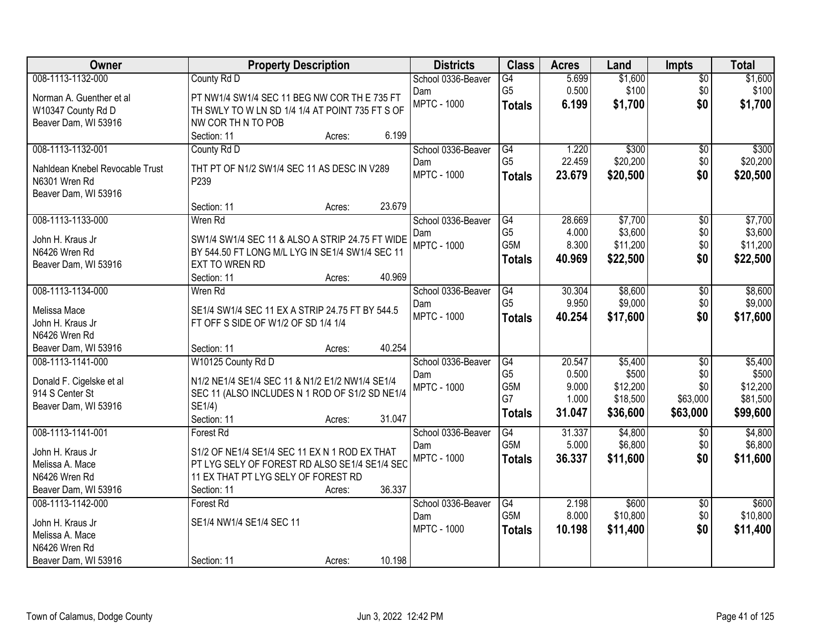| Owner                           | <b>Property Description</b>                     | <b>Districts</b>          | <b>Class</b>     | <b>Acres</b> | Land               | <b>Impts</b>    | <b>Total</b>       |
|---------------------------------|-------------------------------------------------|---------------------------|------------------|--------------|--------------------|-----------------|--------------------|
| 008-1113-1132-000               | County Rd D                                     | School 0336-Beaver        | $\overline{G4}$  | 5.699        | \$1,600            | $\overline{50}$ | \$1,600            |
| Norman A. Guenther et al        | PT NW1/4 SW1/4 SEC 11 BEG NW COR TH E 735 FT    | Dam                       | G <sub>5</sub>   | 0.500        | \$100              | \$0             | \$100              |
| W10347 County Rd D              | TH SWLY TO W LN SD 1/4 1/4 AT POINT 735 FT S OF | <b>MPTC - 1000</b>        | <b>Totals</b>    | 6.199        | \$1,700            | \$0             | \$1,700            |
| Beaver Dam, WI 53916            | NW COR TH N TO POB                              |                           |                  |              |                    |                 |                    |
|                                 | 6.199<br>Section: 11<br>Acres:                  |                           |                  |              |                    |                 |                    |
| 008-1113-1132-001               | County Rd D                                     | School 0336-Beaver        | G4               | 1.220        | \$300              | \$0             | \$300              |
| Nahldean Knebel Revocable Trust | THT PT OF N1/2 SW1/4 SEC 11 AS DESC IN V289     | Dam                       | G <sub>5</sub>   | 22.459       | \$20,200           | \$0             | \$20,200           |
| N6301 Wren Rd                   | P239                                            | <b>MPTC - 1000</b>        | <b>Totals</b>    | 23.679       | \$20,500           | \$0             | \$20,500           |
| Beaver Dam, WI 53916            |                                                 |                           |                  |              |                    |                 |                    |
|                                 | 23.679<br>Section: 11<br>Acres:                 |                           |                  |              |                    |                 |                    |
| 008-1113-1133-000               | Wren Rd                                         | School 0336-Beaver        | G4               | 28.669       | \$7,700            | $\overline{50}$ | \$7,700            |
| John H. Kraus Jr                | SW1/4 SW1/4 SEC 11 & ALSO A STRIP 24.75 FT WIDE | Dam                       | G <sub>5</sub>   | 4.000        | \$3,600            | \$0             | \$3,600            |
| N6426 Wren Rd                   | BY 544.50 FT LONG M/L LYG IN SE1/4 SW1/4 SEC 11 | <b>MPTC - 1000</b>        | G5M              | 8.300        | \$11,200           | \$0             | \$11,200           |
| Beaver Dam, WI 53916            | EXT TO WREN RD                                  |                           | <b>Totals</b>    | 40.969       | \$22,500           | \$0             | \$22,500           |
|                                 | 40.969<br>Section: 11<br>Acres:                 |                           |                  |              |                    |                 |                    |
| 008-1113-1134-000               | Wren Rd                                         | School 0336-Beaver        | G4               | 30.304       | \$8,600            | \$0             | \$8,600            |
| Melissa Mace                    | SE1/4 SW1/4 SEC 11 EX A STRIP 24.75 FT BY 544.5 | Dam                       | G <sub>5</sub>   | 9.950        | \$9,000            | \$0             | \$9,000            |
| John H. Kraus Jr                | FT OFF S SIDE OF W1/2 OF SD 1/4 1/4             | <b>MPTC - 1000</b>        | <b>Totals</b>    | 40.254       | \$17,600           | \$0             | \$17,600           |
| N6426 Wren Rd                   |                                                 |                           |                  |              |                    |                 |                    |
| Beaver Dam, WI 53916            | 40.254<br>Section: 11<br>Acres:                 |                           |                  |              |                    |                 |                    |
| 008-1113-1141-000               | W10125 County Rd D                              | School 0336-Beaver        | $\overline{G4}$  | 20.547       | \$5,400            | $\overline{50}$ | \$5,400            |
|                                 |                                                 | Dam                       | G <sub>5</sub>   | 0.500        | \$500              | \$0             | \$500              |
| Donald F. Cigelske et al        | N1/2 NE1/4 SE1/4 SEC 11 & N1/2 E1/2 NW1/4 SE1/4 | <b>MPTC - 1000</b>        | G5M              | 9.000        | \$12,200           | \$0             | \$12,200           |
| 914 S Center St                 | SEC 11 (ALSO INCLUDES N 1 ROD OF S1/2 SD NE1/4  |                           | G7               | 1.000        | \$18,500           | \$63,000        | \$81,500           |
| Beaver Dam, WI 53916            | SE1/4)<br>31.047                                |                           | <b>Totals</b>    | 31.047       | \$36,600           | \$63,000        | \$99,600           |
| 008-1113-1141-001               | Section: 11<br>Acres:                           |                           | G4               | 31.337       |                    |                 |                    |
|                                 | Forest Rd                                       | School 0336-Beaver<br>Dam | G <sub>5</sub> M | 5.000        | \$4,800<br>\$6,800 | \$0<br>\$0      | \$4,800<br>\$6,800 |
| John H. Kraus Jr                | S1/2 OF NE1/4 SE1/4 SEC 11 EX N 1 ROD EX THAT   | <b>MPTC - 1000</b>        |                  | 36.337       | \$11,600           | \$0             | \$11,600           |
| Melissa A. Mace                 | PT LYG SELY OF FOREST RD ALSO SE1/4 SE1/4 SEC   |                           | <b>Totals</b>    |              |                    |                 |                    |
| N6426 Wren Rd                   | 11 EX THAT PT LYG SELY OF FOREST RD             |                           |                  |              |                    |                 |                    |
| Beaver Dam, WI 53916            | 36.337<br>Section: 11<br>Acres:                 |                           |                  |              |                    |                 |                    |
| 008-1113-1142-000               | Forest Rd                                       | School 0336-Beaver        | G4               | 2.198        | \$600              | $\overline{30}$ | \$600              |
| John H. Kraus Jr                | SE1/4 NW1/4 SE1/4 SEC 11                        | Dam                       | G5M              | 8.000        | \$10,800           | \$0             | \$10,800           |
| Melissa A. Mace                 |                                                 | <b>MPTC - 1000</b>        | <b>Totals</b>    | 10.198       | \$11,400           | \$0             | \$11,400           |
| N6426 Wren Rd                   |                                                 |                           |                  |              |                    |                 |                    |
| Beaver Dam, WI 53916            | 10.198<br>Section: 11<br>Acres:                 |                           |                  |              |                    |                 |                    |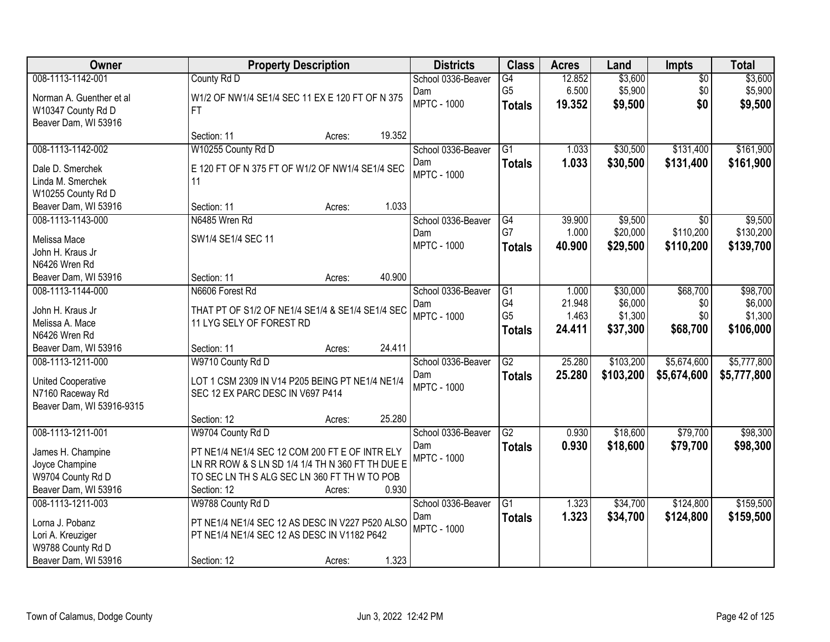| Owner                     |                                                  | <b>Property Description</b> |        | <b>Districts</b>   | <b>Class</b>    | <b>Acres</b> | Land      | <b>Impts</b>    | <b>Total</b> |
|---------------------------|--------------------------------------------------|-----------------------------|--------|--------------------|-----------------|--------------|-----------|-----------------|--------------|
| 008-1113-1142-001         | County Rd D                                      |                             |        | School 0336-Beaver | G4              | 12.852       | \$3,600   | $\overline{50}$ | \$3,600      |
| Norman A. Guenther et al  | W1/2 OF NW1/4 SE1/4 SEC 11 EX E 120 FT OF N 375  |                             |        | Dam                | G <sub>5</sub>  | 6.500        | \$5,900   | \$0             | \$5,900      |
| W10347 County Rd D        | FT.                                              |                             |        | <b>MPTC - 1000</b> | <b>Totals</b>   | 19.352       | \$9,500   | \$0             | \$9,500      |
| Beaver Dam, WI 53916      |                                                  |                             |        |                    |                 |              |           |                 |              |
|                           | Section: 11                                      | Acres:                      | 19.352 |                    |                 |              |           |                 |              |
| 008-1113-1142-002         | W10255 County Rd D                               |                             |        | School 0336-Beaver | $\overline{G1}$ | 1.033        | \$30,500  | \$131,400       | \$161,900    |
| Dale D. Smerchek          | E 120 FT OF N 375 FT OF W1/2 OF NW1/4 SE1/4 SEC  |                             |        | Dam                | <b>Totals</b>   | 1.033        | \$30,500  | \$131,400       | \$161,900    |
| Linda M. Smerchek         | 11                                               |                             |        | <b>MPTC - 1000</b> |                 |              |           |                 |              |
| W10255 County Rd D        |                                                  |                             |        |                    |                 |              |           |                 |              |
| Beaver Dam, WI 53916      | Section: 11                                      | Acres:                      | 1.033  |                    |                 |              |           |                 |              |
| 008-1113-1143-000         | N6485 Wren Rd                                    |                             |        | School 0336-Beaver | G4              | 39.900       | \$9,500   | $\overline{50}$ | \$9,500      |
| Melissa Mace              | SW1/4 SE1/4 SEC 11                               |                             |        | Dam                | G7              | 1.000        | \$20,000  | \$110,200       | \$130,200    |
| John H. Kraus Jr          |                                                  |                             |        | <b>MPTC - 1000</b> | <b>Totals</b>   | 40.900       | \$29,500  | \$110,200       | \$139,700    |
| N6426 Wren Rd             |                                                  |                             |        |                    |                 |              |           |                 |              |
| Beaver Dam, WI 53916      | Section: 11                                      | Acres:                      | 40.900 |                    |                 |              |           |                 |              |
| 008-1113-1144-000         | N6606 Forest Rd                                  |                             |        | School 0336-Beaver | G1              | 1.000        | \$30,000  | \$68,700        | \$98,700     |
| John H. Kraus Jr          | THAT PT OF S1/2 OF NE1/4 SE1/4 & SE1/4 SE1/4 SEC |                             |        | Dam                | G4              | 21.948       | \$6,000   | \$0             | \$6,000      |
| Melissa A. Mace           | 11 LYG SELY OF FOREST RD                         |                             |        | <b>MPTC - 1000</b> | G <sub>5</sub>  | 1.463        | \$1,300   | \$0             | \$1,300      |
| N6426 Wren Rd             |                                                  |                             |        |                    | <b>Totals</b>   | 24.411       | \$37,300  | \$68,700        | \$106,000    |
| Beaver Dam, WI 53916      | Section: 11                                      | Acres:                      | 24.411 |                    |                 |              |           |                 |              |
| 008-1113-1211-000         | W9710 County Rd D                                |                             |        | School 0336-Beaver | $\overline{G2}$ | 25.280       | \$103,200 | \$5,674,600     | \$5,777,800  |
| <b>United Cooperative</b> | LOT 1 CSM 2309 IN V14 P205 BEING PT NE1/4 NE1/4  |                             |        | Dam                | <b>Totals</b>   | 25.280       | \$103,200 | \$5,674,600     | \$5,777,800  |
| N7160 Raceway Rd          | SEC 12 EX PARC DESC IN V697 P414                 |                             |        | <b>MPTC - 1000</b> |                 |              |           |                 |              |
| Beaver Dam, WI 53916-9315 |                                                  |                             |        |                    |                 |              |           |                 |              |
|                           | Section: 12                                      | Acres:                      | 25.280 |                    |                 |              |           |                 |              |
| 008-1113-1211-001         | W9704 County Rd D                                |                             |        | School 0336-Beaver | G2              | 0.930        | \$18,600  | \$79,700        | \$98,300     |
| James H. Champine         | PT NE1/4 NE1/4 SEC 12 COM 200 FT E OF INTR ELY   |                             |        | Dam                | <b>Totals</b>   | 0.930        | \$18,600  | \$79,700        | \$98,300     |
| Joyce Champine            | LN RR ROW & S LN SD 1/4 1/4 TH N 360 FT TH DUE E |                             |        | <b>MPTC - 1000</b> |                 |              |           |                 |              |
| W9704 County Rd D         | TO SEC LN TH S ALG SEC LN 360 FT TH W TO POB     |                             |        |                    |                 |              |           |                 |              |
| Beaver Dam, WI 53916      | Section: 12                                      | Acres:                      | 0.930  |                    |                 |              |           |                 |              |
| 008-1113-1211-003         | W9788 County Rd D                                |                             |        | School 0336-Beaver | $\overline{G1}$ | 1.323        | \$34,700  | \$124,800       | \$159,500    |
| Lorna J. Pobanz           | PT NE1/4 NE1/4 SEC 12 AS DESC IN V227 P520 ALSO  |                             |        | Dam                | <b>Totals</b>   | 1.323        | \$34,700  | \$124,800       | \$159,500    |
| Lori A. Kreuziger         | PT NE1/4 NE1/4 SEC 12 AS DESC IN V1182 P642      |                             |        | <b>MPTC - 1000</b> |                 |              |           |                 |              |
| W9788 County Rd D         |                                                  |                             |        |                    |                 |              |           |                 |              |
| Beaver Dam, WI 53916      | Section: 12                                      | Acres:                      | 1.323  |                    |                 |              |           |                 |              |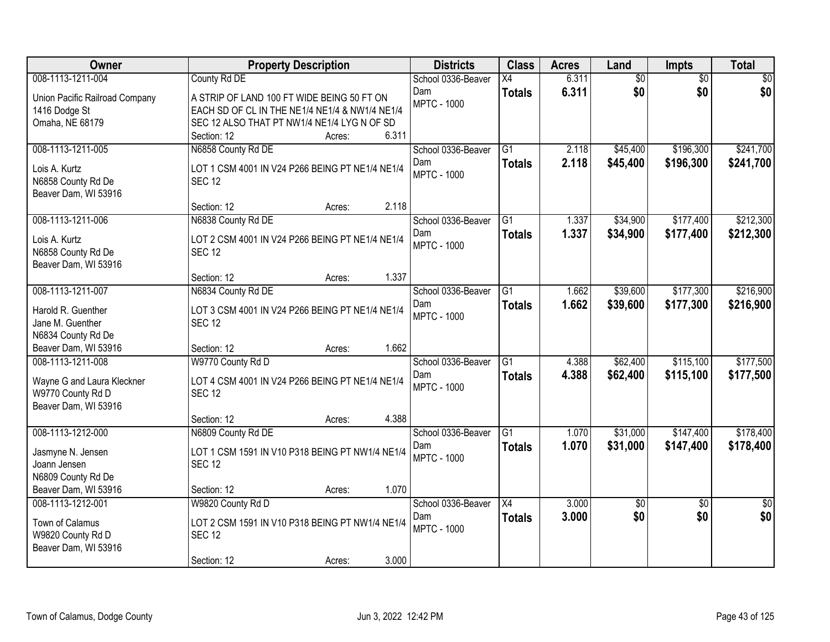| Owner                                     | <b>Property Description</b>                                      | <b>Districts</b>          | <b>Class</b>    | <b>Acres</b> | Land            | <b>Impts</b>           | <b>Total</b>           |
|-------------------------------------------|------------------------------------------------------------------|---------------------------|-----------------|--------------|-----------------|------------------------|------------------------|
| 008-1113-1211-004                         | County Rd DE                                                     | School 0336-Beaver        | X4              | 6.311        | $\overline{60}$ | $\overline{30}$        | \$0                    |
| Union Pacific Railroad Company            | A STRIP OF LAND 100 FT WIDE BEING 50 FT ON                       | Dam                       | <b>Totals</b>   | 6.311        | \$0             | \$0                    | \$0                    |
| 1416 Dodge St                             | EACH SD OF CL IN THE NE1/4 NE1/4 & NW1/4 NE1/4                   | <b>MPTC - 1000</b>        |                 |              |                 |                        |                        |
| Omaha, NE 68179                           | SEC 12 ALSO THAT PT NW1/4 NE1/4 LYG N OF SD                      |                           |                 |              |                 |                        |                        |
|                                           | 6.311<br>Section: 12<br>Acres:                                   |                           |                 |              |                 |                        |                        |
| 008-1113-1211-005                         | N6858 County Rd DE                                               | School 0336-Beaver        | $\overline{G1}$ | 2.118        | \$45,400        | \$196,300              | \$241,700              |
| Lois A. Kurtz                             | LOT 1 CSM 4001 IN V24 P266 BEING PT NE1/4 NE1/4                  | Dam                       | <b>Totals</b>   | 2.118        | \$45,400        | \$196,300              | \$241,700              |
| N6858 County Rd De                        | <b>SEC 12</b>                                                    | <b>MPTC - 1000</b>        |                 |              |                 |                        |                        |
| Beaver Dam, WI 53916                      |                                                                  |                           |                 |              |                 |                        |                        |
|                                           | 2.118<br>Section: 12<br>Acres:                                   |                           |                 |              |                 |                        |                        |
| 008-1113-1211-006                         | N6838 County Rd DE                                               | School 0336-Beaver        | $\overline{G1}$ | 1.337        | \$34,900        | \$177,400              | \$212,300              |
| Lois A. Kurtz                             | LOT 2 CSM 4001 IN V24 P266 BEING PT NE1/4 NE1/4                  | Dam                       | <b>Totals</b>   | 1.337        | \$34,900        | \$177,400              | \$212,300              |
| N6858 County Rd De                        | <b>SEC 12</b>                                                    | <b>MPTC - 1000</b>        |                 |              |                 |                        |                        |
| Beaver Dam, WI 53916                      |                                                                  |                           |                 |              |                 |                        |                        |
|                                           | 1.337<br>Section: 12<br>Acres:                                   |                           |                 |              |                 |                        |                        |
| 008-1113-1211-007                         | N6834 County Rd DE                                               | School 0336-Beaver        | G1              | 1.662        | \$39,600        | \$177,300              | \$216,900              |
| Harold R. Guenther                        |                                                                  | Dam                       | <b>Totals</b>   | 1.662        | \$39,600        | \$177,300              | \$216,900              |
| Jane M. Guenther                          | LOT 3 CSM 4001 IN V24 P266 BEING PT NE1/4 NE1/4<br><b>SEC 12</b> | <b>MPTC - 1000</b>        |                 |              |                 |                        |                        |
| N6834 County Rd De                        |                                                                  |                           |                 |              |                 |                        |                        |
| Beaver Dam, WI 53916                      | 1.662<br>Section: 12<br>Acres:                                   |                           |                 |              |                 |                        |                        |
| 008-1113-1211-008                         | W9770 County Rd D                                                | School 0336-Beaver        | $\overline{G1}$ | 4.388        | \$62,400        | \$115,100              | \$177,500              |
|                                           |                                                                  | Dam                       | <b>Totals</b>   | 4.388        | \$62,400        | \$115,100              | \$177,500              |
| Wayne G and Laura Kleckner                | LOT 4 CSM 4001 IN V24 P266 BEING PT NE1/4 NE1/4                  | <b>MPTC - 1000</b>        |                 |              |                 |                        |                        |
| W9770 County Rd D                         | <b>SEC 12</b>                                                    |                           |                 |              |                 |                        |                        |
| Beaver Dam, WI 53916                      | 4.388<br>Section: 12<br>Acres:                                   |                           |                 |              |                 |                        |                        |
| 008-1113-1212-000                         | N6809 County Rd DE                                               | School 0336-Beaver        | G1              | 1.070        | \$31,000        | \$147,400              | \$178,400              |
|                                           |                                                                  | Dam                       | <b>Totals</b>   | 1.070        | \$31,000        | \$147,400              | \$178,400              |
| Jasmyne N. Jensen                         | LOT 1 CSM 1591 IN V10 P318 BEING PT NW1/4 NE1/4                  | <b>MPTC - 1000</b>        |                 |              |                 |                        |                        |
| Joann Jensen                              | <b>SEC 12</b>                                                    |                           |                 |              |                 |                        |                        |
| N6809 County Rd De                        |                                                                  |                           |                 |              |                 |                        |                        |
| Beaver Dam, WI 53916<br>008-1113-1212-001 | 1.070<br>Section: 12<br>Acres:                                   |                           |                 | 3.000        |                 |                        |                        |
|                                           | W9820 County Rd D                                                | School 0336-Beaver<br>Dam | X4              | 3.000        | \$0<br>\$0      | $\overline{50}$<br>\$0 | $\overline{50}$<br>\$0 |
| Town of Calamus                           | LOT 2 CSM 1591 IN V10 P318 BEING PT NW1/4 NE1/4                  | <b>MPTC - 1000</b>        | <b>Totals</b>   |              |                 |                        |                        |
| W9820 County Rd D                         | <b>SEC 12</b>                                                    |                           |                 |              |                 |                        |                        |
| Beaver Dam, WI 53916                      |                                                                  |                           |                 |              |                 |                        |                        |
|                                           | 3.000<br>Section: 12<br>Acres:                                   |                           |                 |              |                 |                        |                        |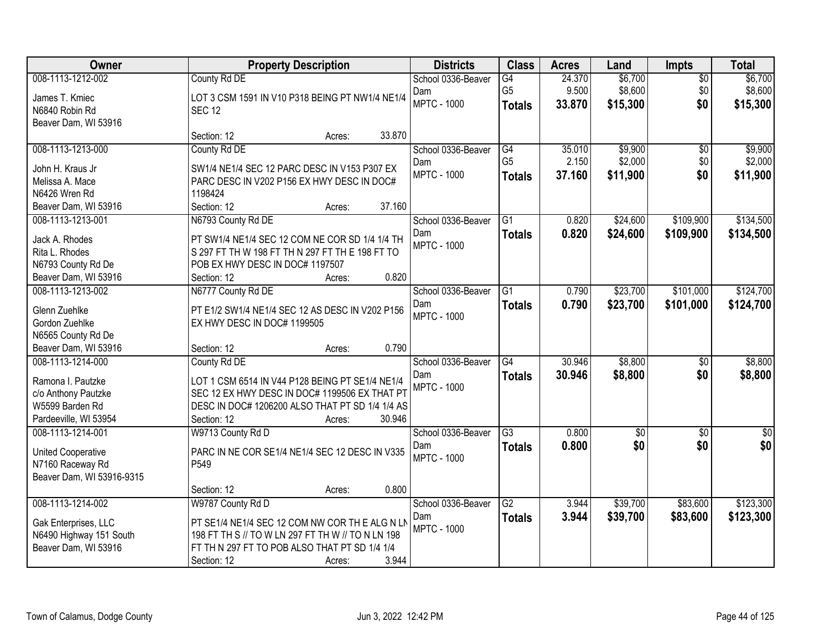| Owner                                           |                                                                                                    | <b>Property Description</b> |        | <b>Districts</b>          | <b>Class</b>    | <b>Acres</b> | Land            | <b>Impts</b>    | <b>Total</b>     |
|-------------------------------------------------|----------------------------------------------------------------------------------------------------|-----------------------------|--------|---------------------------|-----------------|--------------|-----------------|-----------------|------------------|
| 008-1113-1212-002                               | County Rd DE                                                                                       |                             |        | School 0336-Beaver        | G4              | 24.370       | \$6,700         | $\overline{50}$ | \$6,700          |
| James T. Kmiec                                  | LOT 3 CSM 1591 IN V10 P318 BEING PT NW1/4 NE1/4                                                    |                             |        | Dam                       | G <sub>5</sub>  | 9.500        | \$8,600         | \$0             | \$8,600          |
| N6840 Robin Rd                                  | <b>SEC 12</b>                                                                                      |                             |        | <b>MPTC - 1000</b>        | <b>Totals</b>   | 33.870       | \$15,300        | \$0             | \$15,300         |
| Beaver Dam, WI 53916                            |                                                                                                    |                             |        |                           |                 |              |                 |                 |                  |
|                                                 | Section: 12                                                                                        | Acres:                      | 33.870 |                           |                 |              |                 |                 |                  |
| 008-1113-1213-000                               | County Rd DE                                                                                       |                             |        | School 0336-Beaver        | G4              | 35.010       | \$9,900         | $\overline{50}$ | \$9,900          |
| John H. Kraus Jr                                | SW1/4 NE1/4 SEC 12 PARC DESC IN V153 P307 EX                                                       |                             |        | Dam                       | G <sub>5</sub>  | 2.150        | \$2,000         | \$0             | \$2,000          |
| Melissa A. Mace                                 | PARC DESC IN V202 P156 EX HWY DESC IN DOC#                                                         |                             |        | <b>MPTC - 1000</b>        | <b>Totals</b>   | 37.160       | \$11,900        | \$0             | \$11,900         |
| N6426 Wren Rd                                   | 1198424                                                                                            |                             |        |                           |                 |              |                 |                 |                  |
| Beaver Dam, WI 53916                            | Section: 12                                                                                        | Acres:                      | 37.160 |                           |                 |              |                 |                 |                  |
| 008-1113-1213-001                               | N6793 County Rd DE                                                                                 |                             |        | School 0336-Beaver        | G1              | 0.820        | \$24,600        | \$109,900       | \$134,500        |
|                                                 |                                                                                                    |                             |        | Dam                       | <b>Totals</b>   | 0.820        | \$24,600        | \$109,900       | \$134,500        |
| Jack A. Rhodes                                  | PT SW1/4 NE1/4 SEC 12 COM NE COR SD 1/4 1/4 TH                                                     |                             |        | <b>MPTC - 1000</b>        |                 |              |                 |                 |                  |
| Rita L. Rhodes                                  | S 297 FT TH W 198 FT TH N 297 FT TH E 198 FT TO                                                    |                             |        |                           |                 |              |                 |                 |                  |
| N6793 County Rd De                              | POB EX HWY DESC IN DOC# 1197507                                                                    |                             | 0.820  |                           |                 |              |                 |                 |                  |
| Beaver Dam, WI 53916                            | Section: 12                                                                                        | Acres:                      |        |                           |                 |              |                 |                 |                  |
| 008-1113-1213-002                               | N6777 County Rd DE                                                                                 |                             |        | School 0336-Beaver        | G1              | 0.790        | \$23,700        | \$101,000       | \$124,700        |
| Glenn Zuehlke                                   | PT E1/2 SW1/4 NE1/4 SEC 12 AS DESC IN V202 P156                                                    |                             |        | Dam<br><b>MPTC - 1000</b> | <b>Totals</b>   | 0.790        | \$23,700        | \$101,000       | \$124,700        |
| Gordon Zuehlke                                  | EX HWY DESC IN DOC# 1199505                                                                        |                             |        |                           |                 |              |                 |                 |                  |
| N6565 County Rd De                              |                                                                                                    |                             |        |                           |                 |              |                 |                 |                  |
| Beaver Dam, WI 53916                            | Section: 12                                                                                        | Acres:                      | 0.790  |                           |                 |              |                 |                 |                  |
| 008-1113-1214-000                               | County Rd DE                                                                                       |                             |        | School 0336-Beaver        | $\overline{G4}$ | 30.946       | \$8,800         | $\overline{50}$ | \$8,800          |
| Ramona I. Pautzke                               | LOT 1 CSM 6514 IN V44 P128 BEING PT SE1/4 NE1/4                                                    |                             |        | Dam                       | <b>Totals</b>   | 30.946       | \$8,800         | \$0             | \$8,800          |
| c/o Anthony Pautzke                             | SEC 12 EX HWY DESC IN DOC# 1199506 EX THAT PT                                                      |                             |        | <b>MPTC - 1000</b>        |                 |              |                 |                 |                  |
| W5599 Barden Rd                                 | DESC IN DOC# 1206200 ALSO THAT PT SD 1/4 1/4 AS                                                    |                             |        |                           |                 |              |                 |                 |                  |
| Pardeeville, WI 53954                           | Section: 12                                                                                        | Acres:                      | 30.946 |                           |                 |              |                 |                 |                  |
| 008-1113-1214-001                               | W9713 County Rd D                                                                                  |                             |        | School 0336-Beaver        | $\overline{G3}$ | 0.800        | $\overline{50}$ | $\overline{30}$ | $\overline{\$0}$ |
| <b>United Cooperative</b>                       | PARC IN NE COR SE1/4 NE1/4 SEC 12 DESC IN V335                                                     |                             |        | Dam                       | <b>Totals</b>   | 0.800        | \$0             | \$0             | \$0              |
| N7160 Raceway Rd                                | P549                                                                                               |                             |        | <b>MPTC - 1000</b>        |                 |              |                 |                 |                  |
| Beaver Dam, WI 53916-9315                       |                                                                                                    |                             |        |                           |                 |              |                 |                 |                  |
|                                                 | Section: 12                                                                                        | Acres:                      | 0.800  |                           |                 |              |                 |                 |                  |
| 008-1113-1214-002                               | W9787 County Rd D                                                                                  |                             |        | School 0336-Beaver        | $\overline{G2}$ | 3.944        | \$39,700        | \$83,600        | \$123,300        |
|                                                 |                                                                                                    |                             |        | Dam                       | <b>Totals</b>   | 3.944        | \$39,700        | \$83,600        | \$123,300        |
| Gak Enterprises, LLC                            | PT SE1/4 NE1/4 SEC 12 COM NW COR TH E ALG N LN                                                     |                             |        | <b>MPTC - 1000</b>        |                 |              |                 |                 |                  |
| N6490 Highway 151 South<br>Beaver Dam, WI 53916 | 198 FT TH S // TO W LN 297 FT TH W // TO N LN 198<br>FT TH N 297 FT TO POB ALSO THAT PT SD 1/4 1/4 |                             |        |                           |                 |              |                 |                 |                  |
|                                                 | Section: 12                                                                                        |                             | 3.944  |                           |                 |              |                 |                 |                  |
|                                                 |                                                                                                    | Acres:                      |        |                           |                 |              |                 |                 |                  |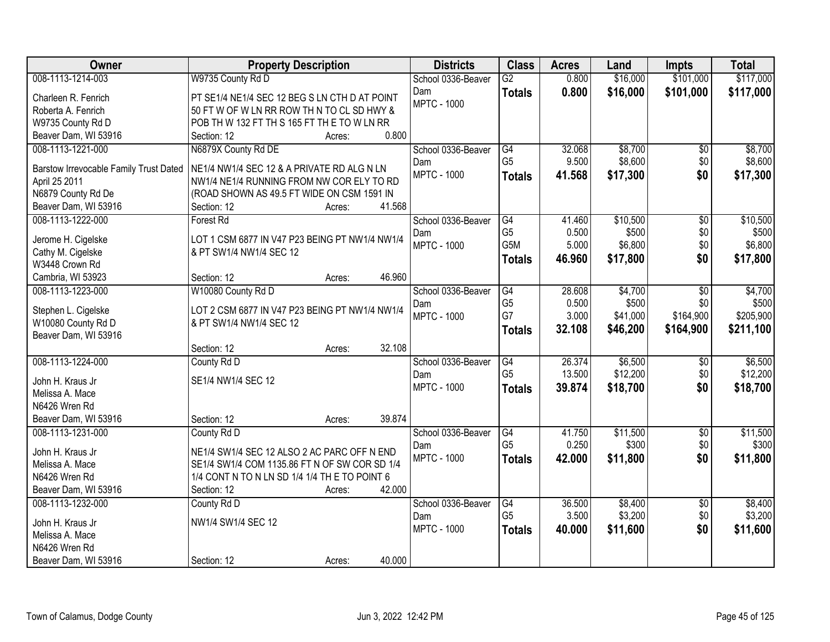| Owner                                                   | <b>Property Description</b>                                                                    | <b>Districts</b>   | <b>Class</b>         | <b>Acres</b>   | Land     | <b>Impts</b>    | <b>Total</b>       |
|---------------------------------------------------------|------------------------------------------------------------------------------------------------|--------------------|----------------------|----------------|----------|-----------------|--------------------|
| 008-1113-1214-003                                       | W9735 County Rd D                                                                              | School 0336-Beaver | $\overline{G2}$      | 0.800          | \$16,000 | \$101,000       | \$117,000          |
| Charleen R. Fenrich                                     | PT SE1/4 NE1/4 SEC 12 BEG S LN CTH D AT POINT                                                  | Dam                | <b>Totals</b>        | 0.800          | \$16,000 | \$101,000       | \$117,000          |
| Roberta A. Fenrich                                      | 50 FT W OF W LN RR ROW TH N TO CL SD HWY &                                                     | <b>MPTC - 1000</b> |                      |                |          |                 |                    |
| W9735 County Rd D                                       | POB TH W 132 FT TH S 165 FT TH E TO W LN RR                                                    |                    |                      |                |          |                 |                    |
| Beaver Dam, WI 53916                                    | 0.800<br>Section: 12<br>Acres:                                                                 |                    |                      |                |          |                 |                    |
| 008-1113-1221-000                                       | N6879X County Rd DE                                                                            | School 0336-Beaver | G4                   | 32.068         | \$8,700  | \$0             | \$8,700            |
|                                                         | NE1/4 NW1/4 SEC 12 & A PRIVATE RD ALG N LN                                                     | Dam                | G <sub>5</sub>       | 9.500          | \$8,600  | \$0             | \$8,600            |
| Barstow Irrevocable Family Trust Dated<br>April 25 2011 | NW1/4 NE1/4 RUNNING FROM NW COR ELY TO RD                                                      | <b>MPTC - 1000</b> | <b>Totals</b>        | 41.568         | \$17,300 | \$0             | \$17,300           |
| N6879 County Rd De                                      | (ROAD SHOWN AS 49.5 FT WIDE ON CSM 1591 IN                                                     |                    |                      |                |          |                 |                    |
| Beaver Dam, WI 53916                                    | 41.568<br>Section: 12<br>Acres:                                                                |                    |                      |                |          |                 |                    |
| 008-1113-1222-000                                       | <b>Forest Rd</b>                                                                               | School 0336-Beaver | G4                   | 41.460         | \$10,500 | \$0             | \$10,500           |
|                                                         |                                                                                                | Dam                | G <sub>5</sub>       | 0.500          | \$500    | \$0             | \$500              |
| Jerome H. Cigelske                                      | LOT 1 CSM 6877 IN V47 P23 BEING PT NW1/4 NW1/4                                                 | <b>MPTC - 1000</b> | G5M                  | 5.000          | \$6,800  | \$0             | \$6,800            |
| Cathy M. Cigelske                                       | & PT SW1/4 NW1/4 SEC 12                                                                        |                    | <b>Totals</b>        | 46.960         | \$17,800 | \$0             | \$17,800           |
| W3448 Crown Rd                                          |                                                                                                |                    |                      |                |          |                 |                    |
| Cambria, WI 53923                                       | 46.960<br>Section: 12<br>Acres:                                                                |                    |                      |                |          |                 |                    |
| 008-1113-1223-000                                       | W10080 County Rd D                                                                             | School 0336-Beaver | G4                   | 28.608         | \$4,700  | \$0             | \$4,700            |
| Stephen L. Cigelske                                     | LOT 2 CSM 6877 IN V47 P23 BEING PT NW1/4 NW1/4                                                 | Dam                | G <sub>5</sub><br>G7 | 0.500<br>3.000 | \$500    | \$0             | \$500<br>\$205,900 |
| W10080 County Rd D                                      | & PT SW1/4 NW1/4 SEC 12                                                                        | <b>MPTC - 1000</b> |                      |                | \$41,000 | \$164,900       |                    |
| Beaver Dam, WI 53916                                    |                                                                                                |                    | <b>Totals</b>        | 32.108         | \$46,200 | \$164,900       | \$211,100          |
|                                                         | 32.108<br>Section: 12<br>Acres:                                                                |                    |                      |                |          |                 |                    |
| 008-1113-1224-000                                       | County Rd D                                                                                    | School 0336-Beaver | $\overline{G4}$      | 26.374         | \$6,500  | \$0             | \$6,500            |
| John H. Kraus Jr                                        | SE1/4 NW1/4 SEC 12                                                                             | Dam                | G <sub>5</sub>       | 13.500         | \$12,200 | \$0             | \$12,200           |
| Melissa A. Mace                                         |                                                                                                | <b>MPTC - 1000</b> | <b>Totals</b>        | 39.874         | \$18,700 | \$0             | \$18,700           |
| N6426 Wren Rd                                           |                                                                                                |                    |                      |                |          |                 |                    |
| Beaver Dam, WI 53916                                    | 39.874<br>Section: 12<br>Acres:                                                                |                    |                      |                |          |                 |                    |
| 008-1113-1231-000                                       | County Rd D                                                                                    | School 0336-Beaver | G4                   | 41.750         | \$11,500 | $\overline{50}$ | \$11,500           |
|                                                         |                                                                                                | Dam                | G <sub>5</sub>       | 0.250          | \$300    | \$0             | \$300              |
| John H. Kraus Jr                                        | NE1/4 SW1/4 SEC 12 ALSO 2 AC PARC OFF N END                                                    | <b>MPTC - 1000</b> | <b>Totals</b>        | 42,000         | \$11,800 | \$0             | \$11,800           |
| Melissa A. Mace<br>N6426 Wren Rd                        | SE1/4 SW1/4 COM 1135.86 FT N OF SW COR SD 1/4<br>1/4 CONT N TO N LN SD 1/4 1/4 TH E TO POINT 6 |                    |                      |                |          |                 |                    |
| Beaver Dam, WI 53916                                    | 42.000<br>Section: 12                                                                          |                    |                      |                |          |                 |                    |
| 008-1113-1232-000                                       | Acres:<br>County Rd D                                                                          | School 0336-Beaver | G4                   | 36,500         | \$8,400  | $\overline{50}$ | \$8,400            |
|                                                         |                                                                                                | Dam                | G <sub>5</sub>       | 3.500          | \$3,200  | \$0             | \$3,200            |
| John H. Kraus Jr                                        | NW1/4 SW1/4 SEC 12                                                                             | <b>MPTC - 1000</b> | <b>Totals</b>        | 40.000         | \$11,600 | \$0             | \$11,600           |
| Melissa A. Mace                                         |                                                                                                |                    |                      |                |          |                 |                    |
| N6426 Wren Rd                                           |                                                                                                |                    |                      |                |          |                 |                    |
| Beaver Dam, WI 53916                                    | 40.000<br>Section: 12<br>Acres:                                                                |                    |                      |                |          |                 |                    |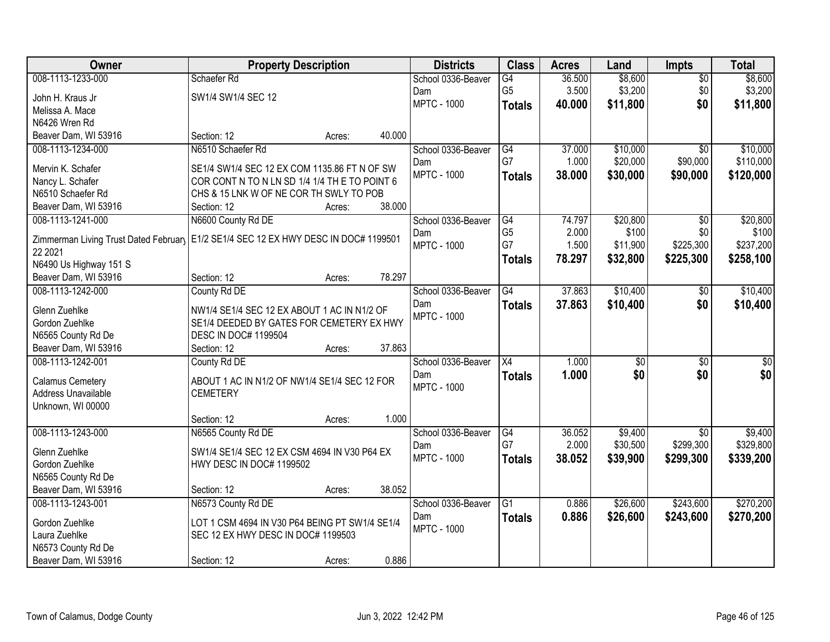| Owner                                                                                 |                                                | <b>Property Description</b> |        | <b>Districts</b>   | <b>Class</b>         | <b>Acres</b> | Land            | <b>Impts</b>    | <b>Total</b> |
|---------------------------------------------------------------------------------------|------------------------------------------------|-----------------------------|--------|--------------------|----------------------|--------------|-----------------|-----------------|--------------|
| 008-1113-1233-000                                                                     | Schaefer Rd                                    |                             |        | School 0336-Beaver | $\overline{G4}$      | 36.500       | \$8,600         | $\overline{50}$ | \$8,600      |
| John H. Kraus Jr                                                                      | SW1/4 SW1/4 SEC 12                             |                             |        | Dam                | G <sub>5</sub>       | 3.500        | \$3,200         | \$0             | \$3,200      |
| Melissa A. Mace                                                                       |                                                |                             |        | <b>MPTC - 1000</b> | <b>Totals</b>        | 40.000       | \$11,800        | \$0             | \$11,800     |
| N6426 Wren Rd                                                                         |                                                |                             |        |                    |                      |              |                 |                 |              |
| Beaver Dam, WI 53916                                                                  | Section: 12                                    | Acres:                      | 40.000 |                    |                      |              |                 |                 |              |
| 008-1113-1234-000                                                                     | N6510 Schaefer Rd                              |                             |        | School 0336-Beaver | G4                   | 37.000       | \$10,000        | $\overline{30}$ | \$10,000     |
|                                                                                       |                                                |                             |        | Dam                | G7                   | 1.000        | \$20,000        | \$90,000        | \$110,000    |
| Mervin K. Schafer                                                                     | SE1/4 SW1/4 SEC 12 EX COM 1135.86 FT N OF SW   |                             |        | <b>MPTC - 1000</b> | <b>Totals</b>        | 38.000       | \$30,000        | \$90,000        | \$120,000    |
| Nancy L. Schafer                                                                      | COR CONT N TO N LN SD 1/4 1/4 TH E TO POINT 6  |                             |        |                    |                      |              |                 |                 |              |
| N6510 Schaefer Rd                                                                     | CHS & 15 LNK W OF NE COR TH SWLY TO POB        |                             |        |                    |                      |              |                 |                 |              |
| Beaver Dam, WI 53916                                                                  | Section: 12                                    | Acres:                      | 38.000 |                    |                      |              |                 |                 |              |
| 008-1113-1241-000                                                                     | N6600 County Rd DE                             |                             |        | School 0336-Beaver | G4                   | 74.797       | \$20,800        | \$0             | \$20,800     |
| Zimmerman Living Trust Dated February   E1/2 SE1/4 SEC 12 EX HWY DESC IN DOC# 1199501 |                                                |                             |        | Dam                | G <sub>5</sub><br>G7 | 2.000        | \$100           | \$0             | \$100        |
| 22 2021                                                                               |                                                |                             |        | <b>MPTC - 1000</b> |                      | 1.500        | \$11,900        | \$225,300       | \$237,200    |
| N6490 Us Highway 151 S                                                                |                                                |                             |        |                    | <b>Totals</b>        | 78.297       | \$32,800        | \$225,300       | \$258,100    |
| Beaver Dam, WI 53916                                                                  | Section: 12                                    | Acres:                      | 78.297 |                    |                      |              |                 |                 |              |
| 008-1113-1242-000                                                                     | County Rd DE                                   |                             |        | School 0336-Beaver | $\overline{G4}$      | 37.863       | \$10,400        | \$0             | \$10,400     |
|                                                                                       |                                                |                             |        | Dam                | <b>Totals</b>        | 37.863       | \$10,400        | \$0             | \$10,400     |
| Glenn Zuehlke                                                                         | NW1/4 SE1/4 SEC 12 EX ABOUT 1 AC IN N1/2 OF    |                             |        | <b>MPTC - 1000</b> |                      |              |                 |                 |              |
| Gordon Zuehlke                                                                        | SE1/4 DEEDED BY GATES FOR CEMETERY EX HWY      |                             |        |                    |                      |              |                 |                 |              |
| N6565 County Rd De                                                                    | DESC IN DOC# 1199504                           |                             |        |                    |                      |              |                 |                 |              |
| Beaver Dam, WI 53916                                                                  | Section: 12                                    | Acres:                      | 37.863 |                    |                      |              |                 |                 |              |
| 008-1113-1242-001                                                                     | County Rd DE                                   |                             |        | School 0336-Beaver | $\overline{X4}$      | 1.000        | $\overline{30}$ | $\overline{50}$ | $\sqrt{50}$  |
| Calamus Cemetery                                                                      | ABOUT 1 AC IN N1/2 OF NW1/4 SE1/4 SEC 12 FOR   |                             |        | Dam                | <b>Totals</b>        | 1.000        | \$0             | \$0             | \$0          |
| Address Unavailable                                                                   | <b>CEMETERY</b>                                |                             |        | <b>MPTC - 1000</b> |                      |              |                 |                 |              |
| Unknown, WI 00000                                                                     |                                                |                             |        |                    |                      |              |                 |                 |              |
|                                                                                       | Section: 12                                    | Acres:                      | 1.000  |                    |                      |              |                 |                 |              |
| 008-1113-1243-000                                                                     | N6565 County Rd DE                             |                             |        | School 0336-Beaver | G4                   | 36.052       | \$9,400         | $\overline{50}$ | \$9,400      |
| Glenn Zuehlke                                                                         | SW1/4 SE1/4 SEC 12 EX CSM 4694 IN V30 P64 EX   |                             |        | Dam                | G7                   | 2.000        | \$30,500        | \$299,300       | \$329,800    |
|                                                                                       | HWY DESC IN DOC# 1199502                       |                             |        | <b>MPTC - 1000</b> | <b>Totals</b>        | 38.052       | \$39,900        | \$299,300       | \$339,200    |
| Gordon Zuehlke                                                                        |                                                |                             |        |                    |                      |              |                 |                 |              |
| N6565 County Rd De<br>Beaver Dam, WI 53916                                            |                                                |                             | 38.052 |                    |                      |              |                 |                 |              |
|                                                                                       | Section: 12<br>N6573 County Rd DE              | Acres:                      |        |                    |                      |              | \$26,600        | \$243,600       | \$270,200    |
| 008-1113-1243-001                                                                     |                                                |                             |        | School 0336-Beaver | G1                   | 0.886        |                 |                 |              |
| Gordon Zuehlke                                                                        | LOT 1 CSM 4694 IN V30 P64 BEING PT SW1/4 SE1/4 |                             |        | Dam                | <b>Totals</b>        | 0.886        | \$26,600        | \$243,600       | \$270,200    |
| Laura Zuehlke                                                                         | SEC 12 EX HWY DESC IN DOC# 1199503             |                             |        | <b>MPTC - 1000</b> |                      |              |                 |                 |              |
| N6573 County Rd De                                                                    |                                                |                             |        |                    |                      |              |                 |                 |              |
| Beaver Dam, WI 53916                                                                  | Section: 12                                    | Acres:                      | 0.886  |                    |                      |              |                 |                 |              |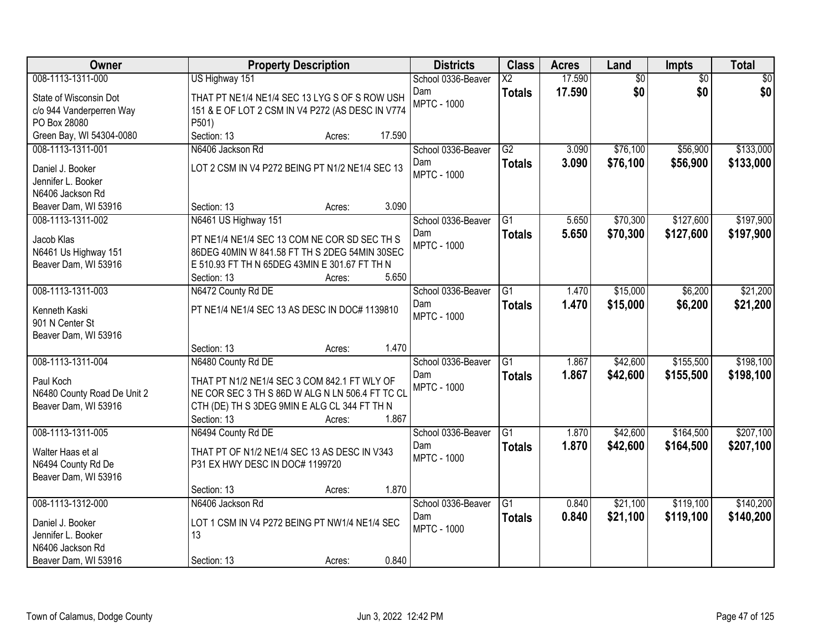| Owner                       | <b>Property Description</b>                                                                   | <b>Districts</b>   | <b>Class</b>             | <b>Acres</b> | Land            | <b>Impts</b>    | <b>Total</b>    |
|-----------------------------|-----------------------------------------------------------------------------------------------|--------------------|--------------------------|--------------|-----------------|-----------------|-----------------|
| 008-1113-1311-000           | US Highway 151                                                                                | School 0336-Beaver | $\overline{\mathsf{X2}}$ | 17.590       | $\overline{60}$ | $\overline{30}$ | $\overline{50}$ |
| State of Wisconsin Dot      | THAT PT NE1/4 NE1/4 SEC 13 LYG S OF S ROW USH                                                 | Dam                | <b>Totals</b>            | 17.590       | \$0             | \$0             | \$0             |
| c/o 944 Vanderperren Way    | 151 & E OF LOT 2 CSM IN V4 P272 (AS DESC IN V774                                              | <b>MPTC - 1000</b> |                          |              |                 |                 |                 |
| PO Box 28080                | P501)                                                                                         |                    |                          |              |                 |                 |                 |
| Green Bay, WI 54304-0080    | 17.590<br>Section: 13<br>Acres:                                                               |                    |                          |              |                 |                 |                 |
| 008-1113-1311-001           | N6406 Jackson Rd                                                                              | School 0336-Beaver | $\overline{G2}$          | 3.090        | \$76,100        | \$56,900        | \$133,000       |
| Daniel J. Booker            | LOT 2 CSM IN V4 P272 BEING PT N1/2 NE1/4 SEC 13                                               | Dam                | <b>Totals</b>            | 3.090        | \$76,100        | \$56,900        | \$133,000       |
| Jennifer L. Booker          |                                                                                               | <b>MPTC - 1000</b> |                          |              |                 |                 |                 |
| N6406 Jackson Rd            |                                                                                               |                    |                          |              |                 |                 |                 |
| Beaver Dam, WI 53916        | 3.090<br>Section: 13<br>Acres:                                                                |                    |                          |              |                 |                 |                 |
| 008-1113-1311-002           | N6461 US Highway 151                                                                          | School 0336-Beaver | $\overline{G1}$          | 5.650        | \$70,300        | \$127,600       | \$197,900       |
| Jacob Klas                  |                                                                                               | Dam                | <b>Totals</b>            | 5.650        | \$70,300        | \$127,600       | \$197,900       |
| N6461 Us Highway 151        | PT NE1/4 NE1/4 SEC 13 COM NE COR SD SEC TH S<br>86DEG 40MIN W 841.58 FT TH S 2DEG 54MIN 30SEC | <b>MPTC - 1000</b> |                          |              |                 |                 |                 |
| Beaver Dam, WI 53916        | E 510.93 FT TH N 65DEG 43MIN E 301.67 FT TH N                                                 |                    |                          |              |                 |                 |                 |
|                             | Section: 13<br>5.650<br>Acres:                                                                |                    |                          |              |                 |                 |                 |
| 008-1113-1311-003           | N6472 County Rd DE                                                                            | School 0336-Beaver | G1                       | 1.470        | \$15,000        | \$6,200         | \$21,200        |
|                             |                                                                                               | Dam                | <b>Totals</b>            | 1.470        | \$15,000        | \$6,200         | \$21,200        |
| Kenneth Kaski               | PT NE1/4 NE1/4 SEC 13 AS DESC IN DOC# 1139810                                                 | <b>MPTC - 1000</b> |                          |              |                 |                 |                 |
| 901 N Center St             |                                                                                               |                    |                          |              |                 |                 |                 |
| Beaver Dam, WI 53916        | 1.470<br>Section: 13                                                                          |                    |                          |              |                 |                 |                 |
| 008-1113-1311-004           | Acres:<br>N6480 County Rd DE                                                                  | School 0336-Beaver | $\overline{G1}$          | 1.867        | \$42,600        | \$155,500       | \$198,100       |
|                             |                                                                                               | Dam                | <b>Totals</b>            | 1.867        | \$42,600        | \$155,500       | \$198,100       |
| Paul Koch                   | THAT PT N1/2 NE1/4 SEC 3 COM 842.1 FT WLY OF                                                  | <b>MPTC - 1000</b> |                          |              |                 |                 |                 |
| N6480 County Road De Unit 2 | NE COR SEC 3 TH S 86D W ALG N LN 506.4 FT TC CL                                               |                    |                          |              |                 |                 |                 |
| Beaver Dam, WI 53916        | CTH (DE) TH S 3DEG 9MIN E ALG CL 344 FT TH N                                                  |                    |                          |              |                 |                 |                 |
|                             | 1.867<br>Section: 13<br>Acres:                                                                |                    |                          |              |                 |                 |                 |
| 008-1113-1311-005           | N6494 County Rd DE                                                                            | School 0336-Beaver | $\overline{G1}$          | 1.870        | \$42,600        | \$164,500       | \$207,100       |
| Walter Haas et al           | THAT PT OF N1/2 NE1/4 SEC 13 AS DESC IN V343                                                  | Dam                | <b>Totals</b>            | 1.870        | \$42,600        | \$164,500       | \$207,100       |
| N6494 County Rd De          | P31 EX HWY DESC IN DOC# 1199720                                                               | <b>MPTC - 1000</b> |                          |              |                 |                 |                 |
| Beaver Dam, WI 53916        |                                                                                               |                    |                          |              |                 |                 |                 |
|                             | 1.870<br>Section: 13<br>Acres:                                                                |                    |                          |              |                 |                 |                 |
| 008-1113-1312-000           | N6406 Jackson Rd                                                                              | School 0336-Beaver | $\overline{G1}$          | 0.840        | \$21,100        | \$119,100       | \$140,200       |
| Daniel J. Booker            | LOT 1 CSM IN V4 P272 BEING PT NW1/4 NE1/4 SEC                                                 | Dam                | <b>Totals</b>            | 0.840        | \$21,100        | \$119,100       | \$140,200       |
| Jennifer L. Booker          | 13                                                                                            | <b>MPTC - 1000</b> |                          |              |                 |                 |                 |
| N6406 Jackson Rd            |                                                                                               |                    |                          |              |                 |                 |                 |
| Beaver Dam, WI 53916        | 0.840<br>Section: 13<br>Acres:                                                                |                    |                          |              |                 |                 |                 |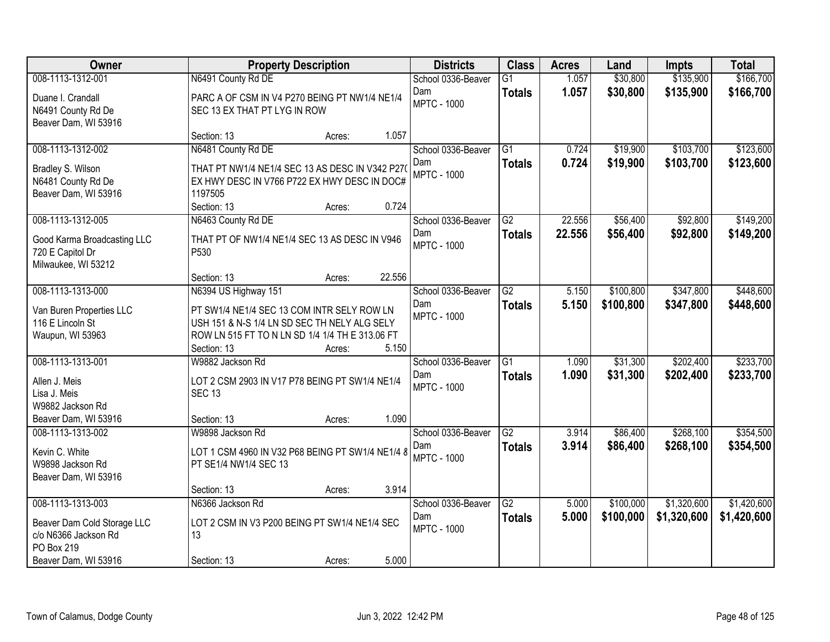| Owner                                                                                | <b>Property Description</b>                                                                                                                                  |        |        | <b>Districts</b>                                | <b>Class</b>                     | <b>Acres</b>   | Land                 | <b>Impts</b>           | <b>Total</b>           |
|--------------------------------------------------------------------------------------|--------------------------------------------------------------------------------------------------------------------------------------------------------------|--------|--------|-------------------------------------------------|----------------------------------|----------------|----------------------|------------------------|------------------------|
| 008-1113-1312-001                                                                    | N6491 County Rd DE                                                                                                                                           |        |        | School 0336-Beaver                              | $\overline{G1}$                  | 1.057          | \$30,800             | \$135,900              | \$166,700              |
| Duane I. Crandall<br>N6491 County Rd De<br>Beaver Dam, WI 53916                      | PARC A OF CSM IN V4 P270 BEING PT NW1/4 NE1/4<br>SEC 13 EX THAT PT LYG IN ROW                                                                                |        |        | Dam<br><b>MPTC - 1000</b>                       | <b>Totals</b>                    | 1.057          | \$30,800             | \$135,900              | \$166,700              |
|                                                                                      | Section: 13                                                                                                                                                  | Acres: | 1.057  |                                                 |                                  |                |                      |                        |                        |
| 008-1113-1312-002<br>Bradley S. Wilson<br>N6481 County Rd De<br>Beaver Dam, WI 53916 | N6481 County Rd DE<br>THAT PT NW1/4 NE1/4 SEC 13 AS DESC IN V342 P270<br>EX HWY DESC IN V766 P722 EX HWY DESC IN DOC#<br>1197505                             |        |        | School 0336-Beaver<br>Dam<br><b>MPTC - 1000</b> | $\overline{G1}$<br><b>Totals</b> | 0.724<br>0.724 | \$19,900<br>\$19,900 | \$103,700<br>\$103,700 | \$123,600<br>\$123,600 |
|                                                                                      | Section: 13                                                                                                                                                  | Acres: | 0.724  |                                                 |                                  |                |                      |                        |                        |
| 008-1113-1312-005                                                                    | N6463 County Rd DE                                                                                                                                           |        |        | School 0336-Beaver                              | G2                               | 22.556         | \$56,400             | \$92,800               | \$149,200              |
| Good Karma Broadcasting LLC<br>720 E Capitol Dr<br>Milwaukee, WI 53212               | THAT PT OF NW1/4 NE1/4 SEC 13 AS DESC IN V946<br>P530                                                                                                        |        |        | Dam<br><b>MPTC - 1000</b>                       | <b>Totals</b>                    | 22.556         | \$56,400             | \$92,800               | \$149,200              |
|                                                                                      | Section: 13                                                                                                                                                  | Acres: | 22.556 |                                                 |                                  |                |                      |                        |                        |
| 008-1113-1313-000                                                                    | N6394 US Highway 151                                                                                                                                         |        |        | School 0336-Beaver                              | G2                               | 5.150          | \$100,800            | \$347,800              | \$448,600              |
| Van Buren Properties LLC<br>116 E Lincoln St<br>Waupun, WI 53963                     | PT SW1/4 NE1/4 SEC 13 COM INTR SELY ROW LN<br>USH 151 & N-S 1/4 LN SD SEC TH NELY ALG SELY<br>ROW LN 515 FT TO N LN SD 1/4 1/4 TH E 313.06 FT<br>Section: 13 | Acres: | 5.150  | Dam<br><b>MPTC - 1000</b>                       | <b>Totals</b>                    | 5.150          | \$100,800            | \$347,800              | \$448,600              |
| 008-1113-1313-001<br>Allen J. Meis                                                   | W9882 Jackson Rd<br>LOT 2 CSM 2903 IN V17 P78 BEING PT SW1/4 NE1/4                                                                                           |        |        | School 0336-Beaver<br>Dam                       | $\overline{G1}$<br><b>Totals</b> | 1.090<br>1.090 | \$31,300<br>\$31,300 | \$202,400<br>\$202,400 | \$233,700<br>\$233,700 |
| Lisa J. Meis<br>W9882 Jackson Rd<br>Beaver Dam, WI 53916                             | <b>SEC 13</b><br>Section: 13                                                                                                                                 | Acres: | 1.090  | <b>MPTC - 1000</b>                              |                                  |                |                      |                        |                        |
| 008-1113-1313-002                                                                    | W9898 Jackson Rd                                                                                                                                             |        |        | School 0336-Beaver                              | $\overline{G2}$                  | 3.914          | \$86,400             | \$268,100              | \$354,500              |
| Kevin C. White<br>W9898 Jackson Rd<br>Beaver Dam, WI 53916                           | LOT 1 CSM 4960 IN V32 P68 BEING PT SW1/4 NE1/4 8<br>PT SE1/4 NW1/4 SEC 13                                                                                    |        |        | Dam<br><b>MPTC - 1000</b>                       | <b>Totals</b>                    | 3.914          | \$86,400             | \$268,100              | \$354,500              |
|                                                                                      | Section: 13                                                                                                                                                  | Acres: | 3.914  |                                                 |                                  |                |                      |                        |                        |
| 008-1113-1313-003                                                                    | N6366 Jackson Rd                                                                                                                                             |        |        | School 0336-Beaver                              | $\overline{G2}$                  | 5.000          | \$100,000            | \$1,320,600            | \$1,420,600            |
| Beaver Dam Cold Storage LLC<br>c/o N6366 Jackson Rd<br>PO Box 219                    | LOT 2 CSM IN V3 P200 BEING PT SW1/4 NE1/4 SEC<br>13                                                                                                          |        |        | Dam<br><b>MPTC - 1000</b>                       | <b>Totals</b>                    | 5.000          | \$100,000            | \$1,320,600            | \$1,420,600            |
| Beaver Dam, WI 53916                                                                 | Section: 13                                                                                                                                                  | Acres: | 5.000  |                                                 |                                  |                |                      |                        |                        |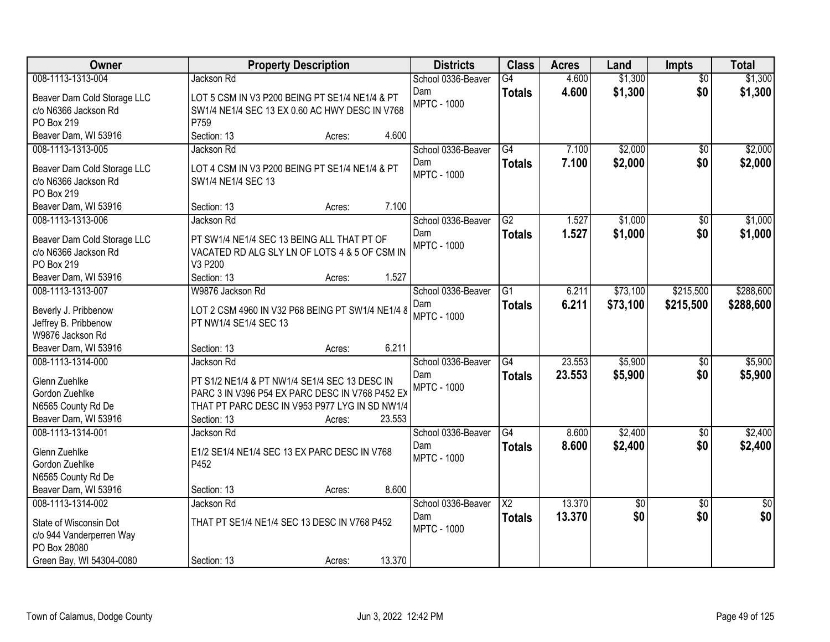| Owner                              | <b>Property Description</b>                              | <b>Districts</b>   | <b>Class</b>             | <b>Acres</b> | Land        | <b>Impts</b>    | <b>Total</b> |
|------------------------------------|----------------------------------------------------------|--------------------|--------------------------|--------------|-------------|-----------------|--------------|
| 008-1113-1313-004                  | Jackson Rd                                               | School 0336-Beaver | $\overline{G4}$          | 4.600        | \$1,300     | $\overline{50}$ | \$1,300      |
| Beaver Dam Cold Storage LLC        | LOT 5 CSM IN V3 P200 BEING PT SE1/4 NE1/4 & PT           | Dam                | <b>Totals</b>            | 4.600        | \$1,300     | \$0             | \$1,300      |
| c/o N6366 Jackson Rd               | SW1/4 NE1/4 SEC 13 EX 0.60 AC HWY DESC IN V768           | <b>MPTC - 1000</b> |                          |              |             |                 |              |
| PO Box 219                         | P759                                                     |                    |                          |              |             |                 |              |
| Beaver Dam, WI 53916               | 4.600<br>Section: 13<br>Acres:                           |                    |                          |              |             |                 |              |
| 008-1113-1313-005                  | Jackson Rd                                               | School 0336-Beaver | G4                       | 7.100        | \$2,000     | \$0             | \$2,000      |
| Beaver Dam Cold Storage LLC        | LOT 4 CSM IN V3 P200 BEING PT SE1/4 NE1/4 & PT           | Dam                | <b>Totals</b>            | 7.100        | \$2,000     | \$0             | \$2,000      |
| c/o N6366 Jackson Rd               | SW1/4 NE1/4 SEC 13                                       | <b>MPTC - 1000</b> |                          |              |             |                 |              |
| PO Box 219                         |                                                          |                    |                          |              |             |                 |              |
| Beaver Dam, WI 53916               | 7.100<br>Section: 13<br>Acres:                           |                    |                          |              |             |                 |              |
| 008-1113-1313-006                  | Jackson Rd                                               | School 0336-Beaver | G2                       | 1.527        | \$1,000     | \$0             | \$1,000      |
|                                    |                                                          | Dam                | <b>Totals</b>            | 1.527        | \$1,000     | \$0             | \$1,000      |
| Beaver Dam Cold Storage LLC        | PT SW1/4 NE1/4 SEC 13 BEING ALL THAT PT OF               | <b>MPTC - 1000</b> |                          |              |             |                 |              |
| c/o N6366 Jackson Rd<br>PO Box 219 | VACATED RD ALG SLY LN OF LOTS 4 & 5 OF CSM IN<br>V3 P200 |                    |                          |              |             |                 |              |
| Beaver Dam, WI 53916               | Section: 13<br>1.527<br>Acres:                           |                    |                          |              |             |                 |              |
| 008-1113-1313-007                  | W9876 Jackson Rd                                         | School 0336-Beaver | G1                       | 6.211        | \$73,100    | \$215,500       | \$288,600    |
|                                    |                                                          | Dam                | <b>Totals</b>            | 6.211        | \$73,100    | \$215,500       | \$288,600    |
| Beverly J. Pribbenow               | LOT 2 CSM 4960 IN V32 P68 BEING PT SW1/4 NE1/4 8         | <b>MPTC - 1000</b> |                          |              |             |                 |              |
| Jeffrey B. Pribbenow               | PT NW1/4 SE1/4 SEC 13                                    |                    |                          |              |             |                 |              |
| W9876 Jackson Rd                   |                                                          |                    |                          |              |             |                 |              |
| Beaver Dam, WI 53916               | 6.211<br>Section: 13<br>Acres:                           |                    |                          |              |             |                 |              |
| 008-1113-1314-000                  | Jackson Rd                                               | School 0336-Beaver | $\overline{G4}$          | 23.553       | \$5,900     | $\overline{50}$ | \$5,900      |
| Glenn Zuehlke                      | PT S1/2 NE1/4 & PT NW1/4 SE1/4 SEC 13 DESC IN            | Dam                | <b>Totals</b>            | 23.553       | \$5,900     | \$0             | \$5,900      |
| Gordon Zuehlke                     | PARC 3 IN V396 P54 EX PARC DESC IN V768 P452 EX          | <b>MPTC - 1000</b> |                          |              |             |                 |              |
| N6565 County Rd De                 | THAT PT PARC DESC IN V953 P977 LYG IN SD NW1/4           |                    |                          |              |             |                 |              |
| Beaver Dam, WI 53916               | 23.553<br>Section: 13<br>Acres:                          |                    |                          |              |             |                 |              |
| 008-1113-1314-001                  | Jackson Rd                                               | School 0336-Beaver | $\overline{G4}$          | 8.600        | \$2,400     | $\overline{60}$ | \$2,400      |
| Glenn Zuehlke                      | E1/2 SE1/4 NE1/4 SEC 13 EX PARC DESC IN V768             | Dam                | <b>Totals</b>            | 8.600        | \$2,400     | \$0             | \$2,400      |
| Gordon Zuehlke                     | P452                                                     | <b>MPTC - 1000</b> |                          |              |             |                 |              |
| N6565 County Rd De                 |                                                          |                    |                          |              |             |                 |              |
| Beaver Dam, WI 53916               | 8.600<br>Section: 13<br>Acres:                           |                    |                          |              |             |                 |              |
| 008-1113-1314-002                  | Jackson Rd                                               | School 0336-Beaver | $\overline{\mathsf{X2}}$ | 13.370       | $\sqrt{50}$ | $\overline{30}$ | \$0          |
| State of Wisconsin Dot             | THAT PT SE1/4 NE1/4 SEC 13 DESC IN V768 P452             | Dam                | <b>Totals</b>            | 13.370       | \$0         | \$0             | \$0          |
| c/o 944 Vanderperren Way           |                                                          | <b>MPTC - 1000</b> |                          |              |             |                 |              |
| PO Box 28080                       |                                                          |                    |                          |              |             |                 |              |
| Green Bay, WI 54304-0080           | 13.370<br>Section: 13<br>Acres:                          |                    |                          |              |             |                 |              |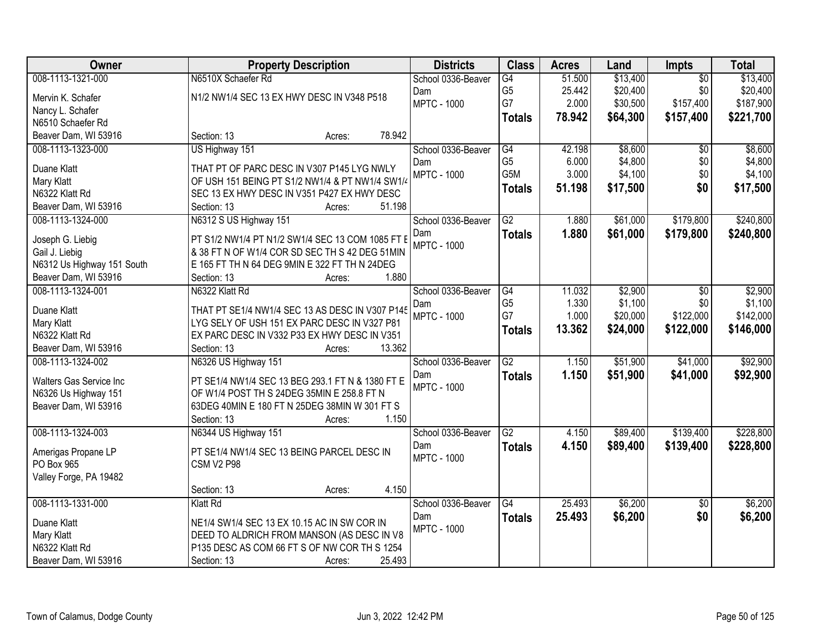| Owner                                     | <b>Property Description</b>                                                                     | <b>Districts</b>          | <b>Class</b>     | <b>Acres</b> | Land     | <b>Impts</b>    | <b>Total</b> |
|-------------------------------------------|-------------------------------------------------------------------------------------------------|---------------------------|------------------|--------------|----------|-----------------|--------------|
| 008-1113-1321-000                         | N6510X Schaefer Rd                                                                              | School 0336-Beaver        | G4               | 51.500       | \$13,400 | $\overline{50}$ | \$13,400     |
| Mervin K. Schafer                         | N1/2 NW1/4 SEC 13 EX HWY DESC IN V348 P518                                                      | Dam                       | G <sub>5</sub>   | 25.442       | \$20,400 | \$0             | \$20,400     |
| Nancy L. Schafer                          |                                                                                                 | <b>MPTC - 1000</b>        | G7               | 2.000        | \$30,500 | \$157,400       | \$187,900    |
| N6510 Schaefer Rd                         |                                                                                                 |                           | <b>Totals</b>    | 78.942       | \$64,300 | \$157,400       | \$221,700    |
| Beaver Dam, WI 53916                      | 78.942<br>Section: 13<br>Acres:                                                                 |                           |                  |              |          |                 |              |
| 008-1113-1323-000                         | US Highway 151                                                                                  | School 0336-Beaver        | G4               | 42.198       | \$8,600  | $\overline{50}$ | \$8,600      |
| Duane Klatt                               | THAT PT OF PARC DESC IN V307 P145 LYG NWLY                                                      | Dam                       | G <sub>5</sub>   | 6.000        | \$4,800  | \$0             | \$4,800      |
|                                           | OF USH 151 BEING PT S1/2 NW1/4 & PT NW1/4 SW1/4                                                 | <b>MPTC - 1000</b>        | G <sub>5</sub> M | 3.000        | \$4,100  | \$0             | \$4,100      |
| Mary Klatt<br>N6322 Klatt Rd              | SEC 13 EX HWY DESC IN V351 P427 EX HWY DESC                                                     |                           | <b>Totals</b>    | 51.198       | \$17,500 | \$0             | \$17,500     |
|                                           | 51.198<br>Section: 13                                                                           |                           |                  |              |          |                 |              |
| Beaver Dam, WI 53916<br>008-1113-1324-000 | Acres:                                                                                          |                           | $\overline{G2}$  | 1.880        | \$61,000 | \$179,800       | \$240,800    |
|                                           | N6312 S US Highway 151                                                                          | School 0336-Beaver        |                  |              |          |                 |              |
| Joseph G. Liebig                          | PT S1/2 NW1/4 PT N1/2 SW1/4 SEC 13 COM 1085 FT E                                                | Dam<br><b>MPTC - 1000</b> | <b>Totals</b>    | 1.880        | \$61,000 | \$179,800       | \$240,800    |
| Gail J. Liebig                            | & 38 FT N OF W1/4 COR SD SEC TH S 42 DEG 51MIN                                                  |                           |                  |              |          |                 |              |
| N6312 Us Highway 151 South                | E 165 FT TH N 64 DEG 9MIN E 322 FT TH N 24DEG                                                   |                           |                  |              |          |                 |              |
| Beaver Dam, WI 53916                      | 1.880<br>Section: 13<br>Acres:                                                                  |                           |                  |              |          |                 |              |
| 008-1113-1324-001                         | N6322 Klatt Rd                                                                                  | School 0336-Beaver        | G4               | 11.032       | \$2,900  | \$0             | \$2,900      |
|                                           |                                                                                                 | Dam                       | G <sub>5</sub>   | 1.330        | \$1,100  | \$0             | \$1,100      |
| Duane Klatt                               | THAT PT SE1/4 NW1/4 SEC 13 AS DESC IN V307 P145<br>LYG SELY OF USH 151 EX PARC DESC IN V327 P81 | <b>MPTC - 1000</b>        | G7               | 1.000        | \$20,000 | \$122,000       | \$142,000    |
| Mary Klatt<br>N6322 Klatt Rd              | EX PARC DESC IN V332 P33 EX HWY DESC IN V351                                                    |                           | <b>Totals</b>    | 13.362       | \$24,000 | \$122,000       | \$146,000    |
| Beaver Dam, WI 53916                      | 13.362<br>Section: 13                                                                           |                           |                  |              |          |                 |              |
| 008-1113-1324-002                         | Acres:<br>N6326 US Highway 151                                                                  | School 0336-Beaver        | $\overline{G2}$  | 1.150        | \$51,900 | \$41,000        | \$92,900     |
|                                           |                                                                                                 | Dam                       |                  | 1.150        |          |                 |              |
| Walters Gas Service Inc                   | PT SE1/4 NW1/4 SEC 13 BEG 293.1 FT N & 1380 FT E                                                | <b>MPTC - 1000</b>        | <b>Totals</b>    |              | \$51,900 | \$41,000        | \$92,900     |
| N6326 Us Highway 151                      | OF W1/4 POST TH S 24DEG 35MIN E 258.8 FT N                                                      |                           |                  |              |          |                 |              |
| Beaver Dam, WI 53916                      | 63DEG 40MIN E 180 FT N 25DEG 38MIN W 301 FT S                                                   |                           |                  |              |          |                 |              |
|                                           | 1.150<br>Section: 13<br>Acres:                                                                  |                           |                  |              |          |                 |              |
| 008-1113-1324-003                         | N6344 US Highway 151                                                                            | School 0336-Beaver        | $\overline{G2}$  | 4.150        | \$89,400 | \$139,400       | \$228,800    |
| Amerigas Propane LP                       | PT SE1/4 NW1/4 SEC 13 BEING PARCEL DESC IN                                                      | Dam                       | <b>Totals</b>    | 4.150        | \$89,400 | \$139,400       | \$228,800    |
| PO Box 965                                | CSM V2 P98                                                                                      | <b>MPTC - 1000</b>        |                  |              |          |                 |              |
| Valley Forge, PA 19482                    |                                                                                                 |                           |                  |              |          |                 |              |
|                                           | 4.150<br>Section: 13<br>Acres:                                                                  |                           |                  |              |          |                 |              |
| 008-1113-1331-000                         | <b>Klatt Rd</b>                                                                                 | School 0336-Beaver        | $\overline{G4}$  | 25.493       | \$6,200  | $\overline{30}$ | \$6,200      |
|                                           |                                                                                                 | Dam                       | <b>Totals</b>    | 25.493       | \$6,200  | \$0             | \$6,200      |
| Duane Klatt                               | NE1/4 SW1/4 SEC 13 EX 10.15 AC IN SW COR IN                                                     | <b>MPTC - 1000</b>        |                  |              |          |                 |              |
| Mary Klatt                                | DEED TO ALDRICH FROM MANSON (AS DESC IN V8                                                      |                           |                  |              |          |                 |              |
| N6322 Klatt Rd                            | P135 DESC AS COM 66 FT S OF NW COR TH S 1254                                                    |                           |                  |              |          |                 |              |
| Beaver Dam, WI 53916                      | 25.493<br>Section: 13<br>Acres:                                                                 |                           |                  |              |          |                 |              |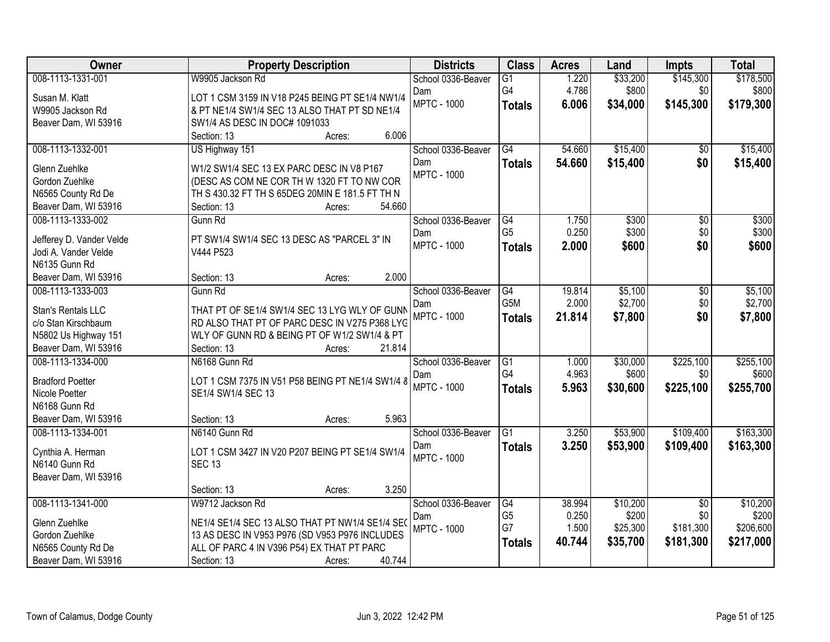| Owner                                     | <b>Property Description</b>                      | <b>Districts</b>          | <b>Class</b>    | <b>Acres</b> | Land               | <b>Impts</b>    | <b>Total</b>       |
|-------------------------------------------|--------------------------------------------------|---------------------------|-----------------|--------------|--------------------|-----------------|--------------------|
| 008-1113-1331-001                         | W9905 Jackson Rd                                 | School 0336-Beaver        | $\overline{G1}$ | 1.220        | \$33,200           | \$145,300       | \$178,500          |
| Susan M. Klatt                            | LOT 1 CSM 3159 IN V18 P245 BEING PT SE1/4 NW1/4  | Dam                       | G4              | 4.786        | \$800              | \$0             | \$800              |
| W9905 Jackson Rd                          | & PT NE1/4 SW1/4 SEC 13 ALSO THAT PT SD NE1/4    | <b>MPTC - 1000</b>        | <b>Totals</b>   | 6.006        | \$34,000           | \$145,300       | \$179,300          |
| Beaver Dam, WI 53916                      | SW1/4 AS DESC IN DOC# 1091033                    |                           |                 |              |                    |                 |                    |
|                                           | 6.006<br>Section: 13<br>Acres:                   |                           |                 |              |                    |                 |                    |
| 008-1113-1332-001                         | US Highway 151                                   | School 0336-Beaver        | G4              | 54.660       | \$15,400           | $\overline{50}$ | \$15,400           |
| Glenn Zuehlke                             | W1/2 SW1/4 SEC 13 EX PARC DESC IN V8 P167        | Dam                       | <b>Totals</b>   | 54.660       | \$15,400           | \$0             | \$15,400           |
| Gordon Zuehlke                            | (DESC AS COM NE COR TH W 1320 FT TO NW COR       | <b>MPTC - 1000</b>        |                 |              |                    |                 |                    |
| N6565 County Rd De                        | TH S 430.32 FT TH S 65DEG 20MIN E 181.5 FT TH N  |                           |                 |              |                    |                 |                    |
| Beaver Dam, WI 53916                      | 54.660<br>Section: 13<br>Acres:                  |                           |                 |              |                    |                 |                    |
| 008-1113-1333-002                         | Gunn Rd                                          | School 0336-Beaver        | G4              | 1.750        | \$300              | $\overline{50}$ | \$300              |
|                                           |                                                  | Dam                       | G <sub>5</sub>  | 0.250        | \$300              | \$0             | \$300              |
| Jefferey D. Vander Velde                  | PT SW1/4 SW1/4 SEC 13 DESC AS "PARCEL 3" IN      | <b>MPTC - 1000</b>        | <b>Totals</b>   | 2.000        | \$600              | \$0             | \$600              |
| Jodi A. Vander Velde                      | V444 P523                                        |                           |                 |              |                    |                 |                    |
| N6135 Gunn Rd                             | 2.000<br>Section: 13                             |                           |                 |              |                    |                 |                    |
| Beaver Dam, WI 53916<br>008-1113-1333-003 | Acres:<br>Gunn Rd                                |                           |                 | 19.814       |                    |                 |                    |
|                                           |                                                  | School 0336-Beaver        | G4<br>G5M       | 2.000        | \$5,100<br>\$2,700 | \$0<br>\$0      | \$5,100<br>\$2,700 |
| Stan's Rentals LLC                        | THAT PT OF SE1/4 SW1/4 SEC 13 LYG WLY OF GUNN    | Dam<br><b>MPTC - 1000</b> |                 | 21.814       | \$7,800            | \$0             | \$7,800            |
| c/o Stan Kirschbaum                       | RD ALSO THAT PT OF PARC DESC IN V275 P368 LYC    |                           | <b>Totals</b>   |              |                    |                 |                    |
| N5802 Us Highway 151                      | WLY OF GUNN RD & BEING PT OF W1/2 SW1/4 & PT     |                           |                 |              |                    |                 |                    |
| Beaver Dam, WI 53916                      | 21.814<br>Section: 13<br>Acres:                  |                           |                 |              |                    |                 |                    |
| 008-1113-1334-000                         | N6168 Gunn Rd                                    | School 0336-Beaver        | $\overline{G1}$ | 1.000        | \$30,000           | \$225,100       | \$255,100          |
| <b>Bradford Poetter</b>                   | LOT 1 CSM 7375 IN V51 P58 BEING PT NE1/4 SW1/4 8 | Dam                       | G4              | 4.963        | \$600              | \$0             | \$600              |
| Nicole Poetter                            | SE1/4 SW1/4 SEC 13                               | <b>MPTC - 1000</b>        | <b>Totals</b>   | 5.963        | \$30,600           | \$225,100       | \$255,700          |
| N6168 Gunn Rd                             |                                                  |                           |                 |              |                    |                 |                    |
| Beaver Dam, WI 53916                      | 5.963<br>Section: 13<br>Acres:                   |                           |                 |              |                    |                 |                    |
| 008-1113-1334-001                         | N6140 Gunn Rd                                    | School 0336-Beaver        | $\overline{G1}$ | 3.250        | \$53,900           | \$109,400       | \$163,300          |
|                                           | LOT 1 CSM 3427 IN V20 P207 BEING PT SE1/4 SW1/4  | Dam                       | <b>Totals</b>   | 3.250        | \$53,900           | \$109,400       | \$163,300          |
| Cynthia A. Herman<br>N6140 Gunn Rd        | <b>SEC 13</b>                                    | <b>MPTC - 1000</b>        |                 |              |                    |                 |                    |
| Beaver Dam, WI 53916                      |                                                  |                           |                 |              |                    |                 |                    |
|                                           | 3.250<br>Section: 13<br>Acres:                   |                           |                 |              |                    |                 |                    |
| 008-1113-1341-000                         | W9712 Jackson Rd                                 | School 0336-Beaver        | G4              | 38.994       | \$10,200           | $\overline{50}$ | \$10,200           |
|                                           |                                                  | Dam                       | G <sub>5</sub>  | 0.250        | \$200              | \$0             | \$200              |
| Glenn Zuehlke                             | NE1/4 SE1/4 SEC 13 ALSO THAT PT NW1/4 SE1/4 SE(  | <b>MPTC - 1000</b>        | G7              | 1.500        | \$25,300           | \$181,300       | \$206,600          |
| Gordon Zuehlke                            | 13 AS DESC IN V953 P976 (SD V953 P976 INCLUDES   |                           | <b>Totals</b>   | 40.744       | \$35,700           | \$181,300       | \$217,000          |
| N6565 County Rd De                        | ALL OF PARC 4 IN V396 P54) EX THAT PT PARC       |                           |                 |              |                    |                 |                    |
| Beaver Dam, WI 53916                      | 40.744<br>Section: 13<br>Acres:                  |                           |                 |              |                    |                 |                    |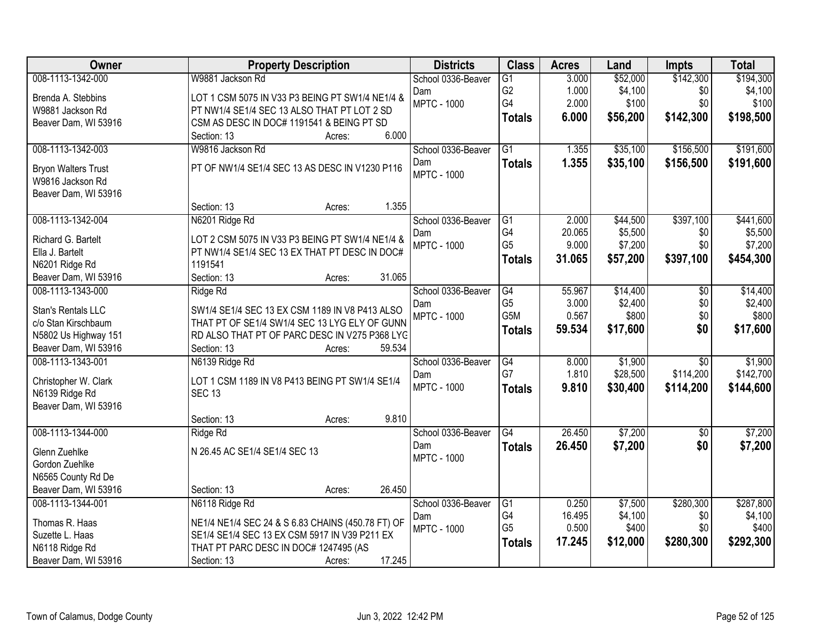| Owner                      | <b>Property Description</b>                       | <b>Districts</b>   | <b>Class</b>    | <b>Acres</b> | Land     | <b>Impts</b>    | <b>Total</b> |
|----------------------------|---------------------------------------------------|--------------------|-----------------|--------------|----------|-----------------|--------------|
| 008-1113-1342-000          | W9881 Jackson Rd                                  | School 0336-Beaver | $\overline{G1}$ | 3.000        | \$52,000 | \$142,300       | \$194,300    |
| Brenda A. Stebbins         | LOT 1 CSM 5075 IN V33 P3 BEING PT SW1/4 NE1/4 &   | Dam                | G <sub>2</sub>  | 1.000        | \$4,100  | \$0             | \$4,100      |
| W9881 Jackson Rd           | PT NW1/4 SE1/4 SEC 13 ALSO THAT PT LOT 2 SD       | <b>MPTC - 1000</b> | G4              | 2.000        | \$100    | \$0             | \$100        |
| Beaver Dam, WI 53916       | CSM AS DESC IN DOC# 1191541 & BEING PT SD         |                    | <b>Totals</b>   | 6.000        | \$56,200 | \$142,300       | \$198,500    |
|                            | 6.000<br>Section: 13<br>Acres:                    |                    |                 |              |          |                 |              |
| 008-1113-1342-003          | W9816 Jackson Rd                                  | School 0336-Beaver | $\overline{G1}$ | 1.355        | \$35,100 | \$156,500       | \$191,600    |
| <b>Bryon Walters Trust</b> | PT OF NW1/4 SE1/4 SEC 13 AS DESC IN V1230 P116    | Dam                | <b>Totals</b>   | 1.355        | \$35,100 | \$156,500       | \$191,600    |
| W9816 Jackson Rd           |                                                   | <b>MPTC - 1000</b> |                 |              |          |                 |              |
| Beaver Dam, WI 53916       |                                                   |                    |                 |              |          |                 |              |
|                            | 1.355<br>Section: 13<br>Acres:                    |                    |                 |              |          |                 |              |
| 008-1113-1342-004          | N6201 Ridge Rd                                    | School 0336-Beaver | G1              | 2.000        | \$44,500 | \$397,100       | \$441,600    |
| Richard G. Bartelt         | LOT 2 CSM 5075 IN V33 P3 BEING PT SW1/4 NE1/4 &   | Dam                | G4              | 20.065       | \$5,500  | \$0             | \$5,500      |
| Ella J. Bartelt            | PT NW1/4 SE1/4 SEC 13 EX THAT PT DESC IN DOC#     | <b>MPTC - 1000</b> | G <sub>5</sub>  | 9.000        | \$7,200  | \$0             | \$7,200      |
| N6201 Ridge Rd             | 1191541                                           |                    | <b>Totals</b>   | 31.065       | \$57,200 | \$397,100       | \$454,300    |
| Beaver Dam, WI 53916       | 31.065<br>Section: 13<br>Acres:                   |                    |                 |              |          |                 |              |
| 008-1113-1343-000          | Ridge Rd                                          | School 0336-Beaver | G4              | 55.967       | \$14,400 | \$0             | \$14,400     |
|                            |                                                   | Dam                | G <sub>5</sub>  | 3.000        | \$2,400  | \$0             | \$2,400      |
| Stan's Rentals LLC         | SW1/4 SE1/4 SEC 13 EX CSM 1189 IN V8 P413 ALSO    | <b>MPTC - 1000</b> | G5M             | 0.567        | \$800    | \$0             | \$800        |
| c/o Stan Kirschbaum        | THAT PT OF SE1/4 SW1/4 SEC 13 LYG ELY OF GUNN     |                    | <b>Totals</b>   | 59.534       | \$17,600 | \$0             | \$17,600     |
| N5802 Us Highway 151       | RD ALSO THAT PT OF PARC DESC IN V275 P368 LYC     |                    |                 |              |          |                 |              |
| Beaver Dam, WI 53916       | 59.534<br>Section: 13<br>Acres:                   |                    |                 |              |          |                 |              |
| 008-1113-1343-001          | N6139 Ridge Rd                                    | School 0336-Beaver | $\overline{G4}$ | 8.000        | \$1,900  | $\overline{30}$ | \$1,900      |
| Christopher W. Clark       | LOT 1 CSM 1189 IN V8 P413 BEING PT SW1/4 SE1/4    | Dam                | G7              | 1.810        | \$28,500 | \$114,200       | \$142,700    |
| N6139 Ridge Rd             | <b>SEC 13</b>                                     | <b>MPTC - 1000</b> | <b>Totals</b>   | 9.810        | \$30,400 | \$114,200       | \$144,600    |
| Beaver Dam, WI 53916       |                                                   |                    |                 |              |          |                 |              |
|                            | 9.810<br>Section: 13<br>Acres:                    |                    |                 |              |          |                 |              |
| 008-1113-1344-000          | Ridge Rd                                          | School 0336-Beaver | $\overline{G4}$ | 26.450       | \$7,200  | $\sqrt{6}$      | \$7,200      |
| Glenn Zuehlke              | N 26.45 AC SE1/4 SE1/4 SEC 13                     | Dam                | <b>Totals</b>   | 26.450       | \$7,200  | \$0             | \$7,200      |
| Gordon Zuehlke             |                                                   | <b>MPTC - 1000</b> |                 |              |          |                 |              |
| N6565 County Rd De         |                                                   |                    |                 |              |          |                 |              |
| Beaver Dam, WI 53916       | 26.450<br>Section: 13<br>Acres:                   |                    |                 |              |          |                 |              |
| 008-1113-1344-001          | N6118 Ridge Rd                                    | School 0336-Beaver | G1              | 0.250        | \$7,500  | \$280,300       | \$287,800    |
| Thomas R. Haas             | NE1/4 NE1/4 SEC 24 & S 6.83 CHAINS (450.78 FT) OF | Dam                | G4              | 16.495       | \$4,100  | \$0             | \$4,100      |
| Suzette L. Haas            | SE1/4 SE1/4 SEC 13 EX CSM 5917 IN V39 P211 EX     | <b>MPTC - 1000</b> | G <sub>5</sub>  | 0.500        | \$400    | \$0             | \$400        |
| N6118 Ridge Rd             | THAT PT PARC DESC IN DOC# 1247495 (AS             |                    | <b>Totals</b>   | 17.245       | \$12,000 | \$280,300       | \$292,300    |
| Beaver Dam, WI 53916       | 17.245<br>Section: 13<br>Acres:                   |                    |                 |              |          |                 |              |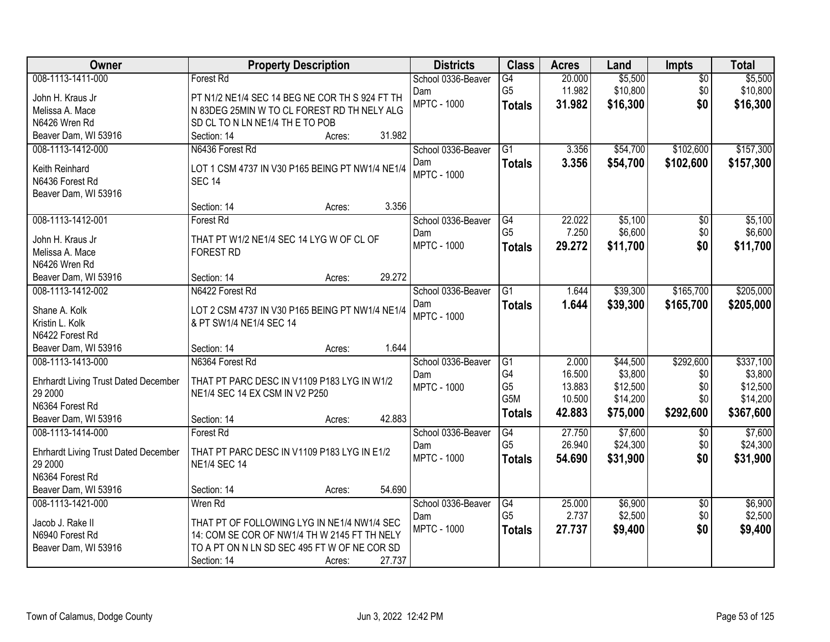| Owner                                       | <b>Property Description</b>                                                | <b>Districts</b>   | <b>Class</b>         | <b>Acres</b> | Land     | <b>Impts</b>    | <b>Total</b> |
|---------------------------------------------|----------------------------------------------------------------------------|--------------------|----------------------|--------------|----------|-----------------|--------------|
| 008-1113-1411-000                           | Forest Rd                                                                  | School 0336-Beaver | $\overline{G4}$      | 20.000       | \$5,500  | $\overline{50}$ | \$5,500      |
| John H. Kraus Jr                            | PT N1/2 NE1/4 SEC 14 BEG NE COR TH S 924 FT TH                             | Dam                | G <sub>5</sub>       | 11.982       | \$10,800 | \$0             | \$10,800     |
| Melissa A. Mace                             | N 83DEG 25MIN W TO CL FOREST RD TH NELY ALG                                | <b>MPTC - 1000</b> | <b>Totals</b>        | 31.982       | \$16,300 | \$0             | \$16,300     |
| N6426 Wren Rd                               | SD CL TO N LN NE1/4 TH E TO POB                                            |                    |                      |              |          |                 |              |
| Beaver Dam, WI 53916                        | 31.982<br>Section: 14<br>Acres:                                            |                    |                      |              |          |                 |              |
| 008-1113-1412-000                           | N6436 Forest Rd                                                            | School 0336-Beaver | $\overline{G1}$      | 3.356        | \$54,700 | \$102,600       | \$157,300    |
|                                             |                                                                            | Dam                | <b>Totals</b>        | 3.356        | \$54,700 | \$102,600       | \$157,300    |
| Keith Reinhard                              | LOT 1 CSM 4737 IN V30 P165 BEING PT NW1/4 NE1/4                            | <b>MPTC - 1000</b> |                      |              |          |                 |              |
| N6436 Forest Rd                             | <b>SEC 14</b>                                                              |                    |                      |              |          |                 |              |
| Beaver Dam, WI 53916                        |                                                                            |                    |                      |              |          |                 |              |
|                                             | 3.356<br>Section: 14<br>Acres:                                             |                    |                      |              |          |                 |              |
| 008-1113-1412-001                           | Forest Rd                                                                  | School 0336-Beaver | G4<br>G <sub>5</sub> | 22.022       | \$5,100  | \$0             | \$5,100      |
| John H. Kraus Jr                            | THAT PT W1/2 NE1/4 SEC 14 LYG W OF CL OF                                   | Dam                |                      | 7.250        | \$6,600  | \$0             | \$6,600      |
| Melissa A. Mace                             | <b>FOREST RD</b>                                                           | <b>MPTC - 1000</b> | <b>Totals</b>        | 29.272       | \$11,700 | \$0             | \$11,700     |
| N6426 Wren Rd                               |                                                                            |                    |                      |              |          |                 |              |
| Beaver Dam, WI 53916                        | 29.272<br>Section: 14<br>Acres:                                            |                    |                      |              |          |                 |              |
| 008-1113-1412-002                           | N6422 Forest Rd                                                            | School 0336-Beaver | G1                   | 1.644        | \$39,300 | \$165,700       | \$205,000    |
|                                             |                                                                            | Dam                | <b>Totals</b>        | 1.644        | \$39,300 | \$165,700       | \$205,000    |
| Shane A. Kolk<br>Kristin L. Kolk            | LOT 2 CSM 4737 IN V30 P165 BEING PT NW1/4 NE1/4<br>& PT SW1/4 NE1/4 SEC 14 | <b>MPTC - 1000</b> |                      |              |          |                 |              |
| N6422 Forest Rd                             |                                                                            |                    |                      |              |          |                 |              |
| Beaver Dam, WI 53916                        | 1.644<br>Section: 14<br>Acres:                                             |                    |                      |              |          |                 |              |
| 008-1113-1413-000                           | N6364 Forest Rd                                                            | School 0336-Beaver | $\overline{G1}$      | 2.000        | \$44,500 | \$292,600       | \$337,100    |
|                                             |                                                                            | Dam                | G4                   | 16.500       | \$3,800  | \$0             | \$3,800      |
| <b>Ehrhardt Living Trust Dated December</b> | THAT PT PARC DESC IN V1109 P183 LYG IN W1/2                                | <b>MPTC - 1000</b> | G <sub>5</sub>       | 13.883       | \$12,500 | \$0             | \$12,500     |
| 29 2000                                     | NE1/4 SEC 14 EX CSM IN V2 P250                                             |                    | G5M                  | 10.500       | \$14,200 | \$0             | \$14,200     |
| N6364 Forest Rd                             |                                                                            |                    | <b>Totals</b>        | 42.883       | \$75,000 | \$292,600       | \$367,600    |
| Beaver Dam, WI 53916                        | 42.883<br>Section: 14<br>Acres:                                            |                    |                      |              |          |                 |              |
| 008-1113-1414-000                           | Forest Rd                                                                  | School 0336-Beaver | G4                   | 27.750       | \$7,600  | $\sqrt{6}$      | \$7,600      |
| <b>Ehrhardt Living Trust Dated December</b> | THAT PT PARC DESC IN V1109 P183 LYG IN E1/2                                | Dam                | G <sub>5</sub>       | 26.940       | \$24,300 | \$0             | \$24,300     |
| 29 2000                                     | <b>NE1/4 SEC 14</b>                                                        | <b>MPTC - 1000</b> | <b>Totals</b>        | 54.690       | \$31,900 | \$0             | \$31,900     |
| N6364 Forest Rd                             |                                                                            |                    |                      |              |          |                 |              |
| Beaver Dam, WI 53916                        | 54.690<br>Section: 14<br>Acres:                                            |                    |                      |              |          |                 |              |
| 008-1113-1421-000                           | Wren Rd                                                                    | School 0336-Beaver | G4                   | 25.000       | \$6,900  | $\overline{50}$ | \$6,900      |
|                                             |                                                                            | Dam                | G <sub>5</sub>       | 2.737        | \$2,500  | \$0             | \$2,500      |
| Jacob J. Rake II                            | THAT PT OF FOLLOWING LYG IN NE1/4 NW1/4 SEC                                | <b>MPTC - 1000</b> | <b>Totals</b>        | 27.737       | \$9,400  | \$0             | \$9,400      |
| N6940 Forest Rd                             | 14: COM SE COR OF NW1/4 TH W 2145 FT TH NELY                               |                    |                      |              |          |                 |              |
| Beaver Dam, WI 53916                        | TO A PT ON N LN SD SEC 495 FT W OF NE COR SD                               |                    |                      |              |          |                 |              |
|                                             | 27.737<br>Section: 14<br>Acres:                                            |                    |                      |              |          |                 |              |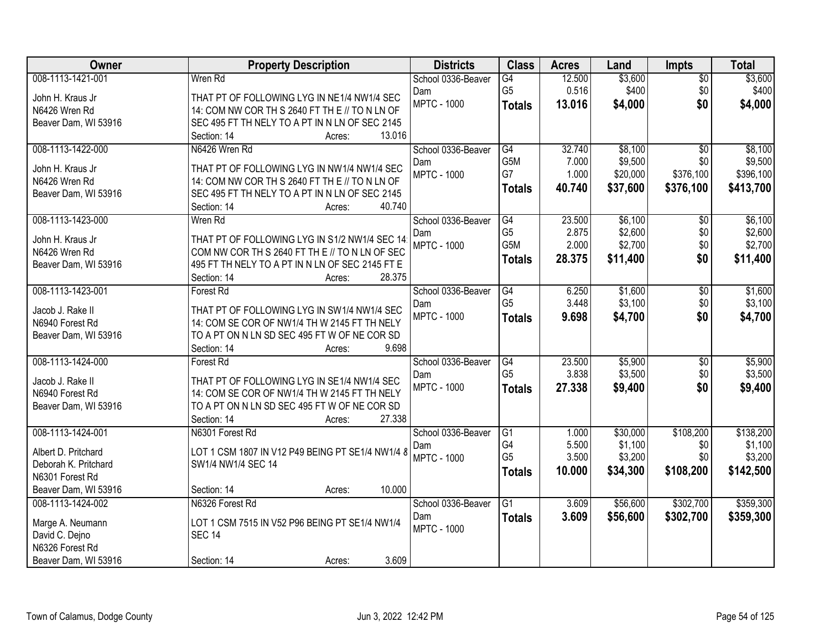| 008-1113-1421-001<br>\$3,600<br>\$3,600<br>Wren Rd<br>12.500<br>School 0336-Beaver<br>$\overline{G4}$<br>$\overline{50}$<br>G <sub>5</sub><br>\$400<br>0.516<br>\$400<br>\$0<br>Dam<br>THAT PT OF FOLLOWING LYG IN NE1/4 NW1/4 SEC<br>John H. Kraus Jr<br><b>MPTC - 1000</b><br>\$0<br>13.016<br>\$4,000<br>\$4,000<br><b>Totals</b><br>14: COM NW COR TH S 2640 FT TH E // TO N LN OF<br>N6426 Wren Rd<br>Beaver Dam, WI 53916<br>SEC 495 FT TH NELY TO A PT IN N LN OF SEC 2145<br>13.016<br>Section: 14<br>Acres:<br>008-1113-1422-000<br>N6426 Wren Rd<br>G4<br>32.740<br>\$8,100<br>\$8,100<br>School 0336-Beaver<br>$\overline{50}$<br>G5M<br>\$9,500<br>\$9,500<br>\$0<br>7.000<br>Dam<br>THAT PT OF FOLLOWING LYG IN NW1/4 NW1/4 SEC<br>John H. Kraus Jr<br>G7<br>1.000<br>\$20,000<br>\$376,100<br><b>MPTC - 1000</b><br>\$396,100<br>14: COM NW COR TH S 2640 FT TH E // TO N LN OF<br>N6426 Wren Rd<br>\$37,600<br>40.740<br>\$376,100<br>\$413,700<br><b>Totals</b><br>Beaver Dam, WI 53916<br>SEC 495 FT TH NELY TO A PT IN N LN OF SEC 2145<br>40.740<br>Section: 14<br>Acres:<br>008-1113-1423-000<br>\$6,100<br>Wren Rd<br>School 0336-Beaver<br>G4<br>23.500<br>\$0<br>\$6,100 |
|-------------------------------------------------------------------------------------------------------------------------------------------------------------------------------------------------------------------------------------------------------------------------------------------------------------------------------------------------------------------------------------------------------------------------------------------------------------------------------------------------------------------------------------------------------------------------------------------------------------------------------------------------------------------------------------------------------------------------------------------------------------------------------------------------------------------------------------------------------------------------------------------------------------------------------------------------------------------------------------------------------------------------------------------------------------------------------------------------------------------------------------------------------------------------------------------------|
|                                                                                                                                                                                                                                                                                                                                                                                                                                                                                                                                                                                                                                                                                                                                                                                                                                                                                                                                                                                                                                                                                                                                                                                                 |
|                                                                                                                                                                                                                                                                                                                                                                                                                                                                                                                                                                                                                                                                                                                                                                                                                                                                                                                                                                                                                                                                                                                                                                                                 |
|                                                                                                                                                                                                                                                                                                                                                                                                                                                                                                                                                                                                                                                                                                                                                                                                                                                                                                                                                                                                                                                                                                                                                                                                 |
|                                                                                                                                                                                                                                                                                                                                                                                                                                                                                                                                                                                                                                                                                                                                                                                                                                                                                                                                                                                                                                                                                                                                                                                                 |
|                                                                                                                                                                                                                                                                                                                                                                                                                                                                                                                                                                                                                                                                                                                                                                                                                                                                                                                                                                                                                                                                                                                                                                                                 |
|                                                                                                                                                                                                                                                                                                                                                                                                                                                                                                                                                                                                                                                                                                                                                                                                                                                                                                                                                                                                                                                                                                                                                                                                 |
|                                                                                                                                                                                                                                                                                                                                                                                                                                                                                                                                                                                                                                                                                                                                                                                                                                                                                                                                                                                                                                                                                                                                                                                                 |
|                                                                                                                                                                                                                                                                                                                                                                                                                                                                                                                                                                                                                                                                                                                                                                                                                                                                                                                                                                                                                                                                                                                                                                                                 |
|                                                                                                                                                                                                                                                                                                                                                                                                                                                                                                                                                                                                                                                                                                                                                                                                                                                                                                                                                                                                                                                                                                                                                                                                 |
|                                                                                                                                                                                                                                                                                                                                                                                                                                                                                                                                                                                                                                                                                                                                                                                                                                                                                                                                                                                                                                                                                                                                                                                                 |
|                                                                                                                                                                                                                                                                                                                                                                                                                                                                                                                                                                                                                                                                                                                                                                                                                                                                                                                                                                                                                                                                                                                                                                                                 |
| G <sub>5</sub><br>2.875<br>\$2,600<br>\$0<br>\$2,600<br>Dam                                                                                                                                                                                                                                                                                                                                                                                                                                                                                                                                                                                                                                                                                                                                                                                                                                                                                                                                                                                                                                                                                                                                     |
| THAT PT OF FOLLOWING LYG IN S1/2 NW1/4 SEC 14<br>John H. Kraus Jr<br>G <sub>5</sub> M<br>2.000<br>\$2,700<br>\$2,700<br>\$0<br><b>MPTC - 1000</b>                                                                                                                                                                                                                                                                                                                                                                                                                                                                                                                                                                                                                                                                                                                                                                                                                                                                                                                                                                                                                                               |
| COM NW COR TH S 2640 FT TH E // TO N LN OF SEC<br>N6426 Wren Rd<br>\$0<br>28.375<br>\$11,400<br>\$11,400<br><b>Totals</b>                                                                                                                                                                                                                                                                                                                                                                                                                                                                                                                                                                                                                                                                                                                                                                                                                                                                                                                                                                                                                                                                       |
| 495 FT TH NELY TO A PT IN N LN OF SEC 2145 FT E<br>Beaver Dam, WI 53916                                                                                                                                                                                                                                                                                                                                                                                                                                                                                                                                                                                                                                                                                                                                                                                                                                                                                                                                                                                                                                                                                                                         |
| 28.375<br>Section: 14<br>Acres:                                                                                                                                                                                                                                                                                                                                                                                                                                                                                                                                                                                                                                                                                                                                                                                                                                                                                                                                                                                                                                                                                                                                                                 |
| 008-1113-1423-001<br>\$1,600<br>\$1,600<br>Forest Rd<br>School 0336-Beaver<br>G4<br>6.250<br>\$0                                                                                                                                                                                                                                                                                                                                                                                                                                                                                                                                                                                                                                                                                                                                                                                                                                                                                                                                                                                                                                                                                                |
| G <sub>5</sub><br>3.448<br>\$3,100<br>\$3,100<br>\$0<br>Dam<br>THAT PT OF FOLLOWING LYG IN SW1/4 NW1/4 SEC<br>Jacob J. Rake II                                                                                                                                                                                                                                                                                                                                                                                                                                                                                                                                                                                                                                                                                                                                                                                                                                                                                                                                                                                                                                                                  |
| <b>MPTC - 1000</b><br>\$4,700<br>\$0<br>9.698<br>\$4,700<br><b>Totals</b><br>14: COM SE COR OF NW1/4 TH W 2145 FT TH NELY<br>N6940 Forest Rd                                                                                                                                                                                                                                                                                                                                                                                                                                                                                                                                                                                                                                                                                                                                                                                                                                                                                                                                                                                                                                                    |
| TO A PT ON N LN SD SEC 495 FT W OF NE COR SD<br>Beaver Dam, WI 53916                                                                                                                                                                                                                                                                                                                                                                                                                                                                                                                                                                                                                                                                                                                                                                                                                                                                                                                                                                                                                                                                                                                            |
| 9.698<br>Section: 14<br>Acres:                                                                                                                                                                                                                                                                                                                                                                                                                                                                                                                                                                                                                                                                                                                                                                                                                                                                                                                                                                                                                                                                                                                                                                  |
| 008-1113-1424-000<br>23.500<br>\$5,900<br>\$5,900<br>G4<br>\$0<br><b>Forest Rd</b><br>School 0336-Beaver                                                                                                                                                                                                                                                                                                                                                                                                                                                                                                                                                                                                                                                                                                                                                                                                                                                                                                                                                                                                                                                                                        |
| G <sub>5</sub><br>3.838<br>\$3,500<br>\$3,500<br>\$0<br>Dam                                                                                                                                                                                                                                                                                                                                                                                                                                                                                                                                                                                                                                                                                                                                                                                                                                                                                                                                                                                                                                                                                                                                     |
| THAT PT OF FOLLOWING LYG IN SE1/4 NW1/4 SEC<br>Jacob J. Rake II<br>\$0<br><b>MPTC - 1000</b><br>27.338<br>\$9,400<br>\$9,400<br><b>Totals</b>                                                                                                                                                                                                                                                                                                                                                                                                                                                                                                                                                                                                                                                                                                                                                                                                                                                                                                                                                                                                                                                   |
| N6940 Forest Rd<br>14: COM SE COR OF NW1/4 TH W 2145 FT TH NELY                                                                                                                                                                                                                                                                                                                                                                                                                                                                                                                                                                                                                                                                                                                                                                                                                                                                                                                                                                                                                                                                                                                                 |
| Beaver Dam, WI 53916<br>TO A PT ON N LN SD SEC 495 FT W OF NE COR SD                                                                                                                                                                                                                                                                                                                                                                                                                                                                                                                                                                                                                                                                                                                                                                                                                                                                                                                                                                                                                                                                                                                            |
| 27.338<br>Section: 14<br>Acres:                                                                                                                                                                                                                                                                                                                                                                                                                                                                                                                                                                                                                                                                                                                                                                                                                                                                                                                                                                                                                                                                                                                                                                 |
| 008-1113-1424-001<br>$\overline{G1}$<br>\$30,000<br>\$108,200<br>\$138,200<br>N6301 Forest Rd<br>School 0336-Beaver<br>1.000                                                                                                                                                                                                                                                                                                                                                                                                                                                                                                                                                                                                                                                                                                                                                                                                                                                                                                                                                                                                                                                                    |
| G4<br>\$1,100<br>5.500<br>\$1,100<br>\$0<br>Dam<br>LOT 1 CSM 1807 IN V12 P49 BEING PT SE1/4 NW1/4 8<br>Albert D. Pritchard                                                                                                                                                                                                                                                                                                                                                                                                                                                                                                                                                                                                                                                                                                                                                                                                                                                                                                                                                                                                                                                                      |
| G <sub>5</sub><br>3.500<br>\$3,200<br>\$3,200<br>\$0<br><b>MPTC - 1000</b><br>Deborah K. Pritchard<br>SW1/4 NW1/4 SEC 14                                                                                                                                                                                                                                                                                                                                                                                                                                                                                                                                                                                                                                                                                                                                                                                                                                                                                                                                                                                                                                                                        |
| \$108,200<br>10.000<br>\$34,300<br>\$142,500<br><b>Totals</b><br>N6301 Forest Rd                                                                                                                                                                                                                                                                                                                                                                                                                                                                                                                                                                                                                                                                                                                                                                                                                                                                                                                                                                                                                                                                                                                |
| Beaver Dam, WI 53916<br>10.000<br>Section: 14<br>Acres:                                                                                                                                                                                                                                                                                                                                                                                                                                                                                                                                                                                                                                                                                                                                                                                                                                                                                                                                                                                                                                                                                                                                         |
| \$302,700<br>\$359,300<br>008-1113-1424-002<br>N6326 Forest Rd<br>$\overline{G1}$<br>3.609<br>\$56,600<br>School 0336-Beaver                                                                                                                                                                                                                                                                                                                                                                                                                                                                                                                                                                                                                                                                                                                                                                                                                                                                                                                                                                                                                                                                    |
| 3.609<br>\$302,700<br>\$359,300<br>\$56,600<br>Dam<br><b>Totals</b><br>Marge A. Neumann<br>LOT 1 CSM 7515 IN V52 P96 BEING PT SE1/4 NW1/4                                                                                                                                                                                                                                                                                                                                                                                                                                                                                                                                                                                                                                                                                                                                                                                                                                                                                                                                                                                                                                                       |
| <b>MPTC - 1000</b><br>David C. Dejno<br><b>SEC 14</b>                                                                                                                                                                                                                                                                                                                                                                                                                                                                                                                                                                                                                                                                                                                                                                                                                                                                                                                                                                                                                                                                                                                                           |
| N6326 Forest Rd                                                                                                                                                                                                                                                                                                                                                                                                                                                                                                                                                                                                                                                                                                                                                                                                                                                                                                                                                                                                                                                                                                                                                                                 |
| 3.609<br>Beaver Dam, WI 53916<br>Section: 14<br>Acres:                                                                                                                                                                                                                                                                                                                                                                                                                                                                                                                                                                                                                                                                                                                                                                                                                                                                                                                                                                                                                                                                                                                                          |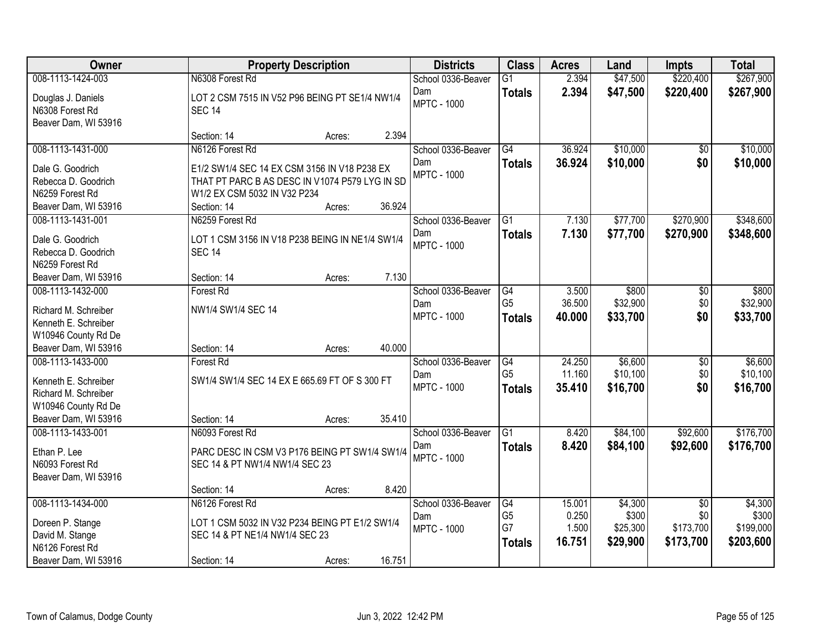| Owner                                                                                       | <b>Property Description</b>                                                      | <b>Districts</b>          | <b>Class</b>                          | <b>Acres</b>             | Land                          | <b>Impts</b>                  | <b>Total</b>                    |
|---------------------------------------------------------------------------------------------|----------------------------------------------------------------------------------|---------------------------|---------------------------------------|--------------------------|-------------------------------|-------------------------------|---------------------------------|
| 008-1113-1424-003                                                                           | N6308 Forest Rd                                                                  | School 0336-Beaver        | $\overline{G1}$                       | 2.394                    | \$47,500                      | \$220,400                     | \$267,900                       |
| Douglas J. Daniels<br>N6308 Forest Rd<br>Beaver Dam, WI 53916                               | LOT 2 CSM 7515 IN V52 P96 BEING PT SE1/4 NW1/4<br><b>SEC 14</b>                  | Dam<br><b>MPTC - 1000</b> | <b>Totals</b>                         | 2.394                    | \$47,500                      | \$220,400                     | \$267,900                       |
|                                                                                             | 2.394<br>Section: 14<br>Acres:                                                   |                           |                                       |                          |                               |                               |                                 |
| 008-1113-1431-000                                                                           | N6126 Forest Rd                                                                  | School 0336-Beaver<br>Dam | $\overline{G4}$<br><b>Totals</b>      | 36.924<br>36.924         | \$10,000<br>\$10,000          | \$0<br>\$0                    | \$10,000<br>\$10,000            |
| Dale G. Goodrich                                                                            | E1/2 SW1/4 SEC 14 EX CSM 3156 IN V18 P238 EX                                     | <b>MPTC - 1000</b>        |                                       |                          |                               |                               |                                 |
| Rebecca D. Goodrich                                                                         | THAT PT PARC B AS DESC IN V1074 P579 LYG IN SD                                   |                           |                                       |                          |                               |                               |                                 |
| N6259 Forest Rd<br>Beaver Dam, WI 53916                                                     | W1/2 EX CSM 5032 IN V32 P234<br>36.924<br>Section: 14<br>Acres:                  |                           |                                       |                          |                               |                               |                                 |
| 008-1113-1431-001                                                                           | N6259 Forest Rd                                                                  | School 0336-Beaver        | $\overline{G1}$                       | 7.130                    | \$77,700                      | \$270,900                     | \$348,600                       |
| Dale G. Goodrich<br>Rebecca D. Goodrich                                                     | LOT 1 CSM 3156 IN V18 P238 BEING IN NE1/4 SW1/4<br><b>SEC 14</b>                 | Dam<br><b>MPTC - 1000</b> | <b>Totals</b>                         | 7.130                    | \$77,700                      | \$270,900                     | \$348,600                       |
| N6259 Forest Rd                                                                             | 7.130<br>Section: 14                                                             |                           |                                       |                          |                               |                               |                                 |
| Beaver Dam, WI 53916<br>008-1113-1432-000                                                   | Acres:<br>Forest Rd                                                              | School 0336-Beaver        | G4                                    | 3.500                    | \$800                         | \$0                           | \$800                           |
| Richard M. Schreiber<br>Kenneth E. Schreiber                                                | NW1/4 SW1/4 SEC 14                                                               | Dam<br><b>MPTC - 1000</b> | G <sub>5</sub><br><b>Totals</b>       | 36.500<br>40.000         | \$32,900<br>\$33,700          | \$0<br>\$0                    | \$32,900<br>\$33,700            |
| W10946 County Rd De<br>Beaver Dam, WI 53916                                                 | 40.000<br>Section: 14<br>Acres:                                                  |                           |                                       |                          |                               |                               |                                 |
| 008-1113-1433-000                                                                           | Forest Rd                                                                        | School 0336-Beaver        | $\overline{G4}$                       | 24.250                   | \$6,600                       | $\overline{50}$               | \$6,600                         |
| Kenneth E. Schreiber<br>Richard M. Schreiber<br>W10946 County Rd De<br>Beaver Dam, WI 53916 | SW1/4 SW1/4 SEC 14 EX E 665.69 FT OF S 300 FT<br>35.410<br>Section: 14<br>Acres: | Dam<br><b>MPTC - 1000</b> | G <sub>5</sub><br><b>Totals</b>       | 11.160<br>35.410         | \$10,100<br>\$16,700          | \$0<br>\$0                    | \$10,100<br>\$16,700            |
| 008-1113-1433-001                                                                           | N6093 Forest Rd                                                                  | School 0336-Beaver        | G1                                    | 8.420                    | \$84,100                      | \$92,600                      | \$176,700                       |
| Ethan P. Lee<br>N6093 Forest Rd<br>Beaver Dam, WI 53916                                     | PARC DESC IN CSM V3 P176 BEING PT SW1/4 SW1/4<br>SEC 14 & PT NW1/4 NW1/4 SEC 23  | Dam<br><b>MPTC - 1000</b> | <b>Totals</b>                         | 8.420                    | \$84,100                      | \$92,600                      | \$176,700                       |
|                                                                                             | 8.420<br>Section: 14<br>Acres:                                                   |                           |                                       |                          |                               |                               |                                 |
| 008-1113-1434-000                                                                           | N6126 Forest Rd                                                                  | School 0336-Beaver        | G4                                    | 15.001                   | \$4,300                       | $\overline{50}$               | \$4,300                         |
| Doreen P. Stange<br>David M. Stange<br>N6126 Forest Rd                                      | LOT 1 CSM 5032 IN V32 P234 BEING PT E1/2 SW1/4<br>SEC 14 & PT NE1/4 NW1/4 SEC 23 | Dam<br><b>MPTC - 1000</b> | G <sub>5</sub><br>G7<br><b>Totals</b> | 0.250<br>1.500<br>16.751 | \$300<br>\$25,300<br>\$29,900 | \$0<br>\$173,700<br>\$173,700 | \$300<br>\$199,000<br>\$203,600 |
| Beaver Dam, WI 53916                                                                        | 16.751<br>Section: 14<br>Acres:                                                  |                           |                                       |                          |                               |                               |                                 |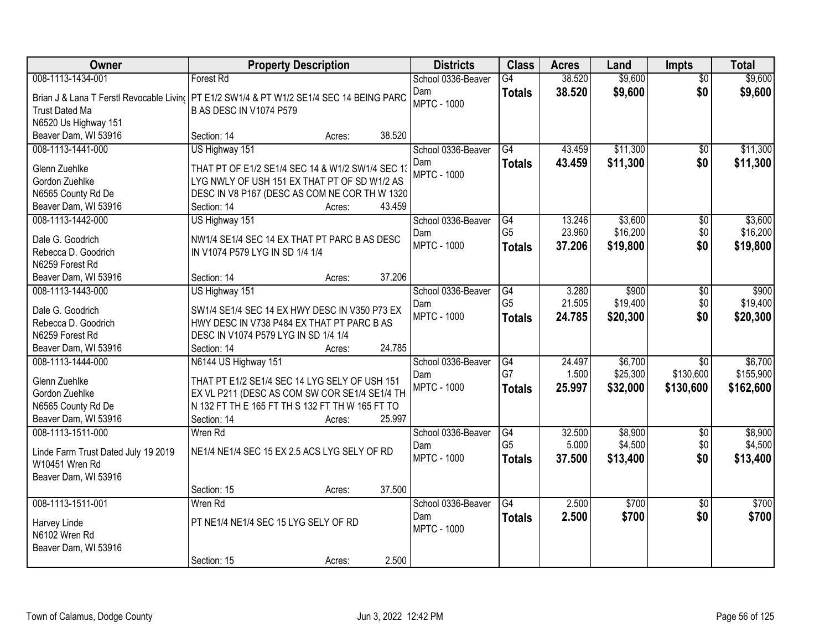| Owner                                                 | <b>Property Description</b>                                                              | <b>Districts</b>   | <b>Class</b>          | <b>Acres</b> | Land     | Impts                        | <b>Total</b> |
|-------------------------------------------------------|------------------------------------------------------------------------------------------|--------------------|-----------------------|--------------|----------|------------------------------|--------------|
| 008-1113-1434-001                                     | <b>Forest Rd</b>                                                                         | School 0336-Beaver | $\overline{G4}$       | 38.520       | \$9,600  | $\overline{50}$              | \$9,600      |
|                                                       | Brian J & Lana T Ferstl Revocable Livin( PT E1/2 SW1/4 & PT W1/2 SE1/4 SEC 14 BEING PARC | Dam                | <b>Totals</b>         | 38.520       | \$9,600  | \$0                          | \$9,600      |
| <b>Trust Dated Ma</b>                                 | <b>B AS DESC IN V1074 P579</b>                                                           | <b>MPTC - 1000</b> |                       |              |          |                              |              |
| N6520 Us Highway 151                                  |                                                                                          |                    |                       |              |          |                              |              |
| Beaver Dam, WI 53916                                  | 38.520<br>Section: 14<br>Acres:                                                          |                    |                       |              |          |                              |              |
| 008-1113-1441-000                                     | US Highway 151                                                                           | School 0336-Beaver | $\overline{G4}$       | 43.459       | \$11,300 | $\overline{50}$              | \$11,300     |
|                                                       |                                                                                          | Dam                | <b>Totals</b>         | 43.459       | \$11,300 | \$0                          | \$11,300     |
| Glenn Zuehlke                                         | THAT PT OF E1/2 SE1/4 SEC 14 & W1/2 SW1/4 SEC 13                                         | <b>MPTC - 1000</b> |                       |              |          |                              |              |
| Gordon Zuehlke                                        | LYG NWLY OF USH 151 EX THAT PT OF SD W1/2 AS                                             |                    |                       |              |          |                              |              |
| N6565 County Rd De                                    | DESC IN V8 P167 (DESC AS COM NE COR TH W 1320                                            |                    |                       |              |          |                              |              |
| Beaver Dam, WI 53916                                  | 43.459<br>Section: 14<br>Acres:                                                          |                    |                       |              |          |                              |              |
| 008-1113-1442-000                                     | US Highway 151                                                                           | School 0336-Beaver | G4                    | 13.246       | \$3,600  | \$0                          | \$3,600      |
| Dale G. Goodrich                                      | NW1/4 SE1/4 SEC 14 EX THAT PT PARC B AS DESC                                             | Dam                | G <sub>5</sub>        | 23.960       | \$16,200 | \$0                          | \$16,200     |
| Rebecca D. Goodrich                                   | IN V1074 P579 LYG IN SD 1/4 1/4                                                          | <b>MPTC - 1000</b> | <b>Totals</b>         | 37.206       | \$19,800 | \$0                          | \$19,800     |
| N6259 Forest Rd                                       |                                                                                          |                    |                       |              |          |                              |              |
| Beaver Dam, WI 53916                                  | 37.206<br>Section: 14<br>Acres:                                                          |                    |                       |              |          |                              |              |
| 008-1113-1443-000                                     | US Highway 151                                                                           | School 0336-Beaver | G4                    | 3.280        | \$900    | \$0                          | \$900        |
|                                                       |                                                                                          | Dam                | G <sub>5</sub>        | 21.505       | \$19,400 | \$0                          | \$19,400     |
| Dale G. Goodrich                                      | SW1/4 SE1/4 SEC 14 EX HWY DESC IN V350 P73 EX                                            | <b>MPTC - 1000</b> | <b>Totals</b>         | 24.785       | \$20,300 | \$0                          | \$20,300     |
| Rebecca D. Goodrich                                   | HWY DESC IN V738 P484 EX THAT PT PARC B AS                                               |                    |                       |              |          |                              |              |
| N6259 Forest Rd                                       | DESC IN V1074 P579 LYG IN SD 1/4 1/4<br>24.785                                           |                    |                       |              |          |                              |              |
| Beaver Dam, WI 53916                                  | Section: 14<br>Acres:                                                                    |                    |                       |              |          |                              |              |
| 008-1113-1444-000                                     | N6144 US Highway 151                                                                     | School 0336-Beaver | $\overline{G4}$<br>G7 | 24.497       | \$6,700  | $\overline{30}$<br>\$130,600 | \$6,700      |
| Glenn Zuehlke                                         | THAT PT E1/2 SE1/4 SEC 14 LYG SELY OF USH 151                                            | Dam                |                       | 1.500        | \$25,300 |                              | \$155,900    |
| Gordon Zuehlke                                        | EX VL P211 (DESC AS COM SW COR SE1/4 SE1/4 TH                                            | <b>MPTC - 1000</b> | <b>Totals</b>         | 25.997       | \$32,000 | \$130,600                    | \$162,600    |
| N6565 County Rd De                                    | N 132 FT TH E 165 FT TH S 132 FT TH W 165 FT TO                                          |                    |                       |              |          |                              |              |
| Beaver Dam, WI 53916                                  | 25.997<br>Section: 14<br>Acres:                                                          |                    |                       |              |          |                              |              |
| 008-1113-1511-000                                     | Wren Rd                                                                                  | School 0336-Beaver | $\overline{G4}$       | 32.500       | \$8,900  | $\overline{50}$              | \$8,900      |
|                                                       | NE1/4 NE1/4 SEC 15 EX 2.5 ACS LYG SELY OF RD                                             | Dam                | G <sub>5</sub>        | 5.000        | \$4,500  | \$0                          | \$4,500      |
| Linde Farm Trust Dated July 19 2019<br>W10451 Wren Rd |                                                                                          | <b>MPTC - 1000</b> | <b>Totals</b>         | 37,500       | \$13,400 | \$0                          | \$13,400     |
| Beaver Dam, WI 53916                                  |                                                                                          |                    |                       |              |          |                              |              |
|                                                       | 37.500<br>Section: 15<br>Acres:                                                          |                    |                       |              |          |                              |              |
| 008-1113-1511-001                                     | Wren Rd                                                                                  | School 0336-Beaver | $\overline{G4}$       | 2.500        | \$700    | $\overline{50}$              | \$700        |
|                                                       |                                                                                          | Dam                |                       | 2.500        | \$700    | \$0                          | \$700        |
| Harvey Linde                                          | PT NE1/4 NE1/4 SEC 15 LYG SELY OF RD                                                     | <b>MPTC - 1000</b> | <b>Totals</b>         |              |          |                              |              |
| N6102 Wren Rd                                         |                                                                                          |                    |                       |              |          |                              |              |
| Beaver Dam, WI 53916                                  |                                                                                          |                    |                       |              |          |                              |              |
|                                                       | 2.500<br>Section: 15<br>Acres:                                                           |                    |                       |              |          |                              |              |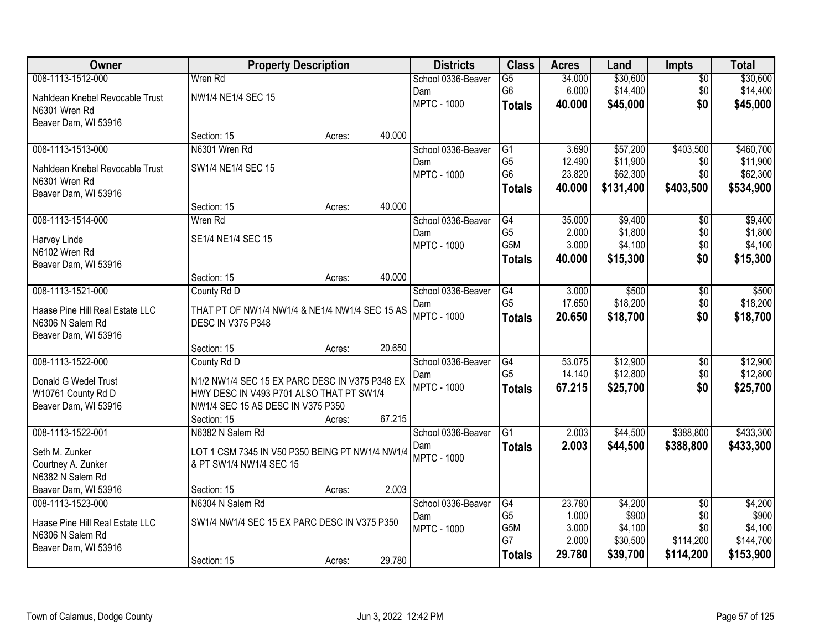| Owner                                     | <b>Property Description</b>                     |        |        | <b>Districts</b>          | <b>Class</b>                      | <b>Acres</b>     | Land                 | <b>Impts</b>    | <b>Total</b>         |
|-------------------------------------------|-------------------------------------------------|--------|--------|---------------------------|-----------------------------------|------------------|----------------------|-----------------|----------------------|
| 008-1113-1512-000                         | Wren Rd                                         |        |        | School 0336-Beaver        | $\overline{G5}$                   | 34.000           | \$30,600             | $\overline{50}$ | \$30,600             |
| Nahldean Knebel Revocable Trust           | NW1/4 NE1/4 SEC 15                              |        |        | Dam                       | G <sub>6</sub>                    | 6.000            | \$14,400             | \$0             | \$14,400             |
| N6301 Wren Rd                             |                                                 |        |        | <b>MPTC - 1000</b>        | <b>Totals</b>                     | 40,000           | \$45,000             | \$0             | \$45,000             |
| Beaver Dam, WI 53916                      |                                                 |        |        |                           |                                   |                  |                      |                 |                      |
|                                           | Section: 15                                     | Acres: | 40.000 |                           |                                   |                  |                      |                 |                      |
| 008-1113-1513-000                         | N6301 Wren Rd                                   |        |        | School 0336-Beaver        | G1                                | 3.690            | \$57,200             | \$403,500       | \$460,700            |
| Nahldean Knebel Revocable Trust           | SW1/4 NE1/4 SEC 15                              |        |        | Dam<br><b>MPTC - 1000</b> | G <sub>5</sub><br>G <sub>6</sub>  | 12.490<br>23.820 | \$11,900<br>\$62,300 | \$0<br>\$0      | \$11,900<br>\$62,300 |
| N6301 Wren Rd                             |                                                 |        |        |                           | <b>Totals</b>                     | 40.000           | \$131,400            | \$403,500       | \$534,900            |
| Beaver Dam, WI 53916                      |                                                 |        |        |                           |                                   |                  |                      |                 |                      |
|                                           | Section: 15                                     | Acres: | 40.000 |                           |                                   |                  |                      |                 |                      |
| 008-1113-1514-000                         | Wren Rd                                         |        |        | School 0336-Beaver        | $\overline{G4}$<br>G <sub>5</sub> | 35.000           | \$9,400<br>\$1,800   | \$0             | \$9,400              |
| Harvey Linde                              | SE1/4 NE1/4 SEC 15                              |        |        | Dam<br><b>MPTC - 1000</b> | G <sub>5</sub> M                  | 2.000<br>3.000   | \$4,100              | \$0<br>\$0      | \$1,800<br>\$4,100   |
| N6102 Wren Rd                             |                                                 |        |        |                           | <b>Totals</b>                     | 40.000           | \$15,300             | \$0             | \$15,300             |
| Beaver Dam, WI 53916                      |                                                 |        |        |                           |                                   |                  |                      |                 |                      |
|                                           | Section: 15                                     | Acres: | 40.000 |                           |                                   |                  |                      |                 |                      |
| 008-1113-1521-000                         | County Rd D                                     |        |        | School 0336-Beaver        | G4<br>G <sub>5</sub>              | 3.000<br>17.650  | \$500<br>\$18,200    | \$0<br>\$0      | \$500<br>\$18,200    |
| Haase Pine Hill Real Estate LLC           | THAT PT OF NW1/4 NW1/4 & NE1/4 NW1/4 SEC 15 AS  |        |        | Dam<br><b>MPTC - 1000</b> | <b>Totals</b>                     | 20.650           | \$18,700             | \$0             | \$18,700             |
| N6306 N Salem Rd                          | <b>DESC IN V375 P348</b>                        |        |        |                           |                                   |                  |                      |                 |                      |
| Beaver Dam, WI 53916                      |                                                 |        |        |                           |                                   |                  |                      |                 |                      |
| 008-1113-1522-000                         | Section: 15                                     | Acres: | 20.650 |                           | $\overline{G4}$                   | 53.075           | \$12,900             | $\overline{50}$ | \$12,900             |
|                                           | County Rd D                                     |        |        | School 0336-Beaver<br>Dam | G <sub>5</sub>                    | 14.140           | \$12,800             | \$0             | \$12,800             |
| Donald G Wedel Trust                      | N1/2 NW1/4 SEC 15 EX PARC DESC IN V375 P348 EX  |        |        | <b>MPTC - 1000</b>        | <b>Totals</b>                     | 67.215           | \$25,700             | \$0             | \$25,700             |
| W10761 County Rd D                        | HWY DESC IN V493 P701 ALSO THAT PT SW1/4        |        |        |                           |                                   |                  |                      |                 |                      |
| Beaver Dam, WI 53916                      | NW1/4 SEC 15 AS DESC IN V375 P350               |        |        |                           |                                   |                  |                      |                 |                      |
| 008-1113-1522-001                         | Section: 15<br>N6382 N Salem Rd                 | Acres: | 67.215 | School 0336-Beaver        | $\overline{G1}$                   | 2.003            | \$44,500             | \$388,800       | \$433,300            |
|                                           |                                                 |        |        | Dam                       | <b>Totals</b>                     | 2.003            | \$44,500             | \$388,800       | \$433,300            |
| Seth M. Zunker                            | LOT 1 CSM 7345 IN V50 P350 BEING PT NW1/4 NW1/4 |        |        | <b>MPTC - 1000</b>        |                                   |                  |                      |                 |                      |
| Courtney A. Zunker                        | & PT SW1/4 NW1/4 SEC 15                         |        |        |                           |                                   |                  |                      |                 |                      |
| N6382 N Salem Rd                          |                                                 |        | 2.003  |                           |                                   |                  |                      |                 |                      |
| Beaver Dam, WI 53916<br>008-1113-1523-000 | Section: 15<br>N6304 N Salem Rd                 | Acres: |        | School 0336-Beaver        | G4                                | 23.780           | \$4,200              | $\overline{50}$ | \$4,200              |
|                                           |                                                 |        |        | Dam                       | G <sub>5</sub>                    | 1.000            | \$900                | \$0             | \$900                |
| Haase Pine Hill Real Estate LLC           | SW1/4 NW1/4 SEC 15 EX PARC DESC IN V375 P350    |        |        | <b>MPTC - 1000</b>        | G <sub>5</sub> M                  | 3.000            | \$4,100              | \$0             | \$4,100              |
| N6306 N Salem Rd                          |                                                 |        |        |                           | G7                                | 2.000            | \$30,500             | \$114,200       | \$144,700            |
| Beaver Dam, WI 53916                      | Section: 15                                     | Acres: | 29.780 |                           | <b>Totals</b>                     | 29.780           | \$39,700             | \$114,200       | \$153,900            |
|                                           |                                                 |        |        |                           |                                   |                  |                      |                 |                      |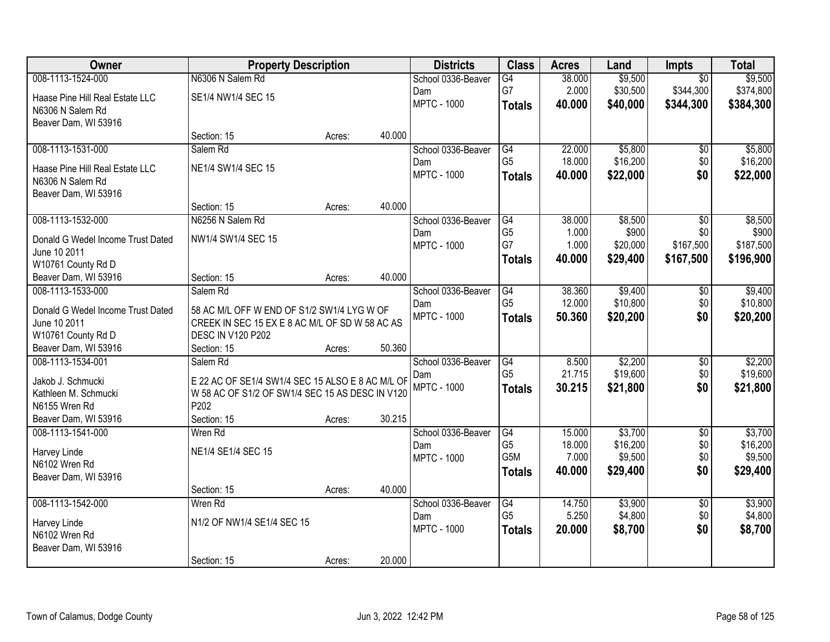| Owner                             | <b>Property Description</b>                      |        |        | <b>Districts</b>   | <b>Class</b>    | <b>Acres</b> | Land     | <b>Impts</b>    | <b>Total</b> |
|-----------------------------------|--------------------------------------------------|--------|--------|--------------------|-----------------|--------------|----------|-----------------|--------------|
| 008-1113-1524-000                 | N6306 N Salem Rd                                 |        |        | School 0336-Beaver | $\overline{G4}$ | 38.000       | \$9,500  | $\overline{30}$ | \$9,500      |
| Haase Pine Hill Real Estate LLC   | SE1/4 NW1/4 SEC 15                               |        |        | Dam                | G7              | 2.000        | \$30,500 | \$344,300       | \$374,800    |
| N6306 N Salem Rd                  |                                                  |        |        | <b>MPTC - 1000</b> | <b>Totals</b>   | 40.000       | \$40,000 | \$344,300       | \$384,300    |
| Beaver Dam, WI 53916              |                                                  |        |        |                    |                 |              |          |                 |              |
|                                   | Section: 15                                      | Acres: | 40.000 |                    |                 |              |          |                 |              |
| 008-1113-1531-000                 | Salem Rd                                         |        |        | School 0336-Beaver | G4              | 22.000       | \$5,800  | $\overline{50}$ | \$5,800      |
| Haase Pine Hill Real Estate LLC   | NE1/4 SW1/4 SEC 15                               |        |        | Dam                | G <sub>5</sub>  | 18.000       | \$16,200 | \$0             | \$16,200     |
| N6306 N Salem Rd                  |                                                  |        |        | <b>MPTC - 1000</b> | <b>Totals</b>   | 40.000       | \$22,000 | \$0             | \$22,000     |
| Beaver Dam, WI 53916              |                                                  |        |        |                    |                 |              |          |                 |              |
|                                   | Section: 15                                      | Acres: | 40.000 |                    |                 |              |          |                 |              |
| 008-1113-1532-000                 | N6256 N Salem Rd                                 |        |        | School 0336-Beaver | G4              | 38.000       | \$8,500  | \$0             | \$8,500      |
| Donald G Wedel Income Trust Dated | NW1/4 SW1/4 SEC 15                               |        |        | Dam                | G <sub>5</sub>  | 1.000        | \$900    | \$0             | \$900        |
| June 10 2011                      |                                                  |        |        | <b>MPTC - 1000</b> | G7              | 1.000        | \$20,000 | \$167,500       | \$187,500    |
| W10761 County Rd D                |                                                  |        |        |                    | Totals          | 40.000       | \$29,400 | \$167,500       | \$196,900    |
| Beaver Dam, WI 53916              | Section: 15                                      | Acres: | 40.000 |                    |                 |              |          |                 |              |
| 008-1113-1533-000                 | Salem Rd                                         |        |        | School 0336-Beaver | G4              | 38.360       | \$9,400  | \$0             | \$9,400      |
| Donald G Wedel Income Trust Dated | 58 AC M/L OFF W END OF S1/2 SW1/4 LYG W OF       |        |        | Dam                | G <sub>5</sub>  | 12.000       | \$10,800 | \$0             | \$10,800     |
| June 10 2011                      | CREEK IN SEC 15 EX E 8 AC M/L OF SD W 58 AC AS   |        |        | <b>MPTC - 1000</b> | <b>Totals</b>   | 50.360       | \$20,200 | \$0             | \$20,200     |
| W10761 County Rd D                | <b>DESC IN V120 P202</b>                         |        |        |                    |                 |              |          |                 |              |
| Beaver Dam, WI 53916              | Section: 15                                      | Acres: | 50.360 |                    |                 |              |          |                 |              |
| 008-1113-1534-001                 | Salem Rd                                         |        |        | School 0336-Beaver | G4              | 8.500        | \$2,200  | $\overline{30}$ | \$2,200      |
| Jakob J. Schmucki                 | E 22 AC OF SE1/4 SW1/4 SEC 15 ALSO E 8 AC M/L OF |        |        | Dam                | G <sub>5</sub>  | 21.715       | \$19,600 | \$0             | \$19,600     |
| Kathleen M. Schmucki              | W 58 AC OF S1/2 OF SW1/4 SEC 15 AS DESC IN V120  |        |        | <b>MPTC - 1000</b> | <b>Totals</b>   | 30.215       | \$21,800 | \$0             | \$21,800     |
| N6155 Wren Rd                     | P202                                             |        |        |                    |                 |              |          |                 |              |
| Beaver Dam, WI 53916              | Section: 15                                      | Acres: | 30.215 |                    |                 |              |          |                 |              |
| 008-1113-1541-000                 | Wren Rd                                          |        |        | School 0336-Beaver | G4              | 15.000       | \$3,700  | $\overline{50}$ | \$3,700      |
| Harvey Linde                      | NE1/4 SE1/4 SEC 15                               |        |        | Dam                | G <sub>5</sub>  | 18.000       | \$16,200 | \$0             | \$16,200     |
| N6102 Wren Rd                     |                                                  |        |        | <b>MPTC - 1000</b> | G5M             | 7.000        | \$9,500  | \$0             | \$9,500      |
| Beaver Dam, WI 53916              |                                                  |        |        |                    | <b>Totals</b>   | 40.000       | \$29,400 | \$0             | \$29,400     |
|                                   | Section: 15                                      | Acres: | 40.000 |                    |                 |              |          |                 |              |
| 008-1113-1542-000                 | Wren Rd                                          |        |        | School 0336-Beaver | $\overline{G4}$ | 14.750       | \$3,900  | $\overline{50}$ | \$3,900      |
| Harvey Linde                      | N1/2 OF NW1/4 SE1/4 SEC 15                       |        |        | Dam                | G <sub>5</sub>  | 5.250        | \$4,800  | \$0             | \$4,800      |
| N6102 Wren Rd                     |                                                  |        |        | <b>MPTC - 1000</b> | <b>Totals</b>   | 20.000       | \$8,700  | \$0             | \$8,700      |
| Beaver Dam, WI 53916              |                                                  |        |        |                    |                 |              |          |                 |              |
|                                   | Section: 15                                      | Acres: | 20.000 |                    |                 |              |          |                 |              |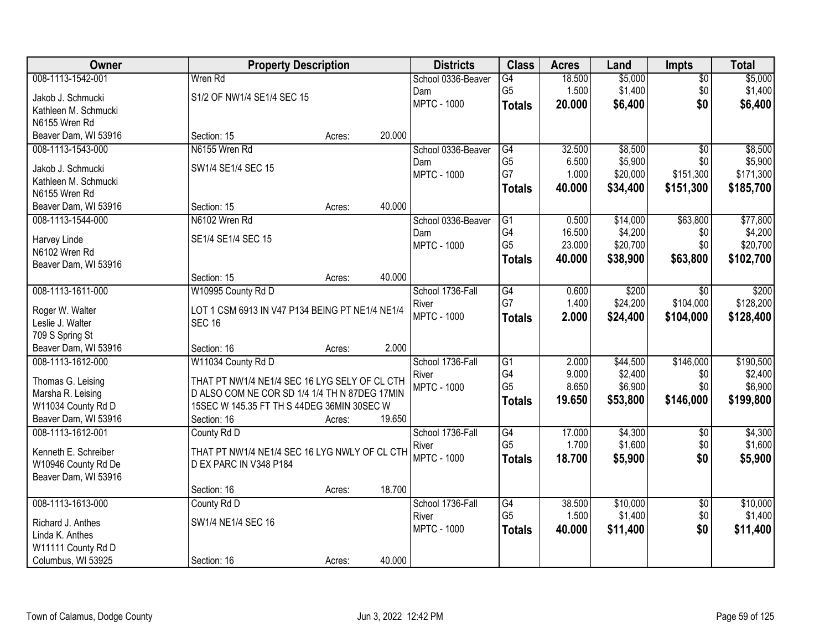| Owner                                   | <b>Property Description</b>                     |        |        | <b>Districts</b>          | <b>Class</b>    | <b>Acres</b> | Land     | <b>Impts</b>    | <b>Total</b> |
|-----------------------------------------|-------------------------------------------------|--------|--------|---------------------------|-----------------|--------------|----------|-----------------|--------------|
| 008-1113-1542-001                       | Wren Rd                                         |        |        | School 0336-Beaver        | $\overline{G4}$ | 18.500       | \$5,000  | $\sqrt{$0}$     | \$5,000      |
| Jakob J. Schmucki                       | S1/2 OF NW1/4 SE1/4 SEC 15                      |        |        | Dam                       | G <sub>5</sub>  | 1.500        | \$1,400  | \$0             | \$1,400      |
| Kathleen M. Schmucki                    |                                                 |        |        | <b>MPTC - 1000</b>        | <b>Totals</b>   | 20.000       | \$6,400  | \$0             | \$6,400      |
| N6155 Wren Rd                           |                                                 |        |        |                           |                 |              |          |                 |              |
| Beaver Dam, WI 53916                    | Section: 15                                     | Acres: | 20.000 |                           |                 |              |          |                 |              |
| 008-1113-1543-000                       | N6155 Wren Rd                                   |        |        | School 0336-Beaver        | G4              | 32.500       | \$8,500  | $\overline{50}$ | \$8,500      |
| Jakob J. Schmucki                       | SW1/4 SE1/4 SEC 15                              |        |        | Dam                       | G <sub>5</sub>  | 6.500        | \$5,900  | \$0             | \$5,900      |
| Kathleen M. Schmucki                    |                                                 |        |        | <b>MPTC - 1000</b>        | G7              | 1.000        | \$20,000 | \$151,300       | \$171,300    |
| N6155 Wren Rd                           |                                                 |        |        |                           | <b>Totals</b>   | 40.000       | \$34,400 | \$151,300       | \$185,700    |
| Beaver Dam, WI 53916                    | Section: 15                                     | Acres: | 40.000 |                           |                 |              |          |                 |              |
| 008-1113-1544-000                       | N6102 Wren Rd                                   |        |        | School 0336-Beaver        | $\overline{G1}$ | 0.500        | \$14,000 | \$63,800        | \$77,800     |
|                                         | SE1/4 SE1/4 SEC 15                              |        |        | Dam                       | G4              | 16.500       | \$4,200  | \$0             | \$4,200      |
| Harvey Linde<br>N6102 Wren Rd           |                                                 |        |        | <b>MPTC - 1000</b>        | G <sub>5</sub>  | 23.000       | \$20,700 | \$0             | \$20,700     |
| Beaver Dam, WI 53916                    |                                                 |        |        |                           | <b>Totals</b>   | 40.000       | \$38,900 | \$63,800        | \$102,700    |
|                                         | Section: 15                                     | Acres: | 40.000 |                           |                 |              |          |                 |              |
| 008-1113-1611-000                       | W10995 County Rd D                              |        |        | School 1736-Fall          | G4              | 0.600        | \$200    | $\sqrt[6]{}$    | \$200        |
|                                         |                                                 |        |        | River                     | G7              | 1.400        | \$24,200 | \$104,000       | \$128,200    |
| Roger W. Walter                         | LOT 1 CSM 6913 IN V47 P134 BEING PT NE1/4 NE1/4 |        |        | <b>MPTC - 1000</b>        | <b>Totals</b>   | 2.000        | \$24,400 | \$104,000       | \$128,400    |
| Leslie J. Walter                        | <b>SEC 16</b>                                   |        |        |                           |                 |              |          |                 |              |
| 709 S Spring St<br>Beaver Dam, WI 53916 |                                                 |        | 2.000  |                           |                 |              |          |                 |              |
| 008-1113-1612-000                       | Section: 16<br>W11034 County Rd D               | Acres: |        |                           | $\overline{G1}$ | 2.000        | \$44,500 | \$146,000       | \$190,500    |
|                                         |                                                 |        |        | School 1736-Fall<br>River | G4              | 9.000        | \$2,400  | \$0             | \$2,400      |
| Thomas G. Leising                       | THAT PT NW1/4 NE1/4 SEC 16 LYG SELY OF CL CTH   |        |        | <b>MPTC - 1000</b>        | G <sub>5</sub>  | 8.650        | \$6,900  | \$0             | \$6,900      |
| Marsha R. Leising                       | D ALSO COM NE COR SD 1/4 1/4 TH N 87DEG 17MIN   |        |        |                           | <b>Totals</b>   | 19.650       | \$53,800 | \$146,000       | \$199,800    |
| W11034 County Rd D                      | 15SEC W 145.35 FT TH S 44DEG 36MIN 30SEC W      |        |        |                           |                 |              |          |                 |              |
| Beaver Dam, WI 53916                    | Section: 16                                     | Acres: | 19.650 |                           |                 |              |          |                 |              |
| 008-1113-1612-001                       | County Rd D                                     |        |        | School 1736-Fall          | G4              | 17.000       | \$4,300  | \$0             | \$4,300      |
| Kenneth E. Schreiber                    | THAT PT NW1/4 NE1/4 SEC 16 LYG NWLY OF CL CTH   |        |        | River                     | G <sub>5</sub>  | 1.700        | \$1,600  | \$0             | \$1,600      |
| W10946 County Rd De                     | D EX PARC IN V348 P184                          |        |        | <b>MPTC - 1000</b>        | <b>Totals</b>   | 18.700       | \$5,900  | \$0             | \$5,900      |
| Beaver Dam, WI 53916                    |                                                 |        |        |                           |                 |              |          |                 |              |
|                                         | Section: 16                                     | Acres: | 18.700 |                           |                 |              |          |                 |              |
| 008-1113-1613-000                       | County Rd D                                     |        |        | School 1736-Fall          | G4              | 38.500       | \$10,000 | $\overline{50}$ | \$10,000     |
| Richard J. Anthes                       | SW1/4 NE1/4 SEC 16                              |        |        | River                     | G <sub>5</sub>  | 1.500        | \$1,400  | \$0             | \$1,400      |
| Linda K. Anthes                         |                                                 |        |        | <b>MPTC - 1000</b>        | <b>Totals</b>   | 40.000       | \$11,400 | \$0             | \$11,400     |
| W11111 County Rd D                      |                                                 |        |        |                           |                 |              |          |                 |              |
| Columbus, WI 53925                      | Section: 16                                     | Acres: | 40.000 |                           |                 |              |          |                 |              |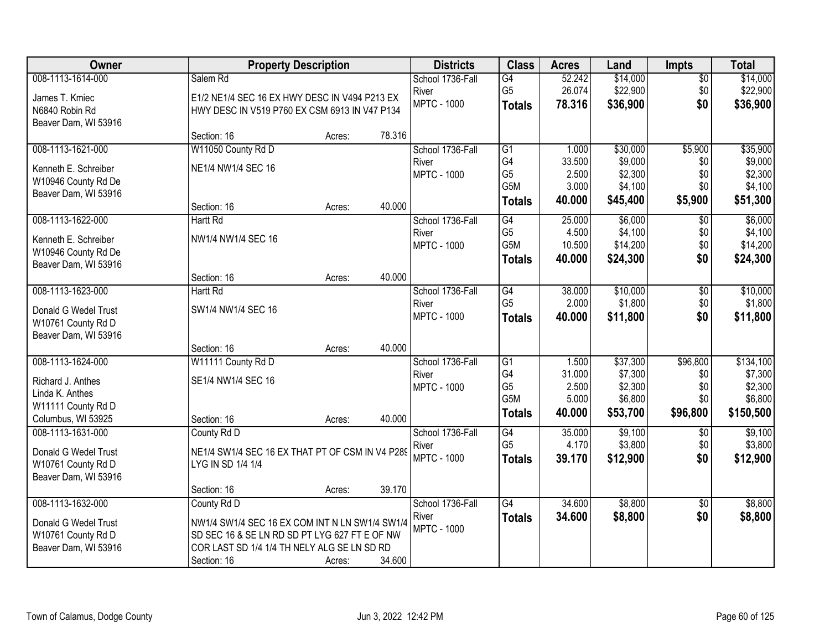| Owner                | <b>Property Description</b>                     |        |        | <b>Districts</b>   | <b>Class</b>          | <b>Acres</b>    | Land     | <b>Impts</b>    | <b>Total</b> |
|----------------------|-------------------------------------------------|--------|--------|--------------------|-----------------------|-----------------|----------|-----------------|--------------|
| 008-1113-1614-000    | Salem Rd                                        |        |        | School 1736-Fall   | $\overline{G4}$       | 52.242          | \$14,000 | $\overline{$0}$ | \$14,000     |
| James T. Kmiec       | E1/2 NE1/4 SEC 16 EX HWY DESC IN V494 P213 EX   |        |        | River              | G <sub>5</sub>        | 26.074          | \$22,900 | \$0             | \$22,900     |
| N6840 Robin Rd       | HWY DESC IN V519 P760 EX CSM 6913 IN V47 P134   |        |        | <b>MPTC - 1000</b> | <b>Totals</b>         | 78.316          | \$36,900 | \$0             | \$36,900     |
| Beaver Dam, WI 53916 |                                                 |        |        |                    |                       |                 |          |                 |              |
|                      | Section: 16                                     | Acres: | 78.316 |                    |                       |                 |          |                 |              |
| 008-1113-1621-000    | W11050 County Rd D                              |        |        | School 1736-Fall   | $\overline{G1}$       | 1.000           | \$30,000 | \$5,900         | \$35,900     |
| Kenneth E. Schreiber | NE1/4 NW1/4 SEC 16                              |        |        | River              | G4                    | 33.500          | \$9,000  | \$0             | \$9,000      |
| W10946 County Rd De  |                                                 |        |        | <b>MPTC - 1000</b> | G <sub>5</sub>        | 2.500           | \$2,300  | \$0             | \$2,300      |
| Beaver Dam, WI 53916 |                                                 |        |        |                    | G5M                   | 3.000           | \$4,100  | \$0             | \$4,100      |
|                      | Section: 16                                     | Acres: | 40.000 |                    | <b>Totals</b>         | 40.000          | \$45,400 | \$5,900         | \$51,300     |
| 008-1113-1622-000    | Hartt Rd                                        |        |        | School 1736-Fall   | G4                    | 25.000          | \$6,000  | \$0             | \$6,000      |
| Kenneth E. Schreiber | NW1/4 NW1/4 SEC 16                              |        |        | River              | G <sub>5</sub>        | 4.500           | \$4,100  | \$0             | \$4,100      |
| W10946 County Rd De  |                                                 |        |        | <b>MPTC - 1000</b> | G5M                   | 10.500          | \$14,200 | \$0             | \$14,200     |
| Beaver Dam, WI 53916 |                                                 |        |        |                    | <b>Totals</b>         | 40.000          | \$24,300 | \$0             | \$24,300     |
|                      | Section: 16                                     | Acres: | 40.000 |                    |                       |                 |          |                 |              |
| 008-1113-1623-000    | <b>Hartt Rd</b>                                 |        |        | School 1736-Fall   | G4                    | 38.000          | \$10,000 | \$0             | \$10,000     |
| Donald G Wedel Trust | SW1/4 NW1/4 SEC 16                              |        |        | River              | G <sub>5</sub>        | 2.000           | \$1,800  | \$0             | \$1,800      |
| W10761 County Rd D   |                                                 |        |        | <b>MPTC - 1000</b> | <b>Totals</b>         | 40.000          | \$11,800 | \$0             | \$11,800     |
| Beaver Dam, WI 53916 |                                                 |        |        |                    |                       |                 |          |                 |              |
|                      | Section: 16                                     | Acres: | 40.000 |                    |                       |                 |          |                 |              |
| 008-1113-1624-000    | W11111 County Rd D                              |        |        | School 1736-Fall   | $\overline{G1}$       | 1.500           | \$37,300 | \$96,800        | \$134,100    |
| Richard J. Anthes    | SE1/4 NW1/4 SEC 16                              |        |        | River              | G4                    | 31.000          | \$7,300  | \$0             | \$7,300      |
| Linda K. Anthes      |                                                 |        |        | <b>MPTC - 1000</b> | G <sub>5</sub><br>G5M | 2.500           | \$2,300  | \$0<br>\$0      | \$2,300      |
| W11111 County Rd D   |                                                 |        |        |                    |                       | 5.000<br>40.000 | \$6,800  |                 | \$6,800      |
| Columbus, WI 53925   | Section: 16                                     | Acres: | 40.000 |                    | <b>Totals</b>         |                 | \$53,700 | \$96,800        | \$150,500    |
| 008-1113-1631-000    | County Rd D                                     |        |        | School 1736-Fall   | G4                    | 35.000          | \$9,100  | $\sqrt{$0}$     | \$9,100      |
| Donald G Wedel Trust | NE1/4 SW1/4 SEC 16 EX THAT PT OF CSM IN V4 P289 |        |        | River              | G <sub>5</sub>        | 4.170           | \$3,800  | \$0             | \$3,800      |
| W10761 County Rd D   | LYG IN SD 1/4 1/4                               |        |        | <b>MPTC - 1000</b> | <b>Totals</b>         | 39.170          | \$12,900 | \$0             | \$12,900     |
| Beaver Dam, WI 53916 |                                                 |        |        |                    |                       |                 |          |                 |              |
|                      | Section: 16                                     | Acres: | 39.170 |                    |                       |                 |          |                 |              |
| 008-1113-1632-000    | County Rd D                                     |        |        | School 1736-Fall   | G4                    | 34.600          | \$8,800  | \$0             | \$8,800      |
| Donald G Wedel Trust | NW1/4 SW1/4 SEC 16 EX COM INT N LN SW1/4 SW1/4  |        |        | River              | <b>Totals</b>         | 34.600          | \$8,800  | \$0             | \$8,800      |
| W10761 County Rd D   | SD SEC 16 & SE LN RD SD PT LYG 627 FT E OF NW   |        |        | <b>MPTC - 1000</b> |                       |                 |          |                 |              |
| Beaver Dam, WI 53916 | COR LAST SD 1/4 1/4 TH NELY ALG SE LN SD RD     |        |        |                    |                       |                 |          |                 |              |
|                      | Section: 16                                     | Acres: | 34.600 |                    |                       |                 |          |                 |              |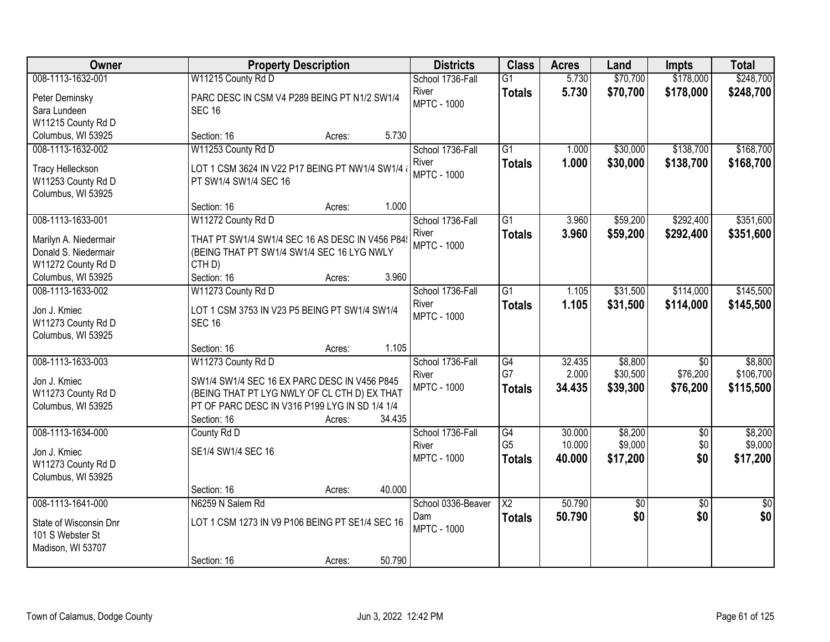| Owner                                                                                    | <b>Property Description</b>                                                                                                                                                                             | <b>Districts</b>                                | <b>Class</b>                              | <b>Acres</b>               | Land                            | <b>Impts</b>                            | <b>Total</b>                      |
|------------------------------------------------------------------------------------------|---------------------------------------------------------------------------------------------------------------------------------------------------------------------------------------------------------|-------------------------------------------------|-------------------------------------------|----------------------------|---------------------------------|-----------------------------------------|-----------------------------------|
| 008-1113-1632-001                                                                        | W11215 County Rd D                                                                                                                                                                                      | School 1736-Fall                                | $\overline{G1}$                           | 5.730                      | \$70,700                        | \$178,000                               | \$248,700                         |
| Peter Deminsky<br>Sara Lundeen<br>W11215 County Rd D                                     | PARC DESC IN CSM V4 P289 BEING PT N1/2 SW1/4<br><b>SEC 16</b>                                                                                                                                           | River<br><b>MPTC - 1000</b>                     | <b>Totals</b>                             | 5.730                      | \$70,700                        | \$178,000                               | \$248,700                         |
| Columbus, WI 53925                                                                       | 5.730<br>Section: 16<br>Acres:                                                                                                                                                                          |                                                 |                                           |                            |                                 |                                         |                                   |
| 008-1113-1632-002<br><b>Tracy Helleckson</b><br>W11253 County Rd D<br>Columbus, WI 53925 | W11253 County Rd D<br>LOT 1 CSM 3624 IN V22 P17 BEING PT NW1/4 SW1/4<br>PT SW1/4 SW1/4 SEC 16                                                                                                           | School 1736-Fall<br>River<br><b>MPTC - 1000</b> | $\overline{G1}$<br><b>Totals</b>          | 1.000<br>1.000             | \$30,000<br>\$30,000            | \$138,700<br>\$138,700                  | \$168,700<br>\$168,700            |
|                                                                                          | 1.000<br>Section: 16<br>Acres:                                                                                                                                                                          |                                                 |                                           |                            |                                 |                                         |                                   |
| 008-1113-1633-001<br>Marilyn A. Niedermair<br>Donald S. Niedermair<br>W11272 County Rd D | W11272 County Rd D<br>THAT PT SW1/4 SW1/4 SEC 16 AS DESC IN V456 P84<br>(BEING THAT PT SW1/4 SW1/4 SEC 16 LYG NWLY<br>CTH <sub>D</sub> )                                                                | School 1736-Fall<br>River<br><b>MPTC - 1000</b> | G1<br><b>Totals</b>                       | 3.960<br>3.960             | \$59,200<br>\$59,200            | \$292,400<br>\$292,400                  | \$351,600<br>\$351,600            |
| Columbus, WI 53925                                                                       | 3.960<br>Section: 16<br>Acres:                                                                                                                                                                          |                                                 |                                           |                            |                                 |                                         |                                   |
| 008-1113-1633-002<br>Jon J. Kmiec<br>W11273 County Rd D<br>Columbus, WI 53925            | W11273 County Rd D<br>LOT 1 CSM 3753 IN V23 P5 BEING PT SW1/4 SW1/4<br><b>SEC 16</b>                                                                                                                    | School 1736-Fall<br>River<br><b>MPTC - 1000</b> | $\overline{G1}$<br><b>Totals</b>          | 1.105<br>1.105             | \$31,500<br>\$31,500            | \$114,000<br>\$114,000                  | \$145,500<br>\$145,500            |
|                                                                                          | 1.105<br>Section: 16<br>Acres:                                                                                                                                                                          |                                                 |                                           |                            |                                 |                                         |                                   |
| 008-1113-1633-003<br>Jon J. Kmiec<br>W11273 County Rd D<br>Columbus, WI 53925            | W11273 County Rd D<br>SW1/4 SW1/4 SEC 16 EX PARC DESC IN V456 P845<br>(BEING THAT PT LYG NWLY OF CL CTH D) EX THAT<br>PT OF PARC DESC IN V316 P199 LYG IN SD 1/4 1/4<br>34.435<br>Section: 16<br>Acres: | School 1736-Fall<br>River<br><b>MPTC - 1000</b> | G4<br>G7<br><b>Totals</b>                 | 32.435<br>2.000<br>34.435  | \$8,800<br>\$30,500<br>\$39,300 | $\overline{30}$<br>\$76,200<br>\$76,200 | \$8,800<br>\$106,700<br>\$115,500 |
| 008-1113-1634-000<br>Jon J. Kmiec<br>W11273 County Rd D<br>Columbus, WI 53925            | County Rd D<br>SE1/4 SW1/4 SEC 16<br>40.000<br>Section: 16<br>Acres:                                                                                                                                    | School 1736-Fall<br>River<br><b>MPTC - 1000</b> | G4<br>G <sub>5</sub><br><b>Totals</b>     | 30.000<br>10.000<br>40.000 | \$8,200<br>\$9,000<br>\$17,200  | $\overline{50}$<br>\$0<br>\$0           | \$8,200<br>\$9,000<br>\$17,200    |
| 008-1113-1641-000<br>State of Wisconsin Dnr<br>101 S Webster St<br>Madison, WI 53707     | N6259 N Salem Rd<br>LOT 1 CSM 1273 IN V9 P106 BEING PT SE1/4 SEC 16<br>50.790<br>Section: 16<br>Acres:                                                                                                  | School 0336-Beaver<br>Dam<br><b>MPTC - 1000</b> | $\overline{\mathsf{X2}}$<br><b>Totals</b> | 50.790<br>50.790           | \$0<br>\$0                      | $\overline{30}$<br>\$0                  | $\overline{50}$<br>\$0            |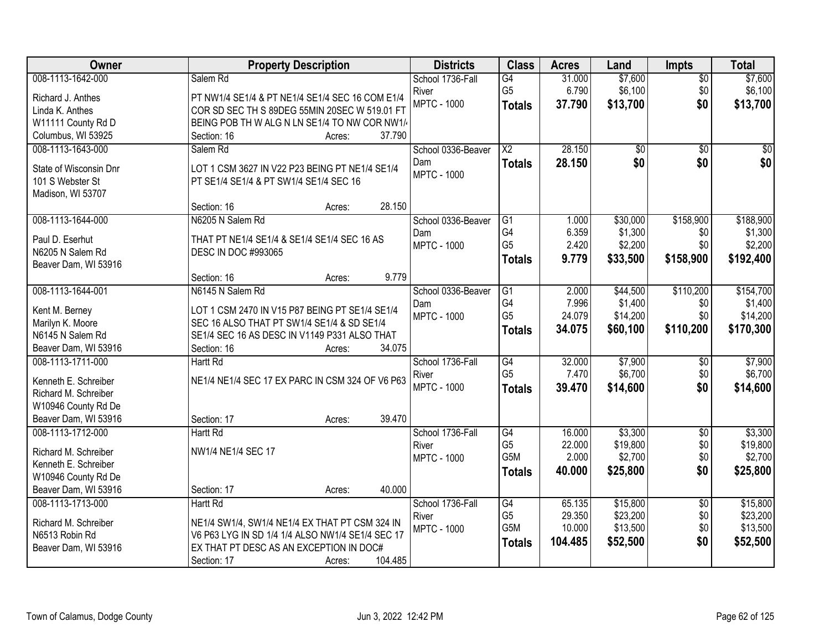| Owner                                      | <b>Property Description</b>                                                                 | <b>Districts</b>   | <b>Class</b>           | <b>Acres</b> | Land            | <b>Impts</b>    | <b>Total</b> |
|--------------------------------------------|---------------------------------------------------------------------------------------------|--------------------|------------------------|--------------|-----------------|-----------------|--------------|
| 008-1113-1642-000                          | Salem Rd                                                                                    | School 1736-Fall   | G4                     | 31.000       | \$7,600         | $\sqrt{$0}$     | \$7,600      |
| Richard J. Anthes                          | PT NW1/4 SE1/4 & PT NE1/4 SE1/4 SEC 16 COM E1/4                                             | River              | G <sub>5</sub>         | 6.790        | \$6,100         | \$0             | \$6,100      |
| Linda K. Anthes                            | COR SD SEC TH S 89DEG 55MIN 20SEC W 519.01 FT                                               | <b>MPTC - 1000</b> | <b>Totals</b>          | 37.790       | \$13,700        | \$0             | \$13,700     |
| W11111 County Rd D                         | BEING POB TH W ALG N LN SE1/4 TO NW COR NW1/                                                |                    |                        |              |                 |                 |              |
| Columbus, WI 53925                         | 37.790<br>Section: 16<br>Acres:                                                             |                    |                        |              |                 |                 |              |
| 008-1113-1643-000                          | Salem Rd                                                                                    | School 0336-Beaver | $\overline{\text{X2}}$ | 28.150       | $\overline{50}$ | $\overline{50}$ | \$0          |
|                                            |                                                                                             | Dam                | <b>Totals</b>          | 28.150       | \$0             | \$0             | \$0          |
| State of Wisconsin Dnr<br>101 S Webster St | LOT 1 CSM 3627 IN V22 P23 BEING PT NE1/4 SE1/4<br>PT SE1/4 SE1/4 & PT SW1/4 SE1/4 SEC 16    | <b>MPTC - 1000</b> |                        |              |                 |                 |              |
| Madison, WI 53707                          |                                                                                             |                    |                        |              |                 |                 |              |
|                                            | 28.150<br>Section: 16<br>Acres:                                                             |                    |                        |              |                 |                 |              |
| 008-1113-1644-000                          | N6205 N Salem Rd                                                                            | School 0336-Beaver | $\overline{G1}$        | 1.000        | \$30,000        | \$158,900       | \$188,900    |
|                                            |                                                                                             | Dam                | G4                     | 6.359        | \$1,300         | \$0             | \$1,300      |
| Paul D. Eserhut                            | THAT PT NE1/4 SE1/4 & SE1/4 SE1/4 SEC 16 AS                                                 | <b>MPTC - 1000</b> | G <sub>5</sub>         | 2.420        | \$2,200         | \$0             | \$2,200      |
| N6205 N Salem Rd                           | DESC IN DOC #993065                                                                         |                    | <b>Totals</b>          | 9.779        | \$33,500        | \$158,900       | \$192,400    |
| Beaver Dam, WI 53916                       | 9.779                                                                                       |                    |                        |              |                 |                 |              |
| 008-1113-1644-001                          | Section: 16<br>Acres:<br>N6145 N Salem Rd                                                   | School 0336-Beaver | G1                     | 2.000        | \$44,500        | \$110,200       | \$154,700    |
|                                            |                                                                                             | Dam                | G4                     | 7.996        | \$1,400         | \$0             | \$1,400      |
| Kent M. Berney                             | LOT 1 CSM 2470 IN V15 P87 BEING PT SE1/4 SE1/4                                              | <b>MPTC - 1000</b> | G <sub>5</sub>         | 24.079       | \$14,200        | \$0             | \$14,200     |
| Marilyn K. Moore                           | SEC 16 ALSO THAT PT SW1/4 SE1/4 & SD SE1/4                                                  |                    | <b>Totals</b>          | 34.075       | \$60,100        | \$110,200       | \$170,300    |
| N6145 N Salem Rd                           | SE1/4 SEC 16 AS DESC IN V1149 P331 ALSO THAT                                                |                    |                        |              |                 |                 |              |
| Beaver Dam, WI 53916                       | 34.075<br>Section: 16<br>Acres:                                                             |                    |                        |              |                 |                 |              |
| 008-1113-1711-000                          | <b>Hartt Rd</b>                                                                             | School 1736-Fall   | G4                     | 32.000       | \$7,900         | \$0             | \$7,900      |
| Kenneth E. Schreiber                       | NE1/4 NE1/4 SEC 17 EX PARC IN CSM 324 OF V6 P63                                             | River              | G <sub>5</sub>         | 7.470        | \$6,700         | \$0             | \$6,700      |
| Richard M. Schreiber                       |                                                                                             | <b>MPTC - 1000</b> | <b>Totals</b>          | 39.470       | \$14,600        | \$0             | \$14,600     |
| W10946 County Rd De                        |                                                                                             |                    |                        |              |                 |                 |              |
| Beaver Dam, WI 53916                       | 39.470<br>Section: 17<br>Acres:                                                             |                    |                        |              |                 |                 |              |
| 008-1113-1712-000                          | Hartt Rd                                                                                    | School 1736-Fall   | $\overline{G4}$        | 16.000       | \$3,300         | $\overline{50}$ | \$3,300      |
| Richard M. Schreiber                       | NW1/4 NE1/4 SEC 17                                                                          | River              | G <sub>5</sub>         | 22.000       | \$19,800        | \$0             | \$19,800     |
| Kenneth E. Schreiber                       |                                                                                             | <b>MPTC - 1000</b> | G <sub>5</sub> M       | 2.000        | \$2,700         | \$0             | \$2,700      |
| W10946 County Rd De                        |                                                                                             |                    | <b>Totals</b>          | 40.000       | \$25,800        | \$0             | \$25,800     |
| Beaver Dam, WI 53916                       | 40.000<br>Section: 17<br>Acres:                                                             |                    |                        |              |                 |                 |              |
| 008-1113-1713-000                          | <b>Hartt Rd</b>                                                                             | School 1736-Fall   | G4                     | 65.135       | \$15,800        | $\overline{50}$ | \$15,800     |
|                                            |                                                                                             | River              | G <sub>5</sub>         | 29.350       | \$23,200        | \$0             | \$23,200     |
| Richard M. Schreiber                       | NE1/4 SW1/4, SW1/4 NE1/4 EX THAT PT CSM 324 IN                                              | <b>MPTC - 1000</b> | G5M                    | 10.000       | \$13,500        | \$0             | \$13,500     |
| N6513 Robin Rd                             | V6 P63 LYG IN SD 1/4 1/4 ALSO NW1/4 SE1/4 SEC 17<br>EX THAT PT DESC AS AN EXCEPTION IN DOC# |                    | <b>Totals</b>          | 104.485      | \$52,500        | \$0             | \$52,500     |
| Beaver Dam, WI 53916                       | 104.485<br>Section: 17                                                                      |                    |                        |              |                 |                 |              |
|                                            | Acres:                                                                                      |                    |                        |              |                 |                 |              |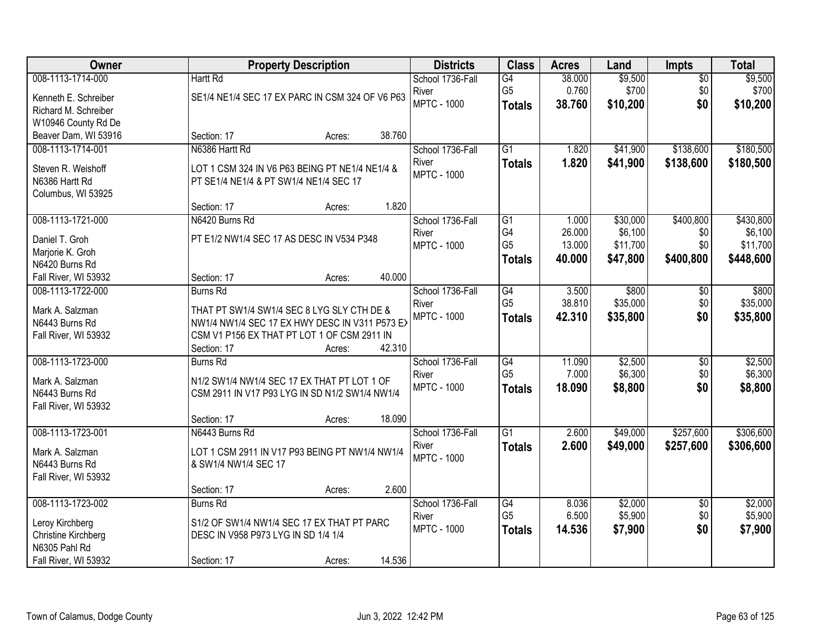| Owner                | <b>Property Description</b>                           | <b>Districts</b>          | <b>Class</b>    | <b>Acres</b> | Land     | <b>Impts</b>           | <b>Total</b> |
|----------------------|-------------------------------------------------------|---------------------------|-----------------|--------------|----------|------------------------|--------------|
| 008-1113-1714-000    | <b>Hartt Rd</b>                                       | School 1736-Fall          | G4              | 38.000       | \$9,500  | $\overline{50}$        | \$9,500      |
| Kenneth E. Schreiber | SE1/4 NE1/4 SEC 17 EX PARC IN CSM 324 OF V6 P63       | River                     | G <sub>5</sub>  | 0.760        | \$700    | \$0                    | \$700        |
| Richard M. Schreiber |                                                       | <b>MPTC - 1000</b>        | <b>Totals</b>   | 38.760       | \$10,200 | \$0                    | \$10,200     |
| W10946 County Rd De  |                                                       |                           |                 |              |          |                        |              |
| Beaver Dam, WI 53916 | 38.760<br>Section: 17<br>Acres:                       |                           |                 |              |          |                        |              |
| 008-1113-1714-001    | N6386 Hartt Rd                                        | School 1736-Fall          | $\overline{G1}$ | 1.820        | \$41,900 | \$138,600              | \$180,500    |
| Steven R. Weishoff   | LOT 1 CSM 324 IN V6 P63 BEING PT NE1/4 NE1/4 &        | River                     | <b>Totals</b>   | 1.820        | \$41,900 | \$138,600              | \$180,500    |
| N6386 Hartt Rd       | PT SE1/4 NE1/4 & PT SW1/4 NE1/4 SEC 17                | <b>MPTC - 1000</b>        |                 |              |          |                        |              |
| Columbus, WI 53925   |                                                       |                           |                 |              |          |                        |              |
|                      | 1.820<br>Section: 17<br>Acres:                        |                           |                 |              |          |                        |              |
| 008-1113-1721-000    | N6420 Burns Rd                                        | School 1736-Fall          | $\overline{G1}$ | 1.000        | \$30,000 | \$400,800              | \$430,800    |
| Daniel T. Groh       | PT E1/2 NW1/4 SEC 17 AS DESC IN V534 P348             | River                     | G4              | 26.000       | \$6,100  | \$0                    | \$6,100      |
| Marjorie K. Groh     |                                                       | <b>MPTC - 1000</b>        | G <sub>5</sub>  | 13.000       | \$11,700 | \$0                    | \$11,700     |
| N6420 Burns Rd       |                                                       |                           | <b>Totals</b>   | 40.000       | \$47,800 | \$400,800              | \$448,600    |
| Fall River, WI 53932 | 40.000<br>Section: 17<br>Acres:                       |                           |                 |              |          |                        |              |
| 008-1113-1722-000    | <b>Burns Rd</b>                                       | School 1736-Fall          | G4              | 3.500        | \$800    | \$0                    | \$800        |
|                      |                                                       | River                     | G <sub>5</sub>  | 38.810       | \$35,000 | \$0                    | \$35,000     |
| Mark A. Salzman      | THAT PT SW1/4 SW1/4 SEC 8 LYG SLY CTH DE &            | <b>MPTC - 1000</b>        | <b>Totals</b>   | 42.310       | \$35,800 | \$0                    | \$35,800     |
| N6443 Burns Rd       | NW1/4 NW1/4 SEC 17 EX HWY DESC IN V311 P573 EX        |                           |                 |              |          |                        |              |
| Fall River, WI 53932 | CSM V1 P156 EX THAT PT LOT 1 OF CSM 2911 IN<br>42.310 |                           |                 |              |          |                        |              |
| 008-1113-1723-000    | Section: 17<br>Acres:<br><b>Burns Rd</b>              |                           | G4              | 11.090       | \$2,500  |                        | \$2,500      |
|                      |                                                       | School 1736-Fall<br>River | G <sub>5</sub>  | 7.000        | \$6,300  | $\overline{50}$<br>\$0 | \$6,300      |
| Mark A. Salzman      | N1/2 SW1/4 NW1/4 SEC 17 EX THAT PT LOT 1 OF           | <b>MPTC - 1000</b>        |                 | 18.090       | \$8,800  | \$0                    | \$8,800      |
| N6443 Burns Rd       | CSM 2911 IN V17 P93 LYG IN SD N1/2 SW1/4 NW1/4        |                           | <b>Totals</b>   |              |          |                        |              |
| Fall River, WI 53932 |                                                       |                           |                 |              |          |                        |              |
|                      | 18.090<br>Section: 17<br>Acres:                       |                           |                 |              |          |                        |              |
| 008-1113-1723-001    | N6443 Burns Rd                                        | School 1736-Fall          | $\overline{G1}$ | 2.600        | \$49,000 | \$257,600              | \$306,600    |
| Mark A. Salzman      | LOT 1 CSM 2911 IN V17 P93 BEING PT NW1/4 NW1/4        | River                     | <b>Totals</b>   | 2.600        | \$49,000 | \$257,600              | \$306,600    |
| N6443 Burns Rd       | & SW1/4 NW1/4 SEC 17                                  | <b>MPTC - 1000</b>        |                 |              |          |                        |              |
| Fall River, WI 53932 |                                                       |                           |                 |              |          |                        |              |
|                      | 2.600<br>Section: 17<br>Acres:                        |                           |                 |              |          |                        |              |
| 008-1113-1723-002    | <b>Burns Rd</b>                                       | School 1736-Fall          | G4              | 8.036        | \$2,000  | $\overline{30}$        | \$2,000      |
| Leroy Kirchberg      | S1/2 OF SW1/4 NW1/4 SEC 17 EX THAT PT PARC            | River                     | G <sub>5</sub>  | 6.500        | \$5,900  | \$0                    | \$5,900      |
| Christine Kirchberg  | DESC IN V958 P973 LYG IN SD 1/4 1/4                   | <b>MPTC - 1000</b>        | <b>Totals</b>   | 14.536       | \$7,900  | \$0                    | \$7,900      |
| N6305 Pahl Rd        |                                                       |                           |                 |              |          |                        |              |
| Fall River, WI 53932 | 14.536<br>Section: 17<br>Acres:                       |                           |                 |              |          |                        |              |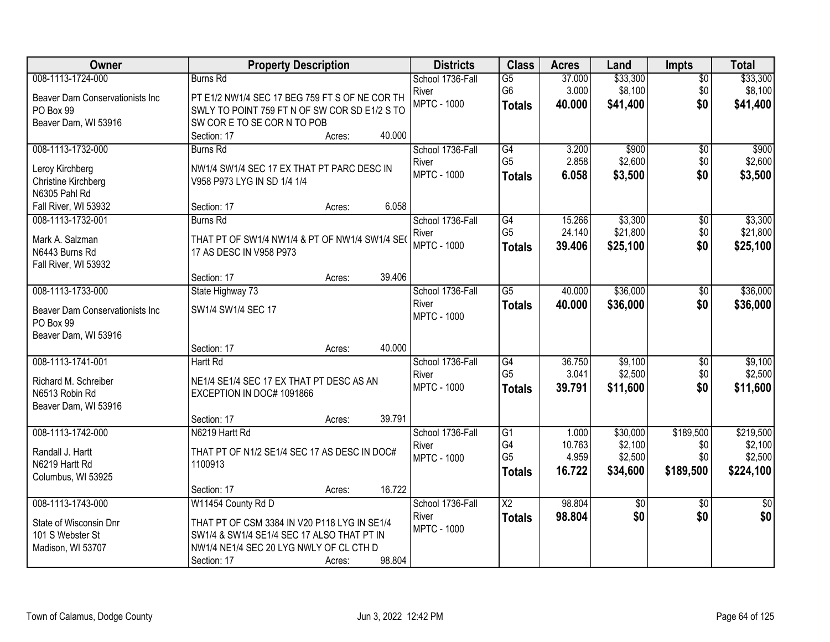| Owner                           | <b>Property Description</b>                    |        |        | <b>Districts</b>   | <b>Class</b>           | <b>Acres</b> | Land            | <b>Impts</b>    | <b>Total</b> |
|---------------------------------|------------------------------------------------|--------|--------|--------------------|------------------------|--------------|-----------------|-----------------|--------------|
| 008-1113-1724-000               | <b>Burns Rd</b>                                |        |        | School 1736-Fall   | G5                     | 37.000       | \$33,300        | $\overline{50}$ | \$33,300     |
| Beaver Dam Conservationists Inc | PT E1/2 NW1/4 SEC 17 BEG 759 FT S OF NE COR TH |        |        | River              | G <sub>6</sub>         | 3.000        | \$8,100         | \$0             | \$8,100      |
| PO Box 99                       | SWLY TO POINT 759 FT N OF SW COR SD E1/2 S TO  |        |        | <b>MPTC - 1000</b> | <b>Totals</b>          | 40.000       | \$41,400        | \$0             | \$41,400     |
| Beaver Dam, WI 53916            | SW CORE TO SE CORN TO POB                      |        |        |                    |                        |              |                 |                 |              |
|                                 | Section: 17                                    | Acres: | 40.000 |                    |                        |              |                 |                 |              |
| 008-1113-1732-000               | <b>Burns Rd</b>                                |        |        | School 1736-Fall   | G4                     | 3.200        | \$900           | \$0             | \$900        |
| Leroy Kirchberg                 | NW1/4 SW1/4 SEC 17 EX THAT PT PARC DESC IN     |        |        | River              | G <sub>5</sub>         | 2.858        | \$2,600         | \$0             | \$2,600      |
| <b>Christine Kirchberg</b>      | V958 P973 LYG IN SD 1/4 1/4                    |        |        | <b>MPTC - 1000</b> | <b>Totals</b>          | 6.058        | \$3,500         | \$0             | \$3,500      |
| N6305 Pahl Rd                   |                                                |        |        |                    |                        |              |                 |                 |              |
| Fall River, WI 53932            | Section: 17                                    | Acres: | 6.058  |                    |                        |              |                 |                 |              |
| 008-1113-1732-001               | <b>Burns Rd</b>                                |        |        | School 1736-Fall   | G4                     | 15.266       | \$3,300         | \$0             | \$3,300      |
| Mark A. Salzman                 | THAT PT OF SW1/4 NW1/4 & PT OF NW1/4 SW1/4 SE( |        |        | River              | G <sub>5</sub>         | 24.140       | \$21,800        | \$0             | \$21,800     |
| N6443 Burns Rd                  | 17 AS DESC IN V958 P973                        |        |        | <b>MPTC - 1000</b> | <b>Totals</b>          | 39,406       | \$25,100        | \$0             | \$25,100     |
| Fall River, WI 53932            |                                                |        |        |                    |                        |              |                 |                 |              |
|                                 | Section: 17                                    | Acres: | 39.406 |                    |                        |              |                 |                 |              |
| 008-1113-1733-000               | State Highway 73                               |        |        | School 1736-Fall   | $\overline{G5}$        | 40.000       | \$36,000        | $\frac{1}{20}$  | \$36,000     |
| Beaver Dam Conservationists Inc | SW1/4 SW1/4 SEC 17                             |        |        | River              | <b>Totals</b>          | 40.000       | \$36,000        | \$0             | \$36,000     |
| PO Box 99                       |                                                |        |        | <b>MPTC - 1000</b> |                        |              |                 |                 |              |
| Beaver Dam, WI 53916            |                                                |        |        |                    |                        |              |                 |                 |              |
|                                 | Section: 17                                    | Acres: | 40.000 |                    |                        |              |                 |                 |              |
| 008-1113-1741-001               | <b>Hartt Rd</b>                                |        |        | School 1736-Fall   | G4                     | 36.750       | \$9,100         | $\overline{50}$ | \$9,100      |
| Richard M. Schreiber            | NE1/4 SE1/4 SEC 17 EX THAT PT DESC AS AN       |        |        | River              | G <sub>5</sub>         | 3.041        | \$2,500         | \$0             | \$2,500      |
| N6513 Robin Rd                  | EXCEPTION IN DOC# 1091866                      |        |        | <b>MPTC - 1000</b> | <b>Totals</b>          | 39.791       | \$11,600        | \$0             | \$11,600     |
| Beaver Dam, WI 53916            |                                                |        |        |                    |                        |              |                 |                 |              |
|                                 | Section: 17                                    | Acres: | 39.791 |                    |                        |              |                 |                 |              |
| 008-1113-1742-000               | N6219 Hartt Rd                                 |        |        | School 1736-Fall   | G1                     | 1.000        | \$30,000        | \$189,500       | \$219,500    |
| Randall J. Hartt                | THAT PT OF N1/2 SE1/4 SEC 17 AS DESC IN DOC#   |        |        | River              | G4                     | 10.763       | \$2,100         | \$0             | \$2,100      |
| N6219 Hartt Rd                  | 1100913                                        |        |        | <b>MPTC - 1000</b> | G <sub>5</sub>         | 4.959        | \$2,500         | \$0             | \$2,500      |
| Columbus, WI 53925              |                                                |        |        |                    | <b>Totals</b>          | 16.722       | \$34,600        | \$189,500       | \$224,100    |
|                                 | Section: 17                                    | Acres: | 16.722 |                    |                        |              |                 |                 |              |
| 008-1113-1743-000               | W11454 County Rd D                             |        |        | School 1736-Fall   | $\overline{\text{X2}}$ | 98.804       | $\overline{50}$ | $\overline{30}$ | \$0          |
| State of Wisconsin Dnr          | THAT PT OF CSM 3384 IN V20 P118 LYG IN SE1/4   |        |        | River              | <b>Totals</b>          | 98.804       | \$0             | \$0             | \$0          |
| 101 S Webster St                | SW1/4 & SW1/4 SE1/4 SEC 17 ALSO THAT PT IN     |        |        | <b>MPTC - 1000</b> |                        |              |                 |                 |              |
| Madison, WI 53707               | NW1/4 NE1/4 SEC 20 LYG NWLY OF CL CTH D        |        |        |                    |                        |              |                 |                 |              |
|                                 | Section: 17                                    | Acres: | 98.804 |                    |                        |              |                 |                 |              |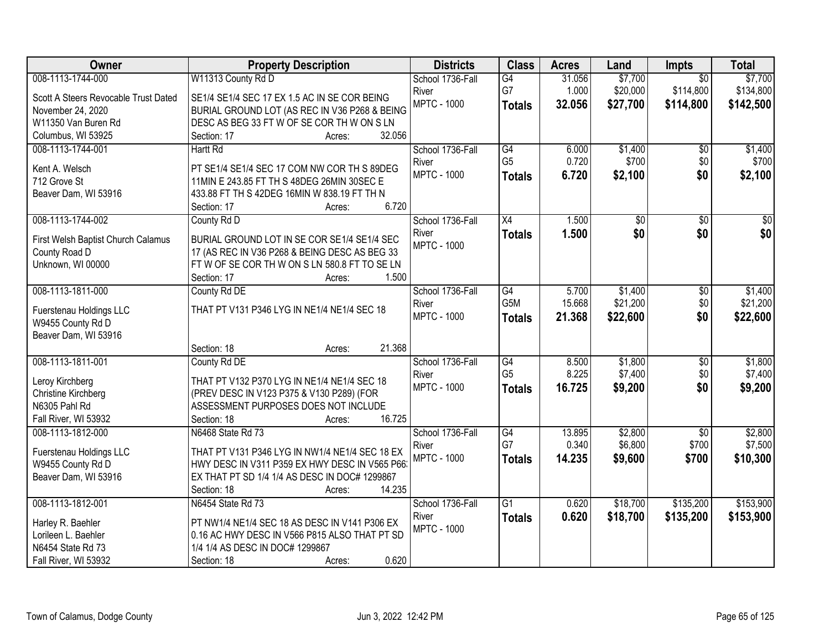| Owner                                     | <b>Property Description</b>                                                                     | <b>Districts</b>   | <b>Class</b>    | <b>Acres</b> | Land     | Impts           | <b>Total</b>    |
|-------------------------------------------|-------------------------------------------------------------------------------------------------|--------------------|-----------------|--------------|----------|-----------------|-----------------|
| 008-1113-1744-000                         | W11313 County Rd D                                                                              | School 1736-Fall   | G4              | 31.056       | \$7,700  | $\overline{50}$ | \$7,700         |
| Scott A Steers Revocable Trust Dated      | SE1/4 SE1/4 SEC 17 EX 1.5 AC IN SE COR BEING                                                    | River              | G7              | 1.000        | \$20,000 | \$114,800       | \$134,800       |
| November 24, 2020                         | BURIAL GROUND LOT (AS REC IN V36 P268 & BEING                                                   | <b>MPTC - 1000</b> | <b>Totals</b>   | 32.056       | \$27,700 | \$114,800       | \$142,500       |
| W11350 Van Buren Rd                       | DESC AS BEG 33 FT W OF SE COR TH W ON S LN                                                      |                    |                 |              |          |                 |                 |
| Columbus, WI 53925                        | 32.056<br>Section: 17<br>Acres:                                                                 |                    |                 |              |          |                 |                 |
| 008-1113-1744-001                         | <b>Hartt Rd</b>                                                                                 | School 1736-Fall   | G4              | 6.000        | \$1,400  | $\overline{50}$ | \$1,400         |
|                                           |                                                                                                 | River              | G <sub>5</sub>  | 0.720        | \$700    | \$0             | \$700           |
| Kent A. Welsch<br>712 Grove St            | PT SE1/4 SE1/4 SEC 17 COM NW COR TH S 89DEG<br>11MIN E 243.85 FT TH S 48DEG 26MIN 30SEC E       | <b>MPTC - 1000</b> | <b>Totals</b>   | 6.720        | \$2,100  | \$0             | \$2,100         |
| Beaver Dam, WI 53916                      | 433.88 FT TH S 42DEG 16MIN W 838.19 FT TH N                                                     |                    |                 |              |          |                 |                 |
|                                           | 6.720<br>Section: 17<br>Acres:                                                                  |                    |                 |              |          |                 |                 |
| 008-1113-1744-002                         | County Rd D                                                                                     | School 1736-Fall   | $\overline{X4}$ | 1.500        | \$0      | $\overline{50}$ | $\overline{50}$ |
|                                           |                                                                                                 | River              | <b>Totals</b>   | 1.500        | \$0      | \$0             | \$0             |
| First Welsh Baptist Church Calamus        | BURIAL GROUND LOT IN SE COR SE1/4 SE1/4 SEC                                                     | <b>MPTC - 1000</b> |                 |              |          |                 |                 |
| County Road D                             | 17 (AS REC IN V36 P268 & BEING DESC AS BEG 33                                                   |                    |                 |              |          |                 |                 |
| Unknown, WI 00000                         | FTWOF SE COR THWONS LN 580.8 FT TO SE LN                                                        |                    |                 |              |          |                 |                 |
|                                           | 1.500<br>Section: 17<br>Acres:                                                                  |                    |                 |              |          |                 |                 |
| 008-1113-1811-000                         | County Rd DE                                                                                    | School 1736-Fall   | G4              | 5.700        | \$1,400  | \$0             | \$1,400         |
| Fuerstenau Holdings LLC                   | THAT PT V131 P346 LYG IN NE1/4 NE1/4 SEC 18                                                     | River              | G5M             | 15.668       | \$21,200 | \$0             | \$21,200        |
| W9455 County Rd D                         |                                                                                                 | <b>MPTC - 1000</b> | <b>Totals</b>   | 21.368       | \$22,600 | \$0             | \$22,600        |
| Beaver Dam, WI 53916                      |                                                                                                 |                    |                 |              |          |                 |                 |
|                                           | 21.368<br>Section: 18<br>Acres:                                                                 |                    |                 |              |          |                 |                 |
| 008-1113-1811-001                         | County Rd DE                                                                                    | School 1736-Fall   | $\overline{G4}$ | 8.500        | \$1,800  | $\overline{50}$ | \$1,800         |
| Leroy Kirchberg                           | THAT PT V132 P370 LYG IN NE1/4 NE1/4 SEC 18                                                     | River              | G <sub>5</sub>  | 8.225        | \$7,400  | \$0             | \$7,400         |
| <b>Christine Kirchberg</b>                | (PREV DESC IN V123 P375 & V130 P289) (FOR                                                       | <b>MPTC - 1000</b> | <b>Totals</b>   | 16.725       | \$9,200  | \$0             | \$9,200         |
| N6305 Pahl Rd                             | ASSESSMENT PURPOSES DOES NOT INCLUDE                                                            |                    |                 |              |          |                 |                 |
| Fall River, WI 53932                      | 16.725<br>Section: 18<br>Acres:                                                                 |                    |                 |              |          |                 |                 |
| 008-1113-1812-000                         | N6468 State Rd 73                                                                               | School 1736-Fall   | G4              | 13.895       | \$2,800  | $\overline{50}$ | \$2,800         |
|                                           |                                                                                                 | River              | G7              | 0.340        | \$6,800  | \$700           | \$7,500         |
| Fuerstenau Holdings LLC                   | THAT PT V131 P346 LYG IN NW1/4 NE1/4 SEC 18 EX<br>HWY DESC IN V311 P359 EX HWY DESC IN V565 P66 | <b>MPTC - 1000</b> | <b>Totals</b>   | 14.235       | \$9,600  | \$700           | \$10,300        |
| W9455 County Rd D<br>Beaver Dam, WI 53916 | EX THAT PT SD 1/4 1/4 AS DESC IN DOC# 1299867                                                   |                    |                 |              |          |                 |                 |
|                                           | 14.235<br>Section: 18<br>Acres:                                                                 |                    |                 |              |          |                 |                 |
| 008-1113-1812-001                         | N6454 State Rd 73                                                                               | School 1736-Fall   | $\overline{G1}$ | 0.620        | \$18,700 | \$135,200       | \$153,900       |
|                                           |                                                                                                 | River              |                 | 0.620        | \$18,700 | \$135,200       | \$153,900       |
| Harley R. Baehler                         | PT NW1/4 NE1/4 SEC 18 AS DESC IN V141 P306 EX                                                   | <b>MPTC - 1000</b> | <b>Totals</b>   |              |          |                 |                 |
| Lorileen L. Baehler                       | 0.16 AC HWY DESC IN V566 P815 ALSO THAT PT SD                                                   |                    |                 |              |          |                 |                 |
| N6454 State Rd 73                         | 1/4 1/4 AS DESC IN DOC# 1299867                                                                 |                    |                 |              |          |                 |                 |
| Fall River, WI 53932                      | 0.620<br>Section: 18<br>Acres:                                                                  |                    |                 |              |          |                 |                 |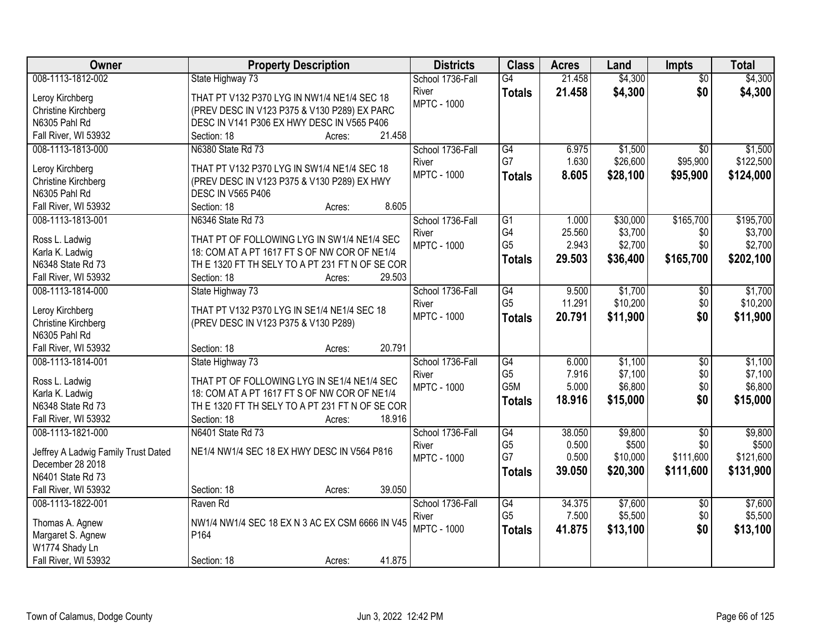| Owner                                     | <b>Property Description</b>                     | <b>Districts</b>            | <b>Class</b>    | <b>Acres</b>    | Land                | <b>Impts</b>    | <b>Total</b> |
|-------------------------------------------|-------------------------------------------------|-----------------------------|-----------------|-----------------|---------------------|-----------------|--------------|
| 008-1113-1812-002                         | State Highway 73                                | School 1736-Fall            | $\overline{G4}$ | 21.458          | \$4,300             | $\overline{50}$ | \$4,300      |
| Leroy Kirchberg                           | THAT PT V132 P370 LYG IN NW1/4 NE1/4 SEC 18     | River                       | <b>Totals</b>   | 21.458          | \$4,300             | \$0             | \$4,300      |
| Christine Kirchberg                       | (PREV DESC IN V123 P375 & V130 P289) EX PARC    | <b>MPTC - 1000</b>          |                 |                 |                     |                 |              |
| N6305 Pahl Rd                             | DESC IN V141 P306 EX HWY DESC IN V565 P406      |                             |                 |                 |                     |                 |              |
| Fall River, WI 53932                      | 21.458<br>Section: 18<br>Acres:                 |                             |                 |                 |                     |                 |              |
| 008-1113-1813-000                         | N6380 State Rd 73                               | School 1736-Fall            | G4              | 6.975           | \$1,500             | $\overline{50}$ | \$1,500      |
|                                           |                                                 | River                       | G7              | 1.630           | \$26,600            | \$95,900        | \$122,500    |
| Leroy Kirchberg                           | THAT PT V132 P370 LYG IN SW1/4 NE1/4 SEC 18     | <b>MPTC - 1000</b>          | <b>Totals</b>   | 8.605           | \$28,100            | \$95,900        | \$124,000    |
| <b>Christine Kirchberg</b>                | (PREV DESC IN V123 P375 & V130 P289) EX HWY     |                             |                 |                 |                     |                 |              |
| N6305 Pahl Rd                             | <b>DESC IN V565 P406</b><br>8.605               |                             |                 |                 |                     |                 |              |
| Fall River, WI 53932<br>008-1113-1813-001 | Section: 18<br>Acres:<br>N6346 State Rd 73      |                             | $\overline{G1}$ |                 |                     | \$165,700       | \$195,700    |
|                                           |                                                 | School 1736-Fall            | G4              | 1.000<br>25.560 | \$30,000<br>\$3,700 | \$0             | \$3,700      |
| Ross L. Ladwig                            | THAT PT OF FOLLOWING LYG IN SW1/4 NE1/4 SEC     | River<br><b>MPTC - 1000</b> | G <sub>5</sub>  | 2.943           | \$2,700             | \$0             | \$2,700      |
| Karla K. Ladwig                           | 18: COM AT A PT 1617 FT S OF NW COR OF NE1/4    |                             |                 |                 |                     |                 |              |
| N6348 State Rd 73                         | TH E 1320 FT TH SELY TO A PT 231 FT N OF SE COR |                             | <b>Totals</b>   | 29.503          | \$36,400            | \$165,700       | \$202,100    |
| Fall River, WI 53932                      | 29.503<br>Section: 18<br>Acres:                 |                             |                 |                 |                     |                 |              |
| 008-1113-1814-000                         | State Highway 73                                | School 1736-Fall            | $\overline{G4}$ | 9.500           | \$1,700             | \$0             | \$1,700      |
|                                           |                                                 | River                       | G <sub>5</sub>  | 11.291          | \$10,200            | \$0             | \$10,200     |
| Leroy Kirchberg<br>Christine Kirchberg    | THAT PT V132 P370 LYG IN SE1/4 NE1/4 SEC 18     | <b>MPTC - 1000</b>          | <b>Totals</b>   | 20.791          | \$11,900            | \$0             | \$11,900     |
| N6305 Pahl Rd                             | (PREV DESC IN V123 P375 & V130 P289)            |                             |                 |                 |                     |                 |              |
| Fall River, WI 53932                      | 20.791<br>Section: 18<br>Acres:                 |                             |                 |                 |                     |                 |              |
| 008-1113-1814-001                         | State Highway 73                                | School 1736-Fall            | G4              | 6.000           | \$1,100             | $\overline{30}$ | \$1,100      |
|                                           |                                                 | River                       | G <sub>5</sub>  | 7.916           | \$7,100             | \$0             | \$7,100      |
| Ross L. Ladwig                            | THAT PT OF FOLLOWING LYG IN SE1/4 NE1/4 SEC     | <b>MPTC - 1000</b>          | G5M             | 5.000           | \$6,800             | \$0             | \$6,800      |
| Karla K. Ladwig                           | 18: COM AT A PT 1617 FT S OF NW COR OF NE1/4    |                             | <b>Totals</b>   | 18.916          | \$15,000            | \$0             | \$15,000     |
| N6348 State Rd 73                         | TH E 1320 FT TH SELY TO A PT 231 FT N OF SE COR |                             |                 |                 |                     |                 |              |
| Fall River, WI 53932                      | 18.916<br>Section: 18<br>Acres:                 |                             |                 |                 |                     |                 |              |
| 008-1113-1821-000                         | N6401 State Rd 73                               | School 1736-Fall            | G4              | 38.050          | \$9,800             | $\overline{50}$ | \$9,800      |
| Jeffrey A Ladwig Family Trust Dated       | NE1/4 NW1/4 SEC 18 EX HWY DESC IN V564 P816     | River                       | G <sub>5</sub>  | 0.500           | \$500               | \$0             | \$500        |
| December 28 2018                          |                                                 | <b>MPTC - 1000</b>          | G7              | 0.500           | \$10,000            | \$111,600       | \$121,600    |
| N6401 State Rd 73                         |                                                 |                             | <b>Totals</b>   | 39.050          | \$20,300            | \$111,600       | \$131,900    |
| Fall River, WI 53932                      | 39.050<br>Section: 18<br>Acres:                 |                             |                 |                 |                     |                 |              |
| 008-1113-1822-001                         | Raven Rd                                        | School 1736-Fall            | G4              | 34.375          | \$7,600             | $\overline{30}$ | \$7,600      |
|                                           |                                                 | River                       | G <sub>5</sub>  | 7.500           | \$5,500             | \$0             | \$5,500      |
| Thomas A. Agnew                           | NW1/4 NW1/4 SEC 18 EX N 3 AC EX CSM 6666 IN V45 | <b>MPTC - 1000</b>          |                 | 41.875          | \$13,100            | \$0             | \$13,100     |
| Margaret S. Agnew                         | P164                                            |                             | <b>Totals</b>   |                 |                     |                 |              |
| W1774 Shady Ln                            |                                                 |                             |                 |                 |                     |                 |              |
| Fall River, WI 53932                      | 41.875<br>Section: 18<br>Acres:                 |                             |                 |                 |                     |                 |              |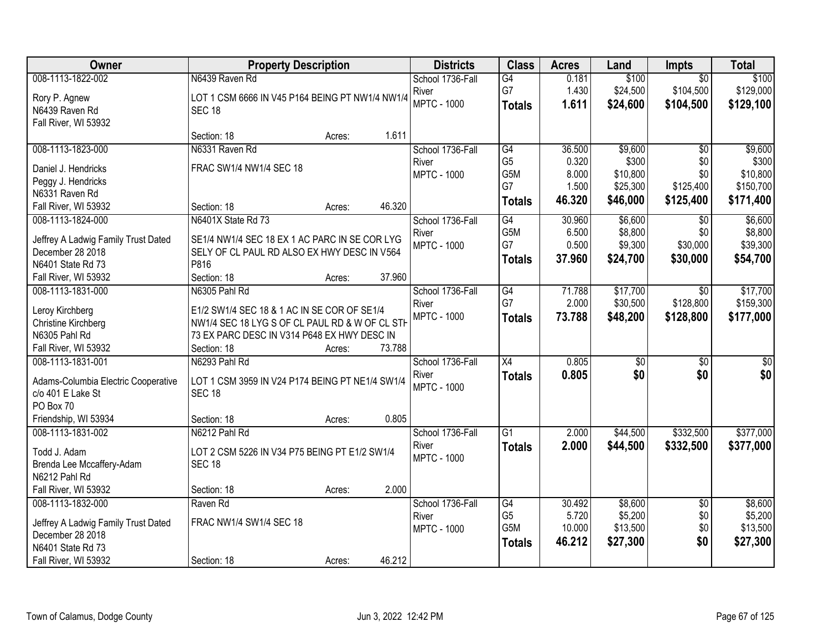| Owner                               | <b>Property Description</b>                     | <b>Districts</b>   | <b>Class</b>    | <b>Acres</b> | Land            | <b>Impts</b>    | <b>Total</b>    |
|-------------------------------------|-------------------------------------------------|--------------------|-----------------|--------------|-----------------|-----------------|-----------------|
| 008-1113-1822-002                   | N6439 Raven Rd                                  | School 1736-Fall   | G4              | 0.181        | \$100           | $\overline{30}$ | \$100           |
| Rory P. Agnew                       | LOT 1 CSM 6666 IN V45 P164 BEING PT NW1/4 NW1/4 | River              | G7              | 1.430        | \$24,500        | \$104,500       | \$129,000       |
| N6439 Raven Rd                      | <b>SEC 18</b>                                   | <b>MPTC - 1000</b> | <b>Totals</b>   | 1.611        | \$24,600        | \$104,500       | \$129,100       |
| Fall River, WI 53932                |                                                 |                    |                 |              |                 |                 |                 |
|                                     | 1.611<br>Section: 18<br>Acres:                  |                    |                 |              |                 |                 |                 |
| 008-1113-1823-000                   | N6331 Raven Rd                                  | School 1736-Fall   | G4              | 36.500       | \$9,600         | \$0             | \$9,600         |
| Daniel J. Hendricks                 | FRAC SW1/4 NW1/4 SEC 18                         | River              | G <sub>5</sub>  | 0.320        | \$300           | \$0             | \$300           |
| Peggy J. Hendricks                  |                                                 | <b>MPTC - 1000</b> | G5M             | 8.000        | \$10,800        | \$0             | \$10,800        |
| N6331 Raven Rd                      |                                                 |                    | G7              | 1.500        | \$25,300        | \$125,400       | \$150,700       |
| Fall River, WI 53932                | 46.320<br>Section: 18<br>Acres:                 |                    | <b>Totals</b>   | 46.320       | \$46,000        | \$125,400       | \$171,400       |
| 008-1113-1824-000                   | N6401X State Rd 73                              | School 1736-Fall   | G4              | 30.960       | \$6,600         | $\sqrt{6}$      | \$6,600         |
| Jeffrey A Ladwig Family Trust Dated | SE1/4 NW1/4 SEC 18 EX 1 AC PARC IN SE COR LYG   | River              | G5M             | 6.500        | \$8,800         | \$0             | \$8,800         |
| December 28 2018                    | SELY OF CL PAUL RD ALSO EX HWY DESC IN V564     | <b>MPTC - 1000</b> | G7              | 0.500        | \$9,300         | \$30,000        | \$39,300        |
| N6401 State Rd 73                   | P816                                            |                    | <b>Totals</b>   | 37,960       | \$24,700        | \$30,000        | \$54,700        |
| Fall River, WI 53932                | 37.960<br>Section: 18<br>Acres:                 |                    |                 |              |                 |                 |                 |
| 008-1113-1831-000                   | N6305 Pahl Rd                                   | School 1736-Fall   | G4              | 71.788       | \$17,700        | \$0             | \$17,700        |
|                                     |                                                 | River              | G7              | 2.000        | \$30,500        | \$128,800       | \$159,300       |
| Leroy Kirchberg                     | E1/2 SW1/4 SEC 18 & 1 AC IN SE COR OF SE1/4     | <b>MPTC - 1000</b> | <b>Totals</b>   | 73.788       | \$48,200        | \$128,800       | \$177,000       |
| <b>Christine Kirchberg</b>          | NW1/4 SEC 18 LYG S OF CL PAUL RD & W OF CL STH  |                    |                 |              |                 |                 |                 |
| N6305 Pahl Rd                       | 73 EX PARC DESC IN V314 P648 EX HWY DESC IN     |                    |                 |              |                 |                 |                 |
| Fall River, WI 53932                | 73.788<br>Section: 18<br>Acres:                 |                    |                 |              |                 |                 |                 |
| 008-1113-1831-001                   | N6293 Pahl Rd                                   | School 1736-Fall   | $\overline{X4}$ | 0.805        | $\overline{50}$ | $\overline{50}$ | $\overline{50}$ |
| Adams-Columbia Electric Cooperative | LOT 1 CSM 3959 IN V24 P174 BEING PT NE1/4 SW1/4 | River              | <b>Totals</b>   | 0.805        | \$0             | \$0             | \$0             |
| c/o 401 E Lake St                   | <b>SEC 18</b>                                   | <b>MPTC - 1000</b> |                 |              |                 |                 |                 |
| PO Box 70                           |                                                 |                    |                 |              |                 |                 |                 |
| Friendship, WI 53934                | 0.805<br>Section: 18<br>Acres:                  |                    |                 |              |                 |                 |                 |
| 008-1113-1831-002                   | N6212 Pahl Rd                                   | School 1736-Fall   | $\overline{G1}$ | 2.000        | \$44,500        | \$332,500       | \$377,000       |
| Todd J. Adam                        | LOT 2 CSM 5226 IN V34 P75 BEING PT E1/2 SW1/4   | River              | <b>Totals</b>   | 2.000        | \$44,500        | \$332,500       | \$377,000       |
| Brenda Lee Mccaffery-Adam           | <b>SEC 18</b>                                   | <b>MPTC - 1000</b> |                 |              |                 |                 |                 |
| N6212 Pahl Rd                       |                                                 |                    |                 |              |                 |                 |                 |
| Fall River, WI 53932                | 2.000<br>Section: 18<br>Acres:                  |                    |                 |              |                 |                 |                 |
| 008-1113-1832-000                   | Raven Rd                                        | School 1736-Fall   | G4              | 30.492       | \$8,600         | $\overline{50}$ | \$8,600         |
| Jeffrey A Ladwig Family Trust Dated | FRAC NW1/4 SW1/4 SEC 18                         | River              | G <sub>5</sub>  | 5.720        | \$5,200         | \$0             | \$5,200         |
| December 28 2018                    |                                                 | <b>MPTC - 1000</b> | G5M             | 10.000       | \$13,500        | \$0             | \$13,500        |
| N6401 State Rd 73                   |                                                 |                    | <b>Totals</b>   | 46.212       | \$27,300        | \$0             | \$27,300        |
| Fall River, WI 53932                | 46.212<br>Section: 18<br>Acres:                 |                    |                 |              |                 |                 |                 |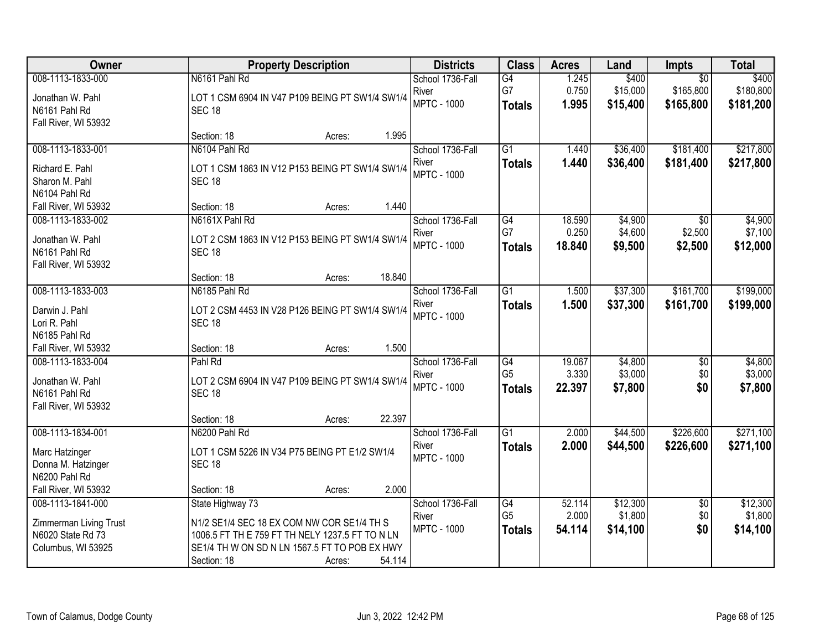| Owner                                                                                  | <b>Property Description</b>                                                                                                                                                                           | <b>Districts</b>                                | <b>Class</b>                                       | <b>Acres</b>              | Land                            | Impts                                     | <b>Total</b>                    |
|----------------------------------------------------------------------------------------|-------------------------------------------------------------------------------------------------------------------------------------------------------------------------------------------------------|-------------------------------------------------|----------------------------------------------------|---------------------------|---------------------------------|-------------------------------------------|---------------------------------|
| 008-1113-1833-000<br>Jonathan W. Pahl<br>N6161 Pahl Rd<br>Fall River, WI 53932         | N6161 Pahl Rd<br>LOT 1 CSM 6904 IN V47 P109 BEING PT SW1/4 SW1/4<br><b>SEC 18</b>                                                                                                                     | School 1736-Fall<br>River<br><b>MPTC - 1000</b> | G4<br>G7<br><b>Totals</b>                          | 1.245<br>0.750<br>1.995   | \$400<br>\$15,000<br>\$15,400   | $\overline{50}$<br>\$165,800<br>\$165,800 | \$400<br>\$180,800<br>\$181,200 |
|                                                                                        | 1.995<br>Section: 18<br>Acres:                                                                                                                                                                        |                                                 |                                                    |                           |                                 |                                           |                                 |
| 008-1113-1833-001<br>Richard E. Pahl<br>Sharon M. Pahl<br>N6104 Pahl Rd                | N6104 Pahl Rd<br>LOT 1 CSM 1863 IN V12 P153 BEING PT SW1/4 SW1/4<br><b>SEC 18</b>                                                                                                                     | School 1736-Fall<br>River<br><b>MPTC - 1000</b> | $\overline{G1}$<br><b>Totals</b>                   | 1.440<br>1.440            | \$36,400<br>\$36,400            | \$181,400<br>\$181,400                    | \$217,800<br>\$217,800          |
| Fall River, WI 53932                                                                   | 1.440<br>Section: 18<br>Acres:                                                                                                                                                                        |                                                 |                                                    |                           |                                 |                                           |                                 |
| 008-1113-1833-002<br>Jonathan W. Pahl<br>N6161 Pahl Rd<br>Fall River, WI 53932         | N6161X Pahl Rd<br>LOT 2 CSM 1863 IN V12 P153 BEING PT SW1/4 SW1/4<br><b>SEC 18</b>                                                                                                                    | School 1736-Fall<br>River<br><b>MPTC - 1000</b> | $\overline{G4}$<br>G7<br><b>Totals</b>             | 18.590<br>0.250<br>18.840 | \$4,900<br>\$4,600<br>\$9,500   | $\overline{50}$<br>\$2,500<br>\$2,500     | \$4,900<br>\$7,100<br>\$12,000  |
|                                                                                        | 18.840<br>Section: 18<br>Acres:                                                                                                                                                                       |                                                 |                                                    |                           |                                 |                                           |                                 |
| 008-1113-1833-003<br>Darwin J. Pahl<br>Lori R. Pahl<br>N6185 Pahl Rd                   | N6185 Pahl Rd<br>LOT 2 CSM 4453 IN V28 P126 BEING PT SW1/4 SW1/4<br><b>SEC 18</b>                                                                                                                     | School 1736-Fall<br>River<br><b>MPTC - 1000</b> | $\overline{G1}$<br><b>Totals</b>                   | 1.500<br>1.500            | \$37,300<br>\$37,300            | \$161,700<br>\$161,700                    | \$199,000<br>\$199,000          |
| Fall River, WI 53932                                                                   | 1.500<br>Section: 18<br>Acres:                                                                                                                                                                        |                                                 |                                                    |                           |                                 |                                           |                                 |
| 008-1113-1833-004<br>Jonathan W. Pahl<br>N6161 Pahl Rd<br>Fall River, WI 53932         | Pahl Rd<br>LOT 2 CSM 6904 IN V47 P109 BEING PT SW1/4 SW1/4<br><b>SEC 18</b><br>22.397<br>Section: 18<br>Acres:                                                                                        | School 1736-Fall<br>River<br><b>MPTC - 1000</b> | $\overline{G4}$<br>G <sub>5</sub><br><b>Totals</b> | 19.067<br>3.330<br>22.397 | \$4,800<br>\$3,000<br>\$7,800   | $\overline{50}$<br>\$0<br>\$0             | \$4,800<br>\$3,000<br>\$7,800   |
| 008-1113-1834-001                                                                      | N6200 Pahl Rd                                                                                                                                                                                         | School 1736-Fall                                | $\overline{G1}$                                    | 2.000                     | \$44,500                        | \$226,600                                 | \$271,100                       |
| Marc Hatzinger<br>Donna M. Hatzinger<br>N6200 Pahl Rd                                  | LOT 1 CSM 5226 IN V34 P75 BEING PT E1/2 SW1/4<br><b>SEC 18</b>                                                                                                                                        | River<br><b>MPTC - 1000</b>                     | <b>Totals</b>                                      | 2.000                     | \$44,500                        | \$226,600                                 | \$271,100                       |
| Fall River, WI 53932                                                                   | 2.000<br>Section: 18<br>Acres:                                                                                                                                                                        |                                                 |                                                    |                           |                                 |                                           |                                 |
| 008-1113-1841-000<br>Zimmerman Living Trust<br>N6020 State Rd 73<br>Columbus, WI 53925 | State Highway 73<br>N1/2 SE1/4 SEC 18 EX COM NW COR SE1/4 TH S<br>1006.5 FT TH E 759 FT TH NELY 1237.5 FT TO N LN<br>SE1/4 TH W ON SD N LN 1567.5 FT TO POB EX HWY<br>54.114<br>Section: 18<br>Acres: | School 1736-Fall<br>River<br><b>MPTC - 1000</b> | G4<br>G <sub>5</sub><br><b>Totals</b>              | 52.114<br>2.000<br>54.114 | \$12,300<br>\$1,800<br>\$14,100 | $\overline{50}$<br>\$0<br>\$0             | \$12,300<br>\$1,800<br>\$14,100 |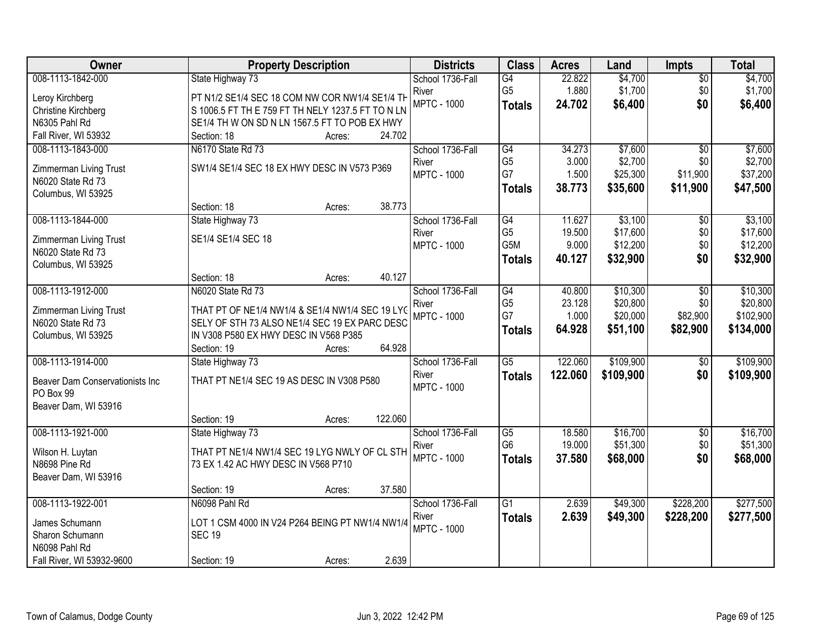| Owner                           | <b>Property Description</b>                       | <b>Districts</b>          | <b>Class</b>    | <b>Acres</b> | Land      | <b>Impts</b>    | <b>Total</b> |
|---------------------------------|---------------------------------------------------|---------------------------|-----------------|--------------|-----------|-----------------|--------------|
| 008-1113-1842-000               | State Highway 73                                  | School 1736-Fall          | $\overline{G4}$ | 22.822       | \$4,700   | $\sqrt{$0}$     | \$4,700      |
| Leroy Kirchberg                 | PT N1/2 SE1/4 SEC 18 COM NW COR NW1/4 SE1/4 TH    | River                     | G <sub>5</sub>  | 1.880        | \$1,700   | \$0             | \$1,700      |
| Christine Kirchberg             | S 1006.5 FT TH E 759 FT TH NELY 1237.5 FT TO N LN | <b>MPTC - 1000</b>        | <b>Totals</b>   | 24.702       | \$6,400   | \$0             | \$6,400      |
| N6305 Pahl Rd                   | SE1/4 TH W ON SD N LN 1567.5 FT TO POB EX HWY     |                           |                 |              |           |                 |              |
| Fall River, WI 53932            | 24.702<br>Section: 18<br>Acres:                   |                           |                 |              |           |                 |              |
| 008-1113-1843-000               | N6170 State Rd 73                                 | School 1736-Fall          | G4              | 34.273       | \$7,600   | $\overline{50}$ | \$7,600      |
|                                 |                                                   | River                     | G <sub>5</sub>  | 3.000        | \$2,700   | \$0             | \$2,700      |
| Zimmerman Living Trust          | SW1/4 SE1/4 SEC 18 EX HWY DESC IN V573 P369       | <b>MPTC - 1000</b>        | G7              | 1.500        | \$25,300  | \$11,900        | \$37,200     |
| N6020 State Rd 73               |                                                   |                           | <b>Totals</b>   | 38.773       | \$35,600  | \$11,900        | \$47,500     |
| Columbus, WI 53925              | 38.773<br>Section: 18                             |                           |                 |              |           |                 |              |
| 008-1113-1844-000               | Acres:                                            |                           | G4              | 11.627       | \$3,100   |                 | \$3,100      |
|                                 | State Highway 73                                  | School 1736-Fall<br>River | G <sub>5</sub>  | 19.500       | \$17,600  | \$0<br>\$0      | \$17,600     |
| Zimmerman Living Trust          | SE1/4 SE1/4 SEC 18                                | <b>MPTC - 1000</b>        | G5M             | 9.000        | \$12,200  | \$0             | \$12,200     |
| N6020 State Rd 73               |                                                   |                           |                 | 40.127       | \$32,900  | \$0             | \$32,900     |
| Columbus, WI 53925              |                                                   |                           | <b>Totals</b>   |              |           |                 |              |
|                                 | 40.127<br>Section: 18<br>Acres:                   |                           |                 |              |           |                 |              |
| 008-1113-1912-000               | N6020 State Rd 73                                 | School 1736-Fall          | G4              | 40.800       | \$10,300  | \$0             | \$10,300     |
| Zimmerman Living Trust          | THAT PT OF NE1/4 NW1/4 & SE1/4 NW1/4 SEC 19 LYC   | River                     | G <sub>5</sub>  | 23.128       | \$20,800  | \$0             | \$20,800     |
| N6020 State Rd 73               | SELY OF STH 73 ALSO NE1/4 SEC 19 EX PARC DESC     | <b>MPTC - 1000</b>        | G7              | 1.000        | \$20,000  | \$82,900        | \$102,900    |
| Columbus, WI 53925              | IN V308 P580 EX HWY DESC IN V568 P385             |                           | <b>Totals</b>   | 64.928       | \$51,100  | \$82,900        | \$134,000    |
|                                 | 64.928<br>Section: 19<br>Acres:                   |                           |                 |              |           |                 |              |
| 008-1113-1914-000               | State Highway 73                                  | School 1736-Fall          | $\overline{G5}$ | 122.060      | \$109,900 | $\overline{50}$ | \$109,900    |
|                                 |                                                   | River                     | <b>Totals</b>   | 122.060      | \$109,900 | \$0             | \$109,900    |
| Beaver Dam Conservationists Inc | THAT PT NE1/4 SEC 19 AS DESC IN V308 P580         | <b>MPTC - 1000</b>        |                 |              |           |                 |              |
| PO Box 99                       |                                                   |                           |                 |              |           |                 |              |
| Beaver Dam, WI 53916            |                                                   |                           |                 |              |           |                 |              |
|                                 | 122.060<br>Section: 19<br>Acres:                  |                           |                 |              |           |                 |              |
| 008-1113-1921-000               | State Highway 73                                  | School 1736-Fall          | $\overline{G5}$ | 18.580       | \$16,700  | $\overline{50}$ | \$16,700     |
| Wilson H. Luytan                | THAT PT NE1/4 NW1/4 SEC 19 LYG NWLY OF CL STH     | River                     | G <sub>6</sub>  | 19.000       | \$51,300  | \$0             | \$51,300     |
| N8698 Pine Rd                   | 73 EX 1.42 AC HWY DESC IN V568 P710               | <b>MPTC - 1000</b>        | <b>Totals</b>   | 37.580       | \$68,000  | \$0             | \$68,000     |
| Beaver Dam, WI 53916            |                                                   |                           |                 |              |           |                 |              |
|                                 | 37.580<br>Section: 19<br>Acres:                   |                           |                 |              |           |                 |              |
| 008-1113-1922-001               | N6098 Pahl Rd                                     | School 1736-Fall          | $\overline{G1}$ | 2.639        | \$49,300  | \$228,200       | \$277,500    |
| James Schumann                  | LOT 1 CSM 4000 IN V24 P264 BEING PT NW1/4 NW1/4   | River                     | <b>Totals</b>   | 2.639        | \$49,300  | \$228,200       | \$277,500    |
| Sharon Schumann                 | <b>SEC 19</b>                                     | <b>MPTC - 1000</b>        |                 |              |           |                 |              |
| N6098 Pahl Rd                   |                                                   |                           |                 |              |           |                 |              |
| Fall River, WI 53932-9600       | 2.639<br>Section: 19<br>Acres:                    |                           |                 |              |           |                 |              |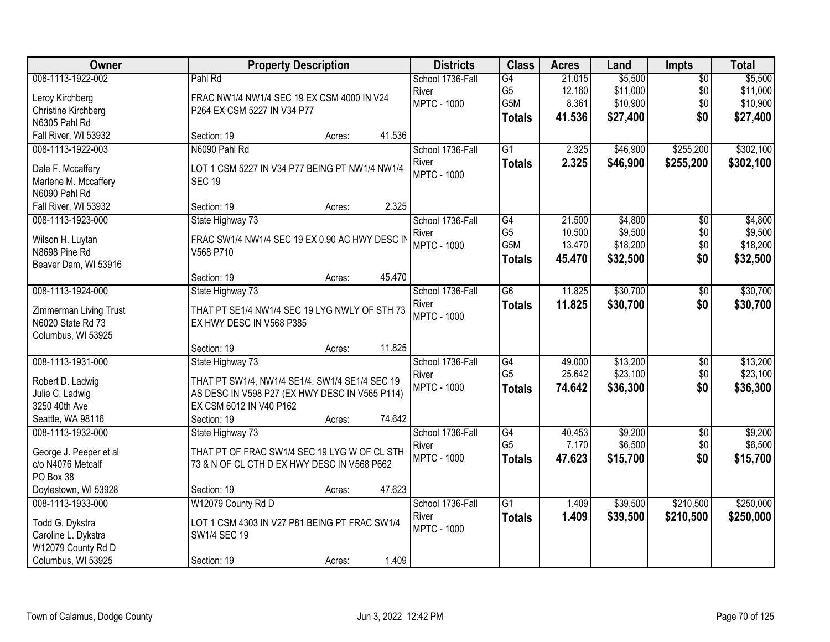| Owner                  | <b>Property Description</b>                    | <b>Districts</b>   | <b>Class</b>     | <b>Acres</b> | Land     | <b>Impts</b>         | <b>Total</b> |
|------------------------|------------------------------------------------|--------------------|------------------|--------------|----------|----------------------|--------------|
| 008-1113-1922-002      | Pahl Rd                                        | School 1736-Fall   | G4               | 21.015       | \$5,500  | $\overline{50}$      | \$5,500      |
| Leroy Kirchberg        | FRAC NW1/4 NW1/4 SEC 19 EX CSM 4000 IN V24     | River              | G <sub>5</sub>   | 12.160       | \$11,000 | \$0                  | \$11,000     |
| Christine Kirchberg    | P264 EX CSM 5227 IN V34 P77                    | <b>MPTC - 1000</b> | G5M              | 8.361        | \$10,900 | \$0                  | \$10,900     |
| N6305 Pahl Rd          |                                                |                    | <b>Totals</b>    | 41.536       | \$27,400 | \$0                  | \$27,400     |
| Fall River, WI 53932   | 41.536<br>Section: 19<br>Acres:                |                    |                  |              |          |                      |              |
| 008-1113-1922-003      | N6090 Pahl Rd                                  | School 1736-Fall   | $\overline{G1}$  | 2.325        | \$46,900 | \$255,200            | \$302,100    |
| Dale F. Mccaffery      | LOT 1 CSM 5227 IN V34 P77 BEING PT NW1/4 NW1/4 | River              | <b>Totals</b>    | 2.325        | \$46,900 | \$255,200            | \$302,100    |
| Marlene M. Mccaffery   | <b>SEC 19</b>                                  | <b>MPTC - 1000</b> |                  |              |          |                      |              |
| N6090 Pahl Rd          |                                                |                    |                  |              |          |                      |              |
| Fall River, WI 53932   | 2.325<br>Section: 19<br>Acres:                 |                    |                  |              |          |                      |              |
| 008-1113-1923-000      | State Highway 73                               | School 1736-Fall   | G4               | 21.500       | \$4,800  | \$0                  | \$4,800      |
|                        |                                                | River              | G <sub>5</sub>   | 10.500       | \$9,500  | \$0                  | \$9,500      |
| Wilson H. Luytan       | FRAC SW1/4 NW1/4 SEC 19 EX 0.90 AC HWY DESC IN | <b>MPTC - 1000</b> | G <sub>5</sub> M | 13.470       | \$18,200 | \$0                  | \$18,200     |
| N8698 Pine Rd          | V568 P710                                      |                    | <b>Totals</b>    | 45.470       | \$32,500 | \$0                  | \$32,500     |
| Beaver Dam, WI 53916   | 45.470                                         |                    |                  |              |          |                      |              |
| 008-1113-1924-000      | Section: 19<br>Acres:<br>State Highway 73      | School 1736-Fall   | $\overline{G6}$  | 11.825       | \$30,700 |                      | \$30,700     |
|                        |                                                | River              |                  | 11.825       |          | $\sqrt[6]{3}$<br>\$0 |              |
| Zimmerman Living Trust | THAT PT SE1/4 NW1/4 SEC 19 LYG NWLY OF STH 73  | <b>MPTC - 1000</b> | <b>Totals</b>    |              | \$30,700 |                      | \$30,700     |
| N6020 State Rd 73      | EX HWY DESC IN V568 P385                       |                    |                  |              |          |                      |              |
| Columbus, WI 53925     |                                                |                    |                  |              |          |                      |              |
|                        | 11.825<br>Section: 19<br>Acres:                |                    |                  |              |          |                      |              |
| 008-1113-1931-000      | State Highway 73                               | School 1736-Fall   | G4               | 49.000       | \$13,200 | $\overline{50}$      | \$13,200     |
| Robert D. Ladwig       | THAT PT SW1/4, NW1/4 SE1/4, SW1/4 SE1/4 SEC 19 | River              | G <sub>5</sub>   | 25.642       | \$23,100 | \$0                  | \$23,100     |
| Julie C. Ladwig        | AS DESC IN V598 P27 (EX HWY DESC IN V565 P114) | <b>MPTC - 1000</b> | <b>Totals</b>    | 74.642       | \$36,300 | \$0                  | \$36,300     |
| 3250 40th Ave          | EX CSM 6012 IN V40 P162                        |                    |                  |              |          |                      |              |
| Seattle, WA 98116      | 74.642<br>Section: 19<br>Acres:                |                    |                  |              |          |                      |              |
| 008-1113-1932-000      | State Highway 73                               | School 1736-Fall   | G4               | 40.453       | \$9,200  | $\sqrt{6}$           | \$9,200      |
| George J. Peeper et al | THAT PT OF FRAC SW1/4 SEC 19 LYG W OF CL STH   | River              | G <sub>5</sub>   | 7.170        | \$6,500  | \$0                  | \$6,500      |
| c/o N4076 Metcalf      | 73 & N OF CL CTH D EX HWY DESC IN V568 P662    | <b>MPTC - 1000</b> | <b>Totals</b>    | 47.623       | \$15,700 | \$0                  | \$15,700     |
| PO Box 38              |                                                |                    |                  |              |          |                      |              |
| Doylestown, WI 53928   | 47.623<br>Section: 19<br>Acres:                |                    |                  |              |          |                      |              |
| 008-1113-1933-000      | W12079 County Rd D                             | School 1736-Fall   | G1               | 1.409        | \$39,500 | \$210,500            | \$250,000    |
| Todd G. Dykstra        | LOT 1 CSM 4303 IN V27 P81 BEING PT FRAC SW1/4  | River              | <b>Totals</b>    | 1.409        | \$39,500 | \$210,500            | \$250,000    |
| Caroline L. Dykstra    | SW1/4 SEC 19                                   | <b>MPTC - 1000</b> |                  |              |          |                      |              |
| W12079 County Rd D     |                                                |                    |                  |              |          |                      |              |
| Columbus, WI 53925     | 1.409<br>Section: 19<br>Acres:                 |                    |                  |              |          |                      |              |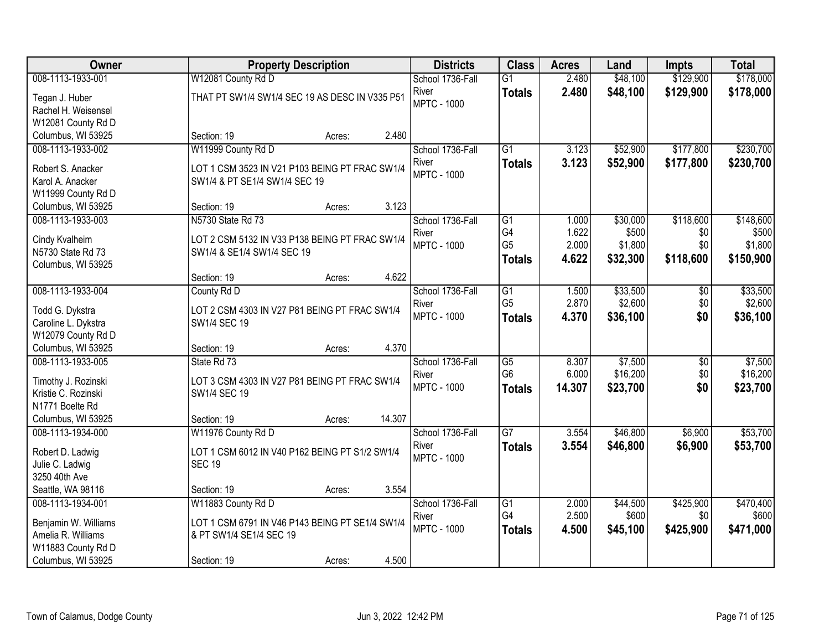| <b>Owner</b>                             | <b>Property Description</b>                     | <b>Districts</b>   | <b>Class</b>    | <b>Acres</b> | Land     | <b>Impts</b> | <b>Total</b> |
|------------------------------------------|-------------------------------------------------|--------------------|-----------------|--------------|----------|--------------|--------------|
| 008-1113-1933-001                        | W12081 County Rd D                              | School 1736-Fall   | $\overline{G1}$ | 2.480        | \$48,100 | \$129,900    | \$178,000    |
| Tegan J. Huber                           | THAT PT SW1/4 SW1/4 SEC 19 AS DESC IN V335 P51  | River              | <b>Totals</b>   | 2.480        | \$48,100 | \$129,900    | \$178,000    |
| Rachel H. Weisensel                      |                                                 | <b>MPTC - 1000</b> |                 |              |          |              |              |
| W12081 County Rd D                       |                                                 |                    |                 |              |          |              |              |
| Columbus, WI 53925                       | 2.480<br>Section: 19<br>Acres:                  |                    |                 |              |          |              |              |
| 008-1113-1933-002                        | W11999 County Rd D                              | School 1736-Fall   | $\overline{G1}$ | 3.123        | \$52,900 | \$177,800    | \$230,700    |
| Robert S. Anacker                        | LOT 1 CSM 3523 IN V21 P103 BEING PT FRAC SW1/4  | River              | <b>Totals</b>   | 3.123        | \$52,900 | \$177,800    | \$230,700    |
| Karol A. Anacker                         | SW1/4 & PT SE1/4 SW1/4 SEC 19                   | <b>MPTC - 1000</b> |                 |              |          |              |              |
| W11999 County Rd D                       |                                                 |                    |                 |              |          |              |              |
| Columbus, WI 53925                       | 3.123<br>Section: 19<br>Acres:                  |                    |                 |              |          |              |              |
| 008-1113-1933-003                        | N5730 State Rd 73                               | School 1736-Fall   | G1              | 1.000        | \$30,000 | \$118,600    | \$148,600    |
|                                          |                                                 | River              | G4              | 1.622        | \$500    | \$0          | \$500        |
| Cindy Kvalheim                           | LOT 2 CSM 5132 IN V33 P138 BEING PT FRAC SW1/4  | <b>MPTC - 1000</b> | G <sub>5</sub>  | 2.000        | \$1,800  | \$0          | \$1,800      |
| N5730 State Rd 73                        | SW1/4 & SE1/4 SW1/4 SEC 19                      |                    | Totals          | 4.622        | \$32,300 | \$118,600    | \$150,900    |
| Columbus, WI 53925                       | 4.622                                           |                    |                 |              |          |              |              |
| 008-1113-1933-004                        | Section: 19<br>Acres:<br>County Rd D            | School 1736-Fall   | $\overline{G1}$ | 1.500        | \$33,500 |              | \$33,500     |
|                                          |                                                 | River              | G <sub>5</sub>  | 2.870        | \$2,600  | \$0<br>\$0   | \$2,600      |
| Todd G. Dykstra                          | LOT 2 CSM 4303 IN V27 P81 BEING PT FRAC SW1/4   | <b>MPTC - 1000</b> |                 | 4.370        | \$36,100 | \$0          | \$36,100     |
| Caroline L. Dykstra                      | SW1/4 SEC 19                                    |                    | <b>Totals</b>   |              |          |              |              |
| W12079 County Rd D                       |                                                 |                    |                 |              |          |              |              |
| Columbus, WI 53925                       | 4.370<br>Section: 19<br>Acres:                  |                    |                 |              |          |              |              |
| 008-1113-1933-005                        | State Rd 73                                     | School 1736-Fall   | $\overline{G5}$ | 8.307        | \$7,500  | \$0          | \$7,500      |
| Timothy J. Rozinski                      | LOT 3 CSM 4303 IN V27 P81 BEING PT FRAC SW1/4   | River              | G <sub>6</sub>  | 6.000        | \$16,200 | \$0          | \$16,200     |
| Kristie C. Rozinski                      | SW1/4 SEC 19                                    | <b>MPTC - 1000</b> | <b>Totals</b>   | 14.307       | \$23,700 | \$0          | \$23,700     |
| N1771 Boelte Rd                          |                                                 |                    |                 |              |          |              |              |
| Columbus, WI 53925                       | 14.307<br>Section: 19<br>Acres:                 |                    |                 |              |          |              |              |
| 008-1113-1934-000                        | W11976 County Rd D                              | School 1736-Fall   | $\overline{G7}$ | 3.554        | \$46,800 | \$6,900      | \$53,700     |
| Robert D. Ladwig                         | LOT 1 CSM 6012 IN V40 P162 BEING PT S1/2 SW1/4  | River              | <b>Totals</b>   | 3.554        | \$46,800 | \$6,900      | \$53,700     |
| Julie C. Ladwig                          | <b>SEC 19</b>                                   | <b>MPTC - 1000</b> |                 |              |          |              |              |
| 3250 40th Ave                            |                                                 |                    |                 |              |          |              |              |
| Seattle, WA 98116                        | 3.554<br>Section: 19<br>Acres:                  |                    |                 |              |          |              |              |
| 008-1113-1934-001                        | W11883 County Rd D                              | School 1736-Fall   | G1              | 2.000        | \$44,500 | \$425,900    | \$470,400    |
|                                          |                                                 | River              | G4              | 2.500        | \$600    | \$0          | \$600        |
| Benjamin W. Williams                     | LOT 1 CSM 6791 IN V46 P143 BEING PT SE1/4 SW1/4 | <b>MPTC - 1000</b> | <b>Totals</b>   | 4.500        | \$45,100 | \$425,900    | \$471,000    |
| Amelia R. Williams                       | & PT SW1/4 SE1/4 SEC 19                         |                    |                 |              |          |              |              |
| W11883 County Rd D<br>Columbus, WI 53925 | 4.500<br>Section: 19<br>Acres:                  |                    |                 |              |          |              |              |
|                                          |                                                 |                    |                 |              |          |              |              |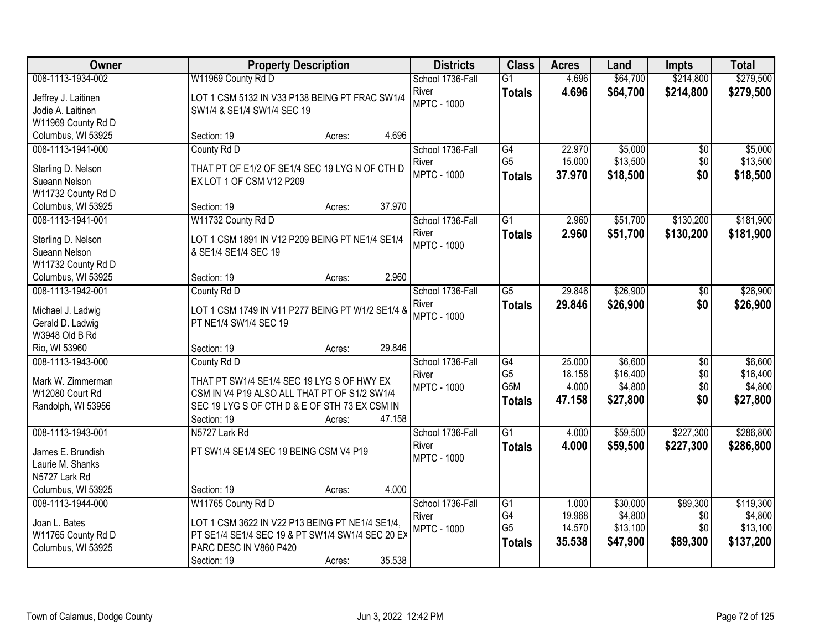| Owner                                   | <b>Property Description</b>                      | <b>Districts</b>            | <b>Class</b>    | <b>Acres</b> | Land     | <b>Impts</b>    | <b>Total</b> |
|-----------------------------------------|--------------------------------------------------|-----------------------------|-----------------|--------------|----------|-----------------|--------------|
| 008-1113-1934-002                       | W11969 County Rd D                               | School 1736-Fall            | $\overline{G1}$ | 4.696        | \$64,700 | \$214,800       | \$279,500    |
| Jeffrey J. Laitinen                     | LOT 1 CSM 5132 IN V33 P138 BEING PT FRAC SW1/4   | River                       | <b>Totals</b>   | 4.696        | \$64,700 | \$214,800       | \$279,500    |
| Jodie A. Laitinen                       | SW1/4 & SE1/4 SW1/4 SEC 19                       | <b>MPTC - 1000</b>          |                 |              |          |                 |              |
| W11969 County Rd D                      |                                                  |                             |                 |              |          |                 |              |
| Columbus, WI 53925                      | 4.696<br>Section: 19<br>Acres:                   |                             |                 |              |          |                 |              |
| 008-1113-1941-000                       | County Rd D                                      | School 1736-Fall            | G4              | 22.970       | \$5,000  | $\overline{50}$ | \$5,000      |
|                                         |                                                  | River                       | G <sub>5</sub>  | 15.000       | \$13,500 | \$0             | \$13,500     |
| Sterling D. Nelson                      | THAT PT OF E1/2 OF SE1/4 SEC 19 LYG N OF CTH D   | <b>MPTC - 1000</b>          | <b>Totals</b>   | 37.970       | \$18,500 | \$0             | \$18,500     |
| Sueann Nelson                           | EX LOT 1 OF CSM V12 P209                         |                             |                 |              |          |                 |              |
| W11732 County Rd D                      | 37.970<br>Section: 19                            |                             |                 |              |          |                 |              |
| Columbus, WI 53925<br>008-1113-1941-001 | Acres:                                           |                             | G1              | 2.960        |          |                 | \$181,900    |
|                                         | W11732 County Rd D                               | School 1736-Fall            |                 |              | \$51,700 | \$130,200       |              |
| Sterling D. Nelson                      | LOT 1 CSM 1891 IN V12 P209 BEING PT NE1/4 SE1/4  | River<br><b>MPTC - 1000</b> | <b>Totals</b>   | 2.960        | \$51,700 | \$130,200       | \$181,900    |
| Sueann Nelson                           | & SE1/4 SE1/4 SEC 19                             |                             |                 |              |          |                 |              |
| W11732 County Rd D                      |                                                  |                             |                 |              |          |                 |              |
| Columbus, WI 53925                      | 2.960<br>Section: 19<br>Acres:                   |                             |                 |              |          |                 |              |
| 008-1113-1942-001                       | County Rd D                                      | School 1736-Fall            | $\overline{G5}$ | 29.846       | \$26,900 | \$0             | \$26,900     |
| Michael J. Ladwig                       | LOT 1 CSM 1749 IN V11 P277 BEING PT W1/2 SE1/4 & | River                       | <b>Totals</b>   | 29.846       | \$26,900 | \$0             | \$26,900     |
| Gerald D. Ladwig                        | PT NE1/4 SW1/4 SEC 19                            | <b>MPTC - 1000</b>          |                 |              |          |                 |              |
| W3948 Old B Rd                          |                                                  |                             |                 |              |          |                 |              |
| Rio, WI 53960                           | 29.846<br>Section: 19<br>Acres:                  |                             |                 |              |          |                 |              |
| 008-1113-1943-000                       | County Rd D                                      | School 1736-Fall            | G4              | 25.000       | \$6,600  | \$0             | \$6,600      |
|                                         |                                                  | River                       | G <sub>5</sub>  | 18.158       | \$16,400 | \$0             | \$16,400     |
| Mark W. Zimmerman                       | THAT PT SW1/4 SE1/4 SEC 19 LYG S OF HWY EX       | <b>MPTC - 1000</b>          | G5M             | 4.000        | \$4,800  | \$0             | \$4,800      |
| W12080 Court Rd                         | CSM IN V4 P19 ALSO ALL THAT PT OF S1/2 SW1/4     |                             | <b>Totals</b>   | 47.158       | \$27,800 | \$0             | \$27,800     |
| Randolph, WI 53956                      | SEC 19 LYG S OF CTH D & E OF STH 73 EX CSM IN    |                             |                 |              |          |                 |              |
|                                         | Section: 19<br>47.158<br>Acres:                  |                             |                 |              |          |                 |              |
| 008-1113-1943-001                       | N5727 Lark Rd                                    | School 1736-Fall            | $\overline{G1}$ | 4.000        | \$59,500 | \$227,300       | \$286,800    |
| James E. Brundish                       | PT SW1/4 SE1/4 SEC 19 BEING CSM V4 P19           | River                       | <b>Totals</b>   | 4.000        | \$59,500 | \$227,300       | \$286,800    |
| Laurie M. Shanks                        |                                                  | <b>MPTC - 1000</b>          |                 |              |          |                 |              |
| N5727 Lark Rd                           |                                                  |                             |                 |              |          |                 |              |
| Columbus, WI 53925                      | 4.000<br>Section: 19<br>Acres:                   |                             |                 |              |          |                 |              |
| 008-1113-1944-000                       | W11765 County Rd D                               | School 1736-Fall            | $\overline{G1}$ | 1.000        | \$30,000 | \$89,300        | \$119,300    |
|                                         |                                                  | River                       | G4              | 19.968       | \$4,800  | \$0             | \$4,800      |
| Joan L. Bates                           | LOT 1 CSM 3622 IN V22 P13 BEING PT NE1/4 SE1/4,  | <b>MPTC - 1000</b>          | G <sub>5</sub>  | 14.570       | \$13,100 | \$0             | \$13,100     |
| W11765 County Rd D                      | PT SE1/4 SE1/4 SEC 19 & PT SW1/4 SW1/4 SEC 20 EX |                             | <b>Totals</b>   | 35.538       | \$47,900 | \$89,300        | \$137,200    |
| Columbus, WI 53925                      | PARC DESC IN V860 P420                           |                             |                 |              |          |                 |              |
|                                         | 35.538<br>Section: 19<br>Acres:                  |                             |                 |              |          |                 |              |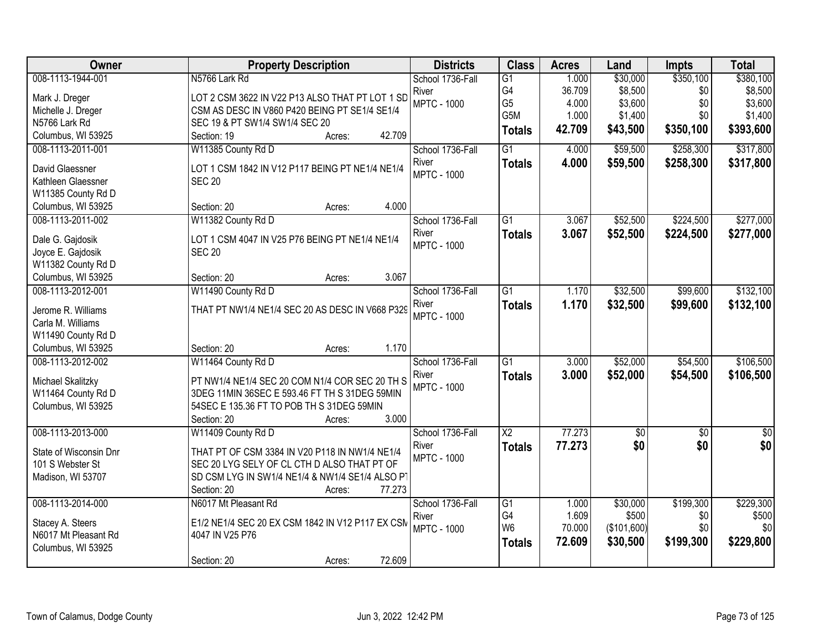| Owner                                   | <b>Property Description</b>                      | <b>Districts</b>          | <b>Class</b>    | <b>Acres</b> | Land        | <b>Impts</b> | <b>Total</b>  |
|-----------------------------------------|--------------------------------------------------|---------------------------|-----------------|--------------|-------------|--------------|---------------|
| 008-1113-1944-001                       | N5766 Lark Rd                                    | School 1736-Fall          | $\overline{G1}$ | 1.000        | \$30,000    | \$350,100    | \$380,100     |
| Mark J. Dreger                          | LOT 2 CSM 3622 IN V22 P13 ALSO THAT PT LOT 1 SD  | River                     | G4              | 36.709       | \$8,500     | \$0          | \$8,500       |
| Michelle J. Dreger                      | CSM AS DESC IN V860 P420 BEING PT SE1/4 SE1/4    | <b>MPTC - 1000</b>        | G <sub>5</sub>  | 4.000        | \$3,600     | \$0          | \$3,600       |
| N5766 Lark Rd                           | SEC 19 & PT SW1/4 SW1/4 SEC 20                   |                           | G5M             | 1.000        | \$1,400     | \$0          | \$1,400       |
| Columbus, WI 53925                      | 42.709<br>Section: 19<br>Acres:                  |                           | <b>Totals</b>   | 42.709       | \$43,500    | \$350,100    | \$393,600     |
| 008-1113-2011-001                       | W11385 County Rd D                               | School 1736-Fall          | $\overline{G1}$ | 4.000        | \$59,500    | \$258,300    | \$317,800     |
| David Glaessner                         | LOT 1 CSM 1842 IN V12 P117 BEING PT NE1/4 NE1/4  | River                     | <b>Totals</b>   | 4.000        | \$59,500    | \$258,300    | \$317,800     |
| Kathleen Glaessner                      | <b>SEC 20</b>                                    | <b>MPTC - 1000</b>        |                 |              |             |              |               |
| W11385 County Rd D                      |                                                  |                           |                 |              |             |              |               |
| Columbus, WI 53925                      | Section: 20<br>4.000<br>Acres:                   |                           |                 |              |             |              |               |
| 008-1113-2011-002                       | W11382 County Rd D                               | School 1736-Fall          | $\overline{G1}$ | 3.067        | \$52,500    | \$224,500    | \$277,000     |
|                                         |                                                  | River                     | <b>Totals</b>   | 3.067        | \$52,500    | \$224,500    | \$277,000     |
| Dale G. Gajdosik                        | LOT 1 CSM 4047 IN V25 P76 BEING PT NE1/4 NE1/4   | <b>MPTC - 1000</b>        |                 |              |             |              |               |
| Joyce E. Gajdosik                       | <b>SEC 20</b>                                    |                           |                 |              |             |              |               |
| W11382 County Rd D                      |                                                  |                           |                 |              |             |              |               |
| Columbus, WI 53925<br>008-1113-2012-001 | 3.067<br>Section: 20<br>Acres:                   |                           | $\overline{G1}$ |              |             |              |               |
|                                         | W11490 County Rd D                               | School 1736-Fall<br>River |                 | 1.170        | \$32,500    | \$99,600     | \$132,100     |
| Jerome R. Williams                      | THAT PT NW1/4 NE1/4 SEC 20 AS DESC IN V668 P329  | <b>MPTC - 1000</b>        | <b>Totals</b>   | 1.170        | \$32,500    | \$99,600     | \$132,100     |
| Carla M. Williams                       |                                                  |                           |                 |              |             |              |               |
| W11490 County Rd D                      |                                                  |                           |                 |              |             |              |               |
| Columbus, WI 53925                      | 1.170<br>Section: 20<br>Acres:                   |                           |                 |              |             |              |               |
| 008-1113-2012-002                       | W11464 County Rd D                               | School 1736-Fall          | $\overline{G1}$ | 3.000        | \$52,000    | \$54,500     | \$106,500     |
| Michael Skalitzky                       | PT NW1/4 NE1/4 SEC 20 COM N1/4 COR SEC 20 TH S   | River                     | <b>Totals</b>   | 3.000        | \$52,000    | \$54,500     | \$106,500     |
| W11464 County Rd D                      | 3DEG 11MIN 36SEC E 593.46 FT TH S 31DEG 59MIN    | <b>MPTC - 1000</b>        |                 |              |             |              |               |
| Columbus, WI 53925                      | 54SEC E 135.36 FT TO POB TH S 31DEG 59MIN        |                           |                 |              |             |              |               |
|                                         | 3.000<br>Section: 20<br>Acres:                   |                           |                 |              |             |              |               |
| 008-1113-2013-000                       | W11409 County Rd D                               | School 1736-Fall          | $\overline{X2}$ | 77.273       | \$0         | $\sqrt{6}$   | $\frac{1}{6}$ |
| State of Wisconsin Dnr                  | THAT PT OF CSM 3384 IN V20 P118 IN NW1/4 NE1/4   | River                     | <b>Totals</b>   | 77.273       | \$0         | \$0          | \$0           |
| 101 S Webster St                        | SEC 20 LYG SELY OF CL CTH D ALSO THAT PT OF      | <b>MPTC - 1000</b>        |                 |              |             |              |               |
| Madison, WI 53707                       | SD CSM LYG IN SW1/4 NE1/4 & NW1/4 SE1/4 ALSO PT  |                           |                 |              |             |              |               |
|                                         | Section: 20<br>77.273<br>Acres:                  |                           |                 |              |             |              |               |
| 008-1113-2014-000                       | N6017 Mt Pleasant Rd                             | School 1736-Fall          | $\overline{G1}$ | 1.000        | \$30,000    | \$199,300    | \$229,300     |
|                                         |                                                  | River                     | G4              | 1.609        | \$500       | \$0          | \$500         |
| Stacey A. Steers                        | E1/2 NE1/4 SEC 20 EX CSM 1842 IN V12 P117 EX CSM | <b>MPTC - 1000</b>        | W <sub>6</sub>  | 70.000       | (\$101,600) | \$0          | \$0           |
| N6017 Mt Pleasant Rd                    | 4047 IN V25 P76                                  |                           | <b>Totals</b>   | 72.609       | \$30,500    | \$199,300    | \$229,800     |
| Columbus, WI 53925                      |                                                  |                           |                 |              |             |              |               |
|                                         | 72.609<br>Section: 20<br>Acres:                  |                           |                 |              |             |              |               |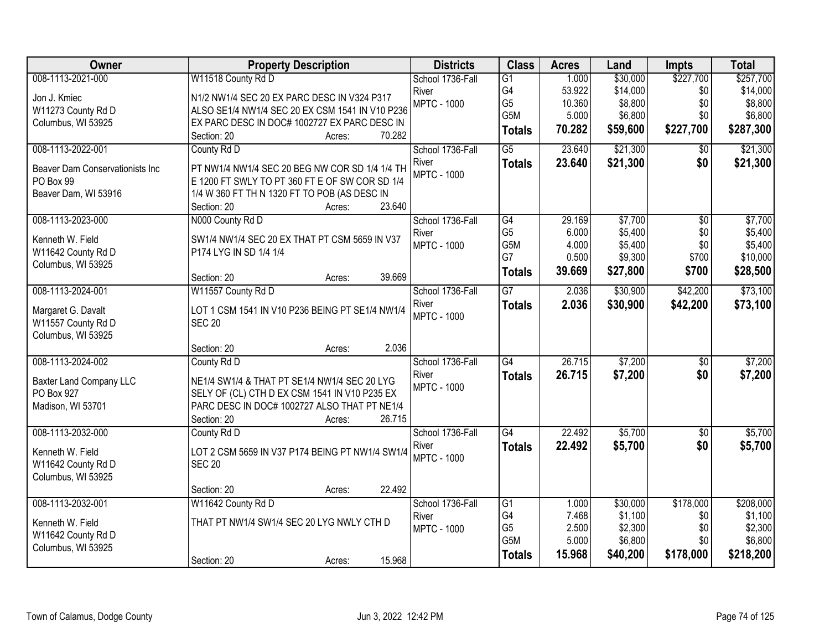| Owner                                    | <b>Property Description</b>                                      | <b>Districts</b>   | <b>Class</b>          | <b>Acres</b> | Land     | Impts             | <b>Total</b> |
|------------------------------------------|------------------------------------------------------------------|--------------------|-----------------------|--------------|----------|-------------------|--------------|
| 008-1113-2021-000                        | W11518 County Rd D                                               | School 1736-Fall   | G1                    | 1.000        | \$30,000 | \$227,700         | \$257,700    |
| Jon J. Kmiec                             | N1/2 NW1/4 SEC 20 EX PARC DESC IN V324 P317                      | River              | G4                    | 53.922       | \$14,000 | \$0               | \$14,000     |
| W11273 County Rd D                       | ALSO SE1/4 NW1/4 SEC 20 EX CSM 1541 IN V10 P236                  | <b>MPTC - 1000</b> | G <sub>5</sub>        | 10.360       | \$8,800  | \$0               | \$8,800      |
| Columbus, WI 53925                       | EX PARC DESC IN DOC# 1002727 EX PARC DESC IN                     |                    | G5M                   | 5.000        | \$6,800  | \$0               | \$6,800      |
|                                          | 70.282<br>Section: 20<br>Acres:                                  |                    | <b>Totals</b>         | 70.282       | \$59,600 | \$227,700         | \$287,300    |
| 008-1113-2022-001                        | County Rd D                                                      | School 1736-Fall   | $\overline{G5}$       | 23.640       | \$21,300 | \$0               | \$21,300     |
| Beaver Dam Conservationists Inc          | PT NW1/4 NW1/4 SEC 20 BEG NW COR SD 1/4 1/4 TH                   | River              | <b>Totals</b>         | 23.640       | \$21,300 | \$0               | \$21,300     |
| PO Box 99                                | E 1200 FT SWLY TO PT 360 FT E OF SW COR SD 1/4                   | <b>MPTC - 1000</b> |                       |              |          |                   |              |
| Beaver Dam, WI 53916                     | 1/4 W 360 FT TH N 1320 FT TO POB (AS DESC IN                     |                    |                       |              |          |                   |              |
|                                          | 23.640<br>Section: 20<br>Acres:                                  |                    |                       |              |          |                   |              |
| 008-1113-2023-000                        | N000 County Rd D                                                 | School 1736-Fall   | $\overline{G4}$       | 29.169       | \$7,700  | $\overline{50}$   | \$7,700      |
| Kenneth W. Field                         | SW1/4 NW1/4 SEC 20 EX THAT PT CSM 5659 IN V37                    | River              | G <sub>5</sub>        | 6.000        | \$5,400  | \$0               | \$5,400      |
| W11642 County Rd D                       | P174 LYG IN SD 1/4 1/4                                           | <b>MPTC - 1000</b> | G5M                   | 4.000        | \$5,400  | \$0               | \$5,400      |
| Columbus, WI 53925                       |                                                                  |                    | G7                    | 0.500        | \$9,300  | \$700             | \$10,000     |
|                                          | 39.669<br>Section: 20<br>Acres:                                  |                    | <b>Totals</b>         | 39.669       | \$27,800 | \$700             | \$28,500     |
| 008-1113-2024-001                        | W11557 County Rd D                                               | School 1736-Fall   | $\overline{G7}$       | 2.036        | \$30,900 | \$42,200          | \$73,100     |
|                                          |                                                                  | River              | <b>Totals</b>         | 2.036        | \$30,900 | \$42,200          | \$73,100     |
| Margaret G. Davalt<br>W11557 County Rd D | LOT 1 CSM 1541 IN V10 P236 BEING PT SE1/4 NW1/4<br><b>SEC 20</b> | <b>MPTC - 1000</b> |                       |              |          |                   |              |
| Columbus, WI 53925                       |                                                                  |                    |                       |              |          |                   |              |
|                                          | 2.036<br>Section: 20<br>Acres:                                   |                    |                       |              |          |                   |              |
| 008-1113-2024-002                        | County Rd D                                                      | School 1736-Fall   | G4                    | 26.715       | \$7,200  | $\overline{50}$   | \$7,200      |
|                                          |                                                                  | River              | <b>Totals</b>         | 26.715       | \$7,200  | \$0               | \$7,200      |
| Baxter Land Company LLC                  | NE1/4 SW1/4 & THAT PT SE1/4 NW1/4 SEC 20 LYG                     | <b>MPTC - 1000</b> |                       |              |          |                   |              |
| PO Box 927                               | SELY OF (CL) CTH D EX CSM 1541 IN V10 P235 EX                    |                    |                       |              |          |                   |              |
| Madison, WI 53701                        | PARC DESC IN DOC# 1002727 ALSO THAT PT NE1/4<br>26.715           |                    |                       |              |          |                   |              |
| 008-1113-2032-000                        | Section: 20<br>Acres:                                            | School 1736-Fall   | G4                    | 22.492       | \$5,700  |                   | \$5,700      |
|                                          | County Rd D                                                      | River              |                       | 22.492       |          | $\sqrt{6}$<br>\$0 |              |
| Kenneth W. Field                         | LOT 2 CSM 5659 IN V37 P174 BEING PT NW1/4 SW1/4                  | <b>MPTC - 1000</b> | <b>Totals</b>         |              | \$5,700  |                   | \$5,700      |
| W11642 County Rd D                       | <b>SEC 20</b>                                                    |                    |                       |              |          |                   |              |
| Columbus, WI 53925                       |                                                                  |                    |                       |              |          |                   |              |
|                                          | 22.492<br>Section: 20<br>Acres:                                  |                    |                       |              |          |                   |              |
| 008-1113-2032-001                        | W11642 County Rd D                                               | School 1736-Fall   | G1                    | 1.000        | \$30,000 | \$178,000         | \$208,000    |
| Kenneth W. Field                         | THAT PT NW1/4 SW1/4 SEC 20 LYG NWLY CTH D                        | River              | G4                    | 7.468        | \$1,100  | \$0               | \$1,100      |
| W11642 County Rd D                       |                                                                  | <b>MPTC - 1000</b> | G <sub>5</sub><br>G5M | 2.500        | \$2,300  | \$0               | \$2,300      |
| Columbus, WI 53925                       |                                                                  |                    |                       | 5.000        | \$6,800  | \$0               | \$6,800      |
|                                          | 15.968<br>Section: 20<br>Acres:                                  |                    | <b>Totals</b>         | 15.968       | \$40,200 | \$178,000         | \$218,200    |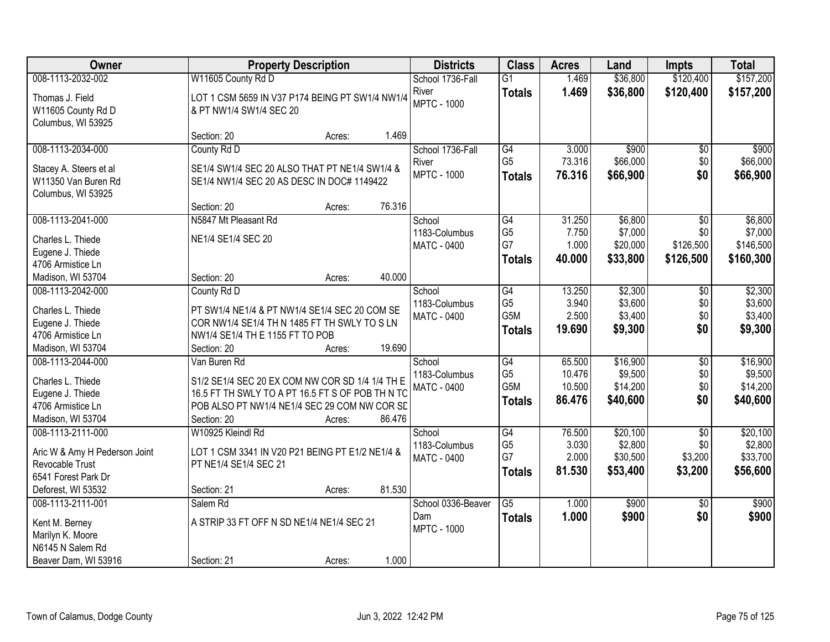| Owner                                                                                                              | <b>Property Description</b>                                                                                                                                                                            | <b>Districts</b>                                | <b>Class</b>                                                           | <b>Acres</b>                         | Land                                        | <b>Impts</b>                                 | <b>Total</b>                                 |
|--------------------------------------------------------------------------------------------------------------------|--------------------------------------------------------------------------------------------------------------------------------------------------------------------------------------------------------|-------------------------------------------------|------------------------------------------------------------------------|--------------------------------------|---------------------------------------------|----------------------------------------------|----------------------------------------------|
| 008-1113-2032-002                                                                                                  | W11605 County Rd D                                                                                                                                                                                     | School 1736-Fall                                | $\overline{G1}$                                                        | 1.469                                | \$36,800                                    | \$120,400                                    | \$157,200                                    |
| Thomas J. Field<br>W11605 County Rd D<br>Columbus, WI 53925                                                        | LOT 1 CSM 5659 IN V37 P174 BEING PT SW1/4 NW1/4<br>& PT NW1/4 SW1/4 SEC 20                                                                                                                             | River<br><b>MPTC - 1000</b>                     | <b>Totals</b>                                                          | 1.469                                | \$36,800                                    | \$120,400                                    | \$157,200                                    |
|                                                                                                                    | 1.469<br>Section: 20<br>Acres:                                                                                                                                                                         |                                                 |                                                                        |                                      |                                             |                                              |                                              |
| 008-1113-2034-000<br>Stacey A. Steers et al<br>W11350 Van Buren Rd                                                 | County Rd D<br>SE1/4 SW1/4 SEC 20 ALSO THAT PT NE1/4 SW1/4 &<br>SE1/4 NW1/4 SEC 20 AS DESC IN DOC# 1149422                                                                                             | School 1736-Fall<br>River<br><b>MPTC - 1000</b> | G4<br>G <sub>5</sub><br><b>Totals</b>                                  | 3.000<br>73.316<br>76.316            | \$900<br>\$66,000<br>\$66,900               | $\overline{50}$<br>\$0<br>\$0                | \$900<br>\$66,000<br>\$66,900                |
| Columbus, WI 53925                                                                                                 | 76.316<br>Section: 20<br>Acres:                                                                                                                                                                        |                                                 |                                                                        |                                      |                                             |                                              |                                              |
| 008-1113-2041-000<br>Charles L. Thiede<br>Eugene J. Thiede<br>4706 Armistice Ln                                    | N5847 Mt Pleasant Rd<br>NE1/4 SE1/4 SEC 20                                                                                                                                                             | School<br>1183-Columbus<br><b>MATC - 0400</b>   | G4<br>G <sub>5</sub><br>G7<br><b>Totals</b>                            | 31.250<br>7.750<br>1.000<br>40.000   | \$6,800<br>\$7,000<br>\$20,000<br>\$33,800  | \$0<br>\$0<br>\$126,500<br>\$126,500         | \$6,800<br>\$7,000<br>\$146,500<br>\$160,300 |
| Madison, WI 53704                                                                                                  | 40.000<br>Section: 20<br>Acres:                                                                                                                                                                        |                                                 |                                                                        |                                      |                                             |                                              |                                              |
| 008-1113-2042-000<br>Charles L. Thiede<br>Eugene J. Thiede<br>4706 Armistice Ln<br>Madison, WI 53704               | County Rd D<br>PT SW1/4 NE1/4 & PT NW1/4 SE1/4 SEC 20 COM SE<br>COR NW1/4 SE1/4 TH N 1485 FT TH SWLY TO S LN<br>NW1/4 SE1/4 TH E 1155 FT TO POB<br>19.690<br>Section: 20<br>Acres:                     | School<br>1183-Columbus<br><b>MATC - 0400</b>   | G4<br>G <sub>5</sub><br>G5M<br><b>Totals</b>                           | 13.250<br>3.940<br>2.500<br>19.690   | \$2,300<br>\$3,600<br>\$3,400<br>\$9,300    | $\sqrt[6]{3}$<br>\$0<br>\$0<br>\$0           | \$2,300<br>\$3,600<br>\$3,400<br>\$9,300     |
| 008-1113-2044-000<br>Charles L. Thiede<br>Eugene J. Thiede<br>4706 Armistice Ln<br>Madison, WI 53704               | Van Buren Rd<br>S1/2 SE1/4 SEC 20 EX COM NW COR SD 1/4 1/4 TH E<br>16.5 FT TH SWLY TO A PT 16.5 FT S OF POB TH N TC<br>POB ALSO PT NW1/4 NE1/4 SEC 29 COM NW COR SD<br>86.476<br>Section: 20<br>Acres: | School<br>1183-Columbus<br><b>MATC - 0400</b>   | $\overline{G4}$<br>G <sub>5</sub><br>G <sub>5</sub> M<br><b>Totals</b> | 65.500<br>10.476<br>10.500<br>86.476 | \$16,900<br>\$9,500<br>\$14,200<br>\$40,600 | $\overline{50}$<br>\$0<br>\$0<br>\$0         | \$16,900<br>\$9,500<br>\$14,200<br>\$40,600  |
| 008-1113-2111-000<br>Aric W & Amy H Pederson Joint<br>Revocable Trust<br>6541 Forest Park Dr<br>Deforest, WI 53532 | W10925 Kleindl Rd<br>LOT 1 CSM 3341 IN V20 P21 BEING PT E1/2 NE1/4 &<br>PT NE1/4 SE1/4 SEC 21<br>81.530<br>Section: 21<br>Acres:                                                                       | School<br>1183-Columbus<br>MATC - 0400          | $\overline{G4}$<br>G <sub>5</sub><br>G7<br><b>Totals</b>               | 76.500<br>3.030<br>2.000<br>81.530   | \$20,100<br>\$2,800<br>\$30,500<br>\$53,400 | $\overline{50}$<br>\$0<br>\$3,200<br>\$3,200 | \$20,100<br>\$2,800<br>\$33,700<br>\$56,600  |
| 008-1113-2111-001<br>Kent M. Berney<br>Marilyn K. Moore<br>N6145 N Salem Rd<br>Beaver Dam, WI 53916                | Salem Rd<br>A STRIP 33 FT OFF N SD NE1/4 NE1/4 SEC 21<br>1.000<br>Section: 21<br>Acres:                                                                                                                | School 0336-Beaver<br>Dam<br><b>MPTC - 1000</b> | $\overline{G5}$<br><b>Totals</b>                                       | 1.000<br>1.000                       | \$900<br>\$900                              | $\overline{50}$<br>\$0                       | \$900<br>\$900                               |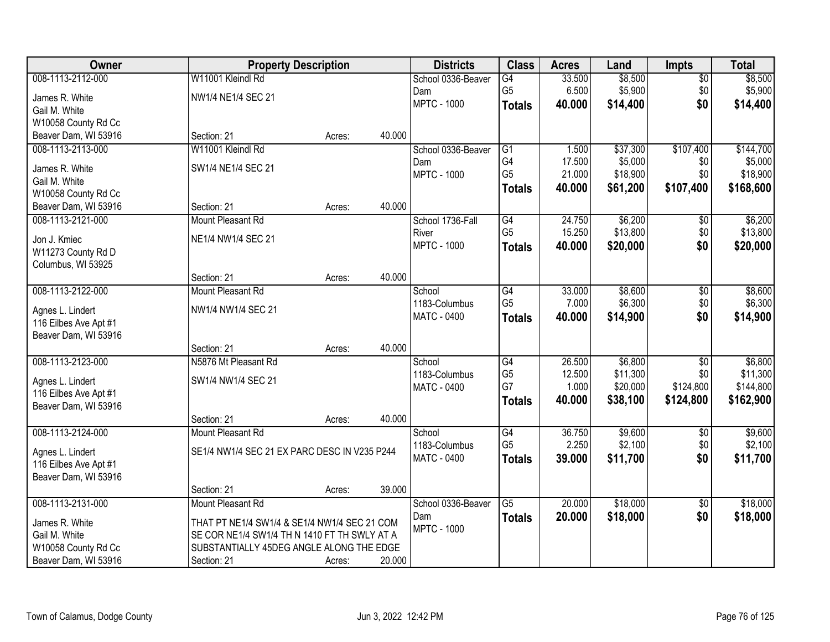| Owner                                         | <b>Property Description</b>                  |        |        | <b>Districts</b>   | <b>Class</b>    | <b>Acres</b> | Land     | <b>Impts</b>    | <b>Total</b> |
|-----------------------------------------------|----------------------------------------------|--------|--------|--------------------|-----------------|--------------|----------|-----------------|--------------|
| 008-1113-2112-000                             | W11001 Kleindl Rd                            |        |        | School 0336-Beaver | $\overline{G4}$ | 33.500       | \$8,500  | $\overline{60}$ | \$8,500      |
| James R. White                                | NW1/4 NE1/4 SEC 21                           |        |        | Dam                | G <sub>5</sub>  | 6.500        | \$5,900  | \$0             | \$5,900      |
| Gail M. White                                 |                                              |        |        | <b>MPTC - 1000</b> | <b>Totals</b>   | 40.000       | \$14,400 | \$0             | \$14,400     |
| W10058 County Rd Cc                           |                                              |        |        |                    |                 |              |          |                 |              |
| Beaver Dam, WI 53916                          | Section: 21                                  | Acres: | 40.000 |                    |                 |              |          |                 |              |
| 008-1113-2113-000                             | W11001 Kleindl Rd                            |        |        | School 0336-Beaver | $\overline{G1}$ | 1.500        | \$37,300 | \$107,400       | \$144,700    |
| James R. White                                | SW1/4 NE1/4 SEC 21                           |        |        | Dam                | G4              | 17.500       | \$5,000  | \$0             | \$5,000      |
| Gail M. White                                 |                                              |        |        | <b>MPTC - 1000</b> | G <sub>5</sub>  | 21.000       | \$18,900 | \$0             | \$18,900     |
| W10058 County Rd Cc                           |                                              |        |        |                    | <b>Totals</b>   | 40.000       | \$61,200 | \$107,400       | \$168,600    |
| Beaver Dam, WI 53916                          | Section: 21                                  | Acres: | 40.000 |                    |                 |              |          |                 |              |
| 008-1113-2121-000                             | Mount Pleasant Rd                            |        |        | School 1736-Fall   | G4              | 24.750       | \$6,200  | $\sqrt[6]{30}$  | \$6,200      |
| Jon J. Kmiec                                  | NE1/4 NW1/4 SEC 21                           |        |        | River              | G <sub>5</sub>  | 15.250       | \$13,800 | \$0             | \$13,800     |
| W11273 County Rd D                            |                                              |        |        | <b>MPTC - 1000</b> | <b>Totals</b>   | 40.000       | \$20,000 | \$0             | \$20,000     |
| Columbus, WI 53925                            |                                              |        |        |                    |                 |              |          |                 |              |
|                                               | Section: 21                                  | Acres: | 40.000 |                    |                 |              |          |                 |              |
| 008-1113-2122-000                             | Mount Pleasant Rd                            |        |        | School             | $\overline{G4}$ | 33.000       | \$8,600  | \$0             | \$8,600      |
|                                               |                                              |        |        | 1183-Columbus      | G <sub>5</sub>  | 7.000        | \$6,300  | \$0             | \$6,300      |
| Agnes L. Lindert<br>116 Eilbes Ave Apt #1     | NW1/4 NW1/4 SEC 21                           |        |        | MATC - 0400        | <b>Totals</b>   | 40.000       | \$14,900 | \$0             | \$14,900     |
| Beaver Dam, WI 53916                          |                                              |        |        |                    |                 |              |          |                 |              |
|                                               | Section: 21                                  | Acres: | 40.000 |                    |                 |              |          |                 |              |
| 008-1113-2123-000                             | N5876 Mt Pleasant Rd                         |        |        | School             | $\overline{G4}$ | 26.500       | \$6,800  | \$0             | \$6,800      |
|                                               |                                              |        |        | 1183-Columbus      | G <sub>5</sub>  | 12.500       | \$11,300 | \$0             | \$11,300     |
| Agnes L. Lindert                              | SW1/4 NW1/4 SEC 21                           |        |        | <b>MATC - 0400</b> | G7              | 1.000        | \$20,000 | \$124,800       | \$144,800    |
| 116 Eilbes Ave Apt #1<br>Beaver Dam, WI 53916 |                                              |        |        |                    | <b>Totals</b>   | 40.000       | \$38,100 | \$124,800       | \$162,900    |
|                                               | Section: 21                                  | Acres: | 40.000 |                    |                 |              |          |                 |              |
| 008-1113-2124-000                             | Mount Pleasant Rd                            |        |        | School             | $\overline{G4}$ | 36.750       | \$9,600  | $\overline{60}$ | \$9,600      |
|                                               |                                              |        |        | 1183-Columbus      | G <sub>5</sub>  | 2.250        | \$2,100  | \$0             | \$2,100      |
| Agnes L. Lindert                              | SE1/4 NW1/4 SEC 21 EX PARC DESC IN V235 P244 |        |        | <b>MATC - 0400</b> | <b>Totals</b>   | 39.000       | \$11,700 | \$0             | \$11,700     |
| 116 Eilbes Ave Apt #1                         |                                              |        |        |                    |                 |              |          |                 |              |
| Beaver Dam, WI 53916                          | Section: 21                                  | Acres: | 39.000 |                    |                 |              |          |                 |              |
| 008-1113-2131-000                             | Mount Pleasant Rd                            |        |        | School 0336-Beaver | $\overline{G5}$ | 20.000       | \$18,000 | $\overline{50}$ | \$18,000     |
|                                               |                                              |        |        | Dam                | <b>Totals</b>   | 20.000       | \$18,000 | \$0             | \$18,000     |
| James R. White                                | THAT PT NE1/4 SW1/4 & SE1/4 NW1/4 SEC 21 COM |        |        | <b>MPTC - 1000</b> |                 |              |          |                 |              |
| Gail M. White                                 | SE COR NE1/4 SW1/4 TH N 1410 FT TH SWLY AT A |        |        |                    |                 |              |          |                 |              |
| W10058 County Rd Cc                           | SUBSTANTIALLY 45DEG ANGLE ALONG THE EDGE     |        |        |                    |                 |              |          |                 |              |
| Beaver Dam, WI 53916                          | Section: 21                                  | Acres: | 20.000 |                    |                 |              |          |                 |              |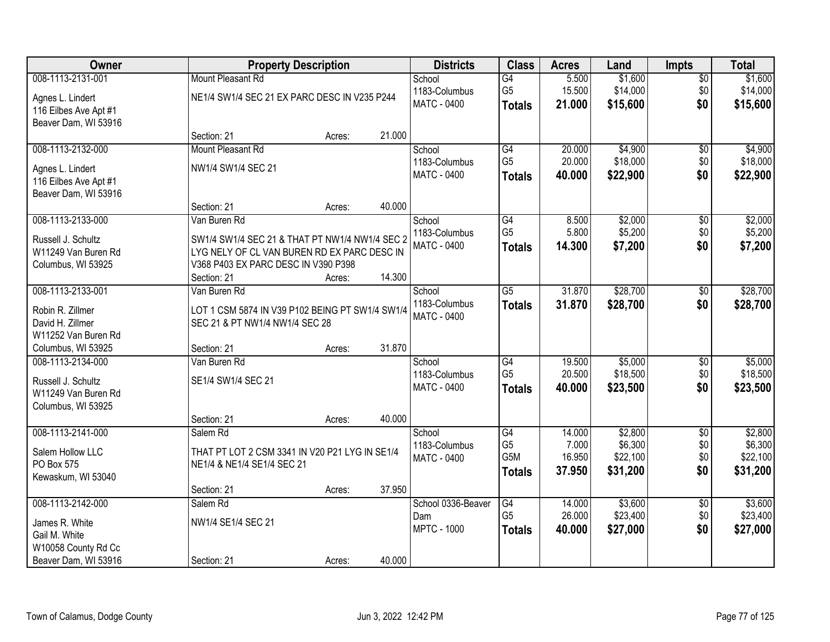| Owner                 |                                                 | <b>Property Description</b> |        | <b>Districts</b>             | <b>Class</b>          | <b>Acres</b>     | Land                | <b>Impts</b>           | <b>Total</b>        |
|-----------------------|-------------------------------------------------|-----------------------------|--------|------------------------------|-----------------------|------------------|---------------------|------------------------|---------------------|
| 008-1113-2131-001     | Mount Pleasant Rd                               |                             |        | School                       | $\overline{G4}$       | 5.500            | \$1,600             | \$0                    | \$1,600             |
| Agnes L. Lindert      | NE1/4 SW1/4 SEC 21 EX PARC DESC IN V235 P244    |                             |        | 1183-Columbus                | G <sub>5</sub>        | 15.500           | \$14,000            | \$0                    | \$14,000            |
| 116 Eilbes Ave Apt #1 |                                                 |                             |        | MATC - 0400                  | <b>Totals</b>         | 21.000           | \$15,600            | \$0                    | \$15,600            |
| Beaver Dam, WI 53916  |                                                 |                             |        |                              |                       |                  |                     |                        |                     |
|                       | Section: 21                                     | Acres:                      | 21.000 |                              |                       |                  |                     |                        |                     |
| 008-1113-2132-000     | Mount Pleasant Rd                               |                             |        | School                       | G4                    | 20.000           | \$4,900             | \$0                    | \$4,900             |
| Agnes L. Lindert      | NW1/4 SW1/4 SEC 21                              |                             |        | 1183-Columbus                | G <sub>5</sub>        | 20.000           | \$18,000            | \$0                    | \$18,000            |
| 116 Eilbes Ave Apt #1 |                                                 |                             |        | MATC - 0400                  | <b>Totals</b>         | 40.000           | \$22,900            | \$0                    | \$22,900            |
| Beaver Dam, WI 53916  |                                                 |                             |        |                              |                       |                  |                     |                        |                     |
|                       | Section: 21                                     | Acres:                      | 40.000 |                              |                       |                  |                     |                        |                     |
| 008-1113-2133-000     | Van Buren Rd                                    |                             |        | School                       | $\overline{G4}$       | 8.500            | \$2,000             | \$0                    | \$2,000             |
| Russell J. Schultz    | SW1/4 SW1/4 SEC 21 & THAT PT NW1/4 NW1/4 SEC 2  |                             |        | 1183-Columbus                | G <sub>5</sub>        | 5.800            | \$5,200             | \$0                    | \$5,200             |
| W11249 Van Buren Rd   | LYG NELY OF CL VAN BUREN RD EX PARC DESC IN     |                             |        | <b>MATC - 0400</b>           | <b>Totals</b>         | 14.300           | \$7,200             | \$0                    | \$7,200             |
| Columbus, WI 53925    | V368 P403 EX PARC DESC IN V390 P398             |                             |        |                              |                       |                  |                     |                        |                     |
|                       | Section: 21                                     | Acres:                      | 14.300 |                              |                       |                  |                     |                        |                     |
| 008-1113-2133-001     | Van Buren Rd                                    |                             |        | School                       | $\overline{G5}$       | 31.870           | \$28,700            | $\sqrt[6]{}$           | \$28,700            |
| Robin R. Zillmer      | LOT 1 CSM 5874 IN V39 P102 BEING PT SW1/4 SW1/4 |                             |        | 1183-Columbus                | <b>Totals</b>         | 31.870           | \$28,700            | \$0                    | \$28,700            |
| David H. Zillmer      | SEC 21 & PT NW1/4 NW1/4 SEC 28                  |                             |        | <b>MATC - 0400</b>           |                       |                  |                     |                        |                     |
| W11252 Van Buren Rd   |                                                 |                             |        |                              |                       |                  |                     |                        |                     |
| Columbus, WI 53925    | Section: 21                                     | Acres:                      | 31.870 |                              |                       |                  |                     |                        |                     |
| 008-1113-2134-000     | Van Buren Rd                                    |                             |        | School                       | $\overline{G4}$       | 19.500           | \$5,000             | $\overline{50}$        | \$5,000             |
| Russell J. Schultz    | SE1/4 SW1/4 SEC 21                              |                             |        | 1183-Columbus                | G <sub>5</sub>        | 20.500           | \$18,500            | \$0                    | \$18,500            |
| W11249 Van Buren Rd   |                                                 |                             |        | <b>MATC - 0400</b>           | <b>Totals</b>         | 40.000           | \$23,500            | \$0                    | \$23,500            |
| Columbus, WI 53925    |                                                 |                             |        |                              |                       |                  |                     |                        |                     |
|                       | Section: 21                                     | Acres:                      | 40.000 |                              |                       |                  |                     |                        |                     |
| 008-1113-2141-000     | Salem Rd                                        |                             |        | School                       | G4                    | 14.000           | \$2,800             | $\overline{$0}$        | \$2,800             |
| Salem Hollow LLC      | THAT PT LOT 2 CSM 3341 IN V20 P21 LYG IN SE1/4  |                             |        | 1183-Columbus<br>MATC - 0400 | G <sub>5</sub><br>G5M | 7.000<br>16.950  | \$6,300<br>\$22,100 | \$0<br>\$0             | \$6,300<br>\$22,100 |
| PO Box 575            | NE1/4 & NE1/4 SE1/4 SEC 21                      |                             |        |                              | <b>Totals</b>         | 37.950           | \$31,200            | \$0                    | \$31,200            |
| Kewaskum, WI 53040    |                                                 |                             |        |                              |                       |                  |                     |                        |                     |
|                       | Section: 21                                     | Acres:                      | 37.950 |                              |                       |                  |                     |                        |                     |
| 008-1113-2142-000     | Salem Rd                                        |                             |        | School 0336-Beaver<br>Dam    | G4<br>G <sub>5</sub>  | 14.000<br>26.000 | \$3,600<br>\$23,400 | $\overline{50}$<br>\$0 | \$3,600<br>\$23,400 |
| James R. White        | NW1/4 SE1/4 SEC 21                              |                             |        | <b>MPTC - 1000</b>           |                       | 40.000           | \$27,000            | \$0                    | \$27,000            |
| Gail M. White         |                                                 |                             |        |                              | <b>Totals</b>         |                  |                     |                        |                     |
| W10058 County Rd Cc   |                                                 |                             |        |                              |                       |                  |                     |                        |                     |
| Beaver Dam, WI 53916  | Section: 21                                     | Acres:                      | 40.000 |                              |                       |                  |                     |                        |                     |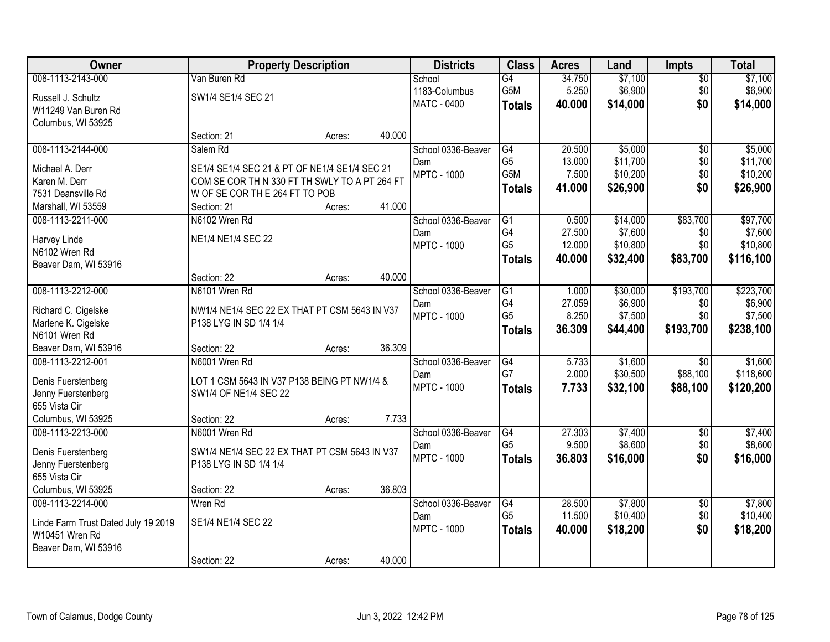| Owner                                                 | <b>Property Description</b>                   |        |        | <b>Districts</b>   | <b>Class</b>    | <b>Acres</b> | Land     | <b>Impts</b>    | <b>Total</b> |
|-------------------------------------------------------|-----------------------------------------------|--------|--------|--------------------|-----------------|--------------|----------|-----------------|--------------|
| 008-1113-2143-000                                     | Van Buren Rd                                  |        |        | School             | $\overline{G4}$ | 34.750       | \$7,100  | \$0             | \$7,100      |
| Russell J. Schultz                                    | SW1/4 SE1/4 SEC 21                            |        |        | 1183-Columbus      | G5M             | 5.250        | \$6,900  | \$0             | \$6,900      |
| W11249 Van Buren Rd                                   |                                               |        |        | MATC - 0400        | <b>Totals</b>   | 40.000       | \$14,000 | \$0             | \$14,000     |
| Columbus, WI 53925                                    |                                               |        |        |                    |                 |              |          |                 |              |
|                                                       | Section: 21                                   | Acres: | 40.000 |                    |                 |              |          |                 |              |
| 008-1113-2144-000                                     | Salem Rd                                      |        |        | School 0336-Beaver | G4              | 20.500       | \$5,000  | $\overline{50}$ | \$5,000      |
| Michael A. Derr                                       | SE1/4 SE1/4 SEC 21 & PT OF NE1/4 SE1/4 SEC 21 |        |        | Dam                | G <sub>5</sub>  | 13.000       | \$11,700 | \$0             | \$11,700     |
| Karen M. Derr                                         | COM SE COR TH N 330 FT TH SWLY TO A PT 264 FT |        |        | <b>MPTC - 1000</b> | G5M             | 7.500        | \$10,200 | \$0             | \$10,200     |
| 7531 Deansville Rd                                    | W OF SE COR TH E 264 FT TO POB                |        |        |                    | <b>Totals</b>   | 41.000       | \$26,900 | \$0             | \$26,900     |
| Marshall, WI 53559                                    | Section: 21                                   | Acres: | 41.000 |                    |                 |              |          |                 |              |
| 008-1113-2211-000                                     | N6102 Wren Rd                                 |        |        | School 0336-Beaver | G1              | 0.500        | \$14,000 | \$83,700        | \$97,700     |
| Harvey Linde                                          | NE1/4 NE1/4 SEC 22                            |        |        | Dam                | G4              | 27.500       | \$7,600  | \$0             | \$7,600      |
| N6102 Wren Rd                                         |                                               |        |        | <b>MPTC - 1000</b> | G <sub>5</sub>  | 12.000       | \$10,800 | \$0             | \$10,800     |
| Beaver Dam, WI 53916                                  |                                               |        |        |                    | <b>Totals</b>   | 40.000       | \$32,400 | \$83,700        | \$116,100    |
|                                                       | Section: 22                                   | Acres: | 40.000 |                    |                 |              |          |                 |              |
| 008-1113-2212-000                                     | N6101 Wren Rd                                 |        |        | School 0336-Beaver | G1              | 1.000        | \$30,000 | \$193,700       | \$223,700    |
| Richard C. Cigelske                                   | NW1/4 NE1/4 SEC 22 EX THAT PT CSM 5643 IN V37 |        |        | Dam                | G4              | 27.059       | \$6,900  | \$0             | \$6,900      |
| Marlene K. Cigelske                                   | P138 LYG IN SD 1/4 1/4                        |        |        | <b>MPTC - 1000</b> | G <sub>5</sub>  | 8.250        | \$7,500  | \$0             | \$7,500      |
| N6101 Wren Rd                                         |                                               |        |        |                    | <b>Totals</b>   | 36.309       | \$44,400 | \$193,700       | \$238,100    |
| Beaver Dam, WI 53916                                  | Section: 22                                   | Acres: | 36.309 |                    |                 |              |          |                 |              |
| 008-1113-2212-001                                     | N6001 Wren Rd                                 |        |        | School 0336-Beaver | $\overline{G4}$ | 5.733        | \$1,600  | $\overline{30}$ | \$1,600      |
| Denis Fuerstenberg                                    | LOT 1 CSM 5643 IN V37 P138 BEING PT NW1/4 &   |        |        | Dam                | G7              | 2.000        | \$30,500 | \$88,100        | \$118,600    |
| Jenny Fuerstenberg                                    | SW1/4 OF NE1/4 SEC 22                         |        |        | <b>MPTC - 1000</b> | <b>Totals</b>   | 7.733        | \$32,100 | \$88,100        | \$120,200    |
| 655 Vista Cir                                         |                                               |        |        |                    |                 |              |          |                 |              |
| Columbus, WI 53925                                    | Section: 22                                   | Acres: | 7.733  |                    |                 |              |          |                 |              |
| 008-1113-2213-000                                     | N6001 Wren Rd                                 |        |        | School 0336-Beaver | G4              | 27.303       | \$7,400  | $\overline{50}$ | \$7,400      |
|                                                       | SW1/4 NE1/4 SEC 22 EX THAT PT CSM 5643 IN V37 |        |        | Dam                | G <sub>5</sub>  | 9.500        | \$8,600  | \$0             | \$8,600      |
| Denis Fuerstenberg<br>Jenny Fuerstenberg              | P138 LYG IN SD 1/4 1/4                        |        |        | <b>MPTC - 1000</b> | <b>Totals</b>   | 36,803       | \$16,000 | \$0             | \$16,000     |
| 655 Vista Cir                                         |                                               |        |        |                    |                 |              |          |                 |              |
| Columbus, WI 53925                                    | Section: 22                                   | Acres: | 36.803 |                    |                 |              |          |                 |              |
| 008-1113-2214-000                                     | Wren Rd                                       |        |        | School 0336-Beaver | G4              | 28.500       | \$7,800  | $\overline{60}$ | \$7,800      |
|                                                       | SE1/4 NE1/4 SEC 22                            |        |        | Dam                | G <sub>5</sub>  | 11.500       | \$10,400 | \$0             | \$10,400     |
| Linde Farm Trust Dated July 19 2019<br>W10451 Wren Rd |                                               |        |        | <b>MPTC - 1000</b> | <b>Totals</b>   | 40.000       | \$18,200 | \$0             | \$18,200     |
| Beaver Dam, WI 53916                                  |                                               |        |        |                    |                 |              |          |                 |              |
|                                                       | Section: 22                                   | Acres: | 40.000 |                    |                 |              |          |                 |              |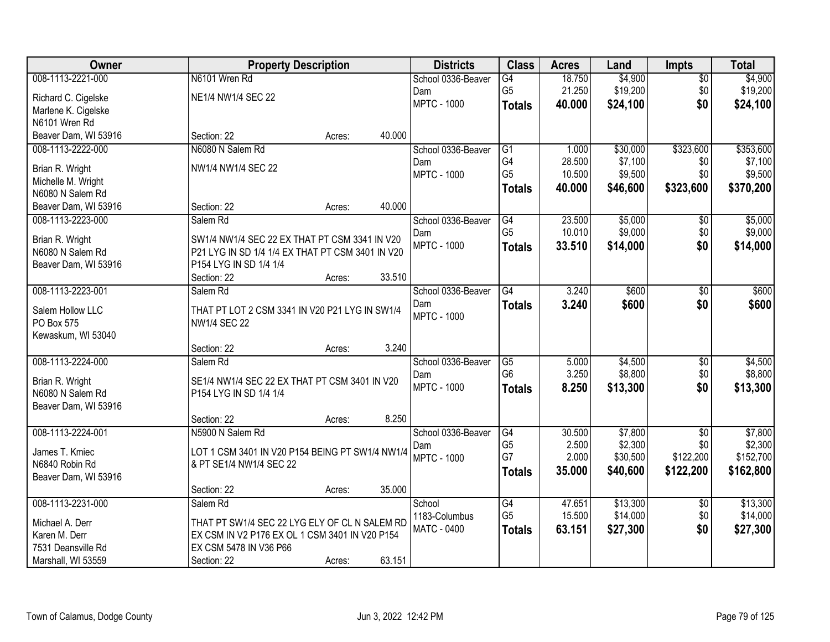| Owner                | <b>Property Description</b>                      |        |        | <b>Districts</b>   | <b>Class</b>    | <b>Acres</b> | Land     | <b>Impts</b>    | <b>Total</b> |
|----------------------|--------------------------------------------------|--------|--------|--------------------|-----------------|--------------|----------|-----------------|--------------|
| 008-1113-2221-000    | N6101 Wren Rd                                    |        |        | School 0336-Beaver | $\overline{G4}$ | 18.750       | \$4,900  | \$0             | \$4,900      |
| Richard C. Cigelske  | NE1/4 NW1/4 SEC 22                               |        |        | Dam                | G <sub>5</sub>  | 21.250       | \$19,200 | \$0             | \$19,200     |
| Marlene K. Cigelske  |                                                  |        |        | <b>MPTC - 1000</b> | <b>Totals</b>   | 40.000       | \$24,100 | \$0             | \$24,100     |
| N6101 Wren Rd        |                                                  |        |        |                    |                 |              |          |                 |              |
| Beaver Dam, WI 53916 | Section: 22                                      | Acres: | 40.000 |                    |                 |              |          |                 |              |
| 008-1113-2222-000    | N6080 N Salem Rd                                 |        |        | School 0336-Beaver | G1              | 1.000        | \$30,000 | \$323,600       | \$353,600    |
| Brian R. Wright      | NW1/4 NW1/4 SEC 22                               |        |        | Dam                | G4              | 28.500       | \$7,100  | \$0             | \$7,100      |
| Michelle M. Wright   |                                                  |        |        | <b>MPTC - 1000</b> | G <sub>5</sub>  | 10.500       | \$9,500  | \$0             | \$9,500      |
| N6080 N Salem Rd     |                                                  |        |        |                    | <b>Totals</b>   | 40.000       | \$46,600 | \$323,600       | \$370,200    |
| Beaver Dam, WI 53916 | Section: 22                                      | Acres: | 40.000 |                    |                 |              |          |                 |              |
| 008-1113-2223-000    | Salem Rd                                         |        |        | School 0336-Beaver | $\overline{G4}$ | 23.500       | \$5,000  | \$0             | \$5,000      |
| Brian R. Wright      | SW1/4 NW1/4 SEC 22 EX THAT PT CSM 3341 IN V20    |        |        | Dam                | G <sub>5</sub>  | 10.010       | \$9,000  | \$0             | \$9,000      |
| N6080 N Salem Rd     | P21 LYG IN SD 1/4 1/4 EX THAT PT CSM 3401 IN V20 |        |        | <b>MPTC - 1000</b> | <b>Totals</b>   | 33.510       | \$14,000 | \$0             | \$14,000     |
| Beaver Dam, WI 53916 | P154 LYG IN SD 1/4 1/4                           |        |        |                    |                 |              |          |                 |              |
|                      | Section: 22                                      | Acres: | 33.510 |                    |                 |              |          |                 |              |
| 008-1113-2223-001    | Salem Rd                                         |        |        | School 0336-Beaver | G4              | 3.240        | \$600    | \$0             | \$600        |
| Salem Hollow LLC     | THAT PT LOT 2 CSM 3341 IN V20 P21 LYG IN SW1/4   |        |        | Dam                | <b>Totals</b>   | 3.240        | \$600    | \$0             | \$600        |
| PO Box 575           | <b>NW1/4 SEC 22</b>                              |        |        | <b>MPTC - 1000</b> |                 |              |          |                 |              |
| Kewaskum, WI 53040   |                                                  |        |        |                    |                 |              |          |                 |              |
|                      | Section: 22                                      | Acres: | 3.240  |                    |                 |              |          |                 |              |
| 008-1113-2224-000    | Salem Rd                                         |        |        | School 0336-Beaver | $\overline{G5}$ | 5.000        | \$4,500  | $\overline{50}$ | \$4,500      |
| Brian R. Wright      | SE1/4 NW1/4 SEC 22 EX THAT PT CSM 3401 IN V20    |        |        | Dam                | G <sub>6</sub>  | 3.250        | \$8,800  | \$0             | \$8,800      |
| N6080 N Salem Rd     | P154 LYG IN SD 1/4 1/4                           |        |        | <b>MPTC - 1000</b> | <b>Totals</b>   | 8.250        | \$13,300 | \$0             | \$13,300     |
| Beaver Dam, WI 53916 |                                                  |        |        |                    |                 |              |          |                 |              |
|                      | Section: 22                                      | Acres: | 8.250  |                    |                 |              |          |                 |              |
| 008-1113-2224-001    | N5900 N Salem Rd                                 |        |        | School 0336-Beaver | G4              | 30.500       | \$7,800  | $\sqrt{$0}$     | \$7,800      |
| James T. Kmiec       | LOT 1 CSM 3401 IN V20 P154 BEING PT SW1/4 NW1/4  |        |        | Dam                | G <sub>5</sub>  | 2.500        | \$2,300  | \$0             | \$2,300      |
| N6840 Robin Rd       | & PT SE1/4 NW1/4 SEC 22                          |        |        | <b>MPTC - 1000</b> | G7              | 2.000        | \$30,500 | \$122,200       | \$152,700    |
| Beaver Dam, WI 53916 |                                                  |        |        |                    | <b>Totals</b>   | 35.000       | \$40,600 | \$122,200       | \$162,800    |
|                      | Section: 22                                      | Acres: | 35.000 |                    |                 |              |          |                 |              |
| 008-1113-2231-000    | Salem Rd                                         |        |        | School             | G4              | 47.651       | \$13,300 | $\overline{60}$ | \$13,300     |
| Michael A. Derr      | THAT PT SW1/4 SEC 22 LYG ELY OF CL N SALEM RD    |        |        | 1183-Columbus      | G <sub>5</sub>  | 15.500       | \$14,000 | \$0             | \$14,000     |
| Karen M. Derr        | EX CSM IN V2 P176 EX OL 1 CSM 3401 IN V20 P154   |        |        | <b>MATC - 0400</b> | <b>Totals</b>   | 63.151       | \$27,300 | \$0             | \$27,300     |
| 7531 Deansville Rd   | EX CSM 5478 IN V36 P66                           |        |        |                    |                 |              |          |                 |              |
| Marshall, WI 53559   | Section: 22                                      | Acres: | 63.151 |                    |                 |              |          |                 |              |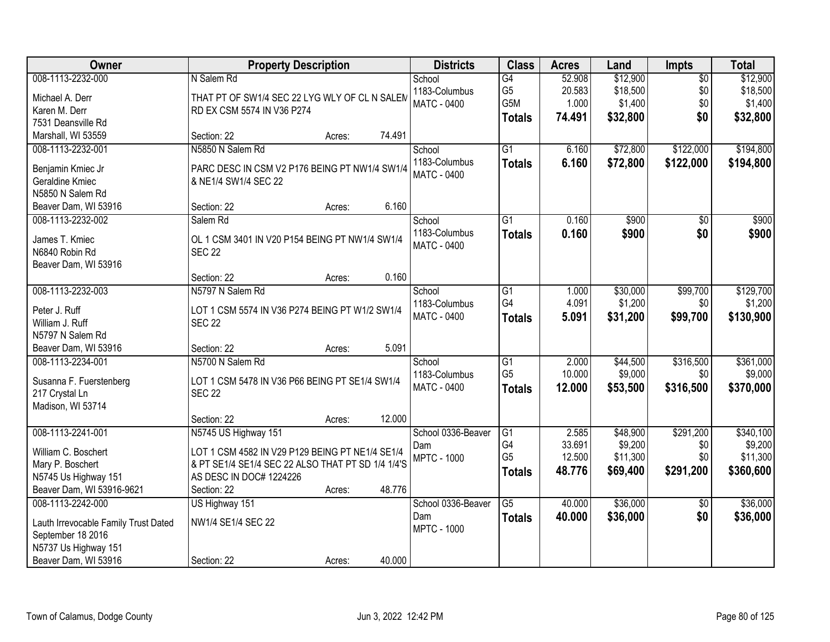| <b>Owner</b>                                                                                                                   | <b>Property Description</b>                                                                                                                                                                | <b>Districts</b>                                | <b>Class</b>                                       | <b>Acres</b>                        | Land                                        | <b>Impts</b>                         | <b>Total</b>                                  |
|--------------------------------------------------------------------------------------------------------------------------------|--------------------------------------------------------------------------------------------------------------------------------------------------------------------------------------------|-------------------------------------------------|----------------------------------------------------|-------------------------------------|---------------------------------------------|--------------------------------------|-----------------------------------------------|
| 008-1113-2232-000<br>Michael A. Derr<br>Karen M. Derr<br>7531 Deansville Rd                                                    | N Salem Rd<br>THAT PT OF SW1/4 SEC 22 LYG WLY OF CL N SALEM<br>RD EX CSM 5574 IN V36 P274                                                                                                  | School<br>1183-Columbus<br><b>MATC - 0400</b>   | G4<br>G <sub>5</sub><br>G5M<br><b>Totals</b>       | 52.908<br>20.583<br>1.000<br>74.491 | \$12,900<br>\$18,500<br>\$1,400<br>\$32,800 | $\overline{50}$<br>\$0<br>\$0<br>\$0 | \$12,900<br>\$18,500<br>\$1,400<br>\$32,800   |
| Marshall, WI 53559                                                                                                             | 74.491<br>Section: 22<br>Acres:                                                                                                                                                            |                                                 |                                                    |                                     |                                             |                                      |                                               |
| 008-1113-2232-001<br>Benjamin Kmiec Jr<br>Geraldine Kmiec<br>N5850 N Salem Rd                                                  | N5850 N Salem Rd<br>PARC DESC IN CSM V2 P176 BEING PT NW1/4 SW1/4<br>& NE1/4 SW1/4 SEC 22<br>Section: 22<br>6.160                                                                          | School<br>1183-Columbus<br><b>MATC - 0400</b>   | $\overline{G1}$<br><b>Totals</b>                   | 6.160<br>6.160                      | \$72,800<br>\$72,800                        | \$122,000<br>\$122,000               | \$194,800<br>\$194,800                        |
| Beaver Dam, WI 53916<br>008-1113-2232-002                                                                                      | Acres:<br>Salem Rd                                                                                                                                                                         | School                                          | G1                                                 | 0.160                               | \$900                                       | \$0                                  | \$900                                         |
| James T. Kmiec<br>N6840 Robin Rd<br>Beaver Dam, WI 53916                                                                       | OL 1 CSM 3401 IN V20 P154 BEING PT NW1/4 SW1/4<br><b>SEC 22</b>                                                                                                                            | 1183-Columbus<br><b>MATC - 0400</b>             | <b>Totals</b>                                      | 0.160                               | \$900                                       | \$0                                  | \$900                                         |
|                                                                                                                                | 0.160<br>Section: 22<br>Acres:                                                                                                                                                             |                                                 |                                                    |                                     |                                             |                                      |                                               |
| 008-1113-2232-003<br>Peter J. Ruff<br>William J. Ruff<br>N5797 N Salem Rd                                                      | N5797 N Salem Rd<br>LOT 1 CSM 5574 IN V36 P274 BEING PT W1/2 SW1/4<br><b>SEC 22</b>                                                                                                        | School<br>1183-Columbus<br><b>MATC - 0400</b>   | G1<br>G4<br><b>Totals</b>                          | 1.000<br>4.091<br>5.091             | \$30,000<br>\$1,200<br>\$31,200             | \$99,700<br>\$0<br>\$99,700          | \$129,700<br>\$1,200<br>\$130,900             |
| Beaver Dam, WI 53916                                                                                                           | 5.091<br>Section: 22<br>Acres:                                                                                                                                                             |                                                 |                                                    |                                     |                                             |                                      |                                               |
| 008-1113-2234-001<br>Susanna F. Fuerstenberg<br>217 Crystal Ln<br>Madison, WI 53714                                            | N5700 N Salem Rd<br>LOT 1 CSM 5478 IN V36 P66 BEING PT SE1/4 SW1/4<br><b>SEC 22</b>                                                                                                        | School<br>1183-Columbus<br>MATC - 0400          | $\overline{G1}$<br>G <sub>5</sub><br><b>Totals</b> | 2.000<br>10.000<br>12.000           | \$44,500<br>\$9,000<br>\$53,500             | \$316,500<br>\$0<br>\$316,500        | \$361,000<br>\$9,000<br>\$370,000             |
|                                                                                                                                | 12.000<br>Section: 22<br>Acres:                                                                                                                                                            |                                                 |                                                    |                                     |                                             |                                      |                                               |
| 008-1113-2241-001<br>William C. Boschert<br>Mary P. Boschert<br>N5745 Us Highway 151<br>Beaver Dam, WI 53916-9621              | N5745 US Highway 151<br>LOT 1 CSM 4582 IN V29 P129 BEING PT NE1/4 SE1/4<br>& PT SE1/4 SE1/4 SEC 22 ALSO THAT PT SD 1/4 1/4'S<br>AS DESC IN DOC# 1224226<br>48.776<br>Section: 22<br>Acres: | School 0336-Beaver<br>Dam<br><b>MPTC - 1000</b> | G1<br>G4<br>G <sub>5</sub><br><b>Totals</b>        | 2.585<br>33.691<br>12.500<br>48.776 | \$48,900<br>\$9,200<br>\$11,300<br>\$69,400 | \$291,200<br>\$0<br>\$0<br>\$291,200 | \$340,100<br>\$9,200<br>\$11,300<br>\$360,600 |
| 008-1113-2242-000<br>Lauth Irrevocable Family Trust Dated<br>September 18 2016<br>N5737 Us Highway 151<br>Beaver Dam, WI 53916 | US Highway 151<br>NW1/4 SE1/4 SEC 22<br>40.000<br>Section: 22<br>Acres:                                                                                                                    | School 0336-Beaver<br>Dam<br><b>MPTC - 1000</b> | $\overline{G5}$<br><b>Totals</b>                   | 40.000<br>40.000                    | \$36,000<br>\$36,000                        | $\overline{50}$<br>\$0               | \$36,000<br>\$36,000                          |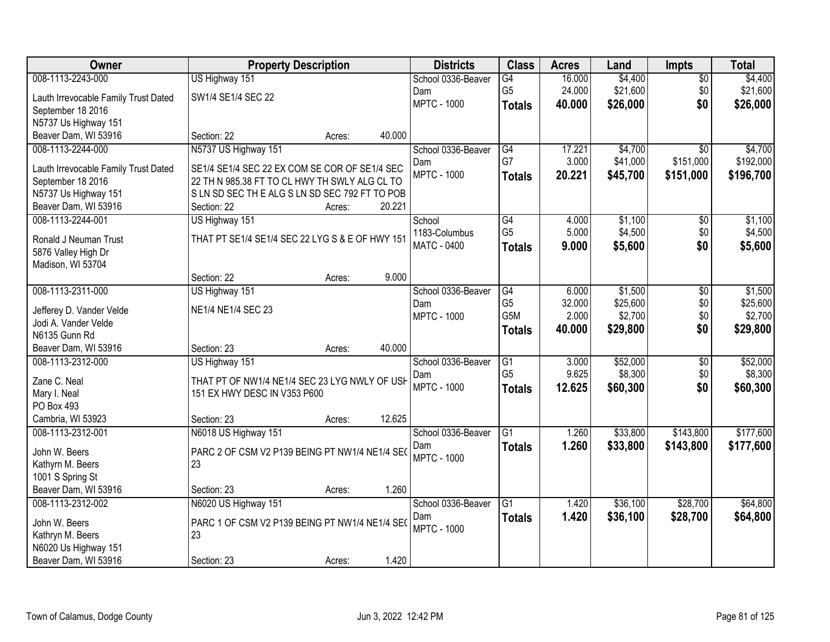| Owner                                    |                                                 | <b>Property Description</b> |        | <b>Districts</b>          | <b>Class</b>                      | <b>Acres</b>   | Land                | <b>Impts</b>           | <b>Total</b>        |
|------------------------------------------|-------------------------------------------------|-----------------------------|--------|---------------------------|-----------------------------------|----------------|---------------------|------------------------|---------------------|
| 008-1113-2243-000                        | US Highway 151                                  |                             |        | School 0336-Beaver        | G4                                | 16.000         | \$4,400             | $\overline{50}$        | \$4,400             |
| Lauth Irrevocable Family Trust Dated     | SW1/4 SE1/4 SEC 22                              |                             |        | Dam                       | G <sub>5</sub>                    | 24.000         | \$21,600            | \$0                    | \$21,600            |
| September 18 2016                        |                                                 |                             |        | <b>MPTC - 1000</b>        | <b>Totals</b>                     | 40.000         | \$26,000            | \$0                    | \$26,000            |
| N5737 Us Highway 151                     |                                                 |                             |        |                           |                                   |                |                     |                        |                     |
| Beaver Dam, WI 53916                     | Section: 22                                     | Acres:                      | 40.000 |                           |                                   |                |                     |                        |                     |
| 008-1113-2244-000                        | N5737 US Highway 151                            |                             |        | School 0336-Beaver        | G4                                | 17.221         | \$4,700             | $\overline{50}$        | \$4,700             |
| Lauth Irrevocable Family Trust Dated     | SE1/4 SE1/4 SEC 22 EX COM SE COR OF SE1/4 SEC   |                             |        | Dam                       | G7                                | 3.000          | \$41,000            | \$151,000              | \$192,000           |
| September 18 2016                        | 22 TH N 985.38 FT TO CL HWY TH SWLY ALG CL TO   |                             |        | <b>MPTC - 1000</b>        | <b>Totals</b>                     | 20.221         | \$45,700            | \$151,000              | \$196,700           |
| N5737 Us Highway 151                     | SLN SD SEC THE ALG SLN SD SEC 792 FT TO POB     |                             |        |                           |                                   |                |                     |                        |                     |
| Beaver Dam, WI 53916                     | Section: 22                                     | Acres:                      | 20.221 |                           |                                   |                |                     |                        |                     |
| 008-1113-2244-001                        | US Highway 151                                  |                             |        | School                    | $\overline{G4}$                   | 4.000          | \$1,100             | $\overline{50}$        | \$1,100             |
|                                          |                                                 |                             |        | 1183-Columbus             | G <sub>5</sub>                    | 5.000          | \$4,500             | \$0                    | \$4,500             |
| Ronald J Neuman Trust                    | THAT PT SE1/4 SE1/4 SEC 22 LYG S & E OF HWY 151 |                             |        | <b>MATC - 0400</b>        | <b>Totals</b>                     | 9.000          | \$5,600             | \$0                    | \$5,600             |
| 5876 Valley High Dr<br>Madison, WI 53704 |                                                 |                             |        |                           |                                   |                |                     |                        |                     |
|                                          | Section: 22                                     | Acres:                      | 9.000  |                           |                                   |                |                     |                        |                     |
| 008-1113-2311-000                        | US Highway 151                                  |                             |        | School 0336-Beaver        | $\overline{G4}$                   | 6.000          | \$1,500             | $\overline{50}$        | \$1,500             |
|                                          |                                                 |                             |        | Dam                       | G <sub>5</sub>                    | 32.000         | \$25,600            | \$0                    | \$25,600            |
| Jefferey D. Vander Velde                 | NE1/4 NE1/4 SEC 23                              |                             |        | <b>MPTC - 1000</b>        | G5M                               | 2.000          | \$2,700             | \$0                    | \$2,700             |
| Jodi A. Vander Velde                     |                                                 |                             |        |                           | <b>Totals</b>                     | 40.000         | \$29,800            | \$0                    | \$29,800            |
| N6135 Gunn Rd                            |                                                 |                             |        |                           |                                   |                |                     |                        |                     |
| Beaver Dam, WI 53916                     | Section: 23                                     | Acres:                      | 40.000 |                           |                                   |                |                     |                        |                     |
| 008-1113-2312-000                        | US Highway 151                                  |                             |        | School 0336-Beaver        | $\overline{G1}$<br>G <sub>5</sub> | 3.000<br>9.625 | \$52,000<br>\$8,300 | $\overline{50}$<br>\$0 | \$52,000<br>\$8,300 |
| Zane C. Neal                             | THAT PT OF NW1/4 NE1/4 SEC 23 LYG NWLY OF USH   |                             |        | Dam<br><b>MPTC - 1000</b> |                                   | 12.625         | \$60,300            | \$0                    | \$60,300            |
| Mary I. Neal                             | 151 EX HWY DESC IN V353 P600                    |                             |        |                           | <b>Totals</b>                     |                |                     |                        |                     |
| PO Box 493                               |                                                 |                             |        |                           |                                   |                |                     |                        |                     |
| Cambria, WI 53923                        | Section: 23                                     | Acres:                      | 12.625 |                           |                                   |                |                     |                        |                     |
| 008-1113-2312-001                        | N6018 US Highway 151                            |                             |        | School 0336-Beaver        | $\overline{G1}$                   | 1.260          | \$33,800            | \$143,800              | \$177,600           |
| John W. Beers                            | PARC 2 OF CSM V2 P139 BEING PT NW1/4 NE1/4 SEO  |                             |        | Dam                       | <b>Totals</b>                     | 1.260          | \$33,800            | \$143,800              | \$177,600           |
| Kathyrn M. Beers                         | 23                                              |                             |        | <b>MPTC - 1000</b>        |                                   |                |                     |                        |                     |
| 1001 S Spring St                         |                                                 |                             |        |                           |                                   |                |                     |                        |                     |
| Beaver Dam, WI 53916                     | Section: 23                                     | Acres:                      | 1.260  |                           |                                   |                |                     |                        |                     |
| 008-1113-2312-002                        | N6020 US Highway 151                            |                             |        | School 0336-Beaver        | $\overline{G1}$                   | 1.420          | \$36,100            | \$28,700               | \$64,800            |
| John W. Beers                            | PARC 1 OF CSM V2 P139 BEING PT NW1/4 NE1/4 SEC  |                             |        | Dam                       | <b>Totals</b>                     | 1.420          | \$36,100            | \$28,700               | \$64,800            |
| Kathryn M. Beers                         | 23                                              |                             |        | <b>MPTC - 1000</b>        |                                   |                |                     |                        |                     |
| N6020 Us Highway 151                     |                                                 |                             |        |                           |                                   |                |                     |                        |                     |
| Beaver Dam, WI 53916                     | Section: 23                                     | Acres:                      | 1.420  |                           |                                   |                |                     |                        |                     |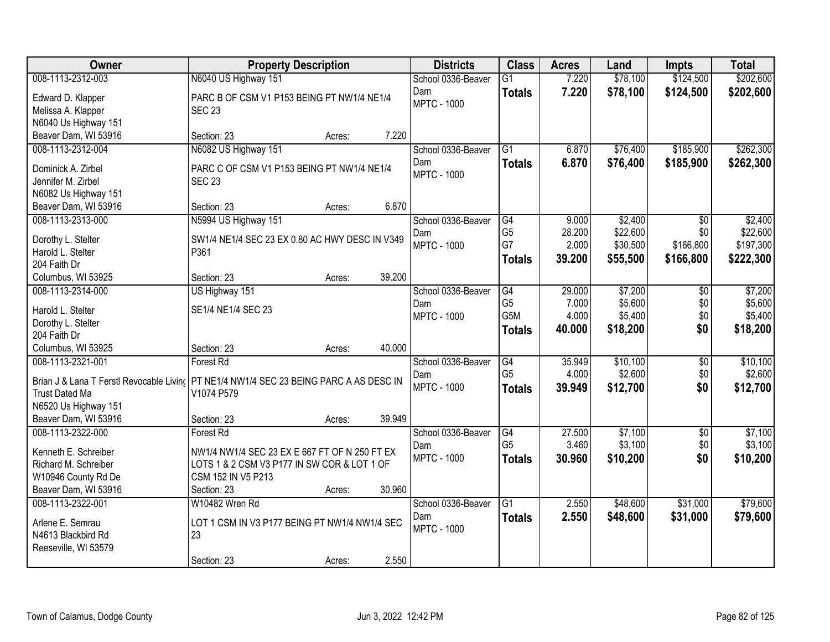| Owner                 | <b>Property Description</b>                                                            |        | <b>Districts</b>   | <b>Class</b>    | <b>Acres</b> | Land     | Impts           | <b>Total</b> |
|-----------------------|----------------------------------------------------------------------------------------|--------|--------------------|-----------------|--------------|----------|-----------------|--------------|
| 008-1113-2312-003     | N6040 US Highway 151                                                                   |        | School 0336-Beaver | $\overline{G1}$ | 7.220        | \$78,100 | \$124,500       | \$202,600    |
| Edward D. Klapper     | PARC B OF CSM V1 P153 BEING PT NW1/4 NE1/4                                             |        | Dam                | <b>Totals</b>   | 7.220        | \$78,100 | \$124,500       | \$202,600    |
| Melissa A. Klapper    | <b>SEC 23</b>                                                                          |        | <b>MPTC - 1000</b> |                 |              |          |                 |              |
| N6040 Us Highway 151  |                                                                                        |        |                    |                 |              |          |                 |              |
| Beaver Dam, WI 53916  | Section: 23<br>Acres:                                                                  | 7.220  |                    |                 |              |          |                 |              |
| 008-1113-2312-004     | N6082 US Highway 151                                                                   |        | School 0336-Beaver | $\overline{G1}$ | 6.870        | \$76,400 | \$185,900       | \$262,300    |
| Dominick A. Zirbel    | PARC C OF CSM V1 P153 BEING PT NW1/4 NE1/4                                             |        | Dam                | <b>Totals</b>   | 6.870        | \$76,400 | \$185,900       | \$262,300    |
| Jennifer M. Zirbel    | <b>SEC 23</b>                                                                          |        | <b>MPTC - 1000</b> |                 |              |          |                 |              |
| N6082 Us Highway 151  |                                                                                        |        |                    |                 |              |          |                 |              |
| Beaver Dam, WI 53916  | Section: 23<br>Acres:                                                                  | 6.870  |                    |                 |              |          |                 |              |
| 008-1113-2313-000     | N5994 US Highway 151                                                                   |        | School 0336-Beaver | G4              | 9.000        | \$2,400  | \$0             | \$2,400      |
| Dorothy L. Stelter    | SW1/4 NE1/4 SEC 23 EX 0.80 AC HWY DESC IN V349                                         |        | Dam                | G <sub>5</sub>  | 28.200       | \$22,600 | \$0             | \$22,600     |
| Harold L. Stelter     | P361                                                                                   |        | <b>MPTC - 1000</b> | G7              | 2.000        | \$30,500 | \$166,800       | \$197,300    |
| 204 Faith Dr          |                                                                                        |        |                    | <b>Totals</b>   | 39.200       | \$55,500 | \$166,800       | \$222,300    |
| Columbus, WI 53925    | Section: 23<br>Acres:                                                                  | 39.200 |                    |                 |              |          |                 |              |
| 008-1113-2314-000     | US Highway 151                                                                         |        | School 0336-Beaver | G4              | 29.000       | \$7,200  | \$0             | \$7,200      |
| Harold L. Stelter     | SE1/4 NE1/4 SEC 23                                                                     |        | Dam                | G <sub>5</sub>  | 7.000        | \$5,600  | \$0             | \$5,600      |
| Dorothy L. Stelter    |                                                                                        |        | <b>MPTC - 1000</b> | G5M             | 4.000        | \$5,400  | \$0             | \$5,400      |
| 204 Faith Dr          |                                                                                        |        |                    | <b>Totals</b>   | 40.000       | \$18,200 | \$0             | \$18,200     |
| Columbus, WI 53925    | Section: 23<br>Acres:                                                                  | 40.000 |                    |                 |              |          |                 |              |
| 008-1113-2321-001     | Forest Rd                                                                              |        | School 0336-Beaver | $\overline{G4}$ | 35.949       | \$10,100 | $\overline{30}$ | \$10,100     |
|                       | Brian J & Lana T Ferstl Revocable Living PT NE1/4 NW1/4 SEC 23 BEING PARC A AS DESC IN |        | Dam                | G <sub>5</sub>  | 4.000        | \$2,600  | \$0             | \$2,600      |
| <b>Trust Dated Ma</b> | V1074 P579                                                                             |        | <b>MPTC - 1000</b> | <b>Totals</b>   | 39.949       | \$12,700 | \$0             | \$12,700     |
| N6520 Us Highway 151  |                                                                                        |        |                    |                 |              |          |                 |              |
| Beaver Dam, WI 53916  | Section: 23<br>Acres:                                                                  | 39.949 |                    |                 |              |          |                 |              |
| 008-1113-2322-000     | Forest Rd                                                                              |        | School 0336-Beaver | G4              | 27.500       | \$7,100  | \$0             | \$7,100      |
| Kenneth E. Schreiber  | NW1/4 NW1/4 SEC 23 EX E 667 FT OF N 250 FT EX                                          |        | Dam                | G <sub>5</sub>  | 3.460        | \$3,100  | \$0             | \$3,100      |
| Richard M. Schreiber  | LOTS 1 & 2 CSM V3 P177 IN SW COR & LOT 1 OF                                            |        | <b>MPTC - 1000</b> | <b>Totals</b>   | 30.960       | \$10,200 | \$0             | \$10,200     |
| W10946 County Rd De   | CSM 152 IN V5 P213                                                                     |        |                    |                 |              |          |                 |              |
| Beaver Dam, WI 53916  | Section: 23<br>Acres:                                                                  | 30.960 |                    |                 |              |          |                 |              |
| 008-1113-2322-001     | W10482 Wren Rd                                                                         |        | School 0336-Beaver | $\overline{G1}$ | 2.550        | \$48,600 | \$31,000        | \$79,600     |
| Arlene E. Semrau      | LOT 1 CSM IN V3 P177 BEING PT NW1/4 NW1/4 SEC                                          |        | Dam                | <b>Totals</b>   | 2.550        | \$48,600 | \$31,000        | \$79,600     |
| N4613 Blackbird Rd    | 23                                                                                     |        | <b>MPTC - 1000</b> |                 |              |          |                 |              |
| Reeseville, WI 53579  |                                                                                        |        |                    |                 |              |          |                 |              |
|                       | Section: 23<br>Acres:                                                                  | 2.550  |                    |                 |              |          |                 |              |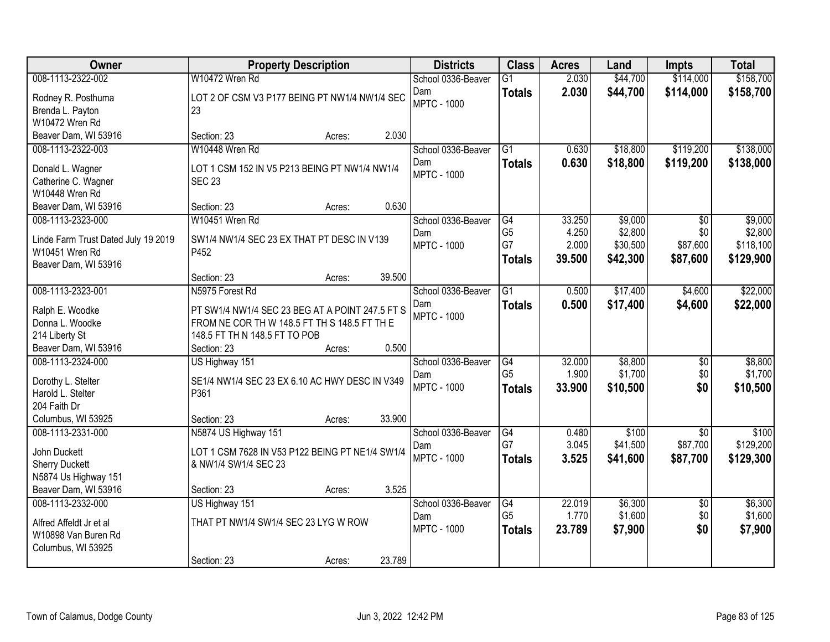| Owner                                                                                                      | <b>Property Description</b>                                                                                                                         | <b>Districts</b>                                | <b>Class</b>                                | <b>Acres</b>                       | Land                                       | <b>Impts</b>                            | <b>Total</b>                                 |
|------------------------------------------------------------------------------------------------------------|-----------------------------------------------------------------------------------------------------------------------------------------------------|-------------------------------------------------|---------------------------------------------|------------------------------------|--------------------------------------------|-----------------------------------------|----------------------------------------------|
| 008-1113-2322-002                                                                                          | W10472 Wren Rd                                                                                                                                      | School 0336-Beaver                              | $\overline{G1}$                             | 2.030                              | \$44,700                                   | \$114,000                               | \$158,700                                    |
| Rodney R. Posthuma<br>Brenda L. Payton<br>W10472 Wren Rd                                                   | LOT 2 OF CSM V3 P177 BEING PT NW1/4 NW1/4 SEC<br>23                                                                                                 | Dam<br><b>MPTC - 1000</b>                       | <b>Totals</b>                               | 2.030                              | \$44,700                                   | \$114,000                               | \$158,700                                    |
| Beaver Dam, WI 53916                                                                                       | 2.030<br>Section: 23<br>Acres:                                                                                                                      |                                                 |                                             |                                    |                                            |                                         |                                              |
| 008-1113-2322-003<br>Donald L. Wagner<br>Catherine C. Wagner<br>W10448 Wren Rd                             | W10448 Wren Rd<br>LOT 1 CSM 152 IN V5 P213 BEING PT NW1/4 NW1/4<br><b>SEC 23</b>                                                                    | School 0336-Beaver<br>Dam<br><b>MPTC - 1000</b> | G1<br><b>Totals</b>                         | 0.630<br>0.630                     | \$18,800<br>\$18,800                       | \$119,200<br>\$119,200                  | \$138,000<br>\$138,000                       |
| Beaver Dam, WI 53916                                                                                       | 0.630<br>Section: 23<br>Acres:                                                                                                                      |                                                 |                                             |                                    |                                            |                                         |                                              |
| 008-1113-2323-000<br>Linde Farm Trust Dated July 19 2019<br>W10451 Wren Rd<br>Beaver Dam, WI 53916         | W10451 Wren Rd<br>SW1/4 NW1/4 SEC 23 EX THAT PT DESC IN V139<br>P452                                                                                | School 0336-Beaver<br>Dam<br><b>MPTC - 1000</b> | G4<br>G <sub>5</sub><br>G7<br><b>Totals</b> | 33.250<br>4.250<br>2.000<br>39.500 | \$9,000<br>\$2,800<br>\$30,500<br>\$42,300 | \$0<br>\$0<br>\$87,600<br>\$87,600      | \$9,000<br>\$2,800<br>\$118,100<br>\$129,900 |
|                                                                                                            | 39.500<br>Section: 23<br>Acres:                                                                                                                     |                                                 |                                             |                                    |                                            |                                         |                                              |
| 008-1113-2323-001<br>Ralph E. Woodke<br>Donna L. Woodke<br>214 Liberty St                                  | N5975 Forest Rd<br>PT SW1/4 NW1/4 SEC 23 BEG AT A POINT 247.5 FT S<br>FROM NE COR TH W 148.5 FT TH S 148.5 FT TH E<br>148.5 FT TH N 148.5 FT TO POB | School 0336-Beaver<br>Dam<br><b>MPTC - 1000</b> | $\overline{G1}$<br><b>Totals</b>            | 0.500<br>0.500                     | \$17,400<br>\$17,400                       | \$4,600<br>\$4,600                      | \$22,000<br>\$22,000                         |
| Beaver Dam, WI 53916                                                                                       | 0.500<br>Section: 23<br>Acres:                                                                                                                      |                                                 |                                             |                                    |                                            |                                         |                                              |
| 008-1113-2324-000<br>Dorothy L. Stelter<br>Harold L. Stelter<br>204 Faith Dr                               | US Highway 151<br>SE1/4 NW1/4 SEC 23 EX 6.10 AC HWY DESC IN V349<br>P361                                                                            | School 0336-Beaver<br>Dam<br><b>MPTC - 1000</b> | G4<br>G <sub>5</sub><br><b>Totals</b>       | 32.000<br>1.900<br>33.900          | \$8,800<br>\$1,700<br>\$10,500             | \$0<br>\$0<br>\$0                       | \$8,800<br>\$1,700<br>\$10,500               |
| Columbus, WI 53925                                                                                         | 33.900<br>Section: 23<br>Acres:                                                                                                                     |                                                 |                                             |                                    |                                            |                                         |                                              |
| 008-1113-2331-000<br>John Duckett<br><b>Sherry Duckett</b><br>N5874 Us Highway 151<br>Beaver Dam, WI 53916 | N5874 US Highway 151<br>LOT 1 CSM 7628 IN V53 P122 BEING PT NE1/4 SW1/4<br>& NW1/4 SW1/4 SEC 23<br>3.525<br>Section: 23<br>Acres:                   | School 0336-Beaver<br>Dam<br><b>MPTC - 1000</b> | G4<br>G7<br><b>Totals</b>                   | 0.480<br>3.045<br>3.525            | \$100<br>\$41,500<br>\$41,600              | $\overline{50}$<br>\$87,700<br>\$87,700 | \$100<br>\$129,200<br>\$129,300              |
| 008-1113-2332-000                                                                                          | US Highway 151                                                                                                                                      | School 0336-Beaver                              | $\overline{G4}$                             | 22.019                             | \$6,300                                    | $\overline{50}$                         | \$6,300                                      |
| Alfred Affeldt Jr et al<br>W10898 Van Buren Rd<br>Columbus, WI 53925                                       | THAT PT NW1/4 SW1/4 SEC 23 LYG W ROW<br>23.789<br>Section: 23<br>Acres:                                                                             | Dam<br><b>MPTC - 1000</b>                       | G <sub>5</sub><br><b>Totals</b>             | 1.770<br>23.789                    | \$1,600<br>\$7,900                         | \$0<br>\$0                              | \$1,600<br>\$7,900                           |
|                                                                                                            |                                                                                                                                                     |                                                 |                                             |                                    |                                            |                                         |                                              |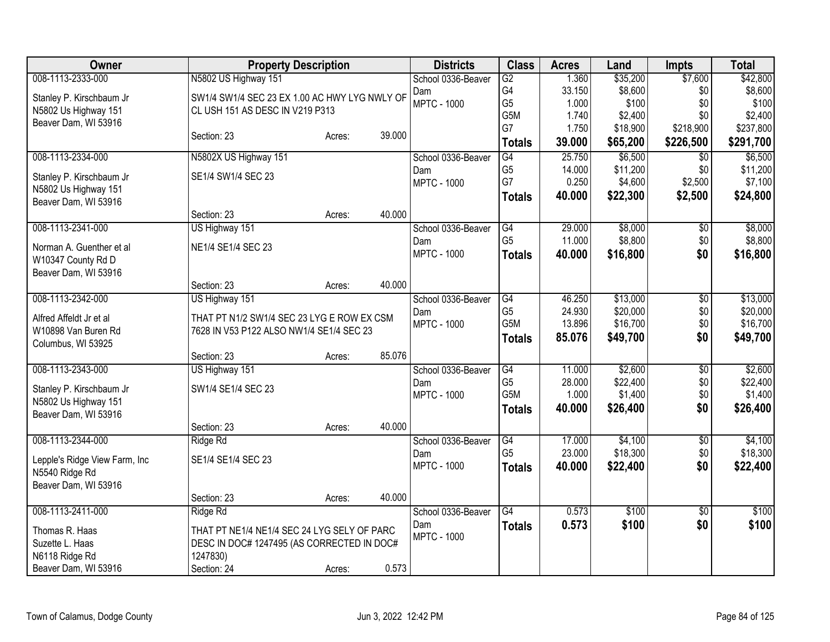| <b>Owner</b>                                   | <b>Property Description</b>                                                            |        |        | <b>Districts</b>          | <b>Class</b>     | <b>Acres</b> | Land     | <b>Impts</b>    | <b>Total</b> |
|------------------------------------------------|----------------------------------------------------------------------------------------|--------|--------|---------------------------|------------------|--------------|----------|-----------------|--------------|
| 008-1113-2333-000                              | N5802 US Highway 151                                                                   |        |        | School 0336-Beaver        | $\overline{G2}$  | 1.360        | \$35,200 | \$7,600         | \$42,800     |
| Stanley P. Kirschbaum Jr                       | SW1/4 SW1/4 SEC 23 EX 1.00 AC HWY LYG NWLY OF                                          |        |        | Dam                       | G4               | 33.150       | \$8,600  | \$0             | \$8,600      |
| N5802 Us Highway 151                           | CL USH 151 AS DESC IN V219 P313                                                        |        |        | <b>MPTC - 1000</b>        | G <sub>5</sub>   | 1.000        | \$100    | \$0             | \$100        |
| Beaver Dam, WI 53916                           |                                                                                        |        |        |                           | G5M              | 1.740        | \$2,400  | \$0             | \$2,400      |
|                                                | Section: 23                                                                            | Acres: | 39.000 |                           | G7               | 1.750        | \$18,900 | \$218,900       | \$237,800    |
|                                                |                                                                                        |        |        |                           | <b>Totals</b>    | 39.000       | \$65,200 | \$226,500       | \$291,700    |
| 008-1113-2334-000                              | N5802X US Highway 151                                                                  |        |        | School 0336-Beaver        | $\overline{G4}$  | 25.750       | \$6,500  | $\overline{50}$ | \$6,500      |
| Stanley P. Kirschbaum Jr                       | SE1/4 SW1/4 SEC 23                                                                     |        |        | Dam                       | G <sub>5</sub>   | 14.000       | \$11,200 | \$0             | \$11,200     |
| N5802 Us Highway 151                           |                                                                                        |        |        | <b>MPTC - 1000</b>        | G7               | 0.250        | \$4,600  | \$2,500         | \$7,100      |
| Beaver Dam, WI 53916                           |                                                                                        |        |        |                           | <b>Totals</b>    | 40.000       | \$22,300 | \$2,500         | \$24,800     |
|                                                | Section: 23                                                                            | Acres: | 40.000 |                           |                  |              |          |                 |              |
| 008-1113-2341-000                              | US Highway 151                                                                         |        |        | School 0336-Beaver        | G4               | 29.000       | \$8,000  | $\overline{50}$ | \$8,000      |
| Norman A. Guenther et al                       | NE1/4 SE1/4 SEC 23                                                                     |        |        | Dam                       | G <sub>5</sub>   | 11.000       | \$8,800  | \$0             | \$8,800      |
| W10347 County Rd D                             |                                                                                        |        |        | <b>MPTC - 1000</b>        | <b>Totals</b>    | 40.000       | \$16,800 | \$0             | \$16,800     |
| Beaver Dam, WI 53916                           |                                                                                        |        |        |                           |                  |              |          |                 |              |
|                                                | Section: 23                                                                            | Acres: | 40.000 |                           |                  |              |          |                 |              |
| 008-1113-2342-000                              | US Highway 151                                                                         |        |        | School 0336-Beaver        | G4               | 46.250       | \$13,000 | $\overline{60}$ | \$13,000     |
|                                                |                                                                                        |        |        | Dam                       | G <sub>5</sub>   | 24.930       | \$20,000 | \$0             | \$20,000     |
| Alfred Affeldt Jr et al<br>W10898 Van Buren Rd | THAT PT N1/2 SW1/4 SEC 23 LYG E ROW EX CSM<br>7628 IN V53 P122 ALSO NW1/4 SE1/4 SEC 23 |        |        | <b>MPTC - 1000</b>        | G <sub>5</sub> M | 13.896       | \$16,700 | \$0             | \$16,700     |
| Columbus, WI 53925                             |                                                                                        |        |        |                           | <b>Totals</b>    | 85.076       | \$49,700 | \$0             | \$49,700     |
|                                                | Section: 23                                                                            | Acres: | 85.076 |                           |                  |              |          |                 |              |
| 008-1113-2343-000                              | US Highway 151                                                                         |        |        | School 0336-Beaver        | G4               | 11.000       | \$2,600  | $\overline{60}$ | \$2,600      |
|                                                |                                                                                        |        |        | Dam                       | G <sub>5</sub>   | 28.000       | \$22,400 | \$0             | \$22,400     |
| Stanley P. Kirschbaum Jr                       | SW1/4 SE1/4 SEC 23                                                                     |        |        | <b>MPTC - 1000</b>        | G <sub>5</sub> M | 1.000        | \$1,400  | \$0             | \$1,400      |
| N5802 Us Highway 151                           |                                                                                        |        |        |                           | <b>Totals</b>    | 40.000       | \$26,400 | \$0             | \$26,400     |
| Beaver Dam, WI 53916                           |                                                                                        |        |        |                           |                  |              |          |                 |              |
|                                                | Section: 23                                                                            | Acres: | 40.000 |                           |                  |              |          |                 |              |
| 008-1113-2344-000                              | Ridge Rd                                                                               |        |        | School 0336-Beaver        | G4               | 17.000       | \$4,100  | \$0             | \$4,100      |
| Lepple's Ridge View Farm, Inc                  | SE1/4 SE1/4 SEC 23                                                                     |        |        | Dam<br><b>MPTC - 1000</b> | G <sub>5</sub>   | 23.000       | \$18,300 | \$0             | \$18,300     |
| N5540 Ridge Rd                                 |                                                                                        |        |        |                           | <b>Totals</b>    | 40.000       | \$22,400 | \$0             | \$22,400     |
| Beaver Dam, WI 53916                           |                                                                                        |        |        |                           |                  |              |          |                 |              |
|                                                | Section: 23                                                                            | Acres: | 40.000 |                           |                  |              |          |                 |              |
| 008-1113-2411-000                              | Ridge Rd                                                                               |        |        | School 0336-Beaver        | G4               | 0.573        | \$100    | $\sqrt[6]{}$    | \$100        |
| Thomas R. Haas                                 | THAT PT NE1/4 NE1/4 SEC 24 LYG SELY OF PARC                                            |        |        | Dam                       | <b>Totals</b>    | 0.573        | \$100    | \$0             | \$100        |
| Suzette L. Haas                                | DESC IN DOC# 1247495 (AS CORRECTED IN DOC#                                             |        |        | <b>MPTC - 1000</b>        |                  |              |          |                 |              |
| N6118 Ridge Rd                                 | 1247830)                                                                               |        |        |                           |                  |              |          |                 |              |
| Beaver Dam, WI 53916                           | Section: 24                                                                            | Acres: | 0.573  |                           |                  |              |          |                 |              |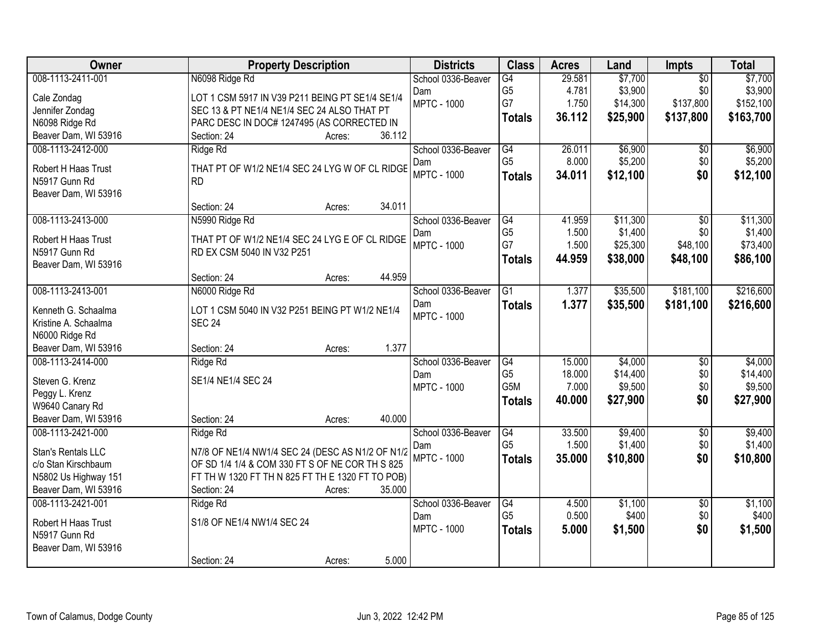| Owner                                  | <b>Property Description</b>                                                  | <b>Districts</b>   | <b>Class</b>    | <b>Acres</b> | Land     | Impts           | <b>Total</b> |
|----------------------------------------|------------------------------------------------------------------------------|--------------------|-----------------|--------------|----------|-----------------|--------------|
| 008-1113-2411-001                      | N6098 Ridge Rd                                                               | School 0336-Beaver | G4              | 29.581       | \$7,700  | $\overline{50}$ | \$7,700      |
| Cale Zondag                            | LOT 1 CSM 5917 IN V39 P211 BEING PT SE1/4 SE1/4                              | Dam                | G <sub>5</sub>  | 4.781        | \$3,900  | \$0             | \$3,900      |
| Jennifer Zondag                        | SEC 13 & PT NE1/4 NE1/4 SEC 24 ALSO THAT PT                                  | <b>MPTC - 1000</b> | G7              | 1.750        | \$14,300 | \$137,800       | \$152,100    |
| N6098 Ridge Rd                         | PARC DESC IN DOC# 1247495 (AS CORRECTED IN                                   |                    | <b>Totals</b>   | 36.112       | \$25,900 | \$137,800       | \$163,700    |
| Beaver Dam, WI 53916                   | 36.112<br>Section: 24<br>Acres:                                              |                    |                 |              |          |                 |              |
| 008-1113-2412-000                      | Ridge Rd                                                                     | School 0336-Beaver | G4              | 26.011       | \$6,900  | \$0             | \$6,900      |
| Robert H Haas Trust                    | THAT PT OF W1/2 NE1/4 SEC 24 LYG W OF CL RIDGE                               | Dam                | G <sub>5</sub>  | 8.000        | \$5,200  | \$0             | \$5,200      |
| N5917 Gunn Rd                          | <b>RD</b>                                                                    | <b>MPTC - 1000</b> | <b>Totals</b>   | 34.011       | \$12,100 | \$0             | \$12,100     |
| Beaver Dam, WI 53916                   |                                                                              |                    |                 |              |          |                 |              |
|                                        | 34.011<br>Section: 24<br>Acres:                                              |                    |                 |              |          |                 |              |
| 008-1113-2413-000                      | N5990 Ridge Rd                                                               | School 0336-Beaver | G4              | 41.959       | \$11,300 | \$0             | \$11,300     |
|                                        |                                                                              | Dam                | G <sub>5</sub>  | 1.500        | \$1,400  | \$0             | \$1,400      |
| Robert H Haas Trust<br>N5917 Gunn Rd   | THAT PT OF W1/2 NE1/4 SEC 24 LYG E OF CL RIDGE<br>RD EX CSM 5040 IN V32 P251 | <b>MPTC - 1000</b> | G7              | 1.500        | \$25,300 | \$48,100        | \$73,400     |
| Beaver Dam, WI 53916                   |                                                                              |                    | <b>Totals</b>   | 44.959       | \$38,000 | \$48,100        | \$86,100     |
|                                        | 44.959<br>Section: 24<br>Acres:                                              |                    |                 |              |          |                 |              |
| 008-1113-2413-001                      | N6000 Ridge Rd                                                               | School 0336-Beaver | G1              | 1.377        | \$35,500 | \$181,100       | \$216,600    |
|                                        |                                                                              | Dam                | <b>Totals</b>   | 1.377        | \$35,500 | \$181,100       | \$216,600    |
| Kenneth G. Schaalma                    | LOT 1 CSM 5040 IN V32 P251 BEING PT W1/2 NE1/4                               | <b>MPTC - 1000</b> |                 |              |          |                 |              |
| Kristine A. Schaalma<br>N6000 Ridge Rd | <b>SEC 24</b>                                                                |                    |                 |              |          |                 |              |
| Beaver Dam, WI 53916                   | 1.377<br>Section: 24<br>Acres:                                               |                    |                 |              |          |                 |              |
| 008-1113-2414-000                      | Ridge Rd                                                                     | School 0336-Beaver | G4              | 15.000       | \$4,000  | $\overline{50}$ | \$4,000      |
|                                        |                                                                              | Dam                | G <sub>5</sub>  | 18.000       | \$14,400 | \$0             | \$14,400     |
| Steven G. Krenz                        | SE1/4 NE1/4 SEC 24                                                           | <b>MPTC - 1000</b> | G5M             | 7.000        | \$9,500  | \$0             | \$9,500      |
| Peggy L. Krenz                         |                                                                              |                    | <b>Totals</b>   | 40.000       | \$27,900 | \$0             | \$27,900     |
| W9640 Canary Rd                        |                                                                              |                    |                 |              |          |                 |              |
| Beaver Dam, WI 53916                   | 40.000<br>Section: 24<br>Acres:                                              |                    |                 |              |          |                 |              |
| 008-1113-2421-000                      | Ridge Rd                                                                     | School 0336-Beaver | G4              | 33.500       | \$9,400  | $\overline{50}$ | \$9,400      |
| Stan's Rentals LLC                     | N7/8 OF NE1/4 NW1/4 SEC 24 (DESC AS N1/2 OF N1/2                             | Dam                | G <sub>5</sub>  | 1.500        | \$1,400  | \$0             | \$1,400      |
| c/o Stan Kirschbaum                    | OF SD 1/4 1/4 & COM 330 FT S OF NE COR TH S 825                              | <b>MPTC - 1000</b> | <b>Totals</b>   | 35,000       | \$10,800 | \$0             | \$10,800     |
| N5802 Us Highway 151                   | FT TH W 1320 FT TH N 825 FT TH E 1320 FT TO POB)                             |                    |                 |              |          |                 |              |
| Beaver Dam, WI 53916                   | 35.000<br>Section: 24<br>Acres:                                              |                    |                 |              |          |                 |              |
| 008-1113-2421-001                      | Ridge Rd                                                                     | School 0336-Beaver | $\overline{G4}$ | 4.500        | \$1,100  | $\overline{50}$ | \$1,100      |
| Robert H Haas Trust                    | S1/8 OF NE1/4 NW1/4 SEC 24                                                   | Dam                | G <sub>5</sub>  | 0.500        | \$400    | \$0             | \$400        |
| N5917 Gunn Rd                          |                                                                              | <b>MPTC - 1000</b> | <b>Totals</b>   | 5.000        | \$1,500  | \$0             | \$1,500      |
| Beaver Dam, WI 53916                   |                                                                              |                    |                 |              |          |                 |              |
|                                        | 5.000<br>Section: 24<br>Acres:                                               |                    |                 |              |          |                 |              |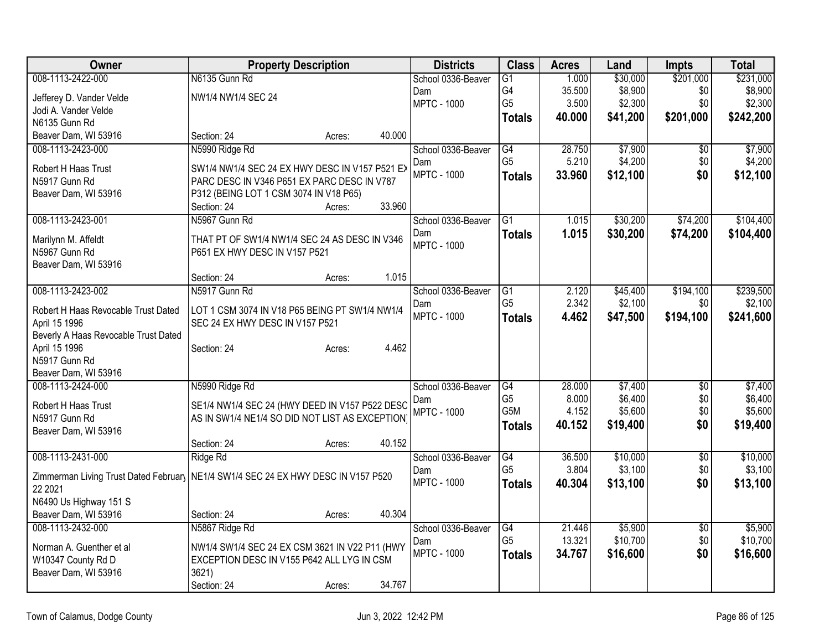| Owner                                | <b>Property Description</b>                                                         |        | <b>Districts</b>          | <b>Class</b>                      | <b>Acres</b>    | Land                | <b>Impts</b>           | <b>Total</b>        |
|--------------------------------------|-------------------------------------------------------------------------------------|--------|---------------------------|-----------------------------------|-----------------|---------------------|------------------------|---------------------|
| 008-1113-2422-000                    | N6135 Gunn Rd                                                                       |        | School 0336-Beaver        | $\overline{G1}$                   | 1.000           | \$30,000            | \$201,000              | \$231,000           |
| Jefferey D. Vander Velde             | NW1/4 NW1/4 SEC 24                                                                  |        | Dam                       | G4                                | 35.500          | \$8,900             | \$0                    | \$8,900             |
| Jodi A. Vander Velde                 |                                                                                     |        | <b>MPTC - 1000</b>        | G <sub>5</sub>                    | 3.500           | \$2,300             | \$0                    | \$2,300             |
| N6135 Gunn Rd                        |                                                                                     |        |                           | <b>Totals</b>                     | 40.000          | \$41,200            | \$201,000              | \$242,200           |
| Beaver Dam, WI 53916                 | Section: 24<br>Acres:                                                               | 40.000 |                           |                                   |                 |                     |                        |                     |
| 008-1113-2423-000                    | N5990 Ridge Rd                                                                      |        | School 0336-Beaver        | G4                                | 28.750          | \$7,900             | \$0                    | \$7,900             |
| Robert H Haas Trust                  | SW1/4 NW1/4 SEC 24 EX HWY DESC IN V157 P521 EX                                      |        | Dam                       | G <sub>5</sub>                    | 5.210           | \$4,200             | \$0                    | \$4,200             |
| N5917 Gunn Rd                        | PARC DESC IN V346 P651 EX PARC DESC IN V787                                         |        | <b>MPTC - 1000</b>        | <b>Totals</b>                     | 33.960          | \$12,100            | \$0                    | \$12,100            |
| Beaver Dam, WI 53916                 | P312 (BEING LOT 1 CSM 3074 IN V18 P65)                                              |        |                           |                                   |                 |                     |                        |                     |
|                                      | Section: 24<br>Acres:                                                               | 33.960 |                           |                                   |                 |                     |                        |                     |
| 008-1113-2423-001                    | N5967 Gunn Rd                                                                       |        | School 0336-Beaver        | $\overline{G1}$                   | 1.015           | \$30,200            | \$74,200               | \$104,400           |
|                                      |                                                                                     |        | Dam                       | <b>Totals</b>                     | 1.015           | \$30,200            | \$74,200               | \$104,400           |
| Marilynn M. Affeldt<br>N5967 Gunn Rd | THAT PT OF SW1/4 NW1/4 SEC 24 AS DESC IN V346<br>P651 EX HWY DESC IN V157 P521      |        | <b>MPTC - 1000</b>        |                                   |                 |                     |                        |                     |
| Beaver Dam, WI 53916                 |                                                                                     |        |                           |                                   |                 |                     |                        |                     |
|                                      | Section: 24<br>Acres:                                                               | 1.015  |                           |                                   |                 |                     |                        |                     |
| 008-1113-2423-002                    | N5917 Gunn Rd                                                                       |        | School 0336-Beaver        | G1                                | 2.120           | \$45,400            | \$194,100              | \$239,500           |
|                                      |                                                                                     |        | Dam                       | G <sub>5</sub>                    | 2.342           | \$2,100             | \$0                    | \$2,100             |
| Robert H Haas Revocable Trust Dated  | LOT 1 CSM 3074 IN V18 P65 BEING PT SW1/4 NW1/4                                      |        | <b>MPTC - 1000</b>        | <b>Totals</b>                     | 4.462           | \$47,500            | \$194,100              | \$241,600           |
| April 15 1996                        | SEC 24 EX HWY DESC IN V157 P521                                                     |        |                           |                                   |                 |                     |                        |                     |
| Beverly A Haas Revocable Trust Dated |                                                                                     |        |                           |                                   |                 |                     |                        |                     |
| April 15 1996<br>N5917 Gunn Rd       | Section: 24<br>Acres:                                                               | 4.462  |                           |                                   |                 |                     |                        |                     |
| Beaver Dam, WI 53916                 |                                                                                     |        |                           |                                   |                 |                     |                        |                     |
| 008-1113-2424-000                    | N5990 Ridge Rd                                                                      |        | School 0336-Beaver        | $\overline{G4}$                   | 28.000          | \$7,400             | $\overline{50}$        | \$7,400             |
|                                      |                                                                                     |        | Dam                       | G <sub>5</sub>                    | 8.000           | \$6,400             | \$0                    | \$6,400             |
| Robert H Haas Trust                  | SE1/4 NW1/4 SEC 24 (HWY DEED IN V157 P522 DESC                                      |        | <b>MPTC - 1000</b>        | G <sub>5</sub> M                  | 4.152           | \$5,600             | \$0                    | \$5,600             |
| N5917 Gunn Rd                        | AS IN SW1/4 NE1/4 SO DID NOT LIST AS EXCEPTION)                                     |        |                           | <b>Totals</b>                     | 40.152          | \$19,400            | \$0                    | \$19,400            |
| Beaver Dam, WI 53916                 |                                                                                     |        |                           |                                   |                 |                     |                        |                     |
|                                      | Section: 24<br>Acres:                                                               | 40.152 |                           |                                   |                 |                     |                        |                     |
| 008-1113-2431-000                    | Ridge Rd                                                                            |        | School 0336-Beaver        | $\overline{G4}$<br>G <sub>5</sub> | 36.500<br>3.804 | \$10,000<br>\$3,100 | $\overline{50}$<br>\$0 | \$10,000<br>\$3,100 |
|                                      | Zimmerman Living Trust Dated February   NE1/4 SW1/4 SEC 24 EX HWY DESC IN V157 P520 |        | Dam<br><b>MPTC - 1000</b> |                                   |                 |                     |                        |                     |
| 22 2021                              |                                                                                     |        |                           | <b>Totals</b>                     | 40.304          | \$13,100            | \$0                    | \$13,100            |
| N6490 Us Highway 151 S               |                                                                                     |        |                           |                                   |                 |                     |                        |                     |
| Beaver Dam, WI 53916                 | Section: 24<br>Acres:                                                               | 40.304 |                           |                                   |                 |                     |                        |                     |
| 008-1113-2432-000                    | N5867 Ridge Rd                                                                      |        | School 0336-Beaver        | $\overline{G4}$                   | 21.446          | \$5,900             | $\sqrt{$0}$            | \$5,900             |
| Norman A. Guenther et al             | NW1/4 SW1/4 SEC 24 EX CSM 3621 IN V22 P11 (HWY                                      |        | Dam                       | G <sub>5</sub>                    | 13.321          | \$10,700            | \$0                    | \$10,700            |
| W10347 County Rd D                   | EXCEPTION DESC IN V155 P642 ALL LYG IN CSM                                          |        | <b>MPTC - 1000</b>        | <b>Totals</b>                     | 34.767          | \$16,600            | \$0                    | \$16,600            |
| Beaver Dam, WI 53916                 | 3621)                                                                               |        |                           |                                   |                 |                     |                        |                     |
|                                      | Section: 24<br>Acres:                                                               | 34.767 |                           |                                   |                 |                     |                        |                     |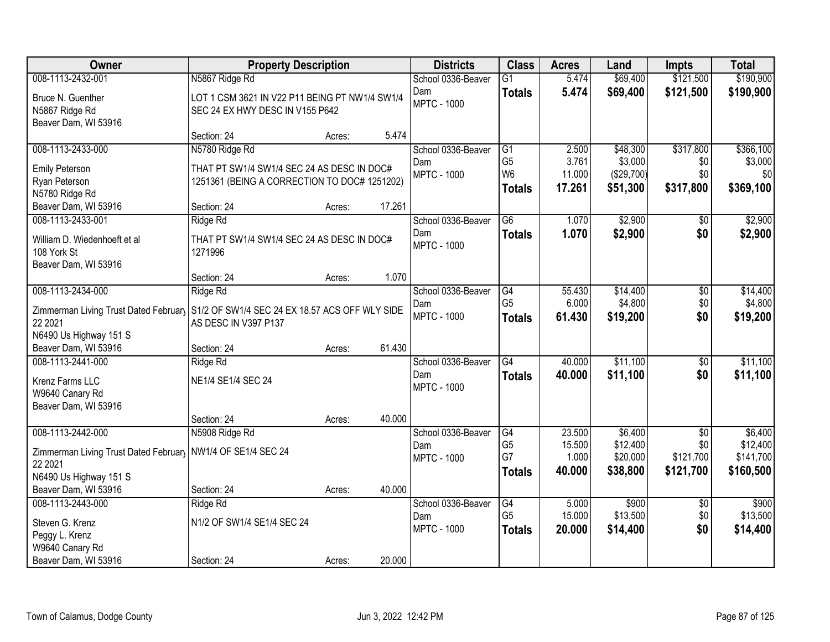| Owner                                                         | <b>Property Description</b>                    |        |        | <b>Districts</b>          | <b>Class</b>                      | <b>Acres</b>    | Land                 | <b>Impts</b>     | <b>Total</b>          |
|---------------------------------------------------------------|------------------------------------------------|--------|--------|---------------------------|-----------------------------------|-----------------|----------------------|------------------|-----------------------|
| 008-1113-2432-001                                             | N5867 Ridge Rd                                 |        |        | School 0336-Beaver        | $\overline{G1}$                   | 5.474           | \$69,400             | \$121,500        | \$190,900             |
| Bruce N. Guenther                                             | LOT 1 CSM 3621 IN V22 P11 BEING PT NW1/4 SW1/4 |        |        | Dam                       | <b>Totals</b>                     | 5.474           | \$69,400             | \$121,500        | \$190,900             |
| N5867 Ridge Rd                                                | SEC 24 EX HWY DESC IN V155 P642                |        |        | <b>MPTC - 1000</b>        |                                   |                 |                      |                  |                       |
| Beaver Dam, WI 53916                                          |                                                |        |        |                           |                                   |                 |                      |                  |                       |
|                                                               | Section: 24                                    | Acres: | 5.474  |                           |                                   |                 |                      |                  |                       |
| 008-1113-2433-000                                             | N5780 Ridge Rd                                 |        |        | School 0336-Beaver        | G1                                | 2.500           | \$48,300             | \$317,800        | \$366,100             |
| <b>Emily Peterson</b>                                         | THAT PT SW1/4 SW1/4 SEC 24 AS DESC IN DOC#     |        |        | Dam                       | G <sub>5</sub><br>W <sub>6</sub>  | 3.761           | \$3,000              | \$0<br>\$0       | \$3,000<br>\$0        |
| Ryan Peterson                                                 | 1251361 (BEING A CORRECTION TO DOC# 1251202)   |        |        | <b>MPTC - 1000</b>        |                                   | 11.000          | (\$29,700)           |                  |                       |
| N5780 Ridge Rd                                                |                                                |        |        |                           | <b>Totals</b>                     | 17.261          | \$51,300             | \$317,800        | \$369,100             |
| Beaver Dam, WI 53916                                          | Section: 24                                    | Acres: | 17.261 |                           |                                   |                 |                      |                  |                       |
| 008-1113-2433-001                                             | Ridge Rd                                       |        |        | School 0336-Beaver        | G6                                | 1.070           | \$2,900              | $\sqrt{6}$       | \$2,900               |
| William D. Wiedenhoeft et al                                  | THAT PT SW1/4 SW1/4 SEC 24 AS DESC IN DOC#     |        |        | Dam                       | <b>Totals</b>                     | 1.070           | \$2,900              | \$0              | \$2,900               |
| 108 York St                                                   | 1271996                                        |        |        | <b>MPTC - 1000</b>        |                                   |                 |                      |                  |                       |
| Beaver Dam, WI 53916                                          |                                                |        |        |                           |                                   |                 |                      |                  |                       |
|                                                               | Section: 24                                    | Acres: | 1.070  |                           |                                   |                 |                      |                  |                       |
| 008-1113-2434-000                                             | Ridge Rd                                       |        |        | School 0336-Beaver        | G4                                | 55.430          | \$14,400             | \$0              | \$14,400              |
| Zimmerman Living Trust Dated February                         | S1/2 OF SW1/4 SEC 24 EX 18.57 ACS OFF WLY SIDE |        |        | Dam<br><b>MPTC - 1000</b> | G <sub>5</sub>                    | 6.000           | \$4,800              | \$0              | \$4,800               |
| 22 2021                                                       | AS DESC IN V397 P137                           |        |        |                           | <b>Totals</b>                     | 61.430          | \$19,200             | \$0              | \$19,200              |
| N6490 Us Highway 151 S                                        |                                                |        |        |                           |                                   |                 |                      |                  |                       |
| Beaver Dam, WI 53916                                          | Section: 24                                    | Acres: | 61.430 |                           |                                   |                 |                      |                  |                       |
| 008-1113-2441-000                                             | Ridge Rd                                       |        |        | School 0336-Beaver        | $\overline{G4}$                   | 40.000          | \$11,100             | \$0              | \$11,100              |
| Krenz Farms LLC                                               | NE1/4 SE1/4 SEC 24                             |        |        | Dam<br><b>MPTC - 1000</b> | <b>Totals</b>                     | 40.000          | \$11,100             | \$0              | \$11,100              |
| W9640 Canary Rd                                               |                                                |        |        |                           |                                   |                 |                      |                  |                       |
| Beaver Dam, WI 53916                                          |                                                |        |        |                           |                                   |                 |                      |                  |                       |
|                                                               | Section: 24                                    | Acres: | 40.000 |                           |                                   |                 |                      |                  |                       |
| 008-1113-2442-000                                             | N5908 Ridge Rd                                 |        |        | School 0336-Beaver        | $\overline{G4}$<br>G <sub>5</sub> | 23.500          | \$6,400              | $\overline{50}$  | \$6,400               |
| Zimmerman Living Trust Dated February   NW1/4 OF SE1/4 SEC 24 |                                                |        |        | Dam<br><b>MPTC - 1000</b> | G7                                | 15.500<br>1.000 | \$12,400<br>\$20,000 | \$0<br>\$121,700 | \$12,400<br>\$141,700 |
| 22 2021                                                       |                                                |        |        |                           | <b>Totals</b>                     | 40.000          | \$38,800             | \$121,700        | \$160,500             |
| N6490 Us Highway 151 S                                        |                                                |        |        |                           |                                   |                 |                      |                  |                       |
| Beaver Dam, WI 53916                                          | Section: 24                                    | Acres: | 40.000 |                           |                                   |                 |                      |                  |                       |
| 008-1113-2443-000                                             | Ridge Rd                                       |        |        | School 0336-Beaver        | G4<br>G <sub>5</sub>              | 5.000<br>15.000 | \$900<br>\$13,500    | $\overline{30}$  | \$900<br>\$13,500     |
| Steven G. Krenz                                               | N1/2 OF SW1/4 SE1/4 SEC 24                     |        |        | Dam<br><b>MPTC - 1000</b> |                                   | 20.000          | \$14,400             | \$0<br>\$0       | \$14,400              |
| Peggy L. Krenz                                                |                                                |        |        |                           | <b>Totals</b>                     |                 |                      |                  |                       |
| W9640 Canary Rd                                               |                                                |        |        |                           |                                   |                 |                      |                  |                       |
| Beaver Dam, WI 53916                                          | Section: 24                                    | Acres: | 20.000 |                           |                                   |                 |                      |                  |                       |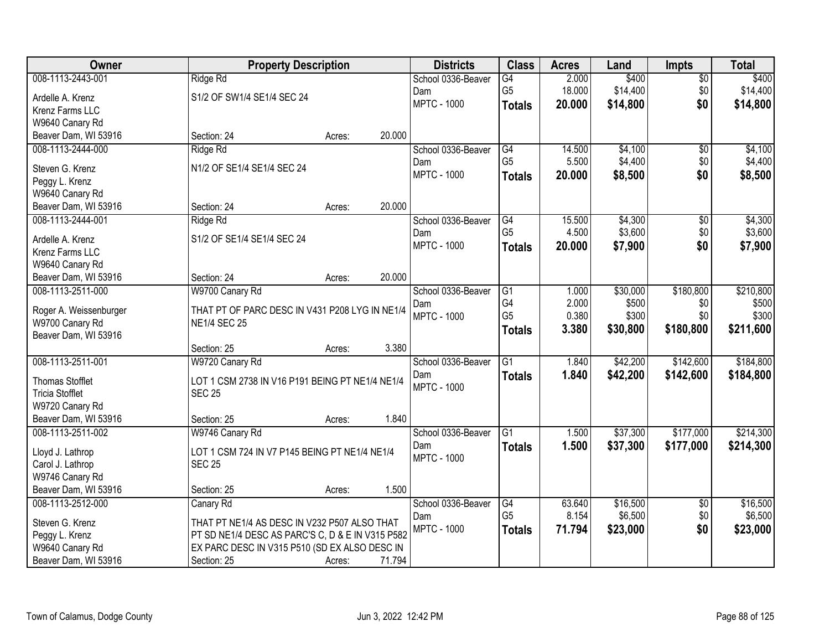| Owner                  | <b>Property Description</b>                      |        |        | <b>Districts</b>   | <b>Class</b>    | <b>Acres</b> | Land     | <b>Impts</b>    | <b>Total</b> |
|------------------------|--------------------------------------------------|--------|--------|--------------------|-----------------|--------------|----------|-----------------|--------------|
| 008-1113-2443-001      | Ridge Rd                                         |        |        | School 0336-Beaver | $\overline{G4}$ | 2.000        | \$400    | $\overline{50}$ | \$400        |
| Ardelle A. Krenz       | S1/2 OF SW1/4 SE1/4 SEC 24                       |        |        | Dam                | G <sub>5</sub>  | 18.000       | \$14,400 | \$0             | \$14,400     |
| Krenz Farms LLC        |                                                  |        |        | <b>MPTC - 1000</b> | <b>Totals</b>   | 20.000       | \$14,800 | \$0             | \$14,800     |
| W9640 Canary Rd        |                                                  |        |        |                    |                 |              |          |                 |              |
| Beaver Dam, WI 53916   | Section: 24                                      | Acres: | 20.000 |                    |                 |              |          |                 |              |
| 008-1113-2444-000      | Ridge Rd                                         |        |        | School 0336-Beaver | G4              | 14.500       | \$4,100  | $\overline{50}$ | \$4,100      |
| Steven G. Krenz        | N1/2 OF SE1/4 SE1/4 SEC 24                       |        |        | Dam                | G <sub>5</sub>  | 5.500        | \$4,400  | \$0             | \$4,400      |
| Peggy L. Krenz         |                                                  |        |        | <b>MPTC - 1000</b> | <b>Totals</b>   | 20.000       | \$8,500  | \$0             | \$8,500      |
| W9640 Canary Rd        |                                                  |        |        |                    |                 |              |          |                 |              |
| Beaver Dam, WI 53916   | Section: 24                                      | Acres: | 20.000 |                    |                 |              |          |                 |              |
| 008-1113-2444-001      | Ridge Rd                                         |        |        | School 0336-Beaver | G4              | 15.500       | \$4,300  | \$0             | \$4,300      |
|                        |                                                  |        |        | Dam                | G <sub>5</sub>  | 4.500        | \$3,600  | \$0             | \$3,600      |
| Ardelle A. Krenz       | S1/2 OF SE1/4 SE1/4 SEC 24                       |        |        | <b>MPTC - 1000</b> | <b>Totals</b>   | 20.000       | \$7,900  | \$0             | \$7,900      |
| Krenz Farms LLC        |                                                  |        |        |                    |                 |              |          |                 |              |
| W9640 Canary Rd        |                                                  |        |        |                    |                 |              |          |                 |              |
| Beaver Dam, WI 53916   | Section: 24                                      | Acres: | 20.000 |                    |                 |              |          |                 |              |
| 008-1113-2511-000      | W9700 Canary Rd                                  |        |        | School 0336-Beaver | $\overline{G1}$ | 1.000        | \$30,000 | \$180,800       | \$210,800    |
| Roger A. Weissenburger | THAT PT OF PARC DESC IN V431 P208 LYG IN NE1/4   |        |        | Dam                | G4              | 2.000        | \$500    | \$0             | \$500        |
| W9700 Canary Rd        | <b>NE1/4 SEC 25</b>                              |        |        | <b>MPTC - 1000</b> | G <sub>5</sub>  | 0.380        | \$300    | \$0             | \$300        |
| Beaver Dam, WI 53916   |                                                  |        |        |                    | <b>Totals</b>   | 3.380        | \$30,800 | \$180,800       | \$211,600    |
|                        | Section: 25                                      | Acres: | 3.380  |                    |                 |              |          |                 |              |
| 008-1113-2511-001      | W9720 Canary Rd                                  |        |        | School 0336-Beaver | $\overline{G1}$ | 1.840        | \$42,200 | \$142,600       | \$184,800    |
| <b>Thomas Stofflet</b> | LOT 1 CSM 2738 IN V16 P191 BEING PT NE1/4 NE1/4  |        |        | Dam                | <b>Totals</b>   | 1.840        | \$42,200 | \$142,600       | \$184,800    |
| <b>Tricia Stofflet</b> | <b>SEC 25</b>                                    |        |        | <b>MPTC - 1000</b> |                 |              |          |                 |              |
| W9720 Canary Rd        |                                                  |        |        |                    |                 |              |          |                 |              |
| Beaver Dam, WI 53916   | Section: 25                                      | Acres: | 1.840  |                    |                 |              |          |                 |              |
| 008-1113-2511-002      | W9746 Canary Rd                                  |        |        | School 0336-Beaver | $\overline{G1}$ | 1.500        | \$37,300 | \$177,000       | \$214,300    |
|                        |                                                  |        |        | Dam                | <b>Totals</b>   | 1.500        | \$37,300 | \$177,000       | \$214,300    |
| Lloyd J. Lathrop       | LOT 1 CSM 724 IN V7 P145 BEING PT NE1/4 NE1/4    |        |        | <b>MPTC - 1000</b> |                 |              |          |                 |              |
| Carol J. Lathrop       | <b>SEC 25</b>                                    |        |        |                    |                 |              |          |                 |              |
| W9746 Canary Rd        |                                                  |        |        |                    |                 |              |          |                 |              |
| Beaver Dam, WI 53916   | Section: 25                                      | Acres: | 1.500  |                    |                 |              |          |                 |              |
| 008-1113-2512-000      | Canary Rd                                        |        |        | School 0336-Beaver | G4              | 63.640       | \$16,500 | \$0             | \$16,500     |
| Steven G. Krenz        | THAT PT NE1/4 AS DESC IN V232 P507 ALSO THAT     |        |        | Dam                | G <sub>5</sub>  | 8.154        | \$6,500  | \$0             | \$6,500      |
| Peggy L. Krenz         | PT SD NE1/4 DESC AS PARC'S C, D & E IN V315 P582 |        |        | <b>MPTC - 1000</b> | <b>Totals</b>   | 71.794       | \$23,000 | \$0             | \$23,000     |
| W9640 Canary Rd        | EX PARC DESC IN V315 P510 (SD EX ALSO DESC IN    |        |        |                    |                 |              |          |                 |              |
| Beaver Dam, WI 53916   | Section: 25                                      | Acres: | 71.794 |                    |                 |              |          |                 |              |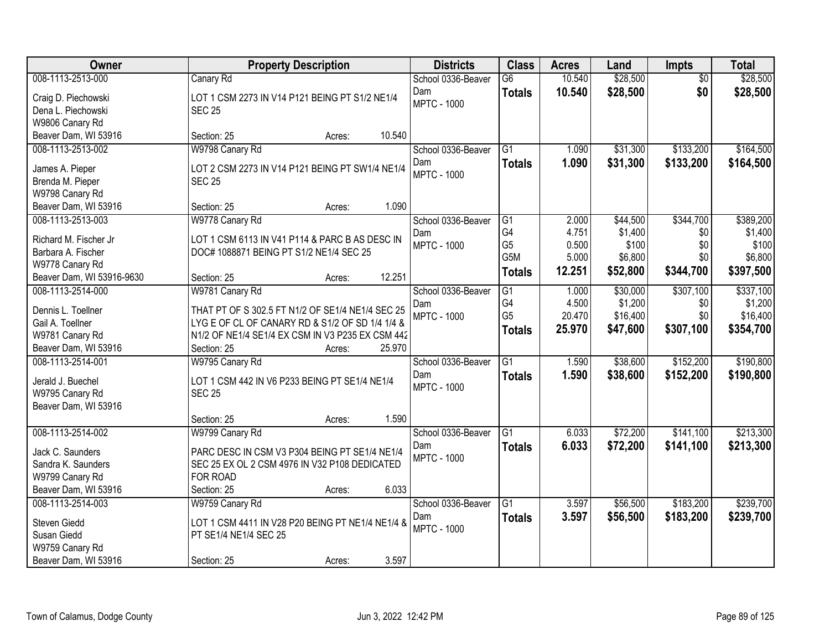| Owner                     | <b>Property Description</b>                      | <b>Districts</b>          | <b>Class</b>         | <b>Acres</b>    | Land                | <b>Impts</b>    | <b>Total</b> |
|---------------------------|--------------------------------------------------|---------------------------|----------------------|-----------------|---------------------|-----------------|--------------|
| 008-1113-2513-000         | Canary Rd                                        | School 0336-Beaver        | $\overline{G6}$      | 10.540          | \$28,500            | $\overline{50}$ | \$28,500     |
| Craig D. Piechowski       | LOT 1 CSM 2273 IN V14 P121 BEING PT S1/2 NE1/4   | Dam                       | <b>Totals</b>        | 10.540          | \$28,500            | \$0             | \$28,500     |
| Dena L. Piechowski        | <b>SEC 25</b>                                    | <b>MPTC - 1000</b>        |                      |                 |                     |                 |              |
| W9806 Canary Rd           |                                                  |                           |                      |                 |                     |                 |              |
| Beaver Dam, WI 53916      | 10.540<br>Section: 25<br>Acres:                  |                           |                      |                 |                     |                 |              |
| 008-1113-2513-002         | W9798 Canary Rd                                  | School 0336-Beaver        | $\overline{G1}$      | 1.090           | \$31,300            | \$133,200       | \$164,500    |
| James A. Pieper           | LOT 2 CSM 2273 IN V14 P121 BEING PT SW1/4 NE1/4  | Dam                       | <b>Totals</b>        | 1.090           | \$31,300            | \$133,200       | \$164,500    |
| Brenda M. Pieper          | <b>SEC 25</b>                                    | <b>MPTC - 1000</b>        |                      |                 |                     |                 |              |
| W9798 Canary Rd           |                                                  |                           |                      |                 |                     |                 |              |
| Beaver Dam, WI 53916      | 1.090<br>Section: 25<br>Acres:                   |                           |                      |                 |                     |                 |              |
| 008-1113-2513-003         | W9778 Canary Rd                                  | School 0336-Beaver        | G1                   | 2.000           | \$44,500            | \$344,700       | \$389,200    |
|                           |                                                  | Dam                       | G4                   | 4.751           | \$1,400             | \$0             | \$1,400      |
| Richard M. Fischer Jr.    | LOT 1 CSM 6113 IN V41 P114 & PARC B AS DESC IN   | <b>MPTC - 1000</b>        | G <sub>5</sub>       | 0.500           | \$100               | \$0             | \$100        |
| Barbara A. Fischer        | DOC# 1088871 BEING PT S1/2 NE1/4 SEC 25          |                           | G <sub>5</sub> M     | 5.000           | \$6,800             | \$0             | \$6,800      |
| W9778 Canary Rd           |                                                  |                           | <b>Totals</b>        | 12.251          | \$52,800            | \$344,700       | \$397,500    |
| Beaver Dam, WI 53916-9630 | 12.251<br>Section: 25<br>Acres:                  |                           |                      |                 |                     |                 |              |
| 008-1113-2514-000         | W9781 Canary Rd                                  | School 0336-Beaver        | G1                   | 1.000           | \$30,000            | \$307,100       | \$337,100    |
| Dennis L. Toellner        | THAT PT OF S 302.5 FT N1/2 OF SE1/4 NE1/4 SEC 25 | Dam                       | G4<br>G <sub>5</sub> | 4.500<br>20.470 | \$1,200<br>\$16,400 | \$0             | \$1,200      |
| Gail A. Toellner          | LYG E OF CL OF CANARY RD & S1/2 OF SD 1/4 1/4 &  | <b>MPTC - 1000</b>        |                      |                 |                     | \$0             | \$16,400     |
| W9781 Canary Rd           | N1/2 OF NE1/4 SE1/4 EX CSM IN V3 P235 EX CSM 442 |                           | <b>Totals</b>        | 25.970          | \$47,600            | \$307,100       | \$354,700    |
| Beaver Dam, WI 53916      | 25.970<br>Section: 25<br>Acres:                  |                           |                      |                 |                     |                 |              |
| 008-1113-2514-001         | W9795 Canary Rd                                  | School 0336-Beaver        | $\overline{G1}$      | 1.590           | \$38,600            | \$152,200       | \$190,800    |
| Jerald J. Buechel         | LOT 1 CSM 442 IN V6 P233 BEING PT SE1/4 NE1/4    | Dam                       | <b>Totals</b>        | 1.590           | \$38,600            | \$152,200       | \$190,800    |
| W9795 Canary Rd           | <b>SEC 25</b>                                    | <b>MPTC - 1000</b>        |                      |                 |                     |                 |              |
| Beaver Dam, WI 53916      |                                                  |                           |                      |                 |                     |                 |              |
|                           | 1.590<br>Section: 25<br>Acres:                   |                           |                      |                 |                     |                 |              |
| 008-1113-2514-002         | W9799 Canary Rd                                  | School 0336-Beaver        | $\overline{G1}$      | 6.033           | \$72,200            | \$141,100       | \$213,300    |
|                           |                                                  | Dam                       | <b>Totals</b>        | 6.033           | \$72,200            | \$141,100       | \$213,300    |
| Jack C. Saunders          | PARC DESC IN CSM V3 P304 BEING PT SE1/4 NE1/4    | <b>MPTC - 1000</b>        |                      |                 |                     |                 |              |
| Sandra K. Saunders        | SEC 25 EX OL 2 CSM 4976 IN V32 P108 DEDICATED    |                           |                      |                 |                     |                 |              |
| W9799 Canary Rd           | FOR ROAD                                         |                           |                      |                 |                     |                 |              |
| Beaver Dam, WI 53916      | 6.033<br>Section: 25<br>Acres:                   |                           |                      |                 |                     |                 | \$239,700    |
| 008-1113-2514-003         | W9759 Canary Rd                                  | School 0336-Beaver        | $\overline{G1}$      | 3.597           | \$56,500            | \$183,200       |              |
| Steven Giedd              | LOT 1 CSM 4411 IN V28 P20 BEING PT NE1/4 NE1/4 & | Dam<br><b>MPTC - 1000</b> | <b>Totals</b>        | 3.597           | \$56,500            | \$183,200       | \$239,700    |
| Susan Giedd               | PT SE1/4 NE1/4 SEC 25                            |                           |                      |                 |                     |                 |              |
| W9759 Canary Rd           |                                                  |                           |                      |                 |                     |                 |              |
| Beaver Dam, WI 53916      | 3.597<br>Section: 25<br>Acres:                   |                           |                      |                 |                     |                 |              |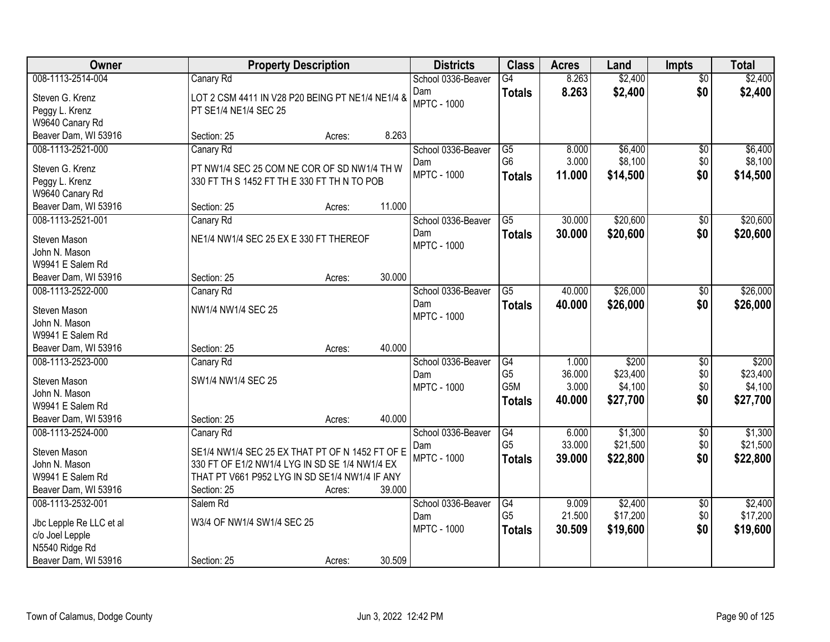| Owner                   | <b>Property Description</b>                      |        |        | <b>Districts</b>   | <b>Class</b>     | <b>Acres</b> | Land     | <b>Impts</b>    | <b>Total</b> |
|-------------------------|--------------------------------------------------|--------|--------|--------------------|------------------|--------------|----------|-----------------|--------------|
| 008-1113-2514-004       | Canary Rd                                        |        |        | School 0336-Beaver | $\overline{G4}$  | 8.263        | \$2,400  | $\overline{50}$ | \$2,400      |
| Steven G. Krenz         | LOT 2 CSM 4411 IN V28 P20 BEING PT NE1/4 NE1/4 & |        |        | Dam                | <b>Totals</b>    | 8.263        | \$2,400  | \$0             | \$2,400      |
| Peggy L. Krenz          | PT SE1/4 NE1/4 SEC 25                            |        |        | <b>MPTC - 1000</b> |                  |              |          |                 |              |
| W9640 Canary Rd         |                                                  |        |        |                    |                  |              |          |                 |              |
| Beaver Dam, WI 53916    | Section: 25                                      | Acres: | 8.263  |                    |                  |              |          |                 |              |
| 008-1113-2521-000       | Canary Rd                                        |        |        | School 0336-Beaver | $\overline{G5}$  | 8.000        | \$6,400  | $\overline{50}$ | \$6,400      |
| Steven G. Krenz         | PT NW1/4 SEC 25 COM NE COR OF SD NW1/4 TH W      |        |        | Dam                | G <sub>6</sub>   | 3.000        | \$8,100  | \$0             | \$8,100      |
| Peggy L. Krenz          | 330 FT TH S 1452 FT TH E 330 FT TH N TO POB      |        |        | <b>MPTC - 1000</b> | <b>Totals</b>    | 11.000       | \$14,500 | \$0             | \$14,500     |
| W9640 Canary Rd         |                                                  |        |        |                    |                  |              |          |                 |              |
| Beaver Dam, WI 53916    | Section: 25                                      | Acres: | 11.000 |                    |                  |              |          |                 |              |
| 008-1113-2521-001       | Canary Rd                                        |        |        | School 0336-Beaver | G5               | 30.000       | \$20,600 | \$0             | \$20,600     |
|                         |                                                  |        |        | Dam                | <b>Totals</b>    | 30.000       | \$20,600 | \$0             | \$20,600     |
| Steven Mason            | NE1/4 NW1/4 SEC 25 EX E 330 FT THEREOF           |        |        | <b>MPTC - 1000</b> |                  |              |          |                 |              |
| John N. Mason           |                                                  |        |        |                    |                  |              |          |                 |              |
| W9941 E Salem Rd        |                                                  |        |        |                    |                  |              |          |                 |              |
| Beaver Dam, WI 53916    | Section: 25                                      | Acres: | 30.000 |                    |                  |              |          |                 |              |
| 008-1113-2522-000       | Canary Rd                                        |        |        | School 0336-Beaver | $\overline{G5}$  | 40.000       | \$26,000 | $\sqrt[6]{3}$   | \$26,000     |
| Steven Mason            | NW1/4 NW1/4 SEC 25                               |        |        | Dam                | <b>Totals</b>    | 40.000       | \$26,000 | \$0             | \$26,000     |
| John N. Mason           |                                                  |        |        | <b>MPTC - 1000</b> |                  |              |          |                 |              |
| W9941 E Salem Rd        |                                                  |        |        |                    |                  |              |          |                 |              |
| Beaver Dam, WI 53916    | Section: 25                                      | Acres: | 40.000 |                    |                  |              |          |                 |              |
| 008-1113-2523-000       | Canary Rd                                        |        |        | School 0336-Beaver | $\overline{G4}$  | 1.000        | \$200    | $\overline{50}$ | \$200        |
| Steven Mason            | SW1/4 NW1/4 SEC 25                               |        |        | Dam                | G <sub>5</sub>   | 36.000       | \$23,400 | \$0             | \$23,400     |
| John N. Mason           |                                                  |        |        | <b>MPTC - 1000</b> | G <sub>5</sub> M | 3.000        | \$4,100  | \$0             | \$4,100      |
| W9941 E Salem Rd        |                                                  |        |        |                    | <b>Totals</b>    | 40.000       | \$27,700 | \$0             | \$27,700     |
| Beaver Dam, WI 53916    | Section: 25                                      | Acres: | 40.000 |                    |                  |              |          |                 |              |
| 008-1113-2524-000       | Canary Rd                                        |        |        | School 0336-Beaver | G4               | 6.000        | \$1,300  | $\overline{50}$ | \$1,300      |
|                         |                                                  |        |        | Dam                | G <sub>5</sub>   | 33.000       | \$21,500 | \$0             | \$21,500     |
| Steven Mason            | SE1/4 NW1/4 SEC 25 EX THAT PT OF N 1452 FT OF E  |        |        | <b>MPTC - 1000</b> | <b>Totals</b>    | 39.000       | \$22,800 | \$0             | \$22,800     |
| John N. Mason           | 330 FT OF E1/2 NW1/4 LYG IN SD SE 1/4 NW1/4 EX   |        |        |                    |                  |              |          |                 |              |
| W9941 E Salem Rd        | THAT PT V661 P952 LYG IN SD SE1/4 NW1/4 IF ANY   |        |        |                    |                  |              |          |                 |              |
| Beaver Dam, WI 53916    | Section: 25                                      | Acres: | 39.000 |                    |                  |              |          |                 |              |
| 008-1113-2532-001       | Salem Rd                                         |        |        | School 0336-Beaver | G4               | 9.009        | \$2,400  | $\overline{50}$ | \$2,400      |
| Jbc Lepple Re LLC et al | W3/4 OF NW1/4 SW1/4 SEC 25                       |        |        | Dam                | G <sub>5</sub>   | 21.500       | \$17,200 | \$0             | \$17,200     |
| c/o Joel Lepple         |                                                  |        |        | <b>MPTC - 1000</b> | <b>Totals</b>    | 30.509       | \$19,600 | \$0             | \$19,600     |
| N5540 Ridge Rd          |                                                  |        |        |                    |                  |              |          |                 |              |
| Beaver Dam, WI 53916    | Section: 25                                      | Acres: | 30.509 |                    |                  |              |          |                 |              |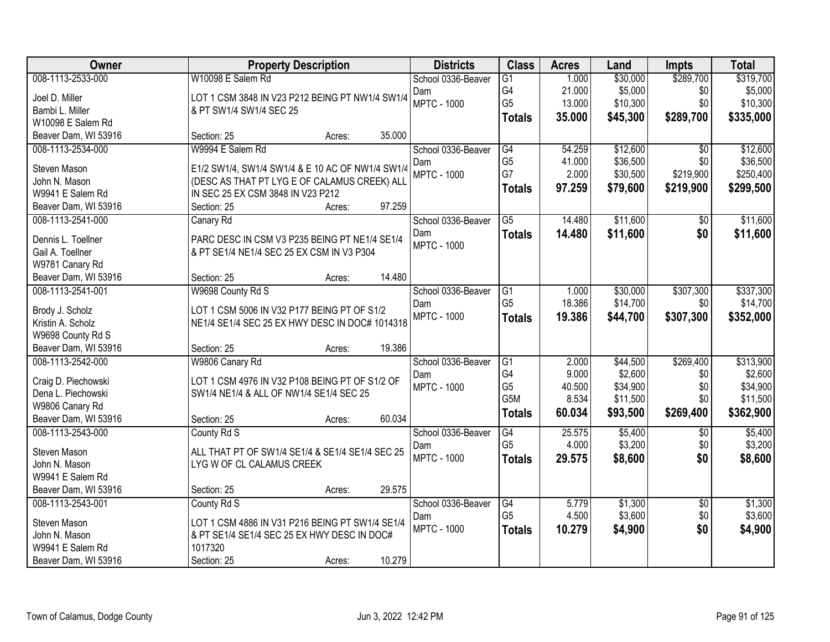| Owner                                     | <b>Property Description</b>                      | <b>Districts</b>          | <b>Class</b>         | <b>Acres</b>    | Land                 | Impts            | <b>Total</b>          |
|-------------------------------------------|--------------------------------------------------|---------------------------|----------------------|-----------------|----------------------|------------------|-----------------------|
| 008-1113-2533-000                         | W10098 E Salem Rd                                | School 0336-Beaver        | $\overline{G1}$      | 1.000           | \$30,000             | \$289,700        | \$319,700             |
| Joel D. Miller                            | LOT 1 CSM 3848 IN V23 P212 BEING PT NW1/4 SW1/4  | Dam                       | G4                   | 21.000          | \$5,000              | \$0              | \$5,000               |
| Bambi L. Miller                           | & PT SW1/4 SW1/4 SEC 25                          | <b>MPTC - 1000</b>        | G <sub>5</sub>       | 13.000          | \$10,300             | \$0              | \$10,300              |
| W10098 E Salem Rd                         |                                                  |                           | <b>Totals</b>        | 35.000          | \$45,300             | \$289,700        | \$335,000             |
| Beaver Dam, WI 53916                      | 35.000<br>Section: 25<br>Acres:                  |                           |                      |                 |                      |                  |                       |
| 008-1113-2534-000                         | W9994 E Salem Rd                                 | School 0336-Beaver        | G4                   | 54.259          | \$12,600             | $\overline{30}$  | \$12,600              |
| Steven Mason                              | E1/2 SW1/4, SW1/4 SW1/4 & E 10 AC OF NW1/4 SW1/4 | Dam                       | G <sub>5</sub>       | 41.000          | \$36,500             | \$0              | \$36,500              |
| John N. Mason                             | (DESC AS THAT PT LYG E OF CALAMUS CREEK) ALL     | <b>MPTC - 1000</b>        | G7                   | 2.000           | \$30,500             | \$219,900        | \$250,400             |
| W9941 E Salem Rd                          | IN SEC 25 EX CSM 3848 IN V23 P212                |                           | <b>Totals</b>        | 97.259          | \$79,600             | \$219,900        | \$299,500             |
| Beaver Dam, WI 53916                      | 97.259<br>Section: 25<br>Acres:                  |                           |                      |                 |                      |                  |                       |
| 008-1113-2541-000                         | Canary Rd                                        | School 0336-Beaver        | G5                   | 14.480          | \$11,600             | \$0              | \$11,600              |
|                                           |                                                  | Dam                       | <b>Totals</b>        | 14.480          | \$11,600             | \$0              | \$11,600              |
| Dennis L. Toellner                        | PARC DESC IN CSM V3 P235 BEING PT NE1/4 SE1/4    | <b>MPTC - 1000</b>        |                      |                 |                      |                  |                       |
| Gail A. Toellner                          | & PT SE1/4 NE1/4 SEC 25 EX CSM IN V3 P304        |                           |                      |                 |                      |                  |                       |
| W9781 Canary Rd                           | 14.480                                           |                           |                      |                 |                      |                  |                       |
| Beaver Dam, WI 53916<br>008-1113-2541-001 | Section: 25<br>Acres:                            |                           |                      |                 |                      |                  |                       |
|                                           | W9698 County Rd S                                | School 0336-Beaver        | G1<br>G <sub>5</sub> | 1.000<br>18.386 | \$30,000<br>\$14,700 | \$307,300<br>\$0 | \$337,300<br>\$14,700 |
| Brody J. Scholz                           | LOT 1 CSM 5006 IN V32 P177 BEING PT OF S1/2      | Dam<br><b>MPTC - 1000</b> |                      | 19.386          |                      | \$307,300        |                       |
| Kristin A. Scholz                         | NE1/4 SE1/4 SEC 25 EX HWY DESC IN DOC# 1014318   |                           | <b>Totals</b>        |                 | \$44,700             |                  | \$352,000             |
| W9698 County Rd S                         |                                                  |                           |                      |                 |                      |                  |                       |
| Beaver Dam, WI 53916                      | 19.386<br>Section: 25<br>Acres:                  |                           |                      |                 |                      |                  |                       |
| 008-1113-2542-000                         | W9806 Canary Rd                                  | School 0336-Beaver        | G1                   | 2.000           | \$44,500             | \$269,400        | \$313,900             |
| Craig D. Piechowski                       | LOT 1 CSM 4976 IN V32 P108 BEING PT OF S1/2 OF   | Dam                       | G4                   | 9.000           | \$2,600              | \$0              | \$2,600               |
| Dena L. Piechowski                        | SW1/4 NE1/4 & ALL OF NW1/4 SE1/4 SEC 25          | <b>MPTC - 1000</b>        | G <sub>5</sub>       | 40.500          | \$34,900             | \$0              | \$34,900              |
| W9806 Canary Rd                           |                                                  |                           | G5M                  | 8.534           | \$11,500             | \$0              | \$11,500              |
| Beaver Dam, WI 53916                      | 60.034<br>Section: 25<br>Acres:                  |                           | <b>Totals</b>        | 60.034          | \$93,500             | \$269,400        | \$362,900             |
| 008-1113-2543-000                         | County Rd S                                      | School 0336-Beaver        | G4                   | 25.575          | \$5,400              | $\sqrt{6}$       | \$5,400               |
| Steven Mason                              | ALL THAT PT OF SW1/4 SE1/4 & SE1/4 SE1/4 SEC 25  | Dam                       | G <sub>5</sub>       | 4.000           | \$3,200              | \$0              | \$3,200               |
| John N. Mason                             | LYG W OF CL CALAMUS CREEK                        | <b>MPTC - 1000</b>        | <b>Totals</b>        | 29.575          | \$8,600              | \$0              | \$8,600               |
| W9941 E Salem Rd                          |                                                  |                           |                      |                 |                      |                  |                       |
| Beaver Dam, WI 53916                      | 29.575<br>Section: 25<br>Acres:                  |                           |                      |                 |                      |                  |                       |
| 008-1113-2543-001                         | County Rd S                                      | School 0336-Beaver        | G4                   | 5.779           | \$1,300              | $\overline{30}$  | \$1,300               |
|                                           |                                                  | Dam                       | G <sub>5</sub>       | 4.500           | \$3,600              | \$0              | \$3,600               |
| Steven Mason                              | LOT 1 CSM 4886 IN V31 P216 BEING PT SW1/4 SE1/4  | <b>MPTC - 1000</b>        | <b>Totals</b>        | 10.279          | \$4,900              | \$0              | \$4,900               |
| John N. Mason                             | & PT SE1/4 SE1/4 SEC 25 EX HWY DESC IN DOC#      |                           |                      |                 |                      |                  |                       |
| W9941 E Salem Rd                          | 1017320<br>10.279                                |                           |                      |                 |                      |                  |                       |
| Beaver Dam, WI 53916                      | Section: 25<br>Acres:                            |                           |                      |                 |                      |                  |                       |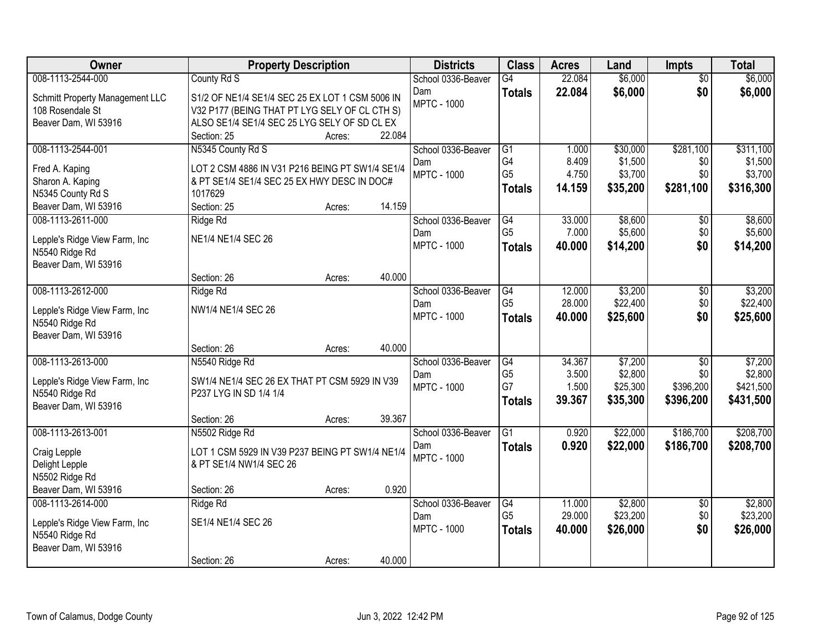| Owner                           | <b>Property Description</b>                     |        |        | <b>Districts</b>   | <b>Class</b>    | <b>Acres</b> | Land     | <b>Impts</b>    | <b>Total</b> |
|---------------------------------|-------------------------------------------------|--------|--------|--------------------|-----------------|--------------|----------|-----------------|--------------|
| 008-1113-2544-000               | County Rd S                                     |        |        | School 0336-Beaver | G4              | 22.084       | \$6,000  | $\overline{50}$ | \$6,000      |
| Schmitt Property Management LLC | S1/2 OF NE1/4 SE1/4 SEC 25 EX LOT 1 CSM 5006 IN |        |        | Dam                | <b>Totals</b>   | 22.084       | \$6,000  | \$0             | \$6,000      |
| 108 Rosendale St                | V32 P177 (BEING THAT PT LYG SELY OF CL CTH S)   |        |        | <b>MPTC - 1000</b> |                 |              |          |                 |              |
| Beaver Dam, WI 53916            | ALSO SE1/4 SE1/4 SEC 25 LYG SELY OF SD CL EX    |        |        |                    |                 |              |          |                 |              |
|                                 | Section: 25                                     | Acres: | 22.084 |                    |                 |              |          |                 |              |
| 008-1113-2544-001               | N5345 County Rd S                               |        |        | School 0336-Beaver | G1              | 1.000        | \$30,000 | \$281,100       | \$311,100    |
| Fred A. Kaping                  | LOT 2 CSM 4886 IN V31 P216 BEING PT SW1/4 SE1/4 |        |        | Dam                | G4              | 8.409        | \$1,500  | \$0             | \$1,500      |
| Sharon A. Kaping                | & PT SE1/4 SE1/4 SEC 25 EX HWY DESC IN DOC#     |        |        | <b>MPTC - 1000</b> | G <sub>5</sub>  | 4.750        | \$3,700  | \$0             | \$3,700      |
| N5345 County Rd S               | 1017629                                         |        |        |                    | <b>Totals</b>   | 14.159       | \$35,200 | \$281,100       | \$316,300    |
| Beaver Dam, WI 53916            | Section: 25                                     | Acres: | 14.159 |                    |                 |              |          |                 |              |
| 008-1113-2611-000               | Ridge Rd                                        |        |        | School 0336-Beaver | $\overline{G4}$ | 33.000       | \$8,600  | \$0             | \$8,600      |
| Lepple's Ridge View Farm, Inc.  | NE1/4 NE1/4 SEC 26                              |        |        | Dam                | G <sub>5</sub>  | 7.000        | \$5,600  | \$0             | \$5,600      |
| N5540 Ridge Rd                  |                                                 |        |        | <b>MPTC - 1000</b> | <b>Totals</b>   | 40.000       | \$14,200 | \$0             | \$14,200     |
| Beaver Dam, WI 53916            |                                                 |        |        |                    |                 |              |          |                 |              |
|                                 | Section: 26                                     | Acres: | 40.000 |                    |                 |              |          |                 |              |
| 008-1113-2612-000               | Ridge Rd                                        |        |        | School 0336-Beaver | G4              | 12.000       | \$3,200  | \$0             | \$3,200      |
| Lepple's Ridge View Farm, Inc   | NW1/4 NE1/4 SEC 26                              |        |        | Dam                | G <sub>5</sub>  | 28.000       | \$22,400 | \$0             | \$22,400     |
| N5540 Ridge Rd                  |                                                 |        |        | <b>MPTC - 1000</b> | <b>Totals</b>   | 40.000       | \$25,600 | \$0             | \$25,600     |
| Beaver Dam, WI 53916            |                                                 |        |        |                    |                 |              |          |                 |              |
|                                 | Section: 26                                     | Acres: | 40.000 |                    |                 |              |          |                 |              |
| 008-1113-2613-000               | N5540 Ridge Rd                                  |        |        | School 0336-Beaver | $\overline{G4}$ | 34.367       | \$7,200  | $\overline{50}$ | \$7,200      |
| Lepple's Ridge View Farm, Inc   | SW1/4 NE1/4 SEC 26 EX THAT PT CSM 5929 IN V39   |        |        | Dam                | G <sub>5</sub>  | 3.500        | \$2,800  | \$0             | \$2,800      |
| N5540 Ridge Rd                  | P237 LYG IN SD 1/4 1/4                          |        |        | <b>MPTC - 1000</b> | G7              | 1.500        | \$25,300 | \$396,200       | \$421,500    |
| Beaver Dam, WI 53916            |                                                 |        |        |                    | <b>Totals</b>   | 39.367       | \$35,300 | \$396,200       | \$431,500    |
|                                 | Section: 26                                     | Acres: | 39.367 |                    |                 |              |          |                 |              |
| 008-1113-2613-001               | N5502 Ridge Rd                                  |        |        | School 0336-Beaver | $\overline{G1}$ | 0.920        | \$22,000 | \$186,700       | \$208,700    |
| Craig Lepple                    | LOT 1 CSM 5929 IN V39 P237 BEING PT SW1/4 NE1/4 |        |        | Dam                | <b>Totals</b>   | 0.920        | \$22,000 | \$186,700       | \$208,700    |
| Delight Lepple                  | & PT SE1/4 NW1/4 SEC 26                         |        |        | <b>MPTC - 1000</b> |                 |              |          |                 |              |
| N5502 Ridge Rd                  |                                                 |        |        |                    |                 |              |          |                 |              |
| Beaver Dam, WI 53916            | Section: 26                                     | Acres: | 0.920  |                    |                 |              |          |                 |              |
| 008-1113-2614-000               | Ridge Rd                                        |        |        | School 0336-Beaver | G4              | 11.000       | \$2,800  | $\overline{30}$ | \$2,800      |
| Lepple's Ridge View Farm, Inc   | SE1/4 NE1/4 SEC 26                              |        |        | Dam                | G <sub>5</sub>  | 29.000       | \$23,200 | \$0             | \$23,200     |
| N5540 Ridge Rd                  |                                                 |        |        | <b>MPTC - 1000</b> | <b>Totals</b>   | 40.000       | \$26,000 | \$0             | \$26,000     |
| Beaver Dam, WI 53916            |                                                 |        |        |                    |                 |              |          |                 |              |
|                                 | Section: 26                                     | Acres: | 40.000 |                    |                 |              |          |                 |              |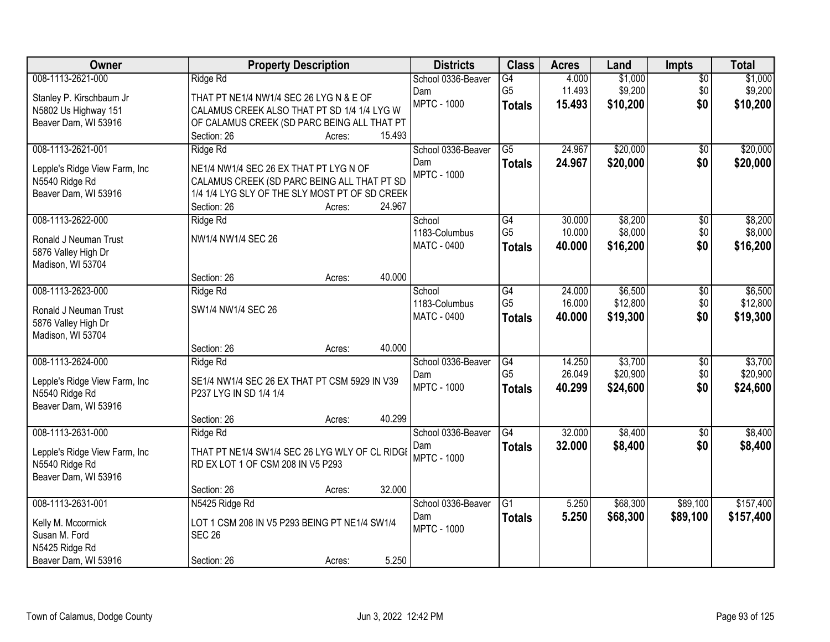| Owner                         |                                                | <b>Property Description</b> |        | <b>Districts</b>   | <b>Class</b>    | <b>Acres</b> | Land     | <b>Impts</b>    | <b>Total</b> |
|-------------------------------|------------------------------------------------|-----------------------------|--------|--------------------|-----------------|--------------|----------|-----------------|--------------|
| 008-1113-2621-000             | Ridge Rd                                       |                             |        | School 0336-Beaver | G4              | 4.000        | \$1,000  | $\overline{30}$ | \$1,000      |
| Stanley P. Kirschbaum Jr      | THAT PT NE1/4 NW1/4 SEC 26 LYG N & E OF        |                             |        | Dam                | G <sub>5</sub>  | 11.493       | \$9,200  | \$0             | \$9,200      |
| N5802 Us Highway 151          | CALAMUS CREEK ALSO THAT PT SD 1/4 1/4 LYG W    |                             |        | <b>MPTC - 1000</b> | <b>Totals</b>   | 15.493       | \$10,200 | \$0             | \$10,200     |
| Beaver Dam, WI 53916          | OF CALAMUS CREEK (SD PARC BEING ALL THAT PT    |                             |        |                    |                 |              |          |                 |              |
|                               | Section: 26                                    | Acres:                      | 15.493 |                    |                 |              |          |                 |              |
| 008-1113-2621-001             | Ridge Rd                                       |                             |        | School 0336-Beaver | $\overline{G5}$ | 24.967       | \$20,000 | $\overline{50}$ | \$20,000     |
| Lepple's Ridge View Farm, Inc | NE1/4 NW1/4 SEC 26 EX THAT PT LYG N OF         |                             |        | Dam                | <b>Totals</b>   | 24.967       | \$20,000 | \$0             | \$20,000     |
| N5540 Ridge Rd                | CALAMUS CREEK (SD PARC BEING ALL THAT PT SD    |                             |        | <b>MPTC - 1000</b> |                 |              |          |                 |              |
| Beaver Dam, WI 53916          | 1/4 1/4 LYG SLY OF THE SLY MOST PT OF SD CREEK |                             |        |                    |                 |              |          |                 |              |
|                               | Section: 26                                    | Acres:                      | 24.967 |                    |                 |              |          |                 |              |
| 008-1113-2622-000             | Ridge Rd                                       |                             |        | School             | $\overline{G4}$ | 30.000       | \$8,200  | \$0             | \$8,200      |
| Ronald J Neuman Trust         | NW1/4 NW1/4 SEC 26                             |                             |        | 1183-Columbus      | G <sub>5</sub>  | 10.000       | \$8,000  | \$0             | \$8,000      |
| 5876 Valley High Dr           |                                                |                             |        | MATC - 0400        | <b>Totals</b>   | 40.000       | \$16,200 | \$0             | \$16,200     |
| Madison, WI 53704             |                                                |                             |        |                    |                 |              |          |                 |              |
|                               | Section: 26                                    | Acres:                      | 40.000 |                    |                 |              |          |                 |              |
| 008-1113-2623-000             | Ridge Rd                                       |                             |        | School             | G4              | 24.000       | \$6,500  | \$0             | \$6,500      |
| Ronald J Neuman Trust         | SW1/4 NW1/4 SEC 26                             |                             |        | 1183-Columbus      | G <sub>5</sub>  | 16.000       | \$12,800 | \$0             | \$12,800     |
| 5876 Valley High Dr           |                                                |                             |        | MATC - 0400        | <b>Totals</b>   | 40.000       | \$19,300 | \$0             | \$19,300     |
| Madison, WI 53704             |                                                |                             |        |                    |                 |              |          |                 |              |
|                               | Section: 26                                    | Acres:                      | 40.000 |                    |                 |              |          |                 |              |
| 008-1113-2624-000             | Ridge Rd                                       |                             |        | School 0336-Beaver | $\overline{G4}$ | 14.250       | \$3,700  | \$0             | \$3,700      |
| Lepple's Ridge View Farm, Inc | SE1/4 NW1/4 SEC 26 EX THAT PT CSM 5929 IN V39  |                             |        | Dam                | G <sub>5</sub>  | 26.049       | \$20,900 | \$0             | \$20,900     |
| N5540 Ridge Rd                | P237 LYG IN SD 1/4 1/4                         |                             |        | <b>MPTC - 1000</b> | <b>Totals</b>   | 40.299       | \$24,600 | \$0             | \$24,600     |
| Beaver Dam, WI 53916          |                                                |                             |        |                    |                 |              |          |                 |              |
|                               | Section: 26                                    | Acres:                      | 40.299 |                    |                 |              |          |                 |              |
| 008-1113-2631-000             | Ridge Rd                                       |                             |        | School 0336-Beaver | G4              | 32.000       | \$8,400  | $\sqrt{6}$      | \$8,400      |
| Lepple's Ridge View Farm, Inc | THAT PT NE1/4 SW1/4 SEC 26 LYG WLY OF CL RIDGE |                             |        | Dam                | <b>Totals</b>   | 32.000       | \$8,400  | \$0             | \$8,400      |
| N5540 Ridge Rd                | RD EX LOT 1 OF CSM 208 IN V5 P293              |                             |        | <b>MPTC - 1000</b> |                 |              |          |                 |              |
| Beaver Dam, WI 53916          |                                                |                             |        |                    |                 |              |          |                 |              |
|                               | Section: 26                                    | Acres:                      | 32.000 |                    |                 |              |          |                 |              |
| 008-1113-2631-001             | N5425 Ridge Rd                                 |                             |        | School 0336-Beaver | $\overline{G1}$ | 5.250        | \$68,300 | \$89,100        | \$157,400    |
| Kelly M. Mccormick            | LOT 1 CSM 208 IN V5 P293 BEING PT NE1/4 SW1/4  |                             |        | Dam                | <b>Totals</b>   | 5.250        | \$68,300 | \$89,100        | \$157,400    |
| Susan M. Ford                 | <b>SEC 26</b>                                  |                             |        | <b>MPTC - 1000</b> |                 |              |          |                 |              |
| N5425 Ridge Rd                |                                                |                             |        |                    |                 |              |          |                 |              |
| Beaver Dam, WI 53916          | Section: 26                                    | Acres:                      | 5.250  |                    |                 |              |          |                 |              |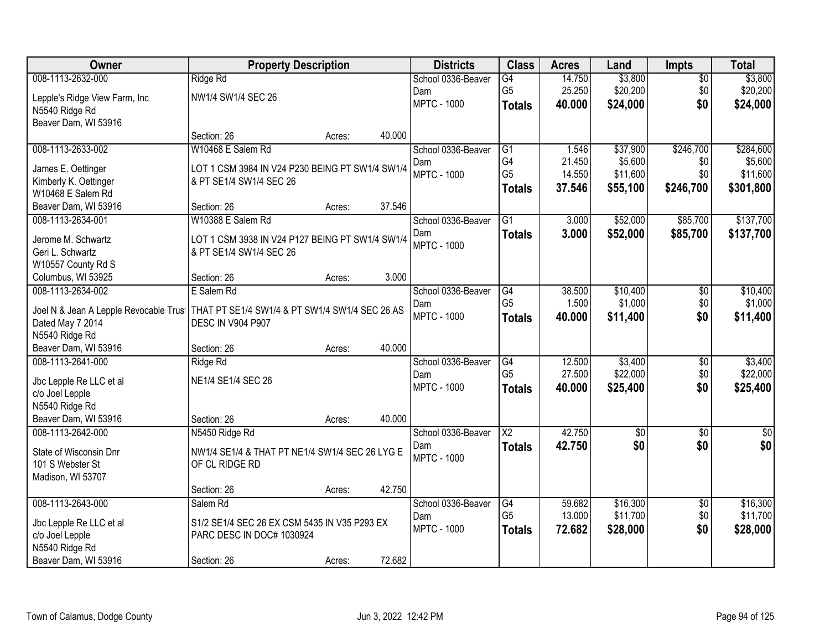| Owner                                  | <b>Property Description</b>                     |        |        | <b>Districts</b>   | <b>Class</b>    | <b>Acres</b> | Land            | <b>Impts</b>    | <b>Total</b> |
|----------------------------------------|-------------------------------------------------|--------|--------|--------------------|-----------------|--------------|-----------------|-----------------|--------------|
| 008-1113-2632-000                      | Ridge Rd                                        |        |        | School 0336-Beaver | $\overline{G4}$ | 14.750       | \$3,800         | \$0             | \$3,800      |
| Lepple's Ridge View Farm, Inc          | NW1/4 SW1/4 SEC 26                              |        |        | Dam                | G <sub>5</sub>  | 25.250       | \$20,200        | \$0             | \$20,200     |
| N5540 Ridge Rd                         |                                                 |        |        | <b>MPTC - 1000</b> | <b>Totals</b>   | 40.000       | \$24,000        | \$0             | \$24,000     |
| Beaver Dam, WI 53916                   |                                                 |        |        |                    |                 |              |                 |                 |              |
|                                        | Section: 26                                     | Acres: | 40.000 |                    |                 |              |                 |                 |              |
| 008-1113-2633-002                      | W10468 E Salem Rd                               |        |        | School 0336-Beaver | $\overline{G1}$ | 1.546        | \$37,900        | \$246,700       | \$284,600    |
| James E. Oettinger                     | LOT 1 CSM 3984 IN V24 P230 BEING PT SW1/4 SW1/4 |        |        | Dam                | G4              | 21.450       | \$5,600         | \$0             | \$5,600      |
| Kimberly K. Oettinger                  | & PT SE1/4 SW1/4 SEC 26                         |        |        | <b>MPTC - 1000</b> | G <sub>5</sub>  | 14.550       | \$11,600        | \$0             | \$11,600     |
| W10468 E Salem Rd                      |                                                 |        |        |                    | <b>Totals</b>   | 37.546       | \$55,100        | \$246,700       | \$301,800    |
| Beaver Dam, WI 53916                   | Section: 26                                     | Acres: | 37.546 |                    |                 |              |                 |                 |              |
| 008-1113-2634-001                      | W10388 E Salem Rd                               |        |        | School 0336-Beaver | $\overline{G1}$ | 3.000        | \$52,000        | \$85,700        | \$137,700    |
| Jerome M. Schwartz                     | LOT 1 CSM 3938 IN V24 P127 BEING PT SW1/4 SW1/4 |        |        | Dam                | <b>Totals</b>   | 3.000        | \$52,000        | \$85,700        | \$137,700    |
| Geri L. Schwartz                       | & PT SE1/4 SW1/4 SEC 26                         |        |        | <b>MPTC - 1000</b> |                 |              |                 |                 |              |
| W10557 County Rd S                     |                                                 |        |        |                    |                 |              |                 |                 |              |
| Columbus, WI 53925                     | Section: 26                                     | Acres: | 3.000  |                    |                 |              |                 |                 |              |
| 008-1113-2634-002                      | E Salem Rd                                      |        |        | School 0336-Beaver | G4              | 38.500       | \$10,400        | \$0             | \$10,400     |
|                                        |                                                 |        |        | Dam                | G <sub>5</sub>  | 1.500        | \$1,000         | \$0             | \$1,000      |
| Joel N & Jean A Lepple Revocable Trust | THAT PT SE1/4 SW1/4 & PT SW1/4 SW1/4 SEC 26 AS  |        |        | <b>MPTC - 1000</b> | <b>Totals</b>   | 40.000       | \$11,400        | \$0             | \$11,400     |
| Dated May 7 2014                       | <b>DESC IN V904 P907</b>                        |        |        |                    |                 |              |                 |                 |              |
| N5540 Ridge Rd<br>Beaver Dam, WI 53916 | Section: 26                                     |        | 40.000 |                    |                 |              |                 |                 |              |
| 008-1113-2641-000                      |                                                 | Acres: |        | School 0336-Beaver | G4              | 12.500       | \$3,400         | $\overline{50}$ | \$3,400      |
|                                        | Ridge Rd                                        |        |        | Dam                | G <sub>5</sub>  | 27.500       | \$22,000        | \$0             | \$22,000     |
| Jbc Lepple Re LLC et al                | NE1/4 SE1/4 SEC 26                              |        |        | <b>MPTC - 1000</b> |                 | 40.000       | \$25,400        | \$0             | \$25,400     |
| c/o Joel Lepple                        |                                                 |        |        |                    | <b>Totals</b>   |              |                 |                 |              |
| N5540 Ridge Rd                         |                                                 |        |        |                    |                 |              |                 |                 |              |
| Beaver Dam, WI 53916                   | Section: 26                                     | Acres: | 40.000 |                    |                 |              |                 |                 |              |
| 008-1113-2642-000                      | N5450 Ridge Rd                                  |        |        | School 0336-Beaver | $\overline{X2}$ | 42.750       | $\overline{50}$ | $\overline{50}$ | \$0          |
| State of Wisconsin Dnr                 | NW1/4 SE1/4 & THAT PT NE1/4 SW1/4 SEC 26 LYG E  |        |        | Dam                | <b>Totals</b>   | 42.750       | \$0             | \$0             | \$0          |
| 101 S Webster St                       | OF CL RIDGE RD                                  |        |        | <b>MPTC - 1000</b> |                 |              |                 |                 |              |
| Madison, WI 53707                      |                                                 |        |        |                    |                 |              |                 |                 |              |
|                                        | Section: 26                                     | Acres: | 42.750 |                    |                 |              |                 |                 |              |
| 008-1113-2643-000                      | Salem Rd                                        |        |        | School 0336-Beaver | G4              | 59.682       | \$16,300        | $\overline{60}$ | \$16,300     |
| Jbc Lepple Re LLC et al                | S1/2 SE1/4 SEC 26 EX CSM 5435 IN V35 P293 EX    |        |        | Dam                | G <sub>5</sub>  | 13.000       | \$11,700        | \$0             | \$11,700     |
| c/o Joel Lepple                        | PARC DESC IN DOC# 1030924                       |        |        | <b>MPTC - 1000</b> | <b>Totals</b>   | 72.682       | \$28,000        | \$0             | \$28,000     |
| N5540 Ridge Rd                         |                                                 |        |        |                    |                 |              |                 |                 |              |
| Beaver Dam, WI 53916                   | Section: 26                                     | Acres: | 72.682 |                    |                 |              |                 |                 |              |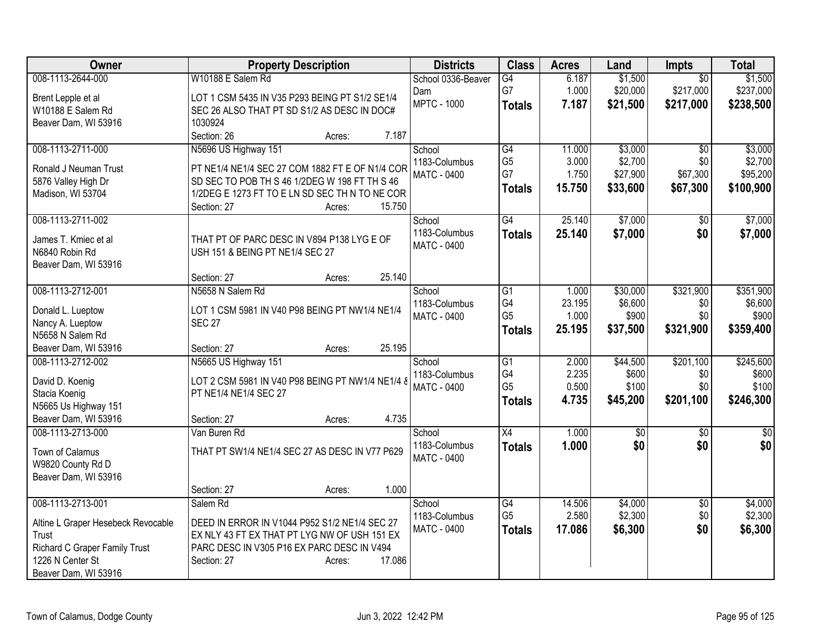| Owner                              | <b>Property Description</b>                      | <b>Districts</b>   | <b>Class</b>         | <b>Acres</b> | Land             | Impts                  | <b>Total</b>     |
|------------------------------------|--------------------------------------------------|--------------------|----------------------|--------------|------------------|------------------------|------------------|
| 008-1113-2644-000                  | W10188 E Salem Rd                                | School 0336-Beaver | G4                   | 6.187        | \$1,500          | $\overline{50}$        | \$1,500          |
| Brent Lepple et al                 | LOT 1 CSM 5435 IN V35 P293 BEING PT S1/2 SE1/4   | Dam                | G7                   | 1.000        | \$20,000         | \$217,000              | \$237,000        |
| W10188 E Salem Rd                  | SEC 26 ALSO THAT PT SD S1/2 AS DESC IN DOC#      | <b>MPTC - 1000</b> | <b>Totals</b>        | 7.187        | \$21,500         | \$217,000              | \$238,500        |
| Beaver Dam, WI 53916               | 1030924                                          |                    |                      |              |                  |                        |                  |
|                                    | Section: 26<br>7.187<br>Acres:                   |                    |                      |              |                  |                        |                  |
| 008-1113-2711-000                  | N5696 US Highway 151                             | School             | $\overline{G4}$      | 11.000       | \$3,000          | $\overline{50}$        | \$3,000          |
| Ronald J Neuman Trust              | PT NE1/4 NE1/4 SEC 27 COM 1882 FT E OF N1/4 COR  | 1183-Columbus      | G <sub>5</sub>       | 3.000        | \$2,700          | \$0                    | \$2,700          |
| 5876 Valley High Dr                | SD SEC TO POB TH S 46 1/2DEG W 198 FT TH S 46    | MATC - 0400        | G7                   | 1.750        | \$27,900         | \$67,300               | \$95,200         |
| Madison, WI 53704                  | 1/2DEG E 1273 FT TO E LN SD SEC TH N TO NE COR   |                    | <b>Totals</b>        | 15.750       | \$33,600         | \$67,300               | \$100,900        |
|                                    | 15.750<br>Section: 27<br>Acres:                  |                    |                      |              |                  |                        |                  |
| 008-1113-2711-002                  |                                                  | School             | $\overline{G4}$      | 25.140       | \$7,000          | \$0                    | \$7,000          |
|                                    |                                                  | 1183-Columbus      | <b>Totals</b>        | 25.140       | \$7,000          | \$0                    | \$7,000          |
| James T. Kmiec et al               | THAT PT OF PARC DESC IN V894 P138 LYG E OF       | <b>MATC - 0400</b> |                      |              |                  |                        |                  |
| N6840 Robin Rd                     | USH 151 & BEING PT NE1/4 SEC 27                  |                    |                      |              |                  |                        |                  |
| Beaver Dam, WI 53916               |                                                  |                    |                      |              |                  |                        |                  |
|                                    | 25.140<br>Section: 27<br>Acres:                  |                    |                      |              |                  |                        |                  |
| 008-1113-2712-001                  | N5658 N Salem Rd                                 | School             | G1                   | 1.000        | \$30,000         | \$321,900              | \$351,900        |
| Donald L. Lueptow                  | LOT 1 CSM 5981 IN V40 P98 BEING PT NW1/4 NE1/4   | 1183-Columbus      | G4<br>G <sub>5</sub> | 23.195       | \$6,600<br>\$900 | \$0                    | \$6,600<br>\$900 |
| Nancy A. Lueptow                   | <b>SEC 27</b>                                    | <b>MATC - 0400</b> |                      | 1.000        |                  | \$0                    |                  |
| N5658 N Salem Rd                   |                                                  |                    | <b>Totals</b>        | 25.195       | \$37,500         | \$321,900              | \$359,400        |
| Beaver Dam, WI 53916               | 25.195<br>Section: 27<br>Acres:                  |                    |                      |              |                  |                        |                  |
| 008-1113-2712-002                  | N5665 US Highway 151                             | School             | $\overline{G1}$      | 2.000        | \$44,500         | \$201,100              | \$245,600        |
| David D. Koenig                    | LOT 2 CSM 5981 IN V40 P98 BEING PT NW1/4 NE1/4 8 | 1183-Columbus      | G4                   | 2.235        | \$600            | \$0                    | \$600            |
| Stacia Koenig                      | PT NE1/4 NE1/4 SEC 27                            | <b>MATC - 0400</b> | G <sub>5</sub>       | 0.500        | \$100            | \$0                    | \$100            |
| N5665 Us Highway 151               |                                                  |                    | <b>Totals</b>        | 4.735        | \$45,200         | \$201,100              | \$246,300        |
| Beaver Dam, WI 53916               | 4.735<br>Section: 27<br>Acres:                   |                    |                      |              |                  |                        |                  |
| 008-1113-2713-000                  | Van Buren Rd                                     | School             | $\overline{X4}$      | 1.000        | \$0              | $\overline{50}$        | $\overline{50}$  |
|                                    |                                                  | 1183-Columbus      | <b>Totals</b>        | 1.000        | \$0              | \$0                    | \$0              |
| Town of Calamus                    | THAT PT SW1/4 NE1/4 SEC 27 AS DESC IN V77 P629   | <b>MATC - 0400</b> |                      |              |                  |                        |                  |
| W9820 County Rd D                  |                                                  |                    |                      |              |                  |                        |                  |
| Beaver Dam, WI 53916               | 1.000                                            |                    |                      |              |                  |                        |                  |
| 008-1113-2713-001                  | Section: 27<br>Acres:<br>Salem Rd                | School             | $\overline{G4}$      | 14.506       | \$4,000          |                        | \$4,000          |
|                                    |                                                  | 1183-Columbus      | G <sub>5</sub>       | 2.580        | \$2,300          | $\overline{50}$<br>\$0 | \$2,300          |
| Altine L Graper Hesebeck Revocable | DEED IN ERROR IN V1044 P952 S1/2 NE1/4 SEC 27    | MATC - 0400        |                      | 17.086       | \$6,300          | \$0                    | \$6,300          |
| Trust                              | EX NLY 43 FT EX THAT PT LYG NW OF USH 151 EX     |                    | <b>Totals</b>        |              |                  |                        |                  |
| Richard C Graper Family Trust      | PARC DESC IN V305 P16 EX PARC DESC IN V494       |                    |                      |              |                  |                        |                  |
| 1226 N Center St                   | 17.086<br>Section: 27<br>Acres:                  |                    |                      |              |                  |                        |                  |
| Beaver Dam, WI 53916               |                                                  |                    |                      |              |                  |                        |                  |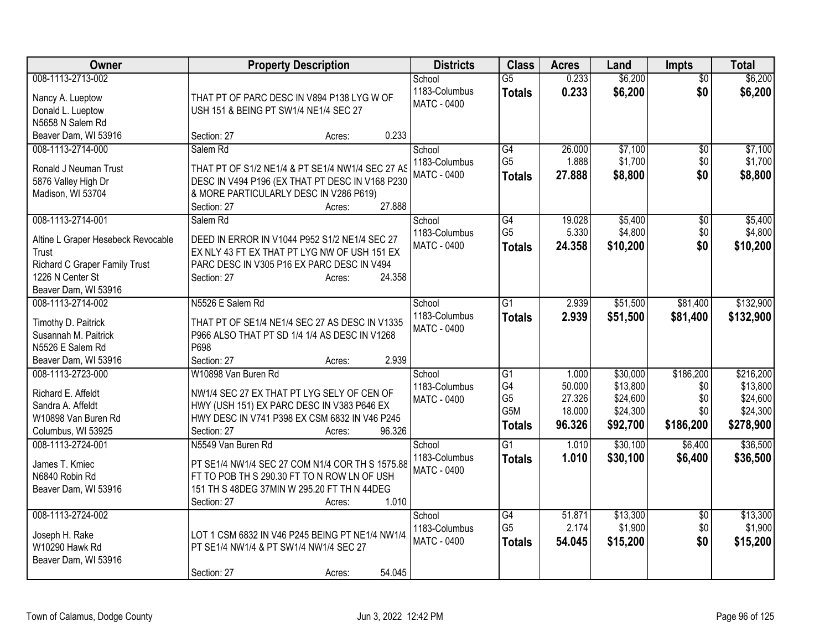| Owner                                     | <b>Property Description</b>                                                                         | <b>Districts</b>        | <b>Class</b>          | <b>Acres</b> | Land     | <b>Impts</b>    | <b>Total</b> |
|-------------------------------------------|-----------------------------------------------------------------------------------------------------|-------------------------|-----------------------|--------------|----------|-----------------|--------------|
| 008-1113-2713-002                         |                                                                                                     | School                  | $\overline{G5}$       | 0.233        | \$6,200  | $\overline{50}$ | \$6,200      |
| Nancy A. Lueptow                          | THAT PT OF PARC DESC IN V894 P138 LYG W OF                                                          | 1183-Columbus           | <b>Totals</b>         | 0.233        | \$6,200  | \$0             | \$6,200      |
| Donald L. Lueptow                         | USH 151 & BEING PT SW1/4 NE1/4 SEC 27                                                               | <b>MATC - 0400</b>      |                       |              |          |                 |              |
| N5658 N Salem Rd                          |                                                                                                     |                         |                       |              |          |                 |              |
| Beaver Dam, WI 53916                      | 0.233<br>Section: 27<br>Acres:                                                                      |                         |                       |              |          |                 |              |
| 008-1113-2714-000                         | Salem Rd                                                                                            | School                  | G4                    | 26.000       | \$7,100  | $\sqrt{6}$      | \$7,100      |
| Ronald J Neuman Trust                     |                                                                                                     | 1183-Columbus           | G <sub>5</sub>        | 1.888        | \$1,700  | \$0             | \$1,700      |
| 5876 Valley High Dr                       | THAT PT OF S1/2 NE1/4 & PT SE1/4 NW1/4 SEC 27 AS<br>DESC IN V494 P196 (EX THAT PT DESC IN V168 P230 | <b>MATC - 0400</b>      | <b>Totals</b>         | 27.888       | \$8,800  | \$0             | \$8,800      |
| Madison, WI 53704                         | & MORE PARTICULARLY DESC IN V286 P619)                                                              |                         |                       |              |          |                 |              |
|                                           | 27.888<br>Section: 27<br>Acres:                                                                     |                         |                       |              |          |                 |              |
| 008-1113-2714-001                         | Salem Rd                                                                                            | School                  | G4                    | 19.028       | \$5,400  | \$0             | \$5,400      |
|                                           |                                                                                                     | 1183-Columbus           | G <sub>5</sub>        | 5.330        | \$4,800  | \$0             | \$4,800      |
| Altine L Graper Hesebeck Revocable        | DEED IN ERROR IN V1044 P952 S1/2 NE1/4 SEC 27                                                       | <b>MATC - 0400</b>      | <b>Totals</b>         | 24.358       | \$10,200 | \$0             | \$10,200     |
| Trust                                     | EX NLY 43 FT EX THAT PT LYG NW OF USH 151 EX                                                        |                         |                       |              |          |                 |              |
| Richard C Graper Family Trust             | PARC DESC IN V305 P16 EX PARC DESC IN V494                                                          |                         |                       |              |          |                 |              |
| 1226 N Center St                          | 24.358<br>Section: 27<br>Acres:                                                                     |                         |                       |              |          |                 |              |
| Beaver Dam, WI 53916<br>008-1113-2714-002 | N5526 E Salem Rd                                                                                    |                         | $\overline{G1}$       | 2.939        | \$51,500 | \$81,400        | \$132,900    |
|                                           |                                                                                                     | School<br>1183-Columbus |                       |              |          |                 |              |
| Timothy D. Paitrick                       | THAT PT OF SE1/4 NE1/4 SEC 27 AS DESC IN V1335                                                      | <b>MATC - 0400</b>      | <b>Totals</b>         | 2.939        | \$51,500 | \$81,400        | \$132,900    |
| Susannah M. Paitrick                      | P966 ALSO THAT PT SD 1/4 1/4 AS DESC IN V1268                                                       |                         |                       |              |          |                 |              |
| N5526 E Salem Rd                          | P698                                                                                                |                         |                       |              |          |                 |              |
| Beaver Dam, WI 53916                      | 2.939<br>Section: 27<br>Acres:                                                                      |                         |                       |              |          |                 |              |
| 008-1113-2723-000                         | W10898 Van Buren Rd                                                                                 | School                  | G1                    | 1.000        | \$30,000 | \$186,200       | \$216,200    |
| Richard E. Affeldt                        | NW1/4 SEC 27 EX THAT PT LYG SELY OF CEN OF                                                          | 1183-Columbus           | G4                    | 50.000       | \$13,800 | \$0             | \$13,800     |
| Sandra A. Affeldt                         | HWY (USH 151) EX PARC DESC IN V383 P646 EX                                                          | <b>MATC - 0400</b>      | G <sub>5</sub><br>G5M | 27.326       | \$24,600 | \$0             | \$24,600     |
| W10898 Van Buren Rd                       | HWY DESC IN V741 P398 EX CSM 6832 IN V46 P245                                                       |                         |                       | 18.000       | \$24,300 | \$0             | \$24,300     |
| Columbus, WI 53925                        | 96.326<br>Section: 27<br>Acres:                                                                     |                         | <b>Totals</b>         | 96.326       | \$92,700 | \$186,200       | \$278,900    |
| 008-1113-2724-001                         | N5549 Van Buren Rd                                                                                  | School                  | $\overline{G1}$       | 1.010        | \$30,100 | \$6,400         | \$36,500     |
| James T. Kmiec                            | PT SE1/4 NW1/4 SEC 27 COM N1/4 COR TH S 1575.88                                                     | 1183-Columbus           | <b>Totals</b>         | 1.010        | \$30,100 | \$6,400         | \$36,500     |
| N6840 Robin Rd                            | FT TO POB TH S 290.30 FT TO N ROW LN OF USH                                                         | <b>MATC - 0400</b>      |                       |              |          |                 |              |
| Beaver Dam, WI 53916                      | 151 TH S 48DEG 37MIN W 295.20 FT TH N 44DEG                                                         |                         |                       |              |          |                 |              |
|                                           | 1.010<br>Section: 27<br>Acres:                                                                      |                         |                       |              |          |                 |              |
| 008-1113-2724-002                         |                                                                                                     | School                  | G4                    | 51.871       | \$13,300 | $\overline{50}$ | \$13,300     |
|                                           |                                                                                                     | 1183-Columbus           | G <sub>5</sub>        | 2.174        | \$1,900  | \$0             | \$1,900      |
| Joseph H. Rake                            | LOT 1 CSM 6832 IN V46 P245 BEING PT NE1/4 NW1/4                                                     | MATC - 0400             | <b>Totals</b>         | 54.045       | \$15,200 | \$0             | \$15,200     |
| W10290 Hawk Rd                            | PT SE1/4 NW1/4 & PT SW1/4 NW1/4 SEC 27                                                              |                         |                       |              |          |                 |              |
| Beaver Dam, WI 53916                      |                                                                                                     |                         |                       |              |          |                 |              |
|                                           | 54.045<br>Section: 27<br>Acres:                                                                     |                         |                       |              |          |                 |              |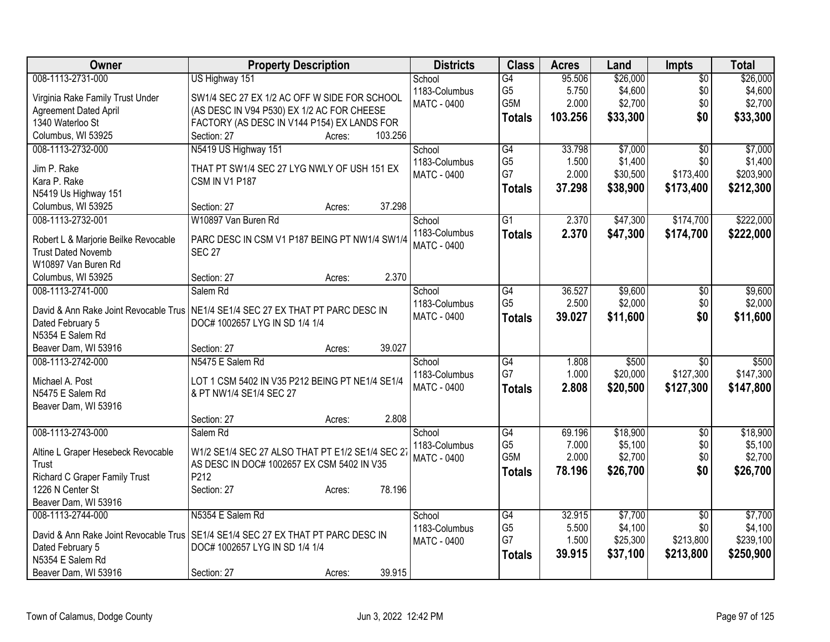| Owner                                      | <b>Property Description</b>                      | <b>Districts</b>        | <b>Class</b>    | <b>Acres</b> | Land     | <b>Impts</b>    | <b>Total</b> |
|--------------------------------------------|--------------------------------------------------|-------------------------|-----------------|--------------|----------|-----------------|--------------|
| 008-1113-2731-000                          | US Highway 151                                   | School                  | $\overline{G4}$ | 95.506       | \$26,000 | $\overline{50}$ | \$26,000     |
| Virginia Rake Family Trust Under           | SW1/4 SEC 27 EX 1/2 AC OFF W SIDE FOR SCHOOL     | 1183-Columbus           | G <sub>5</sub>  | 5.750        | \$4,600  | \$0             | \$4,600      |
| <b>Agreement Dated April</b>               | (AS DESC IN V94 P530) EX 1/2 AC FOR CHEESE       | MATC - 0400             | G5M             | 2.000        | \$2,700  | \$0             | \$2,700      |
| 1340 Waterloo St                           | FACTORY (AS DESC IN V144 P154) EX LANDS FOR      |                         | <b>Totals</b>   | 103.256      | \$33,300 | \$0             | \$33,300     |
| Columbus, WI 53925                         | 103.256<br>Section: 27<br>Acres:                 |                         |                 |              |          |                 |              |
| 008-1113-2732-000                          | N5419 US Highway 151                             | School                  | G4              | 33.798       | \$7,000  | $\overline{50}$ | \$7,000      |
|                                            |                                                  | 1183-Columbus           | G <sub>5</sub>  | 1.500        | \$1,400  | \$0             | \$1,400      |
| Jim P. Rake                                | THAT PT SW1/4 SEC 27 LYG NWLY OF USH 151 EX      | <b>MATC - 0400</b>      | G7              | 2.000        | \$30,500 | \$173,400       | \$203,900    |
| Kara P. Rake                               | <b>CSM IN V1 P187</b>                            |                         | <b>Totals</b>   | 37.298       | \$38,900 | \$173,400       | \$212,300    |
| N5419 Us Highway 151<br>Columbus, WI 53925 | 37.298<br>Section: 27                            |                         |                 |              |          |                 |              |
| 008-1113-2732-001                          | Acres:<br>W10897 Van Buren Rd                    | School                  | $\overline{G1}$ | 2.370        | \$47,300 | \$174,700       | \$222,000    |
|                                            |                                                  | 1183-Columbus           |                 |              |          |                 |              |
| Robert L & Marjorie Beilke Revocable       | PARC DESC IN CSM V1 P187 BEING PT NW1/4 SW1/4    | <b>MATC - 0400</b>      | <b>Totals</b>   | 2.370        | \$47,300 | \$174,700       | \$222,000    |
| <b>Trust Dated Novemb</b>                  | <b>SEC 27</b>                                    |                         |                 |              |          |                 |              |
| W10897 Van Buren Rd                        |                                                  |                         |                 |              |          |                 |              |
| Columbus, WI 53925                         | 2.370<br>Section: 27<br>Acres:                   |                         |                 |              |          |                 |              |
| 008-1113-2741-000                          | Salem Rd                                         | School                  | G4              | 36.527       | \$9,600  | \$0             | \$9,600      |
| David & Ann Rake Joint Revocable Trus      | NE1/4 SE1/4 SEC 27 EX THAT PT PARC DESC IN       | 1183-Columbus           | G <sub>5</sub>  | 2.500        | \$2,000  | \$0             | \$2,000      |
| Dated February 5                           | DOC# 1002657 LYG IN SD 1/4 1/4                   | <b>MATC - 0400</b>      | <b>Totals</b>   | 39.027       | \$11,600 | \$0             | \$11,600     |
| N5354 E Salem Rd                           |                                                  |                         |                 |              |          |                 |              |
| Beaver Dam, WI 53916                       | 39.027<br>Section: 27<br>Acres:                  |                         |                 |              |          |                 |              |
| 008-1113-2742-000                          | N5475 E Salem Rd                                 | School                  | G4              | 1.808        | \$500    | $\overline{30}$ | \$500        |
|                                            |                                                  | 1183-Columbus           | G7              | 1.000        | \$20,000 | \$127,300       | \$147,300    |
| Michael A. Post                            | LOT 1 CSM 5402 IN V35 P212 BEING PT NE1/4 SE1/4  | <b>MATC - 0400</b>      | <b>Totals</b>   | 2.808        | \$20,500 | \$127,300       | \$147,800    |
| N5475 E Salem Rd                           | & PT NW1/4 SE1/4 SEC 27                          |                         |                 |              |          |                 |              |
| Beaver Dam, WI 53916                       | 2.808<br>Section: 27                             |                         |                 |              |          |                 |              |
| 008-1113-2743-000                          | Acres:<br>Salem Rd                               |                         | $\overline{G4}$ | 69.196       | \$18,900 | $\overline{30}$ | \$18,900     |
|                                            |                                                  | School<br>1183-Columbus | G <sub>5</sub>  | 7.000        | \$5,100  | \$0             | \$5,100      |
| Altine L Graper Hesebeck Revocable         | W1/2 SE1/4 SEC 27 ALSO THAT PT E1/2 SE1/4 SEC 27 | MATC - 0400             | G5M             | 2.000        | \$2,700  | \$0             | \$2,700      |
| <b>Trust</b>                               | AS DESC IN DOC# 1002657 EX CSM 5402 IN V35       |                         | <b>Totals</b>   | 78.196       | \$26,700 | \$0             | \$26,700     |
| Richard C Graper Family Trust              | P212                                             |                         |                 |              |          |                 |              |
| 1226 N Center St                           | 78.196<br>Section: 27<br>Acres:                  |                         |                 |              |          |                 |              |
| Beaver Dam, WI 53916                       |                                                  |                         |                 |              |          |                 |              |
| 008-1113-2744-000                          | N5354 E Salem Rd                                 | School                  | G4              | 32.915       | \$7,700  | $\overline{30}$ | \$7,700      |
| David & Ann Rake Joint Revocable Trus      | SE1/4 SE1/4 SEC 27 EX THAT PT PARC DESC IN       | 1183-Columbus           | G <sub>5</sub>  | 5.500        | \$4,100  | \$0             | \$4,100      |
| Dated February 5                           | DOC# 1002657 LYG IN SD 1/4 1/4                   | MATC - 0400             | G7              | 1.500        | \$25,300 | \$213,800       | \$239,100    |
| N5354 E Salem Rd                           |                                                  |                         | <b>Totals</b>   | 39.915       | \$37,100 | \$213,800       | \$250,900    |
| Beaver Dam, WI 53916                       | 39.915<br>Section: 27<br>Acres:                  |                         |                 |              |          |                 |              |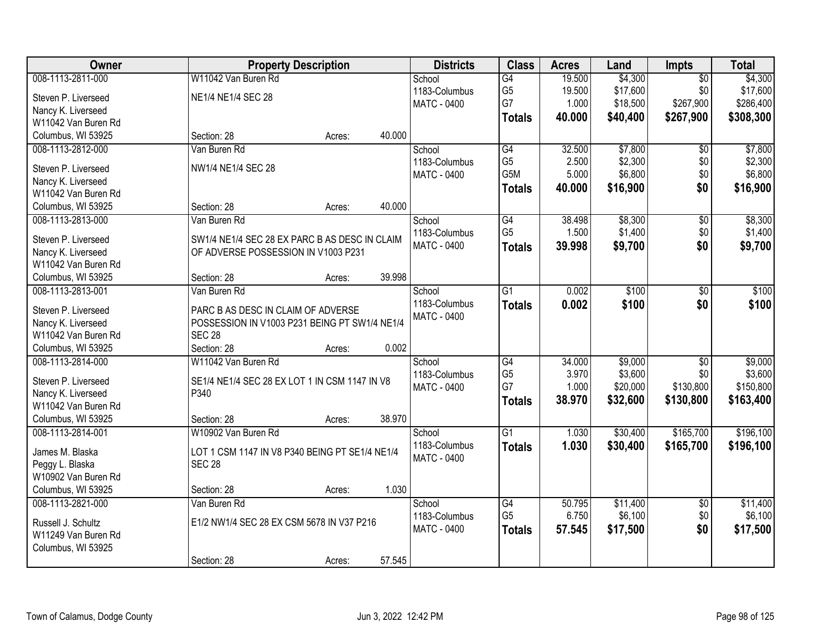| <b>Owner</b>        | <b>Property Description</b>                    | <b>Districts</b>   | <b>Class</b>    | <b>Acres</b> | Land     | Impts           | <b>Total</b> |
|---------------------|------------------------------------------------|--------------------|-----------------|--------------|----------|-----------------|--------------|
| 008-1113-2811-000   | W11042 Van Buren Rd                            | School             | $\overline{G4}$ | 19.500       | \$4,300  | $\overline{50}$ | \$4,300      |
| Steven P. Liverseed | NE1/4 NE1/4 SEC 28                             | 1183-Columbus      | G <sub>5</sub>  | 19.500       | \$17,600 | \$0             | \$17,600     |
| Nancy K. Liverseed  |                                                | MATC - 0400        | G7              | 1.000        | \$18,500 | \$267,900       | \$286,400    |
| W11042 Van Buren Rd |                                                |                    | <b>Totals</b>   | 40.000       | \$40,400 | \$267,900       | \$308,300    |
| Columbus, WI 53925  | 40.000<br>Section: 28<br>Acres:                |                    |                 |              |          |                 |              |
| 008-1113-2812-000   | Van Buren Rd                                   | School             | $\overline{G4}$ | 32.500       | \$7,800  | $\overline{50}$ | \$7,800      |
|                     |                                                | 1183-Columbus      | G <sub>5</sub>  | 2.500        | \$2,300  | \$0             | \$2,300      |
| Steven P. Liverseed | NW1/4 NE1/4 SEC 28                             | <b>MATC - 0400</b> | G5M             | 5.000        | \$6,800  | \$0             | \$6,800      |
| Nancy K. Liverseed  |                                                |                    | <b>Totals</b>   | 40.000       | \$16,900 | \$0             | \$16,900     |
| W11042 Van Buren Rd |                                                |                    |                 |              |          |                 |              |
| Columbus, WI 53925  | 40.000<br>Section: 28<br>Acres:                |                    |                 |              |          |                 |              |
| 008-1113-2813-000   | Van Buren Rd                                   | School             | G4              | 38.498       | \$8,300  | \$0             | \$8,300      |
| Steven P. Liverseed | SW1/4 NE1/4 SEC 28 EX PARC B AS DESC IN CLAIM  | 1183-Columbus      | G <sub>5</sub>  | 1.500        | \$1,400  | \$0             | \$1,400      |
| Nancy K. Liverseed  | OF ADVERSE POSSESSION IN V1003 P231            | MATC - 0400        | <b>Totals</b>   | 39.998       | \$9,700  | \$0             | \$9,700      |
| W11042 Van Buren Rd |                                                |                    |                 |              |          |                 |              |
| Columbus, WI 53925  | 39.998<br>Section: 28<br>Acres:                |                    |                 |              |          |                 |              |
| 008-1113-2813-001   | Van Buren Rd                                   | School             | $\overline{G1}$ | 0.002        | \$100    | \$0             | \$100        |
| Steven P. Liverseed | PARC B AS DESC IN CLAIM OF ADVERSE             | 1183-Columbus      | <b>Totals</b>   | 0.002        | \$100    | \$0             | \$100        |
| Nancy K. Liverseed  | POSSESSION IN V1003 P231 BEING PT SW1/4 NE1/4  | <b>MATC - 0400</b> |                 |              |          |                 |              |
| W11042 Van Buren Rd | <b>SEC 28</b>                                  |                    |                 |              |          |                 |              |
| Columbus, WI 53925  | 0.002<br>Section: 28                           |                    |                 |              |          |                 |              |
| 008-1113-2814-000   | Acres:<br>W11042 Van Buren Rd                  |                    | $\overline{G4}$ | 34.000       | \$9,000  | $\overline{50}$ | \$9,000      |
|                     |                                                | School             | G <sub>5</sub>  | 3.970        | \$3,600  | \$0             | \$3,600      |
| Steven P. Liverseed | SE1/4 NE1/4 SEC 28 EX LOT 1 IN CSM 1147 IN V8  | 1183-Columbus      | G7              | 1.000        | \$20,000 | \$130,800       | \$150,800    |
| Nancy K. Liverseed  | P340                                           | MATC - 0400        |                 |              |          |                 |              |
| W11042 Van Buren Rd |                                                |                    | <b>Totals</b>   | 38.970       | \$32,600 | \$130,800       | \$163,400    |
| Columbus, WI 53925  | 38.970<br>Section: 28<br>Acres:                |                    |                 |              |          |                 |              |
| 008-1113-2814-001   | W10902 Van Buren Rd                            | School             | $\overline{G1}$ | 1.030        | \$30,400 | \$165,700       | \$196,100    |
| James M. Blaska     | LOT 1 CSM 1147 IN V8 P340 BEING PT SE1/4 NE1/4 | 1183-Columbus      | <b>Totals</b>   | 1.030        | \$30,400 | \$165,700       | \$196,100    |
| Peggy L. Blaska     | <b>SEC 28</b>                                  | MATC - 0400        |                 |              |          |                 |              |
| W10902 Van Buren Rd |                                                |                    |                 |              |          |                 |              |
| Columbus, WI 53925  | 1.030<br>Section: 28<br>Acres:                 |                    |                 |              |          |                 |              |
| 008-1113-2821-000   | Van Buren Rd                                   | School             | $\overline{G4}$ | 50.795       | \$11,400 | $\overline{50}$ | \$11,400     |
|                     |                                                | 1183-Columbus      | G <sub>5</sub>  | 6.750        | \$6,100  | \$0             | \$6,100      |
| Russell J. Schultz  | E1/2 NW1/4 SEC 28 EX CSM 5678 IN V37 P216      | <b>MATC - 0400</b> | <b>Totals</b>   | 57.545       | \$17,500 | \$0             | \$17,500     |
| W11249 Van Buren Rd |                                                |                    |                 |              |          |                 |              |
| Columbus, WI 53925  |                                                |                    |                 |              |          |                 |              |
|                     | 57.545<br>Section: 28<br>Acres:                |                    |                 |              |          |                 |              |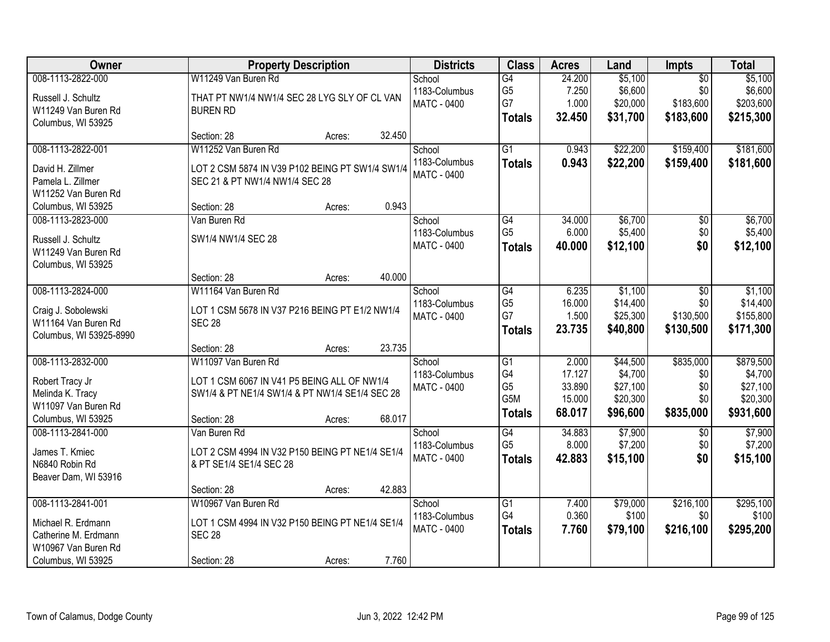| Owner                                 | <b>Property Description</b>                                                       | <b>Districts</b>   | <b>Class</b>          | <b>Acres</b>   | Land              | Impts            | <b>Total</b> |
|---------------------------------------|-----------------------------------------------------------------------------------|--------------------|-----------------------|----------------|-------------------|------------------|--------------|
| 008-1113-2822-000                     | W11249 Van Buren Rd                                                               | School             | G4                    | 24.200         | \$5,100           | $\overline{50}$  | \$5,100      |
| Russell J. Schultz                    | THAT PT NW1/4 NW1/4 SEC 28 LYG SLY OF CL VAN                                      | 1183-Columbus      | G <sub>5</sub>        | 7.250          | \$6,600           | \$0              | \$6,600      |
| W11249 Van Buren Rd                   | <b>BUREN RD</b>                                                                   | <b>MATC - 0400</b> | G7                    | 1.000          | \$20,000          | \$183,600        | \$203,600    |
| Columbus, WI 53925                    |                                                                                   |                    | <b>Totals</b>         | 32.450         | \$31,700          | \$183,600        | \$215,300    |
|                                       | 32.450<br>Section: 28<br>Acres:                                                   |                    |                       |                |                   |                  |              |
| 008-1113-2822-001                     | W11252 Van Buren Rd                                                               | School             | $\overline{G1}$       | 0.943          | \$22,200          | \$159,400        | \$181,600    |
|                                       |                                                                                   | 1183-Columbus      | <b>Totals</b>         | 0.943          | \$22,200          | \$159,400        | \$181,600    |
| David H. Zillmer<br>Pamela L. Zillmer | LOT 2 CSM 5874 IN V39 P102 BEING PT SW1/4 SW1/4<br>SEC 21 & PT NW1/4 NW1/4 SEC 28 | <b>MATC - 0400</b> |                       |                |                   |                  |              |
| W11252 Van Buren Rd                   |                                                                                   |                    |                       |                |                   |                  |              |
| Columbus, WI 53925                    | 0.943<br>Section: 28<br>Acres:                                                    |                    |                       |                |                   |                  |              |
| 008-1113-2823-000                     | Van Buren Rd                                                                      | School             | $\overline{G4}$       | 34.000         | \$6,700           | $\overline{50}$  | \$6,700      |
|                                       |                                                                                   | 1183-Columbus      | G <sub>5</sub>        | 6.000          | \$5,400           | \$0              | \$5,400      |
| Russell J. Schultz                    | SW1/4 NW1/4 SEC 28                                                                | <b>MATC - 0400</b> | <b>Totals</b>         | 40.000         | \$12,100          | \$0              | \$12,100     |
| W11249 Van Buren Rd                   |                                                                                   |                    |                       |                |                   |                  |              |
| Columbus, WI 53925                    |                                                                                   |                    |                       |                |                   |                  |              |
|                                       | 40.000<br>Section: 28<br>Acres:                                                   |                    |                       |                |                   |                  |              |
| 008-1113-2824-000                     | W11164 Van Buren Rd                                                               | School             | G4                    | 6.235          | \$1,100           | \$0              | \$1,100      |
| Craig J. Sobolewski                   | LOT 1 CSM 5678 IN V37 P216 BEING PT E1/2 NW1/4                                    | 1183-Columbus      | G <sub>5</sub>        | 16.000         | \$14,400          | \$0              | \$14,400     |
| W11164 Van Buren Rd                   | <b>SEC 28</b>                                                                     | <b>MATC - 0400</b> | G7                    | 1.500          | \$25,300          | \$130,500        | \$155,800    |
| Columbus, WI 53925-8990               |                                                                                   |                    | <b>Totals</b>         | 23.735         | \$40,800          | \$130,500        | \$171,300    |
|                                       | 23.735<br>Section: 28<br>Acres:                                                   |                    |                       |                |                   |                  |              |
| 008-1113-2832-000                     | W11097 Van Buren Rd                                                               | School             | $\overline{G1}$       | 2.000          | \$44,500          | \$835,000        | \$879,500    |
| Robert Tracy Jr                       | LOT 1 CSM 6067 IN V41 P5 BEING ALL OF NW1/4                                       | 1183-Columbus      | G4                    | 17.127         | \$4,700           | \$0              | \$4,700      |
| Melinda K. Tracy                      | SW1/4 & PT NE1/4 SW1/4 & PT NW1/4 SE1/4 SEC 28                                    | <b>MATC - 0400</b> | G <sub>5</sub>        | 33.890         | \$27,100          | \$0              | \$27,100     |
| W11097 Van Buren Rd                   |                                                                                   |                    | G5M                   | 15.000         | \$20,300          | \$0              | \$20,300     |
| Columbus, WI 53925                    | 68.017<br>Section: 28<br>Acres:                                                   |                    | <b>Totals</b>         | 68.017         | \$96,600          | \$835,000        | \$931,600    |
| 008-1113-2841-000                     | Van Buren Rd                                                                      | School             | G4                    | 34.883         | \$7,900           | $\sqrt{6}$       | \$7,900      |
|                                       |                                                                                   | 1183-Columbus      | G <sub>5</sub>        | 8.000          | \$7,200           | \$0              | \$7,200      |
| James T. Kmiec                        | LOT 2 CSM 4994 IN V32 P150 BEING PT NE1/4 SE1/4                                   | <b>MATC - 0400</b> | <b>Totals</b>         | 42.883         | \$15,100          | \$0              | \$15,100     |
| N6840 Robin Rd                        | & PT SE1/4 SE1/4 SEC 28                                                           |                    |                       |                |                   |                  |              |
| Beaver Dam, WI 53916                  |                                                                                   |                    |                       |                |                   |                  |              |
|                                       | 42.883<br>Section: 28<br>Acres:                                                   |                    |                       |                |                   |                  |              |
| 008-1113-2841-001                     | W10967 Van Buren Rd                                                               | School             | $\overline{G1}$<br>G4 | 7.400<br>0.360 | \$79,000<br>\$100 | \$216,100<br>\$0 | \$295,100    |
| Michael R. Erdmann                    | LOT 1 CSM 4994 IN V32 P150 BEING PT NE1/4 SE1/4                                   | 1183-Columbus      |                       |                |                   |                  | \$100        |
| Catherine M. Erdmann                  | <b>SEC 28</b>                                                                     | <b>MATC - 0400</b> | <b>Totals</b>         | 7.760          | \$79,100          | \$216,100        | \$295,200    |
| W10967 Van Buren Rd                   |                                                                                   |                    |                       |                |                   |                  |              |
| Columbus, WI 53925                    | 7.760<br>Section: 28<br>Acres:                                                    |                    |                       |                |                   |                  |              |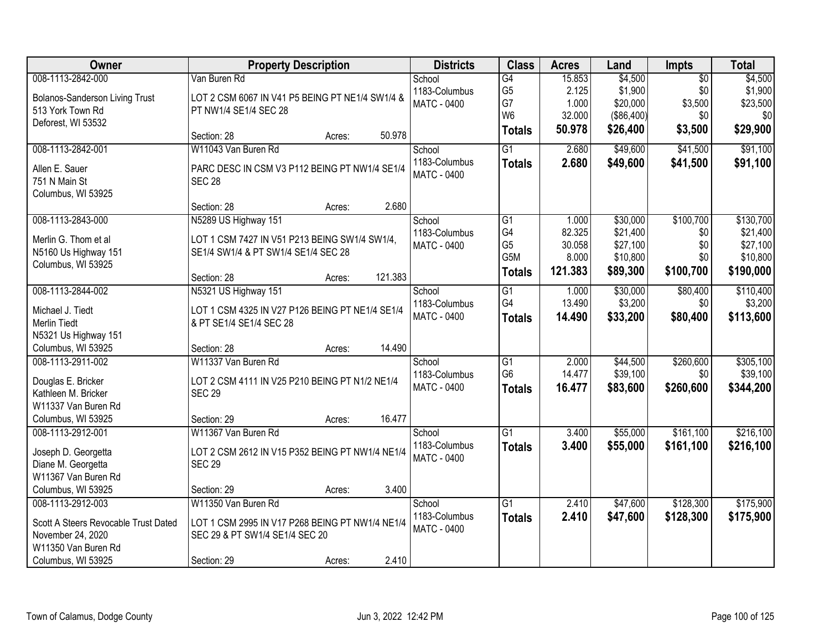| <b>Owner</b>                          |                                                 | <b>Property Description</b> |         | <b>Districts</b>   | <b>Class</b>    | <b>Acres</b> | Land       | <b>Impts</b>    | <b>Total</b> |
|---------------------------------------|-------------------------------------------------|-----------------------------|---------|--------------------|-----------------|--------------|------------|-----------------|--------------|
| 008-1113-2842-000                     | Van Buren Rd                                    |                             |         | School             | $\overline{G4}$ | 15.853       | \$4,500    | $\overline{50}$ | \$4,500      |
| <b>Bolanos-Sanderson Living Trust</b> | LOT 2 CSM 6067 IN V41 P5 BEING PT NE1/4 SW1/4 & |                             |         | 1183-Columbus      | G <sub>5</sub>  | 2.125        | \$1,900    | \$0             | \$1,900      |
| 513 York Town Rd                      | PT NW1/4 SE1/4 SEC 28                           |                             |         | <b>MATC - 0400</b> | G7              | 1.000        | \$20,000   | \$3,500         | \$23,500     |
| Deforest, WI 53532                    |                                                 |                             |         |                    | W <sub>6</sub>  | 32.000       | (\$86,400) | \$0             | \$0          |
|                                       | Section: 28                                     | Acres:                      | 50.978  |                    | <b>Totals</b>   | 50.978       | \$26,400   | \$3,500         | \$29,900     |
| 008-1113-2842-001                     | W11043 Van Buren Rd                             |                             |         | School             | $\overline{G1}$ | 2.680        | \$49,600   | \$41,500        | \$91,100     |
| Allen E. Sauer                        | PARC DESC IN CSM V3 P112 BEING PT NW1/4 SE1/4   |                             |         | 1183-Columbus      | <b>Totals</b>   | 2.680        | \$49,600   | \$41,500        | \$91,100     |
| 751 N Main St                         | <b>SEC 28</b>                                   |                             |         | <b>MATC - 0400</b> |                 |              |            |                 |              |
| Columbus, WI 53925                    |                                                 |                             |         |                    |                 |              |            |                 |              |
|                                       | Section: 28                                     | Acres:                      | 2.680   |                    |                 |              |            |                 |              |
| 008-1113-2843-000                     | N5289 US Highway 151                            |                             |         | School             | G1              | 1.000        | \$30,000   | \$100,700       | \$130,700    |
| Merlin G. Thom et al                  | LOT 1 CSM 7427 IN V51 P213 BEING SW1/4 SW1/4,   |                             |         | 1183-Columbus      | G4              | 82.325       | \$21,400   | \$0             | \$21,400     |
| N5160 Us Highway 151                  | SE1/4 SW1/4 & PT SW1/4 SE1/4 SEC 28             |                             |         | <b>MATC - 0400</b> | G <sub>5</sub>  | 30.058       | \$27,100   | \$0             | \$27,100     |
| Columbus, WI 53925                    |                                                 |                             |         |                    | G5M             | 8.000        | \$10,800   | \$0             | \$10,800     |
|                                       | Section: 28                                     | Acres:                      | 121.383 |                    | <b>Totals</b>   | 121.383      | \$89,300   | \$100,700       | \$190,000    |
| 008-1113-2844-002                     | N5321 US Highway 151                            |                             |         | School             | $\overline{G1}$ | 1.000        | \$30,000   | \$80,400        | \$110,400    |
| Michael J. Tiedt                      | LOT 1 CSM 4325 IN V27 P126 BEING PT NE1/4 SE1/4 |                             |         | 1183-Columbus      | G4              | 13.490       | \$3,200    | \$0             | \$3,200      |
| <b>Merlin Tiedt</b>                   | & PT SE1/4 SE1/4 SEC 28                         |                             |         | <b>MATC - 0400</b> | <b>Totals</b>   | 14.490       | \$33,200   | \$80,400        | \$113,600    |
| N5321 Us Highway 151                  |                                                 |                             |         |                    |                 |              |            |                 |              |
| Columbus, WI 53925                    | Section: 28                                     | Acres:                      | 14.490  |                    |                 |              |            |                 |              |
| 008-1113-2911-002                     | W11337 Van Buren Rd                             |                             |         | School             | $\overline{G1}$ | 2.000        | \$44,500   | \$260,600       | \$305,100    |
|                                       |                                                 |                             |         | 1183-Columbus      | G <sub>6</sub>  | 14.477       | \$39,100   | \$0             | \$39,100     |
| Douglas E. Bricker                    | LOT 2 CSM 4111 IN V25 P210 BEING PT N1/2 NE1/4  |                             |         | MATC - 0400        | <b>Totals</b>   | 16.477       | \$83,600   | \$260,600       | \$344,200    |
| Kathleen M. Bricker                   | <b>SEC 29</b>                                   |                             |         |                    |                 |              |            |                 |              |
| W11337 Van Buren Rd                   |                                                 |                             |         |                    |                 |              |            |                 |              |
| Columbus, WI 53925                    | Section: 29                                     | Acres:                      | 16.477  |                    |                 |              |            |                 |              |
| 008-1113-2912-001                     | W11367 Van Buren Rd                             |                             |         | School             | $\overline{G1}$ | 3.400        | \$55,000   | \$161,100       | \$216,100    |
| Joseph D. Georgetta                   | LOT 2 CSM 2612 IN V15 P352 BEING PT NW1/4 NE1/4 |                             |         | 1183-Columbus      | <b>Totals</b>   | 3.400        | \$55,000   | \$161,100       | \$216,100    |
| Diane M. Georgetta                    | <b>SEC 29</b>                                   |                             |         | <b>MATC - 0400</b> |                 |              |            |                 |              |
| W11367 Van Buren Rd                   |                                                 |                             |         |                    |                 |              |            |                 |              |
| Columbus, WI 53925                    | Section: 29                                     | Acres:                      | 3.400   |                    |                 |              |            |                 |              |
| 008-1113-2912-003                     | W11350 Van Buren Rd                             |                             |         | School             | $\overline{G1}$ | 2.410        | \$47,600   | \$128,300       | \$175,900    |
| Scott A Steers Revocable Trust Dated  | LOT 1 CSM 2995 IN V17 P268 BEING PT NW1/4 NE1/4 |                             |         | 1183-Columbus      | <b>Totals</b>   | 2.410        | \$47,600   | \$128,300       | \$175,900    |
| November 24, 2020                     | SEC 29 & PT SW1/4 SE1/4 SEC 20                  |                             |         | <b>MATC - 0400</b> |                 |              |            |                 |              |
| W11350 Van Buren Rd                   |                                                 |                             |         |                    |                 |              |            |                 |              |
| Columbus, WI 53925                    | Section: 29                                     | Acres:                      | 2.410   |                    |                 |              |            |                 |              |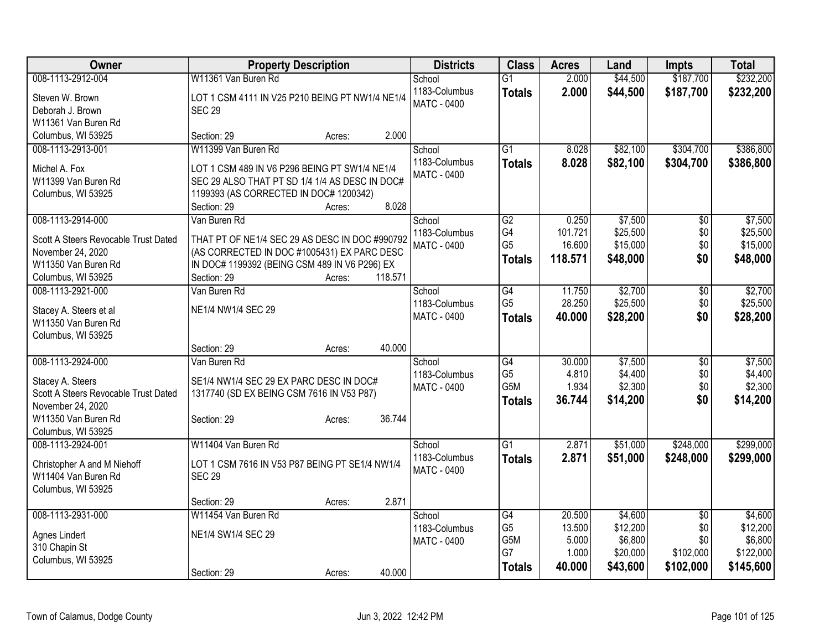| Owner                                | <b>Property Description</b>                      | <b>Districts</b>        | <b>Class</b>                      | <b>Acres</b>     | Land     | <b>Impts</b>           | <b>Total</b> |
|--------------------------------------|--------------------------------------------------|-------------------------|-----------------------------------|------------------|----------|------------------------|--------------|
| 008-1113-2912-004                    | W11361 Van Buren Rd                              | School                  | $\overline{G1}$                   | 2.000            | \$44,500 | \$187,700              | \$232,200    |
| Steven W. Brown                      | LOT 1 CSM 4111 IN V25 P210 BEING PT NW1/4 NE1/4  | 1183-Columbus           | <b>Totals</b>                     | 2.000            | \$44,500 | \$187,700              | \$232,200    |
| Deborah J. Brown                     | <b>SEC 29</b>                                    | <b>MATC - 0400</b>      |                                   |                  |          |                        |              |
| W11361 Van Buren Rd                  |                                                  |                         |                                   |                  |          |                        |              |
| Columbus, WI 53925                   | 2.000<br>Section: 29<br>Acres:                   |                         |                                   |                  |          |                        |              |
| 008-1113-2913-001                    | W11399 Van Buren Rd                              | School                  | $\overline{G1}$                   | 8.028            | \$82,100 | \$304,700              | \$386,800    |
| Michel A. Fox                        | LOT 1 CSM 489 IN V6 P296 BEING PT SW1/4 NE1/4    | 1183-Columbus           | <b>Totals</b>                     | 8.028            | \$82,100 | \$304,700              | \$386,800    |
| W11399 Van Buren Rd                  | SEC 29 ALSO THAT PT SD 1/4 1/4 AS DESC IN DOC#   | <b>MATC - 0400</b>      |                                   |                  |          |                        |              |
| Columbus, WI 53925                   | 1199393 (AS CORRECTED IN DOC# 1200342)           |                         |                                   |                  |          |                        |              |
|                                      | 8.028<br>Section: 29<br>Acres:                   |                         |                                   |                  |          |                        |              |
| 008-1113-2914-000                    | Van Buren Rd                                     | School                  | $\overline{G2}$                   | 0.250            | \$7,500  | \$0                    | \$7,500      |
|                                      |                                                  | 1183-Columbus           | G4                                | 101.721          | \$25,500 | \$0                    | \$25,500     |
| Scott A Steers Revocable Trust Dated | THAT PT OF NE1/4 SEC 29 AS DESC IN DOC #990792   | <b>MATC - 0400</b>      | G <sub>5</sub>                    | 16.600           | \$15,000 | \$0                    | \$15,000     |
| November 24, 2020                    | (AS CORRECTED IN DOC #1005431) EX PARC DESC      |                         | <b>Totals</b>                     | 118.571          | \$48,000 | \$0                    | \$48,000     |
| W11350 Van Buren Rd                  | IN DOC# 1199392 (BEING CSM 489 IN V6 P296) EX    |                         |                                   |                  |          |                        |              |
| Columbus, WI 53925                   | Section: 29<br>118.571<br>Acres:<br>Van Buren Rd |                         |                                   |                  | \$2,700  |                        | \$2,700      |
| 008-1113-2921-000                    |                                                  | School<br>1183-Columbus | $\overline{G4}$<br>G <sub>5</sub> | 11.750<br>28.250 | \$25,500 | $\overline{50}$<br>\$0 |              |
| Stacey A. Steers et al               | NE1/4 NW1/4 SEC 29                               | MATC - 0400             |                                   | 40.000           |          | \$0                    | \$25,500     |
| W11350 Van Buren Rd                  |                                                  |                         | <b>Totals</b>                     |                  | \$28,200 |                        | \$28,200     |
| Columbus, WI 53925                   |                                                  |                         |                                   |                  |          |                        |              |
|                                      | 40.000<br>Section: 29<br>Acres:                  |                         |                                   |                  |          |                        |              |
| 008-1113-2924-000                    | Van Buren Rd                                     | School                  | G4                                | 30.000           | \$7,500  | $\overline{50}$        | \$7,500      |
| Stacey A. Steers                     | SE1/4 NW1/4 SEC 29 EX PARC DESC IN DOC#          | 1183-Columbus           | G <sub>5</sub>                    | 4.810            | \$4,400  | \$0                    | \$4,400      |
| Scott A Steers Revocable Trust Dated | 1317740 (SD EX BEING CSM 7616 IN V53 P87)        | MATC - 0400             | G <sub>5</sub> M                  | 1.934            | \$2,300  | \$0                    | \$2,300      |
| November 24, 2020                    |                                                  |                         | <b>Totals</b>                     | 36.744           | \$14,200 | \$0                    | \$14,200     |
| W11350 Van Buren Rd                  | 36.744<br>Section: 29<br>Acres:                  |                         |                                   |                  |          |                        |              |
| Columbus, WI 53925                   |                                                  |                         |                                   |                  |          |                        |              |
| 008-1113-2924-001                    | W11404 Van Buren Rd                              | School                  | $\overline{G1}$                   | 2.871            | \$51,000 | \$248,000              | \$299,000    |
| Christopher A and M Niehoff          | LOT 1 CSM 7616 IN V53 P87 BEING PT SE1/4 NW1/4   | 1183-Columbus           | <b>Totals</b>                     | 2.871            | \$51,000 | \$248,000              | \$299,000    |
| W11404 Van Buren Rd                  | <b>SEC 29</b>                                    | <b>MATC - 0400</b>      |                                   |                  |          |                        |              |
| Columbus, WI 53925                   |                                                  |                         |                                   |                  |          |                        |              |
|                                      | 2.871<br>Section: 29<br>Acres:                   |                         |                                   |                  |          |                        |              |
| 008-1113-2931-000                    | W11454 Van Buren Rd                              | School                  | $\overline{G4}$                   | 20.500           | \$4,600  | $\overline{50}$        | \$4,600      |
|                                      |                                                  | 1183-Columbus           | G <sub>5</sub>                    | 13.500           | \$12,200 | \$0                    | \$12,200     |
| Agnes Lindert                        | NE1/4 SW1/4 SEC 29                               | <b>MATC - 0400</b>      | G5M                               | 5.000            | \$6,800  | \$0                    | \$6,800      |
| 310 Chapin St                        |                                                  |                         | G7                                | 1.000            | \$20,000 | \$102,000              | \$122,000    |
| Columbus, WI 53925                   | 40.000                                           |                         | <b>Totals</b>                     | 40.000           | \$43,600 | \$102,000              | \$145,600    |
|                                      | Section: 29<br>Acres:                            |                         |                                   |                  |          |                        |              |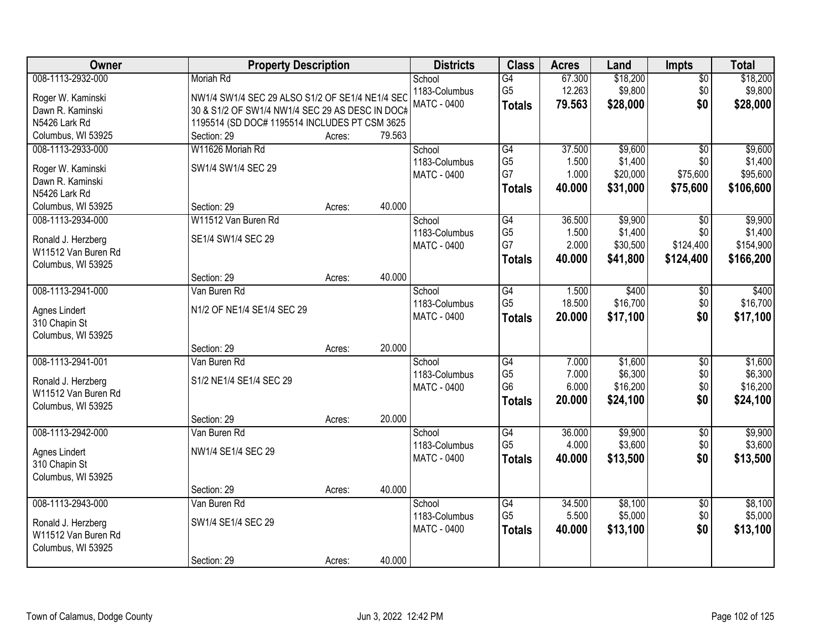| 008-1113-2932-000<br>67.300<br>\$18,200<br>Moriah Rd<br>School<br>$\overline{G4}$<br>$\sqrt{$0}$<br>G <sub>5</sub><br>12.263<br>\$9,800<br>1183-Columbus<br>\$0<br>Roger W. Kaminski<br>NW1/4 SW1/4 SEC 29 ALSO S1/2 OF SE1/4 NE1/4 SEC<br><b>MATC - 0400</b><br>79.563<br>\$28,000<br>\$0<br><b>Totals</b> | \$18,200<br>\$9,800<br>\$28,000 |
|-------------------------------------------------------------------------------------------------------------------------------------------------------------------------------------------------------------------------------------------------------------------------------------------------------------|---------------------------------|
|                                                                                                                                                                                                                                                                                                             |                                 |
|                                                                                                                                                                                                                                                                                                             |                                 |
| 30 & S1/2 OF SW1/4 NW1/4 SEC 29 AS DESC IN DOC#<br>Dawn R. Kaminski                                                                                                                                                                                                                                         |                                 |
| 1195514 (SD DOC# 1195514 INCLUDES PT CSM 3625<br>N5426 Lark Rd                                                                                                                                                                                                                                              |                                 |
| 79.563<br>Columbus, WI 53925<br>Section: 29<br>Acres:                                                                                                                                                                                                                                                       |                                 |
| 008-1113-2933-000<br>W11626 Moriah Rd<br>G4<br>37.500<br>\$9,600<br>School<br>$\overline{50}$                                                                                                                                                                                                               | \$9,600                         |
| G <sub>5</sub><br>1183-Columbus<br>1.500<br>\$1,400<br>\$0                                                                                                                                                                                                                                                  | \$1,400                         |
| SW1/4 SW1/4 SEC 29<br>Roger W. Kaminski<br>G7<br>1.000<br>\$20,000<br>\$75,600<br>MATC - 0400                                                                                                                                                                                                               | \$95,600                        |
| Dawn R. Kaminski<br>40.000<br>\$31,000<br>\$75,600<br><b>Totals</b><br>N5426 Lark Rd                                                                                                                                                                                                                        | \$106,600                       |
| 40.000<br>Columbus, WI 53925<br>Section: 29<br>Acres:                                                                                                                                                                                                                                                       |                                 |
| 008-1113-2934-000<br>W11512 Van Buren Rd<br>$\overline{G4}$<br>36.500<br>\$9,900<br>\$0<br>School                                                                                                                                                                                                           | \$9,900                         |
| G <sub>5</sub><br>1.500<br>\$1,400<br>\$0<br>1183-Columbus                                                                                                                                                                                                                                                  | \$1,400                         |
| SE1/4 SW1/4 SEC 29<br>Ronald J. Herzberg<br>G7<br>\$124,400<br>2.000<br>\$30,500<br>MATC - 0400                                                                                                                                                                                                             | \$154,900                       |
| W11512 Van Buren Rd<br>\$41,800<br>40.000<br>\$124,400<br><b>Totals</b>                                                                                                                                                                                                                                     | \$166,200                       |
| Columbus, WI 53925                                                                                                                                                                                                                                                                                          |                                 |
| 40.000<br>Section: 29<br>Acres:                                                                                                                                                                                                                                                                             |                                 |
| 008-1113-2941-000<br>\$400<br>Van Buren Rd<br>$\overline{G4}$<br>1.500<br>\$0<br>School                                                                                                                                                                                                                     | \$400                           |
| G <sub>5</sub><br>18.500<br>\$16,700<br>1183-Columbus<br>\$0<br>N1/2 OF NE1/4 SE1/4 SEC 29<br>Agnes Lindert                                                                                                                                                                                                 | \$16,700                        |
| MATC - 0400<br>\$0<br>20.000<br>\$17,100<br><b>Totals</b><br>310 Chapin St                                                                                                                                                                                                                                  | \$17,100                        |
| Columbus, WI 53925                                                                                                                                                                                                                                                                                          |                                 |
| 20.000<br>Section: 29<br>Acres:                                                                                                                                                                                                                                                                             |                                 |
| 008-1113-2941-001<br>$\overline{G4}$<br>\$1,600<br>Van Buren Rd<br>7.000<br>\$0<br>School                                                                                                                                                                                                                   | \$1,600                         |
| G <sub>5</sub><br>7.000<br>\$6,300<br>\$0<br>1183-Columbus                                                                                                                                                                                                                                                  | \$6,300                         |
| S1/2 NE1/4 SE1/4 SEC 29<br>Ronald J. Herzberg<br>G <sub>6</sub><br>6.000<br>\$16,200<br>\$0<br>MATC - 0400                                                                                                                                                                                                  | \$16,200                        |
| W11512 Van Buren Rd<br>\$0<br>20.000<br>\$24,100<br><b>Totals</b>                                                                                                                                                                                                                                           | \$24,100                        |
| Columbus, WI 53925                                                                                                                                                                                                                                                                                          |                                 |
| 20.000<br>Section: 29<br>Acres:                                                                                                                                                                                                                                                                             |                                 |
| $\overline{G4}$<br>\$9,900<br>008-1113-2942-000<br>36.000<br>$\overline{$0}$<br>Van Buren Rd<br>School<br>G <sub>5</sub>                                                                                                                                                                                    | \$9,900                         |
| 4.000<br>\$3,600<br>\$0<br>1183-Columbus<br>NW1/4 SE1/4 SEC 29<br>Agnes Lindert                                                                                                                                                                                                                             | \$3,600                         |
| \$0<br>MATC - 0400<br>40.000<br>\$13,500<br><b>Totals</b><br>310 Chapin St                                                                                                                                                                                                                                  | \$13,500                        |
| Columbus, WI 53925                                                                                                                                                                                                                                                                                          |                                 |
| 40.000<br>Section: 29<br>Acres:                                                                                                                                                                                                                                                                             |                                 |
| 008-1113-2943-000<br>\$8,100<br>Van Buren Rd<br>G4<br>34.500<br>School<br>$\overline{50}$                                                                                                                                                                                                                   | \$8,100                         |
| G <sub>5</sub><br>5.500<br>\$5,000<br>\$0<br>1183-Columbus<br>SW1/4 SE1/4 SEC 29<br>Ronald J. Herzberg                                                                                                                                                                                                      | \$5,000                         |
| \$0<br><b>MATC - 0400</b><br>40.000<br>\$13,100<br><b>Totals</b><br>W11512 Van Buren Rd                                                                                                                                                                                                                     | \$13,100                        |
| Columbus, WI 53925                                                                                                                                                                                                                                                                                          |                                 |
| 40.000<br>Section: 29<br>Acres:                                                                                                                                                                                                                                                                             |                                 |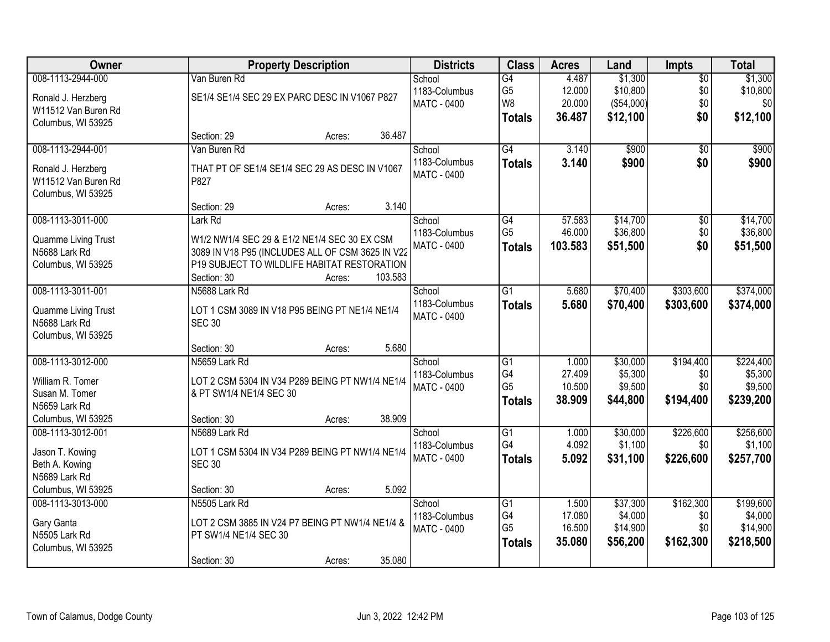| Owner                                | <b>Property Description</b>                                     | <b>Districts</b>   | <b>Class</b>    | <b>Acres</b> | Land       | <b>Impts</b>    | <b>Total</b> |
|--------------------------------------|-----------------------------------------------------------------|--------------------|-----------------|--------------|------------|-----------------|--------------|
| 008-1113-2944-000                    | Van Buren Rd                                                    | School             | G4              | 4.487        | \$1,300    | $\overline{50}$ | \$1,300      |
| Ronald J. Herzberg                   | SE1/4 SE1/4 SEC 29 EX PARC DESC IN V1067 P827                   | 1183-Columbus      | G <sub>5</sub>  | 12.000       | \$10,800   | \$0             | \$10,800     |
| W11512 Van Buren Rd                  |                                                                 | <b>MATC - 0400</b> | W <sub>8</sub>  | 20.000       | (\$54,000) | \$0             | \$0          |
| Columbus, WI 53925                   |                                                                 |                    | <b>Totals</b>   | 36.487       | \$12,100   | \$0             | \$12,100     |
|                                      | Section: 29<br>36.487<br>Acres:                                 |                    |                 |              |            |                 |              |
| 008-1113-2944-001                    | Van Buren Rd                                                    | School             | G4              | 3.140        | \$900      | $\overline{50}$ | \$900        |
| Ronald J. Herzberg                   | THAT PT OF SE1/4 SE1/4 SEC 29 AS DESC IN V1067                  | 1183-Columbus      | <b>Totals</b>   | 3.140        | \$900      | \$0             | \$900        |
| W11512 Van Buren Rd                  | P827                                                            | <b>MATC - 0400</b> |                 |              |            |                 |              |
| Columbus, WI 53925                   |                                                                 |                    |                 |              |            |                 |              |
|                                      | 3.140<br>Section: 29<br>Acres:                                  |                    |                 |              |            |                 |              |
| 008-1113-3011-000                    | Lark Rd                                                         | School             | $\overline{G4}$ | 57.583       | \$14,700   | $\overline{50}$ | \$14,700     |
| Quamme Living Trust                  | W1/2 NW1/4 SEC 29 & E1/2 NE1/4 SEC 30 EX CSM                    | 1183-Columbus      | G <sub>5</sub>  | 46.000       | \$36,800   | \$0             | \$36,800     |
| N5688 Lark Rd                        | 3089 IN V18 P95 (INCLUDES ALL OF CSM 3625 IN V22                | <b>MATC - 0400</b> | <b>Totals</b>   | 103.583      | \$51,500   | \$0             | \$51,500     |
| Columbus, WI 53925                   | P19 SUBJECT TO WILDLIFE HABITAT RESTORATION                     |                    |                 |              |            |                 |              |
|                                      | Section: 30<br>103.583<br>Acres:                                |                    |                 |              |            |                 |              |
| 008-1113-3011-001                    | N5688 Lark Rd                                                   | School             | $\overline{G1}$ | 5.680        | \$70,400   | \$303,600       | \$374,000    |
|                                      |                                                                 | 1183-Columbus      | <b>Totals</b>   | 5.680        | \$70,400   | \$303,600       | \$374,000    |
| Quamme Living Trust<br>N5688 Lark Rd | LOT 1 CSM 3089 IN V18 P95 BEING PT NE1/4 NE1/4<br><b>SEC 30</b> | <b>MATC - 0400</b> |                 |              |            |                 |              |
|                                      |                                                                 |                    |                 |              |            |                 |              |
| Columbus, WI 53925                   | 5.680<br>Section: 30<br>Acres:                                  |                    |                 |              |            |                 |              |
| 008-1113-3012-000                    | N5659 Lark Rd                                                   | School             | $\overline{G1}$ | 1.000        | \$30,000   | \$194,400       | \$224,400    |
|                                      |                                                                 | 1183-Columbus      | G4              | 27.409       | \$5,300    | \$0             | \$5,300      |
| William R. Tomer                     | LOT 2 CSM 5304 IN V34 P289 BEING PT NW1/4 NE1/4                 | <b>MATC - 0400</b> | G <sub>5</sub>  | 10.500       | \$9,500    | \$0             | \$9,500      |
| Susan M. Tomer                       | & PT SW1/4 NE1/4 SEC 30                                         |                    | <b>Totals</b>   | 38.909       | \$44,800   | \$194,400       | \$239,200    |
| N5659 Lark Rd                        |                                                                 |                    |                 |              |            |                 |              |
| Columbus, WI 53925                   | 38.909<br>Section: 30<br>Acres:                                 |                    |                 |              |            |                 |              |
| 008-1113-3012-001                    | N5689 Lark Rd                                                   | School             | G1              | 1.000        | \$30,000   | \$226,600       | \$256,600    |
| Jason T. Kowing                      | LOT 1 CSM 5304 IN V34 P289 BEING PT NW1/4 NE1/4                 | 1183-Columbus      | G4              | 4.092        | \$1,100    | \$0             | \$1,100      |
| Beth A. Kowing                       | <b>SEC 30</b>                                                   | <b>MATC - 0400</b> | <b>Totals</b>   | 5.092        | \$31,100   | \$226,600       | \$257,700    |
| N5689 Lark Rd                        |                                                                 |                    |                 |              |            |                 |              |
| Columbus, WI 53925                   | 5.092<br>Section: 30<br>Acres:                                  |                    |                 |              |            |                 |              |
| 008-1113-3013-000                    | N5505 Lark Rd                                                   | School             | G1              | 1.500        | \$37,300   | \$162,300       | \$199,600    |
| Gary Ganta                           | LOT 2 CSM 3885 IN V24 P7 BEING PT NW1/4 NE1/4 &                 | 1183-Columbus      | G4              | 17.080       | \$4,000    | \$0             | \$4,000      |
| N5505 Lark Rd                        | PT SW1/4 NE1/4 SEC 30                                           | <b>MATC - 0400</b> | G <sub>5</sub>  | 16.500       | \$14,900   | \$0             | \$14,900     |
| Columbus, WI 53925                   |                                                                 |                    | <b>Totals</b>   | 35.080       | \$56,200   | \$162,300       | \$218,500    |
|                                      | 35.080<br>Section: 30<br>Acres:                                 |                    |                 |              |            |                 |              |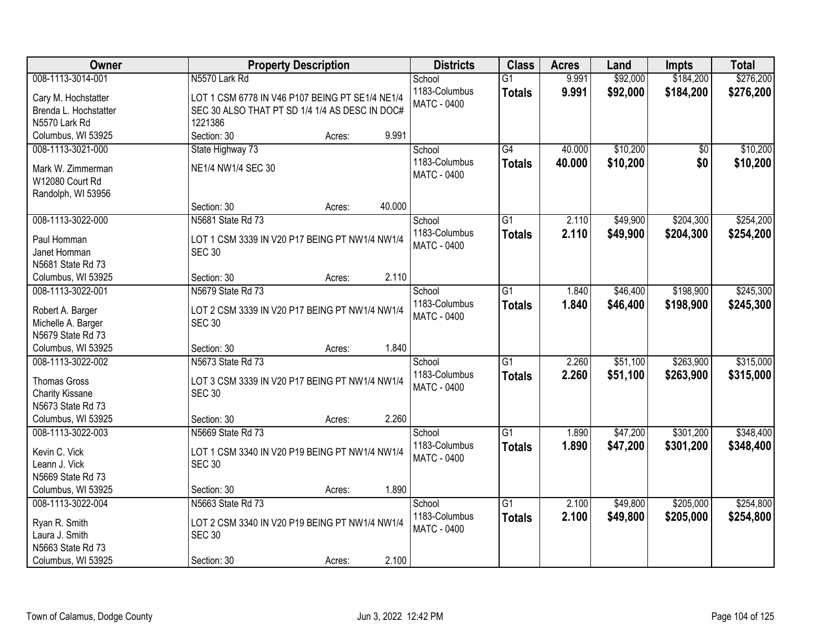| Owner                                   | <b>Property Description</b>                     | <b>Districts</b>                    | <b>Class</b>    | <b>Acres</b> | Land     | <b>Impts</b> | <b>Total</b> |
|-----------------------------------------|-------------------------------------------------|-------------------------------------|-----------------|--------------|----------|--------------|--------------|
| 008-1113-3014-001                       | N5570 Lark Rd                                   | School                              | $\overline{G1}$ | 9.991        | \$92,000 | \$184,200    | \$276,200    |
| Cary M. Hochstatter                     | LOT 1 CSM 6778 IN V46 P107 BEING PT SE1/4 NE1/4 | 1183-Columbus                       | <b>Totals</b>   | 9.991        | \$92,000 | \$184,200    | \$276,200    |
| Brenda L. Hochstatter                   | SEC 30 ALSO THAT PT SD 1/4 1/4 AS DESC IN DOC#  | <b>MATC - 0400</b>                  |                 |              |          |              |              |
| N5570 Lark Rd                           | 1221386                                         |                                     |                 |              |          |              |              |
| Columbus, WI 53925                      | 9.991<br>Section: 30<br>Acres:                  |                                     |                 |              |          |              |              |
| 008-1113-3021-000                       | State Highway 73                                | School                              | $\overline{G4}$ | 40.000       | \$10,200 | \$0          | \$10,200     |
|                                         |                                                 | 1183-Columbus                       | <b>Totals</b>   | 40.000       | \$10,200 | \$0          | \$10,200     |
| Mark W. Zimmerman                       | NE1/4 NW1/4 SEC 30                              | MATC - 0400                         |                 |              |          |              |              |
| W12080 Court Rd                         |                                                 |                                     |                 |              |          |              |              |
| Randolph, WI 53956                      | 40.000                                          |                                     |                 |              |          |              |              |
|                                         | Section: 30<br>Acres:                           |                                     |                 |              |          |              |              |
| 008-1113-3022-000                       | N5681 State Rd 73                               | School                              | $\overline{G1}$ | 2.110        | \$49,900 | \$204,300    | \$254,200    |
| Paul Homman                             | LOT 1 CSM 3339 IN V20 P17 BEING PT NW1/4 NW1/4  | 1183-Columbus                       | <b>Totals</b>   | 2.110        | \$49,900 | \$204,300    | \$254,200    |
| Janet Homman                            | <b>SEC 30</b>                                   | <b>MATC - 0400</b>                  |                 |              |          |              |              |
| N5681 State Rd 73                       |                                                 |                                     |                 |              |          |              |              |
| Columbus, WI 53925                      | 2.110<br>Section: 30<br>Acres:                  |                                     |                 |              |          |              |              |
| 008-1113-3022-001                       | N5679 State Rd 73                               | School                              | $\overline{G1}$ | 1.840        | \$46,400 | \$198,900    | \$245,300    |
|                                         |                                                 | 1183-Columbus                       | <b>Totals</b>   | 1.840        | \$46,400 | \$198,900    | \$245,300    |
| Robert A. Barger                        | LOT 2 CSM 3339 IN V20 P17 BEING PT NW1/4 NW1/4  | <b>MATC - 0400</b>                  |                 |              |          |              |              |
| Michelle A. Barger                      | <b>SEC 30</b>                                   |                                     |                 |              |          |              |              |
| N5679 State Rd 73<br>Columbus, WI 53925 | 1.840                                           |                                     |                 |              |          |              |              |
| 008-1113-3022-002                       | Section: 30<br>Acres:<br>N5673 State Rd 73      |                                     | $\overline{G1}$ | 2.260        | \$51,100 | \$263,900    | \$315,000    |
|                                         |                                                 | School                              |                 |              |          |              |              |
| <b>Thomas Gross</b>                     | LOT 3 CSM 3339 IN V20 P17 BEING PT NW1/4 NW1/4  | 1183-Columbus<br><b>MATC - 0400</b> | <b>Totals</b>   | 2.260        | \$51,100 | \$263,900    | \$315,000    |
| Charity Kissane                         | <b>SEC 30</b>                                   |                                     |                 |              |          |              |              |
| N5673 State Rd 73                       |                                                 |                                     |                 |              |          |              |              |
| Columbus, WI 53925                      | 2.260<br>Section: 30<br>Acres:                  |                                     |                 |              |          |              |              |
| 008-1113-3022-003                       | N5669 State Rd 73                               | School                              | $\overline{G1}$ | 1.890        | \$47,200 | \$301,200    | \$348,400    |
| Kevin C. Vick                           | LOT 1 CSM 3340 IN V20 P19 BEING PT NW1/4 NW1/4  | 1183-Columbus                       | <b>Totals</b>   | 1.890        | \$47,200 | \$301,200    | \$348,400    |
| Leann J. Vick                           | <b>SEC 30</b>                                   | <b>MATC - 0400</b>                  |                 |              |          |              |              |
| N5669 State Rd 73                       |                                                 |                                     |                 |              |          |              |              |
| Columbus, WI 53925                      | 1.890<br>Section: 30<br>Acres:                  |                                     |                 |              |          |              |              |
| 008-1113-3022-004                       | N5663 State Rd 73                               | School                              | $\overline{G1}$ | 2.100        | \$49,800 | \$205,000    | \$254,800    |
|                                         |                                                 | 1183-Columbus                       |                 | 2.100        | \$49,800 |              |              |
| Ryan R. Smith                           | LOT 2 CSM 3340 IN V20 P19 BEING PT NW1/4 NW1/4  | <b>MATC - 0400</b>                  | <b>Totals</b>   |              |          | \$205,000    | \$254,800    |
| Laura J. Smith                          | <b>SEC 30</b>                                   |                                     |                 |              |          |              |              |
| N5663 State Rd 73                       |                                                 |                                     |                 |              |          |              |              |
| Columbus, WI 53925                      | 2.100<br>Section: 30<br>Acres:                  |                                     |                 |              |          |              |              |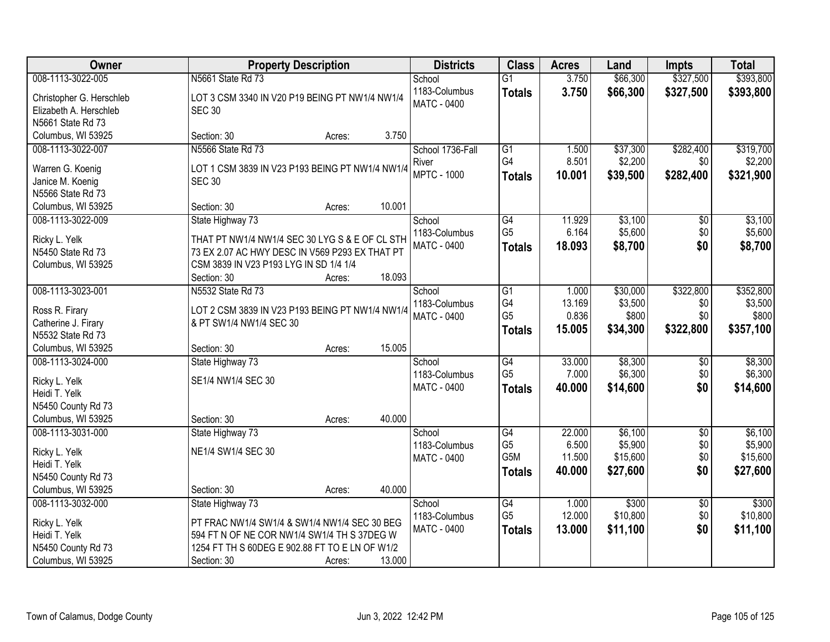| Owner                                   | <b>Property Description</b>                     |                  | <b>Districts</b>        | <b>Class</b>                      | <b>Acres</b>    | Land               | <b>Impts</b>        | <b>Total</b>        |
|-----------------------------------------|-------------------------------------------------|------------------|-------------------------|-----------------------------------|-----------------|--------------------|---------------------|---------------------|
| 008-1113-3022-005                       | N5661 State Rd 73                               |                  | School                  | $\overline{G1}$                   | 3.750           | \$66,300           | \$327,500           | \$393,800           |
| Christopher G. Herschleb                | LOT 3 CSM 3340 IN V20 P19 BEING PT NW1/4 NW1/4  |                  | 1183-Columbus           | <b>Totals</b>                     | 3.750           | \$66,300           | \$327,500           | \$393,800           |
| Elizabeth A. Herschleb                  | <b>SEC 30</b>                                   |                  | <b>MATC - 0400</b>      |                                   |                 |                    |                     |                     |
| N5661 State Rd 73                       |                                                 |                  |                         |                                   |                 |                    |                     |                     |
| Columbus, WI 53925                      | Section: 30                                     | 3.750<br>Acres:  |                         |                                   |                 |                    |                     |                     |
| 008-1113-3022-007                       | N5566 State Rd 73                               |                  | School 1736-Fall        | G1                                | 1.500           | \$37,300           | \$282,400           | \$319,700           |
|                                         |                                                 |                  | River                   | G4                                | 8.501           | \$2,200            | \$0                 | \$2,200             |
| Warren G. Koenig                        | LOT 1 CSM 3839 IN V23 P193 BEING PT NW1/4 NW1/4 |                  | <b>MPTC - 1000</b>      | <b>Totals</b>                     | 10.001          | \$39,500           | \$282,400           | \$321,900           |
| Janice M. Koenig                        | <b>SEC 30</b>                                   |                  |                         |                                   |                 |                    |                     |                     |
| N5566 State Rd 73                       | Section: 30                                     | 10.001           |                         |                                   |                 |                    |                     |                     |
| Columbus, WI 53925<br>008-1113-3022-009 | State Highway 73                                | Acres:           |                         | G4                                | 11.929          | \$3,100            |                     | \$3,100             |
|                                         |                                                 |                  | School<br>1183-Columbus | G <sub>5</sub>                    | 6.164           | \$5,600            | $\sqrt[6]{}$<br>\$0 | \$5,600             |
| Ricky L. Yelk                           | THAT PT NW1/4 NW1/4 SEC 30 LYG S & E OF CL STH  |                  | MATC - 0400             |                                   | 18.093          | \$8,700            | \$0                 | \$8,700             |
| N5450 State Rd 73                       | 73 EX 2.07 AC HWY DESC IN V569 P293 EX THAT PT  |                  |                         | <b>Totals</b>                     |                 |                    |                     |                     |
| Columbus, WI 53925                      | CSM 3839 IN V23 P193 LYG IN SD 1/4 1/4          |                  |                         |                                   |                 |                    |                     |                     |
|                                         | Section: 30                                     | 18.093<br>Acres: |                         |                                   |                 |                    |                     |                     |
| 008-1113-3023-001                       | N5532 State Rd 73                               |                  | School                  | G1                                | 1.000           | \$30,000           | \$322,800           | \$352,800           |
| Ross R. Firary                          | LOT 2 CSM 3839 IN V23 P193 BEING PT NW1/4 NW1/4 |                  | 1183-Columbus           | G4                                | 13.169          | \$3,500            | \$0                 | \$3,500             |
| Catherine J. Firary                     | & PT SW1/4 NW1/4 SEC 30                         |                  | <b>MATC - 0400</b>      | G <sub>5</sub>                    | 0.836           | \$800              | \$0                 | \$800               |
| N5532 State Rd 73                       |                                                 |                  |                         | <b>Totals</b>                     | 15.005          | \$34,300           | \$322,800           | \$357,100           |
| Columbus, WI 53925                      | Section: 30                                     | 15.005<br>Acres: |                         |                                   |                 |                    |                     |                     |
| 008-1113-3024-000                       | State Highway 73                                |                  | School                  | $\overline{G4}$                   | 33.000          | \$8,300            | \$0                 | \$8,300             |
|                                         |                                                 |                  | 1183-Columbus           | G <sub>5</sub>                    | 7.000           | \$6,300            | \$0                 | \$6,300             |
| Ricky L. Yelk                           | SE1/4 NW1/4 SEC 30                              |                  | MATC - 0400             | <b>Totals</b>                     | 40.000          | \$14,600           | \$0                 | \$14,600            |
| Heidi T. Yelk                           |                                                 |                  |                         |                                   |                 |                    |                     |                     |
| N5450 County Rd 73                      |                                                 |                  |                         |                                   |                 |                    |                     |                     |
| Columbus, WI 53925                      | Section: 30                                     | 40.000<br>Acres: |                         |                                   |                 |                    |                     |                     |
| 008-1113-3031-000                       | State Highway 73                                |                  | School                  | $\overline{G4}$<br>G <sub>5</sub> | 22.000<br>6.500 | \$6,100<br>\$5,900 | $\overline{50}$     | \$6,100             |
| Ricky L. Yelk                           | NE1/4 SW1/4 SEC 30                              |                  | 1183-Columbus           | G <sub>5</sub> M                  | 11.500          | \$15,600           | \$0<br>\$0          | \$5,900<br>\$15,600 |
| Heidi T. Yelk                           |                                                 |                  | <b>MATC - 0400</b>      |                                   | 40.000          | \$27,600           | \$0                 |                     |
| N5450 County Rd 73                      |                                                 |                  |                         | <b>Totals</b>                     |                 |                    |                     | \$27,600            |
| Columbus, WI 53925                      | Section: 30                                     | 40.000<br>Acres: |                         |                                   |                 |                    |                     |                     |
| 008-1113-3032-000                       | State Highway 73                                |                  | School                  | G4                                | 1.000           | \$300              | $\overline{60}$     | \$300               |
| Ricky L. Yelk                           | PT FRAC NW1/4 SW1/4 & SW1/4 NW1/4 SEC 30 BEG    |                  | 1183-Columbus           | G <sub>5</sub>                    | 12.000          | \$10,800           | \$0                 | \$10,800            |
| Heidi T. Yelk                           | 594 FT N OF NE COR NW1/4 SW1/4 TH S 37DEG W     |                  | <b>MATC - 0400</b>      | <b>Totals</b>                     | 13.000          | \$11,100           | \$0                 | \$11,100            |
| N5450 County Rd 73                      | 1254 FT TH S 60DEG E 902.88 FT TO E LN OF W1/2  |                  |                         |                                   |                 |                    |                     |                     |
| Columbus, WI 53925                      | Section: 30                                     | 13.000<br>Acres: |                         |                                   |                 |                    |                     |                     |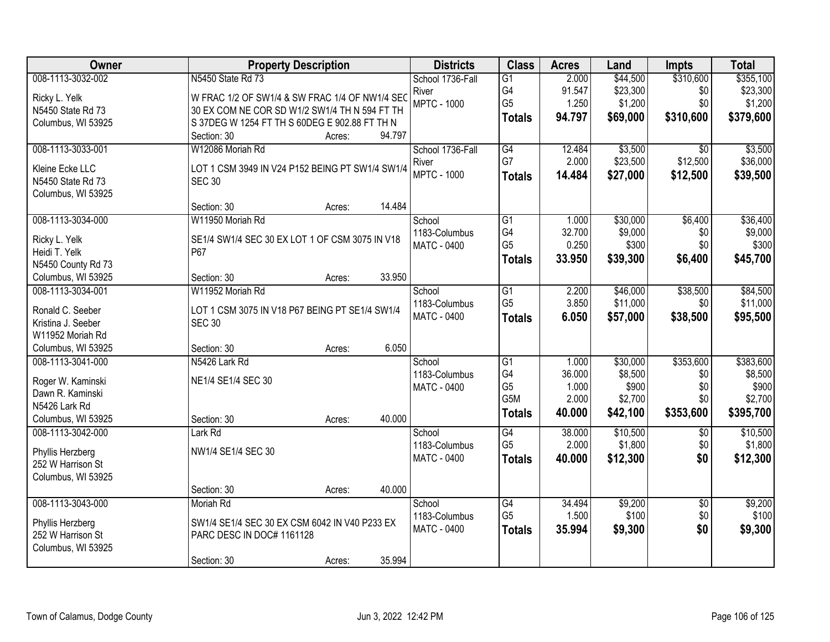| Owner                                   | <b>Property Description</b>                     | <b>Districts</b>        | <b>Class</b>    | <b>Acres</b> | Land     | <b>Impts</b>      | <b>Total</b> |
|-----------------------------------------|-------------------------------------------------|-------------------------|-----------------|--------------|----------|-------------------|--------------|
| 008-1113-3032-002                       | N5450 State Rd 73                               | School 1736-Fall        | $\overline{G1}$ | 2.000        | \$44,500 | \$310,600         | \$355,100    |
| Ricky L. Yelk                           | W FRAC 1/2 OF SW1/4 & SW FRAC 1/4 OF NW1/4 SEC  | River                   | G4              | 91.547       | \$23,300 | \$0               | \$23,300     |
| N5450 State Rd 73                       | 30 EX COM NE COR SD W1/2 SW1/4 TH N 594 FT TH   | <b>MPTC - 1000</b>      | G <sub>5</sub>  | 1.250        | \$1,200  | \$0               | \$1,200      |
| Columbus, WI 53925                      | S 37DEG W 1254 FT TH S 60DEG E 902.88 FT TH N   |                         | <b>Totals</b>   | 94.797       | \$69,000 | \$310,600         | \$379,600    |
|                                         | 94.797<br>Section: 30<br>Acres:                 |                         |                 |              |          |                   |              |
| 008-1113-3033-001                       | W12086 Moriah Rd                                | School 1736-Fall        | G4              | 12.484       | \$3,500  | \$0               | \$3,500      |
| Kleine Ecke LLC                         | LOT 1 CSM 3949 IN V24 P152 BEING PT SW1/4 SW1/4 | River                   | G7              | 2.000        | \$23,500 | \$12,500          | \$36,000     |
| N5450 State Rd 73                       | <b>SEC 30</b>                                   | <b>MPTC - 1000</b>      | <b>Totals</b>   | 14.484       | \$27,000 | \$12,500          | \$39,500     |
| Columbus, WI 53925                      |                                                 |                         |                 |              |          |                   |              |
|                                         | 14.484<br>Section: 30<br>Acres:                 |                         |                 |              |          |                   |              |
| 008-1113-3034-000                       | W11950 Moriah Rd                                | School                  | $\overline{G1}$ | 1.000        | \$30,000 | \$6,400           | \$36,400     |
| Ricky L. Yelk                           | SE1/4 SW1/4 SEC 30 EX LOT 1 OF CSM 3075 IN V18  | 1183-Columbus           | G4              | 32.700       | \$9,000  | \$0               | \$9,000      |
| Heidi T. Yelk                           | P67                                             | MATC - 0400             | G <sub>5</sub>  | 0.250        | \$300    | \$0               | \$300        |
| N5450 County Rd 73                      |                                                 |                         | <b>Totals</b>   | 33.950       | \$39,300 | \$6,400           | \$45,700     |
| Columbus, WI 53925                      | 33.950<br>Section: 30<br>Acres:                 |                         |                 |              |          |                   |              |
| 008-1113-3034-001                       | W11952 Moriah Rd                                | School                  | G1              | 2.200        | \$46,000 | \$38,500          | \$84,500     |
| Ronald C. Seeber                        | LOT 1 CSM 3075 IN V18 P67 BEING PT SE1/4 SW1/4  | 1183-Columbus           | G <sub>5</sub>  | 3.850        | \$11,000 | \$0               | \$11,000     |
| Kristina J. Seeber                      | <b>SEC 30</b>                                   | <b>MATC - 0400</b>      | <b>Totals</b>   | 6.050        | \$57,000 | \$38,500          | \$95,500     |
| W11952 Moriah Rd                        |                                                 |                         |                 |              |          |                   |              |
| Columbus, WI 53925                      | 6.050<br>Section: 30<br>Acres:                  |                         |                 |              |          |                   |              |
| 008-1113-3041-000                       | N5426 Lark Rd                                   | School                  | $\overline{G1}$ | 1.000        | \$30,000 | \$353,600         | \$383,600    |
|                                         |                                                 | 1183-Columbus           | G4              | 36.000       | \$8,500  | \$0               | \$8,500      |
| Roger W. Kaminski                       | NE1/4 SE1/4 SEC 30                              | <b>MATC - 0400</b>      | G <sub>5</sub>  | 1.000        | \$900    | \$0               | \$900        |
| Dawn R. Kaminski                        |                                                 |                         | G5M             | 2.000        | \$2,700  | \$0               | \$2,700      |
| N5426 Lark Rd                           | 40.000                                          |                         | <b>Totals</b>   | 40.000       | \$42,100 | \$353,600         | \$395,700    |
| Columbus, WI 53925<br>008-1113-3042-000 | Section: 30<br>Acres:<br>Lark Rd                |                         | G4              | 38.000       | \$10,500 |                   | \$10,500     |
|                                         |                                                 | School<br>1183-Columbus | G <sub>5</sub>  | 2.000        | \$1,800  | $\sqrt{6}$<br>\$0 | \$1,800      |
| Phyllis Herzberg                        | NW1/4 SE1/4 SEC 30                              | <b>MATC - 0400</b>      |                 | 40.000       | \$12,300 | \$0               | \$12,300     |
| 252 W Harrison St                       |                                                 |                         | <b>Totals</b>   |              |          |                   |              |
| Columbus, WI 53925                      |                                                 |                         |                 |              |          |                   |              |
|                                         | 40.000<br>Section: 30<br>Acres:                 |                         |                 |              |          |                   |              |
| 008-1113-3043-000                       | Moriah Rd                                       | School                  | G4              | 34.494       | \$9,200  | $\overline{50}$   | \$9,200      |
| Phyllis Herzberg                        | SW1/4 SE1/4 SEC 30 EX CSM 6042 IN V40 P233 EX   | 1183-Columbus           | G <sub>5</sub>  | 1.500        | \$100    | \$0               | \$100        |
| 252 W Harrison St                       | PARC DESC IN DOC# 1161128                       | <b>MATC - 0400</b>      | <b>Totals</b>   | 35.994       | \$9,300  | \$0               | \$9,300      |
| Columbus, WI 53925                      |                                                 |                         |                 |              |          |                   |              |
|                                         | 35.994<br>Section: 30<br>Acres:                 |                         |                 |              |          |                   |              |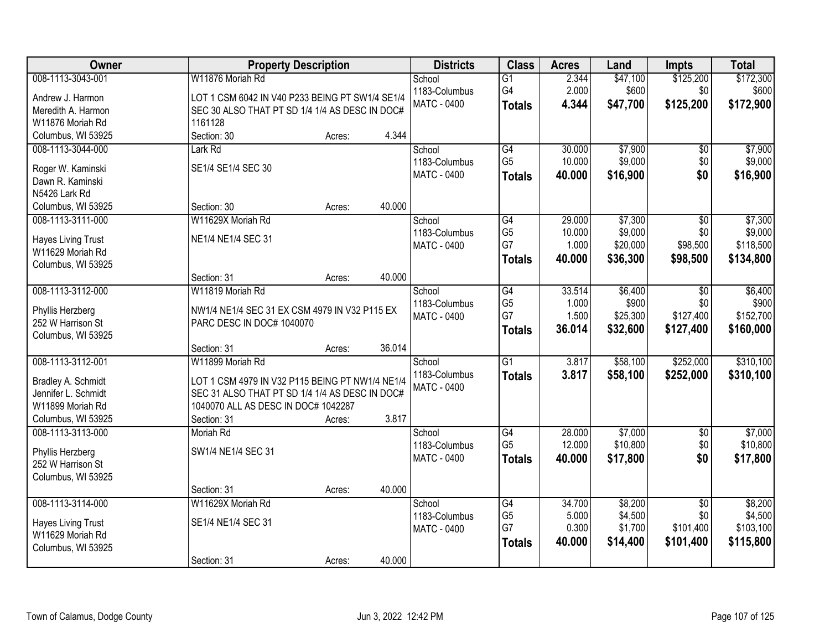| Owner                                         | <b>Property Description</b>                                 | <b>Districts</b>        | <b>Class</b>                      | <b>Acres</b>    | Land               | <b>Impts</b>           | <b>Total</b>       |
|-----------------------------------------------|-------------------------------------------------------------|-------------------------|-----------------------------------|-----------------|--------------------|------------------------|--------------------|
| 008-1113-3043-001                             | W11876 Moriah Rd                                            | School                  | $\overline{G1}$                   | 2.344           | \$47,100           | \$125,200              | \$172,300          |
| Andrew J. Harmon                              | LOT 1 CSM 6042 IN V40 P233 BEING PT SW1/4 SE1/4             | 1183-Columbus           | G4                                | 2.000           | \$600              | \$0                    | \$600              |
| Meredith A. Harmon                            | SEC 30 ALSO THAT PT SD 1/4 1/4 AS DESC IN DOC#              | MATC - 0400             | <b>Totals</b>                     | 4.344           | \$47,700           | \$125,200              | \$172,900          |
| W11876 Moriah Rd                              | 1161128                                                     |                         |                                   |                 |                    |                        |                    |
| Columbus, WI 53925                            | 4.344<br>Section: 30<br>Acres:                              |                         |                                   |                 |                    |                        |                    |
| 008-1113-3044-000                             | Lark Rd                                                     | School                  | $\overline{G4}$                   | 30.000          | \$7,900            | \$0                    | \$7,900            |
| Roger W. Kaminski                             | SE1/4 SE1/4 SEC 30                                          | 1183-Columbus           | G <sub>5</sub>                    | 10.000          | \$9,000            | \$0                    | \$9,000            |
| Dawn R. Kaminski                              |                                                             | <b>MATC - 0400</b>      | <b>Totals</b>                     | 40.000          | \$16,900           | \$0                    | \$16,900           |
| N5426 Lark Rd                                 |                                                             |                         |                                   |                 |                    |                        |                    |
| Columbus, WI 53925                            | 40.000<br>Section: 30<br>Acres:                             |                         |                                   |                 |                    |                        |                    |
| 008-1113-3111-000                             | W11629X Moriah Rd                                           | School                  | $\overline{G4}$                   | 29.000          | \$7,300            | $\overline{50}$        | \$7,300            |
|                                               | NE1/4 NE1/4 SEC 31                                          | 1183-Columbus           | G <sub>5</sub>                    | 10.000          | \$9,000            | \$0                    | \$9,000            |
| <b>Hayes Living Trust</b><br>W11629 Moriah Rd |                                                             | MATC - 0400             | G7                                | 1.000           | \$20,000           | \$98,500               | \$118,500          |
| Columbus, WI 53925                            |                                                             |                         | <b>Totals</b>                     | 40.000          | \$36,300           | \$98,500               | \$134,800          |
|                                               | 40.000<br>Section: 31<br>Acres:                             |                         |                                   |                 |                    |                        |                    |
| 008-1113-3112-000                             | W11819 Moriah Rd                                            | School                  | $\overline{G4}$                   | 33.514          | \$6,400            | \$0                    | \$6,400            |
|                                               |                                                             | 1183-Columbus           | G <sub>5</sub>                    | 1.000           | \$900              | \$0                    | \$900              |
| Phyllis Herzberg                              | NW1/4 NE1/4 SEC 31 EX CSM 4979 IN V32 P115 EX               | MATC - 0400             | G7                                | 1.500           | \$25,300           | \$127,400              | \$152,700          |
| 252 W Harrison St<br>Columbus, WI 53925       | PARC DESC IN DOC# 1040070                                   |                         | <b>Totals</b>                     | 36.014          | \$32,600           | \$127,400              | \$160,000          |
|                                               | 36.014<br>Section: 31<br>Acres:                             |                         |                                   |                 |                    |                        |                    |
| 008-1113-3112-001                             | W11899 Moriah Rd                                            | School                  | $\overline{G1}$                   | 3.817           | \$58,100           | \$252,000              | \$310,100          |
|                                               |                                                             | 1183-Columbus           | <b>Totals</b>                     | 3.817           | \$58,100           | \$252,000              | \$310,100          |
| Bradley A. Schmidt                            | LOT 1 CSM 4979 IN V32 P115 BEING PT NW1/4 NE1/4             | <b>MATC - 0400</b>      |                                   |                 |                    |                        |                    |
| Jennifer L. Schmidt                           | SEC 31 ALSO THAT PT SD 1/4 1/4 AS DESC IN DOC#              |                         |                                   |                 |                    |                        |                    |
| W11899 Moriah Rd<br>Columbus, WI 53925        | 1040070 ALL AS DESC IN DOC# 1042287<br>3.817<br>Section: 31 |                         |                                   |                 |                    |                        |                    |
| 008-1113-3113-000                             | Acres:<br>Moriah Rd                                         | School                  | $\overline{G4}$                   | 28.000          | \$7,000            | $\overline{50}$        | \$7,000            |
|                                               |                                                             | 1183-Columbus           | G <sub>5</sub>                    | 12.000          | \$10,800           | \$0                    | \$10,800           |
| Phyllis Herzberg                              | SW1/4 NE1/4 SEC 31                                          | MATC - 0400             | <b>Totals</b>                     | 40.000          | \$17,800           | \$0                    | \$17,800           |
| 252 W Harrison St                             |                                                             |                         |                                   |                 |                    |                        |                    |
| Columbus, WI 53925                            |                                                             |                         |                                   |                 |                    |                        |                    |
|                                               | 40.000<br>Section: 31<br>Acres:                             |                         |                                   |                 |                    |                        |                    |
| 008-1113-3114-000                             | W11629X Moriah Rd                                           | School<br>1183-Columbus | $\overline{G4}$<br>G <sub>5</sub> | 34.700<br>5.000 | \$8,200<br>\$4,500 | $\overline{30}$<br>\$0 | \$8,200<br>\$4,500 |
| <b>Hayes Living Trust</b>                     | SE1/4 NE1/4 SEC 31                                          | <b>MATC - 0400</b>      | G7                                | 0.300           | \$1,700            | \$101,400              | \$103,100          |
| W11629 Moriah Rd                              |                                                             |                         | <b>Totals</b>                     | 40.000          | \$14,400           | \$101,400              | \$115,800          |
| Columbus, WI 53925                            |                                                             |                         |                                   |                 |                    |                        |                    |
|                                               | 40.000<br>Section: 31<br>Acres:                             |                         |                                   |                 |                    |                        |                    |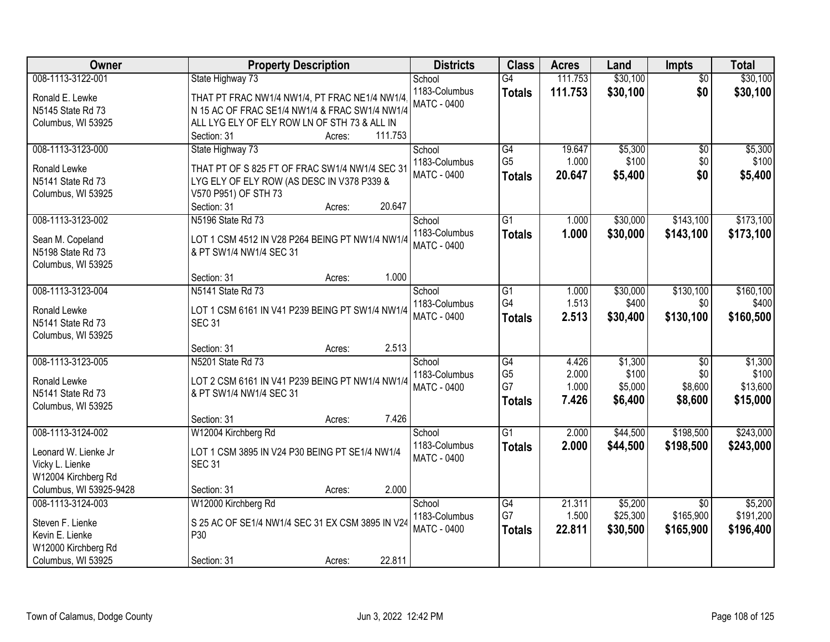| Owner                   | <b>Property Description</b>                      | <b>Districts</b>   | <b>Class</b>    | <b>Acres</b> | Land     | Impts           | <b>Total</b> |
|-------------------------|--------------------------------------------------|--------------------|-----------------|--------------|----------|-----------------|--------------|
| 008-1113-3122-001       | State Highway 73                                 | School             | $\overline{G4}$ | 111.753      | \$30,100 | $\overline{50}$ | \$30,100     |
| Ronald E. Lewke         | THAT PT FRAC NW1/4 NW1/4, PT FRAC NE1/4 NW1/4    | 1183-Columbus      | <b>Totals</b>   | 111.753      | \$30,100 | \$0             | \$30,100     |
| N5145 State Rd 73       | N 15 AC OF FRAC SE1/4 NW1/4 & FRAC SW1/4 NW1/4   | <b>MATC - 0400</b> |                 |              |          |                 |              |
| Columbus, WI 53925      | ALL LYG ELY OF ELY ROW LN OF STH 73 & ALL IN     |                    |                 |              |          |                 |              |
|                         | 111.753<br>Section: 31<br>Acres:                 |                    |                 |              |          |                 |              |
| 008-1113-3123-000       | State Highway 73                                 | School             | G4              | 19.647       | \$5,300  | $\overline{60}$ | \$5,300      |
|                         |                                                  | 1183-Columbus      | G <sub>5</sub>  | 1.000        | \$100    | \$0             | \$100        |
| Ronald Lewke            | THAT PT OF S 825 FT OF FRAC SW1/4 NW1/4 SEC 31   | MATC - 0400        | <b>Totals</b>   | 20.647       | \$5,400  | \$0             | \$5,400      |
| N5141 State Rd 73       | LYG ELY OF ELY ROW (AS DESC IN V378 P339 &       |                    |                 |              |          |                 |              |
| Columbus, WI 53925      | V570 P951) OF STH 73<br>20.647<br>Section: 31    |                    |                 |              |          |                 |              |
| 008-1113-3123-002       | Acres:<br>N5196 State Rd 73                      | School             | $\overline{G1}$ | 1.000        | \$30,000 | \$143,100       | \$173,100    |
|                         |                                                  | 1183-Columbus      |                 |              |          |                 |              |
| Sean M. Copeland        | LOT 1 CSM 4512 IN V28 P264 BEING PT NW1/4 NW1/4  | <b>MATC - 0400</b> | <b>Totals</b>   | 1.000        | \$30,000 | \$143,100       | \$173,100    |
| N5198 State Rd 73       | & PT SW1/4 NW1/4 SEC 31                          |                    |                 |              |          |                 |              |
| Columbus, WI 53925      |                                                  |                    |                 |              |          |                 |              |
|                         | 1.000<br>Section: 31<br>Acres:                   |                    |                 |              |          |                 |              |
| 008-1113-3123-004       | N5141 State Rd 73                                | School             | G1              | 1.000        | \$30,000 | \$130,100       | \$160, 100   |
| Ronald Lewke            | LOT 1 CSM 6161 IN V41 P239 BEING PT SW1/4 NW1/4  | 1183-Columbus      | G4              | 1.513        | \$400    | \$0             | \$400        |
| N5141 State Rd 73       | <b>SEC 31</b>                                    | <b>MATC - 0400</b> | <b>Totals</b>   | 2.513        | \$30,400 | \$130,100       | \$160,500    |
| Columbus, WI 53925      |                                                  |                    |                 |              |          |                 |              |
|                         | 2.513<br>Section: 31<br>Acres:                   |                    |                 |              |          |                 |              |
| 008-1113-3123-005       | N5201 State Rd 73                                | School             | $\overline{G4}$ | 4.426        | \$1,300  | $\overline{50}$ | \$1,300      |
|                         |                                                  | 1183-Columbus      | G <sub>5</sub>  | 2.000        | \$100    | \$0             | \$100        |
| Ronald Lewke            | LOT 2 CSM 6161 IN V41 P239 BEING PT NW1/4 NW1/4  | <b>MATC - 0400</b> | G7              | 1.000        | \$5,000  | \$8,600         | \$13,600     |
| N5141 State Rd 73       | & PT SW1/4 NW1/4 SEC 31                          |                    | <b>Totals</b>   | 7.426        | \$6,400  | \$8,600         | \$15,000     |
| Columbus, WI 53925      |                                                  |                    |                 |              |          |                 |              |
|                         | 7.426<br>Section: 31<br>Acres:                   |                    |                 |              |          |                 |              |
| 008-1113-3124-002       | W12004 Kirchberg Rd                              | School             | $\overline{G1}$ | 2.000        | \$44,500 | \$198,500       | \$243,000    |
| Leonard W. Lienke Jr    | LOT 1 CSM 3895 IN V24 P30 BEING PT SE1/4 NW1/4   | 1183-Columbus      | <b>Totals</b>   | 2.000        | \$44,500 | \$198,500       | \$243,000    |
| Vicky L. Lienke         | <b>SEC 31</b>                                    | <b>MATC - 0400</b> |                 |              |          |                 |              |
| W12004 Kirchberg Rd     |                                                  |                    |                 |              |          |                 |              |
| Columbus, WI 53925-9428 | 2.000<br>Section: 31<br>Acres:                   |                    |                 |              |          |                 |              |
| 008-1113-3124-003       | W12000 Kirchberg Rd                              | School             | G4              | 21.311       | \$5,200  | $\overline{50}$ | \$5,200      |
| Steven F. Lienke        | S 25 AC OF SE1/4 NW1/4 SEC 31 EX CSM 3895 IN V24 | 1183-Columbus      | G7              | 1.500        | \$25,300 | \$165,900       | \$191,200    |
| Kevin E. Lienke         | P30                                              | <b>MATC - 0400</b> | <b>Totals</b>   | 22.811       | \$30,500 | \$165,900       | \$196,400    |
| W12000 Kirchberg Rd     |                                                  |                    |                 |              |          |                 |              |
| Columbus, WI 53925      | 22.811<br>Section: 31<br>Acres:                  |                    |                 |              |          |                 |              |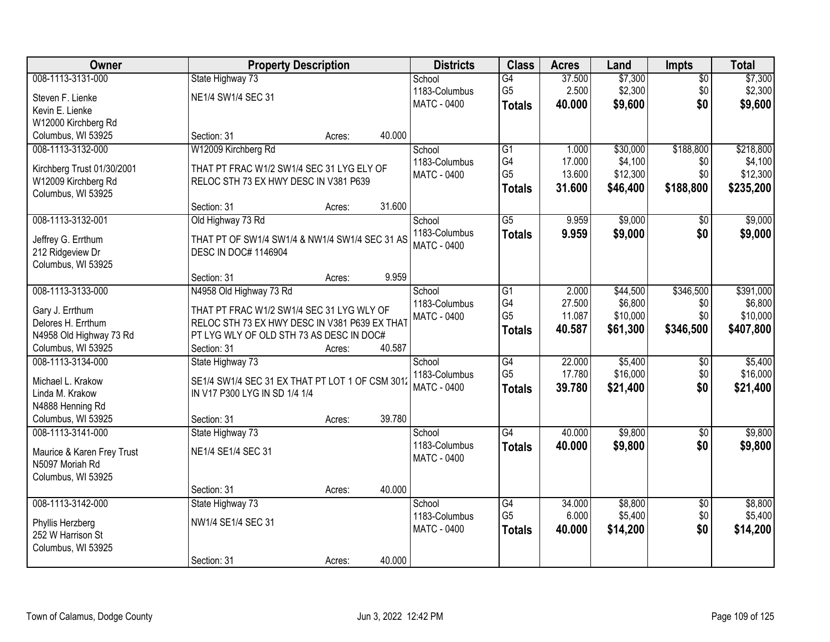| Owner                      |                                                 | <b>Property Description</b> |        | <b>Districts</b>   | <b>Class</b>    | <b>Acres</b> | Land     | <b>Impts</b>    | <b>Total</b> |
|----------------------------|-------------------------------------------------|-----------------------------|--------|--------------------|-----------------|--------------|----------|-----------------|--------------|
| 008-1113-3131-000          | State Highway 73                                |                             |        | School             | $\overline{G4}$ | 37.500       | \$7,300  | $\overline{50}$ | \$7,300      |
| Steven F. Lienke           | NE1/4 SW1/4 SEC 31                              |                             |        | 1183-Columbus      | G <sub>5</sub>  | 2.500        | \$2,300  | \$0             | \$2,300      |
| Kevin E. Lienke            |                                                 |                             |        | MATC - 0400        | <b>Totals</b>   | 40.000       | \$9,600  | \$0             | \$9,600      |
| W12000 Kirchberg Rd        |                                                 |                             |        |                    |                 |              |          |                 |              |
| Columbus, WI 53925         | Section: 31                                     | Acres:                      | 40.000 |                    |                 |              |          |                 |              |
| 008-1113-3132-000          | W12009 Kirchberg Rd                             |                             |        | School             | $\overline{G1}$ | 1.000        | \$30,000 | \$188,800       | \$218,800    |
|                            |                                                 |                             |        | 1183-Columbus      | G4              | 17.000       | \$4,100  | \$0             | \$4,100      |
| Kirchberg Trust 01/30/2001 | THAT PT FRAC W1/2 SW1/4 SEC 31 LYG ELY OF       |                             |        | <b>MATC - 0400</b> | G <sub>5</sub>  | 13.600       | \$12,300 | \$0             | \$12,300     |
| W12009 Kirchberg Rd        | RELOC STH 73 EX HWY DESC IN V381 P639           |                             |        |                    | <b>Totals</b>   | 31.600       | \$46,400 | \$188,800       | \$235,200    |
| Columbus, WI 53925         |                                                 |                             |        |                    |                 |              |          |                 |              |
|                            | Section: 31                                     | Acres:                      | 31.600 |                    |                 |              |          |                 |              |
| 008-1113-3132-001          | Old Highway 73 Rd                               |                             |        | School             | $\overline{G5}$ | 9.959        | \$9,000  | $\sqrt{6}$      | \$9,000      |
| Jeffrey G. Errthum         | THAT PT OF SW1/4 SW1/4 & NW1/4 SW1/4 SEC 31 AS  |                             |        | 1183-Columbus      | <b>Totals</b>   | 9.959        | \$9,000  | \$0             | \$9,000      |
| 212 Ridgeview Dr           | <b>DESC IN DOC# 1146904</b>                     |                             |        | <b>MATC - 0400</b> |                 |              |          |                 |              |
| Columbus, WI 53925         |                                                 |                             |        |                    |                 |              |          |                 |              |
|                            | Section: 31                                     | Acres:                      | 9.959  |                    |                 |              |          |                 |              |
| 008-1113-3133-000          | N4958 Old Highway 73 Rd                         |                             |        | School             | G1              | 2.000        | \$44,500 | \$346,500       | \$391,000    |
|                            |                                                 |                             |        | 1183-Columbus      | G4              | 27.500       | \$6,800  | \$0             | \$6,800      |
| Gary J. Errthum            | THAT PT FRAC W1/2 SW1/4 SEC 31 LYG WLY OF       |                             |        | <b>MATC - 0400</b> | G <sub>5</sub>  | 11.087       | \$10,000 | \$0             | \$10,000     |
| Delores H. Errthum         | RELOC STH 73 EX HWY DESC IN V381 P639 EX THAT   |                             |        |                    | <b>Totals</b>   | 40.587       | \$61,300 | \$346,500       | \$407,800    |
| N4958 Old Highway 73 Rd    | PT LYG WLY OF OLD STH 73 AS DESC IN DOC#        |                             |        |                    |                 |              |          |                 |              |
| Columbus, WI 53925         | Section: 31                                     | Acres:                      | 40.587 |                    |                 |              |          |                 |              |
| 008-1113-3134-000          | State Highway 73                                |                             |        | School             | $\overline{G4}$ | 22.000       | \$5,400  | $\overline{50}$ | \$5,400      |
| Michael L. Krakow          | SE1/4 SW1/4 SEC 31 EX THAT PT LOT 1 OF CSM 3012 |                             |        | 1183-Columbus      | G <sub>5</sub>  | 17.780       | \$16,000 | \$0             | \$16,000     |
| Linda M. Krakow            | IN V17 P300 LYG IN SD 1/4 1/4                   |                             |        | <b>MATC - 0400</b> | <b>Totals</b>   | 39.780       | \$21,400 | \$0             | \$21,400     |
| N4888 Henning Rd           |                                                 |                             |        |                    |                 |              |          |                 |              |
| Columbus, WI 53925         | Section: 31                                     | Acres:                      | 39.780 |                    |                 |              |          |                 |              |
| 008-1113-3141-000          | State Highway 73                                |                             |        | School             | $\overline{G4}$ | 40.000       | \$9,800  | $\overline{50}$ | \$9,800      |
| Maurice & Karen Frey Trust | NE1/4 SE1/4 SEC 31                              |                             |        | 1183-Columbus      | <b>Totals</b>   | 40.000       | \$9,800  | \$0             | \$9,800      |
| N5097 Moriah Rd            |                                                 |                             |        | MATC - 0400        |                 |              |          |                 |              |
| Columbus, WI 53925         |                                                 |                             |        |                    |                 |              |          |                 |              |
|                            | Section: 31                                     | Acres:                      | 40.000 |                    |                 |              |          |                 |              |
| 008-1113-3142-000          | State Highway 73                                |                             |        | School             | G4              | 34.000       | \$8,800  | $\overline{50}$ | \$8,800      |
|                            |                                                 |                             |        | 1183-Columbus      | G <sub>5</sub>  | 6.000        | \$5,400  | \$0             | \$5,400      |
| Phyllis Herzberg           | NW1/4 SE1/4 SEC 31                              |                             |        | <b>MATC - 0400</b> | <b>Totals</b>   | 40.000       | \$14,200 | \$0             | \$14,200     |
| 252 W Harrison St          |                                                 |                             |        |                    |                 |              |          |                 |              |
| Columbus, WI 53925         |                                                 |                             |        |                    |                 |              |          |                 |              |
|                            | Section: 31                                     | Acres:                      | 40.000 |                    |                 |              |          |                 |              |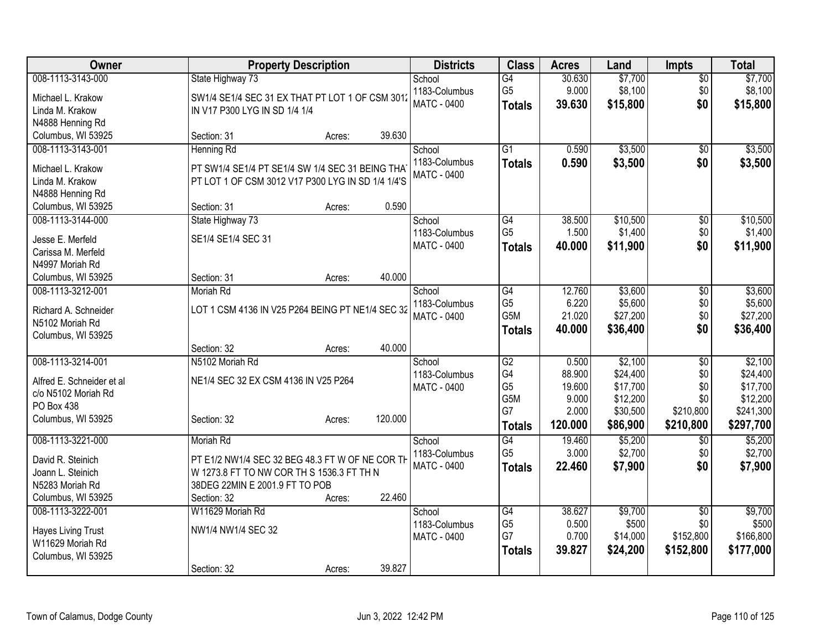| Owner                     | <b>Property Description</b>                                                                          |        |         | <b>Districts</b>                    | <b>Class</b>         | <b>Acres</b>    | Land                | <b>Impts</b>    | <b>Total</b>        |
|---------------------------|------------------------------------------------------------------------------------------------------|--------|---------|-------------------------------------|----------------------|-----------------|---------------------|-----------------|---------------------|
| 008-1113-3143-000         | State Highway 73                                                                                     |        |         | School                              | $\overline{G4}$      | 30.630          | \$7,700             | $\overline{50}$ | \$7,700             |
| Michael L. Krakow         | SW1/4 SE1/4 SEC 31 EX THAT PT LOT 1 OF CSM 3012                                                      |        |         | 1183-Columbus                       | G <sub>5</sub>       | 9.000           | \$8,100             | \$0             | \$8,100             |
| Linda M. Krakow           | IN V17 P300 LYG IN SD 1/4 1/4                                                                        |        |         | <b>MATC - 0400</b>                  | <b>Totals</b>        | 39.630          | \$15,800            | \$0             | \$15,800            |
| N4888 Henning Rd          |                                                                                                      |        |         |                                     |                      |                 |                     |                 |                     |
| Columbus, WI 53925        | Section: 31                                                                                          | Acres: | 39.630  |                                     |                      |                 |                     |                 |                     |
| 008-1113-3143-001         | <b>Henning Rd</b>                                                                                    |        |         | School                              | $\overline{G1}$      | 0.590           | \$3,500             | \$0             | \$3,500             |
| Michael L. Krakow         |                                                                                                      |        |         | 1183-Columbus                       | <b>Totals</b>        | 0.590           | \$3,500             | \$0             | \$3,500             |
| Linda M. Krakow           | PT SW1/4 SE1/4 PT SE1/4 SW 1/4 SEC 31 BEING THA<br>PT LOT 1 OF CSM 3012 V17 P300 LYG IN SD 1/4 1/4'S |        |         | <b>MATC - 0400</b>                  |                      |                 |                     |                 |                     |
| N4888 Henning Rd          |                                                                                                      |        |         |                                     |                      |                 |                     |                 |                     |
| Columbus, WI 53925        | Section: 31                                                                                          | Acres: | 0.590   |                                     |                      |                 |                     |                 |                     |
| 008-1113-3144-000         | State Highway 73                                                                                     |        |         | School                              | $\overline{G4}$      | 38.500          | \$10,500            | $\overline{50}$ | \$10,500            |
|                           |                                                                                                      |        |         | 1183-Columbus                       | G <sub>5</sub>       | 1.500           | \$1,400             | \$0             | \$1,400             |
| Jesse E. Merfeld          | SE1/4 SE1/4 SEC 31                                                                                   |        |         | MATC - 0400                         | <b>Totals</b>        | 40.000          | \$11,900            | \$0             | \$11,900            |
| Carissa M. Merfeld        |                                                                                                      |        |         |                                     |                      |                 |                     |                 |                     |
| N4997 Moriah Rd           |                                                                                                      |        |         |                                     |                      |                 |                     |                 |                     |
| Columbus, WI 53925        | Section: 31                                                                                          | Acres: | 40.000  |                                     |                      |                 |                     |                 |                     |
| 008-1113-3212-001         | Moriah Rd                                                                                            |        |         | School                              | G4<br>G <sub>5</sub> | 12.760          | \$3,600             | \$0             | \$3,600             |
| Richard A. Schneider      | LOT 1 CSM 4136 IN V25 P264 BEING PT NE1/4 SEC 32                                                     |        |         | 1183-Columbus<br><b>MATC - 0400</b> | G5M                  | 6.220<br>21.020 | \$5,600<br>\$27,200 | \$0<br>\$0      | \$5,600<br>\$27,200 |
| N5102 Moriah Rd           |                                                                                                      |        |         |                                     |                      | 40.000          | \$36,400            | \$0             |                     |
| Columbus, WI 53925        |                                                                                                      |        |         |                                     | <b>Totals</b>        |                 |                     |                 | \$36,400            |
|                           | Section: 32                                                                                          | Acres: | 40.000  |                                     |                      |                 |                     |                 |                     |
| 008-1113-3214-001         | N5102 Moriah Rd                                                                                      |        |         | School                              | $\overline{G2}$      | 0.500           | \$2,100             | \$0             | \$2,100             |
| Alfred E. Schneider et al | NE1/4 SEC 32 EX CSM 4136 IN V25 P264                                                                 |        |         | 1183-Columbus                       | G4                   | 88.900          | \$24,400            | \$0             | \$24,400            |
| c/o N5102 Moriah Rd       |                                                                                                      |        |         | <b>MATC - 0400</b>                  | G <sub>5</sub>       | 19.600          | \$17,700            | \$0             | \$17,700            |
| PO Box 438                |                                                                                                      |        |         |                                     | G5M                  | 9.000           | \$12,200            | \$0             | \$12,200            |
| Columbus, WI 53925        | Section: 32                                                                                          | Acres: | 120.000 |                                     | G7                   | 2.000           | \$30,500            | \$210,800       | \$241,300           |
|                           |                                                                                                      |        |         |                                     | <b>Totals</b>        | 120.000         | \$86,900            | \$210,800       | \$297,700           |
| 008-1113-3221-000         | Moriah Rd                                                                                            |        |         | School                              | G4                   | 19.460          | \$5,200             | \$0             | \$5,200             |
| David R. Steinich         | PT E1/2 NW1/4 SEC 32 BEG 48.3 FT W OF NE COR TH                                                      |        |         | 1183-Columbus                       | G <sub>5</sub>       | 3.000           | \$2,700             | \$0             | \$2,700             |
| Joann L. Steinich         | W 1273.8 FT TO NW COR TH S 1536.3 FT TH N                                                            |        |         | <b>MATC - 0400</b>                  | <b>Totals</b>        | 22.460          | \$7,900             | \$0             | \$7,900             |
| N5283 Moriah Rd           | 38DEG 22MIN E 2001.9 FT TO POB                                                                       |        |         |                                     |                      |                 |                     |                 |                     |
| Columbus, WI 53925        | Section: 32                                                                                          | Acres: | 22.460  |                                     |                      |                 |                     |                 |                     |
| 008-1113-3222-001         | W11629 Moriah Rd                                                                                     |        |         | School                              | G4                   | 38.627          | \$9,700             | $\overline{50}$ | \$9,700             |
| <b>Hayes Living Trust</b> | NW1/4 NW1/4 SEC 32                                                                                   |        |         | 1183-Columbus                       | G <sub>5</sub>       | 0.500           | \$500               | \$0             | \$500               |
| W11629 Moriah Rd          |                                                                                                      |        |         | <b>MATC - 0400</b>                  | G7                   | 0.700           | \$14,000            | \$152,800       | \$166,800           |
| Columbus, WI 53925        |                                                                                                      |        |         |                                     | <b>Totals</b>        | 39.827          | \$24,200            | \$152,800       | \$177,000           |
|                           | Section: 32                                                                                          | Acres: | 39.827  |                                     |                      |                 |                     |                 |                     |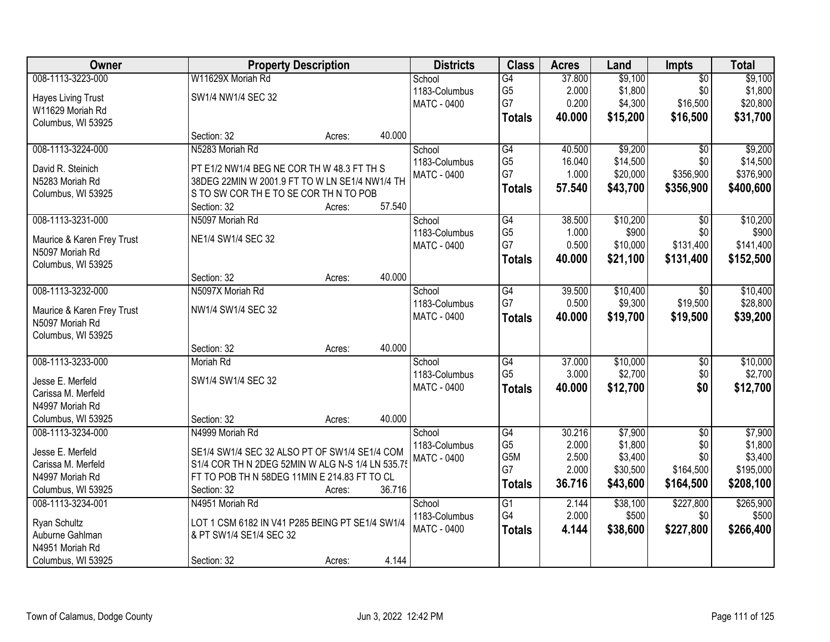| Owner                                         |                                                  | <b>Property Description</b> |        | <b>Districts</b>   | <b>Class</b>    | <b>Acres</b> | Land     | <b>Impts</b>    | <b>Total</b> |
|-----------------------------------------------|--------------------------------------------------|-----------------------------|--------|--------------------|-----------------|--------------|----------|-----------------|--------------|
| 008-1113-3223-000                             | W11629X Moriah Rd                                |                             |        | School             | G4              | 37.800       | \$9,100  | $\overline{50}$ | \$9,100      |
| <b>Hayes Living Trust</b>                     | SW1/4 NW1/4 SEC 32                               |                             |        | 1183-Columbus      | G <sub>5</sub>  | 2.000        | \$1,800  | \$0             | \$1,800      |
| W11629 Moriah Rd                              |                                                  |                             |        | <b>MATC - 0400</b> | G7              | 0.200        | \$4,300  | \$16,500        | \$20,800     |
| Columbus, WI 53925                            |                                                  |                             |        |                    | <b>Totals</b>   | 40.000       | \$15,200 | \$16,500        | \$31,700     |
|                                               | Section: 32                                      | Acres:                      | 40.000 |                    |                 |              |          |                 |              |
| 008-1113-3224-000                             | N5283 Moriah Rd                                  |                             |        | School             | $\overline{G4}$ | 40.500       | \$9,200  | $\overline{50}$ | \$9,200      |
| David R. Steinich                             | PT E1/2 NW1/4 BEG NE COR TH W 48.3 FT TH S       |                             |        | 1183-Columbus      | G <sub>5</sub>  | 16.040       | \$14,500 | \$0             | \$14,500     |
| N5283 Moriah Rd                               | 38DEG 22MIN W 2001.9 FT TO W LN SE1/4 NW1/4 TH   |                             |        | <b>MATC - 0400</b> | G7              | 1.000        | \$20,000 | \$356,900       | \$376,900    |
| Columbus, WI 53925                            | S TO SW COR THE TO SE COR THIN TO POB            |                             |        |                    | <b>Totals</b>   | 57.540       | \$43,700 | \$356,900       | \$400,600    |
|                                               | Section: 32                                      | Acres:                      | 57.540 |                    |                 |              |          |                 |              |
| 008-1113-3231-000                             | N5097 Moriah Rd                                  |                             |        | School             | $\overline{G4}$ | 38.500       | \$10,200 | $\overline{50}$ | \$10,200     |
|                                               | NE1/4 SW1/4 SEC 32                               |                             |        | 1183-Columbus      | G <sub>5</sub>  | 1.000        | \$900    | \$0             | \$900        |
| Maurice & Karen Frey Trust<br>N5097 Moriah Rd |                                                  |                             |        | MATC - 0400        | G7              | 0.500        | \$10,000 | \$131,400       | \$141,400    |
| Columbus, WI 53925                            |                                                  |                             |        |                    | <b>Totals</b>   | 40.000       | \$21,100 | \$131,400       | \$152,500    |
|                                               | Section: 32                                      | Acres:                      | 40.000 |                    |                 |              |          |                 |              |
| 008-1113-3232-000                             | N5097X Moriah Rd                                 |                             |        | School             | $\overline{G4}$ | 39.500       | \$10,400 | $\sqrt{6}$      | \$10,400     |
|                                               |                                                  |                             |        | 1183-Columbus      | G7              | 0.500        | \$9,300  | \$19,500        | \$28,800     |
| Maurice & Karen Frey Trust                    | NW1/4 SW1/4 SEC 32                               |                             |        | <b>MATC - 0400</b> | <b>Totals</b>   | 40.000       | \$19,700 | \$19,500        | \$39,200     |
| N5097 Moriah Rd                               |                                                  |                             |        |                    |                 |              |          |                 |              |
| Columbus, WI 53925                            | Section: 32                                      | Acres:                      | 40.000 |                    |                 |              |          |                 |              |
| 008-1113-3233-000                             | Moriah Rd                                        |                             |        | School             | $\overline{G4}$ | 37.000       | \$10,000 | $\overline{50}$ | \$10,000     |
|                                               |                                                  |                             |        | 1183-Columbus      | G <sub>5</sub>  | 3.000        | \$2,700  | \$0             | \$2,700      |
| Jesse E. Merfeld                              | SW1/4 SW1/4 SEC 32                               |                             |        | <b>MATC - 0400</b> | <b>Totals</b>   | 40.000       | \$12,700 | \$0             | \$12,700     |
| Carissa M. Merfeld                            |                                                  |                             |        |                    |                 |              |          |                 |              |
| N4997 Moriah Rd                               |                                                  |                             |        |                    |                 |              |          |                 |              |
| Columbus, WI 53925                            | Section: 32                                      | Acres:                      | 40.000 |                    |                 |              |          |                 |              |
| 008-1113-3234-000                             | N4999 Moriah Rd                                  |                             |        | School             | $\overline{G4}$ | 30.216       | \$7,900  | $\sqrt{6}$      | \$7,900      |
| Jesse E. Merfeld                              | SE1/4 SW1/4 SEC 32 ALSO PT OF SW1/4 SE1/4 COM    |                             |        | 1183-Columbus      | G <sub>5</sub>  | 2.000        | \$1,800  | \$0             | \$1,800      |
| Carissa M. Merfeld                            | S1/4 COR TH N 2DEG 52MIN W ALG N-S 1/4 LN 535.79 |                             |        | <b>MATC - 0400</b> | G5M             | 2.500        | \$3,400  | \$0             | \$3,400      |
| N4997 Moriah Rd                               | FT TO POB TH N 58DEG 11MIN E 214.83 FT TO CL     |                             |        |                    | G7              | 2.000        | \$30,500 | \$164,500       | \$195,000    |
| Columbus, WI 53925                            | Section: 32                                      | Acres:                      | 36.716 |                    | <b>Totals</b>   | 36.716       | \$43,600 | \$164,500       | \$208,100    |
| 008-1113-3234-001                             | N4951 Moriah Rd                                  |                             |        | School             | $\overline{G1}$ | 2.144        | \$38,100 | \$227,800       | \$265,900    |
|                                               |                                                  |                             |        | 1183-Columbus      | G4              | 2.000        | \$500    | \$0             | \$500        |
| Ryan Schultz                                  | LOT 1 CSM 6182 IN V41 P285 BEING PT SE1/4 SW1/4  |                             |        | <b>MATC - 0400</b> | <b>Totals</b>   | 4.144        | \$38,600 | \$227,800       | \$266,400    |
| Auburne Gahlman<br>N4951 Moriah Rd            | & PT SW1/4 SE1/4 SEC 32                          |                             |        |                    |                 |              |          |                 |              |
|                                               |                                                  |                             |        |                    |                 |              |          |                 |              |
| Columbus, WI 53925                            | Section: 32                                      | Acres:                      | 4.144  |                    |                 |              |          |                 |              |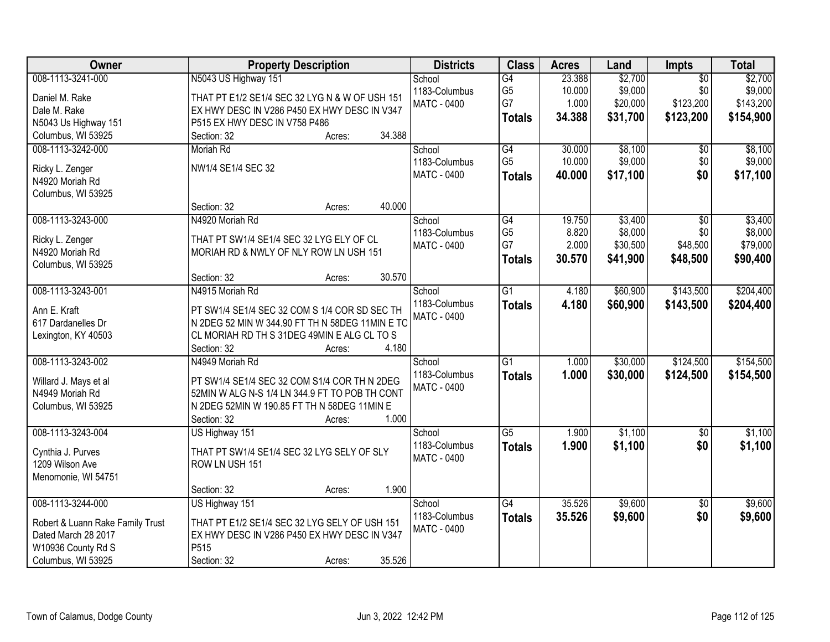| 008-1113-3241-000<br>N5043 US Highway 151<br>$\overline{G4}$<br>23.388<br>\$2,700<br>$\overline{50}$<br>School<br>G <sub>5</sub><br>\$9,000<br>\$0<br>1183-Columbus<br>10.000<br>Daniel M. Rake<br>THAT PT E1/2 SE1/4 SEC 32 LYG N & W OF USH 151<br>G7<br>\$123,200<br>1.000<br>\$20,000<br><b>MATC - 0400</b> | \$2,700<br>\$9,000<br>\$143,200 |
|-----------------------------------------------------------------------------------------------------------------------------------------------------------------------------------------------------------------------------------------------------------------------------------------------------------------|---------------------------------|
|                                                                                                                                                                                                                                                                                                                 |                                 |
|                                                                                                                                                                                                                                                                                                                 |                                 |
| Dale M. Rake<br>EX HWY DESC IN V286 P450 EX HWY DESC IN V347                                                                                                                                                                                                                                                    |                                 |
| 34.388<br>\$31,700<br>\$123,200<br><b>Totals</b><br>P515 EX HWY DESC IN V758 P486<br>N5043 Us Highway 151                                                                                                                                                                                                       | \$154,900                       |
| 34.388<br>Columbus, WI 53925<br>Section: 32<br>Acres:                                                                                                                                                                                                                                                           |                                 |
| $\overline{G4}$<br>\$8,100<br>30.000                                                                                                                                                                                                                                                                            | \$8,100                         |
| 008-1113-3242-000<br>Moriah Rd<br>School<br>\$0<br>G <sub>5</sub><br>\$9,000<br>10.000                                                                                                                                                                                                                          |                                 |
| \$0<br>1183-Columbus<br>NW1/4 SE1/4 SEC 32<br>Ricky L. Zenger                                                                                                                                                                                                                                                   | \$9,000                         |
| \$0<br>MATC - 0400<br>40.000<br>\$17,100<br><b>Totals</b><br>N4920 Moriah Rd                                                                                                                                                                                                                                    | \$17,100                        |
| Columbus, WI 53925                                                                                                                                                                                                                                                                                              |                                 |
| 40.000<br>Section: 32<br>Acres:                                                                                                                                                                                                                                                                                 |                                 |
| 008-1113-3243-000<br>\$3,400<br>N4920 Moriah Rd<br>$\overline{G4}$<br>19.750<br>$\overline{50}$<br>School                                                                                                                                                                                                       | \$3,400                         |
| G <sub>5</sub><br>8.820<br>\$8,000<br>\$0<br>1183-Columbus                                                                                                                                                                                                                                                      | \$8,000                         |
| THAT PT SW1/4 SE1/4 SEC 32 LYG ELY OF CL<br>Ricky L. Zenger<br>G7<br>2.000<br>\$48,500<br>\$30,500<br>MATC - 0400                                                                                                                                                                                               | \$79,000                        |
| MORIAH RD & NWLY OF NLY ROW LN USH 151<br>N4920 Moriah Rd<br>30.570<br>\$41,900<br>\$48,500<br><b>Totals</b>                                                                                                                                                                                                    | \$90,400                        |
| Columbus, WI 53925                                                                                                                                                                                                                                                                                              |                                 |
| 30.570<br>Section: 32<br>Acres:                                                                                                                                                                                                                                                                                 |                                 |
| 008-1113-3243-001<br>N4915 Moriah Rd<br>$\overline{G1}$<br>\$60,900<br>\$143,500<br>4.180<br>School                                                                                                                                                                                                             | \$204,400                       |
| 1183-Columbus<br>4.180<br>\$60,900<br>\$143,500<br><b>Totals</b><br>Ann E. Kraft<br>PT SW1/4 SE1/4 SEC 32 COM S 1/4 COR SD SEC TH                                                                                                                                                                               | \$204,400                       |
| <b>MATC - 0400</b><br>N 2DEG 52 MIN W 344.90 FT TH N 58DEG 11MIN E TO<br>617 Dardanelles Dr                                                                                                                                                                                                                     |                                 |
| CL MORIAH RD TH S 31DEG 49MIN E ALG CL TO S<br>Lexington, KY 40503                                                                                                                                                                                                                                              |                                 |
| 4.180<br>Section: 32<br>Acres:                                                                                                                                                                                                                                                                                  |                                 |
| \$124,500<br>008-1113-3243-002<br>$\overline{G1}$<br>1.000<br>\$30,000<br>N4949 Moriah Rd<br>School                                                                                                                                                                                                             | \$154,500                       |
| 1183-Columbus<br>1.000<br>\$30,000<br>\$124,500<br><b>Totals</b>                                                                                                                                                                                                                                                | \$154,500                       |
| PT SW1/4 SE1/4 SEC 32 COM S1/4 COR TH N 2DEG<br>Willard J. Mays et al<br><b>MATC - 0400</b>                                                                                                                                                                                                                     |                                 |
| N4949 Moriah Rd<br>52MIN W ALG N-S 1/4 LN 344.9 FT TO POB TH CONT                                                                                                                                                                                                                                               |                                 |
| N 2DEG 52MIN W 190.85 FT TH N 58DEG 11MIN E<br>Columbus, WI 53925                                                                                                                                                                                                                                               |                                 |
| 1.000<br>Section: 32<br>Acres:                                                                                                                                                                                                                                                                                  |                                 |
| \$1,100<br>$\overline{G5}$<br>008-1113-3243-004<br>1.900<br>$\overline{60}$<br>US Highway 151<br>School                                                                                                                                                                                                         | \$1,100                         |
| 1183-Columbus<br>1.900<br>\$1,100<br>\$0<br><b>Totals</b><br>THAT PT SW1/4 SE1/4 SEC 32 LYG SELY OF SLY                                                                                                                                                                                                         | \$1,100                         |
| Cynthia J. Purves<br>MATC - 0400                                                                                                                                                                                                                                                                                |                                 |
| 1209 Wilson Ave<br>ROW LN USH 151                                                                                                                                                                                                                                                                               |                                 |
| Menomonie, WI 54751                                                                                                                                                                                                                                                                                             |                                 |
| 1.900<br>Section: 32<br>Acres:                                                                                                                                                                                                                                                                                  |                                 |
| 35.526<br>\$9,600<br>008-1113-3244-000<br>US Highway 151<br>$\overline{G4}$<br>$\overline{50}$<br>School                                                                                                                                                                                                        | \$9,600                         |
| 1183-Columbus<br>\$0<br>35.526<br>\$9,600<br><b>Totals</b><br>Robert & Luann Rake Family Trust<br>THAT PT E1/2 SE1/4 SEC 32 LYG SELY OF USH 151                                                                                                                                                                 | \$9,600                         |
| <b>MATC - 0400</b><br>Dated March 28 2017<br>EX HWY DESC IN V286 P450 EX HWY DESC IN V347                                                                                                                                                                                                                       |                                 |
| P515<br>W10936 County Rd S                                                                                                                                                                                                                                                                                      |                                 |
| 35.526<br>Columbus, WI 53925<br>Section: 32<br>Acres:                                                                                                                                                                                                                                                           |                                 |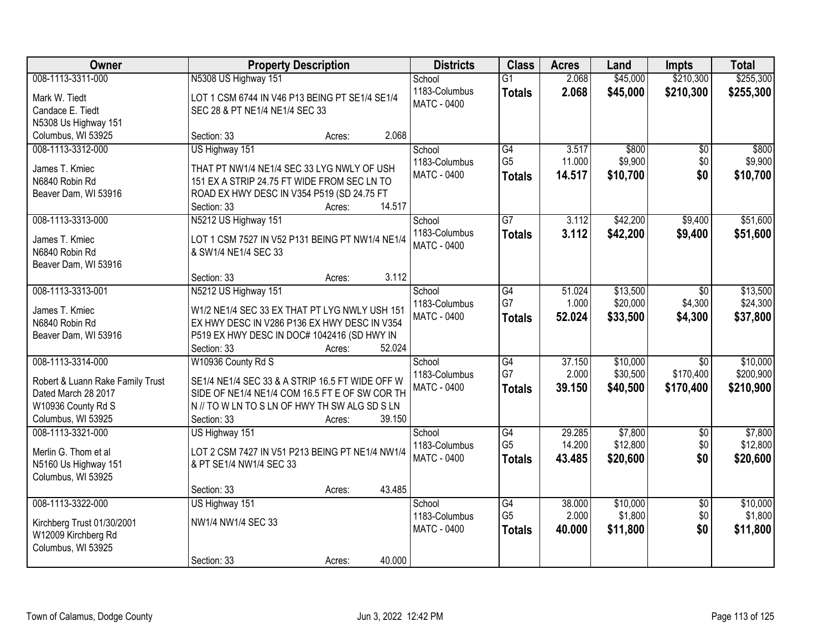| Owner                                             | <b>Property Description</b>                     | <b>Districts</b>   | <b>Class</b>    | <b>Acres</b> | Land     | <b>Impts</b>    | <b>Total</b> |
|---------------------------------------------------|-------------------------------------------------|--------------------|-----------------|--------------|----------|-----------------|--------------|
| 008-1113-3311-000                                 | N5308 US Highway 151                            | School             | $\overline{G1}$ | 2.068        | \$45,000 | \$210,300       | \$255,300    |
| Mark W. Tiedt                                     | LOT 1 CSM 6744 IN V46 P13 BEING PT SE1/4 SE1/4  | 1183-Columbus      | <b>Totals</b>   | 2.068        | \$45,000 | \$210,300       | \$255,300    |
| Candace E. Tiedt                                  | SEC 28 & PT NE1/4 NE1/4 SEC 33                  | MATC - 0400        |                 |              |          |                 |              |
| N5308 Us Highway 151                              |                                                 |                    |                 |              |          |                 |              |
| Columbus, WI 53925                                | 2.068<br>Section: 33<br>Acres:                  |                    |                 |              |          |                 |              |
| 008-1113-3312-000                                 | US Highway 151                                  | School             | G4              | 3.517        | \$800    | \$0             | \$800        |
|                                                   |                                                 | 1183-Columbus      | G <sub>5</sub>  | 11.000       | \$9,900  | \$0             | \$9,900      |
| James T. Kmiec                                    | THAT PT NW1/4 NE1/4 SEC 33 LYG NWLY OF USH      | MATC - 0400        | <b>Totals</b>   | 14.517       | \$10,700 | \$0             | \$10,700     |
| N6840 Robin Rd                                    | 151 EX A STRIP 24.75 FT WIDE FROM SEC LN TO     |                    |                 |              |          |                 |              |
| Beaver Dam, WI 53916                              | ROAD EX HWY DESC IN V354 P519 (SD 24.75 FT      |                    |                 |              |          |                 |              |
|                                                   | 14.517<br>Section: 33<br>Acres:                 |                    |                 |              |          |                 |              |
| 008-1113-3313-000                                 | N5212 US Highway 151                            | School             | $\overline{G7}$ | 3.112        | \$42,200 | \$9,400         | \$51,600     |
| James T. Kmiec                                    | LOT 1 CSM 7527 IN V52 P131 BEING PT NW1/4 NE1/4 | 1183-Columbus      | <b>Totals</b>   | 3.112        | \$42,200 | \$9,400         | \$51,600     |
| N6840 Robin Rd                                    | & SW1/4 NE1/4 SEC 33                            | <b>MATC - 0400</b> |                 |              |          |                 |              |
| Beaver Dam, WI 53916                              |                                                 |                    |                 |              |          |                 |              |
|                                                   | 3.112<br>Section: 33<br>Acres:                  |                    |                 |              |          |                 |              |
| 008-1113-3313-001                                 | N5212 US Highway 151                            | School             | $\overline{G4}$ | 51.024       | \$13,500 | \$0             | \$13,500     |
| James T. Kmiec                                    | W1/2 NE1/4 SEC 33 EX THAT PT LYG NWLY USH 151   | 1183-Columbus      | G7              | 1.000        | \$20,000 | \$4,300         | \$24,300     |
| N6840 Robin Rd                                    | EX HWY DESC IN V286 P136 EX HWY DESC IN V354    | <b>MATC - 0400</b> | <b>Totals</b>   | 52.024       | \$33,500 | \$4,300         | \$37,800     |
| Beaver Dam, WI 53916                              | P519 EX HWY DESC IN DOC# 1042416 (SD HWY IN     |                    |                 |              |          |                 |              |
|                                                   | Section: 33<br>52.024<br>Acres:                 |                    |                 |              |          |                 |              |
| 008-1113-3314-000                                 | W10936 County Rd S                              | School             | G4              | 37.150       | \$10,000 | $\overline{50}$ | \$10,000     |
|                                                   |                                                 | 1183-Columbus      | G7              | 2.000        | \$30,500 | \$170,400       | \$200,900    |
| Robert & Luann Rake Family Trust                  | SE1/4 NE1/4 SEC 33 & A STRIP 16.5 FT WIDE OFF W | MATC - 0400        | <b>Totals</b>   | 39.150       | \$40,500 | \$170,400       | \$210,900    |
| Dated March 28 2017                               | SIDE OF NE1/4 NE1/4 COM 16.5 FT E OF SW COR TH  |                    |                 |              |          |                 |              |
| W10936 County Rd S                                | N // TO W LN TO S LN OF HWY TH SW ALG SD S LN   |                    |                 |              |          |                 |              |
| Columbus, WI 53925                                | 39.150<br>Section: 33<br>Acres:                 |                    |                 |              |          |                 |              |
| 008-1113-3321-000                                 | US Highway 151                                  | School             | $\overline{G4}$ | 29.285       | \$7,800  | $\sqrt{6}$      | \$7,800      |
| Merlin G. Thom et al                              | LOT 2 CSM 7427 IN V51 P213 BEING PT NE1/4 NW1/4 | 1183-Columbus      | G <sub>5</sub>  | 14.200       | \$12,800 | \$0             | \$12,800     |
| N5160 Us Highway 151                              | & PT SE1/4 NW1/4 SEC 33                         | <b>MATC - 0400</b> | <b>Totals</b>   | 43.485       | \$20,600 | \$0             | \$20,600     |
| Columbus, WI 53925                                |                                                 |                    |                 |              |          |                 |              |
|                                                   | 43.485<br>Section: 33<br>Acres:                 |                    |                 |              |          |                 |              |
| 008-1113-3322-000                                 | US Highway 151                                  | School             | $\overline{G4}$ | 38.000       | \$10,000 | $\overline{50}$ | \$10,000     |
|                                                   | NW1/4 NW1/4 SEC 33                              | 1183-Columbus      | G <sub>5</sub>  | 2.000        | \$1,800  | \$0             | \$1,800      |
| Kirchberg Trust 01/30/2001<br>W12009 Kirchberg Rd |                                                 | <b>MATC - 0400</b> | <b>Totals</b>   | 40.000       | \$11,800 | \$0             | \$11,800     |
| Columbus, WI 53925                                |                                                 |                    |                 |              |          |                 |              |
|                                                   | 40.000<br>Section: 33<br>Acres:                 |                    |                 |              |          |                 |              |
|                                                   |                                                 |                    |                 |              |          |                 |              |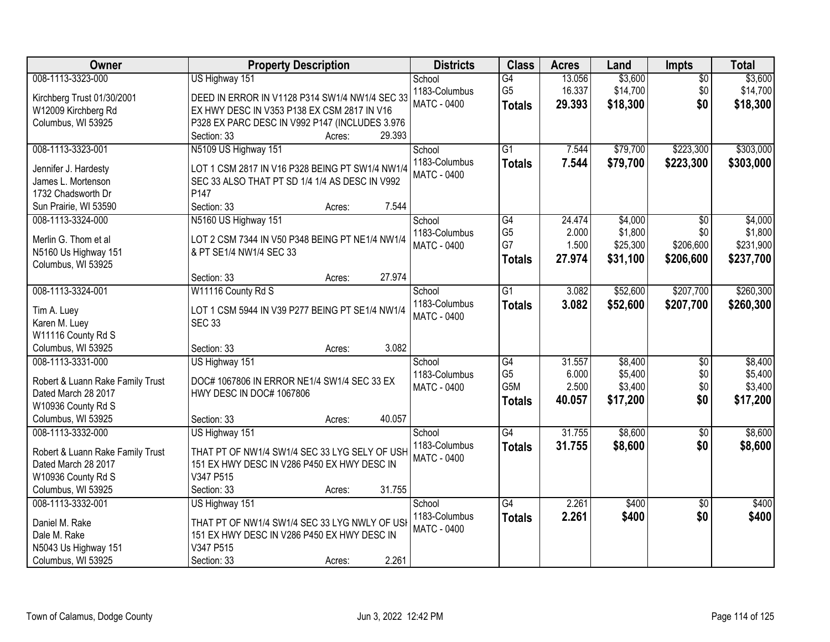| Owner                                      | <b>Property Description</b>                                                | <b>Districts</b>                    | <b>Class</b>                      | <b>Acres</b>    | Land               | Impts                  | <b>Total</b>       |
|--------------------------------------------|----------------------------------------------------------------------------|-------------------------------------|-----------------------------------|-----------------|--------------------|------------------------|--------------------|
| 008-1113-3323-000                          | US Highway 151                                                             | School                              | G4                                | 13.056          | \$3,600            | $\overline{50}$        | \$3,600            |
| Kirchberg Trust 01/30/2001                 | DEED IN ERROR IN V1128 P314 SW1/4 NW1/4 SEC 33                             | 1183-Columbus<br><b>MATC - 0400</b> | G <sub>5</sub>                    | 16.337          | \$14,700           | \$0                    | \$14,700           |
| W12009 Kirchberg Rd                        | EX HWY DESC IN V353 P138 EX CSM 2817 IN V16                                |                                     | <b>Totals</b>                     | 29.393          | \$18,300           | \$0                    | \$18,300           |
| Columbus, WI 53925                         | P328 EX PARC DESC IN V992 P147 (INCLUDES 3.976                             |                                     |                                   |                 |                    |                        |                    |
|                                            | 29.393<br>Section: 33<br>Acres:                                            |                                     |                                   |                 |                    |                        |                    |
| 008-1113-3323-001                          | N5109 US Highway 151                                                       | School                              | $\overline{G1}$                   | 7.544           | \$79,700           | \$223,300              | \$303,000          |
| Jennifer J. Hardesty                       | LOT 1 CSM 2817 IN V16 P328 BEING PT SW1/4 NW1/4                            | 1183-Columbus                       | <b>Totals</b>                     | 7.544           | \$79,700           | \$223,300              | \$303,000          |
| James L. Mortenson                         | SEC 33 ALSO THAT PT SD 1/4 1/4 AS DESC IN V992                             | <b>MATC - 0400</b>                  |                                   |                 |                    |                        |                    |
| 1732 Chadsworth Dr                         | P147                                                                       |                                     |                                   |                 |                    |                        |                    |
| Sun Prairie, WI 53590                      | 7.544<br>Section: 33<br>Acres:                                             |                                     |                                   |                 |                    |                        |                    |
| 008-1113-3324-000                          | N5160 US Highway 151                                                       | School                              | $\overline{G4}$                   | 24.474          | \$4,000            | $\overline{50}$        | \$4,000            |
|                                            |                                                                            | 1183-Columbus                       | G <sub>5</sub>                    | 2.000           | \$1,800            | \$0                    | \$1,800            |
| Merlin G. Thom et al                       | LOT 2 CSM 7344 IN V50 P348 BEING PT NE1/4 NW1/4<br>& PT SE1/4 NW1/4 SEC 33 | <b>MATC - 0400</b>                  | G7                                | 1.500           | \$25,300           | \$206,600              | \$231,900          |
| N5160 Us Highway 151<br>Columbus, WI 53925 |                                                                            |                                     | <b>Totals</b>                     | 27.974          | \$31,100           | \$206,600              | \$237,700          |
|                                            | 27.974<br>Section: 33<br>Acres:                                            |                                     |                                   |                 |                    |                        |                    |
| 008-1113-3324-001                          | W11116 County Rd S                                                         | School                              | $\overline{G1}$                   | 3.082           | \$52,600           | \$207,700              | \$260,300          |
|                                            |                                                                            | 1183-Columbus                       | <b>Totals</b>                     | 3.082           | \$52,600           | \$207,700              | \$260,300          |
| Tim A. Luey                                | LOT 1 CSM 5944 IN V39 P277 BEING PT SE1/4 NW1/4                            | <b>MATC - 0400</b>                  |                                   |                 |                    |                        |                    |
| Karen M. Luey                              | <b>SEC 33</b>                                                              |                                     |                                   |                 |                    |                        |                    |
| W11116 County Rd S                         |                                                                            |                                     |                                   |                 |                    |                        |                    |
| Columbus, WI 53925                         | 3.082<br>Section: 33<br>Acres:                                             |                                     |                                   |                 |                    |                        |                    |
| 008-1113-3331-000                          | US Highway 151                                                             | School                              | $\overline{G4}$<br>G <sub>5</sub> | 31.557<br>6.000 | \$8,400<br>\$5,400 | $\overline{50}$<br>\$0 | \$8,400<br>\$5,400 |
| Robert & Luann Rake Family Trust           | DOC# 1067806 IN ERROR NE1/4 SW1/4 SEC 33 EX                                | 1183-Columbus<br>MATC - 0400        | G5M                               | 2.500           | \$3,400            | \$0                    | \$3,400            |
| Dated March 28 2017                        | HWY DESC IN DOC# 1067806                                                   |                                     | <b>Totals</b>                     | 40.057          | \$17,200           | \$0                    | \$17,200           |
| W10936 County Rd S                         |                                                                            |                                     |                                   |                 |                    |                        |                    |
| Columbus, WI 53925                         | 40.057<br>Section: 33<br>Acres:                                            |                                     |                                   |                 |                    |                        |                    |
| 008-1113-3332-000                          | US Highway 151                                                             | School                              | G4                                | 31.755          | \$8,600            | $\sqrt{6}$             | \$8,600            |
| Robert & Luann Rake Family Trust           | THAT PT OF NW1/4 SW1/4 SEC 33 LYG SELY OF USH                              | 1183-Columbus                       | <b>Totals</b>                     | 31.755          | \$8,600            | \$0                    | \$8,600            |
| Dated March 28 2017                        | 151 EX HWY DESC IN V286 P450 EX HWY DESC IN                                | <b>MATC - 0400</b>                  |                                   |                 |                    |                        |                    |
| W10936 County Rd S                         | V347 P515                                                                  |                                     |                                   |                 |                    |                        |                    |
| Columbus, WI 53925                         | 31.755<br>Section: 33<br>Acres:                                            |                                     |                                   |                 |                    |                        |                    |
| 008-1113-3332-001                          | US Highway 151                                                             | School                              | $\overline{G4}$                   | 2.261           | \$400              | $\overline{50}$        | \$400              |
| Daniel M. Rake                             | THAT PT OF NW1/4 SW1/4 SEC 33 LYG NWLY OF USI                              | 1183-Columbus                       | <b>Totals</b>                     | 2.261           | \$400              | \$0                    | \$400              |
| Dale M. Rake                               | 151 EX HWY DESC IN V286 P450 EX HWY DESC IN                                | <b>MATC - 0400</b>                  |                                   |                 |                    |                        |                    |
| N5043 Us Highway 151                       | V347 P515                                                                  |                                     |                                   |                 |                    |                        |                    |
| Columbus, WI 53925                         | 2.261<br>Section: 33<br>Acres:                                             |                                     |                                   |                 |                    |                        |                    |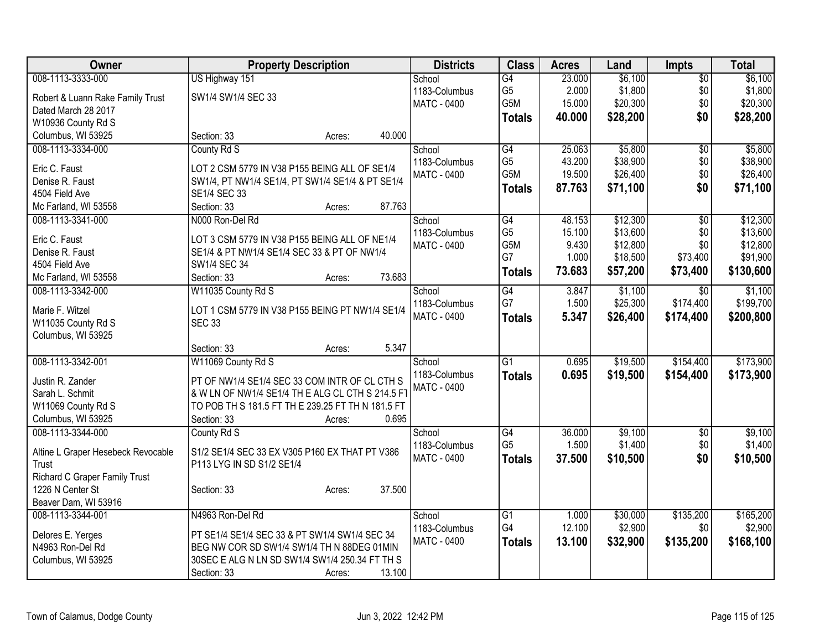| Owner                                  | <b>Property Description</b>                       | <b>Districts</b>        | <b>Class</b>    | <b>Acres</b> | Land     | Impts           | <b>Total</b> |
|----------------------------------------|---------------------------------------------------|-------------------------|-----------------|--------------|----------|-----------------|--------------|
| 008-1113-3333-000                      | US Highway 151                                    | School                  | $\overline{G4}$ | 23.000       | \$6,100  | $\overline{50}$ | \$6,100      |
| Robert & Luann Rake Family Trust       | SW1/4 SW1/4 SEC 33                                | 1183-Columbus           | G <sub>5</sub>  | 2.000        | \$1,800  | \$0             | \$1,800      |
| Dated March 28 2017                    |                                                   | <b>MATC - 0400</b>      | G5M             | 15.000       | \$20,300 | \$0             | \$20,300     |
| W10936 County Rd S                     |                                                   |                         | <b>Totals</b>   | 40.000       | \$28,200 | \$0             | \$28,200     |
| Columbus, WI 53925                     | 40.000<br>Section: 33<br>Acres:                   |                         |                 |              |          |                 |              |
| 008-1113-3334-000                      | County Rd S                                       | School                  | G4              | 25.063       | \$5,800  | \$0             | \$5,800      |
|                                        |                                                   | 1183-Columbus           | G <sub>5</sub>  | 43.200       | \$38,900 | \$0             | \$38,900     |
| Eric C. Faust<br>Denise R. Faust       | LOT 2 CSM 5779 IN V38 P155 BEING ALL OF SE1/4     | <b>MATC - 0400</b>      | G5M             | 19.500       | \$26,400 | \$0             | \$26,400     |
|                                        | SW1/4, PT NW1/4 SE1/4, PT SW1/4 SE1/4 & PT SE1/4  |                         | <b>Totals</b>   | 87.763       | \$71,100 | \$0             | \$71,100     |
| 4504 Field Ave<br>Mc Farland, WI 53558 | SE1/4 SEC 33<br>87.763<br>Section: 33<br>Acres:   |                         |                 |              |          |                 |              |
| 008-1113-3341-000                      | N000 Ron-Del Rd                                   |                         | G4              | 48.153       | \$12,300 |                 | \$12,300     |
|                                        |                                                   | School<br>1183-Columbus | G <sub>5</sub>  | 15.100       | \$13,600 | \$0<br>\$0      | \$13,600     |
| Eric C. Faust                          | LOT 3 CSM 5779 IN V38 P155 BEING ALL OF NE1/4     | <b>MATC - 0400</b>      | G5M             | 9.430        | \$12,800 | \$0             | \$12,800     |
| Denise R. Faust                        | SE1/4 & PT NW1/4 SE1/4 SEC 33 & PT OF NW1/4       |                         | G7              | 1.000        | \$18,500 | \$73,400        | \$91,900     |
| 4504 Field Ave                         | SW1/4 SEC 34                                      |                         |                 | 73.683       | \$57,200 | \$73,400        | \$130,600    |
| Mc Farland, WI 53558                   | 73.683<br>Section: 33<br>Acres:                   |                         | <b>Totals</b>   |              |          |                 |              |
| 008-1113-3342-000                      | W11035 County Rd S                                | School                  | $\overline{G4}$ | 3.847        | \$1,100  | $\overline{50}$ | \$1,100      |
| Marie F. Witzel                        | LOT 1 CSM 5779 IN V38 P155 BEING PT NW1/4 SE1/4   | 1183-Columbus           | G7              | 1.500        | \$25,300 | \$174,400       | \$199,700    |
| W11035 County Rd S                     | <b>SEC 33</b>                                     | <b>MATC - 0400</b>      | <b>Totals</b>   | 5.347        | \$26,400 | \$174,400       | \$200,800    |
| Columbus, WI 53925                     |                                                   |                         |                 |              |          |                 |              |
|                                        | 5.347<br>Section: 33<br>Acres:                    |                         |                 |              |          |                 |              |
| 008-1113-3342-001                      | W11069 County Rd S                                | School                  | $\overline{G1}$ | 0.695        | \$19,500 | \$154,400       | \$173,900    |
|                                        |                                                   | 1183-Columbus           |                 | 0.695        | \$19,500 | \$154,400       |              |
| Justin R. Zander                       | PT OF NW1/4 SE1/4 SEC 33 COM INTR OF CL CTH S     | <b>MATC - 0400</b>      | <b>Totals</b>   |              |          |                 | \$173,900    |
| Sarah L. Schmit                        | & W LN OF NW1/4 SE1/4 TH E ALG CL CTH S 214.5 FT  |                         |                 |              |          |                 |              |
| W11069 County Rd S                     | TO POB TH S 181.5 FT TH E 239.25 FT TH N 181.5 FT |                         |                 |              |          |                 |              |
| Columbus, WI 53925                     | 0.695<br>Section: 33<br>Acres:                    |                         |                 |              |          |                 |              |
| 008-1113-3344-000                      | County Rd S                                       | School                  | $\overline{G4}$ | 36.000       | \$9,100  | $\overline{50}$ | \$9,100      |
| Altine L Graper Hesebeck Revocable     | S1/2 SE1/4 SEC 33 EX V305 P160 EX THAT PT V386    | 1183-Columbus           | G <sub>5</sub>  | 1.500        | \$1,400  | \$0             | \$1,400      |
| Trust                                  | P113 LYG IN SD S1/2 SE1/4                         | MATC - 0400             | <b>Totals</b>   | 37.500       | \$10,500 | \$0             | \$10,500     |
| Richard C Graper Family Trust          |                                                   |                         |                 |              |          |                 |              |
| 1226 N Center St                       | 37.500<br>Section: 33<br>Acres:                   |                         |                 |              |          |                 |              |
| Beaver Dam, WI 53916                   |                                                   |                         |                 |              |          |                 |              |
| 008-1113-3344-001                      | N4963 Ron-Del Rd                                  | School                  | G1              | 1.000        | \$30,000 | \$135,200       | \$165,200    |
|                                        |                                                   | 1183-Columbus           | G4              | 12.100       | \$2,900  | \$0             | \$2,900      |
| Delores E. Yerges                      | PT SE1/4 SE1/4 SEC 33 & PT SW1/4 SW1/4 SEC 34     | <b>MATC - 0400</b>      | <b>Totals</b>   | 13.100       | \$32,900 | \$135,200       | \$168,100    |
| N4963 Ron-Del Rd                       | BEG NW COR SD SW1/4 SW1/4 TH N 88DEG 01MIN        |                         |                 |              |          |                 |              |
| Columbus, WI 53925                     | 30SEC E ALG N LN SD SW1/4 SW1/4 250.34 FT TH S    |                         |                 |              |          |                 |              |
|                                        | 13.100<br>Section: 33<br>Acres:                   |                         |                 |              |          |                 |              |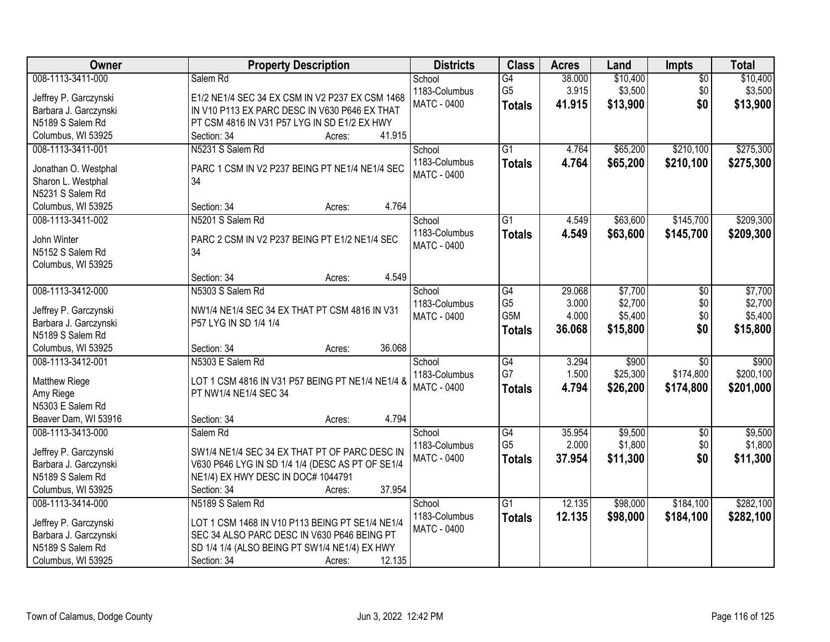| 008-1113-3411-000<br>\$10,400<br>Salem Rd<br>$\overline{G4}$<br>38.000<br>$\sqrt{$0}$<br>School<br>G <sub>5</sub><br>\$3,500<br>1183-Columbus<br>3.915<br>\$0<br>Jeffrey P. Garczynski<br>E1/2 NE1/4 SEC 34 EX CSM IN V2 P237 EX CSM 1468<br><b>MATC - 0400</b><br>\$0<br>41.915<br>\$13,900<br><b>Totals</b> |                       | <b>Property Description</b>                   | <b>Districts</b> | <b>Class</b> | <b>Acres</b> | Land | <b>Impts</b> | <b>Total</b> |
|---------------------------------------------------------------------------------------------------------------------------------------------------------------------------------------------------------------------------------------------------------------------------------------------------------------|-----------------------|-----------------------------------------------|------------------|--------------|--------------|------|--------------|--------------|
|                                                                                                                                                                                                                                                                                                               |                       |                                               |                  |              |              |      |              | \$10,400     |
|                                                                                                                                                                                                                                                                                                               |                       |                                               |                  |              |              |      |              | \$3,500      |
|                                                                                                                                                                                                                                                                                                               | Barbara J. Garczynski | IN V10 P113 EX PARC DESC IN V630 P646 EX THAT |                  |              |              |      |              | \$13,900     |
| N5189 S Salem Rd<br>PT CSM 4816 IN V31 P57 LYG IN SD E1/2 EX HWY                                                                                                                                                                                                                                              |                       |                                               |                  |              |              |      |              |              |
| Columbus, WI 53925<br>41.915<br>Section: 34<br>Acres:                                                                                                                                                                                                                                                         |                       |                                               |                  |              |              |      |              |              |
| $\overline{G1}$<br>008-1113-3411-001<br>N5231 S Salem Rd<br>4.764<br>\$65,200<br>\$210,100<br>School                                                                                                                                                                                                          |                       |                                               |                  |              |              |      |              | \$275,300    |
| 1183-Columbus<br>4.764<br>\$65,200<br>\$210,100<br><b>Totals</b>                                                                                                                                                                                                                                              |                       |                                               |                  |              |              |      |              | \$275,300    |
| PARC 1 CSM IN V2 P237 BEING PT NE1/4 NE1/4 SEC<br>Jonathan O. Westphal<br><b>MATC - 0400</b>                                                                                                                                                                                                                  |                       |                                               |                  |              |              |      |              |              |
| 34<br>Sharon L. Westphal<br>N5231 S Salem Rd                                                                                                                                                                                                                                                                  |                       |                                               |                  |              |              |      |              |              |
| 4.764<br>Columbus, WI 53925<br>Section: 34                                                                                                                                                                                                                                                                    |                       |                                               |                  |              |              |      |              |              |
| Acres:<br>\$145,700<br>008-1113-3411-002<br>N5201 S Salem Rd<br>$\overline{G1}$<br>4.549<br>\$63,600<br>School                                                                                                                                                                                                |                       |                                               |                  |              |              |      |              | \$209,300    |
| 1183-Columbus                                                                                                                                                                                                                                                                                                 |                       |                                               |                  |              |              |      |              |              |
| \$63,600<br>4.549<br>\$145,700<br><b>Totals</b><br>John Winter<br>PARC 2 CSM IN V2 P237 BEING PT E1/2 NE1/4 SEC<br>MATC - 0400                                                                                                                                                                                |                       |                                               |                  |              |              |      |              | \$209,300    |
| N5152 S Salem Rd<br>34                                                                                                                                                                                                                                                                                        |                       |                                               |                  |              |              |      |              |              |
| Columbus, WI 53925                                                                                                                                                                                                                                                                                            |                       |                                               |                  |              |              |      |              |              |
| 4.549<br>Section: 34<br>Acres:                                                                                                                                                                                                                                                                                |                       |                                               |                  |              |              |      |              |              |
| 008-1113-3412-000<br>N5303 S Salem Rd<br>\$7,700<br>G4<br>29.068<br>School<br>$\sqrt[6]{3}$                                                                                                                                                                                                                   |                       |                                               |                  |              |              |      |              | \$7,700      |
| \$2,700<br>G <sub>5</sub><br>3.000<br>\$0<br>1183-Columbus<br>NW1/4 NE1/4 SEC 34 EX THAT PT CSM 4816 IN V31<br>Jeffrey P. Garczynski                                                                                                                                                                          |                       |                                               |                  |              |              |      |              | \$2,700      |
| G5M<br>4.000<br>\$5,400<br>\$0<br>MATC - 0400<br>Barbara J. Garczynski<br>P57 LYG IN SD 1/4 1/4                                                                                                                                                                                                               |                       |                                               |                  |              |              |      |              | \$5,400      |
| \$0<br>36.068<br>\$15,800<br><b>Totals</b><br>N5189 S Salem Rd                                                                                                                                                                                                                                                |                       |                                               |                  |              |              |      |              | \$15,800     |
| 36.068<br>Columbus, WI 53925<br>Section: 34<br>Acres:                                                                                                                                                                                                                                                         |                       |                                               |                  |              |              |      |              |              |
| G4<br>\$900<br>008-1113-3412-001<br>N5303 E Salem Rd<br>3.294<br>$\overline{30}$<br>School                                                                                                                                                                                                                    |                       |                                               |                  |              |              |      |              | \$900        |
| G7<br>\$174,800<br>1.500<br>\$25,300<br>1183-Columbus                                                                                                                                                                                                                                                         |                       |                                               |                  |              |              |      |              | \$200,100    |
| Matthew Riege<br>LOT 1 CSM 4816 IN V31 P57 BEING PT NE1/4 NE1/4 &<br>4.794<br>\$26,200<br>MATC - 0400<br>\$174,800<br><b>Totals</b>                                                                                                                                                                           |                       |                                               |                  |              |              |      |              | \$201,000    |
| Amy Riege<br>PT NW1/4 NE1/4 SEC 34                                                                                                                                                                                                                                                                            |                       |                                               |                  |              |              |      |              |              |
| N5303 E Salem Rd                                                                                                                                                                                                                                                                                              |                       |                                               |                  |              |              |      |              |              |
| 4.794<br>Beaver Dam, WI 53916<br>Section: 34<br>Acres:                                                                                                                                                                                                                                                        |                       |                                               |                  |              |              |      |              |              |
| G4<br>\$9,500<br>008-1113-3413-000<br>35.954<br>$\sqrt{6}$<br>Salem Rd<br>School                                                                                                                                                                                                                              |                       |                                               |                  |              |              |      |              | \$9,500      |
| G <sub>5</sub><br>2.000<br>\$1,800<br>\$0<br>1183-Columbus<br>SW1/4 NE1/4 SEC 34 EX THAT PT OF PARC DESC IN<br>Jeffrey P. Garczynski                                                                                                                                                                          |                       |                                               |                  |              |              |      |              | \$1,800      |
| 37.954<br>\$0<br>MATC - 0400<br>\$11,300<br><b>Totals</b><br>V630 P646 LYG IN SD 1/4 1/4 (DESC AS PT OF SE1/4<br>Barbara J. Garczynski                                                                                                                                                                        |                       |                                               |                  |              |              |      |              | \$11,300     |
| N5189 S Salem Rd<br>NE1/4) EX HWY DESC IN DOC# 1044791                                                                                                                                                                                                                                                        |                       |                                               |                  |              |              |      |              |              |
| 37.954<br>Columbus, WI 53925<br>Section: 34<br>Acres:                                                                                                                                                                                                                                                         |                       |                                               |                  |              |              |      |              |              |
| 008-1113-3414-000<br>N5189 S Salem Rd<br>$\overline{G1}$<br>12.135<br>\$98,000<br>\$184,100<br>School                                                                                                                                                                                                         |                       |                                               |                  |              |              |      |              | \$282,100    |
| 1183-Columbus<br>12.135<br>\$98,000<br>\$184,100<br><b>Totals</b><br>Jeffrey P. Garczynski<br>LOT 1 CSM 1468 IN V10 P113 BEING PT SE1/4 NE1/4                                                                                                                                                                 |                       |                                               |                  |              |              |      |              | \$282,100    |
| MATC - 0400<br>SEC 34 ALSO PARC DESC IN V630 P646 BEING PT<br>Barbara J. Garczynski                                                                                                                                                                                                                           |                       |                                               |                  |              |              |      |              |              |
| N5189 S Salem Rd<br>SD 1/4 1/4 (ALSO BEING PT SW1/4 NE1/4) EX HWY                                                                                                                                                                                                                                             |                       |                                               |                  |              |              |      |              |              |
| Columbus, WI 53925<br>Section: 34<br>12.135<br>Acres:                                                                                                                                                                                                                                                         |                       |                                               |                  |              |              |      |              |              |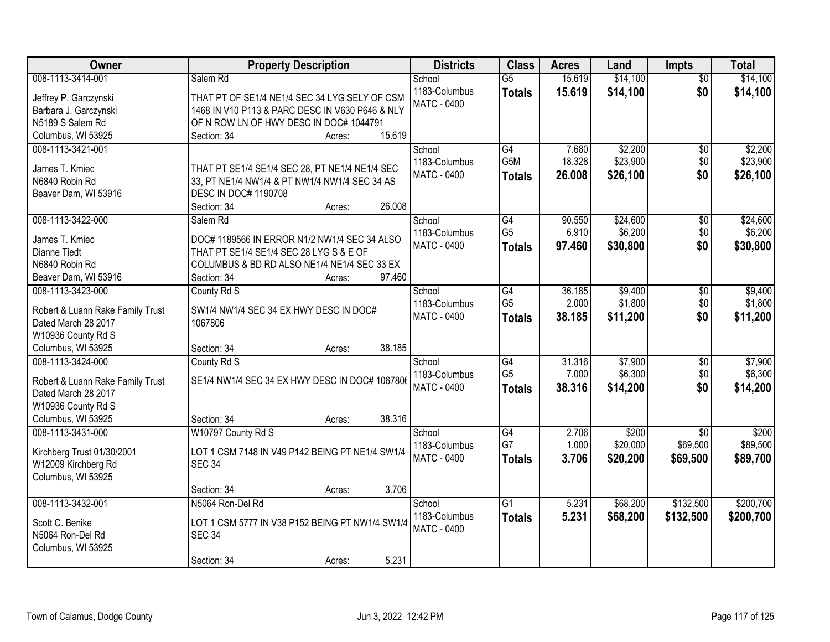| Owner                            | <b>Property Description</b>                     | <b>Districts</b>   | <b>Class</b>     | <b>Acres</b> | Land     | <b>Impts</b>    | <b>Total</b> |
|----------------------------------|-------------------------------------------------|--------------------|------------------|--------------|----------|-----------------|--------------|
| 008-1113-3414-001                | Salem Rd                                        | School             | $\overline{G5}$  | 15.619       | \$14,100 | $\overline{50}$ | \$14,100     |
| Jeffrey P. Garczynski            | THAT PT OF SE1/4 NE1/4 SEC 34 LYG SELY OF CSM   | 1183-Columbus      | <b>Totals</b>    | 15.619       | \$14,100 | \$0             | \$14,100     |
| Barbara J. Garczynski            | 1468 IN V10 P113 & PARC DESC IN V630 P646 & NLY | <b>MATC - 0400</b> |                  |              |          |                 |              |
| N5189 S Salem Rd                 | OF N ROW LN OF HWY DESC IN DOC# 1044791         |                    |                  |              |          |                 |              |
| Columbus, WI 53925               | 15.619<br>Section: 34<br>Acres:                 |                    |                  |              |          |                 |              |
| 008-1113-3421-001                |                                                 | School             | G4               | 7.680        | \$2,200  | \$0             | \$2,200      |
|                                  |                                                 | 1183-Columbus      | G <sub>5</sub> M | 18.328       | \$23,900 | \$0             | \$23,900     |
| James T. Kmiec                   | THAT PT SE1/4 SE1/4 SEC 28, PT NE1/4 NE1/4 SEC  | MATC - 0400        | <b>Totals</b>    | 26.008       | \$26,100 | \$0             | \$26,100     |
| N6840 Robin Rd                   | 33, PT NE1/4 NW1/4 & PT NW1/4 NW1/4 SEC 34 AS   |                    |                  |              |          |                 |              |
| Beaver Dam, WI 53916             | <b>DESC IN DOC# 1190708</b>                     |                    |                  |              |          |                 |              |
|                                  | 26.008<br>Section: 34<br>Acres:                 |                    |                  |              |          |                 |              |
| 008-1113-3422-000                | Salem Rd                                        | School             | G4               | 90.550       | \$24,600 | \$0             | \$24,600     |
| James T. Kmiec                   | DOC# 1189566 IN ERROR N1/2 NW1/4 SEC 34 ALSO    | 1183-Columbus      | G <sub>5</sub>   | 6.910        | \$6,200  | \$0             | \$6,200      |
| Dianne Tiedt                     | THAT PT SE1/4 SE1/4 SEC 28 LYG S & E OF         | MATC - 0400        | <b>Totals</b>    | 97.460       | \$30,800 | \$0             | \$30,800     |
| N6840 Robin Rd                   | COLUMBUS & BD RD ALSO NE1/4 NE1/4 SEC 33 EX     |                    |                  |              |          |                 |              |
| Beaver Dam, WI 53916             | 97.460<br>Section: 34<br>Acres:                 |                    |                  |              |          |                 |              |
| 008-1113-3423-000                | County Rd S                                     | School             | G4               | 36.185       | \$9,400  | $\sqrt[6]{3}$   | \$9,400      |
|                                  |                                                 | 1183-Columbus      | G <sub>5</sub>   | 2.000        | \$1,800  | \$0             | \$1,800      |
| Robert & Luann Rake Family Trust | SW1/4 NW1/4 SEC 34 EX HWY DESC IN DOC#          | <b>MATC - 0400</b> | <b>Totals</b>    | 38.185       | \$11,200 | \$0             | \$11,200     |
| Dated March 28 2017              | 1067806                                         |                    |                  |              |          |                 |              |
| W10936 County Rd S               |                                                 |                    |                  |              |          |                 |              |
| Columbus, WI 53925               | 38.185<br>Section: 34<br>Acres:                 |                    |                  |              |          |                 |              |
| 008-1113-3424-000                | County Rd S                                     | School             | $\overline{G4}$  | 31.316       | \$7,900  | $\overline{50}$ | \$7,900      |
| Robert & Luann Rake Family Trust | SE1/4 NW1/4 SEC 34 EX HWY DESC IN DOC# 1067806  | 1183-Columbus      | G <sub>5</sub>   | 7.000        | \$6,300  | \$0             | \$6,300      |
| Dated March 28 2017              |                                                 | <b>MATC - 0400</b> | <b>Totals</b>    | 38.316       | \$14,200 | \$0             | \$14,200     |
| W10936 County Rd S               |                                                 |                    |                  |              |          |                 |              |
| Columbus, WI 53925               | 38.316<br>Section: 34<br>Acres:                 |                    |                  |              |          |                 |              |
| 008-1113-3431-000                | W10797 County Rd S                              | School             | $\overline{G4}$  | 2.706        | \$200    | $\overline{50}$ | \$200        |
|                                  |                                                 | 1183-Columbus      | G7               | 1.000        | \$20,000 | \$69,500        | \$89,500     |
| Kirchberg Trust 01/30/2001       | LOT 1 CSM 7148 IN V49 P142 BEING PT NE1/4 SW1/4 | MATC - 0400        | <b>Totals</b>    | 3.706        | \$20,200 | \$69,500        | \$89,700     |
| W12009 Kirchberg Rd              | <b>SEC 34</b>                                   |                    |                  |              |          |                 |              |
| Columbus, WI 53925               |                                                 |                    |                  |              |          |                 |              |
|                                  | 3.706<br>Section: 34<br>Acres:                  |                    |                  |              |          |                 |              |
| 008-1113-3432-001                | N5064 Ron-Del Rd                                | School             | $\overline{G1}$  | 5.231        | \$68,200 | \$132,500       | \$200,700    |
| Scott C. Benike                  | LOT 1 CSM 5777 IN V38 P152 BEING PT NW1/4 SW1/4 | 1183-Columbus      | <b>Totals</b>    | 5.231        | \$68,200 | \$132,500       | \$200,700    |
| N5064 Ron-Del Rd                 | <b>SEC 34</b>                                   | <b>MATC - 0400</b> |                  |              |          |                 |              |
| Columbus, WI 53925               |                                                 |                    |                  |              |          |                 |              |
|                                  | 5.231<br>Section: 34<br>Acres:                  |                    |                  |              |          |                 |              |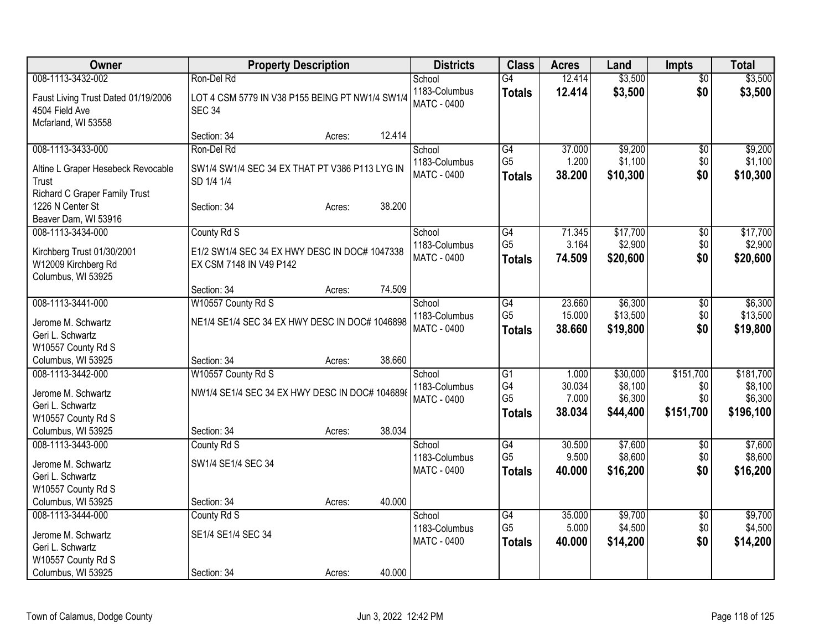| Owner                                   |                                                 | <b>Property Description</b> |        | <b>Districts</b>   | <b>Class</b>    | <b>Acres</b> | Land     | <b>Impts</b>    | <b>Total</b> |
|-----------------------------------------|-------------------------------------------------|-----------------------------|--------|--------------------|-----------------|--------------|----------|-----------------|--------------|
| 008-1113-3432-002                       | Ron-Del Rd                                      |                             |        | School             | G4              | 12.414       | \$3,500  | \$0             | \$3,500      |
| Faust Living Trust Dated 01/19/2006     | LOT 4 CSM 5779 IN V38 P155 BEING PT NW1/4 SW1/4 |                             |        | 1183-Columbus      | <b>Totals</b>   | 12.414       | \$3,500  | \$0             | \$3,500      |
| 4504 Field Ave                          | <b>SEC 34</b>                                   |                             |        | <b>MATC - 0400</b> |                 |              |          |                 |              |
| Mcfarland, WI 53558                     |                                                 |                             |        |                    |                 |              |          |                 |              |
|                                         | Section: 34                                     | Acres:                      | 12.414 |                    |                 |              |          |                 |              |
| 008-1113-3433-000                       | Ron-Del Rd                                      |                             |        | School             | G4              | 37.000       | \$9,200  | \$0             | \$9,200      |
| Altine L Graper Hesebeck Revocable      | SW1/4 SW1/4 SEC 34 EX THAT PT V386 P113 LYG IN  |                             |        | 1183-Columbus      | G <sub>5</sub>  | 1.200        | \$1,100  | \$0             | \$1,100      |
| Trust                                   | SD 1/4 1/4                                      |                             |        | <b>MATC - 0400</b> | <b>Totals</b>   | 38.200       | \$10,300 | \$0             | \$10,300     |
| Richard C Graper Family Trust           |                                                 |                             |        |                    |                 |              |          |                 |              |
| 1226 N Center St                        | Section: 34                                     | Acres:                      | 38.200 |                    |                 |              |          |                 |              |
| Beaver Dam, WI 53916                    |                                                 |                             |        |                    |                 |              |          |                 |              |
| 008-1113-3434-000                       | County Rd S                                     |                             |        | School             | $\overline{G4}$ | 71.345       | \$17,700 | \$0             | \$17,700     |
| Kirchberg Trust 01/30/2001              | E1/2 SW1/4 SEC 34 EX HWY DESC IN DOC# 1047338   |                             |        | 1183-Columbus      | G <sub>5</sub>  | 3.164        | \$2,900  | \$0             | \$2,900      |
| W12009 Kirchberg Rd                     | EX CSM 7148 IN V49 P142                         |                             |        | <b>MATC - 0400</b> | <b>Totals</b>   | 74.509       | \$20,600 | \$0             | \$20,600     |
| Columbus, WI 53925                      |                                                 |                             |        |                    |                 |              |          |                 |              |
|                                         | Section: 34                                     | Acres:                      | 74.509 |                    |                 |              |          |                 |              |
| 008-1113-3441-000                       | W10557 County Rd S                              |                             |        | School             | G4              | 23.660       | \$6,300  | \$0             | \$6,300      |
|                                         |                                                 |                             |        | 1183-Columbus      | G <sub>5</sub>  | 15.000       | \$13,500 | \$0             | \$13,500     |
| Jerome M. Schwartz                      | NE1/4 SE1/4 SEC 34 EX HWY DESC IN DOC# 1046898  |                             |        | <b>MATC - 0400</b> | <b>Totals</b>   | 38.660       | \$19,800 | \$0             | \$19,800     |
| Geri L. Schwartz                        |                                                 |                             |        |                    |                 |              |          |                 |              |
| W10557 County Rd S                      |                                                 |                             | 38.660 |                    |                 |              |          |                 |              |
| Columbus, WI 53925<br>008-1113-3442-000 | Section: 34<br>W10557 County Rd S               | Acres:                      |        | School             | G1              | 1.000        | \$30,000 | \$151,700       | \$181,700    |
|                                         |                                                 |                             |        | 1183-Columbus      | G4              | 30.034       | \$8,100  | \$0             | \$8,100      |
| Jerome M. Schwartz                      | NW1/4 SE1/4 SEC 34 EX HWY DESC IN DOC# 1046898  |                             |        | <b>MATC - 0400</b> | G <sub>5</sub>  | 7.000        | \$6,300  | \$0             | \$6,300      |
| Geri L. Schwartz                        |                                                 |                             |        |                    | <b>Totals</b>   | 38.034       | \$44,400 | \$151,700       | \$196,100    |
| W10557 County Rd S                      |                                                 |                             |        |                    |                 |              |          |                 |              |
| Columbus, WI 53925                      | Section: 34                                     | Acres:                      | 38.034 |                    |                 |              |          |                 |              |
| 008-1113-3443-000                       | County Rd S                                     |                             |        | School             | G4              | 30.500       | \$7,600  | $\overline{50}$ | \$7,600      |
| Jerome M. Schwartz                      | SW1/4 SE1/4 SEC 34                              |                             |        | 1183-Columbus      | G <sub>5</sub>  | 9.500        | \$8,600  | \$0             | \$8,600      |
| Geri L. Schwartz                        |                                                 |                             |        | <b>MATC - 0400</b> | <b>Totals</b>   | 40.000       | \$16,200 | \$0             | \$16,200     |
| W10557 County Rd S                      |                                                 |                             |        |                    |                 |              |          |                 |              |
| Columbus, WI 53925                      | Section: 34                                     | Acres:                      | 40.000 |                    |                 |              |          |                 |              |
| 008-1113-3444-000                       | County Rd S                                     |                             |        | School             | $\overline{G4}$ | 35.000       | \$9,700  | $\overline{50}$ | \$9,700      |
| Jerome M. Schwartz                      | SE1/4 SE1/4 SEC 34                              |                             |        | 1183-Columbus      | G <sub>5</sub>  | 5.000        | \$4,500  | \$0             | \$4,500      |
| Geri L. Schwartz                        |                                                 |                             |        | <b>MATC - 0400</b> | <b>Totals</b>   | 40.000       | \$14,200 | \$0             | \$14,200     |
| W10557 County Rd S                      |                                                 |                             |        |                    |                 |              |          |                 |              |
| Columbus, WI 53925                      | Section: 34                                     | Acres:                      | 40.000 |                    |                 |              |          |                 |              |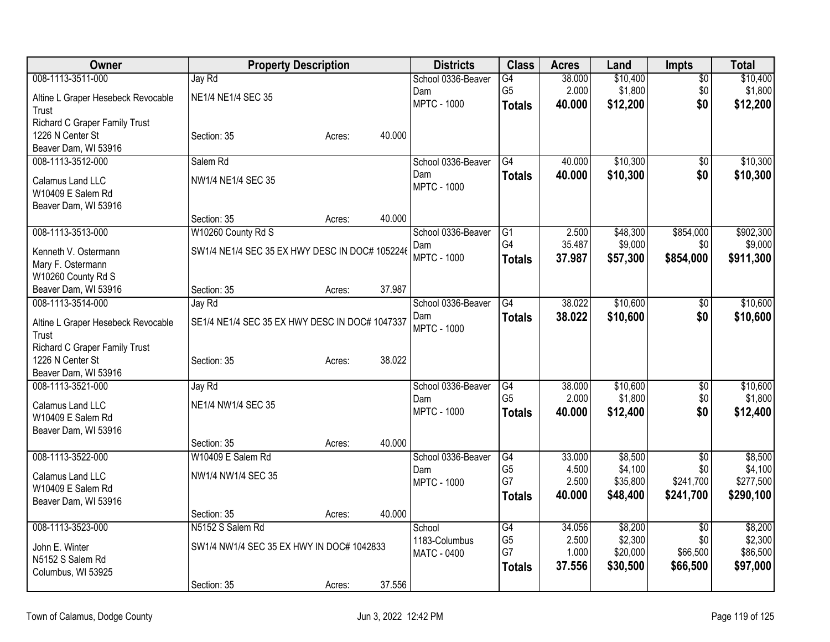| Owner                                             |                                                | <b>Property Description</b> |        | <b>Districts</b>          | <b>Class</b>          | <b>Acres</b>    | Land                | <b>Impts</b>     | <b>Total</b>         |
|---------------------------------------------------|------------------------------------------------|-----------------------------|--------|---------------------------|-----------------------|-----------------|---------------------|------------------|----------------------|
| 008-1113-3511-000                                 | Jay Rd                                         |                             |        | School 0336-Beaver        | G4                    | 38.000          | \$10,400            | $\overline{50}$  | \$10,400             |
| Altine L Graper Hesebeck Revocable                | NE1/4 NE1/4 SEC 35                             |                             |        | Dam                       | G <sub>5</sub>        | 2.000           | \$1,800             | \$0              | \$1,800              |
| Trust                                             |                                                |                             |        | <b>MPTC - 1000</b>        | <b>Totals</b>         | 40.000          | \$12,200            | \$0              | \$12,200             |
| Richard C Graper Family Trust                     |                                                |                             |        |                           |                       |                 |                     |                  |                      |
| 1226 N Center St                                  | Section: 35                                    | Acres:                      | 40.000 |                           |                       |                 |                     |                  |                      |
| Beaver Dam, WI 53916                              |                                                |                             |        |                           |                       |                 |                     |                  |                      |
| 008-1113-3512-000                                 | Salem Rd                                       |                             |        | School 0336-Beaver        | G4                    | 40.000          | \$10,300            | $\overline{50}$  | \$10,300             |
| Calamus Land LLC                                  | NW1/4 NE1/4 SEC 35                             |                             |        | Dam<br><b>MPTC - 1000</b> | <b>Totals</b>         | 40.000          | \$10,300            | \$0              | \$10,300             |
| W10409 E Salem Rd                                 |                                                |                             |        |                           |                       |                 |                     |                  |                      |
| Beaver Dam, WI 53916                              |                                                |                             |        |                           |                       |                 |                     |                  |                      |
|                                                   | Section: 35                                    | Acres:                      | 40.000 |                           |                       |                 |                     |                  |                      |
| 008-1113-3513-000                                 | W10260 County Rd S                             |                             |        | School 0336-Beaver<br>Dam | $\overline{G1}$<br>G4 | 2.500<br>35.487 | \$48,300<br>\$9,000 | \$854,000<br>\$0 | \$902,300<br>\$9,000 |
| Kenneth V. Ostermann                              | SW1/4 NE1/4 SEC 35 EX HWY DESC IN DOC# 1052246 |                             |        | <b>MPTC - 1000</b>        | <b>Totals</b>         | 37.987          | \$57,300            | \$854,000        | \$911,300            |
| Mary F. Ostermann                                 |                                                |                             |        |                           |                       |                 |                     |                  |                      |
| W10260 County Rd S                                |                                                |                             | 37.987 |                           |                       |                 |                     |                  |                      |
| Beaver Dam, WI 53916<br>008-1113-3514-000         | Section: 35<br>Jay Rd                          | Acres:                      |        | School 0336-Beaver        | G4                    | 38.022          | \$10,600            | \$0              | \$10,600             |
|                                                   |                                                |                             |        | Dam                       | <b>Totals</b>         | 38.022          | \$10,600            | \$0              | \$10,600             |
| Altine L Graper Hesebeck Revocable                | SE1/4 NE1/4 SEC 35 EX HWY DESC IN DOC# 1047337 |                             |        | <b>MPTC - 1000</b>        |                       |                 |                     |                  |                      |
| Trust                                             |                                                |                             |        |                           |                       |                 |                     |                  |                      |
| Richard C Graper Family Trust<br>1226 N Center St | Section: 35                                    |                             | 38.022 |                           |                       |                 |                     |                  |                      |
| Beaver Dam, WI 53916                              |                                                | Acres:                      |        |                           |                       |                 |                     |                  |                      |
| 008-1113-3521-000                                 | Jay Rd                                         |                             |        | School 0336-Beaver        | G4                    | 38.000          | \$10,600            | \$0              | \$10,600             |
|                                                   |                                                |                             |        | Dam                       | G <sub>5</sub>        | 2.000           | \$1,800             | \$0              | \$1,800              |
| Calamus Land LLC<br>W10409 E Salem Rd             | NE1/4 NW1/4 SEC 35                             |                             |        | <b>MPTC - 1000</b>        | <b>Totals</b>         | 40.000          | \$12,400            | \$0              | \$12,400             |
| Beaver Dam, WI 53916                              |                                                |                             |        |                           |                       |                 |                     |                  |                      |
|                                                   | Section: 35                                    | Acres:                      | 40.000 |                           |                       |                 |                     |                  |                      |
| 008-1113-3522-000                                 | W10409 E Salem Rd                              |                             |        | School 0336-Beaver        | G4                    | 33.000          | \$8,500             | $\overline{50}$  | \$8,500              |
| Calamus Land LLC                                  | NW1/4 NW1/4 SEC 35                             |                             |        | Dam                       | G <sub>5</sub>        | 4.500           | \$4,100             | \$0              | \$4,100              |
| W10409 E Salem Rd                                 |                                                |                             |        | <b>MPTC - 1000</b>        | G7                    | 2.500           | \$35,800            | \$241,700        | \$277,500            |
| Beaver Dam, WI 53916                              |                                                |                             |        |                           | <b>Totals</b>         | 40.000          | \$48,400            | \$241,700        | \$290,100            |
|                                                   | Section: 35                                    | Acres:                      | 40.000 |                           |                       |                 |                     |                  |                      |
| 008-1113-3523-000                                 | N5152 S Salem Rd                               |                             |        | School                    | G4                    | 34.056          | \$8,200             | $\overline{50}$  | \$8,200              |
| John E. Winter                                    | SW1/4 NW1/4 SEC 35 EX HWY IN DOC# 1042833      |                             |        | 1183-Columbus             | G <sub>5</sub>        | 2.500           | \$2,300             | \$0              | \$2,300              |
| N5152 S Salem Rd                                  |                                                |                             |        | MATC - 0400               | G7                    | 1.000           | \$20,000            | \$66,500         | \$86,500             |
| Columbus, WI 53925                                |                                                |                             |        |                           | <b>Totals</b>         | 37.556          | \$30,500            | \$66,500         | \$97,000             |
|                                                   | Section: 35                                    | Acres:                      | 37.556 |                           |                       |                 |                     |                  |                      |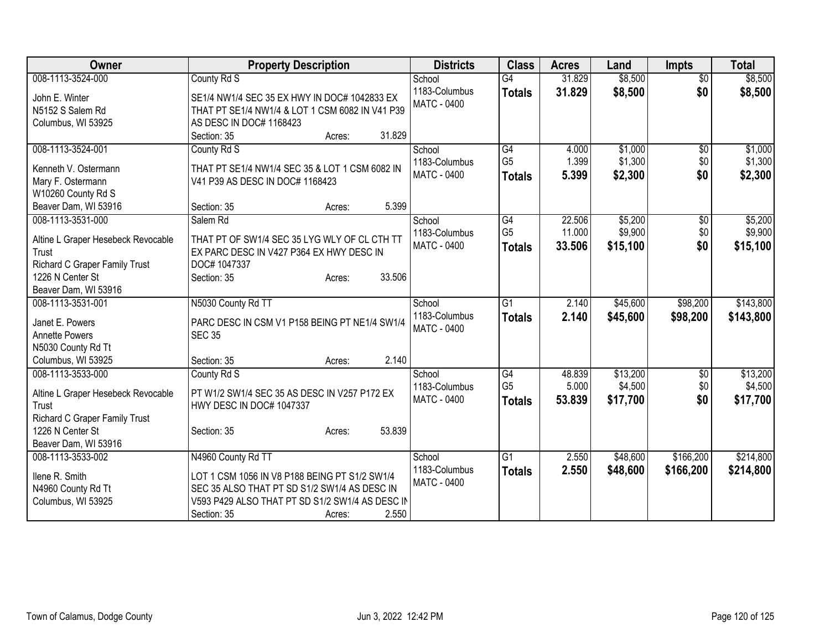| <b>Property Description</b><br><b>Class</b><br><b>Districts</b><br><b>Acres</b><br>Land<br><b>Impts</b>                                           |           |
|---------------------------------------------------------------------------------------------------------------------------------------------------|-----------|
| 008-1113-3524-000<br>County Rd S<br>\$8,500<br>$\overline{G4}$<br>$\overline{50}$<br>School<br>31.829                                             | \$8,500   |
| 31.829<br>\$8,500<br>\$0<br>1183-Columbus<br><b>Totals</b><br>John E. Winter<br>SE1/4 NW1/4 SEC 35 EX HWY IN DOC# 1042833 EX                      | \$8,500   |
| <b>MATC - 0400</b><br>N5152 S Salem Rd<br>THAT PT SE1/4 NW1/4 & LOT 1 CSM 6082 IN V41 P39                                                         |           |
| AS DESC IN DOC# 1168423<br>Columbus, WI 53925                                                                                                     |           |
| 31.829<br>Section: 35<br>Acres:                                                                                                                   |           |
| 008-1113-3524-001<br>G4<br>\$1,000<br>County Rd S<br>4.000<br>$\sqrt{6}$<br>School                                                                | \$1,000   |
| G <sub>5</sub><br>1.399<br>\$1,300<br>1183-Columbus<br>\$0                                                                                        | \$1,300   |
| THAT PT SE1/4 NW1/4 SEC 35 & LOT 1 CSM 6082 IN<br>Kenneth V. Ostermann<br>\$0<br><b>MATC - 0400</b><br>\$2,300<br>5.399<br><b>Totals</b>          | \$2,300   |
| Mary F. Ostermann<br>V41 P39 AS DESC IN DOC# 1168423                                                                                              |           |
| W10260 County Rd S                                                                                                                                |           |
| 5.399<br>Beaver Dam, WI 53916<br>Section: 35<br>Acres:                                                                                            |           |
| \$5,200<br>008-1113-3531-000<br>22.506<br>Salem Rd<br>G4<br>\$0<br>School                                                                         | \$5,200   |
| G <sub>5</sub><br>\$9,900<br>11.000<br>\$0<br>1183-Columbus<br>THAT PT OF SW1/4 SEC 35 LYG WLY OF CL CTH TT<br>Altine L Graper Hesebeck Revocable | \$9,900   |
| \$0<br>MATC - 0400<br>33.506<br>\$15,100<br><b>Totals</b><br>EX PARC DESC IN V427 P364 EX HWY DESC IN<br>Trust                                    | \$15,100  |
| Richard C Graper Family Trust<br>DOC# 1047337                                                                                                     |           |
| 33.506<br>1226 N Center St<br>Section: 35<br>Acres:                                                                                               |           |
| Beaver Dam, WI 53916                                                                                                                              |           |
| N5030 County Rd TT<br>$\overline{G1}$<br>\$45,600<br>\$98,200<br>008-1113-3531-001<br>2.140<br>School                                             | \$143,800 |
| 1183-Columbus<br>2.140<br>\$45,600<br>\$98,200<br><b>Totals</b>                                                                                   | \$143,800 |
| Janet E. Powers<br>PARC DESC IN CSM V1 P158 BEING PT NE1/4 SW1/4<br><b>MATC - 0400</b>                                                            |           |
| <b>SEC 35</b><br><b>Annette Powers</b>                                                                                                            |           |
| N5030 County Rd Tt                                                                                                                                |           |
| 2.140<br>Columbus, WI 53925<br>Section: 35<br>Acres:                                                                                              |           |
| 008-1113-3533-000<br>$\overline{G4}$<br>48.839<br>\$13,200<br>County Rd S<br>\$0<br>School                                                        | \$13,200  |
| G <sub>5</sub><br>5.000<br>\$4,500<br>\$0<br>1183-Columbus<br>PT W1/2 SW1/4 SEC 35 AS DESC IN V257 P172 EX<br>Altine L Graper Hesebeck Revocable  | \$4,500   |
| \$0<br>MATC - 0400<br>53.839<br>\$17,700<br><b>Totals</b><br>Trust<br>HWY DESC IN DOC# 1047337                                                    | \$17,700  |
| Richard C Graper Family Trust                                                                                                                     |           |
| 53.839<br>1226 N Center St<br>Section: 35<br>Acres:                                                                                               |           |
| Beaver Dam, WI 53916                                                                                                                              |           |
| $\overline{G1}$<br>\$48,600<br>\$166,200<br>N4960 County Rd TT<br>2.550<br>008-1113-3533-002<br>School                                            | \$214,800 |
| 1183-Columbus<br>2.550<br>\$48,600<br>\$166,200<br><b>Totals</b><br>Ilene R. Smith<br>LOT 1 CSM 1056 IN V8 P188 BEING PT S1/2 SW1/4               | \$214,800 |
| MATC - 0400<br>N4960 County Rd Tt<br>SEC 35 ALSO THAT PT SD S1/2 SW1/4 AS DESC IN                                                                 |           |
| V593 P429 ALSO THAT PT SD S1/2 SW1/4 AS DESC IN<br>Columbus, WI 53925                                                                             |           |
| 2.550<br>Section: 35<br>Acres:                                                                                                                    |           |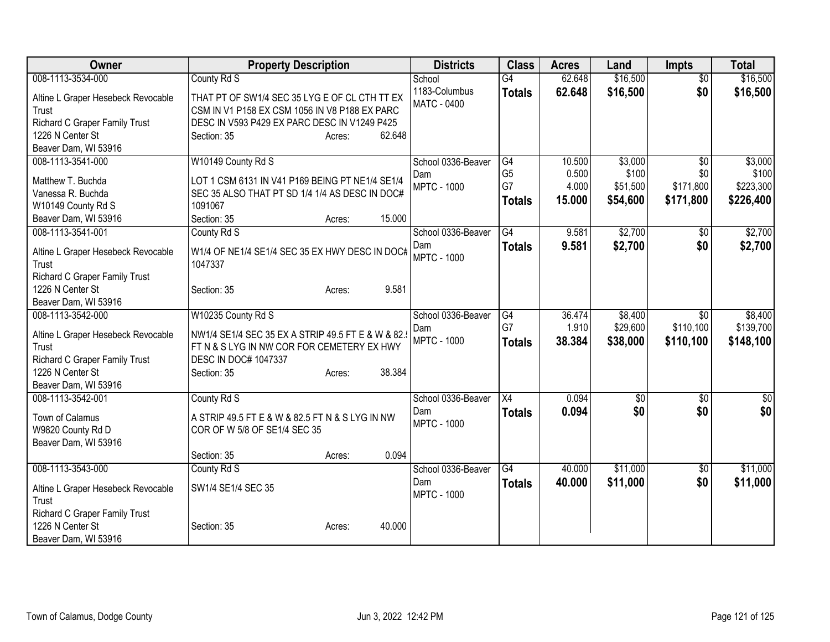| Owner                                                                                                                                         | <b>Property Description</b>                                                                                                                                                                      | <b>Districts</b>                                | <b>Class</b>                                | <b>Acres</b>                       | Land                                     | <b>Impts</b>                                     | <b>Total</b>                               |
|-----------------------------------------------------------------------------------------------------------------------------------------------|--------------------------------------------------------------------------------------------------------------------------------------------------------------------------------------------------|-------------------------------------------------|---------------------------------------------|------------------------------------|------------------------------------------|--------------------------------------------------|--------------------------------------------|
| 008-1113-3534-000<br>Altine L Graper Hesebeck Revocable<br>Trust<br>Richard C Graper Family Trust<br>1226 N Center St<br>Beaver Dam, WI 53916 | County Rd S<br>THAT PT OF SW1/4 SEC 35 LYG E OF CL CTH TT EX<br>CSM IN V1 P158 EX CSM 1056 IN V8 P188 EX PARC<br>DESC IN V593 P429 EX PARC DESC IN V1249 P425<br>Section: 35<br>62.648<br>Acres: | School<br>1183-Columbus<br>MATC - 0400          | $\overline{G4}$<br><b>Totals</b>            | 62.648<br>62.648                   | \$16,500<br>\$16,500                     | $\overline{50}$<br>\$0                           | \$16,500<br>\$16,500                       |
| 008-1113-3541-000<br>Matthew T. Buchda<br>Vanessa R. Buchda<br>W10149 County Rd S<br>Beaver Dam, WI 53916                                     | W10149 County Rd S<br>LOT 1 CSM 6131 IN V41 P169 BEING PT NE1/4 SE1/4<br>SEC 35 ALSO THAT PT SD 1/4 1/4 AS DESC IN DOC#<br>1091067<br>15.000<br>Section: 35<br>Acres:                            | School 0336-Beaver<br>Dam<br><b>MPTC - 1000</b> | G4<br>G <sub>5</sub><br>G7<br><b>Totals</b> | 10.500<br>0.500<br>4.000<br>15.000 | \$3,000<br>\$100<br>\$51,500<br>\$54,600 | $\overline{50}$<br>\$0<br>\$171,800<br>\$171,800 | \$3,000<br>\$100<br>\$223,300<br>\$226,400 |
| 008-1113-3541-001<br>Altine L Graper Hesebeck Revocable<br>Trust<br>Richard C Graper Family Trust<br>1226 N Center St<br>Beaver Dam, WI 53916 | County Rd S<br>W1/4 OF NE1/4 SE1/4 SEC 35 EX HWY DESC IN DOC#<br>1047337<br>9.581<br>Section: 35<br>Acres:                                                                                       | School 0336-Beaver<br>Dam<br><b>MPTC - 1000</b> | G4<br><b>Totals</b>                         | 9.581<br>9.581                     | \$2,700<br>\$2,700                       | $\sqrt{$0}$<br>\$0                               | \$2,700<br>\$2,700                         |
| 008-1113-3542-000<br>Altine L Graper Hesebeck Revocable<br>Trust<br>Richard C Graper Family Trust<br>1226 N Center St<br>Beaver Dam, WI 53916 | W10235 County Rd S<br>NW1/4 SE1/4 SEC 35 EX A STRIP 49.5 FT E & W & 82.<br>FT N & S LYG IN NW COR FOR CEMETERY EX HWY<br>DESC IN DOC# 1047337<br>38.384<br>Section: 35<br>Acres:                 | School 0336-Beaver<br>Dam<br><b>MPTC - 1000</b> | G4<br>G7<br><b>Totals</b>                   | 36.474<br>1.910<br>38.384          | \$8,400<br>\$29,600<br>\$38,000          | \$0<br>\$110,100<br>\$110,100                    | \$8,400<br>\$139,700<br>\$148,100          |
| 008-1113-3542-001<br>Town of Calamus<br>W9820 County Rd D<br>Beaver Dam, WI 53916                                                             | County Rd S<br>A STRIP 49.5 FT E & W & 82.5 FT N & S LYG IN NW<br>COR OF W 5/8 OF SE1/4 SEC 35<br>0.094<br>Section: 35<br>Acres:                                                                 | School 0336-Beaver<br>Dam<br><b>MPTC - 1000</b> | X4<br><b>Totals</b>                         | 0.094<br>0.094                     | \$0<br>\$0                               | \$0<br>\$0                                       | \$0<br>\$0                                 |
| 008-1113-3543-000<br>Altine L Graper Hesebeck Revocable<br>Trust<br>Richard C Graper Family Trust<br>1226 N Center St<br>Beaver Dam, WI 53916 | County Rd S<br>SW1/4 SE1/4 SEC 35<br>40.000<br>Section: 35<br>Acres:                                                                                                                             | School 0336-Beaver<br>Dam<br><b>MPTC - 1000</b> | G4<br><b>Totals</b>                         | 40.000<br>40.000                   | \$11,000<br>\$11,000                     | \$0<br>\$0                                       | \$11,000<br>\$11,000                       |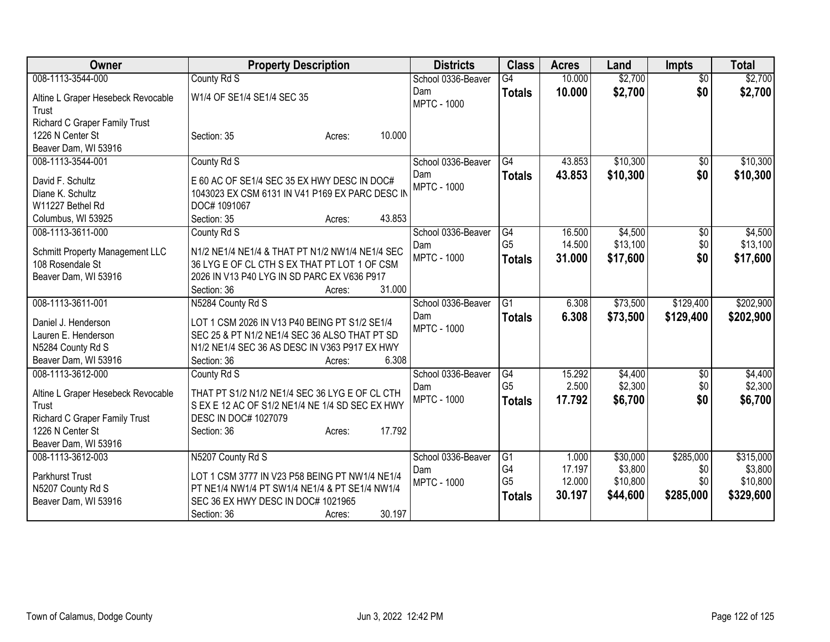| Owner                                                                                                                    | <b>Property Description</b>                                                                                                                                               | <b>Districts</b>          | <b>Class</b>                          | <b>Acres</b>               | Land                            | <b>Impts</b>            | <b>Total</b>                     |
|--------------------------------------------------------------------------------------------------------------------------|---------------------------------------------------------------------------------------------------------------------------------------------------------------------------|---------------------------|---------------------------------------|----------------------------|---------------------------------|-------------------------|----------------------------------|
| 008-1113-3544-000                                                                                                        | County Rd S                                                                                                                                                               | School 0336-Beaver        | $\overline{G4}$                       | 10.000                     | \$2,700                         | $\overline{50}$         | \$2,700                          |
| Altine L Graper Hesebeck Revocable<br>Trust                                                                              | W1/4 OF SE1/4 SE1/4 SEC 35                                                                                                                                                | Dam<br><b>MPTC - 1000</b> | <b>Totals</b>                         | 10.000                     | \$2,700                         | \$0                     | \$2,700                          |
| Richard C Graper Family Trust<br>1226 N Center St<br>Beaver Dam, WI 53916                                                | 10.000<br>Section: 35<br>Acres:                                                                                                                                           |                           |                                       |                            |                                 |                         |                                  |
| 008-1113-3544-001                                                                                                        | County Rd S                                                                                                                                                               | School 0336-Beaver        | G4                                    | 43.853                     | \$10,300                        | \$0                     | \$10,300                         |
| David F. Schultz<br>Diane K. Schultz<br>W11227 Bethel Rd<br>Columbus, WI 53925                                           | E 60 AC OF SE1/4 SEC 35 EX HWY DESC IN DOC#<br>1043023 EX CSM 6131 IN V41 P169 EX PARC DESC IN<br>DOC# 1091067<br>43.853<br>Section: 35<br>Acres:                         | Dam<br><b>MPTC - 1000</b> | <b>Totals</b>                         | 43.853                     | \$10,300                        | \$0                     | \$10,300                         |
| 008-1113-3611-000                                                                                                        | County Rd S                                                                                                                                                               | School 0336-Beaver        | G4                                    | 16.500                     | \$4,500                         | $\overline{50}$         | \$4,500                          |
| Schmitt Property Management LLC<br>108 Rosendale St<br>Beaver Dam, WI 53916                                              | N1/2 NE1/4 NE1/4 & THAT PT N1/2 NW1/4 NE1/4 SEC<br>36 LYG E OF CL CTH S EX THAT PT LOT 1 OF CSM<br>2026 IN V13 P40 LYG IN SD PARC EX V636 P917                            | Dam<br><b>MPTC - 1000</b> | G <sub>5</sub><br><b>Totals</b>       | 14.500<br>31.000           | \$13,100<br>\$17,600            | \$0<br>\$0              | \$13,100<br>\$17,600             |
|                                                                                                                          | 31.000<br>Section: 36<br>Acres:                                                                                                                                           |                           |                                       |                            |                                 |                         |                                  |
| 008-1113-3611-001                                                                                                        | N5284 County Rd S                                                                                                                                                         | School 0336-Beaver        | G1                                    | 6.308                      | \$73,500                        | \$129,400               | \$202,900                        |
| Daniel J. Henderson                                                                                                      | LOT 1 CSM 2026 IN V13 P40 BEING PT S1/2 SE1/4                                                                                                                             | Dam<br><b>MPTC - 1000</b> | <b>Totals</b>                         | 6.308                      | \$73,500                        | \$129,400               | \$202,900                        |
| Lauren E. Henderson                                                                                                      | SEC 25 & PT N1/2 NE1/4 SEC 36 ALSO THAT PT SD                                                                                                                             |                           |                                       |                            |                                 |                         |                                  |
| N5284 County Rd S                                                                                                        | N1/2 NE1/4 SEC 36 AS DESC IN V363 P917 EX HWY                                                                                                                             |                           |                                       |                            |                                 |                         |                                  |
| Beaver Dam, WI 53916                                                                                                     | 6.308<br>Section: 36<br>Acres:                                                                                                                                            |                           |                                       |                            |                                 |                         |                                  |
| 008-1113-3612-000                                                                                                        | County Rd S                                                                                                                                                               | School 0336-Beaver        | G4                                    | 15.292                     | \$4,400                         | \$0                     | \$4,400                          |
| Altine L Graper Hesebeck Revocable<br>Trust<br>Richard C Graper Family Trust<br>1226 N Center St<br>Beaver Dam, WI 53916 | THAT PT S1/2 N1/2 NE1/4 SEC 36 LYG E OF CL CTH<br>S EX E 12 AC OF S1/2 NE1/4 NE 1/4 SD SEC EX HWY<br><b>DESC IN DOC# 1027079</b><br>17.792<br>Section: 36<br>Acres:       | Dam<br><b>MPTC - 1000</b> | G <sub>5</sub><br><b>Totals</b>       | 2.500<br>17.792            | \$2,300<br>\$6,700              | \$0<br>\$0              | \$2,300<br>\$6,700               |
| 008-1113-3612-003                                                                                                        | N5207 County Rd S                                                                                                                                                         | School 0336-Beaver        | G1                                    | 1.000                      | \$30,000                        | \$285,000               | \$315,000                        |
| Parkhurst Trust<br>N5207 County Rd S<br>Beaver Dam, WI 53916                                                             | LOT 1 CSM 3777 IN V23 P58 BEING PT NW1/4 NE1/4<br>PT NE1/4 NW1/4 PT SW1/4 NE1/4 & PT SE1/4 NW1/4<br>SEC 36 EX HWY DESC IN DOC# 1021965<br>30.197<br>Section: 36<br>Acres: | Dam<br><b>MPTC - 1000</b> | G4<br>G <sub>5</sub><br><b>Totals</b> | 17.197<br>12.000<br>30.197 | \$3,800<br>\$10,800<br>\$44,600 | \$0<br>\$0<br>\$285,000 | \$3,800<br>\$10,800<br>\$329,600 |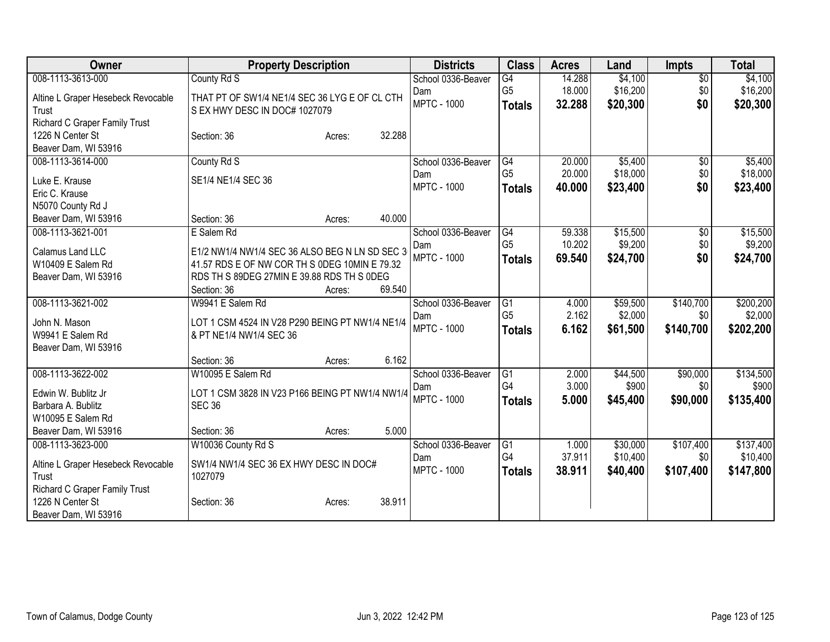| Owner                                             | <b>Property Description</b>                     | <b>Districts</b>   | <b>Class</b>    | <b>Acres</b> | Land     | <b>Impts</b>    | <b>Total</b> |
|---------------------------------------------------|-------------------------------------------------|--------------------|-----------------|--------------|----------|-----------------|--------------|
| 008-1113-3613-000                                 | County Rd S                                     | School 0336-Beaver | $\overline{G4}$ | 14.288       | \$4,100  | $\overline{50}$ | \$4,100      |
| Altine L Graper Hesebeck Revocable                | THAT PT OF SW1/4 NE1/4 SEC 36 LYG E OF CL CTH   | Dam                | G <sub>5</sub>  | 18.000       | \$16,200 | \$0             | \$16,200     |
| Trust                                             | S EX HWY DESC IN DOC# 1027079                   | <b>MPTC - 1000</b> | <b>Totals</b>   | 32.288       | \$20,300 | \$0             | \$20,300     |
| Richard C Graper Family Trust                     |                                                 |                    |                 |              |          |                 |              |
| 1226 N Center St                                  | 32.288<br>Section: 36<br>Acres:                 |                    |                 |              |          |                 |              |
| Beaver Dam, WI 53916                              |                                                 |                    |                 |              |          |                 |              |
| 008-1113-3614-000                                 | County Rd S                                     | School 0336-Beaver | G4              | 20.000       | \$5,400  | $\sqrt{6}$      | \$5,400      |
|                                                   |                                                 | Dam                | G <sub>5</sub>  | 20.000       | \$18,000 | \$0             | \$18,000     |
| Luke E. Krause<br>Eric C. Krause                  | SE1/4 NE1/4 SEC 36                              | <b>MPTC - 1000</b> | <b>Totals</b>   | 40.000       | \$23,400 | \$0             | \$23,400     |
| N5070 County Rd J                                 |                                                 |                    |                 |              |          |                 |              |
| Beaver Dam, WI 53916                              | 40.000<br>Section: 36<br>Acres:                 |                    |                 |              |          |                 |              |
| 008-1113-3621-001                                 | E Salem Rd                                      | School 0336-Beaver | G4              | 59.338       | \$15,500 | \$0             | \$15,500     |
|                                                   |                                                 | Dam                | G <sub>5</sub>  | 10.202       | \$9,200  | \$0             | \$9,200      |
| Calamus Land LLC                                  | E1/2 NW1/4 NW1/4 SEC 36 ALSO BEG N LN SD SEC 3  | <b>MPTC - 1000</b> | <b>Totals</b>   | 69.540       | \$24,700 | \$0             | \$24,700     |
| W10409 E Salem Rd                                 | 41.57 RDS E OF NW COR TH S 0DEG 10MIN E 79.32   |                    |                 |              |          |                 |              |
| Beaver Dam, WI 53916                              | RDS TH S 89DEG 27MIN E 39.88 RDS TH S 0DEG      |                    |                 |              |          |                 |              |
|                                                   | 69.540<br>Section: 36<br>Acres:                 |                    |                 |              |          |                 |              |
| 008-1113-3621-002                                 | W9941 E Salem Rd                                | School 0336-Beaver | G1              | 4.000        | \$59,500 | \$140,700       | \$200,200    |
| John N. Mason                                     | LOT 1 CSM 4524 IN V28 P290 BEING PT NW1/4 NE1/4 | Dam                | G <sub>5</sub>  | 2.162        | \$2,000  | \$0             | \$2,000      |
| W9941 E Salem Rd                                  | & PT NE1/4 NW1/4 SEC 36                         | <b>MPTC - 1000</b> | <b>Totals</b>   | 6.162        | \$61,500 | \$140,700       | \$202,200    |
| Beaver Dam, WI 53916                              |                                                 |                    |                 |              |          |                 |              |
|                                                   | 6.162<br>Section: 36<br>Acres:                  |                    |                 |              |          |                 |              |
| 008-1113-3622-002                                 | W10095 E Salem Rd                               | School 0336-Beaver | $\overline{G1}$ | 2.000        | \$44,500 | \$90,000        | \$134,500    |
| Edwin W. Bublitz Jr                               | LOT 1 CSM 3828 IN V23 P166 BEING PT NW1/4 NW1/4 | Dam                | G4              | 3.000        | \$900    | \$0             | \$900        |
| Barbara A. Bublitz                                | <b>SEC 36</b>                                   | <b>MPTC - 1000</b> | <b>Totals</b>   | 5.000        | \$45,400 | \$90,000        | \$135,400    |
| W10095 E Salem Rd                                 |                                                 |                    |                 |              |          |                 |              |
| Beaver Dam, WI 53916                              | Section: 36<br>5.000<br>Acres:                  |                    |                 |              |          |                 |              |
| 008-1113-3623-000                                 | W10036 County Rd S                              | School 0336-Beaver | $\overline{G1}$ | 1.000        | \$30,000 | \$107,400       | \$137,400    |
|                                                   |                                                 | Dam                | G <sub>4</sub>  | 37.911       | \$10,400 | \$0             | \$10,400     |
| Altine L Graper Hesebeck Revocable                | SW1/4 NW1/4 SEC 36 EX HWY DESC IN DOC#          | <b>MPTC - 1000</b> | <b>Totals</b>   | 38.911       | \$40,400 | \$107,400       | \$147,800    |
| Trust                                             | 1027079                                         |                    |                 |              |          |                 |              |
| Richard C Graper Family Trust<br>1226 N Center St | 38.911                                          |                    |                 |              |          |                 |              |
| Beaver Dam, WI 53916                              | Section: 36<br>Acres:                           |                    |                 |              |          |                 |              |
|                                                   |                                                 |                    |                 |              |          |                 |              |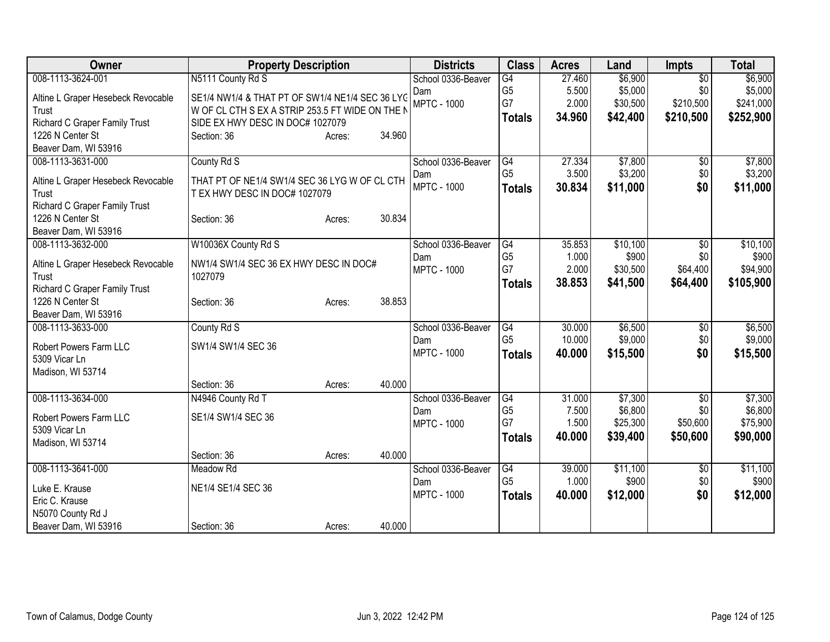| Owner                              | <b>Property Description</b>                     | <b>Districts</b> | <b>Class</b>       | <b>Acres</b>         | Land   | <b>Impts</b> | <b>Total</b>    |           |
|------------------------------------|-------------------------------------------------|------------------|--------------------|----------------------|--------|--------------|-----------------|-----------|
| 008-1113-3624-001                  | N5111 County Rd S                               |                  | School 0336-Beaver | $\overline{G4}$      | 27.460 | \$6,900      | $\overline{50}$ | \$6,900   |
| Altine L Graper Hesebeck Revocable | SE1/4 NW1/4 & THAT PT OF SW1/4 NE1/4 SEC 36 LYC |                  | Dam                | G <sub>5</sub>       | 5.500  | \$5,000      | \$0             | \$5,000   |
| Trust                              | W OF CL CTH S EX A STRIP 253.5 FT WIDE ON THE N |                  | <b>MPTC - 1000</b> | G7                   | 2.000  | \$30,500     | \$210,500       | \$241,000 |
| Richard C Graper Family Trust      | SIDE EX HWY DESC IN DOC# 1027079                |                  |                    | <b>Totals</b>        | 34.960 | \$42,400     | \$210,500       | \$252,900 |
| 1226 N Center St                   | Section: 36                                     | 34.960<br>Acres: |                    |                      |        |              |                 |           |
| Beaver Dam, WI 53916               |                                                 |                  |                    |                      |        |              |                 |           |
| 008-1113-3631-000                  | County Rd S                                     |                  | School 0336-Beaver | G4                   | 27.334 | \$7,800      | \$0             | \$7,800   |
| Altine L Graper Hesebeck Revocable | THAT PT OF NE1/4 SW1/4 SEC 36 LYG W OF CL CTH   |                  | Dam                | G <sub>5</sub>       | 3.500  | \$3,200      | \$0             | \$3,200   |
| Trust                              | T EX HWY DESC IN DOC# 1027079                   |                  | <b>MPTC - 1000</b> | <b>Totals</b>        | 30.834 | \$11,000     | \$0             | \$11,000  |
| Richard C Graper Family Trust      |                                                 |                  |                    |                      |        |              |                 |           |
| 1226 N Center St                   | Section: 36                                     | 30.834<br>Acres: |                    |                      |        |              |                 |           |
| Beaver Dam, WI 53916               |                                                 |                  |                    |                      |        |              |                 |           |
| 008-1113-3632-000                  | W10036X County Rd S                             |                  | School 0336-Beaver | G4                   | 35.853 | \$10,100     | $\overline{50}$ | \$10,100  |
| Altine L Graper Hesebeck Revocable | NW1/4 SW1/4 SEC 36 EX HWY DESC IN DOC#          |                  | Dam                | G <sub>5</sub><br>G7 | 1.000  | \$900        | \$0             | \$900     |
| Trust                              | 1027079                                         |                  | <b>MPTC - 1000</b> |                      | 2.000  | \$30,500     | \$64,400        | \$94,900  |
| Richard C Graper Family Trust      |                                                 |                  |                    | <b>Totals</b>        | 38.853 | \$41,500     | \$64,400        | \$105,900 |
| 1226 N Center St                   | Section: 36                                     | 38.853<br>Acres: |                    |                      |        |              |                 |           |
| Beaver Dam, WI 53916               |                                                 |                  |                    |                      |        |              |                 |           |
| 008-1113-3633-000                  | County Rd S                                     |                  | School 0336-Beaver | $\overline{G4}$      | 30.000 | \$6,500      | \$0             | \$6,500   |
| Robert Powers Farm LLC             | SW1/4 SW1/4 SEC 36                              |                  | Dam                | G <sub>5</sub>       | 10.000 | \$9,000      | \$0             | \$9,000   |
| 5309 Vicar Ln                      |                                                 |                  | <b>MPTC - 1000</b> | <b>Totals</b>        | 40,000 | \$15,500     | \$0             | \$15,500  |
| Madison, WI 53714                  |                                                 |                  |                    |                      |        |              |                 |           |
|                                    | Section: 36                                     | 40.000<br>Acres: |                    |                      |        |              |                 |           |
| 008-1113-3634-000                  | N4946 County Rd T                               |                  | School 0336-Beaver | G4                   | 31.000 | \$7,300      | \$0             | \$7,300   |
| Robert Powers Farm LLC             | SE1/4 SW1/4 SEC 36                              |                  | Dam                | G <sub>5</sub>       | 7.500  | \$6,800      | \$0             | \$6,800   |
| 5309 Vicar Ln                      |                                                 |                  | <b>MPTC - 1000</b> | G7                   | 1.500  | \$25,300     | \$50,600        | \$75,900  |
| Madison, WI 53714                  |                                                 |                  |                    | <b>Totals</b>        | 40.000 | \$39,400     | \$50,600        | \$90,000  |
|                                    | Section: 36                                     | 40.000<br>Acres: |                    |                      |        |              |                 |           |
| 008-1113-3641-000                  | <b>Meadow Rd</b>                                |                  | School 0336-Beaver | G4                   | 39.000 | \$11,100     | \$0             | \$11,100  |
| Luke E. Krause                     | NE1/4 SE1/4 SEC 36                              |                  | Dam                | G <sub>5</sub>       | 1.000  | \$900        | \$0             | \$900     |
| Eric C. Krause                     |                                                 |                  | <b>MPTC - 1000</b> | <b>Totals</b>        | 40.000 | \$12,000     | \$0             | \$12,000  |
| N5070 County Rd J                  |                                                 |                  |                    |                      |        |              |                 |           |
| Beaver Dam, WI 53916               | Section: 36                                     | 40.000<br>Acres: |                    |                      |        |              |                 |           |